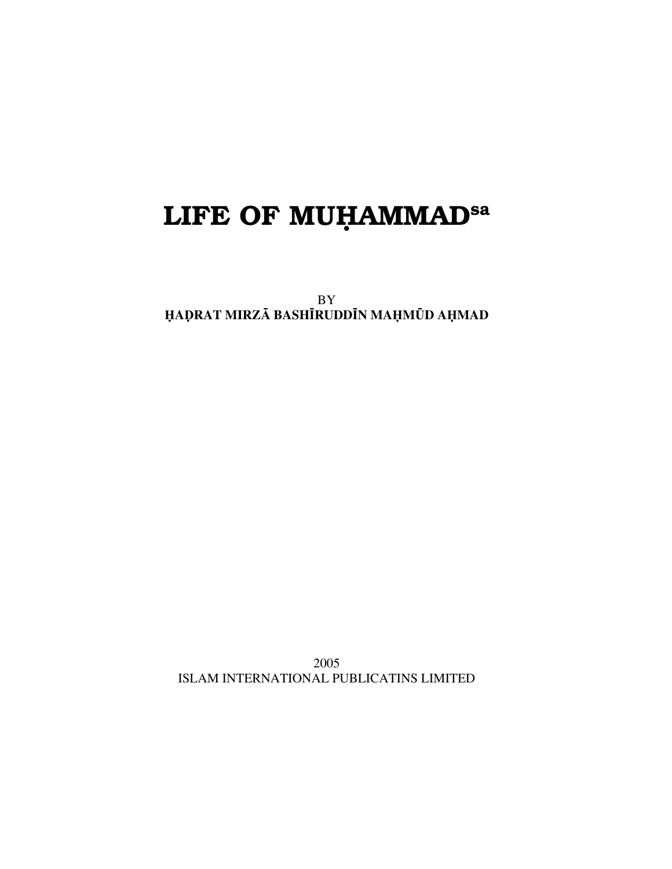# **LIFE OF MU***H***AMMADsa**

BY H**A**D**RAT MIRZ**A **BASH**I**RUDD**I**N MA**H**M**U**D A**H**MAD** 

2005 ISLAM INTERNATIONAL PUBLICATINS LIMITED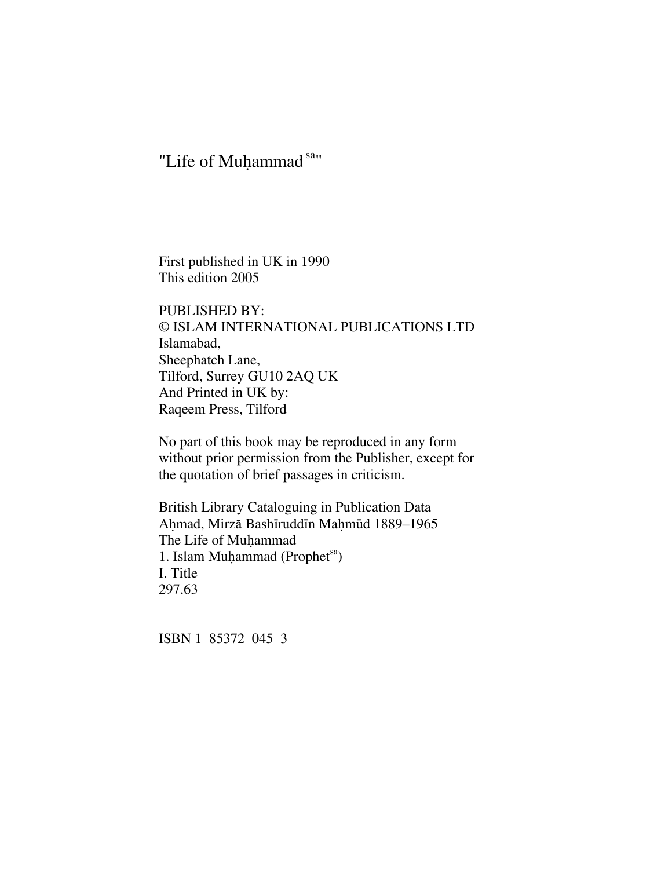## "Life of Muhammad<sup>sa</sup>"

First published in UK in 1990 This edition 2005

PUBLISHED BY: © ISLAM INTERNATIONAL PUBLICATIONS LTD Islamabad, Sheephatch Lane, Tilford, Surrey GU10 2AQ UK And Printed in UK by: Raqeem Press, Tilford

No part of this book may be reproduced in any form without prior permission from the Publisher, except for the quotation of brief passages in criticism.

British Library Cataloguing in Publication Data Ahmad, Mirza Bashiruddin Mahmud 1889–1965 The Life of Muhammad 1. Islam Muhammad (Prophet<sup>sa</sup>) I. Title 297.63

ISBN 1 85372 045 3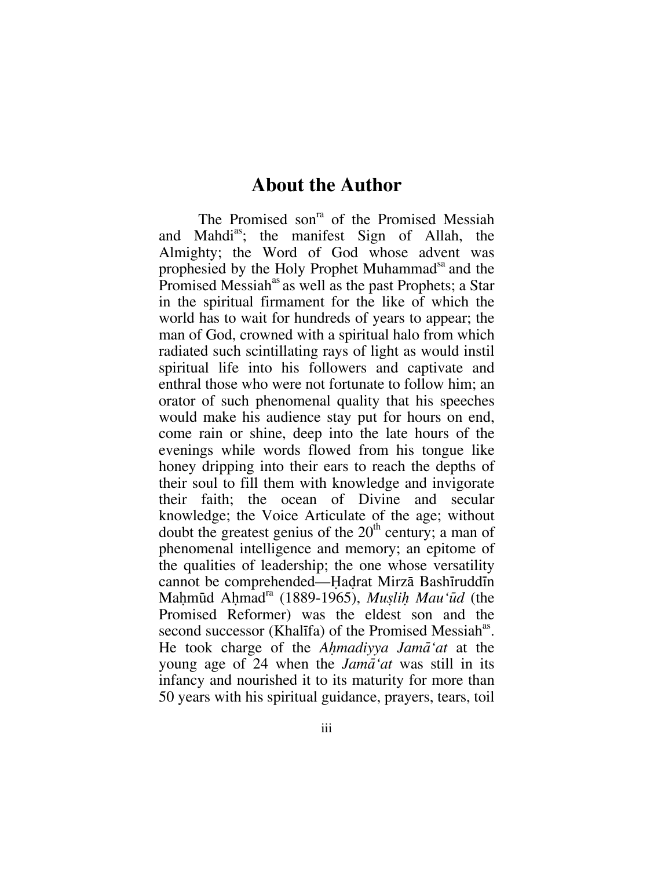## **About the Author**

The Promised son<sup>ra</sup> of the Promised Messiah and Mahdi<sup>as</sup>; the manifest Sign of Allah, the Almighty; the Word of God whose advent was prophesied by the Holy Prophet Muhammad<sup>sa</sup> and the Promised Messiah<sup>as</sup> as well as the past Prophets; a Star in the spiritual firmament for the like of which the world has to wait for hundreds of years to appear; the man of God, crowned with a spiritual halo from which radiated such scintillating rays of light as would instil spiritual life into his followers and captivate and enthral those who were not fortunate to follow him; an orator of such phenomenal quality that his speeches would make his audience stay put for hours on end, come rain or shine, deep into the late hours of the evenings while words flowed from his tongue like honey dripping into their ears to reach the depths of their soul to fill them with knowledge and invigorate their faith; the ocean of Divine and secular knowledge; the Voice Articulate of the age; without doubt the greatest genius of the  $20<sup>th</sup>$  century; a man of phenomenal intelligence and memory; an epitome of the qualities of leadership; the one whose versatility cannot be comprehended—Hadrat Mirza Bashiruddin Mahmud Ahmadra (1889-1965), *Mu*s*li*h *Mau'*u*d* (the Promised Reformer) was the eldest son and the second successor (Khalifa) of the Promised Messiah<sup>as</sup>. He took charge of the *A*h*madiyya Jam*a*'at* at the young age of 24 when the *Jam*a*'at* was still in its infancy and nourished it to its maturity for more than 50 years with his spiritual guidance, prayers, tears, toil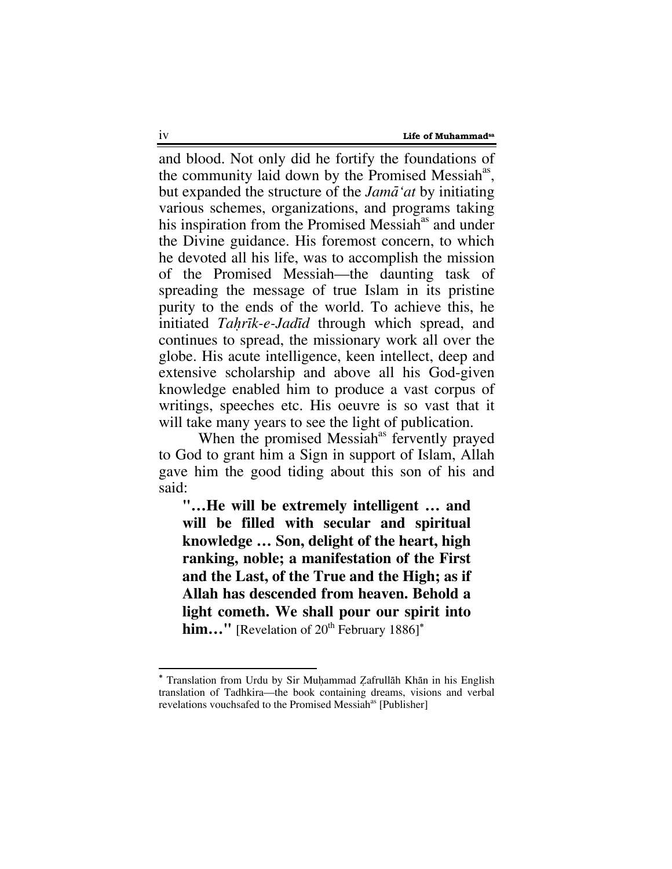and blood. Not only did he fortify the foundations of the community laid down by the Promised Messiah<sup>as</sup>, but expanded the structure of the *Jam*a*'at* by initiating various schemes, organizations, and programs taking his inspiration from the Promised Messiah<sup>as</sup> and under the Divine guidance. His foremost concern, to which he devoted all his life, was to accomplish the mission of the Promised Messiah—the daunting task of spreading the message of true Islam in its pristine purity to the ends of the world. To achieve this, he initiated *Ta*h*r*i*k-e-Jad*i*d* through which spread, and continues to spread, the missionary work all over the globe. His acute intelligence, keen intellect, deep and extensive scholarship and above all his God-given knowledge enabled him to produce a vast corpus of writings, speeches etc. His oeuvre is so vast that it will take many years to see the light of publication.

When the promised Messiah<sup>as</sup> fervently prayed to God to grant him a Sign in support of Islam, Allah gave him the good tiding about this son of his and said:

**"…He will be extremely intelligent … and will be filled with secular and spiritual knowledge … Son, delight of the heart, high ranking, noble; a manifestation of the First and the Last, of the True and the High; as if Allah has descended from heaven. Behold a light cometh. We shall pour our spirit into him...**" [Revelation of 20<sup>th</sup> February 1886]<sup>\*</sup>

 $\overline{a}$ 

**<sup>\*</sup>** Translation from Urdu by Sir Muhammad Zafrullah Khan in his English translation of Tadhkira—the book containing dreams, visions and verbal revelations vouchsafed to the Promised Messiah<sup>as</sup> [Publisher]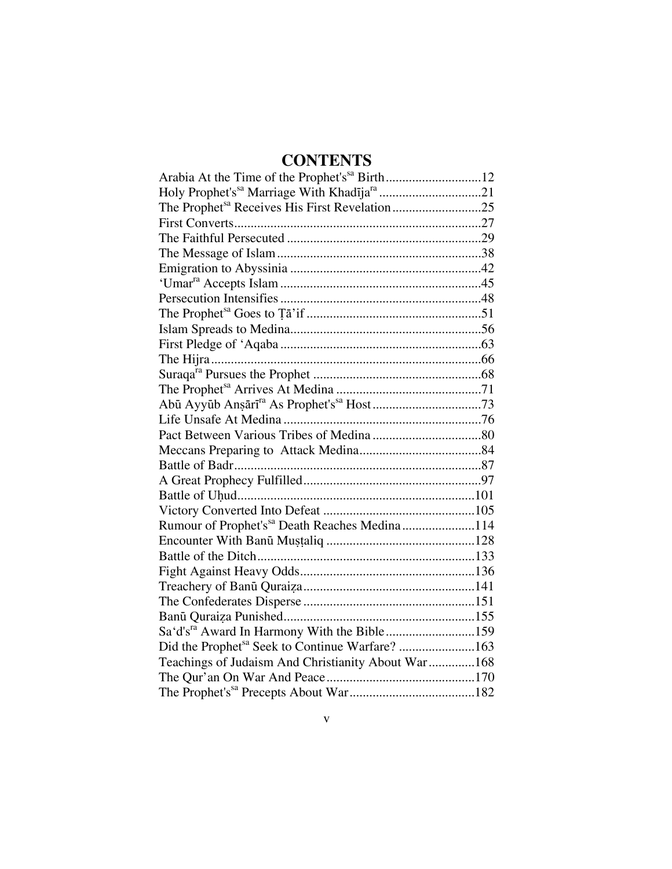## **CONTENTS**

| Holy Prophet's <sup>sa</sup> Marriage With Khadīja <sup>ra</sup> 21 |  |
|---------------------------------------------------------------------|--|
|                                                                     |  |
|                                                                     |  |
|                                                                     |  |
|                                                                     |  |
|                                                                     |  |
|                                                                     |  |
|                                                                     |  |
|                                                                     |  |
|                                                                     |  |
|                                                                     |  |
|                                                                     |  |
|                                                                     |  |
|                                                                     |  |
|                                                                     |  |
|                                                                     |  |
|                                                                     |  |
|                                                                     |  |
|                                                                     |  |
|                                                                     |  |
|                                                                     |  |
|                                                                     |  |
| Rumour of Prophet's <sup>sa</sup> Death Reaches Medina114           |  |
|                                                                     |  |
|                                                                     |  |
|                                                                     |  |
|                                                                     |  |
|                                                                     |  |
|                                                                     |  |
| Sa'd's <sup>ra</sup> Award In Harmony With the Bible159             |  |
| Did the Prophet <sup>sa</sup> Seek to Continue Warfare? 163         |  |
| Teachings of Judaism And Christianity About War 168                 |  |
|                                                                     |  |
|                                                                     |  |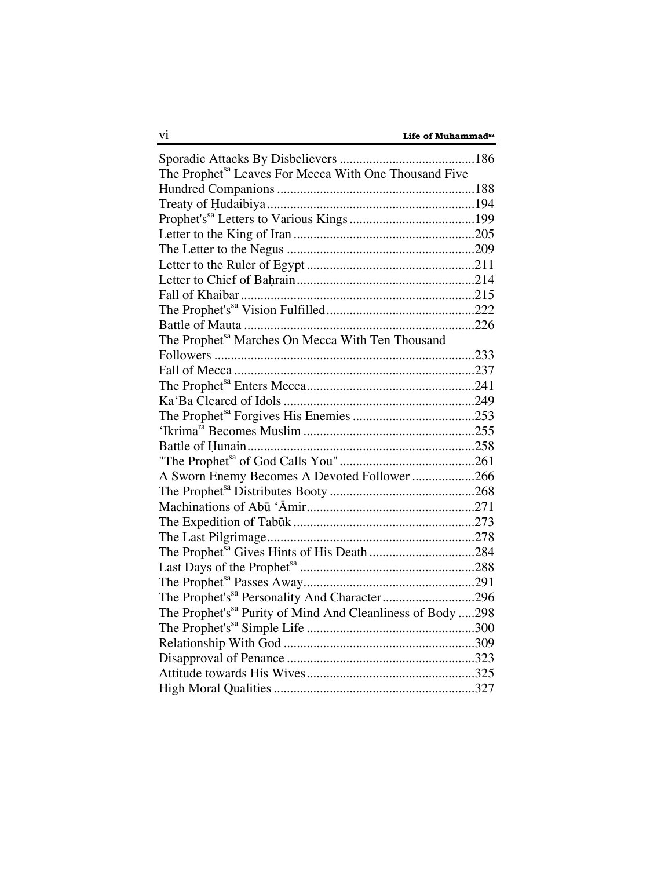| The Prophet <sup>sa</sup> Leaves For Mecca With One Thousand Five      |  |
|------------------------------------------------------------------------|--|
|                                                                        |  |
|                                                                        |  |
|                                                                        |  |
|                                                                        |  |
|                                                                        |  |
|                                                                        |  |
|                                                                        |  |
|                                                                        |  |
|                                                                        |  |
|                                                                        |  |
| The Prophet <sup>sa</sup> Marches On Mecca With Ten Thousand           |  |
|                                                                        |  |
|                                                                        |  |
|                                                                        |  |
|                                                                        |  |
|                                                                        |  |
|                                                                        |  |
|                                                                        |  |
|                                                                        |  |
| A Sworn Enemy Becomes A Devoted Follower 266                           |  |
|                                                                        |  |
|                                                                        |  |
|                                                                        |  |
|                                                                        |  |
|                                                                        |  |
|                                                                        |  |
|                                                                        |  |
| The Prophet's <sup>sa</sup> Personality And Character296               |  |
| The Prophet's <sup>sa</sup> Purity of Mind And Cleanliness of Body 298 |  |
|                                                                        |  |
|                                                                        |  |
|                                                                        |  |
|                                                                        |  |
|                                                                        |  |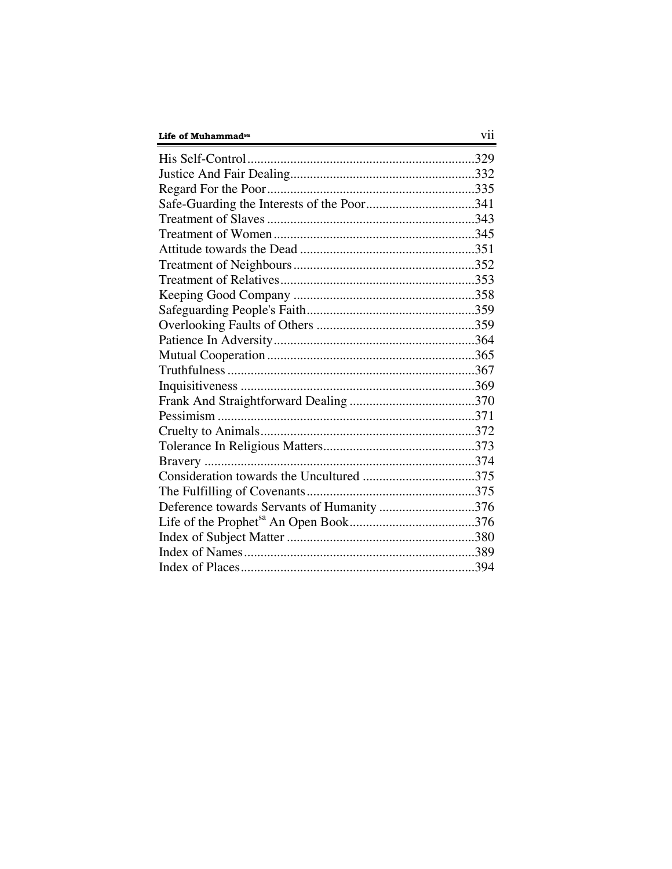| Deference towards Servants of Humanity 376 |  |
|--------------------------------------------|--|
|                                            |  |
|                                            |  |
|                                            |  |
|                                            |  |
|                                            |  |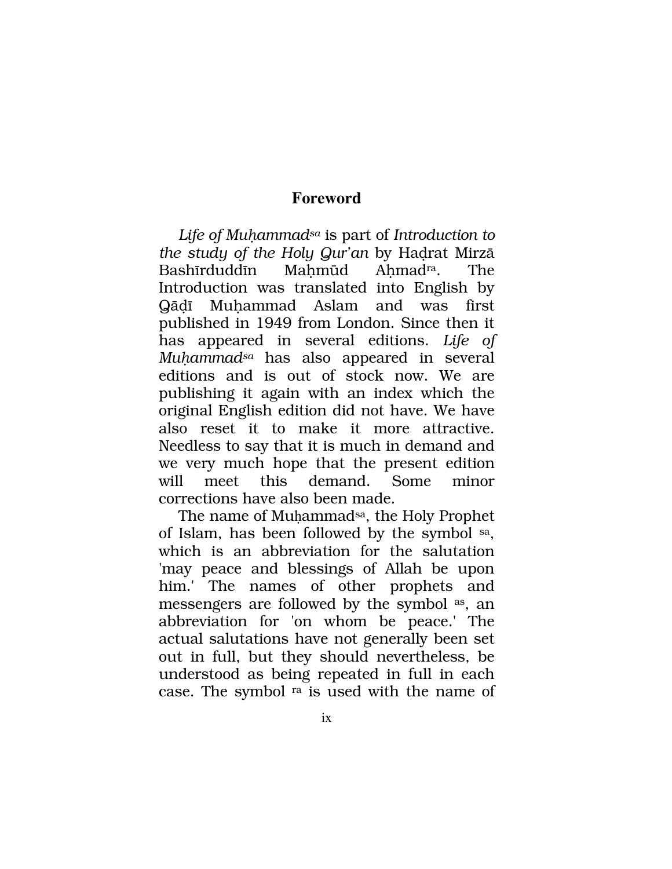## **Foreword**

*Life of Mu*h*ammadsa* is part of *Introduction to the study of the Holy Qur'an* by Hadrat Mirza Bashirduddin Mahmud Ahmadra. The Introduction was translated into English by Qadi Muhammad Aslam and was first published in 1949 from London. Since then it has appeared in several editions. *Life of Mu*h*ammadsa* has also appeared in several editions and is out of stock now. We are publishing it again with an index which the original English edition did not have. We have also reset it to make it more attractive. Needless to say that it is much in demand and we very much hope that the present edition will meet this demand. Some minor corrections have also been made.

The name of Mu*h*ammadsa, the Holy Prophet of Islam, has been followed by the symbol sa, which is an abbreviation for the salutation 'may peace and blessings of Allah be upon him.' The names of other prophets and messengers are followed by the symbol as, an abbreviation for 'on whom be peace.' The actual salutations have not generally been set out in full, but they should nevertheless, be understood as being repeated in full in each case. The symbol ra is used with the name of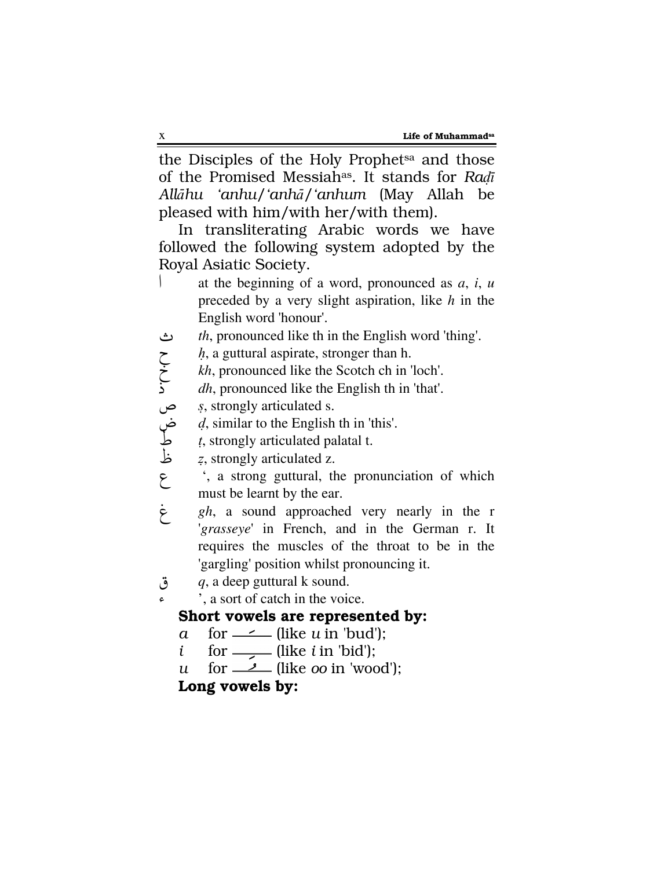the Disciples of the Holy Prophetsa and those of the Promised Messiahas. It stands for *Ra*di *All*a*hu 'anhu/'anh*a*/'anhum* (May Allah be pleased with him/with her/with them).

In transliterating Arabic words we have followed the following system adopted by the Royal Asiatic Society.

- ا at the beginning of a word, pronounced as *a*, *i*, *u* preceded by a very slight aspiration, like *h* in the English word 'honour'.
- 
- $h$ , a guttural aspirate, stronger than h.
- خ *kh*, pronounced like the Scotch ch in 'loch'.
- ذ *dh*, pronounced like the English th in 'that'.
- s, strongly articulated s.
- $d$ , similar to the English th in 'this'.
- $t$ , strongly articulated palatal t.
- z, strongly articulated z.
- th, pronounced like th in the English word 'thing'.<br> *k*, a guttural aspirate, stronger than h.<br> *kh*, pronounced like the Scotch ch in 'loch'.<br> *dh*, pronounced like the English th in 'that'.<br> *s*, strongly articulated s.  $\alpha$ , a strong guttural, the pronunciation of which must be learnt by the ear.
	- غ *gh*, a sound approached very nearly in the r '*grasseye*' in French, and in the German r. It requires the muscles of the throat to be in the 'gargling' position whilst pronouncing it.
- ق *q*, a deep guttural k sound.
	- ء' , a sort of catch in the voice.

## **Short vowels are represented by:**

- *a* for  $\angle$  (like *u* in 'bud');
- $i$  for  $\longrightarrow$  (like *i* in 'bid');
- *u* for <u>2</u> (like *oo* in 'wood');

## **Long vowels by:**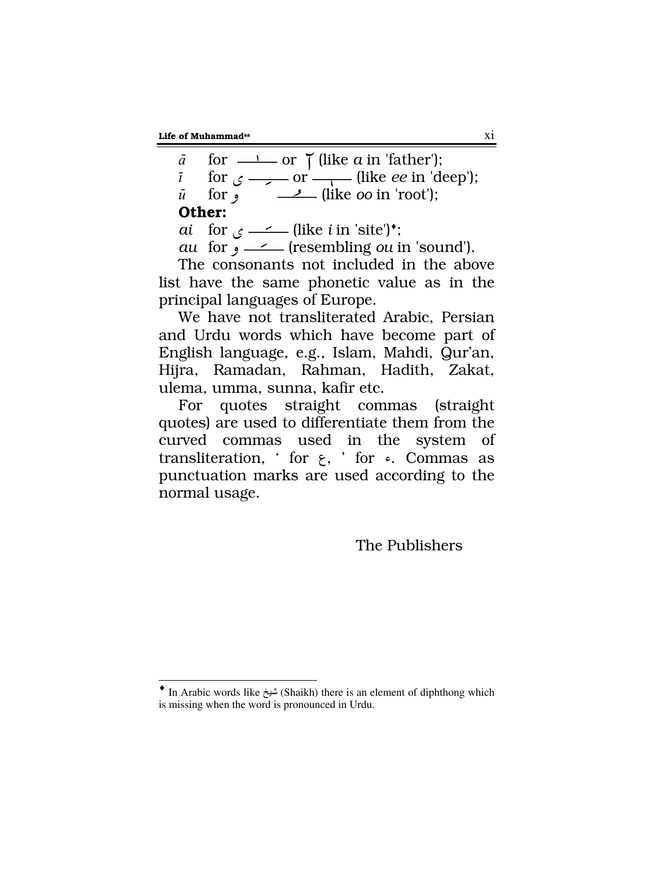- $\bar{a}$  for  $\frac{1}{\sqrt{a}}$  or  $\bar{a}$  (like *a* in 'father');
- $\bar{i}$  for  $\frac{\ }{2}$  or  $\frac{\ }{1}$  (like *ee* in 'deep');
- $\bar{u}$  for  $\rightarrow$  (like *oo* in 'root');

#### **Other:**

 $\overline{\phantom{a}}$ 

*ai* for  $\mathcal{S} \rightarrow$  (like *i* in 'site')<sup>\*</sup>;

*au* for  $\epsilon$   $\sim$  (resembling *ou* in 'sound').

The consonants not included in the above list have the same phonetic value as in the principal languages of Europe.

We have not transliterated Arabic, Persian and Urdu words which have become part of English language, e.g., Islam, Mahdi, Qur'an, Hijra, Ramadan, Rahman, Hadith, Zakat, ulema, umma, sunna, kafir etc.

For quotes straight commas (straight quotes) are used to differentiate them from the curved commas used in the system of transliteration, ' for  $\varepsilon$ , ' for  $\cdot$ . Commas as punctuation marks are used according to the normal usage.

The Publishers

<sup>♦</sup> In Arabic words like - (Shaikh) there is an element of diphthong which is missing when the word is pronounced in Urdu.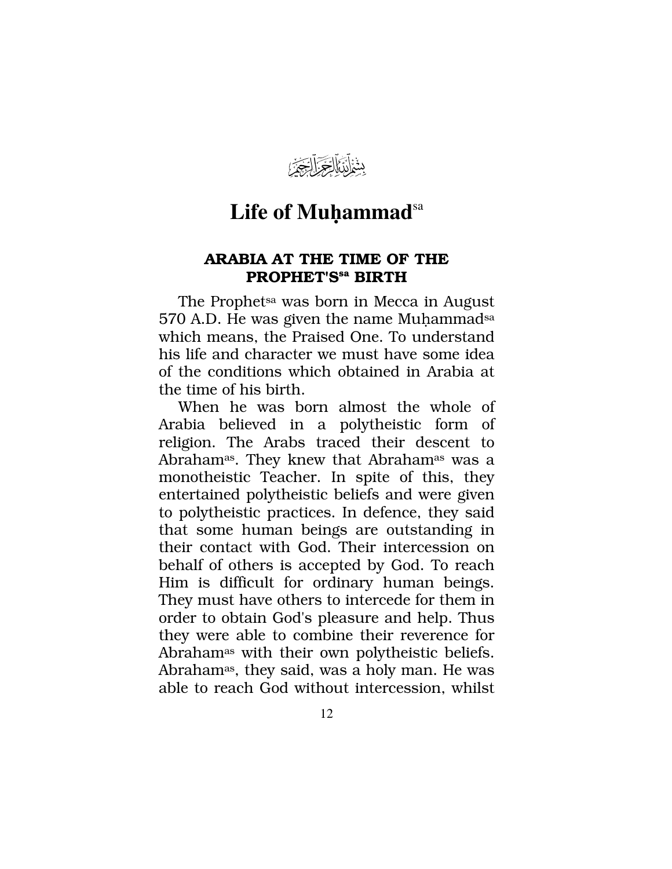

## **Life of Mu***h***ammad**sa

#### **ARABIA AT THE TIME OF THE PROPHET'Ssa BIRTH**

The Prophet<sup>sa</sup> was born in Mecca in August 570 A.D. He was given the name Muhammadsa which means, the Praised One. To understand his life and character we must have some idea of the conditions which obtained in Arabia at the time of his birth.

When he was born almost the whole of Arabia believed in a polytheistic form of religion. The Arabs traced their descent to Abrahamas. They knew that Abrahamas was a monotheistic Teacher. In spite of this, they entertained polytheistic beliefs and were given to polytheistic practices. In defence, they said that some human beings are outstanding in their contact with God. Their intercession on behalf of others is accepted by God. To reach Him is difficult for ordinary human beings. They must have others to intercede for them in order to obtain God's pleasure and help. Thus they were able to combine their reverence for Abrahamas with their own polytheistic beliefs. Abrahamas, they said, was a holy man. He was able to reach God without intercession, whilst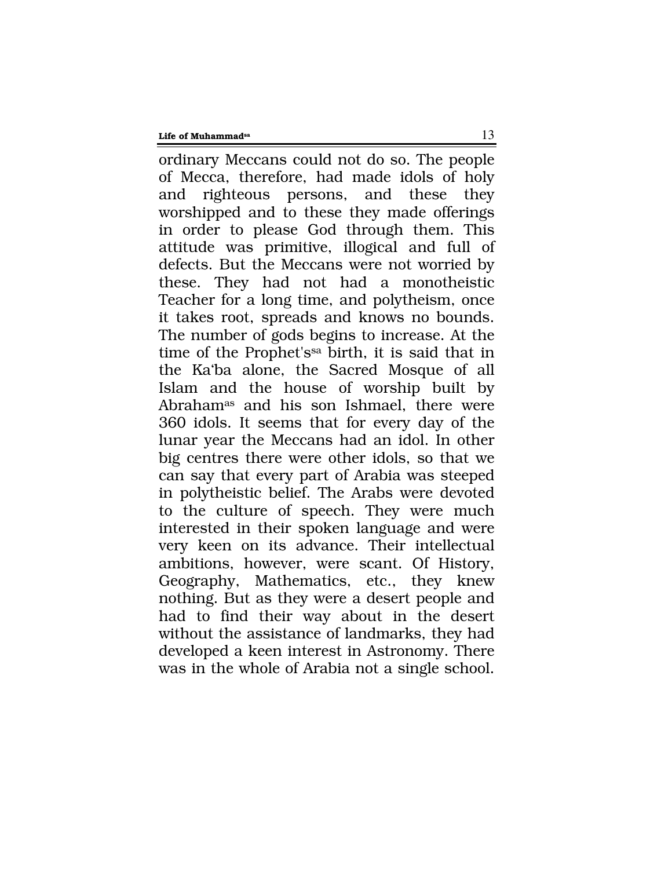ordinary Meccans could not do so. The people of Mecca, therefore, had made idols of holy and righteous persons, and these they worshipped and to these they made offerings in order to please God through them. This attitude was primitive, illogical and full of defects. But the Meccans were not worried by these. They had not had a monotheistic Teacher for a long time, and polytheism, once it takes root, spreads and knows no bounds. The number of gods begins to increase. At the time of the Prophet'ssa birth, it is said that in the Ka'ba alone, the Sacred Mosque of all Islam and the house of worship built by Abrahamas and his son Ishmael, there were 360 idols. It seems that for every day of the lunar year the Meccans had an idol. In other big centres there were other idols, so that we can say that every part of Arabia was steeped in polytheistic belief. The Arabs were devoted to the culture of speech. They were much interested in their spoken language and were very keen on its advance. Their intellectual ambitions, however, were scant. Of History, Geography, Mathematics, etc., they knew nothing. But as they were a desert people and had to find their way about in the desert without the assistance of landmarks, they had developed a keen interest in Astronomy. There was in the whole of Arabia not a single school.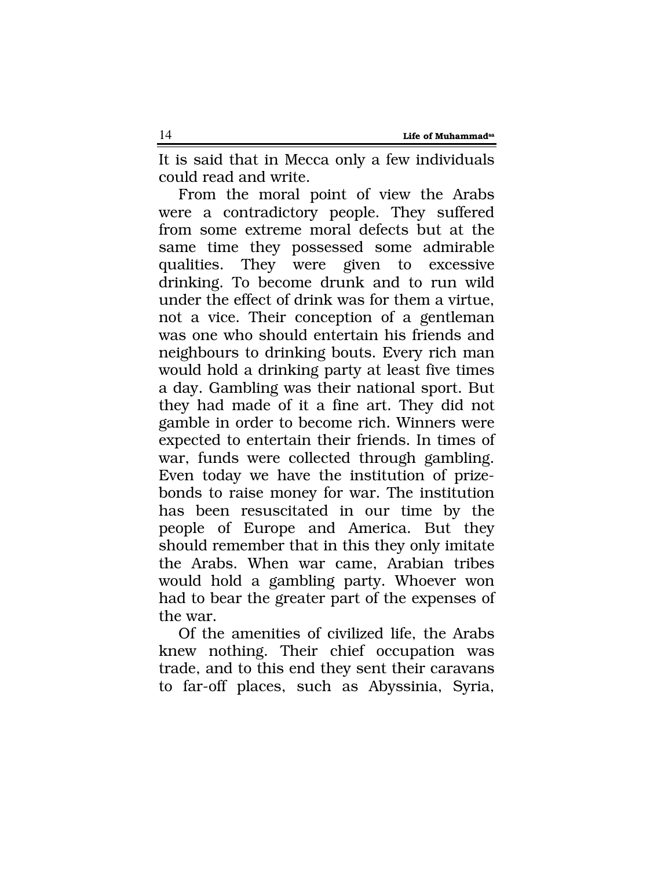It is said that in Mecca only a few individuals could read and write.

From the moral point of view the Arabs were a contradictory people. They suffered from some extreme moral defects but at the same time they possessed some admirable qualities. They were given to excessive drinking. To become drunk and to run wild under the effect of drink was for them a virtue, not a vice. Their conception of a gentleman was one who should entertain his friends and neighbours to drinking bouts. Every rich man would hold a drinking party at least five times a day. Gambling was their national sport. But they had made of it a fine art. They did not gamble in order to become rich. Winners were expected to entertain their friends. In times of war, funds were collected through gambling. Even today we have the institution of prizebonds to raise money for war. The institution has been resuscitated in our time by the people of Europe and America. But they should remember that in this they only imitate the Arabs. When war came, Arabian tribes would hold a gambling party. Whoever won had to bear the greater part of the expenses of the war.

Of the amenities of civilized life, the Arabs knew nothing. Their chief occupation was trade, and to this end they sent their caravans to far-off places, such as Abyssinia, Syria,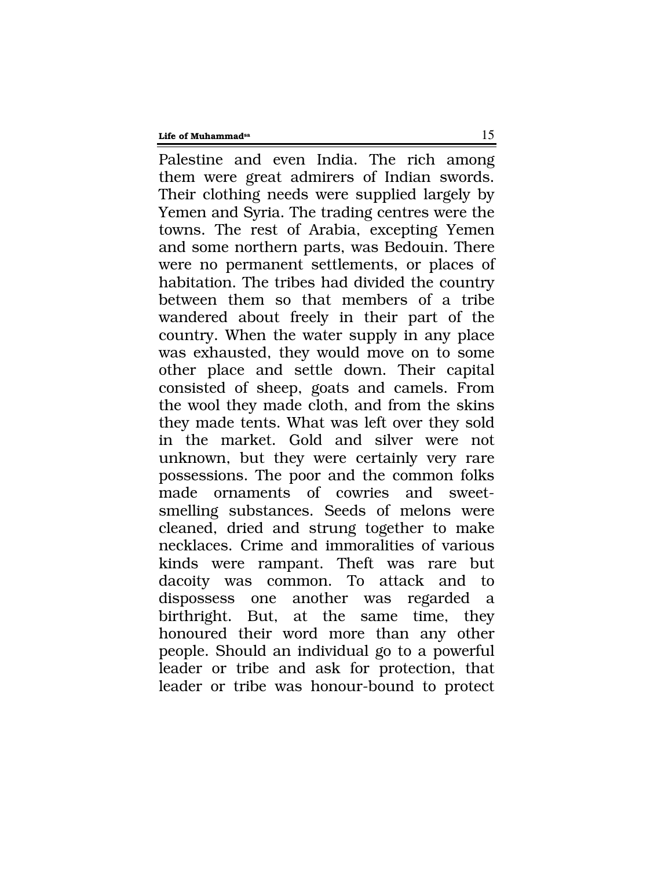Palestine and even India. The rich among them were great admirers of Indian swords. Their clothing needs were supplied largely by Yemen and Syria. The trading centres were the towns. The rest of Arabia, excepting Yemen and some northern parts, was Bedouin. There were no permanent settlements, or places of habitation. The tribes had divided the country between them so that members of a tribe wandered about freely in their part of the country. When the water supply in any place was exhausted, they would move on to some other place and settle down. Their capital consisted of sheep, goats and camels. From the wool they made cloth, and from the skins they made tents. What was left over they sold in the market. Gold and silver were not unknown, but they were certainly very rare possessions. The poor and the common folks made ornaments of cowries and sweetsmelling substances. Seeds of melons were cleaned, dried and strung together to make necklaces. Crime and immoralities of various kinds were rampant. Theft was rare but dacoity was common. To attack and to dispossess one another was regarded a birthright. But, at the same time, they honoured their word more than any other people. Should an individual go to a powerful leader or tribe and ask for protection, that leader or tribe was honour-bound to protect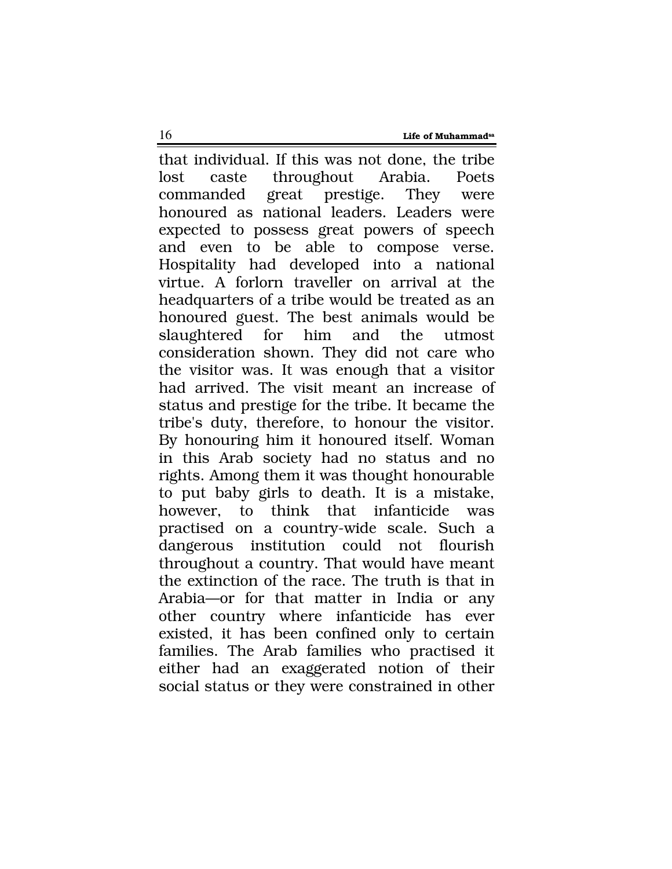that individual. If this was not done, the tribe lost caste throughout Arabia. Poets commanded great prestige. They were honoured as national leaders. Leaders were expected to possess great powers of speech and even to be able to compose verse. Hospitality had developed into a national virtue. A forlorn traveller on arrival at the headquarters of a tribe would be treated as an honoured guest. The best animals would be slaughtered for him and the utmost consideration shown. They did not care who the visitor was. It was enough that a visitor had arrived. The visit meant an increase of status and prestige for the tribe. It became the tribe's duty, therefore, to honour the visitor. By honouring him it honoured itself. Woman in this Arab society had no status and no rights. Among them it was thought honourable to put baby girls to death. It is a mistake, however, to think that infanticide was practised on a country-wide scale. Such a dangerous institution could not flourish throughout a country. That would have meant the extinction of the race. The truth is that in Arabia—or for that matter in India or any other country where infanticide has ever existed, it has been confined only to certain families. The Arab families who practised it either had an exaggerated notion of their social status or they were constrained in other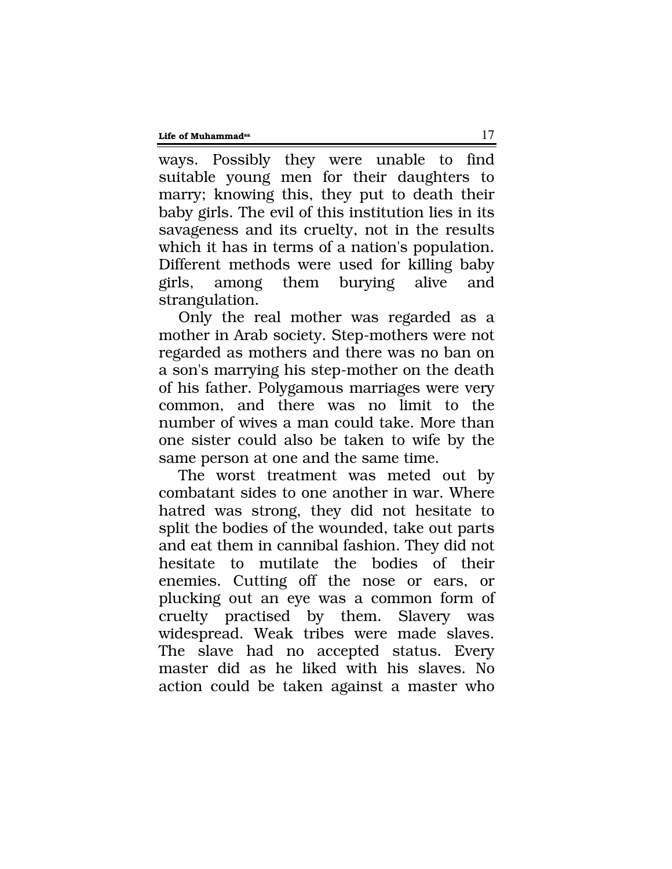ways. Possibly they were unable to find suitable young men for their daughters to marry; knowing this, they put to death their baby girls. The evil of this institution lies in its savageness and its cruelty, not in the results which it has in terms of a nation's population. Different methods were used for killing baby girls, among them burying alive and strangulation.

Only the real mother was regarded as a mother in Arab society. Step-mothers were not regarded as mothers and there was no ban on a son's marrying his step-mother on the death of his father. Polygamous marriages were very common, and there was no limit to the number of wives a man could take. More than one sister could also be taken to wife by the same person at one and the same time.

The worst treatment was meted out by combatant sides to one another in war. Where hatred was strong, they did not hesitate to split the bodies of the wounded, take out parts and eat them in cannibal fashion. They did not hesitate to mutilate the bodies of their enemies. Cutting off the nose or ears, or plucking out an eye was a common form of cruelty practised by them. Slavery was widespread. Weak tribes were made slaves. The slave had no accepted status. Every master did as he liked with his slaves. No action could be taken against a master who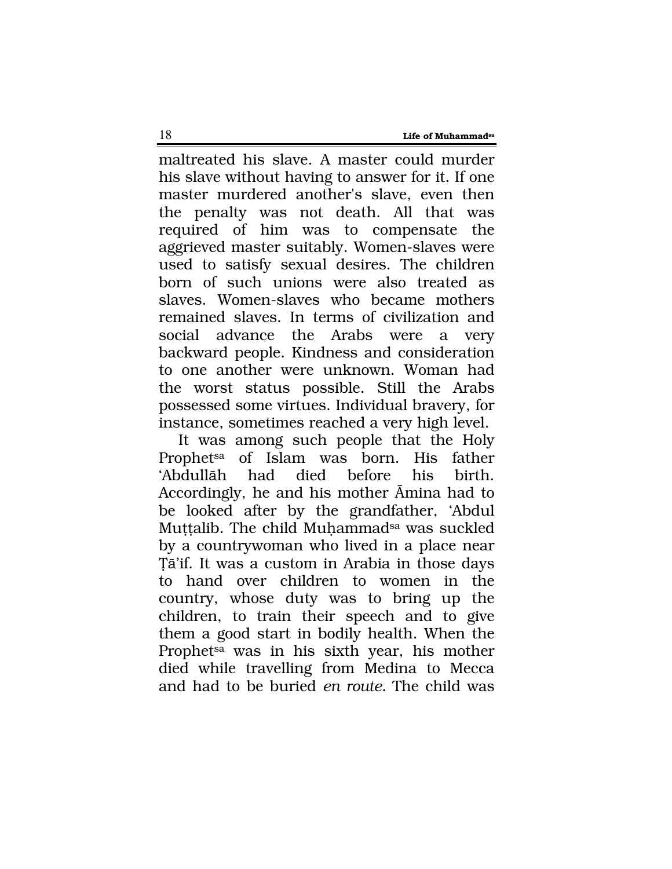maltreated his slave. A master could murder his slave without having to answer for it. If one master murdered another's slave, even then the penalty was not death. All that was required of him was to compensate the aggrieved master suitably. Women-slaves were used to satisfy sexual desires. The children born of such unions were also treated as slaves. Women-slaves who became mothers remained slaves. In terms of civilization and social advance the Arabs were a very backward people. Kindness and consideration to one another were unknown. Woman had the worst status possible. Still the Arabs possessed some virtues. Individual bravery, for instance, sometimes reached a very high level.

It was among such people that the Holy Prophetsa of Islam was born. His father 'Abdullah had died before his birth. Accordingly, he and his mother Amina had to be looked after by the grandfather, 'Abdul Muttalib. The child Muhammadsa was suckled by a countrywoman who lived in a place near Ta'if. It was a custom in Arabia in those days to hand over children to women in the country, whose duty was to bring up the children, to train their speech and to give them a good start in bodily health. When the Prophet<sup>sa</sup> was in his sixth year, his mother died while travelling from Medina to Mecca and had to be buried *en route.* The child was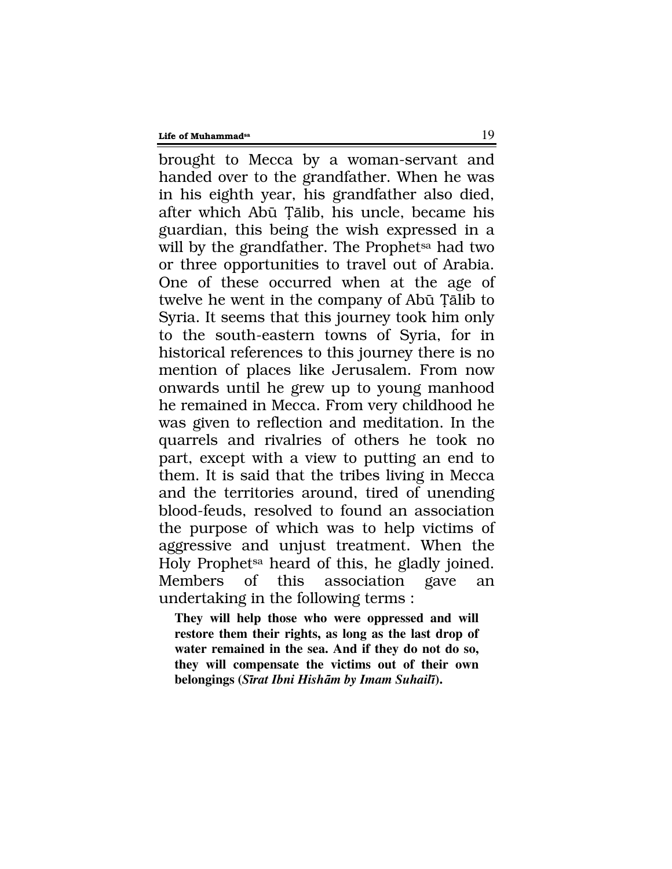brought to Mecca by a woman-servant and handed over to the grandfather. When he was in his eighth year, his grandfather also died, after which Abū Tālib, his uncle, became his guardian, this being the wish expressed in a will by the grandfather. The Prophet<sup>sa</sup> had two or three opportunities to travel out of Arabia. One of these occurred when at the age of twelve he went in the company of Abu Talib to Syria. It seems that this journey took him only to the south-eastern towns of Syria, for in historical references to this journey there is no mention of places like Jerusalem. From now onwards until he grew up to young manhood he remained in Mecca. From very childhood he was given to reflection and meditation. In the quarrels and rivalries of others he took no part, except with a view to putting an end to them. It is said that the tribes living in Mecca and the territories around, tired of unending blood-feuds, resolved to found an association the purpose of which was to help victims of aggressive and unjust treatment. When the Holy Prophetsa heard of this, he gladly joined. Members of this association gave an undertaking in the following terms :

**They will help those who were oppressed and will restore them their rights, as long as the last drop of water remained in the sea. And if they do not do so, they will compensate the victims out of their own belongings (***S*i*rat Ibni Hish*a*m by Imam Suhail*i**).**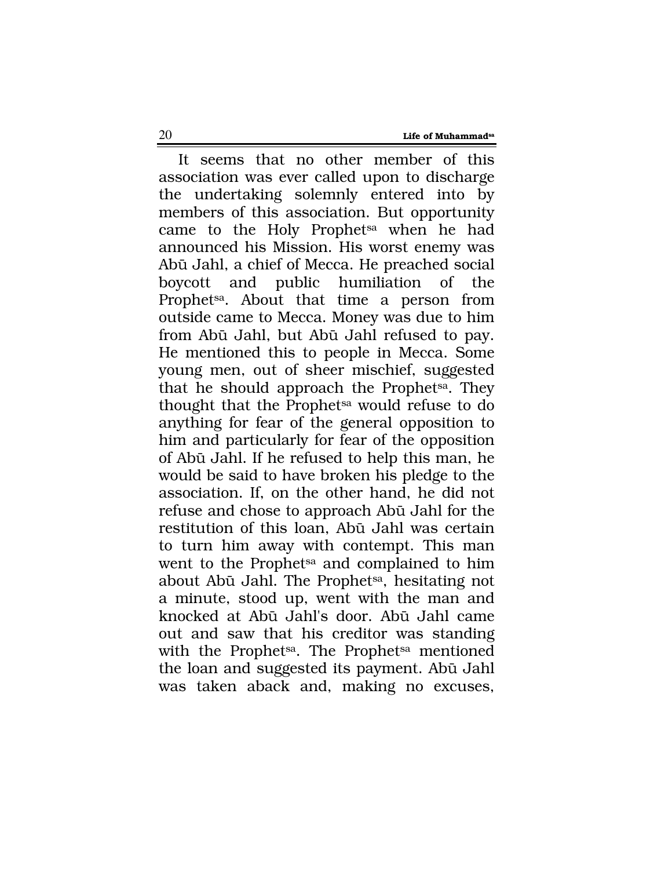It seems that no other member of this association was ever called upon to discharge the undertaking solemnly entered into by members of this association. But opportunity came to the Holy Prophetsa when he had announced his Mission. His worst enemy was Abū Jahl, a chief of Mecca. He preached social boycott and public humiliation of the Prophetsa. About that time a person from outside came to Mecca. Money was due to him from Abū Jahl, but Abū Jahl refused to pay. He mentioned this to people in Mecca. Some young men, out of sheer mischief, suggested that he should approach the Prophetsa. They thought that the Prophetsa would refuse to do anything for fear of the general opposition to him and particularly for fear of the opposition of Abu Jahl. If he refused to help this man, he would be said to have broken his pledge to the association. If, on the other hand, he did not refuse and chose to approach Abū Jahl for the restitution of this loan, Abū Jahl was certain to turn him away with contempt. This man went to the Prophetsa and complained to him about Abū Jahl. The Prophetsa, hesitating not a minute, stood up, went with the man and knocked at Abū Jahl's door. Abū Jahl came out and saw that his creditor was standing with the Prophetsa. The Prophetsa mentioned the loan and suggested its payment. Abu Jahl was taken aback and, making no excuses,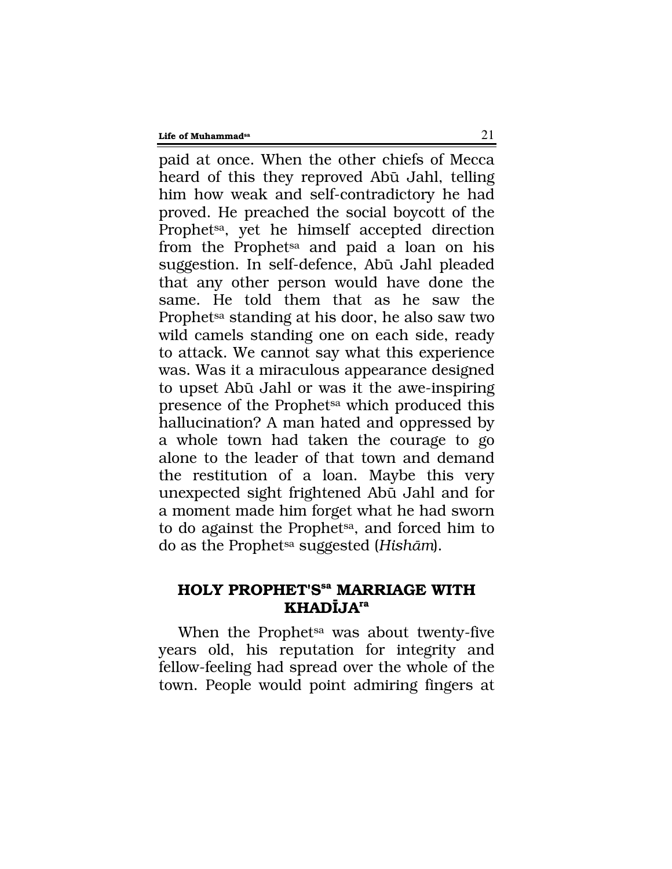paid at once. When the other chiefs of Mecca heard of this they reproved Abū Jahl, telling him how weak and self-contradictory he had proved. He preached the social boycott of the Prophetsa, yet he himself accepted direction from the Prophet<sup>sa</sup> and paid a loan on his suggestion. In self-defence, Abū Jahl pleaded that any other person would have done the same. He told them that as he saw the Prophetsa standing at his door, he also saw two wild camels standing one on each side, ready to attack. We cannot say what this experience was. Was it a miraculous appearance designed to upset Abū Jahl or was it the awe-inspiring presence of the Prophetsa which produced this hallucination? A man hated and oppressed by a whole town had taken the courage to go alone to the leader of that town and demand the restitution of a loan. Maybe this very unexpected sight frightened Abū Jahl and for a moment made him forget what he had sworn to do against the Prophetsa, and forced him to do as the Prophetsa suggested (*Hish*a*m*).

### **HOLY PROPHET'Ssa MARRIAGE WITH KHAD**I**JAra**

When the Prophetsa was about twenty-five years old, his reputation for integrity and fellow-feeling had spread over the whole of the town. People would point admiring fingers at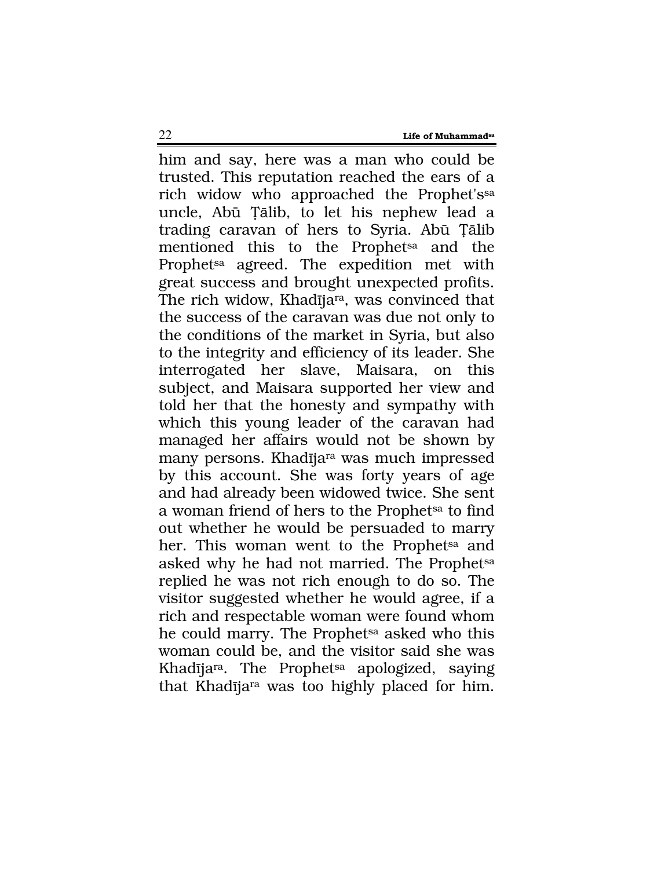him and say, here was a man who could be trusted. This reputation reached the ears of a rich widow who approached the Prophet'ssa uncle, Abu Talib, to let his nephew lead a trading caravan of hers to Syria. Abū Tālib mentioned this to the Prophetsa and the Prophetsa agreed. The expedition met with great success and brought unexpected profits. The rich widow, Khadijara, was convinced that the success of the caravan was due not only to the conditions of the market in Syria, but also to the integrity and efficiency of its leader. She interrogated her slave, Maisara, on this subject, and Maisara supported her view and told her that the honesty and sympathy with which this young leader of the caravan had managed her affairs would not be shown by many persons. Khadijara was much impressed by this account. She was forty years of age and had already been widowed twice. She sent a woman friend of hers to the Prophetsa to find out whether he would be persuaded to marry her. This woman went to the Prophetsa and asked why he had not married. The Prophetsa replied he was not rich enough to do so. The visitor suggested whether he would agree, if a rich and respectable woman were found whom he could marry. The Prophetsa asked who this woman could be, and the visitor said she was Khadījara. The Prophetsa apologized, saying that Khadijara was too highly placed for him.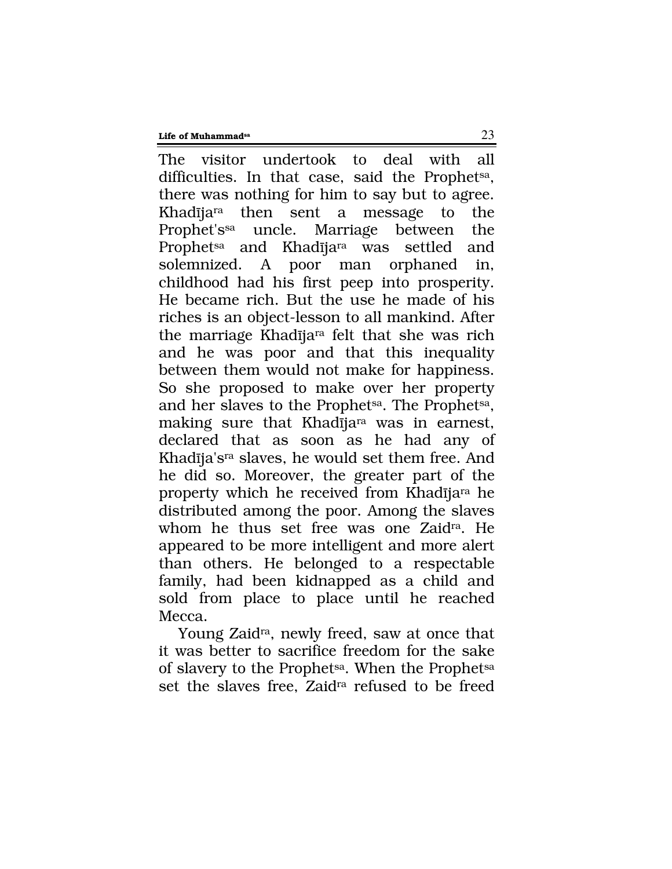The visitor undertook to deal with all difficulties. In that case, said the Prophetsa, there was nothing for him to say but to agree. Khadijara then sent a message to the Prophet'ssa uncle. Marriage between the Prophet<sup>sa</sup> and Khadīja<sup>ra</sup> was settled and solemnized. A poor man orphaned in, childhood had his first peep into prosperity. He became rich. But the use he made of his riches is an object-lesson to all mankind. After the marriage Khadijara felt that she was rich and he was poor and that this inequality between them would not make for happiness. So she proposed to make over her property and her slaves to the Prophetsa. The Prophetsa, making sure that Khadijara was in earnest, declared that as soon as he had any of Khadija'sra slaves, he would set them free. And he did so. Moreover, the greater part of the property which he received from Khadijara he distributed among the poor. Among the slaves whom he thus set free was one Zaidra. He appeared to be more intelligent and more alert than others. He belonged to a respectable family, had been kidnapped as a child and sold from place to place until he reached Mecca.

Young Zaidra, newly freed, saw at once that it was better to sacrifice freedom for the sake of slavery to the Prophetsa. When the Prophetsa set the slaves free, Zaidra refused to be freed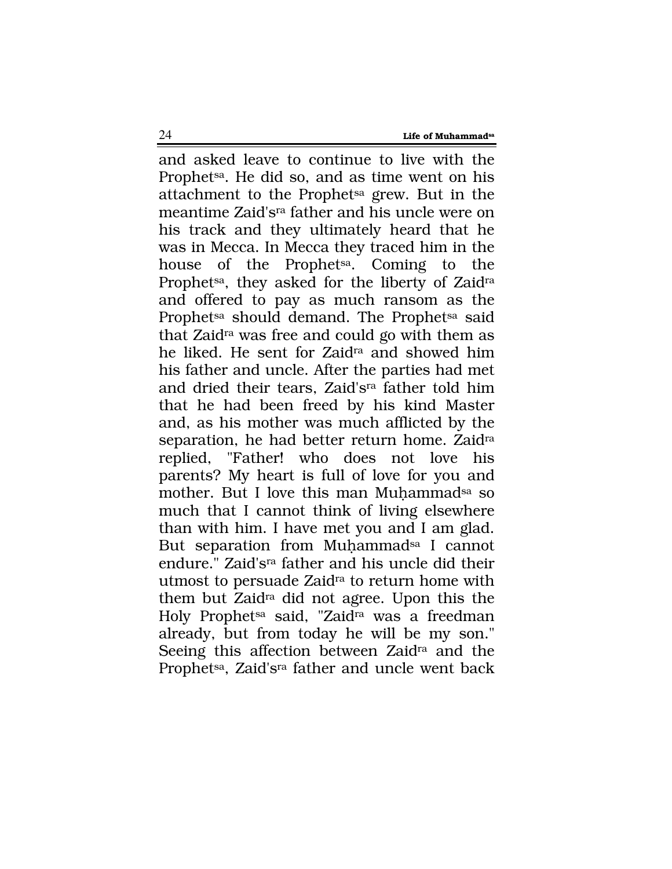and asked leave to continue to live with the Prophet<sup>sa</sup>. He did so, and as time went on his attachment to the Prophetsa grew. But in the meantime Zaid'sra father and his uncle were on his track and they ultimately heard that he was in Mecca. In Mecca they traced him in the house of the Prophetsa. Coming to the Prophetsa, they asked for the liberty of Zaidra and offered to pay as much ransom as the Prophetsa should demand. The Prophetsa said that Zaidra was free and could go with them as he liked. He sent for Zaidra and showed him his father and uncle. After the parties had met and dried their tears, Zaid'sra father told him that he had been freed by his kind Master and, as his mother was much afflicted by the separation, he had better return home. Zaidra replied, "Father! who does not love his parents? My heart is full of love for you and mother. But I love this man Muhammad<sup>sa</sup> so much that I cannot think of living elsewhere than with him. I have met you and I am glad. But separation from Muhammad<sup>sa</sup> I cannot endure." Zaid'sra father and his uncle did their utmost to persuade Zaidra to return home with them but Zaidra did not agree. Upon this the Holy Prophetsa said, "Zaidra was a freedman already, but from today he will be my son." Seeing this affection between Zaidra and the Prophetsa, Zaid'sra father and uncle went back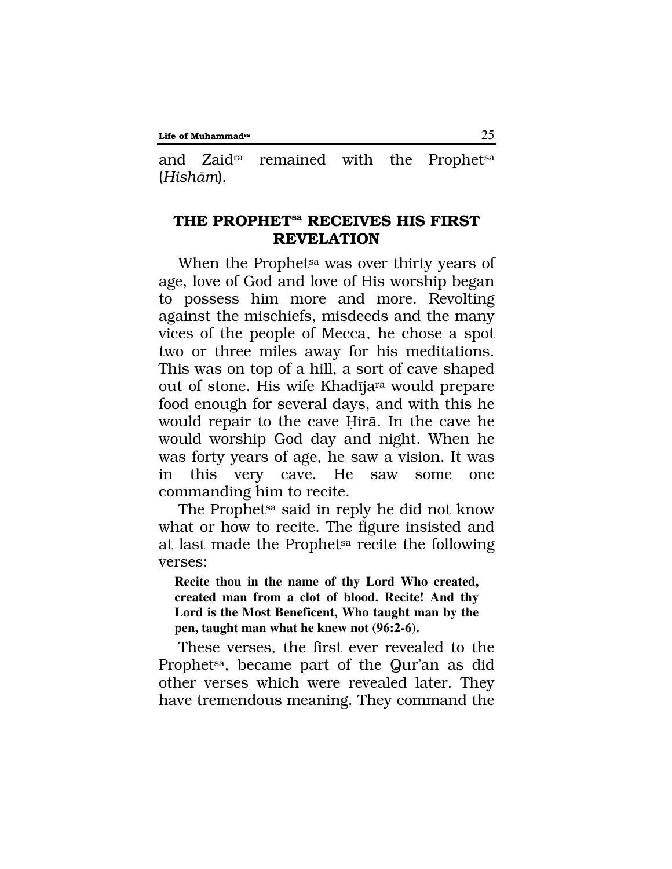and Zaidra remained with the Prophetsa (*Hish*a*m*).

## **THE PROPHETsa RECEIVES HIS FIRST REVELATION**

When the Prophet<sup>sa</sup> was over thirty years of age, love of God and love of His worship began to possess him more and more. Revolting against the mischiefs, misdeeds and the many vices of the people of Mecca, he chose a spot two or three miles away for his meditations. This was on top of a hill, a sort of cave shaped out of stone. His wife Khadijara would prepare food enough for several days, and with this he would repair to the cave Hira. In the cave he would worship God day and night. When he was forty years of age, he saw a vision. It was in this very cave. He saw some one commanding him to recite.

The Prophet<sup>sa</sup> said in reply he did not know what or how to recite. The figure insisted and at last made the Prophetsa recite the following verses:

**Recite thou in the name of thy Lord Who created, created man from a clot of blood. Recite! And thy Lord is the Most Beneficent, Who taught man by the pen, taught man what he knew not (96:2-6).** 

These verses, the first ever revealed to the Prophetsa, became part of the Qur'an as did other verses which were revealed later. They have tremendous meaning. They command the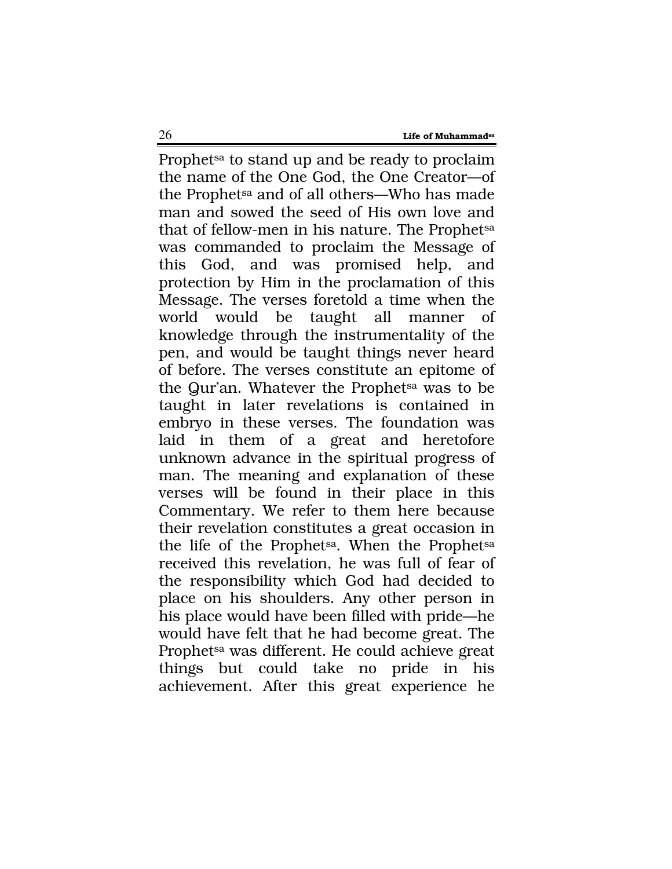Prophetsa to stand up and be ready to proclaim the name of the One God, the One Creator—of the Prophetsa and of all others—Who has made man and sowed the seed of His own love and that of fellow-men in his nature. The Prophetsa was commanded to proclaim the Message of this God, and was promised help, and protection by Him in the proclamation of this Message. The verses foretold a time when the world would be taught all manner of knowledge through the instrumentality of the pen, and would be taught things never heard of before. The verses constitute an epitome of the Qur'an. Whatever the Prophetsa was to be taught in later revelations is contained in embryo in these verses. The foundation was laid in them of a great and heretofore unknown advance in the spiritual progress of man. The meaning and explanation of these verses will be found in their place in this Commentary. We refer to them here because their revelation constitutes a great occasion in the life of the Prophetsa. When the Prophetsa received this revelation, he was full of fear of the responsibility which God had decided to place on his shoulders. Any other person in his place would have been filled with pride—he would have felt that he had become great. The Prophet<sup>sa</sup> was different. He could achieve great things but could take no pride in his achievement. After this great experience he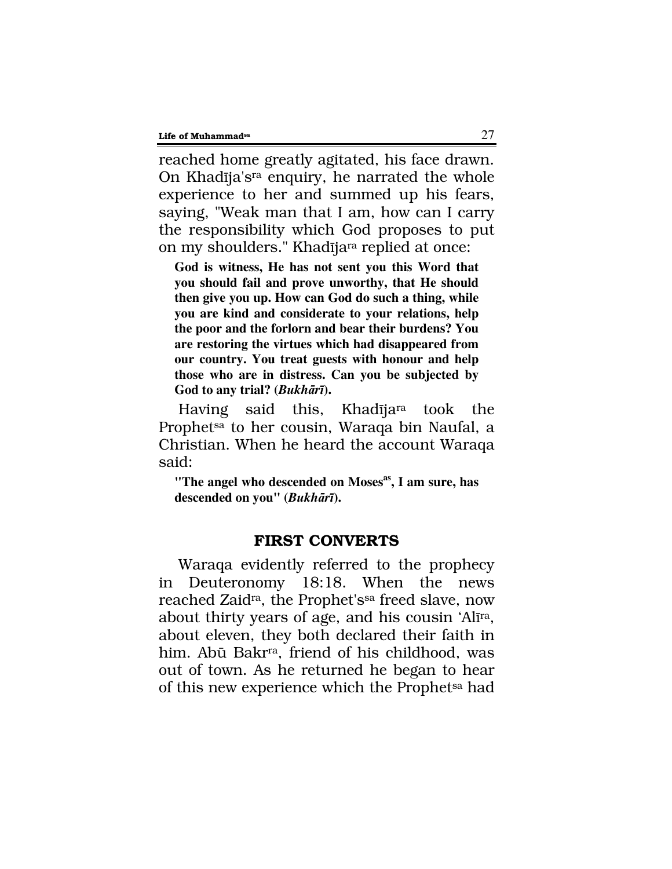reached home greatly agitated, his face drawn. On Khadija'sra enquiry, he narrated the whole experience to her and summed up his fears, saying, "Weak man that I am, how can I carry the responsibility which God proposes to put on my shoulders." Khadijara replied at once:

**God is witness, He has not sent you this Word that you should fail and prove unworthy, that He should then give you up. How can God do such a thing, while you are kind and considerate to your relations, help the poor and the forlorn and bear their burdens? You are restoring the virtues which had disappeared from our country. You treat guests with honour and help those who are in distress. Can you be subjected by God to any trial? (***Bukh*a*r*i**).** 

Having said this, Khadijara took the Prophetsa to her cousin, Waraqa bin Naufal, a Christian. When he heard the account Waraqa said:

"The angel who descended on Moses<sup>as</sup>, I am sure, has **descended on you" (***Bukh*a*r*i**).** 

#### **FIRST CONVERTS**

Waraqa evidently referred to the prophecy in Deuteronomy 18:18. When the news reached Zaidra, the Prophet'ssa freed slave, now about thirty years of age, and his cousin 'Alira, about eleven, they both declared their faith in him. Abū Bakr<sup>ra</sup>, friend of his childhood, was out of town. As he returned he began to hear of this new experience which the Prophetsa had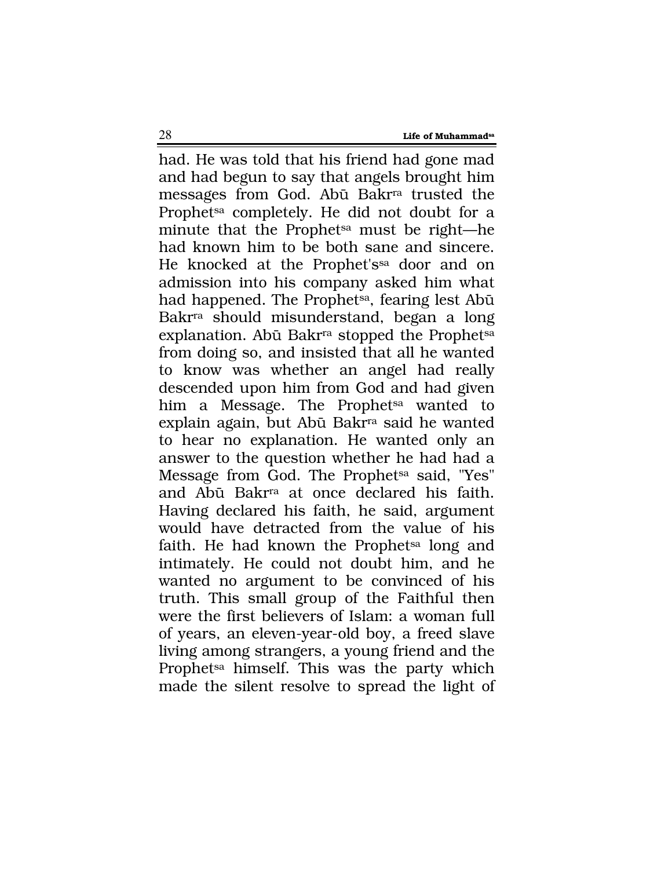had. He was told that his friend had gone mad and had begun to say that angels brought him messages from God. Abu Bakrra trusted the Prophetsa completely. He did not doubt for a minute that the Prophetsa must be right—he had known him to be both sane and sincere. He knocked at the Prophet'ssa door and on admission into his company asked him what had happened. The Prophetsa, fearing lest Abū Bakrra should misunderstand, began a long explanation. Abū Bakr<sup>ra</sup> stopped the Prophetsa from doing so, and insisted that all he wanted to know was whether an angel had really descended upon him from God and had given him a Message. The Prophetsa wanted to explain again, but Abu Bakrra said he wanted to hear no explanation. He wanted only an answer to the question whether he had had a Message from God. The Prophetsa said, "Yes" and Abū Bakr<sup>ra</sup> at once declared his faith. Having declared his faith, he said, argument would have detracted from the value of his faith. He had known the Prophetsa long and intimately. He could not doubt him, and he wanted no argument to be convinced of his truth. This small group of the Faithful then were the first believers of Islam: a woman full of years, an eleven-year-old boy, a freed slave living among strangers, a young friend and the Prophetsa himself. This was the party which made the silent resolve to spread the light of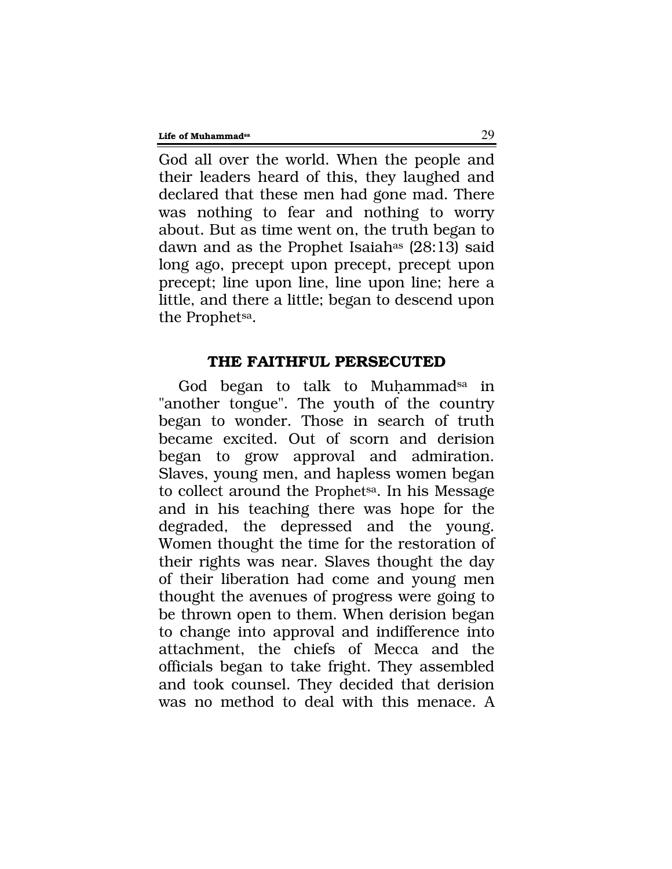God all over the world. When the people and their leaders heard of this, they laughed and declared that these men had gone mad. There was nothing to fear and nothing to worry about. But as time went on, the truth began to dawn and as the Prophet Isaiahas (28:13) said long ago, precept upon precept, precept upon precept; line upon line, line upon line; here a little, and there a little; began to descend upon the Prophetsa.

#### **THE FAITHFUL PERSECUTED**

God began to talk to Muhammad<sup>sa</sup> in "another tongue". The youth of the country began to wonder. Those in search of truth became excited. Out of scorn and derision began to grow approval and admiration. Slaves, young men, and hapless women began to collect around the Prophetsa. In his Message and in his teaching there was hope for the degraded, the depressed and the young. Women thought the time for the restoration of their rights was near. Slaves thought the day of their liberation had come and young men thought the avenues of progress were going to be thrown open to them. When derision began to change into approval and indifference into attachment, the chiefs of Mecca and the officials began to take fright. They assembled and took counsel. They decided that derision was no method to deal with this menace. A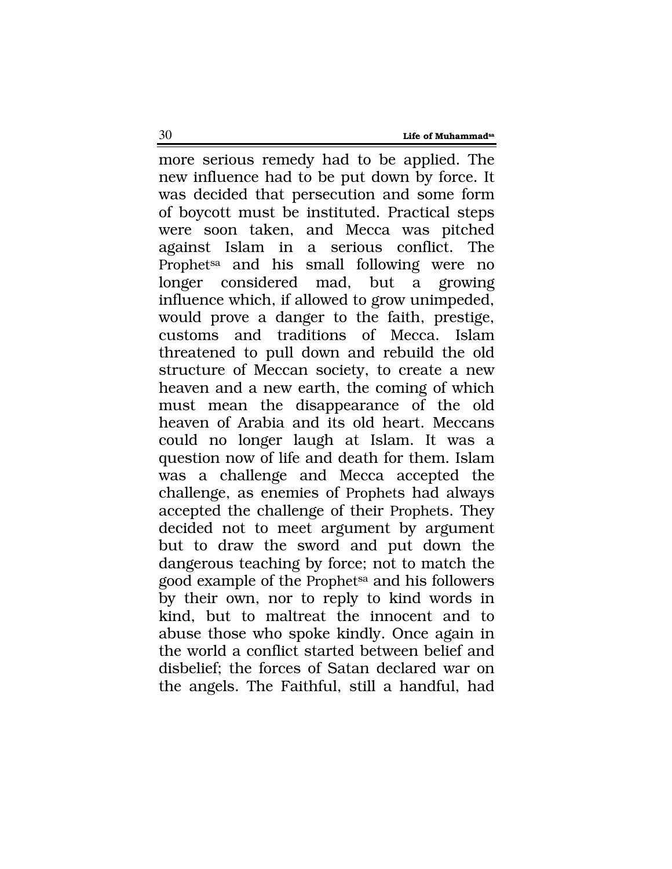more serious remedy had to be applied. The new influence had to be put down by force. It was decided that persecution and some form of boycott must be instituted. Practical steps were soon taken, and Mecca was pitched against Islam in a serious conflict. The Prophetsa and his small following were no longer considered mad, but a growing influence which, if allowed to grow unimpeded, would prove a danger to the faith, prestige, customs and traditions of Mecca. Islam threatened to pull down and rebuild the old structure of Meccan society, to create a new heaven and a new earth, the coming of which must mean the disappearance of the old heaven of Arabia and its old heart. Meccans could no longer laugh at Islam. It was a question now of life and death for them. Islam was a challenge and Mecca accepted the challenge, as enemies of Prophets had always accepted the challenge of their Prophets. They decided not to meet argument by argument but to draw the sword and put down the dangerous teaching by force; not to match the good example of the Prophetsa and his followers by their own, nor to reply to kind words in kind, but to maltreat the innocent and to abuse those who spoke kindly. Once again in the world a conflict started between belief and disbelief; the forces of Satan declared war on the angels. The Faithful, still a handful, had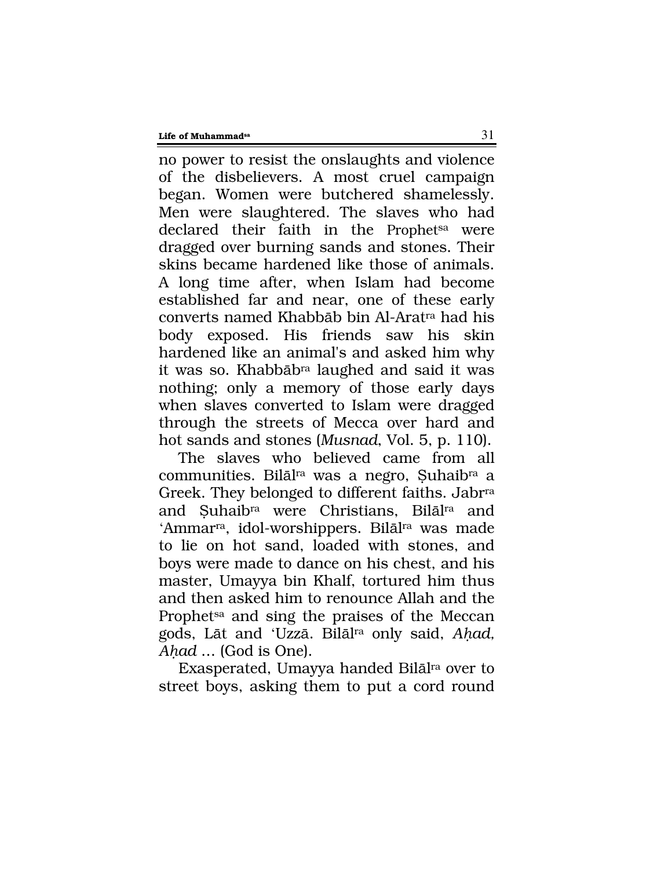no power to resist the onslaughts and violence of the disbelievers. A most cruel campaign began. Women were butchered shamelessly. Men were slaughtered. The slaves who had declared their faith in the Prophetsa were dragged over burning sands and stones. Their skins became hardened like those of animals. A long time after, when Islam had become established far and near, one of these early converts named Khabbab bin Al-Aratra had his body exposed. His friends saw his skin hardened like an animal's and asked him why it was so. Khabbabra laughed and said it was nothing; only a memory of those early days when slaves converted to Islam were dragged through the streets of Mecca over hard and hot sands and stones (*Musnad*, Vol. 5, p. 110).

The slaves who believed came from all communities. Bilalra was a negro, Suhaibra a Greek. They belonged to different faiths. Jabrra and Suhaibra were Christians, Bilalra and 'Ammarra, idol-worshippers. Bilalra was made to lie on hot sand, loaded with stones, and boys were made to dance on his chest, and his master, Umayya bin Khalf, tortured him thus and then asked him to renounce Allah and the Prophetsa and sing the praises of the Meccan gods, Lat and 'Uzza. Bilalra only said, *A*h*ad, A*h*ad* … (God is One).

Exasperated, Umayya handed Bilalra over to street boys, asking them to put a cord round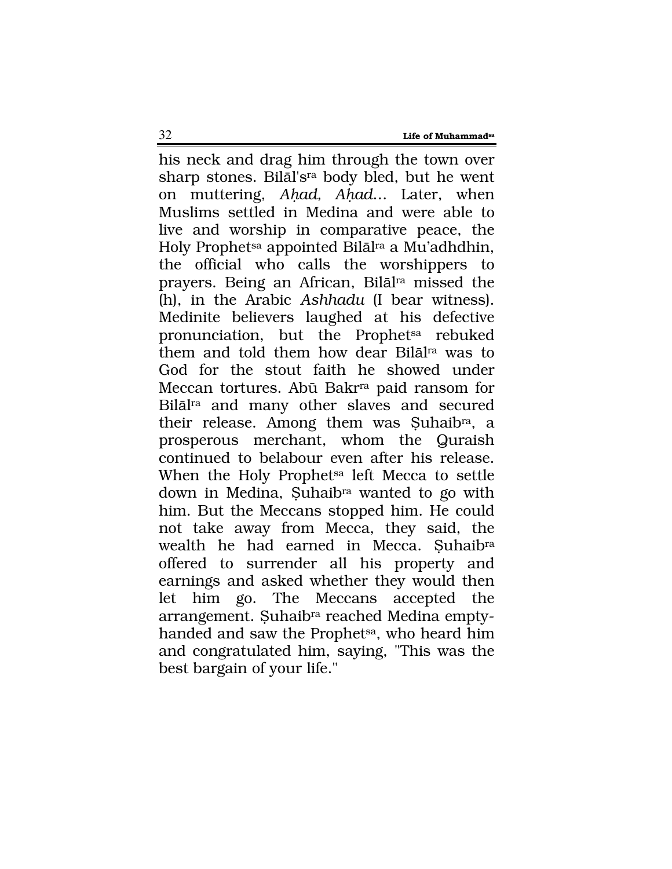his neck and drag him through the town over sharp stones. Bilal'sra body bled, but he went on muttering, *A*h*ad, A*h*ad*… Later, when Muslims settled in Medina and were able to live and worship in comparative peace, the Holy Prophetsa appointed Bilalra a Mu'adhdhin, the official who calls the worshippers to prayers. Being an African, Bilalra missed the (h), in the Arabic *Ashhadu* (I bear witness). Medinite believers laughed at his defective pronunciation, but the Prophetsa rebuked them and told them how dear Bilalra was to God for the stout faith he showed under Meccan tortures. Abū Bakr<sup>ra</sup> paid ransom for Bilalra and many other slaves and secured their release. Among them was Suhaibra, a prosperous merchant, whom the Quraish continued to belabour even after his release. When the Holy Prophetsa left Mecca to settle down in Medina, Suhaibra wanted to go with him. But the Meccans stopped him. He could not take away from Mecca, they said, the wealth he had earned in Mecca. Suhaibra offered to surrender all his property and earnings and asked whether they would then let him go. The Meccans accepted the arrangement. Suhaibra reached Medina emptyhanded and saw the Prophetsa, who heard him and congratulated him, saying, "This was the best bargain of your life."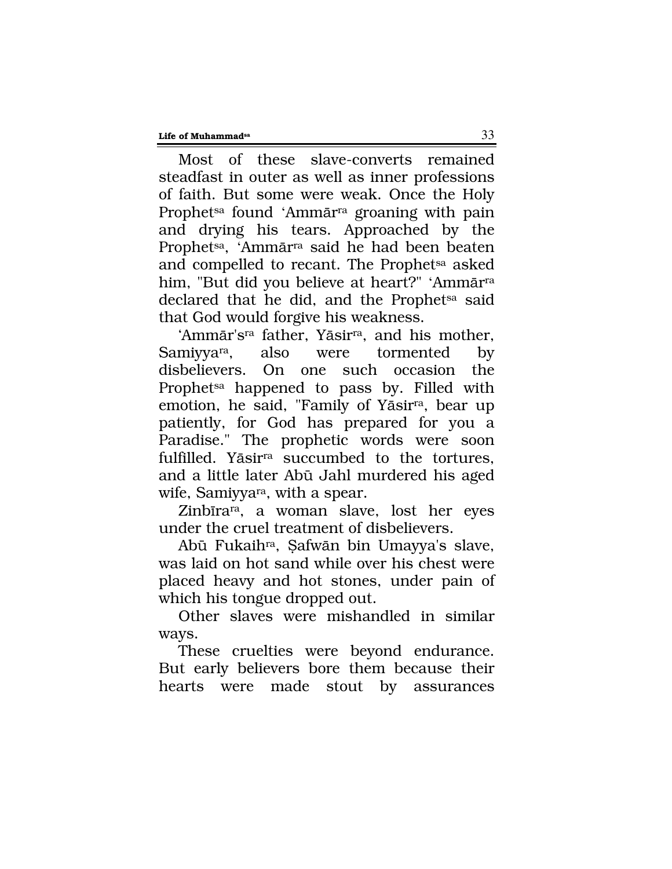Most of these slave-converts remained steadfast in outer as well as inner professions of faith. But some were weak. Once the Holy Prophetsa found 'Ammārra groaning with pain and drying his tears. Approached by the Prophetsa, 'Ammarra said he had been beaten and compelled to recant. The Prophetsa asked him, "But did you believe at heart?" 'Ammarra declared that he did, and the Prophetsa said that God would forgive his weakness.

'Ammār's<sup>ra</sup> father, Yāsir<sup>ra</sup>, and his mother, Samiyyara, also were tormented by disbelievers. On one such occasion the Prophet<sup>sa</sup> happened to pass by. Filled with emotion, he said, "Family of Yasirra, bear up patiently, for God has prepared for you a Paradise." The prophetic words were soon fulfilled. Yasirra succumbed to the tortures, and a little later Abu Jahl murdered his aged wife, Samiyyara, with a spear.

Zinbirara, a woman slave, lost her eyes under the cruel treatment of disbelievers.

Abū Fukaihra, Safwān bin Umayya's slave, was laid on hot sand while over his chest were placed heavy and hot stones, under pain of which his tongue dropped out.

Other slaves were mishandled in similar ways.

These cruelties were beyond endurance. But early believers bore them because their hearts were made stout by assurances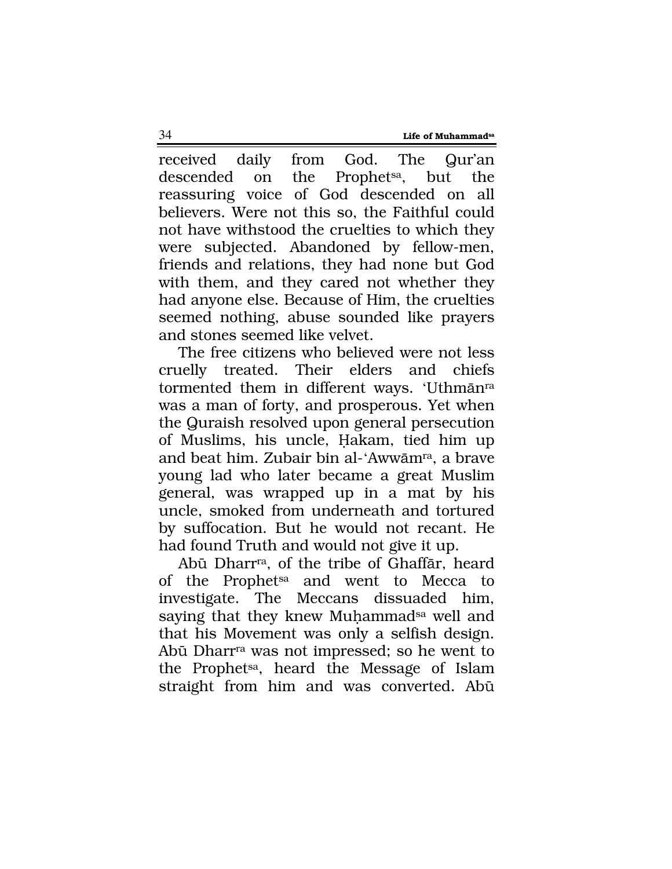received daily from God. The Qur'an descended on the Prophetsa, but the reassuring voice of God descended on all believers. Were not this so, the Faithful could not have withstood the cruelties to which they were subjected. Abandoned by fellow-men, friends and relations, they had none but God with them, and they cared not whether they had anyone else. Because of Him, the cruelties seemed nothing, abuse sounded like prayers and stones seemed like velvet.

The free citizens who believed were not less cruelly treated. Their elders and chiefs tormented them in different ways. 'Uthmanra was a man of forty, and prosperous. Yet when the Quraish resolved upon general persecution of Muslims, his uncle, Hakam, tied him up and beat him. Zubair bin al-'Awwamra, a brave young lad who later became a great Muslim general, was wrapped up in a mat by his uncle, smoked from underneath and tortured by suffocation. But he would not recant. He had found Truth and would not give it up.

Abū Dharr<sup>ra</sup>, of the tribe of Ghaffar, heard of the Prophetsa and went to Mecca to investigate. The Meccans dissuaded him, saying that they knew Muhammadsa well and that his Movement was only a selfish design. Abū Dharr<sup>ra</sup> was not impressed; so he went to the Prophetsa, heard the Message of Islam straight from him and was converted. Abu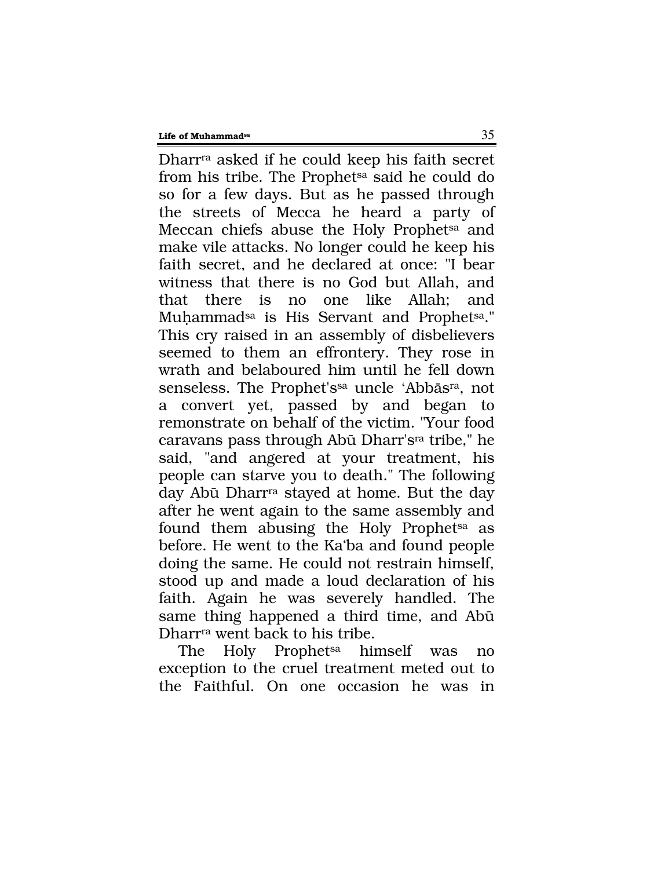Dharrra asked if he could keep his faith secret from his tribe. The Prophetsa said he could do so for a few days. But as he passed through the streets of Mecca he heard a party of Meccan chiefs abuse the Holy Prophetsa and make vile attacks. No longer could he keep his faith secret, and he declared at once: "I bear witness that there is no God but Allah, and that there is no one like Allah; and Muhammadsa is His Servant and Prophetsa." This cry raised in an assembly of disbelievers seemed to them an effrontery. They rose in wrath and belaboured him until he fell down senseless. The Prophet'ssa uncle 'Abbasra, not a convert yet, passed by and began to remonstrate on behalf of the victim. "Your food caravans pass through Abu Dharr'sra tribe," he said, "and angered at your treatment, his people can starve you to death." The following day Abū Dharr<sup>ra</sup> stayed at home. But the day after he went again to the same assembly and found them abusing the Holy Prophetsa as before. He went to the Ka'ba and found people doing the same. He could not restrain himself, stood up and made a loud declaration of his faith. Again he was severely handled. The same thing happened a third time, and Abu Dharrra went back to his tribe.

The Holy Prophet<sup>sa</sup> himself was no exception to the cruel treatment meted out to the Faithful. On one occasion he was in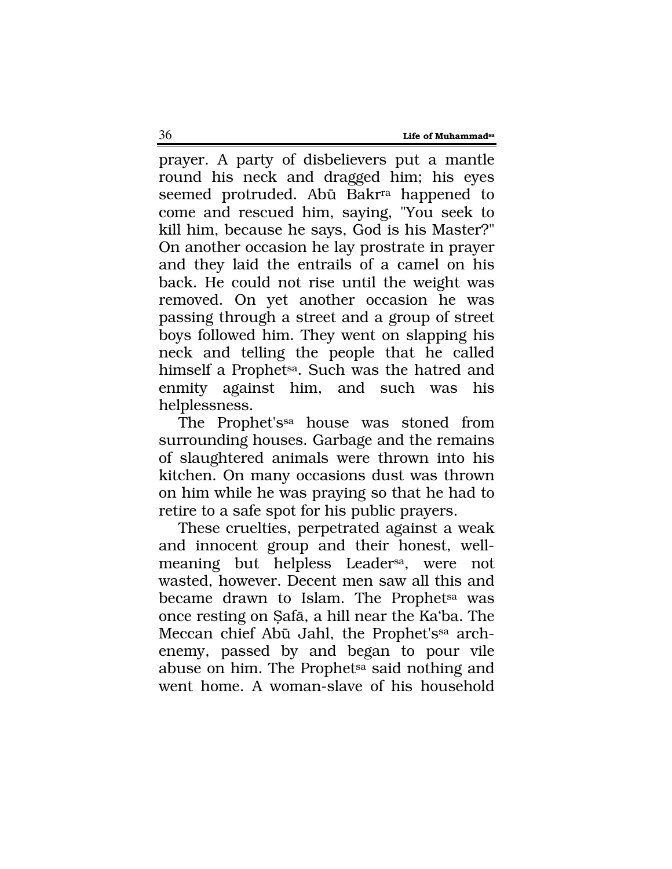prayer. A party of disbelievers put a mantle round his neck and dragged him; his eyes seemed protruded. Abū Bakr<sup>ra</sup> happened to come and rescued him, saying, "You seek to kill him, because he says, God is his Master?" On another occasion he lay prostrate in prayer and they laid the entrails of a camel on his back. He could not rise until the weight was removed. On yet another occasion he was passing through a street and a group of street boys followed him. They went on slapping his neck and telling the people that he called himself a Prophetsa. Such was the hatred and enmity against him, and such was his helplessness.

The Prophet'ssa house was stoned from surrounding houses. Garbage and the remains of slaughtered animals were thrown into his kitchen. On many occasions dust was thrown on him while he was praying so that he had to retire to a safe spot for his public prayers.

These cruelties, perpetrated against a weak and innocent group and their honest, wellmeaning but helpless Leadersa, were not wasted, however. Decent men saw all this and became drawn to Islam. The Prophetsa was once resting on Safa, a hill near the Ka'ba. The Meccan chief Abū Jahl, the Prophet'ssa archenemy, passed by and began to pour vile abuse on him. The Prophetsa said nothing and went home. A woman-slave of his household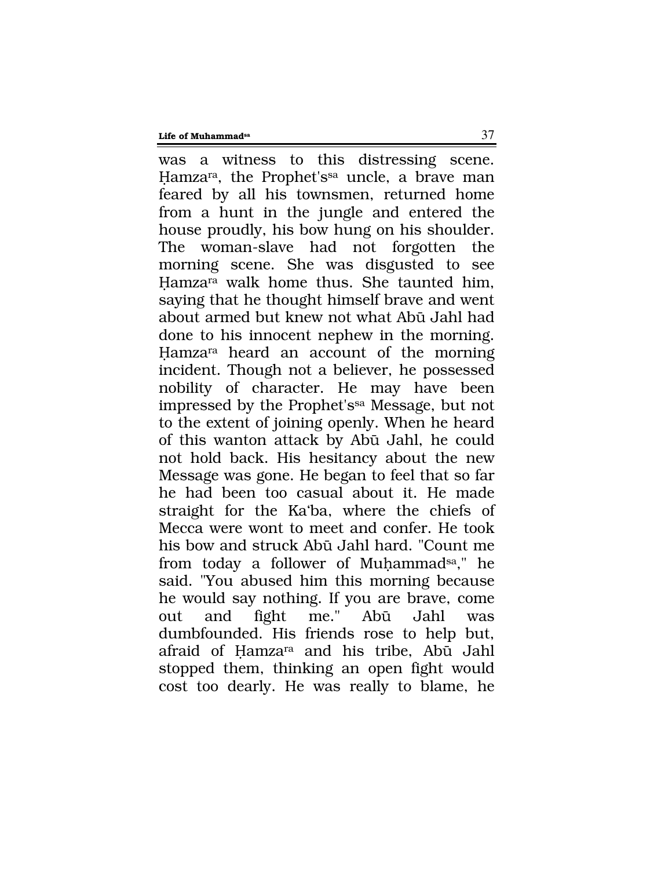was a witness to this distressing scene. Hamza<sup>ra</sup>, the Prophet's<sup>sa</sup> uncle, a brave man feared by all his townsmen, returned home from a hunt in the jungle and entered the house proudly, his bow hung on his shoulder. The woman-slave had not forgotten the morning scene. She was disgusted to see Hamzara walk home thus. She taunted him, saying that he thought himself brave and went about armed but knew not what Abū Jahl had done to his innocent nephew in the morning. Hamzara heard an account of the morning incident. Though not a believer, he possessed nobility of character. He may have been impressed by the Prophet'ssa Message, but not to the extent of joining openly. When he heard of this wanton attack by Abū Jahl, he could not hold back. His hesitancy about the new Message was gone. He began to feel that so far he had been too casual about it. He made straight for the Ka'ba, where the chiefs of Mecca were wont to meet and confer. He took his bow and struck Abū Jahl hard. "Count me from today a follower of Muhammadsa," he said. "You abused him this morning because he would say nothing. If you are brave, come out and fight me." Abū Jahl was dumbfounded. His friends rose to help but, afraid of Hamza<sup>ra</sup> and his tribe, Abū Jahl stopped them, thinking an open fight would cost too dearly. He was really to blame, he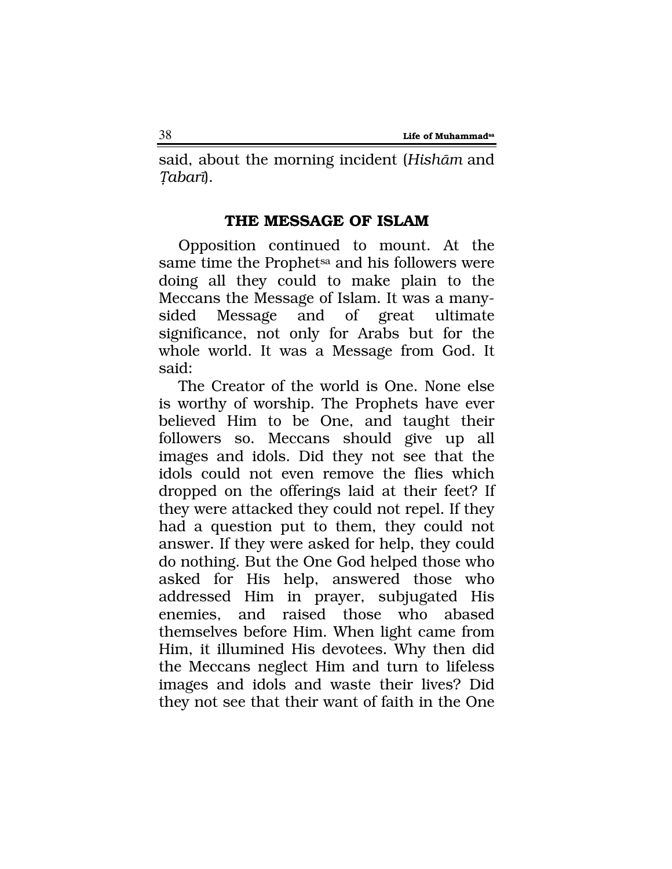said, about the morning incident (*Hish*a*m* and T*abar*i).

### **THE MESSAGE OF ISLAM**

Opposition continued to mount. At the same time the Prophetsa and his followers were doing all they could to make plain to the Meccans the Message of Islam. It was a manysided Message and of great ultimate significance, not only for Arabs but for the whole world. It was a Message from God. It said:

The Creator of the world is One. None else is worthy of worship. The Prophets have ever believed Him to be One, and taught their followers so. Meccans should give up all images and idols. Did they not see that the idols could not even remove the flies which dropped on the offerings laid at their feet? If they were attacked they could not repel. If they had a question put to them, they could not answer. If they were asked for help, they could do nothing. But the One God helped those who asked for His help, answered those who addressed Him in prayer, subjugated His enemies, and raised those who abased themselves before Him. When light came from Him, it illumined His devotees. Why then did the Meccans neglect Him and turn to lifeless images and idols and waste their lives? Did they not see that their want of faith in the One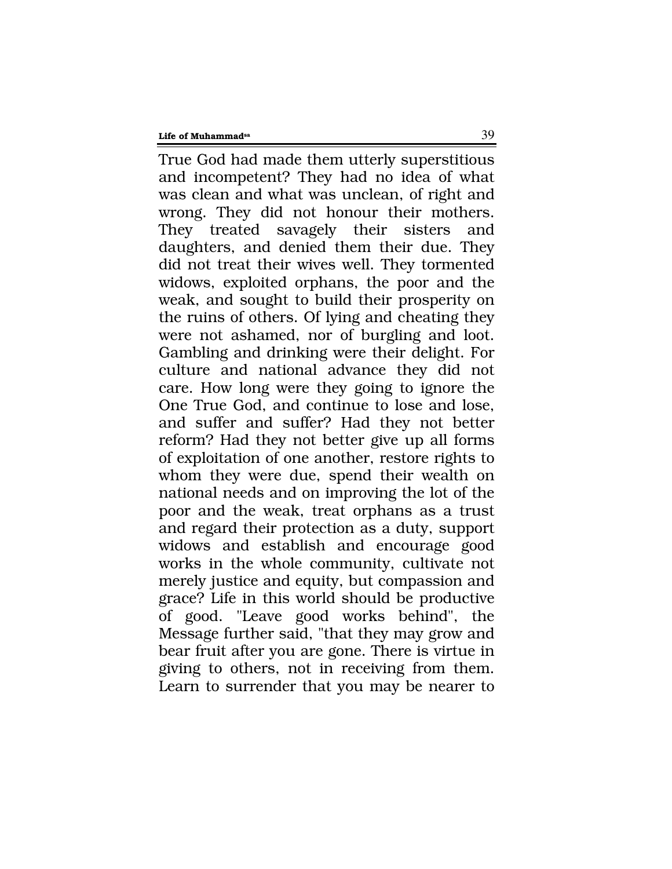True God had made them utterly superstitious and incompetent? They had no idea of what was clean and what was unclean, of right and wrong. They did not honour their mothers. They treated savagely their sisters and daughters, and denied them their due. They did not treat their wives well. They tormented widows, exploited orphans, the poor and the weak, and sought to build their prosperity on the ruins of others. Of lying and cheating they were not ashamed, nor of burgling and loot. Gambling and drinking were their delight. For culture and national advance they did not care. How long were they going to ignore the One True God, and continue to lose and lose, and suffer and suffer? Had they not better reform? Had they not better give up all forms of exploitation of one another, restore rights to whom they were due, spend their wealth on national needs and on improving the lot of the poor and the weak, treat orphans as a trust and regard their protection as a duty, support widows and establish and encourage good works in the whole community, cultivate not merely justice and equity, but compassion and grace? Life in this world should be productive of good. "Leave good works behind", the Message further said, "that they may grow and bear fruit after you are gone. There is virtue in giving to others, not in receiving from them. Learn to surrender that you may be nearer to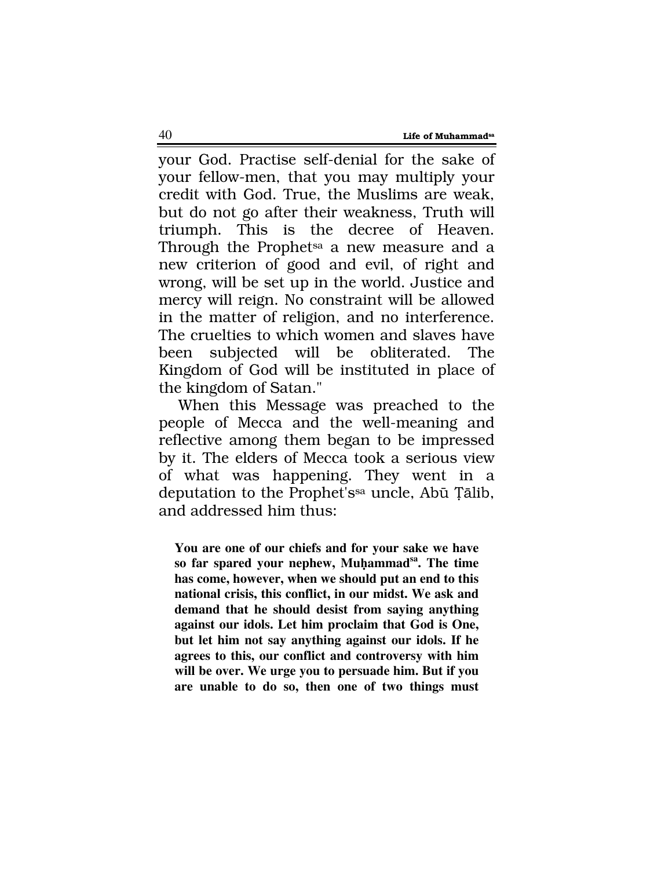your God. Practise self-denial for the sake of your fellow-men, that you may multiply your credit with God. True, the Muslims are weak, but do not go after their weakness, Truth will triumph. This is the decree of Heaven. Through the Prophetsa a new measure and a new criterion of good and evil, of right and wrong, will be set up in the world. Justice and mercy will reign. No constraint will be allowed in the matter of religion, and no interference. The cruelties to which women and slaves have been subjected will be obliterated. The Kingdom of God will be instituted in place of the kingdom of Satan."

When this Message was preached to the people of Mecca and the well-meaning and reflective among them began to be impressed by it. The elders of Mecca took a serious view of what was happening. They went in a deputation to the Prophet'ssa uncle, Abū Tālib, and addressed him thus:

**You are one of our chiefs and for your sake we have**  so far spared your nephew, Muhammad<sup>sa</sup>. The time **has come, however, when we should put an end to this national crisis, this conflict, in our midst. We ask and demand that he should desist from saying anything against our idols. Let him proclaim that God is One, but let him not say anything against our idols. If he agrees to this, our conflict and controversy with him will be over. We urge you to persuade him. But if you are unable to do so, then one of two things must**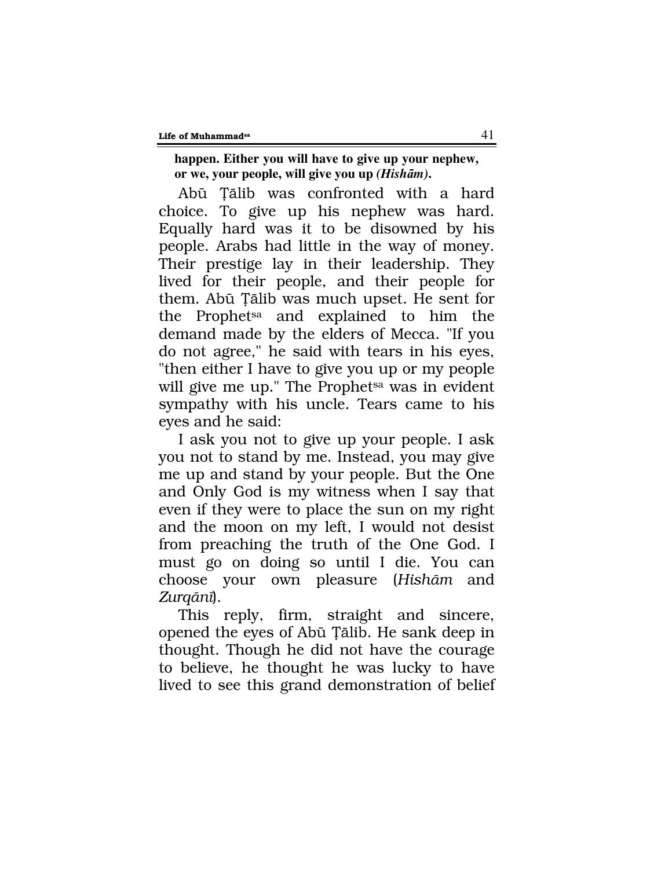**happen. Either you will have to give up your nephew, or we, your people, will give you up** *(Hish*a*m)***.** 

Abū Tālib was confronted with a hard choice. To give up his nephew was hard. Equally hard was it to be disowned by his people. Arabs had little in the way of money. Their prestige lay in their leadership. They lived for their people, and their people for them. Abū Tālib was much upset. He sent for the Prophetsa and explained to him the demand made by the elders of Mecca. "If you do not agree," he said with tears in his eyes, "then either I have to give you up or my people will give me up." The Prophetsa was in evident sympathy with his uncle. Tears came to his eyes and he said:

I ask you not to give up your people. I ask you not to stand by me. Instead, you may give me up and stand by your people. But the One and Only God is my witness when I say that even if they were to place the sun on my right and the moon on my left, I would not desist from preaching the truth of the One God. I must go on doing so until I die. You can choose your own pleasure (*Hish*a*m* and *Zurq*a*n*i).

This reply, firm, straight and sincere, opened the eyes of Abu Talib. He sank deep in thought. Though he did not have the courage to believe, he thought he was lucky to have lived to see this grand demonstration of belief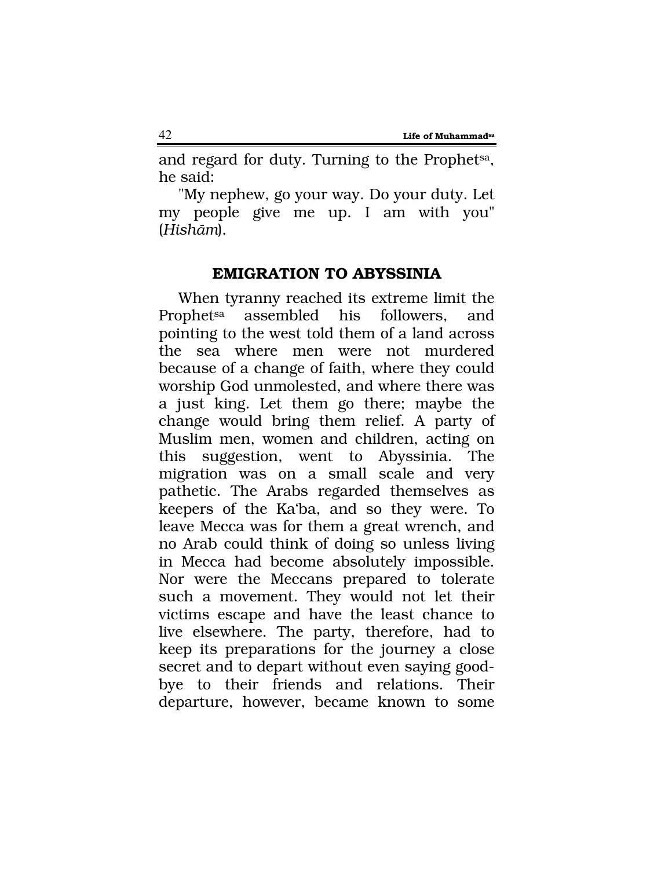and regard for duty. Turning to the Prophetsa, he said:

"My nephew, go your way. Do your duty. Let my people give me up. I am with you" (*Hish*a*m*).

### **EMIGRATION TO ABYSSINIA**

When tyranny reached its extreme limit the Prophetsa assembled his followers, and pointing to the west told them of a land across the sea where men were not murdered because of a change of faith, where they could worship God unmolested, and where there was a just king. Let them go there; maybe the change would bring them relief. A party of Muslim men, women and children, acting on this suggestion, went to Abyssinia. The migration was on a small scale and very pathetic. The Arabs regarded themselves as keepers of the Ka'ba, and so they were. To leave Mecca was for them a great wrench, and no Arab could think of doing so unless living in Mecca had become absolutely impossible. Nor were the Meccans prepared to tolerate such a movement. They would not let their victims escape and have the least chance to live elsewhere. The party, therefore, had to keep its preparations for the journey a close secret and to depart without even saying goodbye to their friends and relations. Their departure, however, became known to some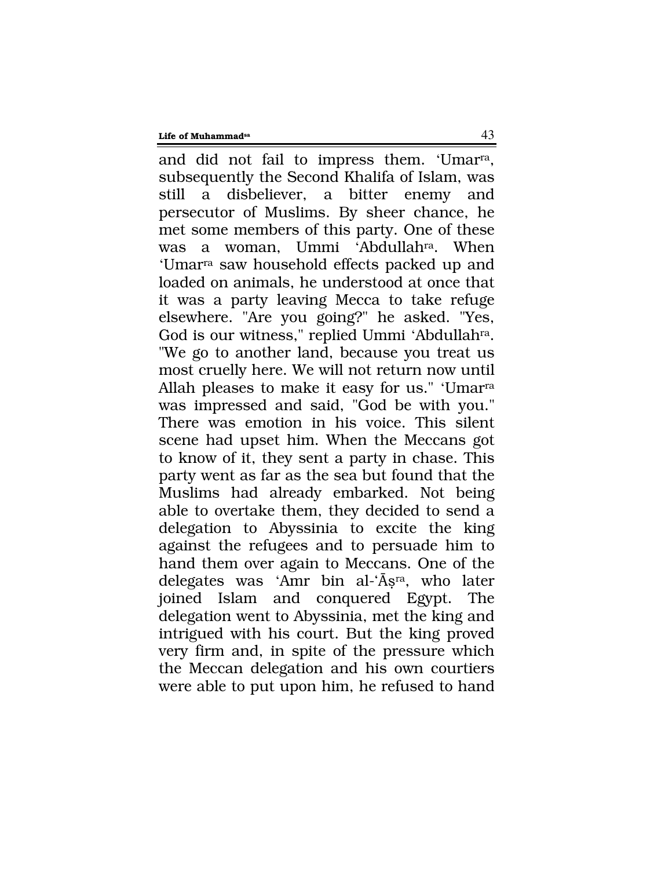and did not fail to impress them. 'Umarra, subsequently the Second Khalifa of Islam, was still a disbeliever, a bitter enemy and persecutor of Muslims. By sheer chance, he met some members of this party. One of these was a woman, Ummi 'Abdullahra. When 'Umarra saw household effects packed up and loaded on animals, he understood at once that it was a party leaving Mecca to take refuge elsewhere. "Are you going?" he asked. "Yes, God is our witness," replied Ummi 'Abdullahra. "We go to another land, because you treat us most cruelly here. We will not return now until Allah pleases to make it easy for us." 'Umarra was impressed and said, "God be with you." There was emotion in his voice. This silent scene had upset him. When the Meccans got to know of it, they sent a party in chase. This party went as far as the sea but found that the Muslims had already embarked. Not being able to overtake them, they decided to send a delegation to Abyssinia to excite the king against the refugees and to persuade him to hand them over again to Meccans. One of the delegates was 'Amr bin al-'As<sup>r</sup>a, who later joined Islam and conquered Egypt. The delegation went to Abyssinia, met the king and intrigued with his court. But the king proved very firm and, in spite of the pressure which the Meccan delegation and his own courtiers were able to put upon him, he refused to hand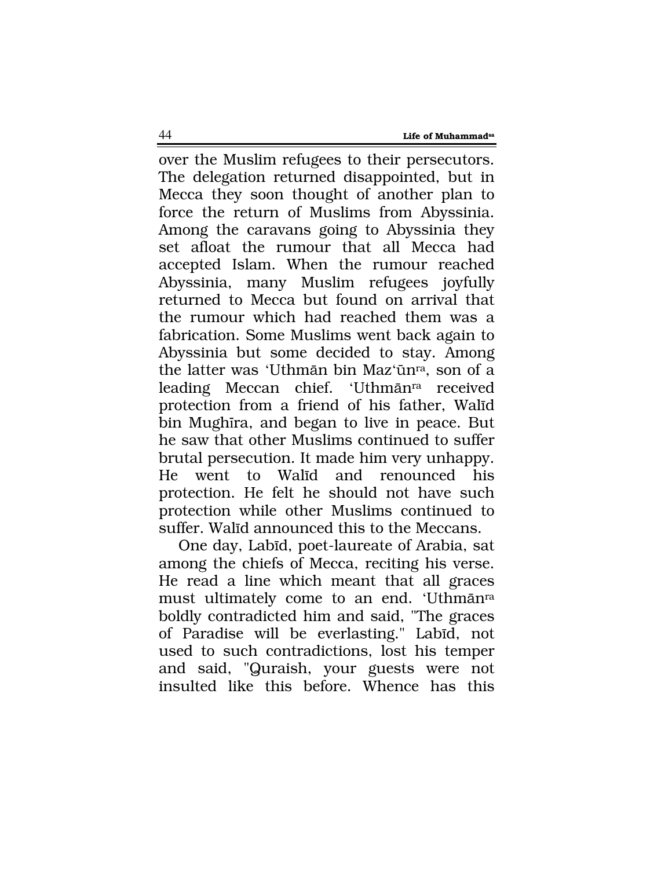over the Muslim refugees to their persecutors. The delegation returned disappointed, but in Mecca they soon thought of another plan to force the return of Muslims from Abyssinia. Among the caravans going to Abyssinia they set afloat the rumour that all Mecca had accepted Islam. When the rumour reached Abyssinia, many Muslim refugees joyfully returned to Mecca but found on arrival that the rumour which had reached them was a fabrication. Some Muslims went back again to Abyssinia but some decided to stay. Among the latter was 'Uthmān bin Maz'ūnra, son of a leading Meccan chief. 'Uthmanra received protection from a friend of his father, Walid bin Mughira, and began to live in peace. But he saw that other Muslims continued to suffer brutal persecution. It made him very unhappy. He went to Walid and renounced his protection. He felt he should not have such protection while other Muslims continued to suffer. Walid announced this to the Meccans.

One day, Labid, poet-laureate of Arabia, sat among the chiefs of Mecca, reciting his verse. He read a line which meant that all graces must ultimately come to an end. 'Uthmanra boldly contradicted him and said, "The graces of Paradise will be everlasting." Labid, not used to such contradictions, lost his temper and said, "Quraish, your guests were not insulted like this before. Whence has this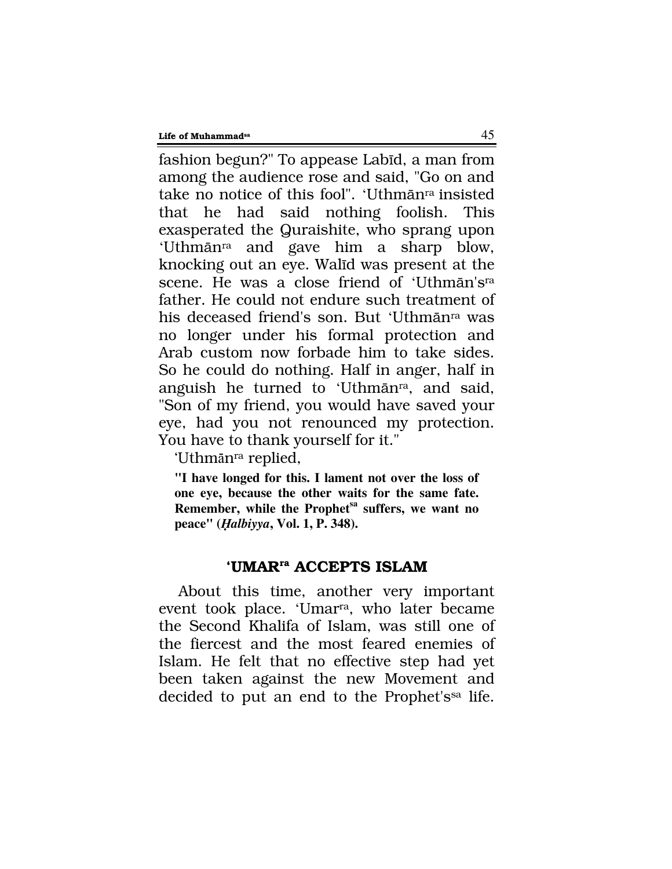fashion begun?" To appease Labid, a man from among the audience rose and said, "Go on and take no notice of this fool". 'Uthman<sup>r</sup>a insisted that he had said nothing foolish. This exasperated the Quraishite, who sprang upon 'Uthman<sup>r</sup>a and gave him a sharp blow, knocking out an eye. Walid was present at the scene. He was a close friend of 'Uthmān'sra father. He could not endure such treatment of his deceased friend's son. But 'Uthman<sup>r</sup>a was no longer under his formal protection and Arab custom now forbade him to take sides. So he could do nothing. Half in anger, half in anguish he turned to 'Uthman<sup>r</sup>a, and said, "Son of my friend, you would have saved your eye, had you not renounced my protection. You have to thank yourself for it."

'Uthmanra replied,

**"I have longed for this. I lament not over the loss of one eye, because the other waits for the same fate.**  Remember, while the Prophet<sup>sa</sup> suffers, we want no **peace" (**H*albiyya***, Vol. 1, P. 348).** 

## 'UMAR<sup>ra</sup> ACCEPTS ISLAM

About this time, another very important event took place. 'Umarra, who later became the Second Khalifa of Islam, was still one of the fiercest and the most feared enemies of Islam. He felt that no effective step had yet been taken against the new Movement and decided to put an end to the Prophet'ssa life.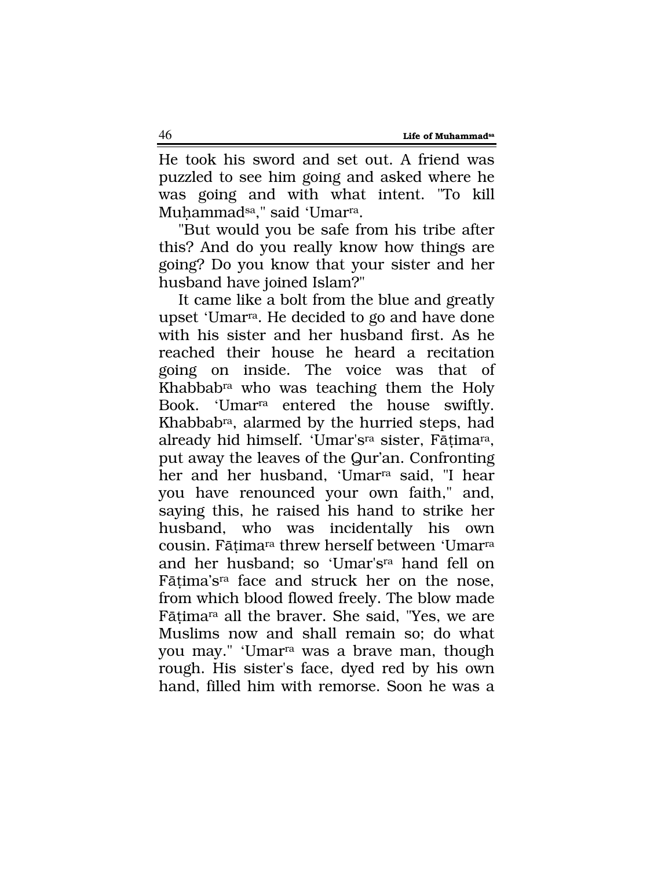He took his sword and set out. A friend was puzzled to see him going and asked where he was going and with what intent. "To kill Muhammadsa," said 'Umarra.

"But would you be safe from his tribe after this? And do you really know how things are going? Do you know that your sister and her husband have joined Islam?"

It came like a bolt from the blue and greatly upset 'Umarra. He decided to go and have done with his sister and her husband first. As he reached their house he heard a recitation going on inside. The voice was that of Khabbabra who was teaching them the Holy Book. 'Umarra entered the house swiftly. Khabbabra, alarmed by the hurried steps, had already hid himself. 'Umar'sra sister, Fatimara, put away the leaves of the Qur'an. Confronting her and her husband, 'Umarra said, "I hear you have renounced your own faith," and, saying this, he raised his hand to strike her husband, who was incidentally his own cousin. Fatimara threw herself between 'Umarra and her husband; so 'Umar'sra hand fell on Fatima'sra face and struck her on the nose, from which blood flowed freely. The blow made Fatimara all the braver. She said, "Yes, we are Muslims now and shall remain so; do what you may." 'Umarra was a brave man, though rough. His sister's face, dyed red by his own hand, filled him with remorse. Soon he was a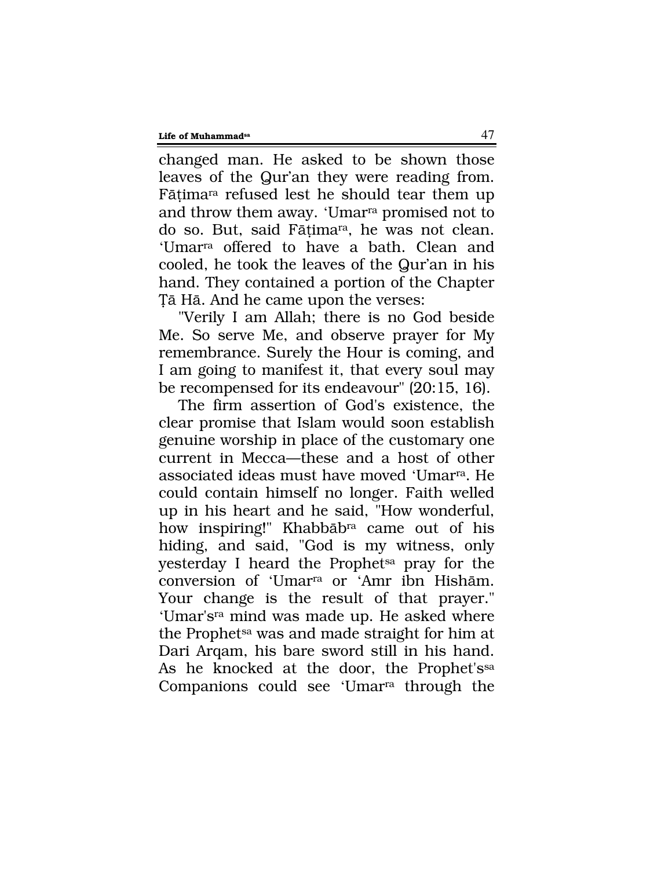changed man. He asked to be shown those leaves of the Qur'an they were reading from. Fatimara refused lest he should tear them up and throw them away. 'Umarra promised not to do so. But, said Fatimara, he was not clean. 'Umarra offered to have a bath. Clean and cooled, he took the leaves of the Qur'an in his hand. They contained a portion of the Chapter Ta Ha. And he came upon the verses:

"Verily I am Allah; there is no God beside Me. So serve Me, and observe prayer for My remembrance. Surely the Hour is coming, and I am going to manifest it, that every soul may be recompensed for its endeavour" (20:15, 16).

The firm assertion of God's existence, the clear promise that Islam would soon establish genuine worship in place of the customary one current in Mecca—these and a host of other associated ideas must have moved 'Umarra. He could contain himself no longer. Faith welled up in his heart and he said, "How wonderful, how inspiring!" Khabbabra came out of his hiding, and said, "God is my witness, only yesterday I heard the Prophetsa pray for the conversion of 'Umarra or 'Amr ibn Hisham. Your change is the result of that prayer." 'Umar'sra mind was made up. He asked where the Prophetsa was and made straight for him at Dari Arqam, his bare sword still in his hand. As he knocked at the door, the Prophet'ssa Companions could see 'Umarra through the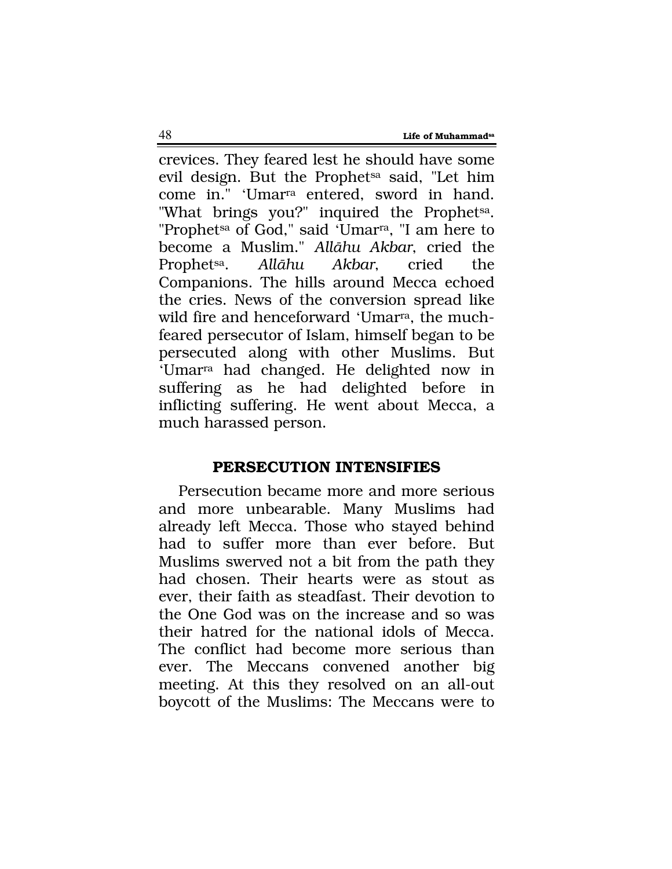crevices. They feared lest he should have some evil design. But the Prophetsa said, "Let him come in." 'Umarra entered, sword in hand. "What brings you?" inquired the Prophetsa. "Prophet<sup>sa</sup> of God," said 'Umar<sup>ra</sup>, "I am here to become a Muslim." *All*a*hu Akbar*, cried the Prophetsa. *All*a*hu Akbar*, cried the Companions. The hills around Mecca echoed the cries. News of the conversion spread like wild fire and henceforward 'Umarra, the muchfeared persecutor of Islam, himself began to be persecuted along with other Muslims. But 'Umarra had changed. He delighted now in suffering as he had delighted before in inflicting suffering. He went about Mecca, a much harassed person.

## **PERSECUTION INTENSIFIES**

Persecution became more and more serious and more unbearable. Many Muslims had already left Mecca. Those who stayed behind had to suffer more than ever before. But Muslims swerved not a bit from the path they had chosen. Their hearts were as stout as ever, their faith as steadfast. Their devotion to the One God was on the increase and so was their hatred for the national idols of Mecca. The conflict had become more serious than ever. The Meccans convened another big meeting. At this they resolved on an all-out boycott of the Muslims: The Meccans were to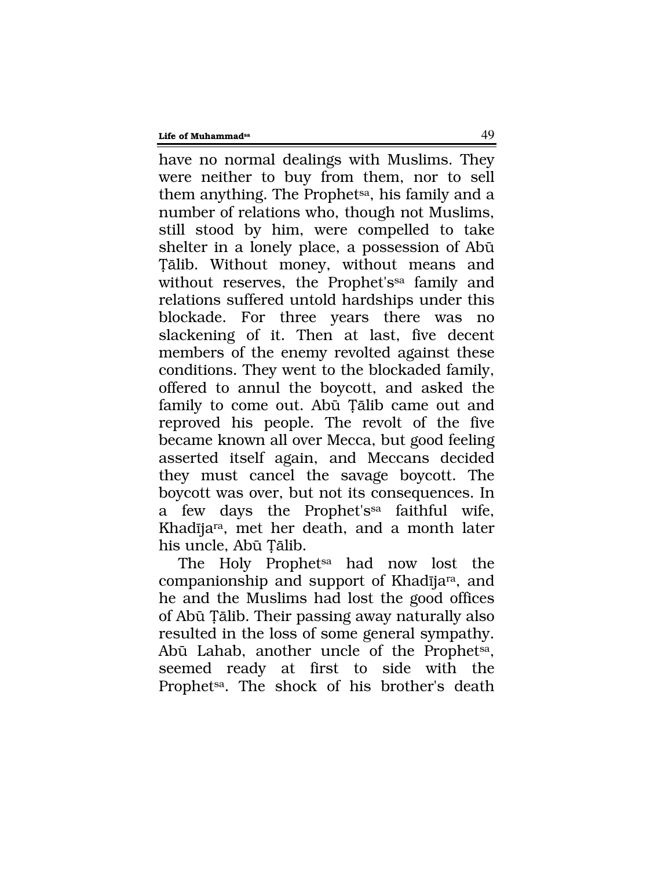have no normal dealings with Muslims. They were neither to buy from them, nor to sell them anything. The Prophetsa, his family and a number of relations who, though not Muslims, still stood by him, were compelled to take shelter in a lonely place, a possession of Abu Talib. Without money, without means and without reserves, the Prophet's<sup>sa</sup> family and relations suffered untold hardships under this blockade. For three years there was no slackening of it. Then at last, five decent members of the enemy revolted against these conditions. They went to the blockaded family, offered to annul the boycott, and asked the family to come out. Abū Tālib came out and reproved his people. The revolt of the five became known all over Mecca, but good feeling asserted itself again, and Meccans decided they must cancel the savage boycott. The boycott was over, but not its consequences. In a few days the Prophet'ssa faithful wife, Khadijara, met her death, and a month later his uncle. Abū Tālib.

The Holy Prophetsa had now lost the companionship and support of Khadijara, and he and the Muslims had lost the good offices of Abu Talib. Their passing away naturally also resulted in the loss of some general sympathy. Abū Lahab, another uncle of the Prophetsa, seemed ready at first to side with the Prophetsa. The shock of his brother's death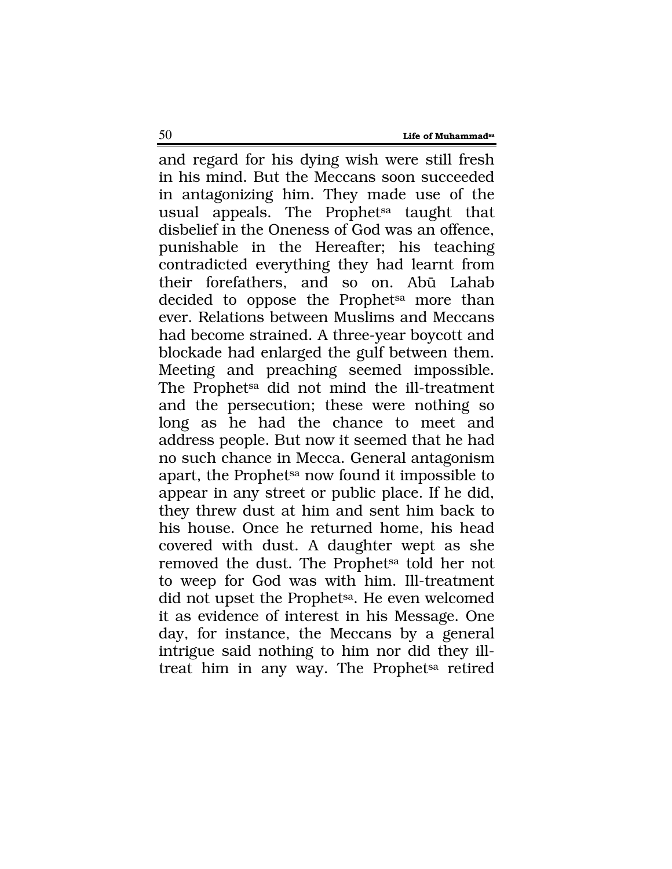and regard for his dying wish were still fresh in his mind. But the Meccans soon succeeded in antagonizing him. They made use of the usual appeals. The Prophetsa taught that disbelief in the Oneness of God was an offence, punishable in the Hereafter; his teaching contradicted everything they had learnt from their forefathers, and so on. Abū Lahab decided to oppose the Prophetsa more than ever. Relations between Muslims and Meccans had become strained. A three-year boycott and blockade had enlarged the gulf between them. Meeting and preaching seemed impossible. The Prophetsa did not mind the ill-treatment and the persecution; these were nothing so long as he had the chance to meet and address people. But now it seemed that he had no such chance in Mecca. General antagonism apart, the Prophetsa now found it impossible to appear in any street or public place. If he did, they threw dust at him and sent him back to his house. Once he returned home, his head covered with dust. A daughter wept as she removed the dust. The Prophetsa told her not to weep for God was with him. Ill-treatment did not upset the Prophetsa. He even welcomed it as evidence of interest in his Message. One day, for instance, the Meccans by a general intrigue said nothing to him nor did they illtreat him in any way. The Prophetsa retired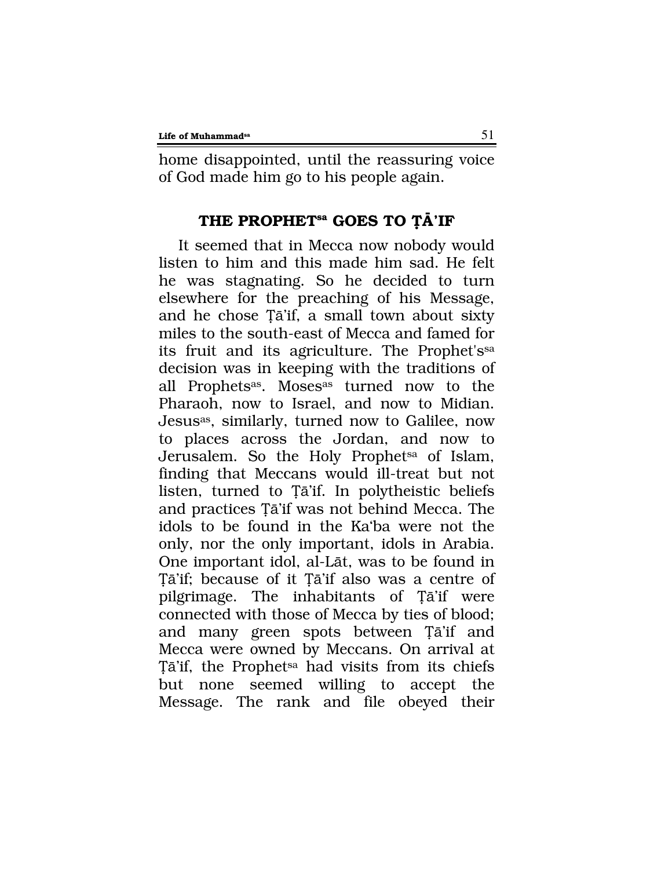home disappointed, until the reassuring voice of God made him go to his people again.

## **THE PROPHETsa GOES TO** TA**'IF**

It seemed that in Mecca now nobody would listen to him and this made him sad. He felt he was stagnating. So he decided to turn elsewhere for the preaching of his Message, and he chose Ta'if, a small town about sixty miles to the south-east of Mecca and famed for its fruit and its agriculture. The Prophet'ssa decision was in keeping with the traditions of all Prophetsas. Mosesas turned now to the Pharaoh, now to Israel, and now to Midian. Jesusas, similarly, turned now to Galilee, now to places across the Jordan, and now to Jerusalem. So the Holy Prophetsa of Islam, finding that Meccans would ill-treat but not listen, turned to Ta'if. In polytheistic beliefs and practices Ta'if was not behind Mecca. The idols to be found in the Ka'ba were not the only, nor the only important, idols in Arabia. One important idol, al-Lat, was to be found in Ta'if; because of it Ta'if also was a centre of pilgrimage. The inhabitants of Ta'if were connected with those of Mecca by ties of blood; and many green spots between Ta'if and Mecca were owned by Meccans. On arrival at Ta'if, the Prophetsa had visits from its chiefs but none seemed willing to accept the Message. The rank and file obeyed their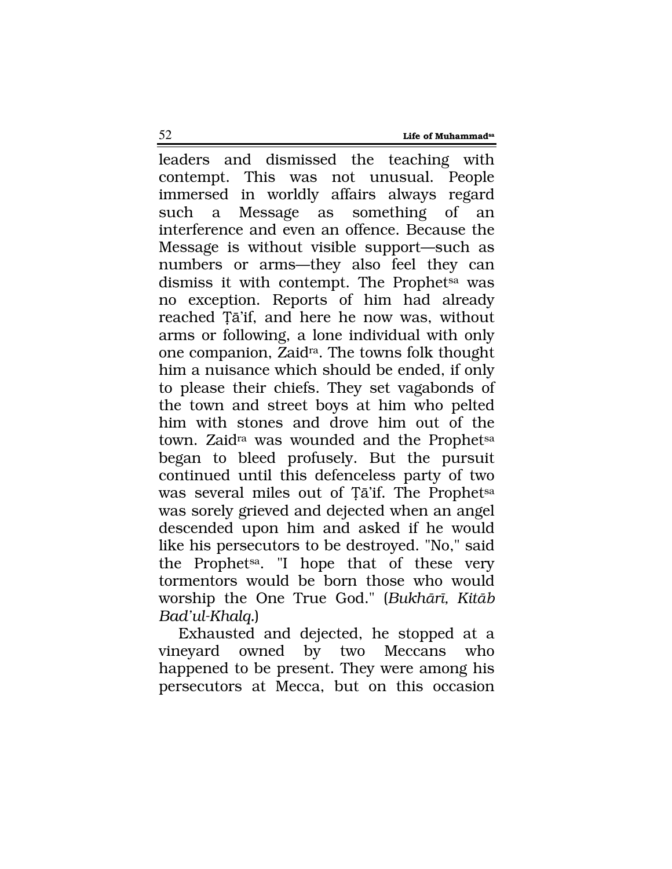leaders and dismissed the teaching with contempt. This was not unusual. People immersed in worldly affairs always regard such a Message as something of an interference and even an offence. Because the Message is without visible support—such as numbers or arms—they also feel they can dismiss it with contempt. The Prophetsa was no exception. Reports of him had already reached Ta'if, and here he now was, without arms or following, a lone individual with only one companion, Zaidra. The towns folk thought him a nuisance which should be ended, if only to please their chiefs. They set vagabonds of the town and street boys at him who pelted him with stones and drove him out of the town. Zaid<sup>ra</sup> was wounded and the Prophetsa began to bleed profusely. But the pursuit continued until this defenceless party of two was several miles out of Tā'if. The Prophetsa was sorely grieved and dejected when an angel descended upon him and asked if he would like his persecutors to be destroyed. "No," said the Prophetsa. "I hope that of these very tormentors would be born those who would worship the One True God." (*Bukh*a*r*i*, Kit*ab *Bad'ul-Khalq.*)

Exhausted and dejected, he stopped at a vineyard owned by two Meccans who happened to be present. They were among his persecutors at Mecca, but on this occasion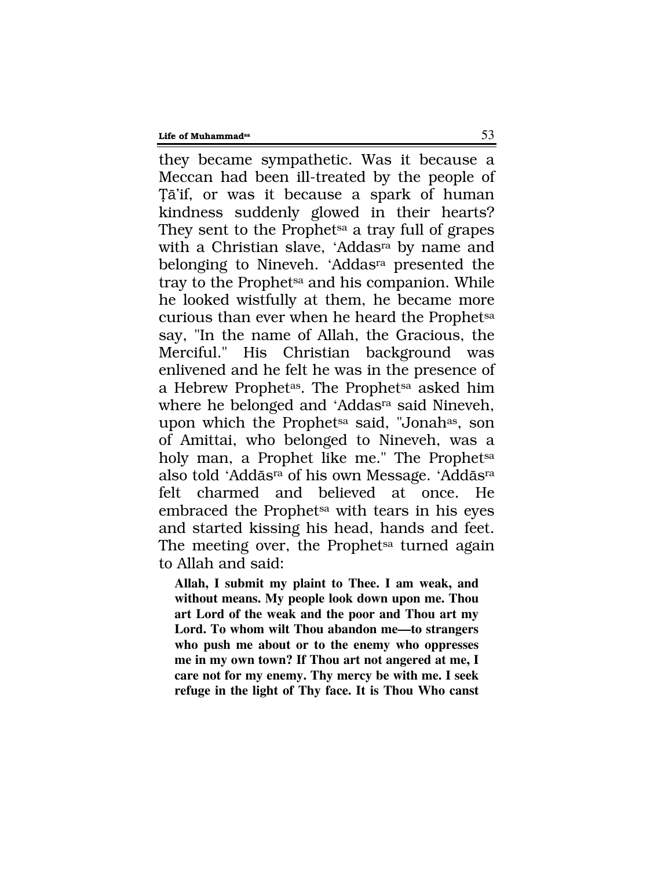they became sympathetic. Was it because a Meccan had been ill-treated by the people of Ta'if, or was it because a spark of human kindness suddenly glowed in their hearts? They sent to the Prophet<sup>sa</sup> a tray full of grapes with a Christian slave, 'Addasra by name and belonging to Nineveh. 'Addasra presented the tray to the Prophet<sup>sa</sup> and his companion. While he looked wistfully at them, he became more curious than ever when he heard the Prophetsa say, "In the name of Allah, the Gracious, the Merciful." His Christian background was enlivened and he felt he was in the presence of a Hebrew Prophet<sup>as</sup>. The Prophet<sup>sa</sup> asked him where he belonged and 'Addasra said Nineveh, upon which the Prophetsa said, "Jonahas, son of Amittai, who belonged to Nineveh, was a holy man, a Prophet like me." The Prophetsa also told 'Addasra of his own Message. 'Addasra felt charmed and believed at once. He embraced the Prophetsa with tears in his eyes and started kissing his head, hands and feet. The meeting over, the Prophet<sup>sa</sup> turned again to Allah and said:

**Allah, I submit my plaint to Thee. I am weak, and without means. My people look down upon me. Thou art Lord of the weak and the poor and Thou art my Lord. To whom wilt Thou abandon me—to strangers who push me about or to the enemy who oppresses me in my own town? If Thou art not angered at me, I care not for my enemy. Thy mercy be with me. I seek refuge in the light of Thy face. It is Thou Who canst**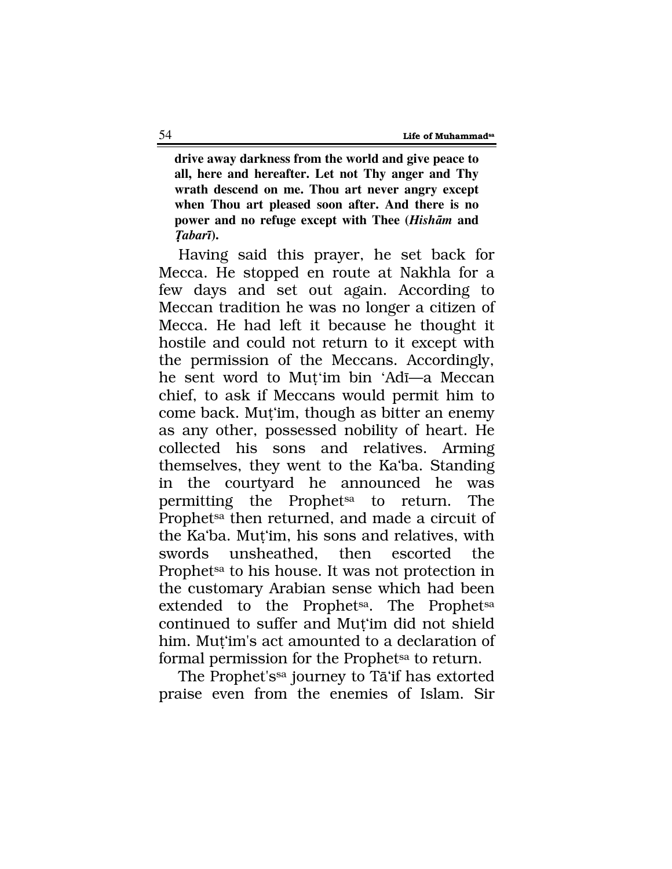**drive away darkness from the world and give peace to all, here and hereafter. Let not Thy anger and Thy wrath descend on me. Thou art never angry except when Thou art pleased soon after. And there is no power and no refuge except with Thee (***Hish*a*m* **and** T*abar*i**).** 

Having said this prayer, he set back for Mecca. He stopped en route at Nakhla for a few days and set out again. According to Meccan tradition he was no longer a citizen of Mecca. He had left it because he thought it hostile and could not return to it except with the permission of the Meccans. Accordingly, he sent word to Mut'im bin 'Adi—a Meccan chief, to ask if Meccans would permit him to come back. Mut'im, though as bitter an enemy as any other, possessed nobility of heart. He collected his sons and relatives. Arming themselves, they went to the Ka'ba. Standing in the courtyard he announced he was permitting the Prophetsa to return. The Prophetsa then returned, and made a circuit of the Ka'ba. Mut'im, his sons and relatives, with swords unsheathed, then escorted the Prophetsa to his house. It was not protection in the customary Arabian sense which had been extended to the Prophetsa. The Prophetsa continued to suffer and Mut'im did not shield him. Mut'im's act amounted to a declaration of formal permission for the Prophetsa to return.

The Prophet'ssa journey to Ta'if has extorted praise even from the enemies of Islam. Sir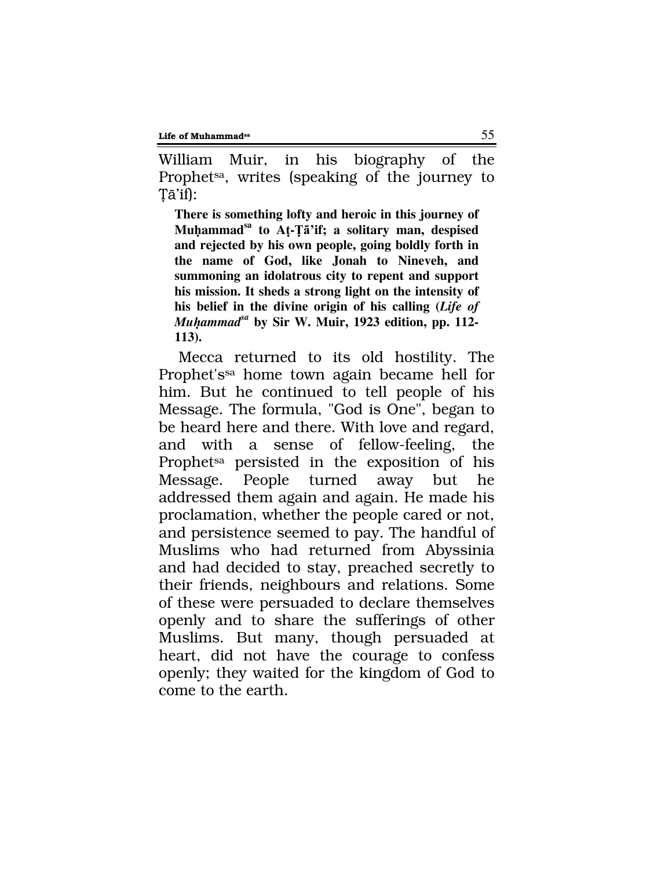William Muir, in his biography of the Prophetsa, writes (speaking of the journey to Ta'if):

**There is something lofty and heroic in this journey of Mu**h**ammadsa to A**t**-**Ta**'if; a solitary man, despised and rejected by his own people, going boldly forth in the name of God, like Jonah to Nineveh, and summoning an idolatrous city to repent and support his mission. It sheds a strong light on the intensity of his belief in the divine origin of his calling (***Life of Mu*h*ammadsa* **by Sir W. Muir, 1923 edition, pp. 112- 113).** 

Mecca returned to its old hostility. The Prophet'ssa home town again became hell for him. But he continued to tell people of his Message. The formula, "God is One", began to be heard here and there. With love and regard, and with a sense of fellow-feeling, the Prophetsa persisted in the exposition of his Message. People turned away but he addressed them again and again. He made his proclamation, whether the people cared or not, and persistence seemed to pay. The handful of Muslims who had returned from Abyssinia and had decided to stay, preached secretly to their friends, neighbours and relations. Some of these were persuaded to declare themselves openly and to share the sufferings of other Muslims. But many, though persuaded at heart, did not have the courage to confess openly; they waited for the kingdom of God to come to the earth.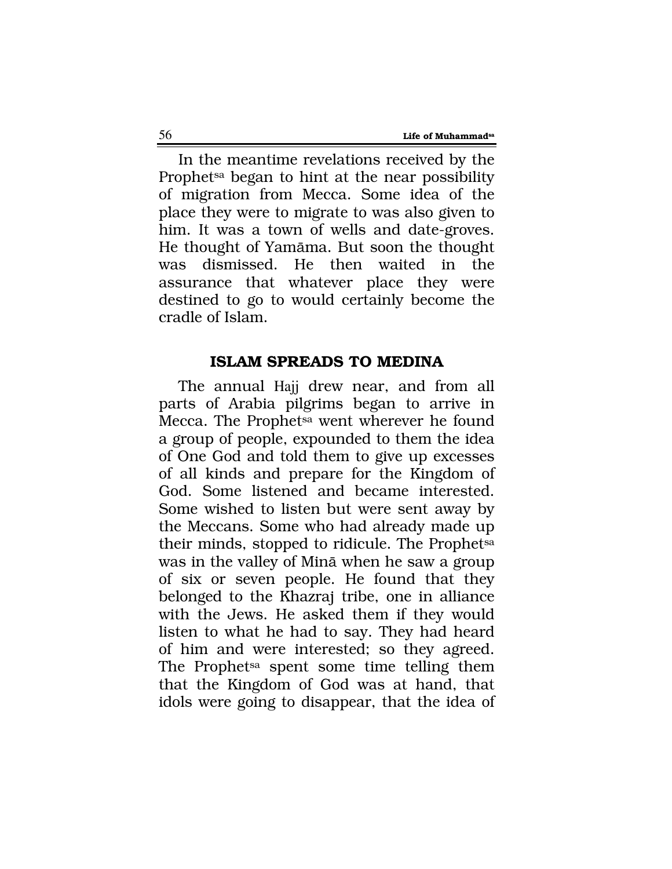In the meantime revelations received by the Prophetsa began to hint at the near possibility of migration from Mecca. Some idea of the place they were to migrate to was also given to him. It was a town of wells and date-groves. He thought of Yamama. But soon the thought was dismissed. He then waited in the assurance that whatever place they were destined to go to would certainly become the cradle of Islam.

# **ISLAM SPREADS TO MEDINA**

The annual Hajj drew near, and from all parts of Arabia pilgrims began to arrive in Mecca. The Prophetsa went wherever he found a group of people, expounded to them the idea of One God and told them to give up excesses of all kinds and prepare for the Kingdom of God. Some listened and became interested. Some wished to listen but were sent away by the Meccans. Some who had already made up their minds, stopped to ridicule. The Prophetsa was in the valley of Mina when he saw a group of six or seven people. He found that they belonged to the Khazraj tribe, one in alliance with the Jews. He asked them if they would listen to what he had to say. They had heard of him and were interested; so they agreed. The Prophetsa spent some time telling them that the Kingdom of God was at hand, that idols were going to disappear, that the idea of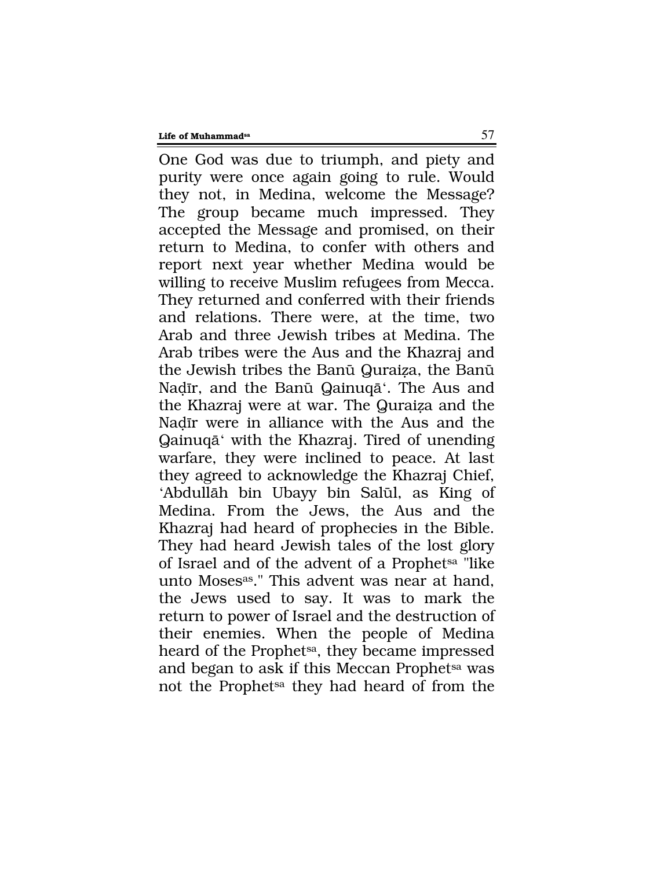One God was due to triumph, and piety and purity were once again going to rule. Would they not, in Medina, welcome the Message? The group became much impressed. They accepted the Message and promised, on their return to Medina, to confer with others and report next year whether Medina would be willing to receive Muslim refugees from Mecca. They returned and conferred with their friends and relations. There were, at the time, two Arab and three Jewish tribes at Medina. The Arab tribes were the Aus and the Khazraj and the Jewish tribes the Banū Quraiza, the Banū Nadīr, and the Banū Qainuqā<sup>\*</sup>. The Aus and the Khazraj were at war. The Quraiza and the Nadir were in alliance with the Aus and the Qainuqa' with the Khazraj. Tired of unending warfare, they were inclined to peace. At last they agreed to acknowledge the Khazraj Chief, 'Abdullah bin Ubayy bin Salūl, as King of Medina. From the Jews, the Aus and the Khazraj had heard of prophecies in the Bible. They had heard Jewish tales of the lost glory of Israel and of the advent of a Prophetsa "like unto Mosesas." This advent was near at hand, the Jews used to say. It was to mark the return to power of Israel and the destruction of their enemies. When the people of Medina heard of the Prophetsa, they became impressed and began to ask if this Meccan Prophetsa was not the Prophetsa they had heard of from the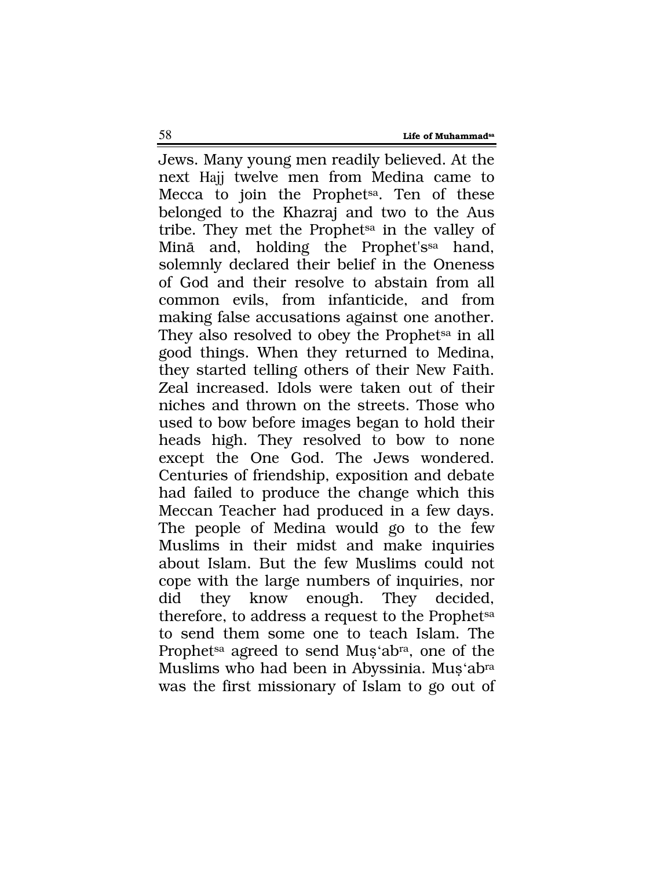Jews. Many young men readily believed. At the next Hajj twelve men from Medina came to Mecca to join the Prophetsa. Ten of these belonged to the Khazraj and two to the Aus tribe. They met the Prophetsa in the valley of Mina and, holding the Prophet's<sup>sa</sup> hand, solemnly declared their belief in the Oneness of God and their resolve to abstain from all common evils, from infanticide, and from making false accusations against one another. They also resolved to obey the Prophet<sup>sa</sup> in all good things. When they returned to Medina, they started telling others of their New Faith. Zeal increased. Idols were taken out of their niches and thrown on the streets. Those who used to bow before images began to hold their heads high. They resolved to bow to none except the One God. The Jews wondered. Centuries of friendship, exposition and debate had failed to produce the change which this Meccan Teacher had produced in a few days. The people of Medina would go to the few Muslims in their midst and make inquiries about Islam. But the few Muslims could not cope with the large numbers of inquiries, nor did they know enough. They decided, therefore, to address a request to the Prophetsa to send them some one to teach Islam. The Prophet<sup>sa</sup> agreed to send Mus'abra, one of the Muslims who had been in Abyssinia. Mus'abra was the first missionary of Islam to go out of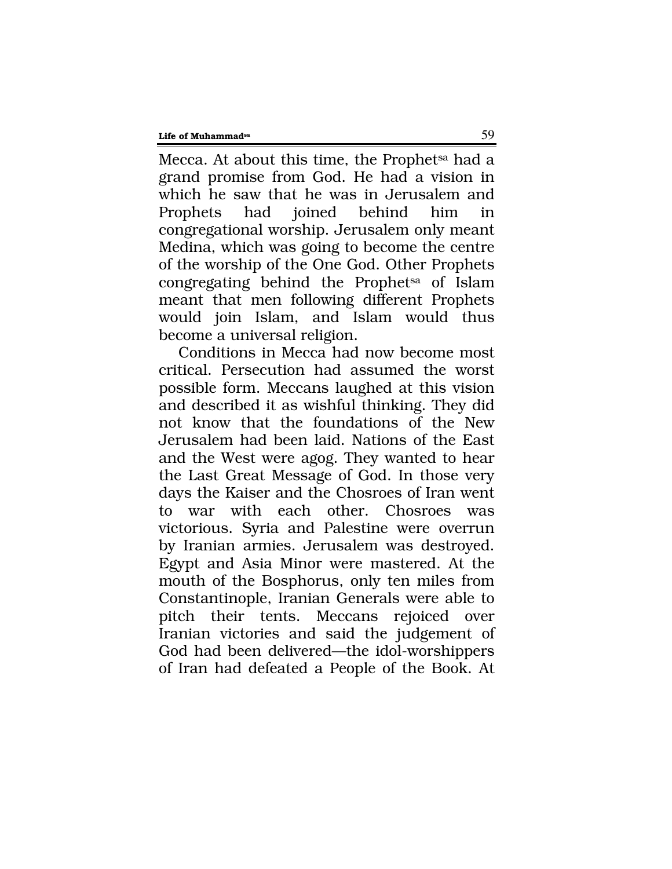Mecca. At about this time, the Prophetsa had a grand promise from God. He had a vision in which he saw that he was in Jerusalem and Prophets had joined behind him in congregational worship. Jerusalem only meant Medina, which was going to become the centre of the worship of the One God. Other Prophets congregating behind the Prophetsa of Islam meant that men following different Prophets would join Islam, and Islam would thus become a universal religion.

Conditions in Mecca had now become most critical. Persecution had assumed the worst possible form. Meccans laughed at this vision and described it as wishful thinking. They did not know that the foundations of the New Jerusalem had been laid. Nations of the East and the West were agog. They wanted to hear the Last Great Message of God. In those very days the Kaiser and the Chosroes of Iran went to war with each other. Chosroes was victorious. Syria and Palestine were overrun by Iranian armies. Jerusalem was destroyed. Egypt and Asia Minor were mastered. At the mouth of the Bosphorus, only ten miles from Constantinople, Iranian Generals were able to pitch their tents. Meccans rejoiced over Iranian victories and said the judgement of God had been delivered—the idol-worshippers of Iran had defeated a People of the Book. At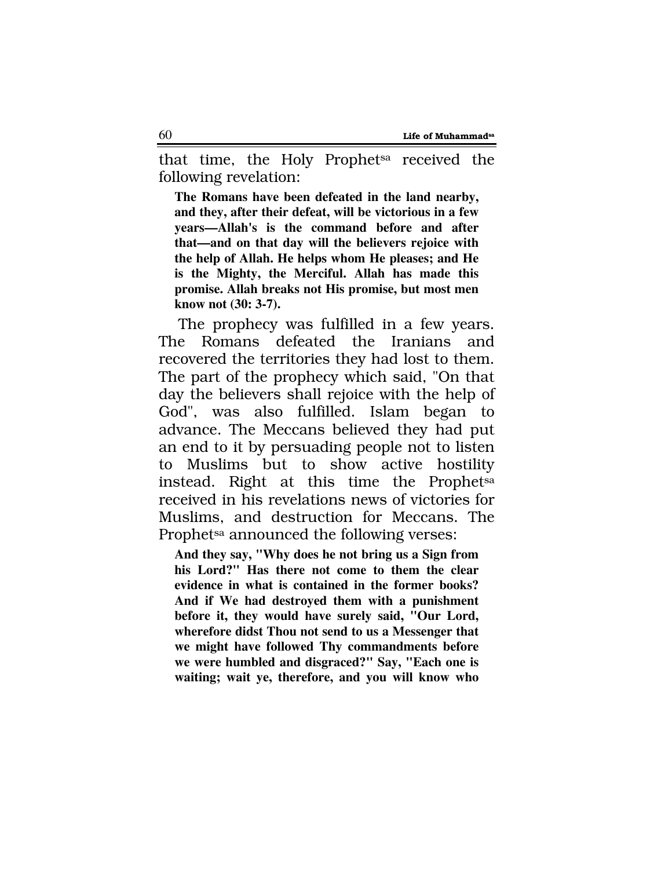that time, the Holy Prophetsa received the following revelation:

**The Romans have been defeated in the land nearby, and they, after their defeat, will be victorious in a few years—Allah's is the command before and after that—and on that day will the believers rejoice with the help of Allah. He helps whom He pleases; and He is the Mighty, the Merciful. Allah has made this promise. Allah breaks not His promise, but most men know not (30: 3-7).** 

The prophecy was fulfilled in a few years. The Romans defeated the Iranians and recovered the territories they had lost to them. The part of the prophecy which said, "On that day the believers shall rejoice with the help of God", was also fulfilled. Islam began to advance. The Meccans believed they had put an end to it by persuading people not to listen to Muslims but to show active hostility instead. Right at this time the Prophetsa received in his revelations news of victories for Muslims, and destruction for Meccans. The Prophetsa announced the following verses:

**And they say, "Why does he not bring us a Sign from his Lord?" Has there not come to them the clear evidence in what is contained in the former books? And if We had destroyed them with a punishment before it, they would have surely said, "Our Lord, wherefore didst Thou not send to us a Messenger that we might have followed Thy commandments before we were humbled and disgraced?" Say, "Each one is waiting; wait ye, therefore, and you will know who**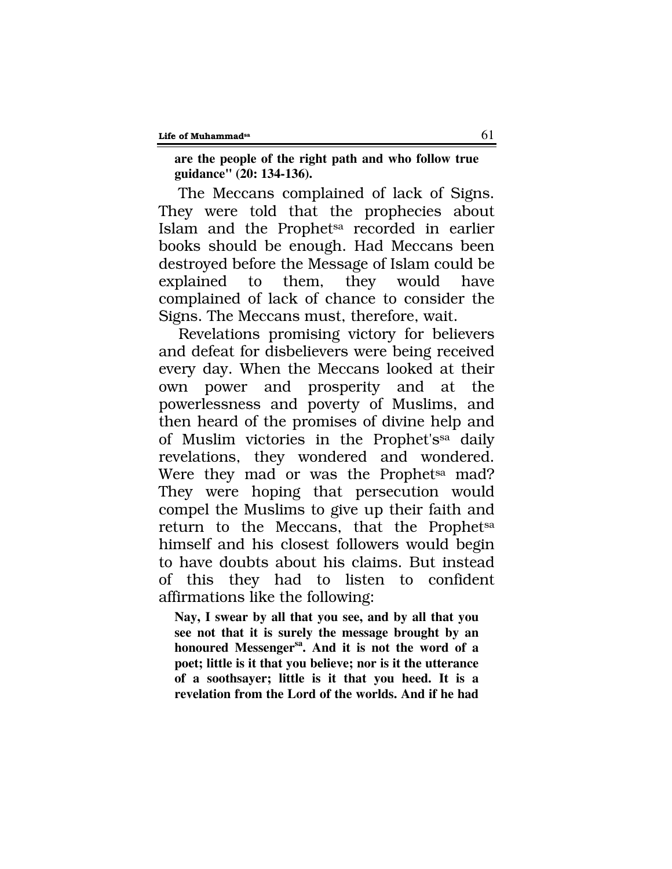**are the people of the right path and who follow true guidance" (20: 134-136).** 

The Meccans complained of lack of Signs. They were told that the prophecies about Islam and the Prophetsa recorded in earlier books should be enough. Had Meccans been destroyed before the Message of Islam could be explained to them, they would have complained of lack of chance to consider the Signs. The Meccans must, therefore, wait.

Revelations promising victory for believers and defeat for disbelievers were being received every day. When the Meccans looked at their own power and prosperity and at the powerlessness and poverty of Muslims, and then heard of the promises of divine help and of Muslim victories in the Prophet'ssa daily revelations, they wondered and wondered. Were they mad or was the Prophetsa mad? They were hoping that persecution would compel the Muslims to give up their faith and return to the Meccans, that the Prophetsa himself and his closest followers would begin to have doubts about his claims. But instead of this they had to listen to confident affirmations like the following:

**Nay, I swear by all that you see, and by all that you see not that it is surely the message brought by an**  honoured Messenger<sup>sa</sup>. And it is not the word of a **poet; little is it that you believe; nor is it the utterance of a soothsayer; little is it that you heed. It is a revelation from the Lord of the worlds. And if he had**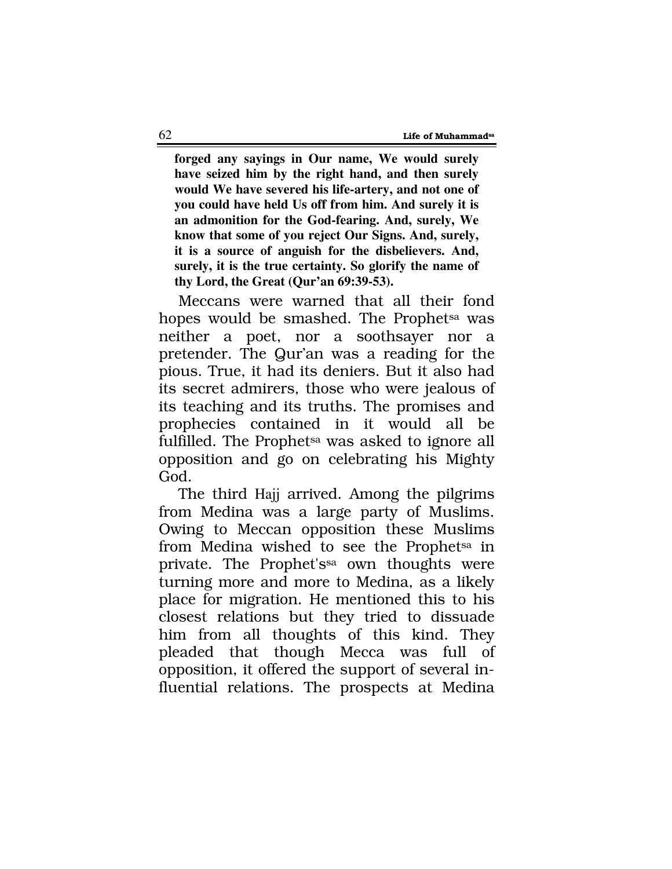**forged any sayings in Our name, We would surely have seized him by the right hand, and then surely would We have severed his life-artery, and not one of you could have held Us off from him. And surely it is an admonition for the God-fearing. And, surely, We know that some of you reject Our Signs. And, surely, it is a source of anguish for the disbelievers. And, surely, it is the true certainty. So glorify the name of thy Lord, the Great (Qur'an 69:39-53).** 

Meccans were warned that all their fond hopes would be smashed. The Prophetsa was neither a poet, nor a soothsayer nor a pretender. The Qur'an was a reading for the pious. True, it had its deniers. But it also had its secret admirers, those who were jealous of its teaching and its truths. The promises and prophecies contained in it would all be fulfilled. The Prophetsa was asked to ignore all opposition and go on celebrating his Mighty God.

The third Hajj arrived. Among the pilgrims from Medina was a large party of Muslims. Owing to Meccan opposition these Muslims from Medina wished to see the Prophetsa in private. The Prophet's<sup>sa</sup> own thoughts were turning more and more to Medina, as a likely place for migration. He mentioned this to his closest relations but they tried to dissuade him from all thoughts of this kind. They pleaded that though Mecca was full of opposition, it offered the support of several influential relations. The prospects at Medina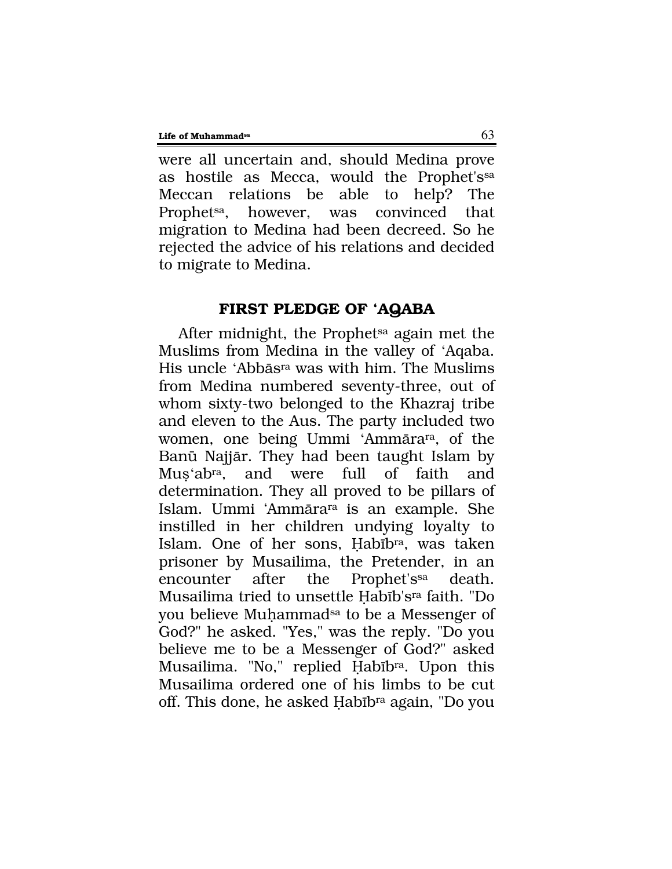were all uncertain and, should Medina prove as hostile as Mecca, would the Prophet'ssa Meccan relations be able to help? The Prophetsa, however, was convinced that migration to Medina had been decreed. So he rejected the advice of his relations and decided to migrate to Medina.

#### **FIRST PLEDGE OF 'AQABA**

After midnight, the Prophetsa again met the Muslims from Medina in the valley of 'Aqaba. His uncle 'Abbasra was with him. The Muslims from Medina numbered seventy-three, out of whom sixty-two belonged to the Khazraj tribe and eleven to the Aus. The party included two women, one being Ummi 'Ammarara, of the Banū Najjār. They had been taught Islam by Mus'abra, and were full of faith and determination. They all proved to be pillars of Islam. Ummi 'Ammarara is an example. She instilled in her children undying loyalty to Islam. One of her sons, Habibra, was taken prisoner by Musailima, the Pretender, in an encounter after the Prophet'ssa death. Musailima tried to unsettle Habib'sra faith. "Do you believe Muhammadsa to be a Messenger of God?" he asked. "Yes," was the reply. "Do you believe me to be a Messenger of God?" asked Musailima. "No," replied Habibra. Upon this Musailima ordered one of his limbs to be cut off. This done, he asked Habibra again, "Do you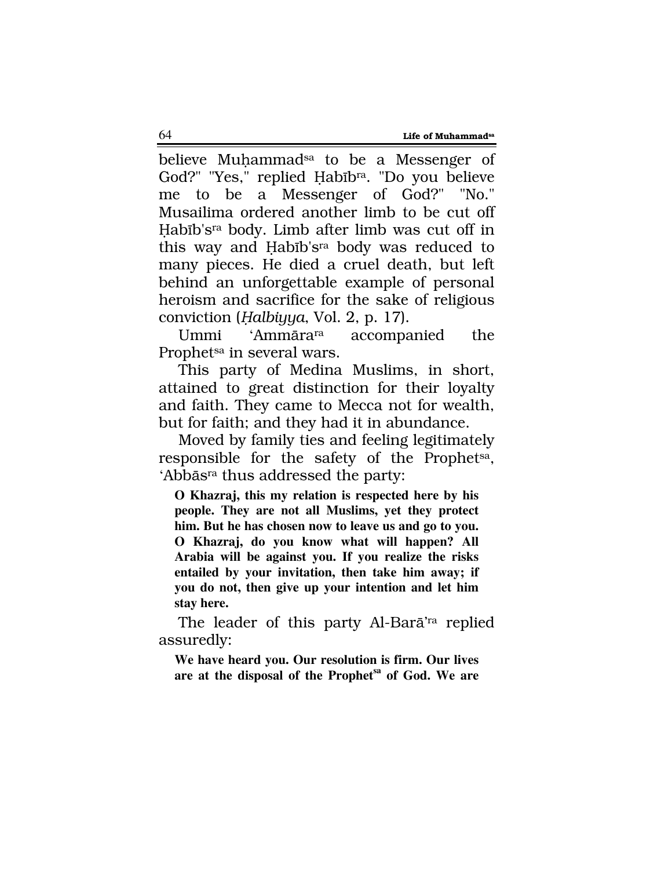believe Muhammadsa to be a Messenger of God?" "Yes," replied Habibra. "Do you believe me to be a Messenger of God?" "No." Musailima ordered another limb to be cut off Habib'sra body. Limb after limb was cut off in this way and Habib'sra body was reduced to many pieces. He died a cruel death, but left behind an unforgettable example of personal heroism and sacrifice for the sake of religious conviction (H*albiyya*, Vol. 2, p. 17).

Ummi 'Ammarara accompanied the Prophetsa in several wars.

This party of Medina Muslims, in short, attained to great distinction for their loyalty and faith. They came to Mecca not for wealth, but for faith; and they had it in abundance.

Moved by family ties and feeling legitimately responsible for the safety of the Prophetsa, 'Abbasra thus addressed the party:

**O Khazraj, this my relation is respected here by his people. They are not all Muslims, yet they protect him. But he has chosen now to leave us and go to you. O Khazraj, do you know what will happen? All Arabia will be against you. If you realize the risks entailed by your invitation, then take him away; if you do not, then give up your intention and let him stay here.** 

The leader of this party Al-Bara<sup>'ra</sup> replied assuredly:

**We have heard you. Our resolution is firm. Our lives**  are at the disposal of the Prophet<sup>sa</sup> of God. We are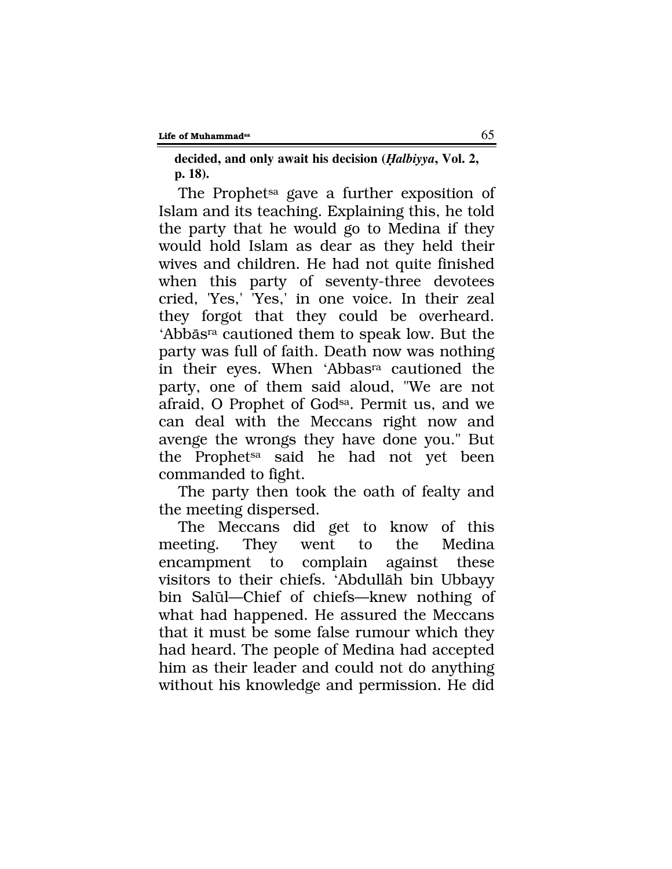**decided, and only await his decision (**H*albiyya***, Vol. 2, p. 18).** 

The Prophet<sup>sa</sup> gave a further exposition of Islam and its teaching. Explaining this, he told the party that he would go to Medina if they would hold Islam as dear as they held their wives and children. He had not quite finished when this party of seventy-three devotees cried, 'Yes,' 'Yes,' in one voice. In their zeal they forgot that they could be overheard. 'Abbasra cautioned them to speak low. But the party was full of faith. Death now was nothing in their eyes. When 'Abbasra cautioned the party, one of them said aloud, "We are not afraid, O Prophet of Godsa. Permit us, and we can deal with the Meccans right now and avenge the wrongs they have done you." But the Prophetsa said he had not yet been commanded to fight.

The party then took the oath of fealty and the meeting dispersed.

The Meccans did get to know of this meeting. They went to the Medina encampment to complain against these visitors to their chiefs. 'Abdullah bin Ubbayy bin Salul—Chief of chiefs—knew nothing of what had happened. He assured the Meccans that it must be some false rumour which they had heard. The people of Medina had accepted him as their leader and could not do anything without his knowledge and permission. He did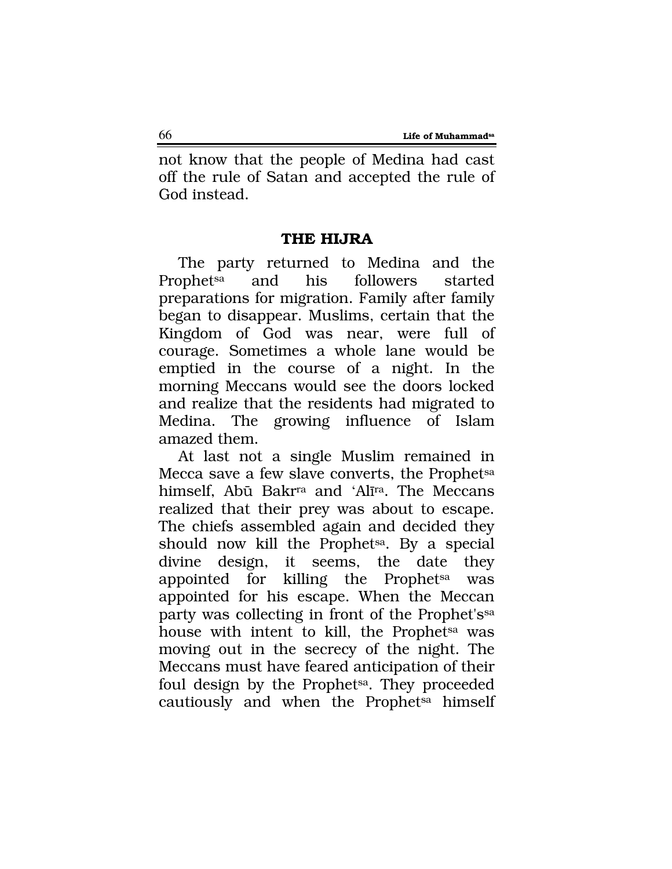not know that the people of Medina had cast off the rule of Satan and accepted the rule of God instead.

# **THE HIJRA**

The party returned to Medina and the Prophet<sup>sa</sup> and his followers started preparations for migration. Family after family began to disappear. Muslims, certain that the Kingdom of God was near, were full of courage. Sometimes a whole lane would be emptied in the course of a night. In the morning Meccans would see the doors locked and realize that the residents had migrated to Medina. The growing influence of Islam amazed them.

At last not a single Muslim remained in Mecca save a few slave converts, the Prophetsa himself. Abū Bakr<sup>ra</sup> and 'Al<del>ira. The Meccans</del> realized that their prey was about to escape. The chiefs assembled again and decided they should now kill the Prophetsa. By a special divine design, it seems, the date they appointed for killing the Prophetsa was appointed for his escape. When the Meccan party was collecting in front of the Prophet'ssa house with intent to kill, the Prophetsa was moving out in the secrecy of the night. The Meccans must have feared anticipation of their foul design by the Prophetsa. They proceeded cautiously and when the Prophetsa himself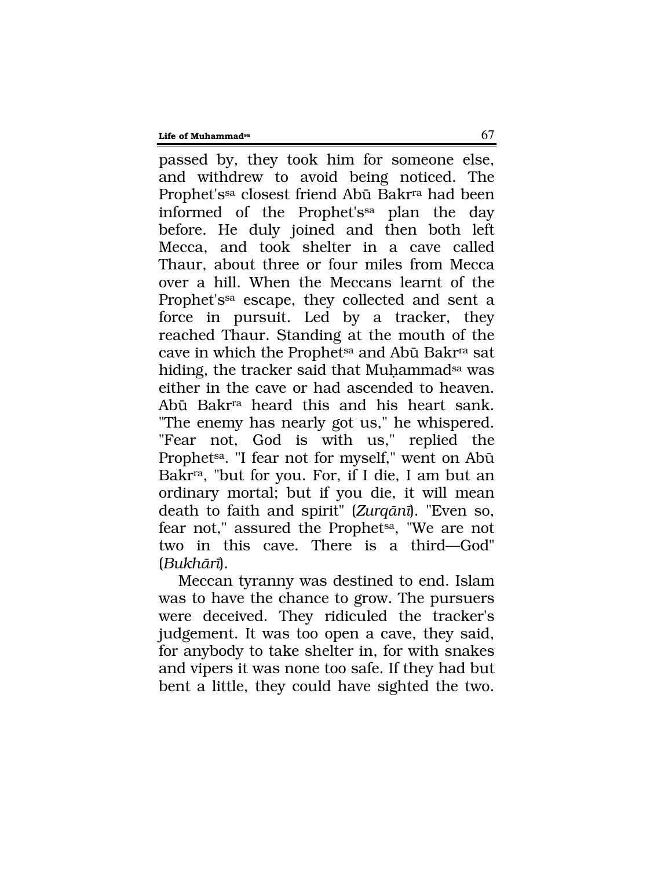passed by, they took him for someone else, and withdrew to avoid being noticed. The Prophet's<sup>sa</sup> closest friend Abū Bakr<sup>ra</sup> had been informed of the Prophet'ssa plan the day before. He duly joined and then both left Mecca, and took shelter in a cave called Thaur, about three or four miles from Mecca over a hill. When the Meccans learnt of the Prophet'ssa escape, they collected and sent a force in pursuit. Led by a tracker, they reached Thaur. Standing at the mouth of the cave in which the Prophetsa and Abu Bakrra sat hiding, the tracker said that Muhammadsa was either in the cave or had ascended to heaven. Abū Bakr<sup>ra</sup> heard this and his heart sank. "The enemy has nearly got us," he whispered. "Fear not, God is with us," replied the Prophetsa. "I fear not for myself," went on Abū Bakrra, "but for you. For, if I die, I am but an ordinary mortal; but if you die, it will mean death to faith and spirit" (*Zurq*a*n*i). "Even so, fear not," assured the Prophetsa, "We are not two in this cave. There is a third—God" (*Bukh*a*r*i).

Meccan tyranny was destined to end. Islam was to have the chance to grow. The pursuers were deceived. They ridiculed the tracker's judgement. It was too open a cave, they said, for anybody to take shelter in, for with snakes and vipers it was none too safe. If they had but bent a little, they could have sighted the two.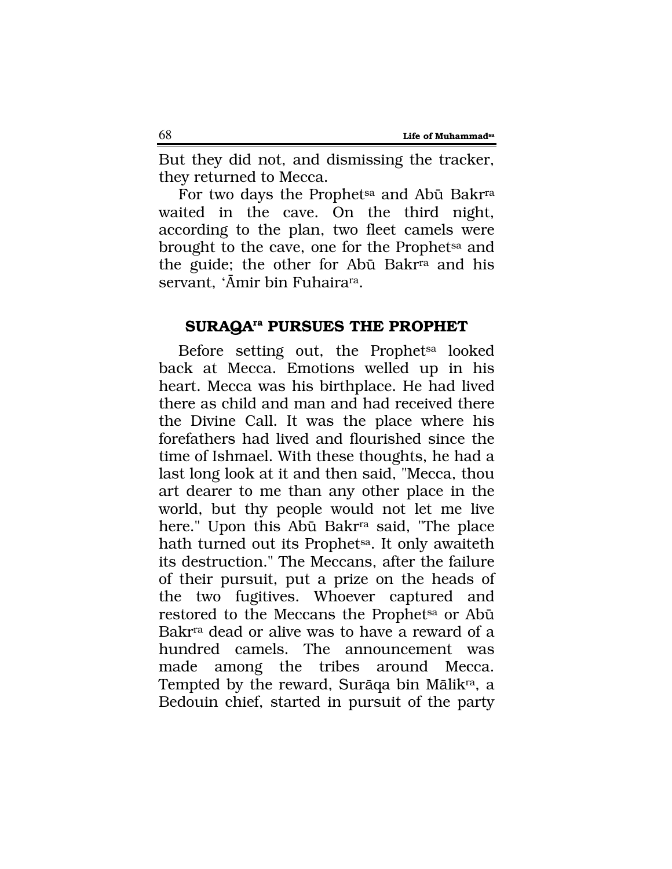But they did not, and dismissing the tracker, they returned to Mecca.

For two days the Prophetsa and Abū Bakrra waited in the cave. On the third night, according to the plan, two fleet camels were brought to the cave, one for the Prophetsa and the guide; the other for Abū Bakr<sup>ra</sup> and his servant, 'Amir bin Fuhairara.

#### **SURAQAra PURSUES THE PROPHET**

Before setting out, the Prophetsa looked back at Mecca. Emotions welled up in his heart. Mecca was his birthplace. He had lived there as child and man and had received there the Divine Call. It was the place where his forefathers had lived and flourished since the time of Ishmael. With these thoughts, he had a last long look at it and then said, "Mecca, thou art dearer to me than any other place in the world, but thy people would not let me live here." Upon this Abū Bakr<sup>ra</sup> said, "The place hath turned out its Prophetsa. It only awaiteth its destruction." The Meccans, after the failure of their pursuit, put a prize on the heads of the two fugitives. Whoever captured and restored to the Meccans the Prophetsa or Abū Bakrra dead or alive was to have a reward of a hundred camels. The announcement was made among the tribes around Mecca. Tempted by the reward, Suraqa bin Malikra, a Bedouin chief, started in pursuit of the party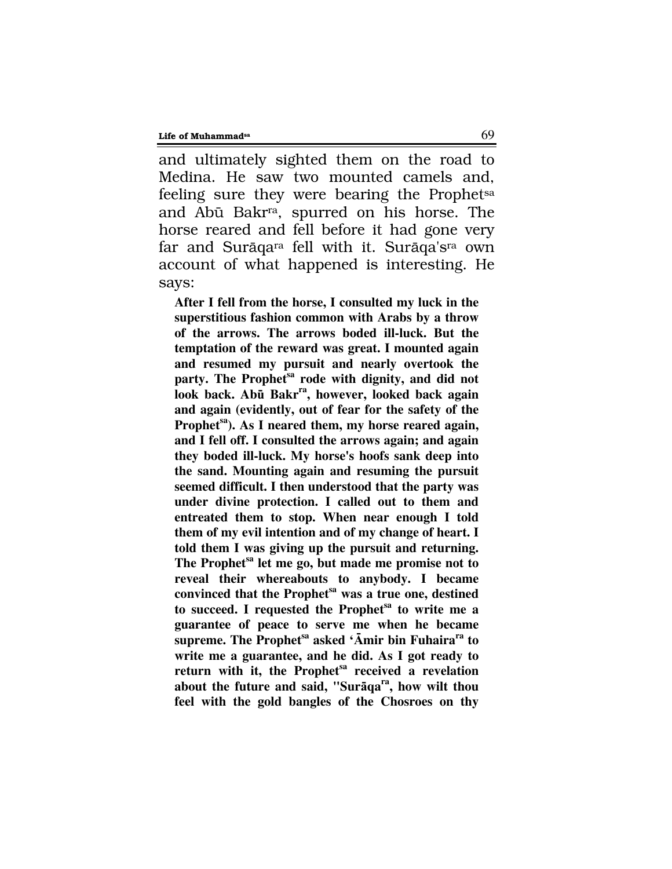and ultimately sighted them on the road to Medina. He saw two mounted camels and, feeling sure they were bearing the Prophetsa and Abu Bakrra, spurred on his horse. The horse reared and fell before it had gone very far and Suraqara fell with it. Suraqa'sra own account of what happened is interesting. He says:

**After I fell from the horse, I consulted my luck in the superstitious fashion common with Arabs by a throw of the arrows. The arrows boded ill-luck. But the temptation of the reward was great. I mounted again and resumed my pursuit and nearly overtook the party. The Prophetsa rode with dignity, and did not look back. Ab**u **Bakrra, however, looked back again and again (evidently, out of fear for the safety of the**  Prophet<sup>sa</sup>). As I neared them, my horse reared again, **and I fell off. I consulted the arrows again; and again they boded ill-luck. My horse's hoofs sank deep into the sand. Mounting again and resuming the pursuit seemed difficult. I then understood that the party was under divine protection. I called out to them and entreated them to stop. When near enough I told them of my evil intention and of my change of heart. I told them I was giving up the pursuit and returning.**  The Prophet<sup>sa</sup> let me go, but made me promise not to **reveal their whereabouts to anybody. I became**  convinced that the Prophet<sup>sa</sup> was a true one, destined to succeed. I requested the Prophet<sup>sa</sup> to write me a **guarantee of peace to serve me when he became**  supreme. The Prophet<sup>sa</sup> asked 'Amir bin Fuhaira<sup>ra</sup> to **write me a guarantee, and he did. As I got ready to return with it, the Prophetsa received a revelation about the future and said, "Sur**a**qara, how wilt thou feel with the gold bangles of the Chosroes on thy**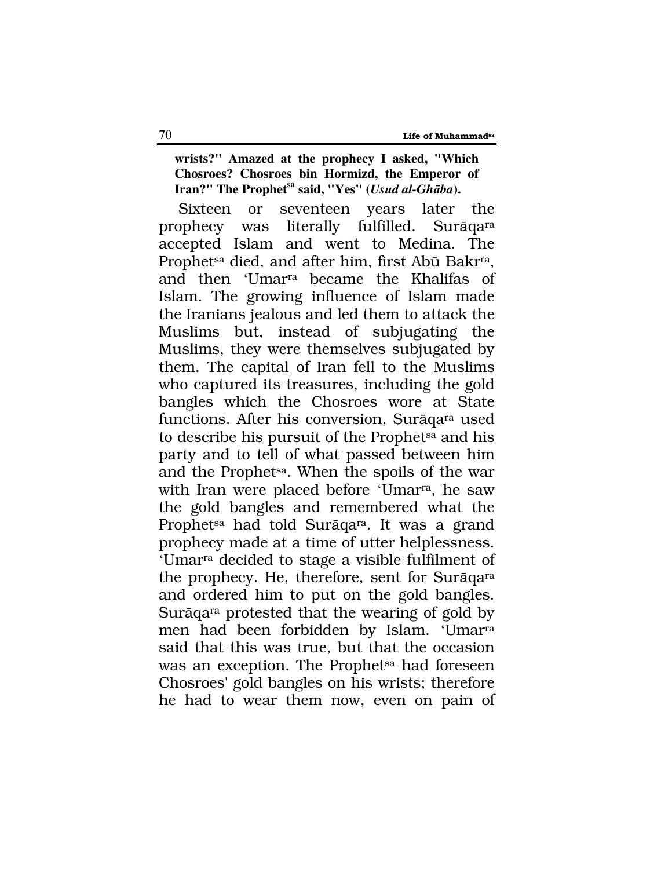**wrists?" Amazed at the prophecy I asked, "Which Chosroes? Chosroes bin Hormizd, the Emperor of**  Iran?" The Prophet<sup>sa</sup> said, "Yes" (*Usud al-Ghāba*).

Sixteen or seventeen years later the prophecy was literally fulfilled. Suraqara accepted Islam and went to Medina. The Prophetsa died, and after him, first Abū Bakrra, and then 'Umarra became the Khalifas of Islam. The growing influence of Islam made the Iranians jealous and led them to attack the Muslims but, instead of subjugating the Muslims, they were themselves subjugated by them. The capital of Iran fell to the Muslims who captured its treasures, including the gold bangles which the Chosroes wore at State functions. After his conversion, Suraqara used to describe his pursuit of the Prophetsa and his party and to tell of what passed between him and the Prophetsa. When the spoils of the war with Iran were placed before 'Umarra, he saw the gold bangles and remembered what the Prophetsa had told Suraqara. It was a grand prophecy made at a time of utter helplessness. 'Umarra decided to stage a visible fulfilment of the prophecy. He, therefore, sent for Suraqara and ordered him to put on the gold bangles. Suraqara protested that the wearing of gold by men had been forbidden by Islam. 'Umarra said that this was true, but that the occasion was an exception. The Prophetsa had foreseen Chosroes' gold bangles on his wrists; therefore he had to wear them now, even on pain of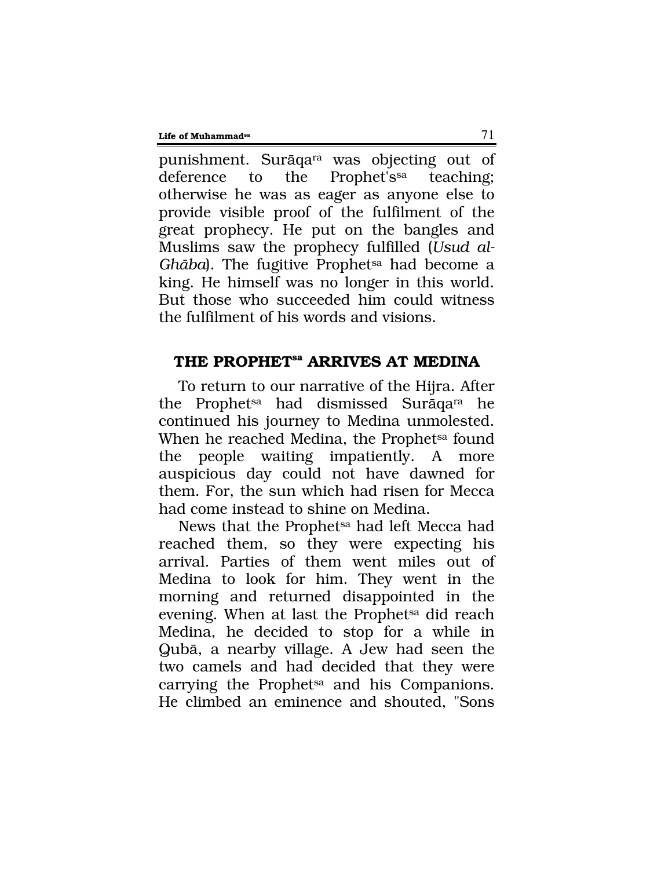punishment. Suraqara was objecting out of deference to the Prophet's<sup>sa</sup> teaching; otherwise he was as eager as anyone else to provide visible proof of the fulfilment of the great prophecy. He put on the bangles and Muslims saw the prophecy fulfilled (*Usud al-Gh*a*ba*). The fugitive Prophetsa had become a king. He himself was no longer in this world. But those who succeeded him could witness the fulfilment of his words and visions.

# **THE PROPHETsa ARRIVES AT MEDINA**

To return to our narrative of the Hijra. After the Prophetsa had dismissed Suraqara he continued his journey to Medina unmolested. When he reached Medina, the Prophetsa found the people waiting impatiently. A more auspicious day could not have dawned for them. For, the sun which had risen for Mecca had come instead to shine on Medina.

News that the Prophetsa had left Mecca had reached them, so they were expecting his arrival. Parties of them went miles out of Medina to look for him. They went in the morning and returned disappointed in the evening. When at last the Prophetsa did reach Medina, he decided to stop for a while in Quba, a nearby village. A Jew had seen the two camels and had decided that they were carrying the Prophetsa and his Companions. He climbed an eminence and shouted, "Sons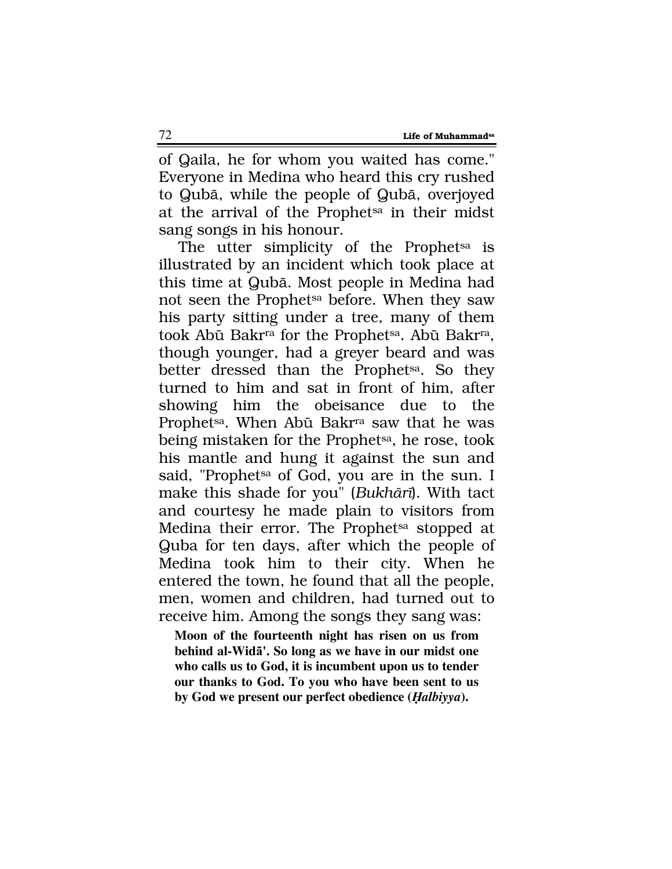of Qaila, he for whom you waited has come." Everyone in Medina who heard this cry rushed to Quba, while the people of Quba, overjoyed at the arrival of the Prophetsa in their midst sang songs in his honour.

The utter simplicity of the Prophetsa is illustrated by an incident which took place at this time at Quba. Most people in Medina had not seen the Prophetsa before. When they saw his party sitting under a tree, many of them took Abū Bakr<sup>ra</sup> for the Prophetsa. Abū Bakr<sup>ra</sup>, though younger, had a greyer beard and was better dressed than the Prophetsa. So they turned to him and sat in front of him, after showing him the obeisance due to the Prophetsa. When Abū Bakrra saw that he was being mistaken for the Prophetsa, he rose, took his mantle and hung it against the sun and said, "Prophetsa of God, you are in the sun. I make this shade for you" (*Bukh*a*r*i). With tact and courtesy he made plain to visitors from Medina their error. The Prophetsa stopped at Quba for ten days, after which the people of Medina took him to their city. When he entered the town, he found that all the people, men, women and children, had turned out to receive him. Among the songs they sang was:

**Moon of the fourteenth night has risen on us from behind al-Wid**a**'. So long as we have in our midst one who calls us to God, it is incumbent upon us to tender our thanks to God. To you who have been sent to us by God we present our perfect obedience (**H*albiyya***).**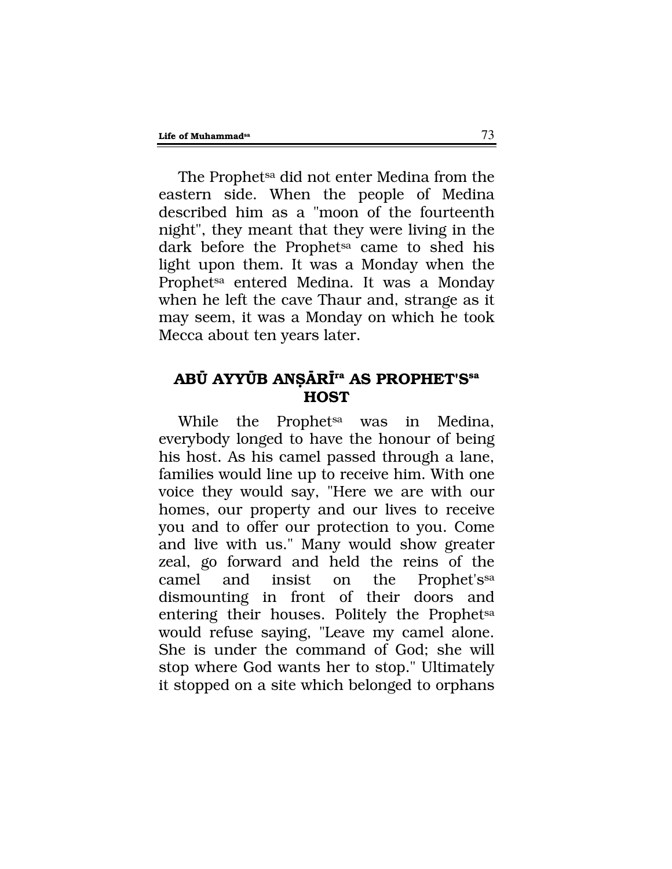The Prophet<sup>sa</sup> did not enter Medina from the eastern side. When the people of Medina described him as a "moon of the fourteenth night", they meant that they were living in the dark before the Prophetsa came to shed his light upon them. It was a Monday when the Prophetsa entered Medina. It was a Monday when he left the cave Thaur and, strange as it may seem, it was a Monday on which he took Mecca about ten years later.

# **AB**U **AYY**U**B AN**SA**R**I**ra AS PROPHET'Ssa HOST**

While the Prophetsa was in Medina, everybody longed to have the honour of being his host. As his camel passed through a lane, families would line up to receive him. With one voice they would say, "Here we are with our homes, our property and our lives to receive you and to offer our protection to you. Come and live with us." Many would show greater zeal, go forward and held the reins of the camel and insist on the Prophet'ssa dismounting in front of their doors and entering their houses. Politely the Prophetsa would refuse saying, "Leave my camel alone. She is under the command of God; she will stop where God wants her to stop." Ultimately it stopped on a site which belonged to orphans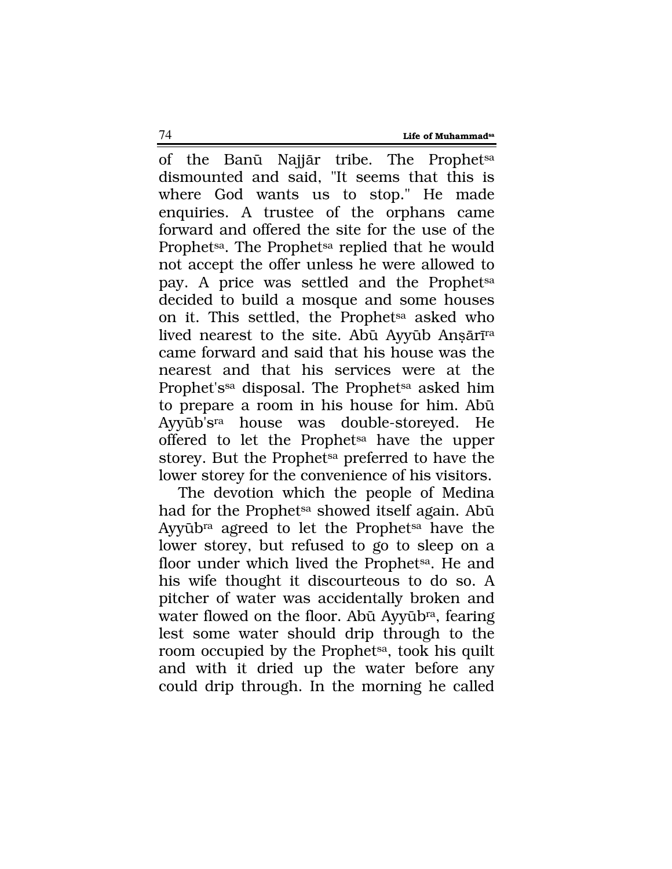of the Banu Najjar tribe. The Prophetsa dismounted and said, "It seems that this is where God wants us to stop." He made enquiries. A trustee of the orphans came forward and offered the site for the use of the Prophetsa. The Prophetsa replied that he would not accept the offer unless he were allowed to pay. A price was settled and the Prophetsa decided to build a mosque and some houses on it. This settled, the Prophetsa asked who lived nearest to the site. Abū Ayyūb Ansārī<sup>ra</sup> came forward and said that his house was the nearest and that his services were at the Prophet's<sup>sa</sup> disposal. The Prophet<sup>sa</sup> asked him to prepare a room in his house for him. Abū Ayyūb's<sup>ra</sup> house was double-storeyed. He offered to let the Prophetsa have the upper storey. But the Prophetsa preferred to have the lower storey for the convenience of his visitors.

The devotion which the people of Medina had for the Prophetsa showed itself again. Abū Ayyūb<sup>ra</sup> agreed to let the Prophet<sup>sa</sup> have the lower storey, but refused to go to sleep on a floor under which lived the Prophetsa. He and his wife thought it discourteous to do so. A pitcher of water was accidentally broken and water flowed on the floor. Abū Ayyūbra, fearing lest some water should drip through to the room occupied by the Prophetsa, took his quilt and with it dried up the water before any could drip through. In the morning he called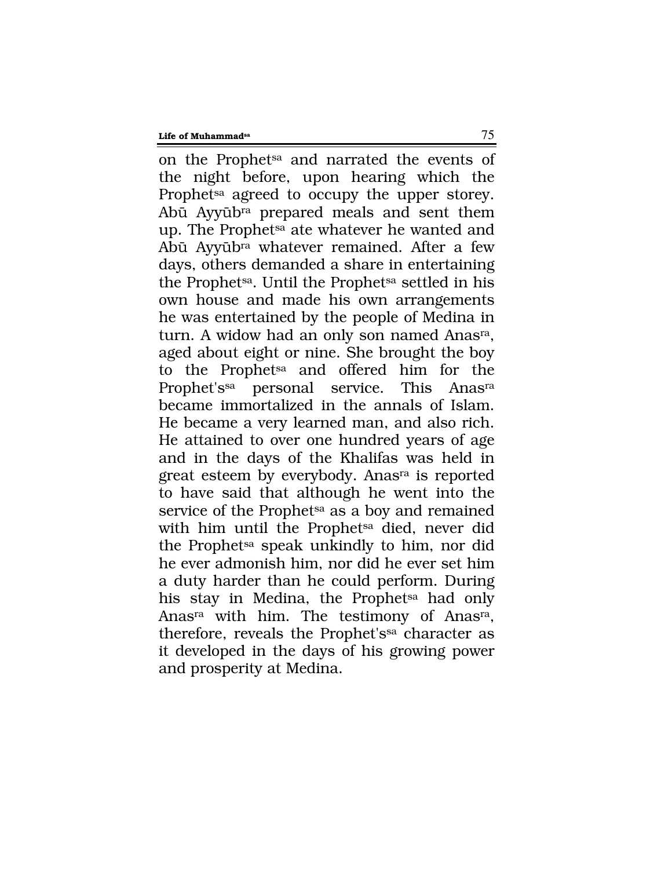on the Prophetsa and narrated the events of the night before, upon hearing which the Prophetsa agreed to occupy the upper storey. Abū Ayyūbra prepared meals and sent them up. The Prophetsa ate whatever he wanted and Abū Ayyūb<sup>ra</sup> whatever remained. After a few days, others demanded a share in entertaining the Prophetsa. Until the Prophetsa settled in his own house and made his own arrangements he was entertained by the people of Medina in turn. A widow had an only son named Anasra, aged about eight or nine. She brought the boy to the Prophetsa and offered him for the Prophet's<sup>sa</sup> personal service. This Anas<sup>ra</sup> became immortalized in the annals of Islam. He became a very learned man, and also rich. He attained to over one hundred years of age and in the days of the Khalifas was held in great esteem by everybody. Anasra is reported to have said that although he went into the service of the Prophet<sup>sa</sup> as a boy and remained with him until the Prophetsa died, never did the Prophetsa speak unkindly to him, nor did he ever admonish him, nor did he ever set him a duty harder than he could perform. During his stay in Medina, the Prophet<sup>sa</sup> had only Anasra with him. The testimony of Anasra, therefore, reveals the Prophet'ssa character as it developed in the days of his growing power and prosperity at Medina.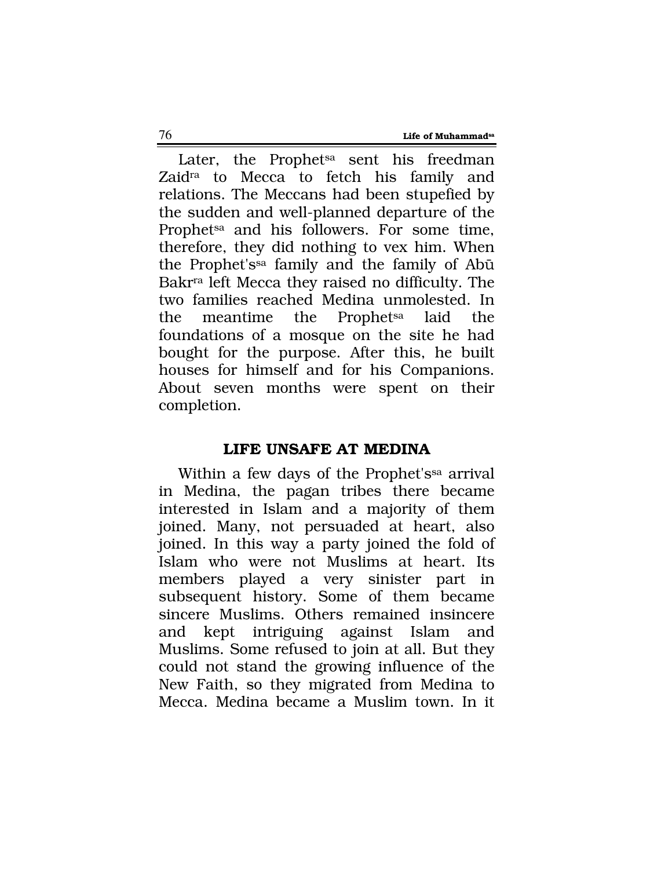Later, the Prophetsa sent his freedman Zaidra to Mecca to fetch his family and relations. The Meccans had been stupefied by the sudden and well-planned departure of the Prophet<sup>sa</sup> and his followers. For some time, therefore, they did nothing to vex him. When the Prophet'ssa family and the family of Abū Bakrra left Mecca they raised no difficulty. The two families reached Medina unmolested. In the meantime the Prophetsa laid the foundations of a mosque on the site he had bought for the purpose. After this, he built houses for himself and for his Companions. About seven months were spent on their completion.

## **LIFE UNSAFE AT MEDINA**

Within a few days of the Prophet'ssa arrival in Medina, the pagan tribes there became interested in Islam and a majority of them joined. Many, not persuaded at heart, also joined. In this way a party joined the fold of Islam who were not Muslims at heart. Its members played a very sinister part in subsequent history. Some of them became sincere Muslims. Others remained insincere and kept intriguing against Islam and Muslims. Some refused to join at all. But they could not stand the growing influence of the New Faith, so they migrated from Medina to Mecca. Medina became a Muslim town. In it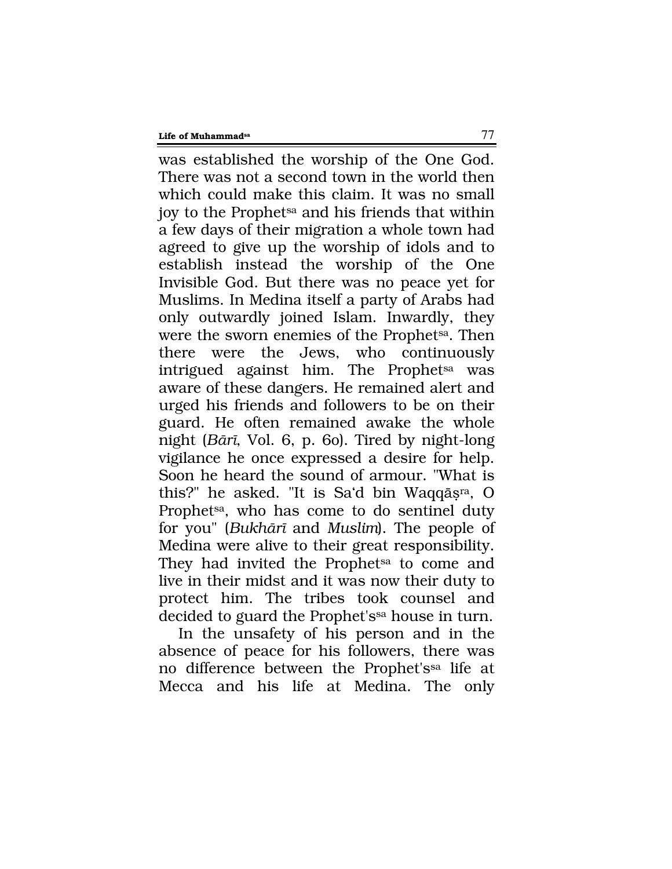was established the worship of the One God. There was not a second town in the world then which could make this claim. It was no small joy to the Prophetsa and his friends that within a few days of their migration a whole town had agreed to give up the worship of idols and to establish instead the worship of the One Invisible God. But there was no peace yet for Muslims. In Medina itself a party of Arabs had only outwardly joined Islam. Inwardly, they were the sworn enemies of the Prophetsa. Then there were the Jews, who continuously intrigued against him. The Prophetsa was aware of these dangers. He remained alert and urged his friends and followers to be on their guard. He often remained awake the whole night (*B*a*r*i, Vol. 6, p. 6o). Tired by night-long vigilance he once expressed a desire for help. Soon he heard the sound of armour. "What is this?" he asked. "It is Sa'd bin Waqqasra, O Prophetsa, who has come to do sentinel duty for you" (*Bukh*a*r*i and *Muslim*). The people of Medina were alive to their great responsibility. They had invited the Prophetsa to come and live in their midst and it was now their duty to protect him. The tribes took counsel and decided to guard the Prophet'ssa house in turn.

In the unsafety of his person and in the absence of peace for his followers, there was no difference between the Prophet'ssa life at Mecca and his life at Medina. The only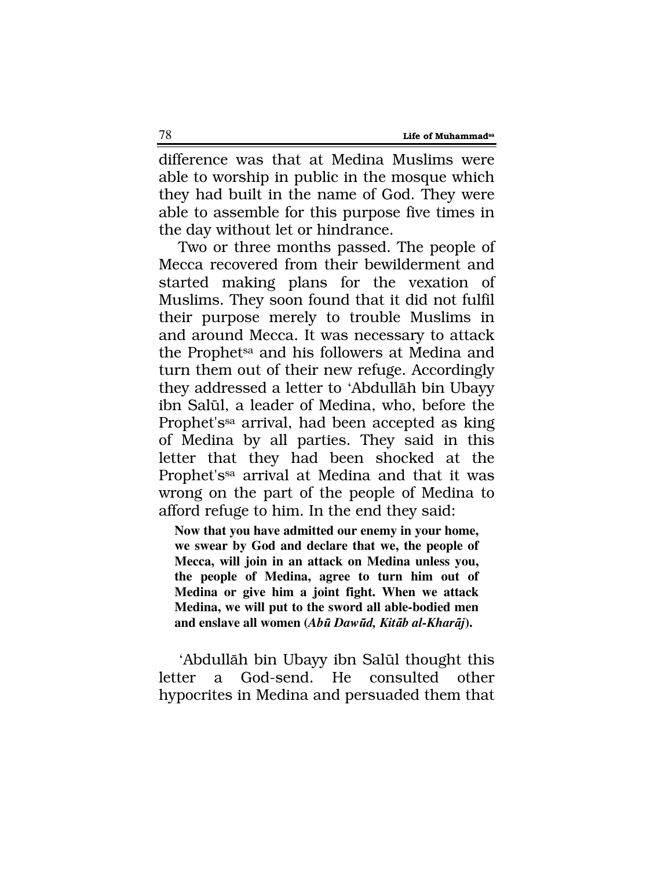difference was that at Medina Muslims were able to worship in public in the mosque which they had built in the name of God. They were able to assemble for this purpose five times in the day without let or hindrance.

Two or three months passed. The people of Mecca recovered from their bewilderment and started making plans for the vexation of Muslims. They soon found that it did not fulfil their purpose merely to trouble Muslims in and around Mecca. It was necessary to attack the Prophetsa and his followers at Medina and turn them out of their new refuge. Accordingly they addressed a letter to 'Abdullah bin Ubayy ibn Salūl, a leader of Medina, who, before the Prophet'ssa arrival, had been accepted as king of Medina by all parties. They said in this letter that they had been shocked at the Prophet'ssa arrival at Medina and that it was wrong on the part of the people of Medina to afford refuge to him. In the end they said:

**Now that you have admitted our enemy in your home, we swear by God and declare that we, the people of Mecca, will join in an attack on Medina unless you, the people of Medina, agree to turn him out of Medina or give him a joint fight. When we attack Medina, we will put to the sword all able-bodied men and enslave all women (***Ab*u *Daw*u*d, Kit*a*b al-Khar*a*j***).** 

'Abdullah bin Ubayy ibn Salūl thought this letter a God-send. He consulted other hypocrites in Medina and persuaded them that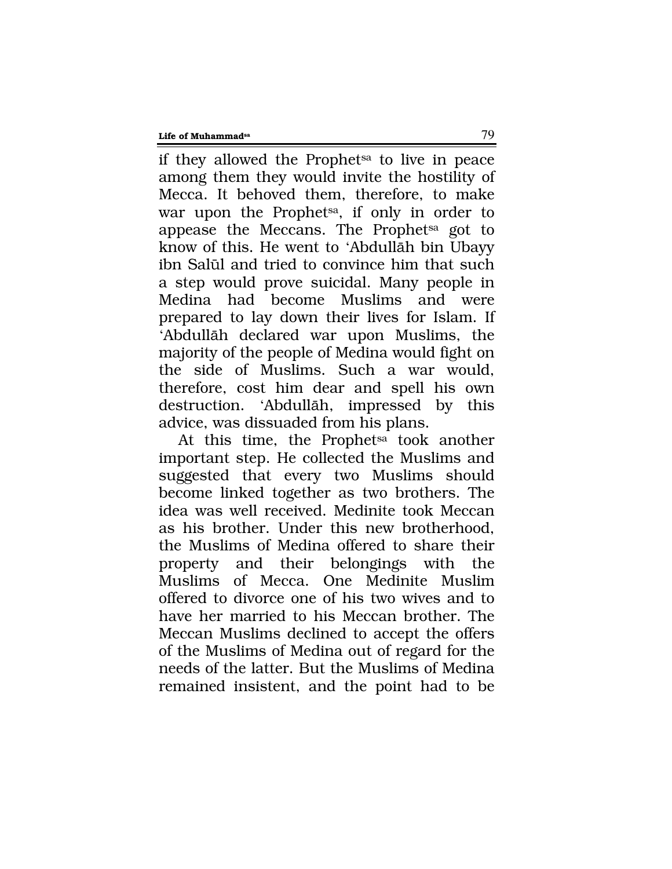if they allowed the Prophetsa to live in peace among them they would invite the hostility of Mecca. It behoved them, therefore, to make war upon the Prophetsa, if only in order to appease the Meccans. The Prophetsa got to know of this. He went to 'Abdullah bin Ubayy ibn Salūl and tried to convince him that such a step would prove suicidal. Many people in Medina had become Muslims and were prepared to lay down their lives for Islam. If 'Abdullah declared war upon Muslims, the majority of the people of Medina would fight on the side of Muslims. Such a war would, therefore, cost him dear and spell his own destruction. 'Abdullah, impressed by this advice, was dissuaded from his plans.

At this time, the Prophetsa took another important step. He collected the Muslims and suggested that every two Muslims should become linked together as two brothers. The idea was well received. Medinite took Meccan as his brother. Under this new brotherhood, the Muslims of Medina offered to share their property and their belongings with the Muslims of Mecca. One Medinite Muslim offered to divorce one of his two wives and to have her married to his Meccan brother. The Meccan Muslims declined to accept the offers of the Muslims of Medina out of regard for the needs of the latter. But the Muslims of Medina remained insistent, and the point had to be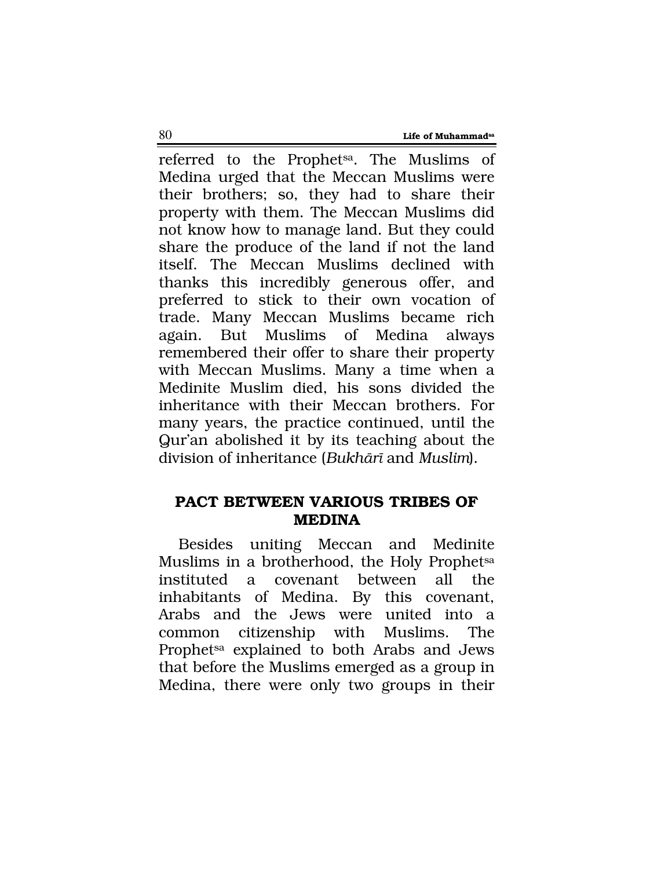referred to the Prophetsa. The Muslims of Medina urged that the Meccan Muslims were their brothers; so, they had to share their property with them. The Meccan Muslims did not know how to manage land. But they could share the produce of the land if not the land itself. The Meccan Muslims declined with thanks this incredibly generous offer, and preferred to stick to their own vocation of trade. Many Meccan Muslims became rich again. But Muslims of Medina always remembered their offer to share their property with Meccan Muslims. Many a time when a Medinite Muslim died, his sons divided the inheritance with their Meccan brothers. For many years, the practice continued, until the Qur'an abolished it by its teaching about the division of inheritance (*Bukh*a*r*i and *Muslim*).

## **PACT BETWEEN VARIOUS TRIBES OF MEDINA**

Besides uniting Meccan and Medinite Muslims in a brotherhood, the Holy Prophetsa instituted a covenant between all the inhabitants of Medina. By this covenant, Arabs and the Jews were united into a common citizenship with Muslims. The Prophet<sup>sa</sup> explained to both Arabs and Jews that before the Muslims emerged as a group in Medina, there were only two groups in their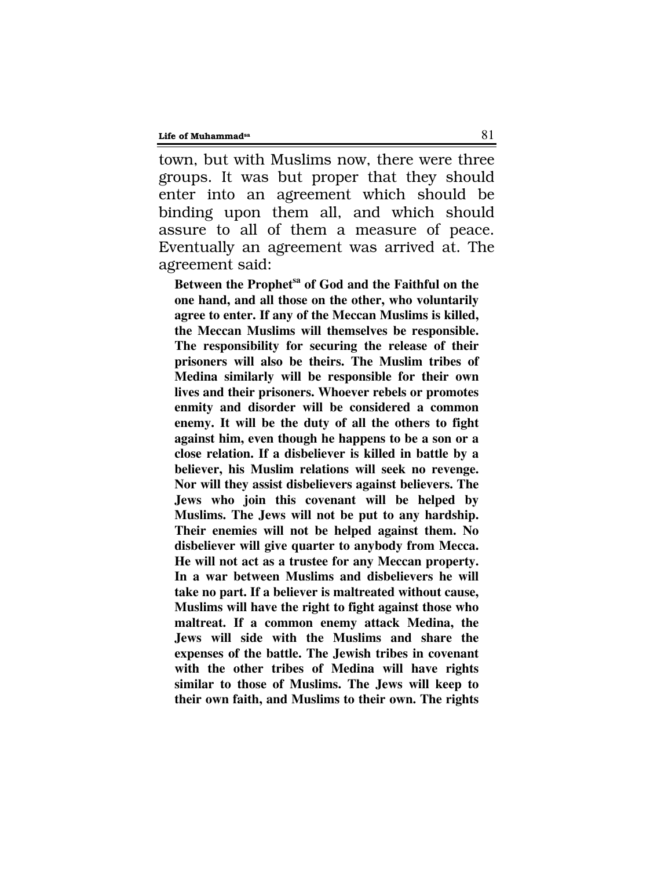town, but with Muslims now, there were three groups. It was but proper that they should enter into an agreement which should be binding upon them all, and which should assure to all of them a measure of peace. Eventually an agreement was arrived at. The agreement said:

Between the Prophet<sup>sa</sup> of God and the Faithful on the **one hand, and all those on the other, who voluntarily agree to enter. If any of the Meccan Muslims is killed, the Meccan Muslims will themselves be responsible. The responsibility for securing the release of their prisoners will also be theirs. The Muslim tribes of Medina similarly will be responsible for their own lives and their prisoners. Whoever rebels or promotes enmity and disorder will be considered a common enemy. It will be the duty of all the others to fight against him, even though he happens to be a son or a close relation. If a disbeliever is killed in battle by a believer, his Muslim relations will seek no revenge. Nor will they assist disbelievers against believers. The Jews who join this covenant will be helped by Muslims. The Jews will not be put to any hardship. Their enemies will not be helped against them. No disbeliever will give quarter to anybody from Mecca. He will not act as a trustee for any Meccan property. In a war between Muslims and disbelievers he will take no part. If a believer is maltreated without cause, Muslims will have the right to fight against those who maltreat. If a common enemy attack Medina, the Jews will side with the Muslims and share the expenses of the battle. The Jewish tribes in covenant with the other tribes of Medina will have rights similar to those of Muslims. The Jews will keep to their own faith, and Muslims to their own. The rights**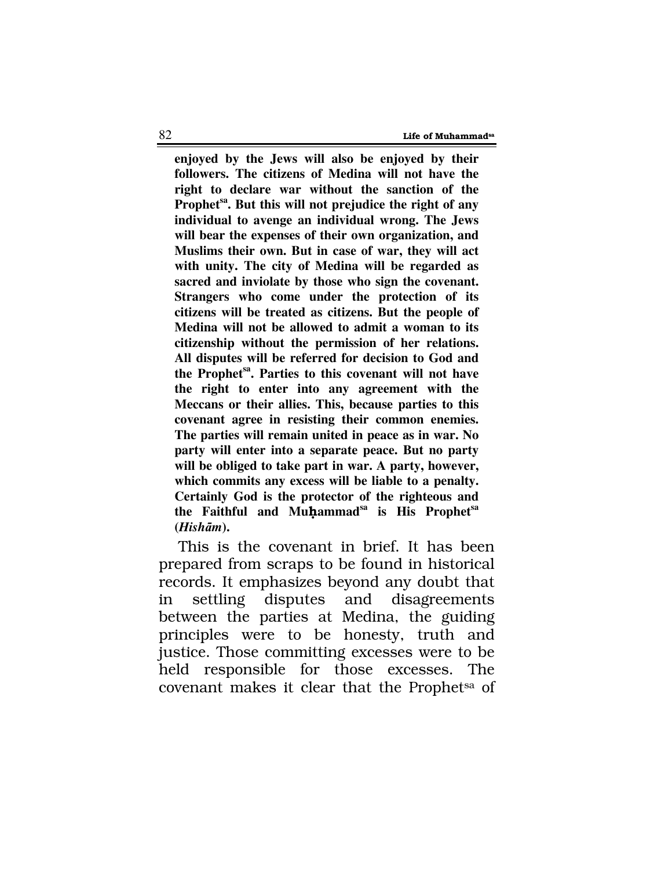**enjoyed by the Jews will also be enjoyed by their followers. The citizens of Medina will not have the right to declare war without the sanction of the**  Prophet<sup>sa</sup>. But this will not prejudice the right of any **individual to avenge an individual wrong. The Jews will bear the expenses of their own organization, and Muslims their own. But in case of war, they will act with unity. The city of Medina will be regarded as sacred and inviolate by those who sign the covenant. Strangers who come under the protection of its citizens will be treated as citizens. But the people of Medina will not be allowed to admit a woman to its citizenship without the permission of her relations. All disputes will be referred for decision to God and**  the Prophet<sup>sa</sup>. Parties to this covenant will not have **the right to enter into any agreement with the Meccans or their allies. This, because parties to this covenant agree in resisting their common enemies. The parties will remain united in peace as in war. No party will enter into a separate peace. But no party will be obliged to take part in war. A party, however, which commits any excess will be liable to a penalty. Certainly God is the protector of the righteous and the Faithful and Mu**h**ammadsa is His Prophetsa (***Hish*a*m***).** 

This is the covenant in brief. It has been prepared from scraps to be found in historical records. It emphasizes beyond any doubt that in settling disputes and disagreements between the parties at Medina, the guiding principles were to be honesty, truth and justice. Those committing excesses were to be held responsible for those excesses. The covenant makes it clear that the Prophetsa of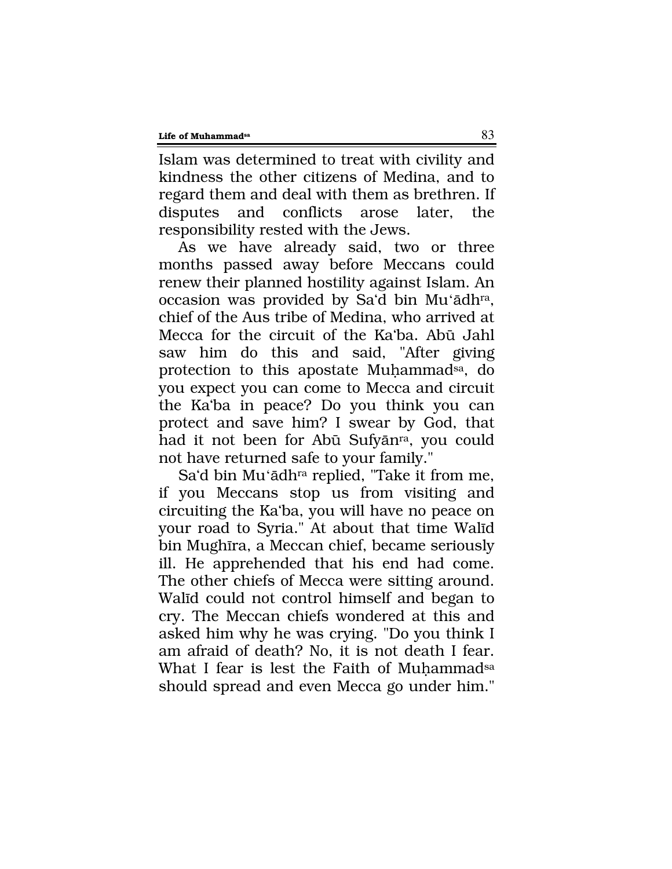Islam was determined to treat with civility and kindness the other citizens of Medina, and to regard them and deal with them as brethren. If disputes and conflicts arose later, the responsibility rested with the Jews.

As we have already said, two or three months passed away before Meccans could renew their planned hostility against Islam. An occasion was provided by Sa'd bin Mu'adhra, chief of the Aus tribe of Medina, who arrived at Mecca for the circuit of the Ka'ba. Abū Jahl saw him do this and said, "After giving protection to this apostate Muhammadsa, do you expect you can come to Mecca and circuit the Ka'ba in peace? Do you think you can protect and save him? I swear by God, that had it not been for Abū Sufyān<sup>ra</sup>, you could not have returned safe to your family."

Sa'd bin Mu'adhra replied, "Take it from me, if you Meccans stop us from visiting and circuiting the Ka'ba, you will have no peace on your road to Syria." At about that time Walid bin Mughira, a Meccan chief, became seriously ill. He apprehended that his end had come. The other chiefs of Mecca were sitting around. Walid could not control himself and began to cry. The Meccan chiefs wondered at this and asked him why he was crying. "Do you think I am afraid of death? No, it is not death I fear. What I fear is lest the Faith of Muhammadsa should spread and even Mecca go under him."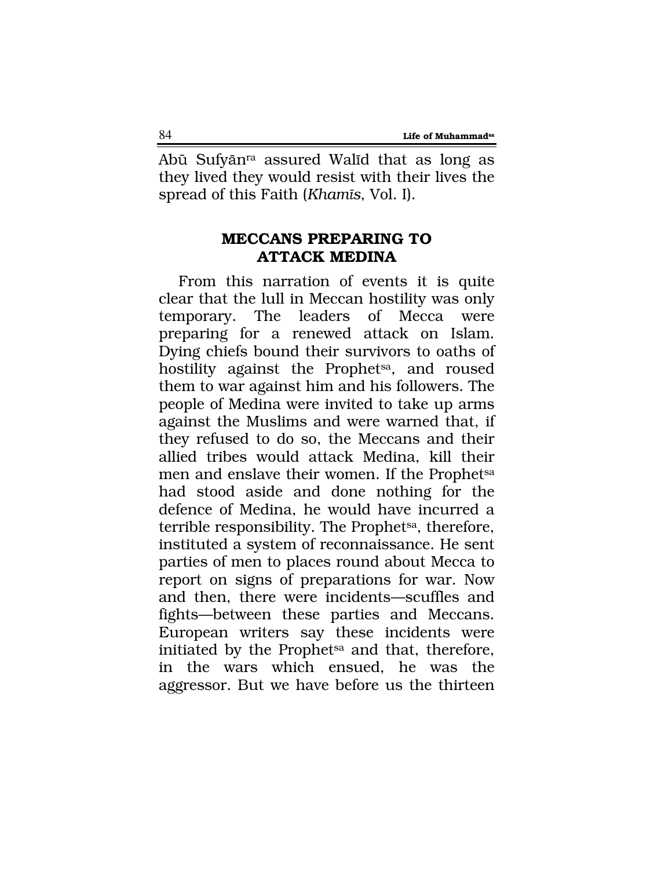Abu Sufyanra assured Walid that as long as they lived they would resist with their lives the spread of this Faith (*Kham*i*s*, Vol. I).

## **MECCANS PREPARING TO ATTACK MEDINA**

From this narration of events it is quite clear that the lull in Meccan hostility was only temporary. The leaders of Mecca were preparing for a renewed attack on Islam. Dying chiefs bound their survivors to oaths of hostility against the Prophetsa, and roused them to war against him and his followers. The people of Medina were invited to take up arms against the Muslims and were warned that, if they refused to do so, the Meccans and their allied tribes would attack Medina, kill their men and enslave their women. If the Prophetsa had stood aside and done nothing for the defence of Medina, he would have incurred a terrible responsibility. The Prophetsa, therefore, instituted a system of reconnaissance. He sent parties of men to places round about Mecca to report on signs of preparations for war. Now and then, there were incidents—scuffles and fights—between these parties and Meccans. European writers say these incidents were initiated by the Prophet<sup>sa</sup> and that, therefore, in the wars which ensued, he was the aggressor. But we have before us the thirteen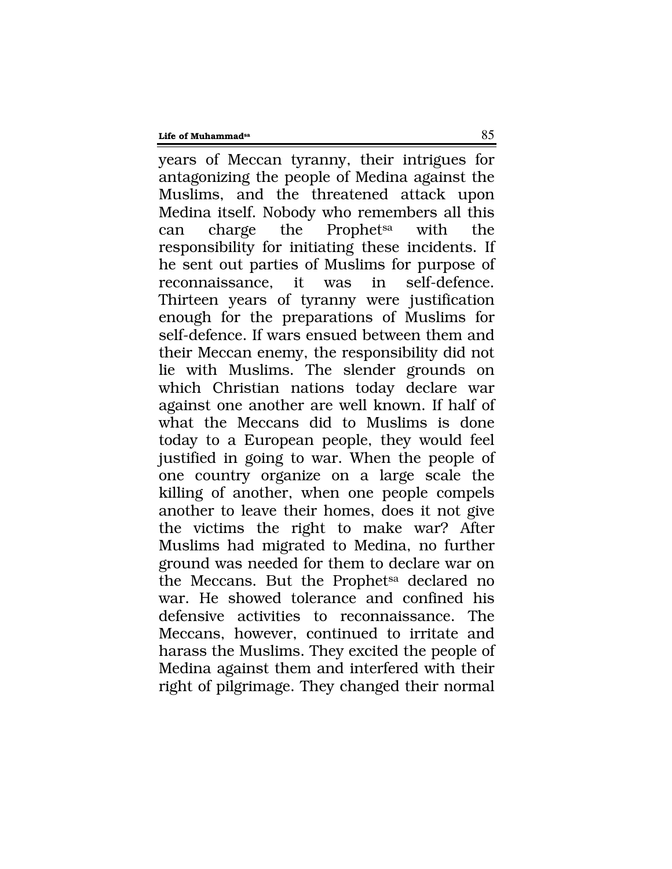years of Meccan tyranny, their intrigues for antagonizing the people of Medina against the Muslims, and the threatened attack upon Medina itself. Nobody who remembers all this can charge the Prophetsa with the responsibility for initiating these incidents. If he sent out parties of Muslims for purpose of reconnaissance, it was in self-defence. Thirteen years of tyranny were justification enough for the preparations of Muslims for self-defence. If wars ensued between them and their Meccan enemy, the responsibility did not lie with Muslims. The slender grounds on which Christian nations today declare war against one another are well known. If half of what the Meccans did to Muslims is done today to a European people, they would feel justified in going to war. When the people of one country organize on a large scale the killing of another, when one people compels another to leave their homes, does it not give the victims the right to make war? After Muslims had migrated to Medina, no further ground was needed for them to declare war on the Meccans. But the Prophetsa declared no war. He showed tolerance and confined his defensive activities to reconnaissance. The Meccans, however, continued to irritate and harass the Muslims. They excited the people of Medina against them and interfered with their right of pilgrimage. They changed their normal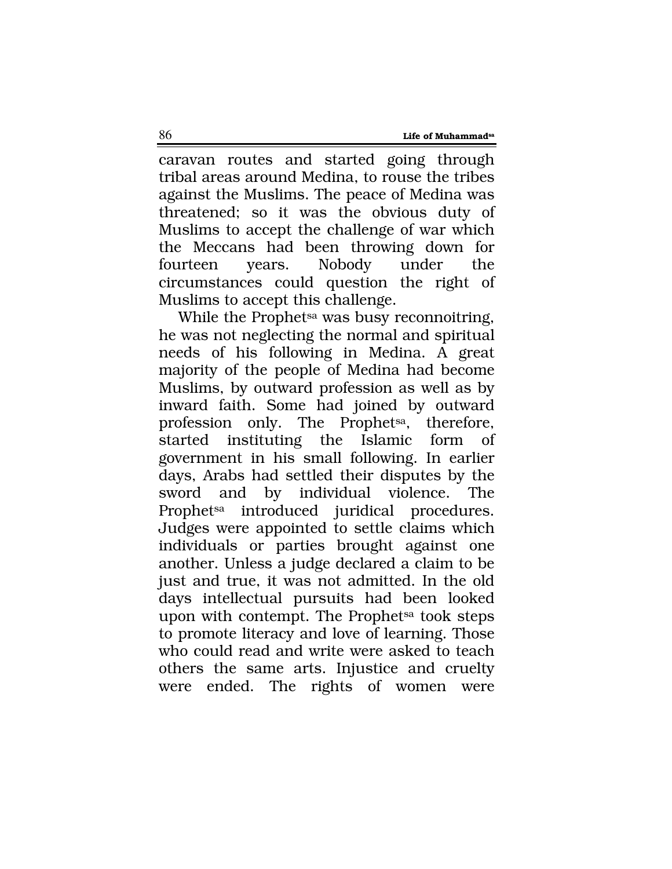caravan routes and started going through tribal areas around Medina, to rouse the tribes against the Muslims. The peace of Medina was threatened; so it was the obvious duty of Muslims to accept the challenge of war which the Meccans had been throwing down for fourteen years. Nobody under the circumstances could question the right of Muslims to accept this challenge.

While the Prophetsa was busy reconnoitring, he was not neglecting the normal and spiritual needs of his following in Medina. A great majority of the people of Medina had become Muslims, by outward profession as well as by inward faith. Some had joined by outward profession only. The Prophetsa, therefore, started instituting the Islamic form of government in his small following. In earlier days, Arabs had settled their disputes by the sword and by individual violence. The Prophet<sup>sa</sup> introduced juridical procedures. Judges were appointed to settle claims which individuals or parties brought against one another. Unless a judge declared a claim to be just and true, it was not admitted. In the old days intellectual pursuits had been looked upon with contempt. The Prophetsa took steps to promote literacy and love of learning. Those who could read and write were asked to teach others the same arts. Injustice and cruelty were ended. The rights of women were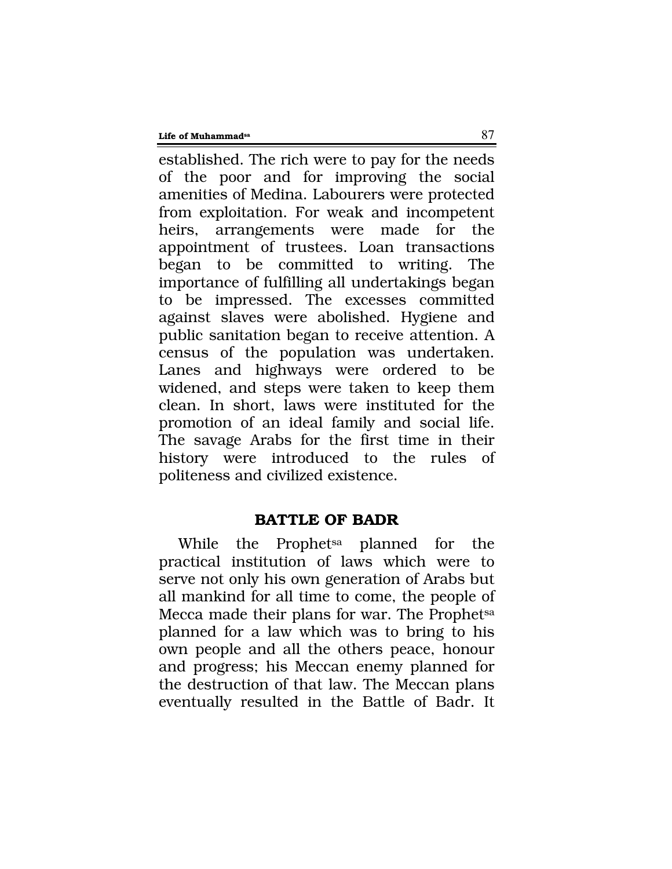established. The rich were to pay for the needs of the poor and for improving the social amenities of Medina. Labourers were protected from exploitation. For weak and incompetent heirs, arrangements were made for the appointment of trustees. Loan transactions began to be committed to writing. The importance of fulfilling all undertakings began to be impressed. The excesses committed against slaves were abolished. Hygiene and public sanitation began to receive attention. A census of the population was undertaken. Lanes and highways were ordered to be widened, and steps were taken to keep them clean. In short, laws were instituted for the promotion of an ideal family and social life. The savage Arabs for the first time in their history were introduced to the rules of politeness and civilized existence.

## **BATTLE OF BADR**

While the Prophet<sup>sa</sup> planned for the practical institution of laws which were to serve not only his own generation of Arabs but all mankind for all time to come, the people of Mecca made their plans for war. The Prophetsa planned for a law which was to bring to his own people and all the others peace, honour and progress; his Meccan enemy planned for the destruction of that law. The Meccan plans eventually resulted in the Battle of Badr. It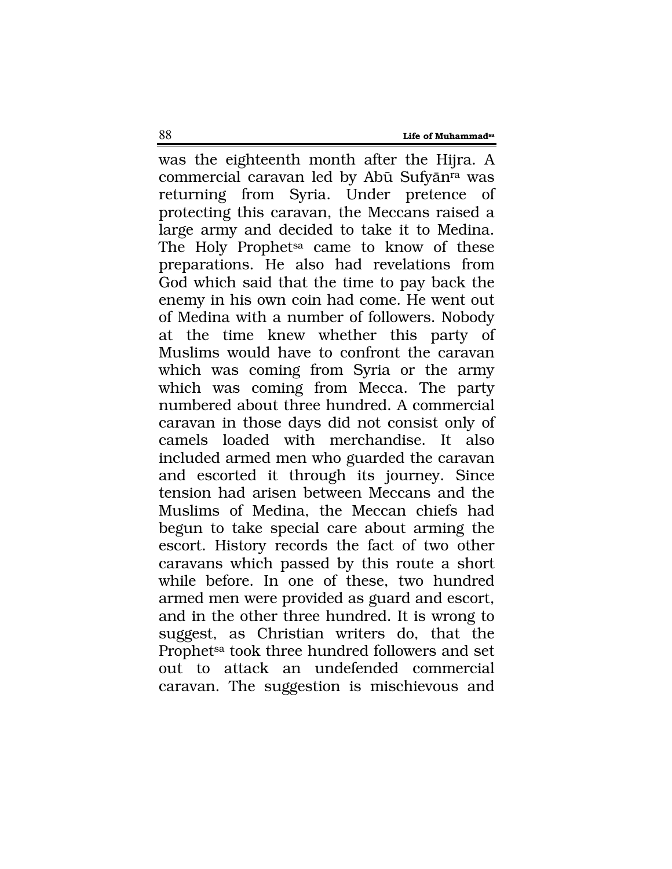was the eighteenth month after the Hijra. A commercial caravan led by Abū Sufyānra was returning from Syria. Under pretence of protecting this caravan, the Meccans raised a large army and decided to take it to Medina. The Holy Prophetsa came to know of these preparations. He also had revelations from God which said that the time to pay back the enemy in his own coin had come. He went out of Medina with a number of followers. Nobody at the time knew whether this party of Muslims would have to confront the caravan which was coming from Syria or the army which was coming from Mecca. The party numbered about three hundred. A commercial caravan in those days did not consist only of camels loaded with merchandise. It also included armed men who guarded the caravan and escorted it through its journey. Since tension had arisen between Meccans and the Muslims of Medina, the Meccan chiefs had begun to take special care about arming the escort. History records the fact of two other caravans which passed by this route a short while before. In one of these, two hundred armed men were provided as guard and escort, and in the other three hundred. It is wrong to suggest, as Christian writers do, that the Prophet<sup>sa</sup> took three hundred followers and set out to attack an undefended commercial caravan. The suggestion is mischievous and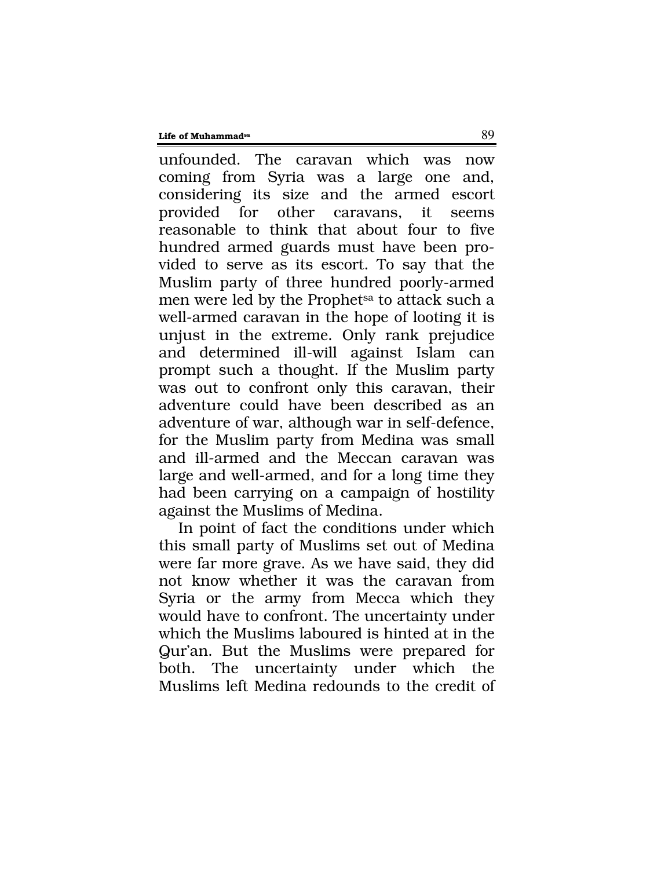unfounded. The caravan which was now coming from Syria was a large one and, considering its size and the armed escort provided for other caravans, it seems reasonable to think that about four to five hundred armed guards must have been provided to serve as its escort. To say that the Muslim party of three hundred poorly-armed men were led by the Prophetsa to attack such a well-armed caravan in the hope of looting it is unjust in the extreme. Only rank prejudice and determined ill-will against Islam can prompt such a thought. If the Muslim party was out to confront only this caravan, their adventure could have been described as an adventure of war, although war in self-defence, for the Muslim party from Medina was small and ill-armed and the Meccan caravan was large and well-armed, and for a long time they had been carrying on a campaign of hostility against the Muslims of Medina.

In point of fact the conditions under which this small party of Muslims set out of Medina were far more grave. As we have said, they did not know whether it was the caravan from Syria or the army from Mecca which they would have to confront. The uncertainty under which the Muslims laboured is hinted at in the Qur'an. But the Muslims were prepared for both. The uncertainty under which the Muslims left Medina redounds to the credit of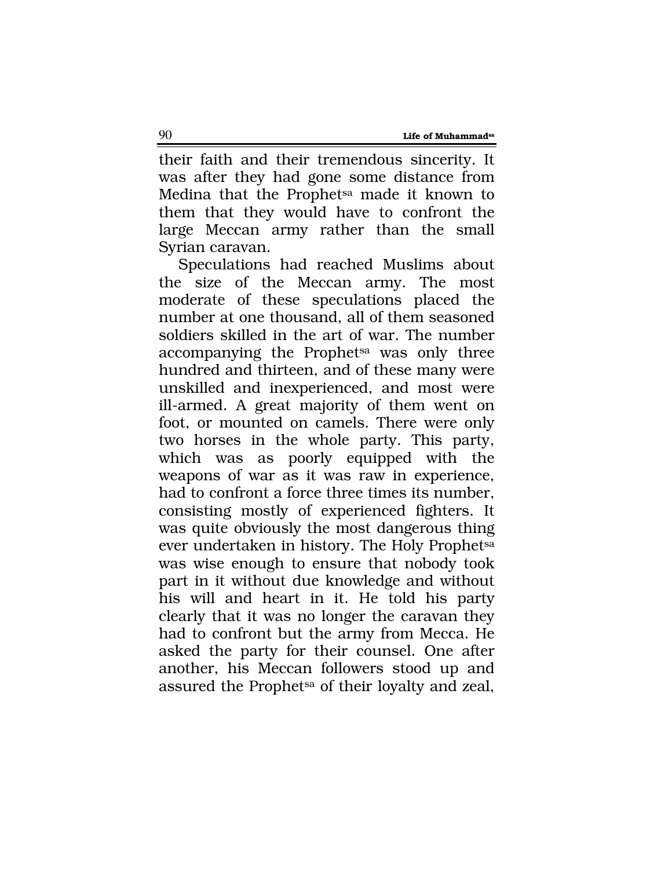their faith and their tremendous sincerity. It was after they had gone some distance from Medina that the Prophetsa made it known to them that they would have to confront the large Meccan army rather than the small Syrian caravan.

Speculations had reached Muslims about the size of the Meccan army. The most moderate of these speculations placed the number at one thousand, all of them seasoned soldiers skilled in the art of war. The number accompanying the Prophetsa was only three hundred and thirteen, and of these many were unskilled and inexperienced, and most were ill-armed. A great majority of them went on foot, or mounted on camels. There were only two horses in the whole party. This party, which was as poorly equipped with the weapons of war as it was raw in experience, had to confront a force three times its number, consisting mostly of experienced fighters. It was quite obviously the most dangerous thing ever undertaken in history. The Holy Prophetsa was wise enough to ensure that nobody took part in it without due knowledge and without his will and heart in it. He told his party clearly that it was no longer the caravan they had to confront but the army from Mecca. He asked the party for their counsel. One after another, his Meccan followers stood up and assured the Prophetsa of their loyalty and zeal,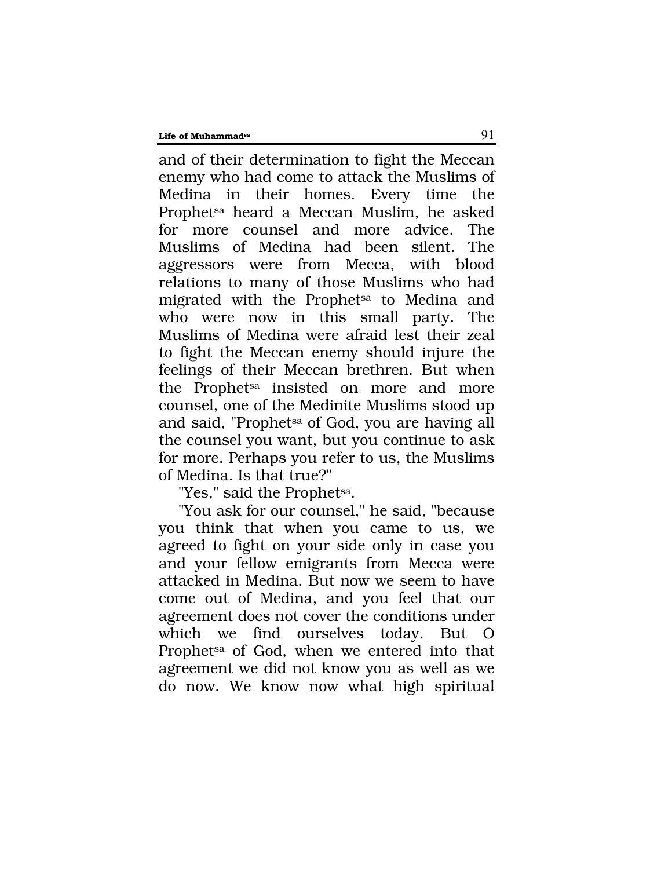and of their determination to fight the Meccan enemy who had come to attack the Muslims of Medina in their homes. Every time the Prophetsa heard a Meccan Muslim, he asked for more counsel and more advice. The Muslims of Medina had been silent. The aggressors were from Mecca, with blood relations to many of those Muslims who had migrated with the Prophetsa to Medina and who were now in this small party. The Muslims of Medina were afraid lest their zeal to fight the Meccan enemy should injure the feelings of their Meccan brethren. But when the Prophetsa insisted on more and more counsel, one of the Medinite Muslims stood up and said, "Prophetsa of God, you are having all the counsel you want, but you continue to ask for more. Perhaps you refer to us, the Muslims of Medina. Is that true?"

"Yes," said the Prophetsa.

"You ask for our counsel," he said, "because you think that when you came to us, we agreed to fight on your side only in case you and your fellow emigrants from Mecca were attacked in Medina. But now we seem to have come out of Medina, and you feel that our agreement does not cover the conditions under which we find ourselves today. But O Prophet<sup>sa</sup> of God, when we entered into that agreement we did not know you as well as we do now. We know now what high spiritual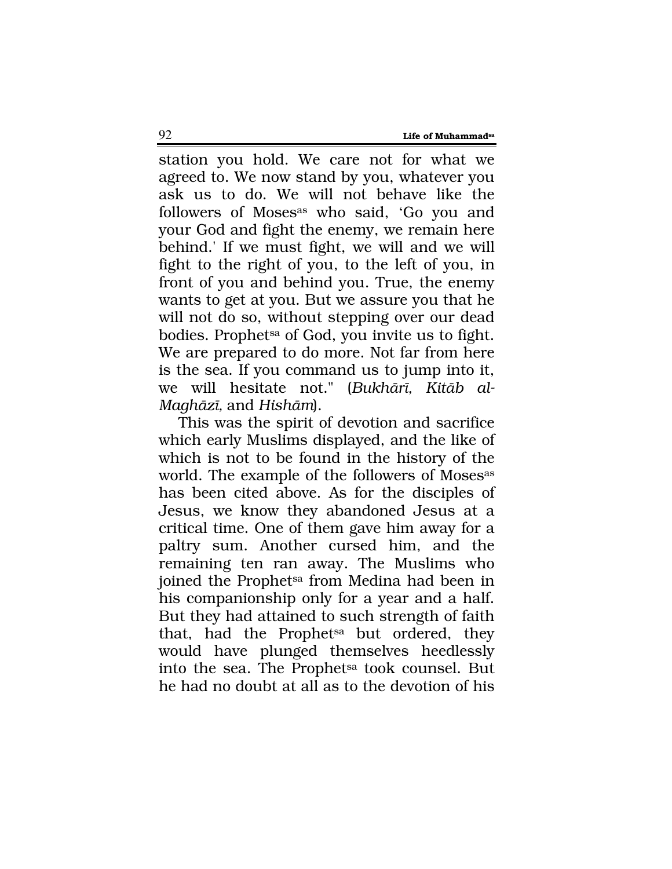station you hold. We care not for what we agreed to. We now stand by you, whatever you ask us to do. We will not behave like the followers of Mosesas who said, 'Go you and your God and fight the enemy, we remain here behind.' If we must fight, we will and we will fight to the right of you, to the left of you, in front of you and behind you. True, the enemy wants to get at you. But we assure you that he will not do so, without stepping over our dead bodies. Prophetsa of God, you invite us to fight. We are prepared to do more. Not far from here is the sea. If you command us to jump into it, we will hesitate not." (*Bukh*a*r*i*, Kit*a*b al-Magh*a*z*i*,* and *Hish*a*m*).

This was the spirit of devotion and sacrifice which early Muslims displayed, and the like of which is not to be found in the history of the world. The example of the followers of Mosesas has been cited above. As for the disciples of Jesus, we know they abandoned Jesus at a critical time. One of them gave him away for a paltry sum. Another cursed him, and the remaining ten ran away. The Muslims who joined the Prophetsa from Medina had been in his companionship only for a year and a half. But they had attained to such strength of faith that, had the Prophetsa but ordered, they would have plunged themselves heedlessly into the sea. The Prophetsa took counsel. But he had no doubt at all as to the devotion of his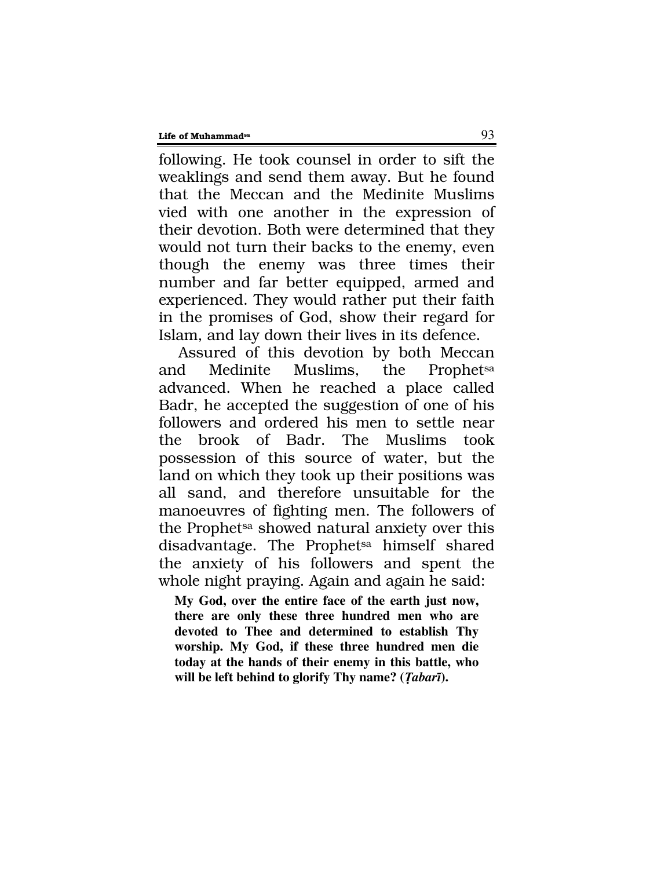following. He took counsel in order to sift the weaklings and send them away. But he found that the Meccan and the Medinite Muslims vied with one another in the expression of their devotion. Both were determined that they would not turn their backs to the enemy, even though the enemy was three times their number and far better equipped, armed and experienced. They would rather put their faith in the promises of God, show their regard for Islam, and lay down their lives in its defence.

Assured of this devotion by both Meccan and Medinite Muslims, the Prophetsa advanced. When he reached a place called Badr, he accepted the suggestion of one of his followers and ordered his men to settle near the brook of Badr. The Muslims took possession of this source of water, but the land on which they took up their positions was all sand, and therefore unsuitable for the manoeuvres of fighting men. The followers of the Prophetsa showed natural anxiety over this disadvantage. The Prophetsa himself shared the anxiety of his followers and spent the whole night praying. Again and again he said:

**My God, over the entire face of the earth just now, there are only these three hundred men who are devoted to Thee and determined to establish Thy worship. My God, if these three hundred men die today at the hands of their enemy in this battle, who will be left behind to glorify Thy name? (**T*abar*i**).**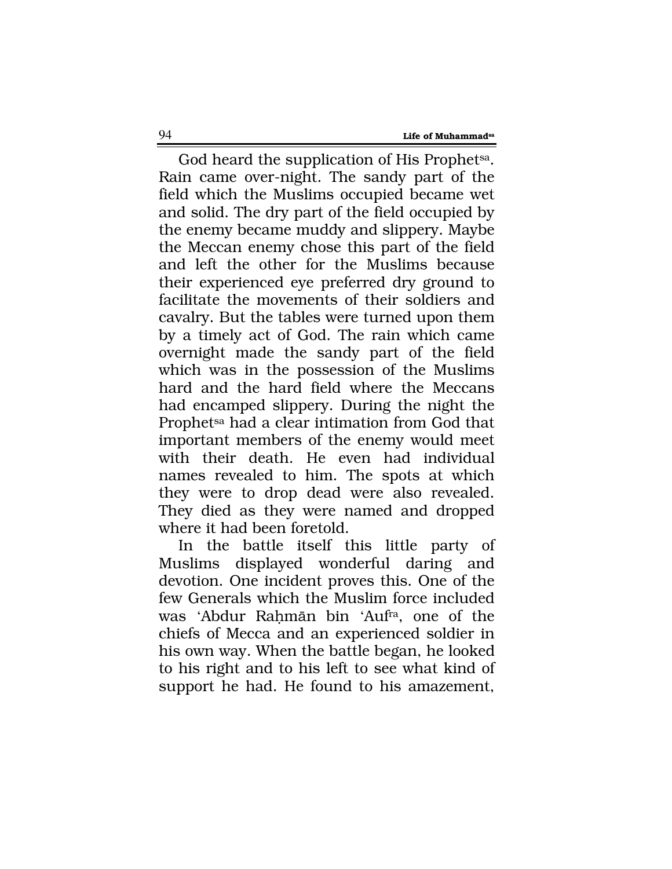God heard the supplication of His Prophetsa. Rain came over-night. The sandy part of the field which the Muslims occupied became wet and solid. The dry part of the field occupied by the enemy became muddy and slippery. Maybe the Meccan enemy chose this part of the field and left the other for the Muslims because their experienced eye preferred dry ground to facilitate the movements of their soldiers and cavalry. But the tables were turned upon them by a timely act of God. The rain which came overnight made the sandy part of the field which was in the possession of the Muslims hard and the hard field where the Meccans had encamped slippery. During the night the Prophetsa had a clear intimation from God that important members of the enemy would meet with their death. He even had individual names revealed to him. The spots at which they were to drop dead were also revealed. They died as they were named and dropped where it had been foretold.

In the battle itself this little party of Muslims displayed wonderful daring and devotion. One incident proves this. One of the few Generals which the Muslim force included was 'Abdur Rahman bin 'Aufra, one of the chiefs of Mecca and an experienced soldier in his own way. When the battle began, he looked to his right and to his left to see what kind of support he had. He found to his amazement,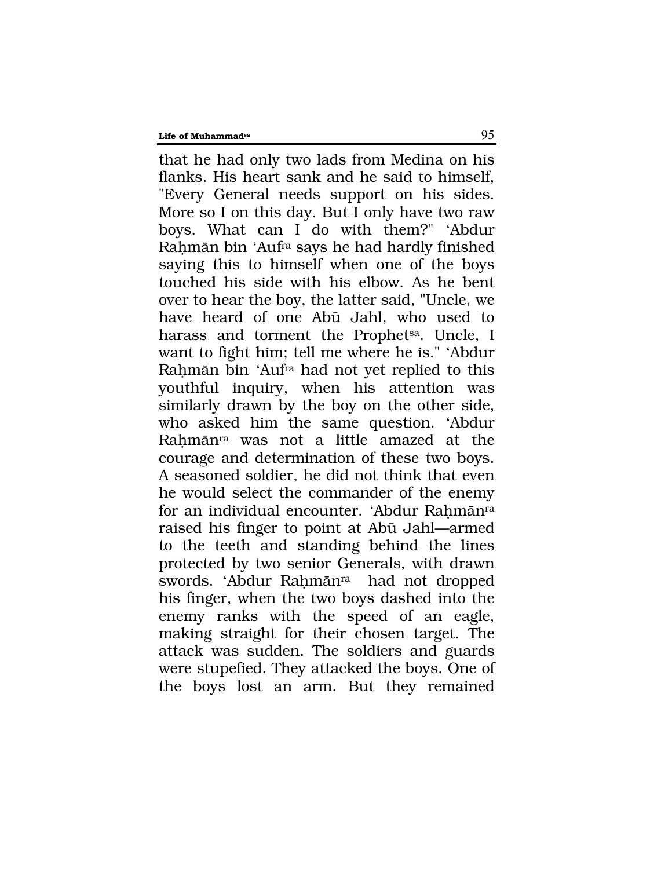that he had only two lads from Medina on his flanks. His heart sank and he said to himself, "Every General needs support on his sides. More so I on this day. But I only have two raw boys. What can I do with them?" 'Abdur Rahman bin 'Aufra says he had hardly finished saying this to himself when one of the boys touched his side with his elbow. As he bent over to hear the boy, the latter said, "Uncle, we have heard of one Abū Jahl, who used to harass and torment the Prophetsa. Uncle, I want to fight him; tell me where he is." 'Abdur Rahman bin 'Aufra had not yet replied to this youthful inquiry, when his attention was similarly drawn by the boy on the other side, who asked him the same question. 'Abdur Rahmanra was not a little amazed at the courage and determination of these two boys. A seasoned soldier, he did not think that even he would select the commander of the enemy for an individual encounter. 'Abdur Rahmanra raised his finger to point at Abū Jahl—armed to the teeth and standing behind the lines protected by two senior Generals, with drawn swords. 'Abdur Rahmanra had not dropped his finger, when the two boys dashed into the enemy ranks with the speed of an eagle, making straight for their chosen target. The attack was sudden. The soldiers and guards were stupefied. They attacked the boys. One of the boys lost an arm. But they remained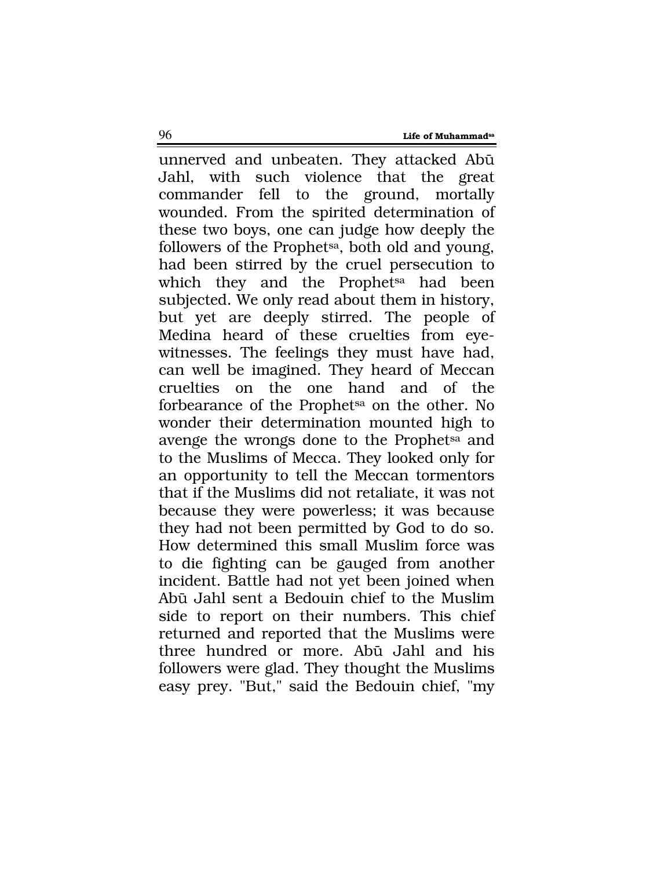unnerved and unbeaten. They attacked Abu Jahl, with such violence that the great commander fell to the ground, mortally wounded. From the spirited determination of these two boys, one can judge how deeply the followers of the Prophetsa, both old and young, had been stirred by the cruel persecution to which they and the Prophet<sup>sa</sup> had been subjected. We only read about them in history, but yet are deeply stirred. The people of Medina heard of these cruelties from eyewitnesses. The feelings they must have had, can well be imagined. They heard of Meccan cruelties on the one hand and of the forbearance of the Prophetsa on the other. No wonder their determination mounted high to avenge the wrongs done to the Prophetsa and to the Muslims of Mecca. They looked only for an opportunity to tell the Meccan tormentors that if the Muslims did not retaliate, it was not because they were powerless; it was because they had not been permitted by God to do so. How determined this small Muslim force was to die fighting can be gauged from another incident. Battle had not yet been joined when Abū Jahl sent a Bedouin chief to the Muslim side to report on their numbers. This chief returned and reported that the Muslims were three hundred or more. Abū Jahl and his followers were glad. They thought the Muslims easy prey. "But," said the Bedouin chief, "my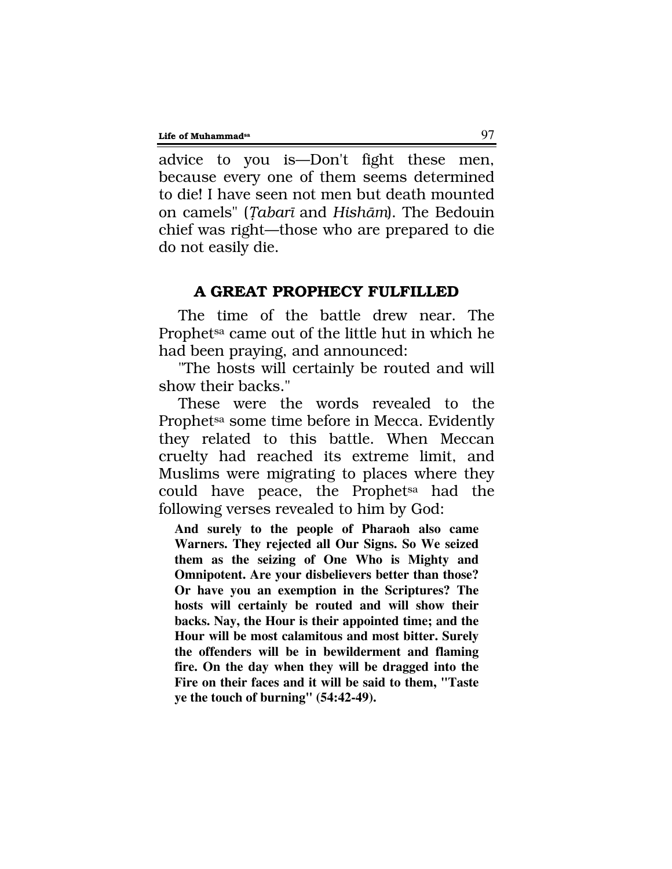advice to you is—Don't fight these men, because every one of them seems determined to die! I have seen not men but death mounted on camels" (T*a*b*ar*i and *Hish*a*m*). The Bedouin chief was right—those who are prepared to die do not easily die.

## **A GREAT PROPHECY FULFILLED**

The time of the battle drew near. The Prophetsa came out of the little hut in which he had been praying, and announced:

"The hosts will certainly be routed and will show their backs."

These were the words revealed to the Prophetsa some time before in Mecca. Evidently they related to this battle. When Meccan cruelty had reached its extreme limit, and Muslims were migrating to places where they could have peace, the Prophetsa had the following verses revealed to him by God:

**And surely to the people of Pharaoh also came Warners. They rejected all Our Signs. So We seized them as the seizing of One Who is Mighty and Omnipotent. Are your disbelievers better than those? Or have you an exemption in the Scriptures? The hosts will certainly be routed and will show their backs. Nay, the Hour is their appointed time; and the Hour will be most calamitous and most bitter. Surely the offenders will be in bewilderment and flaming fire. On the day when they will be dragged into the Fire on their faces and it will be said to them, "Taste ye the touch of burning" (54:42-49).**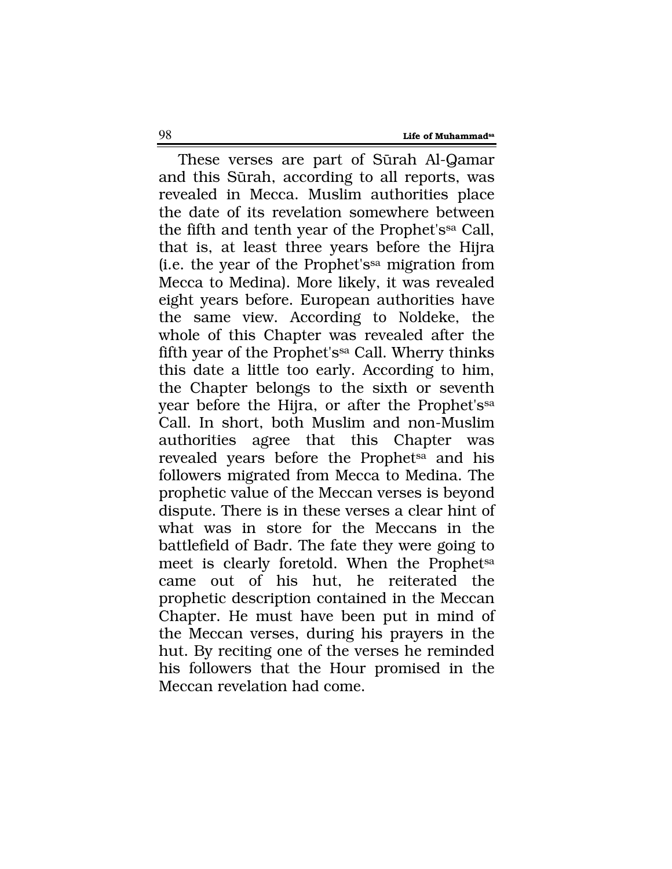These verses are part of Surah Al-Qamar and this Sūrah, according to all reports, was revealed in Mecca. Muslim authorities place the date of its revelation somewhere between the fifth and tenth year of the Prophet'ssa Call, that is, at least three years before the Hijra (i.e. the year of the Prophet'ssa migration from Mecca to Medina). More likely, it was revealed eight years before. European authorities have the same view. According to Noldeke, the whole of this Chapter was revealed after the fifth year of the Prophet'ssa Call. Wherry thinks this date a little too early. According to him, the Chapter belongs to the sixth or seventh year before the Hijra, or after the Prophet'ssa Call. In short, both Muslim and non-Muslim authorities agree that this Chapter was revealed years before the Prophetsa and his followers migrated from Mecca to Medina. The prophetic value of the Meccan verses is beyond dispute. There is in these verses a clear hint of what was in store for the Meccans in the battlefield of Badr. The fate they were going to meet is clearly foretold. When the Prophetsa came out of his hut, he reiterated the prophetic description contained in the Meccan Chapter. He must have been put in mind of the Meccan verses, during his prayers in the hut. By reciting one of the verses he reminded his followers that the Hour promised in the Meccan revelation had come.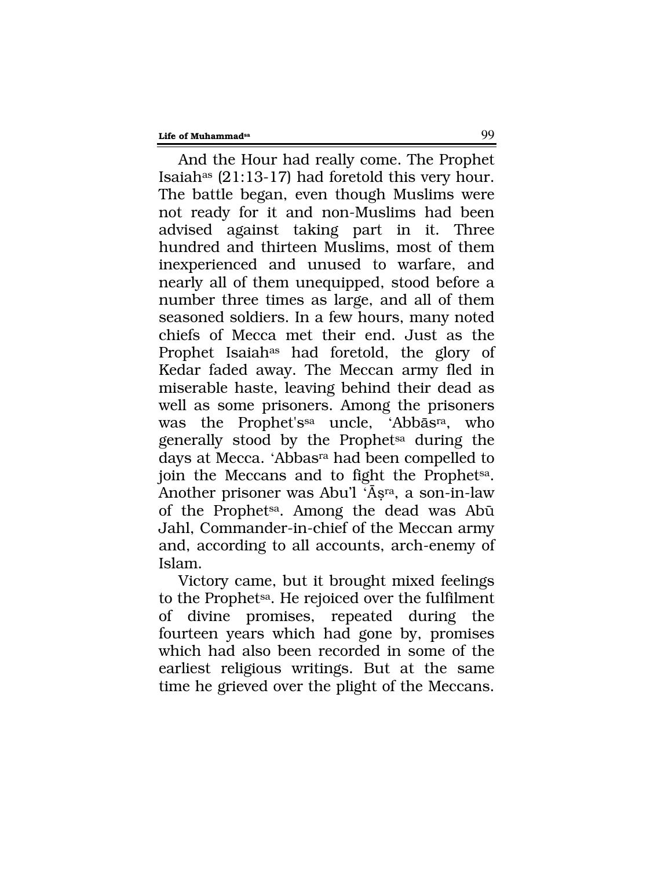And the Hour had really come. The Prophet Isaiahas (21:13-17) had foretold this very hour. The battle began, even though Muslims were not ready for it and non-Muslims had been advised against taking part in it. Three hundred and thirteen Muslims, most of them inexperienced and unused to warfare, and nearly all of them unequipped, stood before a number three times as large, and all of them seasoned soldiers. In a few hours, many noted chiefs of Mecca met their end. Just as the Prophet Isaiahas had foretold, the glory of Kedar faded away. The Meccan army fled in miserable haste, leaving behind their dead as well as some prisoners. Among the prisoners was the Prophet'ssa uncle, 'Abbasra, who generally stood by the Prophetsa during the days at Mecca. 'Abbasra had been compelled to join the Meccans and to fight the Prophetsa. Another prisoner was Abu'l 'Asra, a son-in-law of the Prophetsa. Among the dead was Abū Jahl, Commander-in-chief of the Meccan army and, according to all accounts, arch-enemy of Islam.

Victory came, but it brought mixed feelings to the Prophetsa. He rejoiced over the fulfilment of divine promises, repeated during the fourteen years which had gone by, promises which had also been recorded in some of the earliest religious writings. But at the same time he grieved over the plight of the Meccans.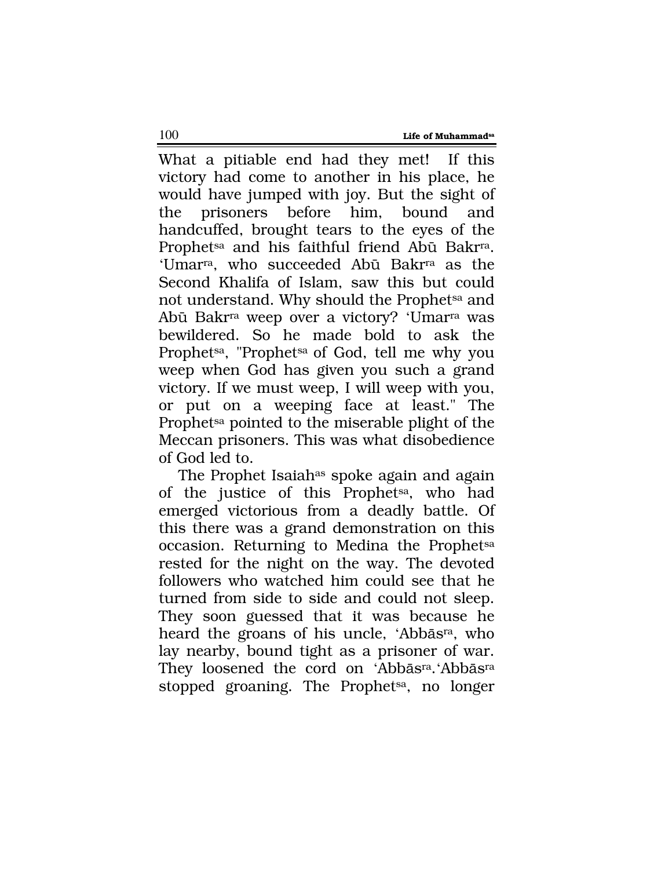What a pitiable end had they met! If this victory had come to another in his place, he would have jumped with joy. But the sight of the prisoners before him, bound and handcuffed, brought tears to the eyes of the Prophetsa and his faithful friend Abū Bakr<sup>ra</sup>. 'Umarra, who succeeded Abū Bakrra as the Second Khalifa of Islam, saw this but could not understand. Why should the Prophetsa and Abū Bakr<sup>ra</sup> weep over a victory? 'Umar<sup>ra</sup> was bewildered. So he made bold to ask the Prophetsa, "Prophetsa of God, tell me why you weep when God has given you such a grand victory. If we must weep, I will weep with you, or put on a weeping face at least." The Prophetsa pointed to the miserable plight of the Meccan prisoners. This was what disobedience of God led to.

The Prophet Isaiahas spoke again and again of the justice of this Prophetsa, who had emerged victorious from a deadly battle. Of this there was a grand demonstration on this occasion. Returning to Medina the Prophetsa rested for the night on the way. The devoted followers who watched him could see that he turned from side to side and could not sleep. They soon guessed that it was because he heard the groans of his uncle, 'Abbasra, who lay nearby, bound tight as a prisoner of war. They loosened the cord on 'Abbasra.'Abbasra stopped groaning. The Prophetsa, no longer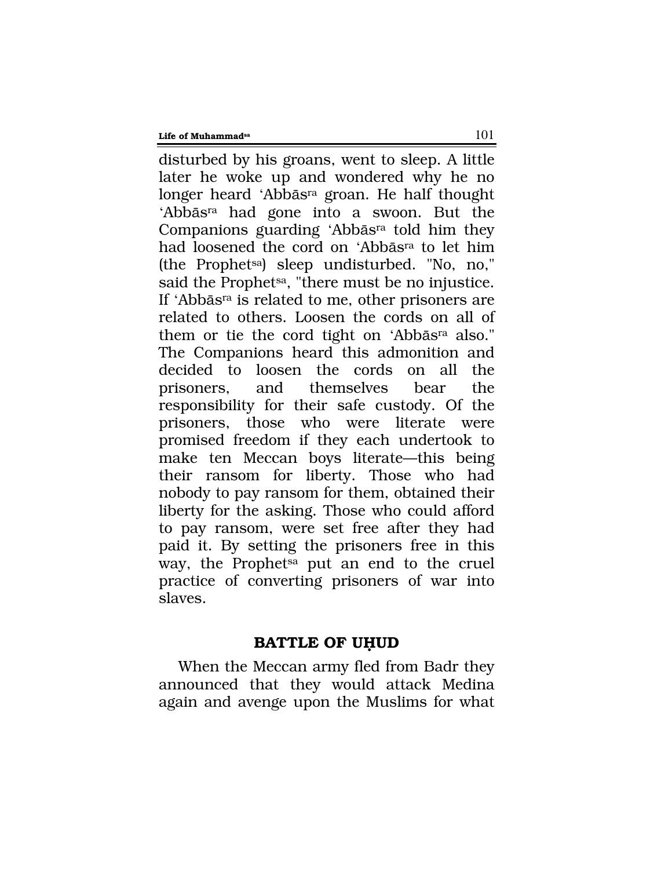disturbed by his groans, went to sleep. A little later he woke up and wondered why he no longer heard 'Abbasra groan. He half thought 'Abbasra had gone into a swoon. But the Companions guarding 'Abbasra told him they had loosened the cord on 'Abbasra to let him (the Prophetsa) sleep undisturbed. "No, no," said the Prophetsa, "there must be no injustice. If 'Abbasra is related to me, other prisoners are related to others. Loosen the cords on all of them or tie the cord tight on 'Abbasra also." The Companions heard this admonition and decided to loosen the cords on all the prisoners, and themselves bear the responsibility for their safe custody. Of the prisoners, those who were literate were promised freedom if they each undertook to make ten Meccan boys literate—this being their ransom for liberty. Those who had nobody to pay ransom for them, obtained their liberty for the asking. Those who could afford to pay ransom, were set free after they had paid it. By setting the prisoners free in this way, the Prophetsa put an end to the cruel practice of converting prisoners of war into slaves.

#### **BATTLE OF U**H**UD**

When the Meccan army fled from Badr they announced that they would attack Medina again and avenge upon the Muslims for what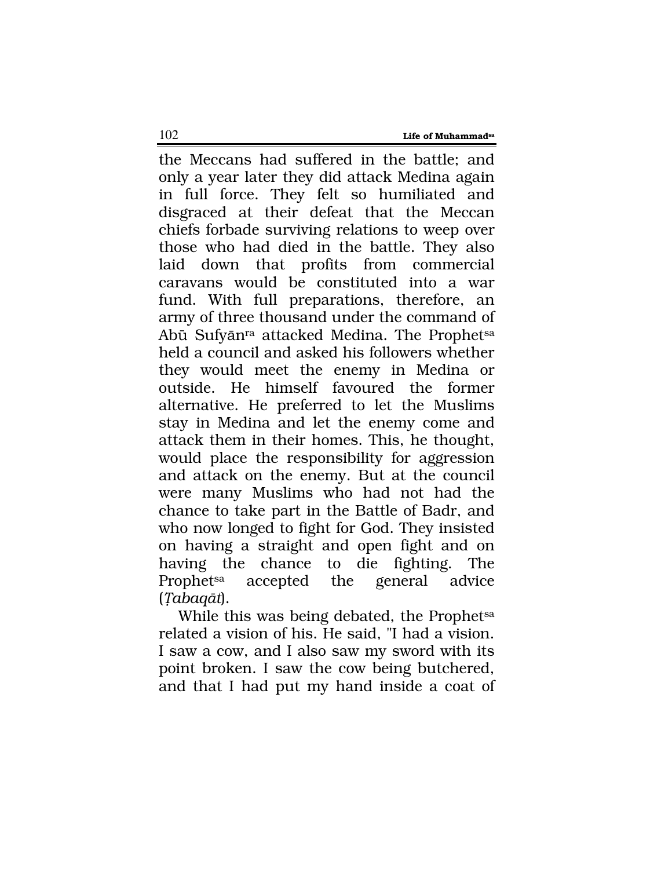the Meccans had suffered in the battle; and only a year later they did attack Medina again in full force. They felt so humiliated and disgraced at their defeat that the Meccan chiefs forbade surviving relations to weep over those who had died in the battle. They also laid down that profits from commercial caravans would be constituted into a war fund. With full preparations, therefore, an army of three thousand under the command of Abū Sufyān<sup>ra</sup> attacked Medina. The Prophetsa held a council and asked his followers whether they would meet the enemy in Medina or outside. He himself favoured the former alternative. He preferred to let the Muslims stay in Medina and let the enemy come and attack them in their homes. This, he thought, would place the responsibility for aggression and attack on the enemy. But at the council were many Muslims who had not had the chance to take part in the Battle of Badr, and who now longed to fight for God. They insisted on having a straight and open fight and on having the chance to die fighting. The Prophet<sup>sa</sup> accepted the general advice (T*abaq*a*t*).

While this was being debated, the Prophetsa related a vision of his. He said, "I had a vision. I saw a cow, and I also saw my sword with its point broken. I saw the cow being butchered, and that I had put my hand inside a coat of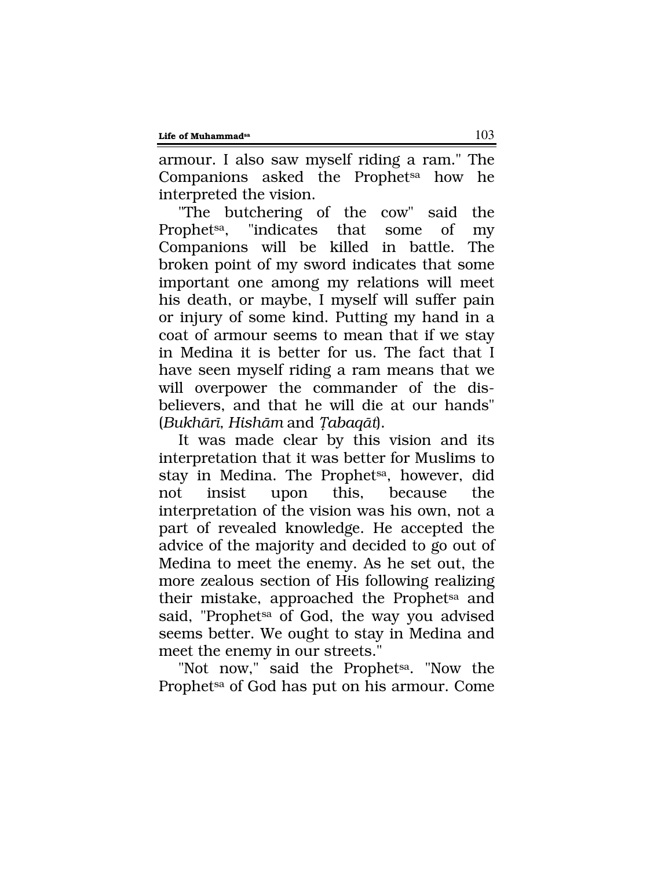armour. I also saw myself riding a ram." The Companions asked the Prophetsa how he interpreted the vision.

"The butchering of the cow" said the Prophet<sup>sa</sup>, "indicates that some of my Companions will be killed in battle. The broken point of my sword indicates that some important one among my relations will meet his death, or maybe, I myself will suffer pain or injury of some kind. Putting my hand in a coat of armour seems to mean that if we stay in Medina it is better for us. The fact that I have seen myself riding a ram means that we will overpower the commander of the disbelievers, and that he will die at our hands" (*Bukh*a*r*i*, Hish*a*m* and T*abaq*a*t*).

It was made clear by this vision and its interpretation that it was better for Muslims to stay in Medina. The Prophetsa, however, did not insist upon this, because the interpretation of the vision was his own, not a part of revealed knowledge. He accepted the advice of the majority and decided to go out of Medina to meet the enemy. As he set out, the more zealous section of His following realizing their mistake, approached the Prophetsa and said, "Prophetsa of God, the way you advised seems better. We ought to stay in Medina and meet the enemy in our streets."

"Not now," said the Prophetsa. "Now the Prophetsa of God has put on his armour. Come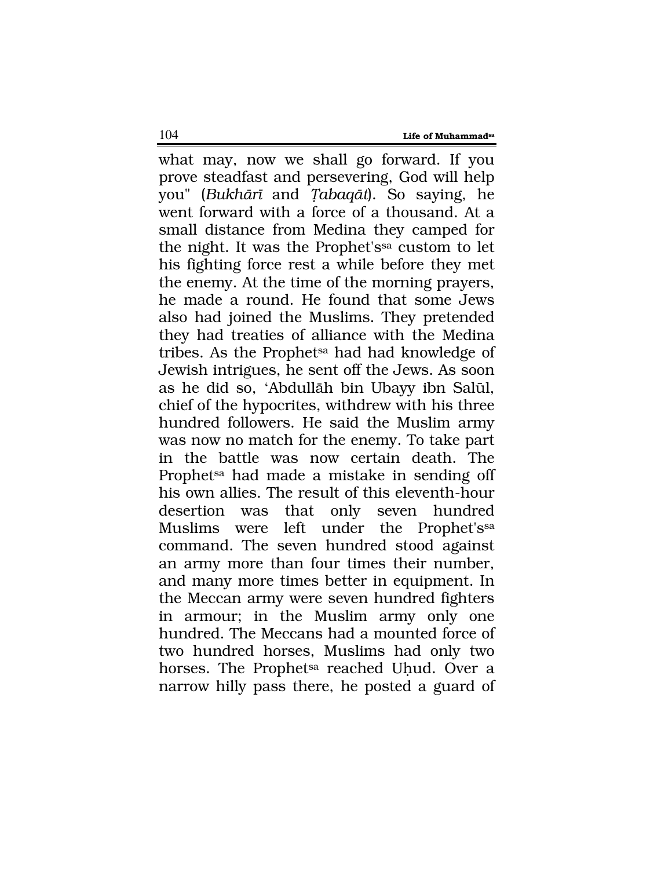what may, now we shall go forward. If you prove steadfast and persevering, God will help you" (*Bukh*a*r*i and T*abaq*a*t*). So saying, he went forward with a force of a thousand. At a small distance from Medina they camped for the night. It was the Prophet'ssa custom to let his fighting force rest a while before they met the enemy. At the time of the morning prayers, he made a round. He found that some Jews also had joined the Muslims. They pretended they had treaties of alliance with the Medina tribes. As the Prophetsa had had knowledge of Jewish intrigues, he sent off the Jews. As soon as he did so, 'Abdullah bin Ubayy ibn Salul, chief of the hypocrites, withdrew with his three hundred followers. He said the Muslim army was now no match for the enemy. To take part in the battle was now certain death. The Prophetsa had made a mistake in sending off his own allies. The result of this eleventh-hour desertion was that only seven hundred Muslims were left under the Prophet'ssa command. The seven hundred stood against an army more than four times their number, and many more times better in equipment. In the Meccan army were seven hundred fighters in armour; in the Muslim army only one hundred. The Meccans had a mounted force of two hundred horses, Muslims had only two horses. The Prophetsa reached Uhud. Over a narrow hilly pass there, he posted a guard of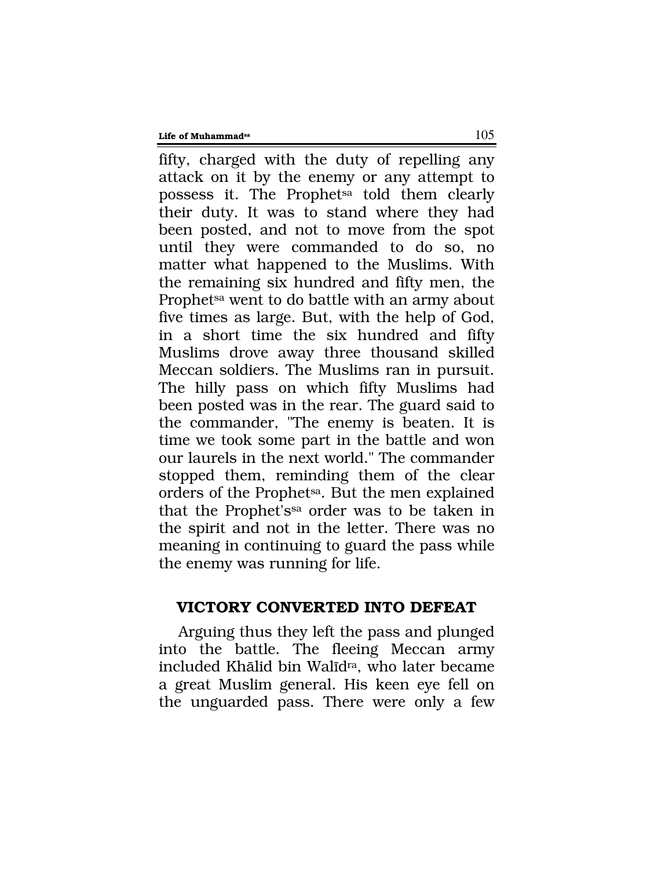fifty, charged with the duty of repelling any attack on it by the enemy or any attempt to possess it. The Prophetsa told them clearly their duty. It was to stand where they had been posted, and not to move from the spot until they were commanded to do so, no matter what happened to the Muslims. With the remaining six hundred and fifty men, the Prophetsa went to do battle with an army about five times as large. But, with the help of God, in a short time the six hundred and fifty Muslims drove away three thousand skilled Meccan soldiers. The Muslims ran in pursuit. The hilly pass on which fifty Muslims had been posted was in the rear. The guard said to the commander, "The enemy is beaten. It is time we took some part in the battle and won our laurels in the next world." The commander stopped them, reminding them of the clear orders of the Prophetsa. But the men explained that the Prophet'ssa order was to be taken in the spirit and not in the letter. There was no meaning in continuing to guard the pass while the enemy was running for life.

#### **VICTORY CONVERTED INTO DEFEAT**

Arguing thus they left the pass and plunged into the battle. The fleeing Meccan army included Khalid bin Walidra, who later became a great Muslim general. His keen eye fell on the unguarded pass. There were only a few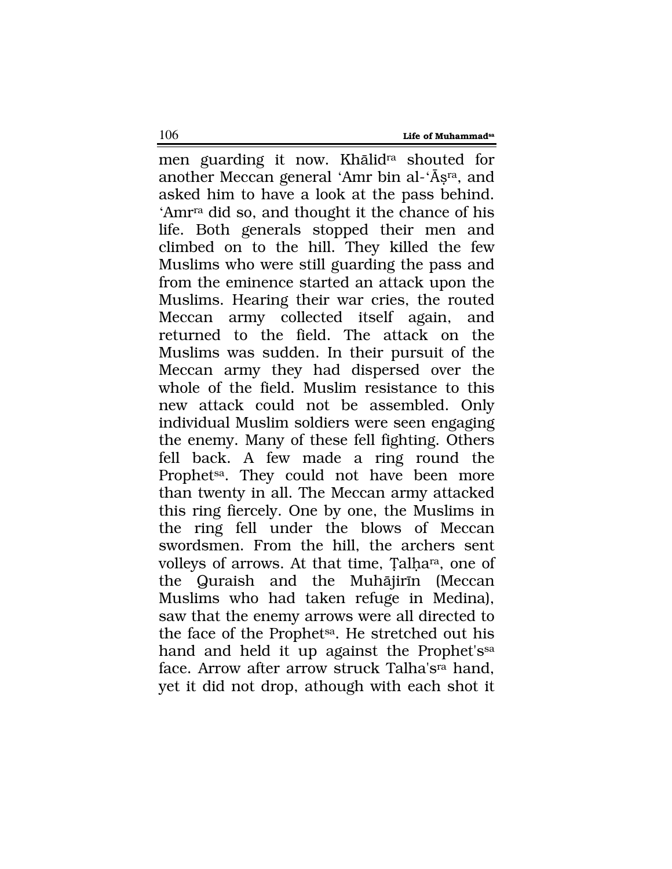men guarding it now. Khalidra shouted for another Meccan general 'Amr bin al-'Asra, and asked him to have a look at the pass behind. 'Amrra did so, and thought it the chance of his life. Both generals stopped their men and climbed on to the hill. They killed the few Muslims who were still guarding the pass and from the eminence started an attack upon the Muslims. Hearing their war cries, the routed Meccan army collected itself again, and returned to the field. The attack on the Muslims was sudden. In their pursuit of the Meccan army they had dispersed over the whole of the field. Muslim resistance to this new attack could not be assembled. Only individual Muslim soldiers were seen engaging the enemy. Many of these fell fighting. Others fell back. A few made a ring round the Prophetsa. They could not have been more than twenty in all. The Meccan army attacked this ring fiercely. One by one, the Muslims in the ring fell under the blows of Meccan swordsmen. From the hill, the archers sent volleys of arrows. At that time, Talhara, one of the Quraish and the Muhajirin (Meccan Muslims who had taken refuge in Medina), saw that the enemy arrows were all directed to the face of the Prophetsa. He stretched out his hand and held it up against the Prophet's<sup>sa</sup> face. Arrow after arrow struck Talha'sra hand, yet it did not drop, athough with each shot it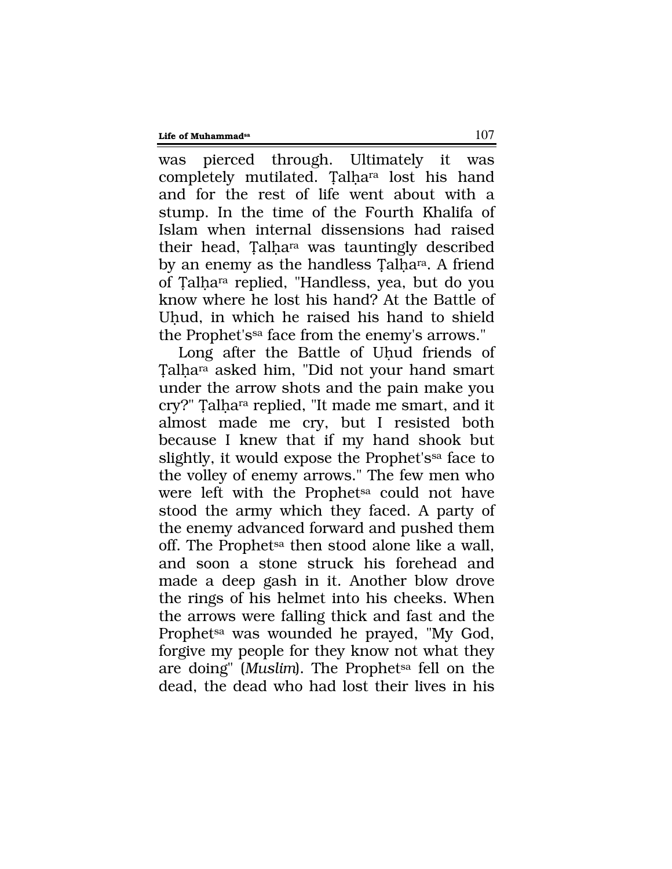was pierced through. Ultimately it was completely mutilated. Talhara lost his hand and for the rest of life went about with a stump. In the time of the Fourth Khalifa of Islam when internal dissensions had raised their head, Talhara was tauntingly described by an enemy as the handless Talhara. A friend of Talhara replied, "Handless, yea, but do you know where he lost his hand? At the Battle of Uhud, in which he raised his hand to shield the Prophet'ssa face from the enemy's arrows."

Long after the Battle of Uhud friends of Talhara asked him, "Did not your hand smart under the arrow shots and the pain make you cry?" Talhara replied, "It made me smart, and it almost made me cry, but I resisted both because I knew that if my hand shook but slightly, it would expose the Prophet'ssa face to the volley of enemy arrows." The few men who were left with the Prophet<sup>sa</sup> could not have stood the army which they faced. A party of the enemy advanced forward and pushed them off. The Prophetsa then stood alone like a wall, and soon a stone struck his forehead and made a deep gash in it. Another blow drove the rings of his helmet into his cheeks. When the arrows were falling thick and fast and the Prophetsa was wounded he prayed, "My God, forgive my people for they know not what they are doing" (*Muslim*). The Prophetsa fell on the dead, the dead who had lost their lives in his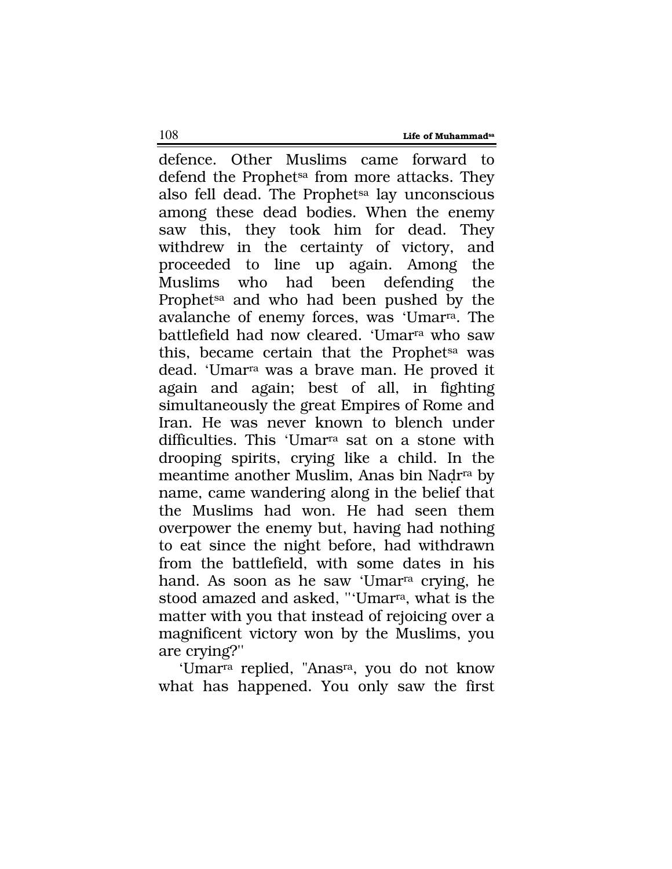defence. Other Muslims came forward to defend the Prophet<sup>sa</sup> from more attacks. They also fell dead. The Prophetsa lay unconscious among these dead bodies. When the enemy saw this, they took him for dead. They withdrew in the certainty of victory, and proceeded to line up again. Among the Muslims who had been defending the Prophetsa and who had been pushed by the avalanche of enemy forces, was 'Umarra. The battlefield had now cleared. 'Umarra who saw this, became certain that the Prophetsa was dead. 'Umarra was a brave man. He proved it again and again; best of all, in fighting simultaneously the great Empires of Rome and Iran. He was never known to blench under difficulties. This 'Umarra sat on a stone with drooping spirits, crying like a child. In the meantime another Muslim, Anas bin Nadrra by name, came wandering along in the belief that the Muslims had won. He had seen them overpower the enemy but, having had nothing to eat since the night before, had withdrawn from the battlefield, with some dates in his hand. As soon as he saw 'Umarra crying, he stood amazed and asked, '''Umarra, what is the matter with you that instead of rejoicing over a magnificent victory won by the Muslims, you are crying?''

'Umarra replied, "Anasra, you do not know what has happened. You only saw the first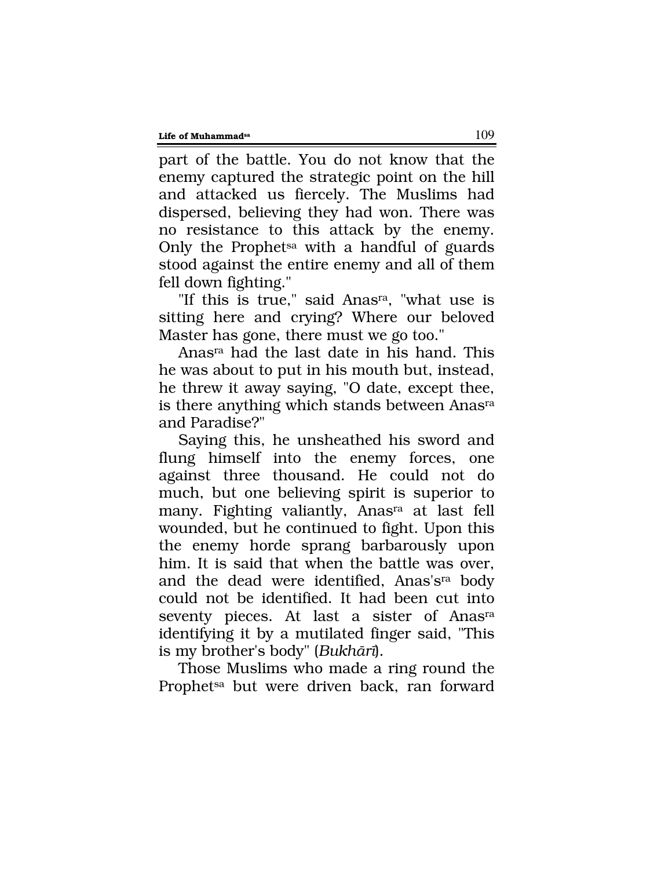part of the battle. You do not know that the enemy captured the strategic point on the hill and attacked us fiercely. The Muslims had dispersed, believing they had won. There was no resistance to this attack by the enemy. Only the Prophetsa with a handful of guards stood against the entire enemy and all of them fell down fighting."

"If this is true," said Anasra, "what use is sitting here and crying? Where our beloved Master has gone, there must we go too."

Anasra had the last date in his hand. This he was about to put in his mouth but, instead, he threw it away saying, "O date, except thee, is there anything which stands between Anasra and Paradise?"

Saying this, he unsheathed his sword and flung himself into the enemy forces, one against three thousand. He could not do much, but one believing spirit is superior to many. Fighting valiantly, Anasra at last fell wounded, but he continued to fight. Upon this the enemy horde sprang barbarously upon him. It is said that when the battle was over, and the dead were identified, Anas'sra body could not be identified. It had been cut into seventy pieces. At last a sister of Anasra identifying it by a mutilated finger said, "This is my brother's body" (*Bukh*a*r*i).

Those Muslims who made a ring round the Prophetsa but were driven back, ran forward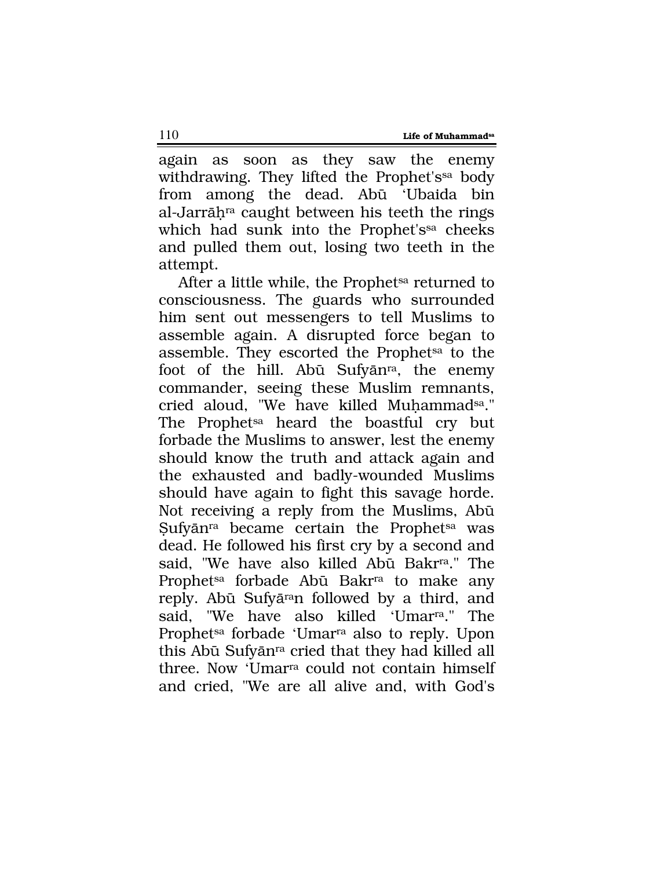again as soon as they saw the enemy withdrawing. They lifted the Prophet'ssa body from among the dead. Abū 'Ubaida bin al-Jarrahra caught between his teeth the rings which had sunk into the Prophet'ssa cheeks and pulled them out, losing two teeth in the attempt.

After a little while, the Prophetsa returned to consciousness. The guards who surrounded him sent out messengers to tell Muslims to assemble again. A disrupted force began to assemble. They escorted the Prophetsa to the foot of the hill. Abū Sufyān<sup>ra</sup>, the enemy commander, seeing these Muslim remnants, cried aloud, "We have killed Muhammadsa." The Prophetsa heard the boastful cry but forbade the Muslims to answer, lest the enemy should know the truth and attack again and the exhausted and badly-wounded Muslims should have again to fight this savage horde. Not receiving a reply from the Muslims, Abu Sufyanra became certain the Prophetsa was dead. He followed his first cry by a second and said, "We have also killed Abū Bakr<sup>ra</sup>." The Prophetsa forbade Abū Bakrra to make any reply. Abū Sufyāran followed by a third, and said, "We have also killed 'Umarra." The Prophetsa forbade 'Umarra also to reply. Upon this Abu Sufyanra cried that they had killed all three. Now 'Umarra could not contain himself and cried, "We are all alive and, with God's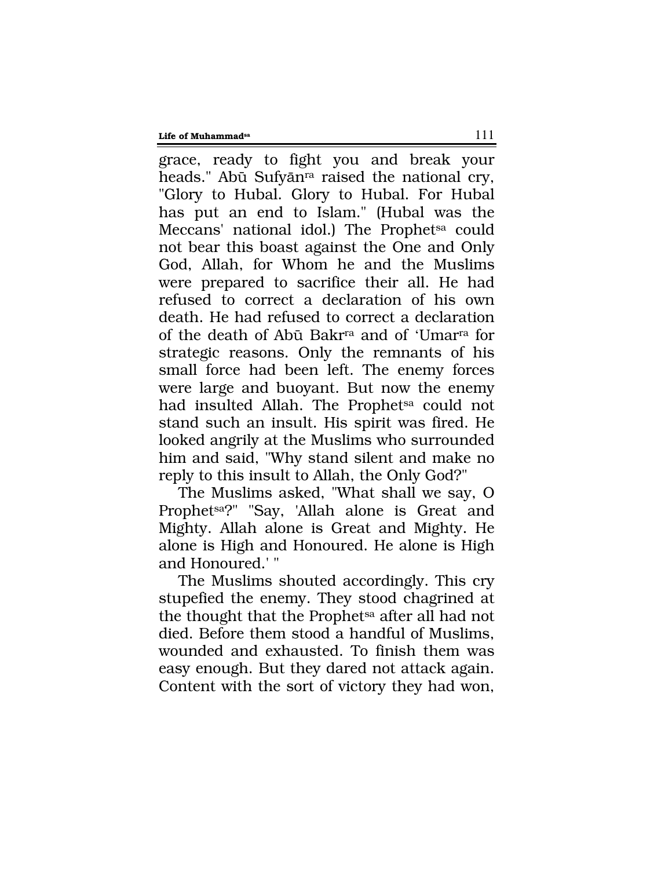grace, ready to fight you and break your heads." Abū Sufyān<sup>ra</sup> raised the national cry, "Glory to Hubal. Glory to Hubal. For Hubal has put an end to Islam." (Hubal was the Meccans' national idol.) The Prophetsa could not bear this boast against the One and Only God, Allah, for Whom he and the Muslims were prepared to sacrifice their all. He had refused to correct a declaration of his own death. He had refused to correct a declaration of the death of Abu Bakrra and of 'Umarra for strategic reasons. Only the remnants of his small force had been left. The enemy forces were large and buoyant. But now the enemy had insulted Allah. The Prophetsa could not stand such an insult. His spirit was fired. He looked angrily at the Muslims who surrounded him and said, "Why stand silent and make no reply to this insult to Allah, the Only God?"

The Muslims asked, "What shall we say, O Prophetsa?" "Say, 'Allah alone is Great and Mighty. Allah alone is Great and Mighty. He alone is High and Honoured. He alone is High and Honoured.' "

The Muslims shouted accordingly. This cry stupefied the enemy. They stood chagrined at the thought that the Prophetsa after all had not died. Before them stood a handful of Muslims, wounded and exhausted. To finish them was easy enough. But they dared not attack again. Content with the sort of victory they had won,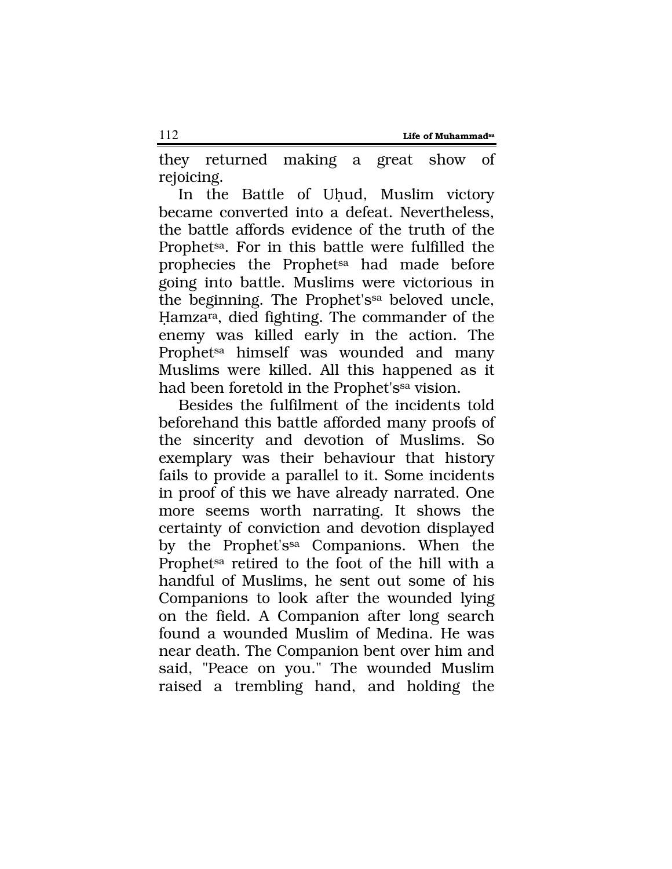they returned making a great show of rejoicing.

In the Battle of Uhud, Muslim victory became converted into a defeat. Nevertheless, the battle affords evidence of the truth of the Prophetsa. For in this battle were fulfilled the prophecies the Prophetsa had made before going into battle. Muslims were victorious in the beginning. The Prophet'ssa beloved uncle, Hamzara, died fighting. The commander of the enemy was killed early in the action. The Prophetsa himself was wounded and many Muslims were killed. All this happened as it had been foretold in the Prophet'ssa vision.

Besides the fulfilment of the incidents told beforehand this battle afforded many proofs of the sincerity and devotion of Muslims. So exemplary was their behaviour that history fails to provide a parallel to it. Some incidents in proof of this we have already narrated. One more seems worth narrating. It shows the certainty of conviction and devotion displayed by the Prophet'ssa Companions. When the Prophetsa retired to the foot of the hill with a handful of Muslims, he sent out some of his Companions to look after the wounded lying on the field. A Companion after long search found a wounded Muslim of Medina. He was near death. The Companion bent over him and said, "Peace on you." The wounded Muslim raised a trembling hand, and holding the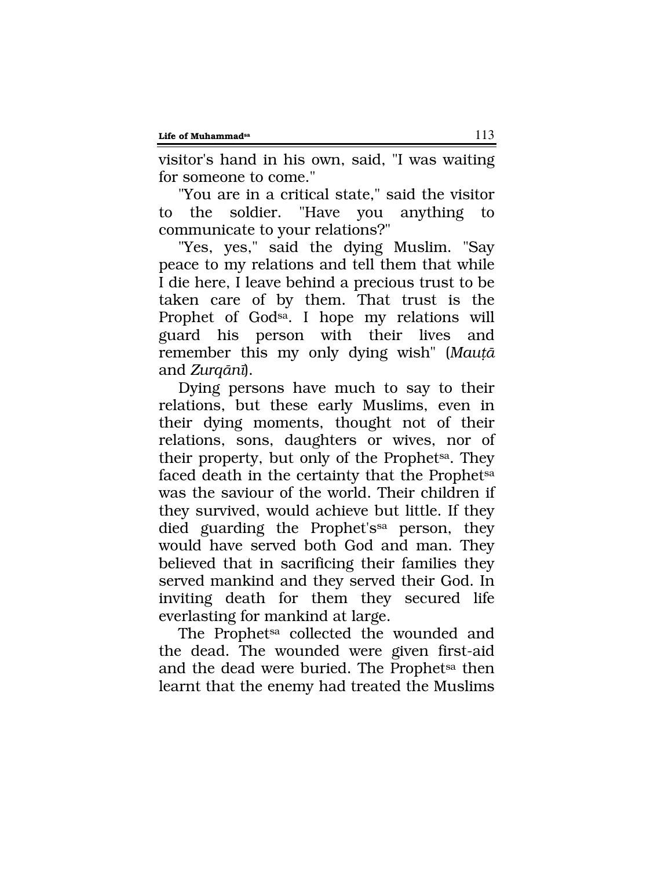visitor's hand in his own, said, "I was waiting for someone to come."

"You are in a critical state," said the visitor to the soldier. "Have you anything to communicate to your relations?"

"Yes, yes," said the dying Muslim. "Say peace to my relations and tell them that while I die here, I leave behind a precious trust to be taken care of by them. That trust is the Prophet of Godsa. I hope my relations will guard his person with their lives and remember this my only dying wish" (*Mau*ta and *Zurq*a*n*i).

Dying persons have much to say to their relations, but these early Muslims, even in their dying moments, thought not of their relations, sons, daughters or wives, nor of their property, but only of the Prophetsa. They faced death in the certainty that the Prophetsa was the saviour of the world. Their children if they survived, would achieve but little. If they died guarding the Prophet'ssa person, they would have served both God and man. They believed that in sacrificing their families they served mankind and they served their God. In inviting death for them they secured life everlasting for mankind at large.

The Prophetsa collected the wounded and the dead. The wounded were given first-aid and the dead were buried. The Prophetsa then learnt that the enemy had treated the Muslims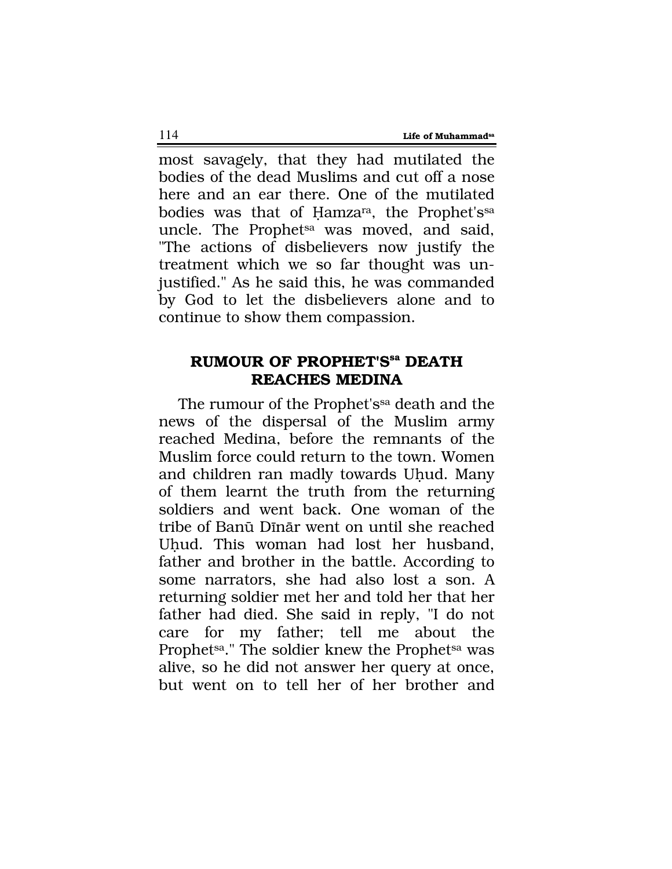most savagely, that they had mutilated the bodies of the dead Muslims and cut off a nose here and an ear there. One of the mutilated bodies was that of Hamzara, the Prophet'ssa uncle. The Prophet<sup>sa</sup> was moved, and said, "The actions of disbelievers now justify the treatment which we so far thought was unjustified." As he said this, he was commanded by God to let the disbelievers alone and to continue to show them compassion.

# **RUMOUR OF PROPHET'S<sup>sa</sup> DEATH REACHES MEDINA**

The rumour of the Prophet's<sup>sa</sup> death and the news of the dispersal of the Muslim army reached Medina, before the remnants of the Muslim force could return to the town. Women and children ran madly towards Uhud. Many of them learnt the truth from the returning soldiers and went back. One woman of the tribe of Banū Dīnār went on until she reached Uhud. This woman had lost her husband, father and brother in the battle. According to some narrators, she had also lost a son. A returning soldier met her and told her that her father had died. She said in reply, "I do not care for my father; tell me about the Prophetsa." The soldier knew the Prophetsa was alive, so he did not answer her query at once, but went on to tell her of her brother and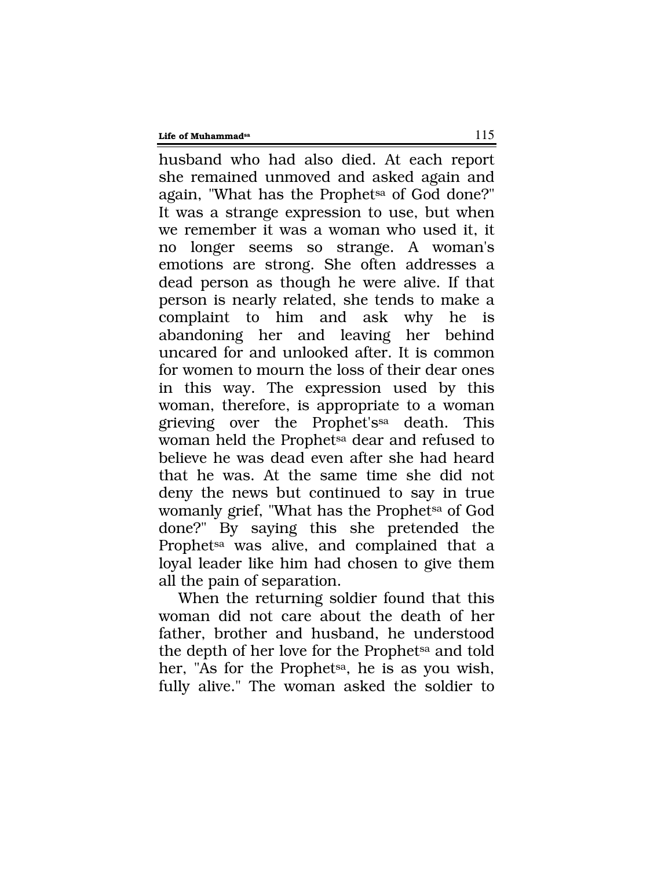husband who had also died. At each report she remained unmoved and asked again and again, "What has the Prophetsa of God done?" It was a strange expression to use, but when we remember it was a woman who used it, it no longer seems so strange. A woman's emotions are strong. She often addresses a dead person as though he were alive. If that person is nearly related, she tends to make a complaint to him and ask why he is abandoning her and leaving her behind uncared for and unlooked after. It is common for women to mourn the loss of their dear ones in this way. The expression used by this woman, therefore, is appropriate to a woman grieving over the Prophet'ssa death. This woman held the Prophetsa dear and refused to believe he was dead even after she had heard that he was. At the same time she did not deny the news but continued to say in true womanly grief, "What has the Prophetsa of God done?" By saying this she pretended the Prophet<sup>sa</sup> was alive, and complained that a loyal leader like him had chosen to give them all the pain of separation.

When the returning soldier found that this woman did not care about the death of her father, brother and husband, he understood the depth of her love for the Prophetsa and told her, "As for the Prophetsa, he is as you wish, fully alive." The woman asked the soldier to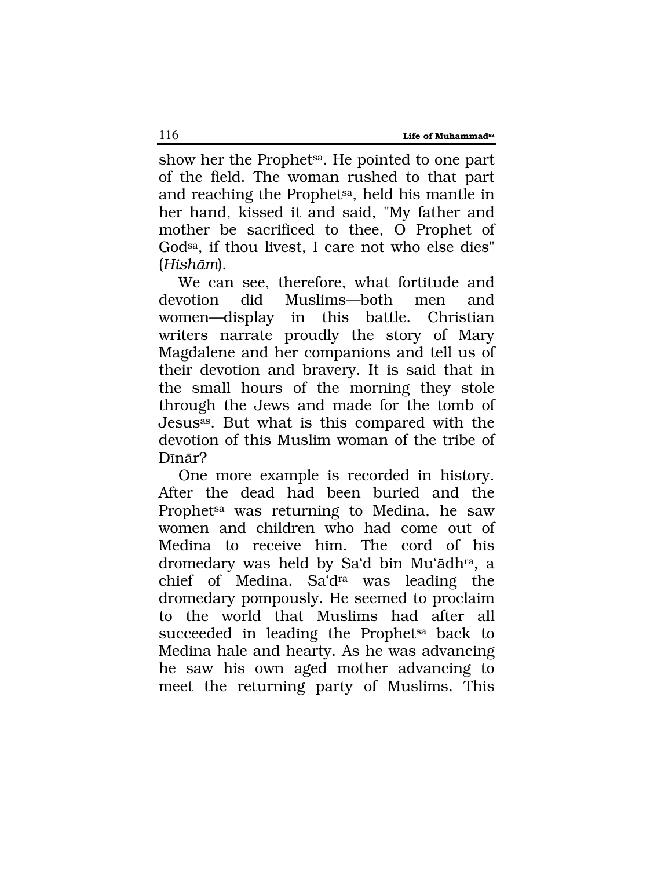show her the Prophetsa. He pointed to one part of the field. The woman rushed to that part and reaching the Prophetsa, held his mantle in her hand, kissed it and said, "My father and mother be sacrificed to thee, O Prophet of Godsa, if thou livest, I care not who else dies" (*Hish*a*m*).

We can see, therefore, what fortitude and devotion did Muslims—both men and women—display in this battle. Christian writers narrate proudly the story of Mary Magdalene and her companions and tell us of their devotion and bravery. It is said that in the small hours of the morning they stole through the Jews and made for the tomb of Jesusas. But what is this compared with the devotion of this Muslim woman of the tribe of Dinār?

One more example is recorded in history. After the dead had been buried and the Prophetsa was returning to Medina, he saw women and children who had come out of Medina to receive him. The cord of his dromedary was held by Sa'd bin Mu'adhra, a chief of Medina. Sa'dra was leading the dromedary pompously. He seemed to proclaim to the world that Muslims had after all succeeded in leading the Prophetsa back to Medina hale and hearty. As he was advancing he saw his own aged mother advancing to meet the returning party of Muslims. This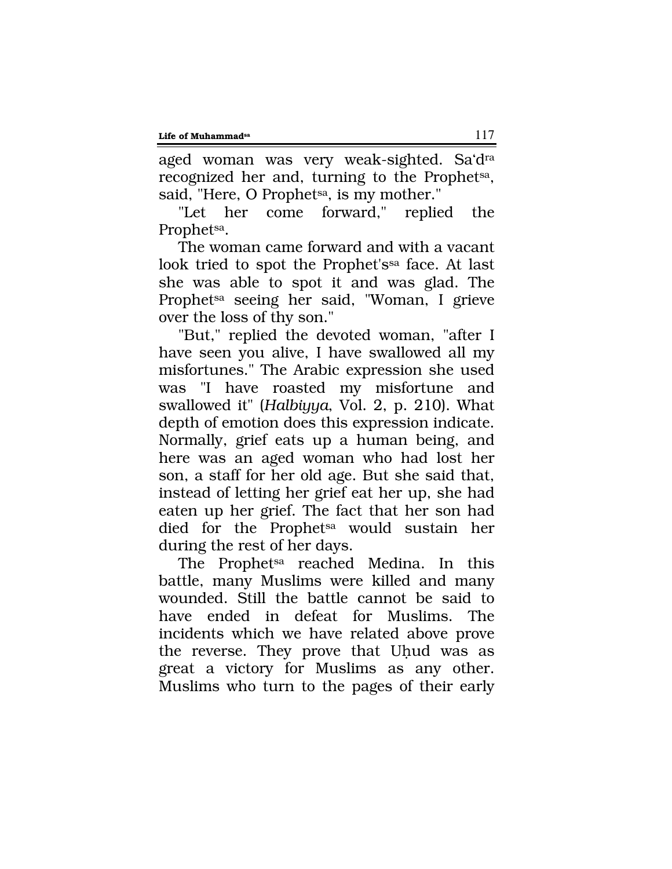aged woman was very weak-sighted. Sa'dra recognized her and, turning to the Prophetsa, said, "Here, O Prophetsa, is my mother."

"Let her come forward," replied the Prophetsa.

The woman came forward and with a vacant look tried to spot the Prophet'ssa face. At last she was able to spot it and was glad. The Prophetsa seeing her said, "Woman, I grieve over the loss of thy son."

"But," replied the devoted woman, "after I have seen you alive, I have swallowed all my misfortunes." The Arabic expression she used was "I have roasted my misfortune and swallowed it" (*Halbiyya*, Vol. 2, p. 210). What depth of emotion does this expression indicate. Normally, grief eats up a human being, and here was an aged woman who had lost her son, a staff for her old age. But she said that, instead of letting her grief eat her up, she had eaten up her grief. The fact that her son had died for the Prophetsa would sustain her during the rest of her days.

The Prophetsa reached Medina. In this battle, many Muslims were killed and many wounded. Still the battle cannot be said to have ended in defeat for Muslims. The incidents which we have related above prove the reverse. They prove that Uhud was as great a victory for Muslims as any other. Muslims who turn to the pages of their early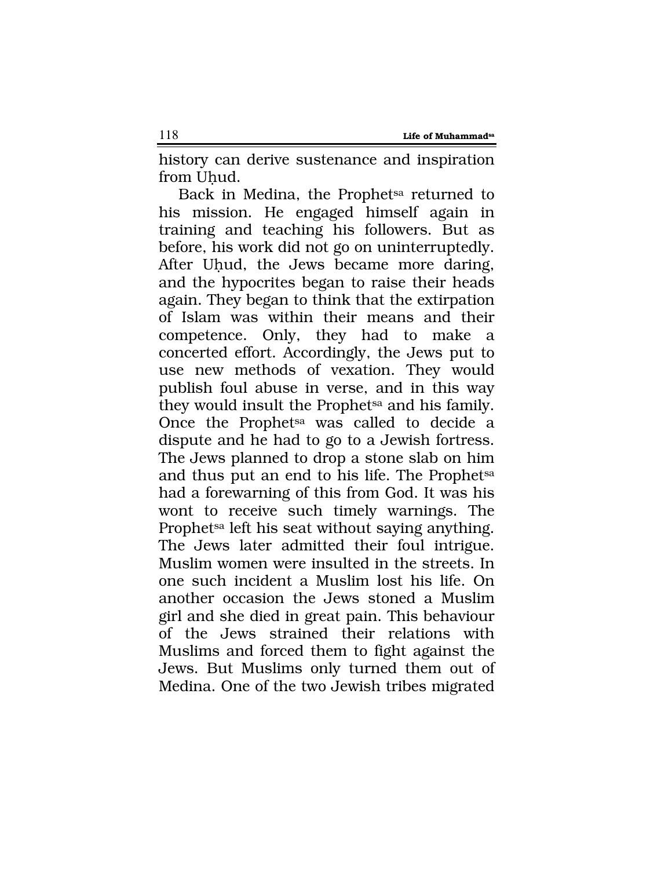history can derive sustenance and inspiration from Uhud.

Back in Medina, the Prophetsa returned to his mission. He engaged himself again in training and teaching his followers. But as before, his work did not go on uninterruptedly. After Uhud, the Jews became more daring, and the hypocrites began to raise their heads again. They began to think that the extirpation of Islam was within their means and their competence. Only, they had to make a concerted effort. Accordingly, the Jews put to use new methods of vexation. They would publish foul abuse in verse, and in this way they would insult the Prophetsa and his family. Once the Prophetsa was called to decide a dispute and he had to go to a Jewish fortress. The Jews planned to drop a stone slab on him and thus put an end to his life. The Prophetsa had a forewarning of this from God. It was his wont to receive such timely warnings. The Prophet<sup>sa</sup> left his seat without saying anything. The Jews later admitted their foul intrigue. Muslim women were insulted in the streets. In one such incident a Muslim lost his life. On another occasion the Jews stoned a Muslim girl and she died in great pain. This behaviour of the Jews strained their relations with Muslims and forced them to fight against the Jews. But Muslims only turned them out of Medina. One of the two Jewish tribes migrated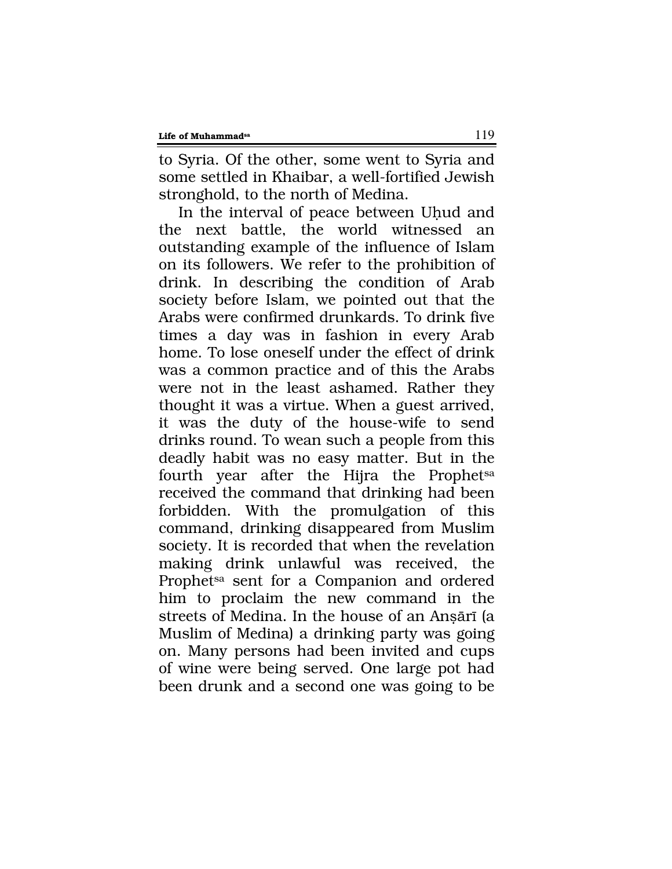to Syria. Of the other, some went to Syria and some settled in Khaibar, a well-fortified Jewish stronghold, to the north of Medina.

In the interval of peace between Uhud and the next battle, the world witnessed an outstanding example of the influence of Islam on its followers. We refer to the prohibition of drink. In describing the condition of Arab society before Islam, we pointed out that the Arabs were confirmed drunkards. To drink five times a day was in fashion in every Arab home. To lose oneself under the effect of drink was a common practice and of this the Arabs were not in the least ashamed. Rather they thought it was a virtue. When a guest arrived, it was the duty of the house-wife to send drinks round. To wean such a people from this deadly habit was no easy matter. But in the fourth year after the Hijra the Prophetsa received the command that drinking had been forbidden. With the promulgation of this command, drinking disappeared from Muslim society. It is recorded that when the revelation making drink unlawful was received, the Prophetsa sent for a Companion and ordered him to proclaim the new command in the streets of Medina. In the house of an Ansari (a Muslim of Medina) a drinking party was going on. Many persons had been invited and cups of wine were being served. One large pot had been drunk and a second one was going to be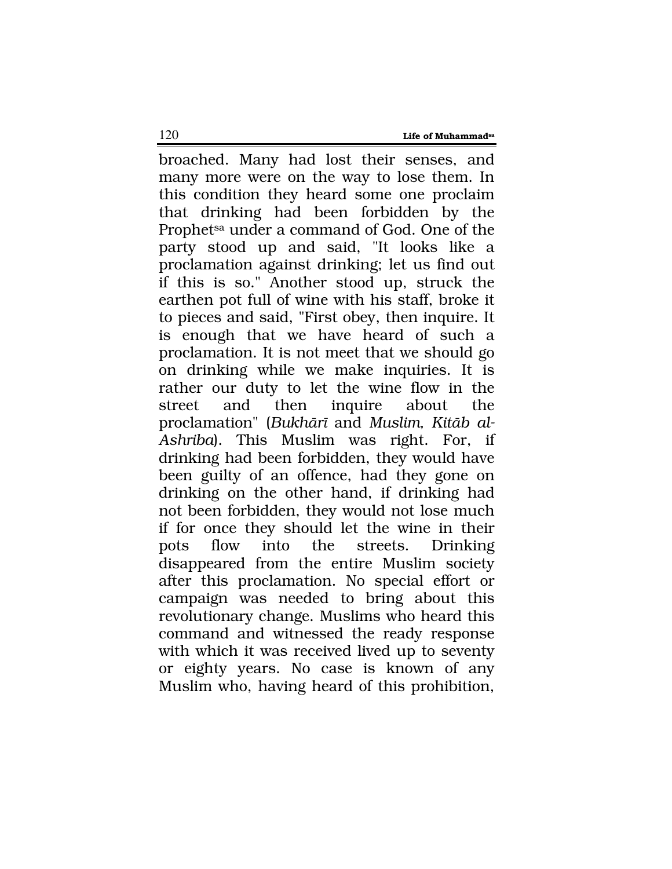broached. Many had lost their senses, and many more were on the way to lose them. In this condition they heard some one proclaim that drinking had been forbidden by the Prophet<sup>sa</sup> under a command of God. One of the party stood up and said, "It looks like a proclamation against drinking; let us find out if this is so." Another stood up, struck the earthen pot full of wine with his staff, broke it to pieces and said, "First obey, then inquire. It is enough that we have heard of such a proclamation. It is not meet that we should go on drinking while we make inquiries. It is rather our duty to let the wine flow in the street and then inquire about the proclamation" (*Bukh*a*r*i and *Muslim, Kit*a*b al-Ashriba*). This Muslim was right. For, if drinking had been forbidden, they would have been guilty of an offence, had they gone on drinking on the other hand, if drinking had not been forbidden, they would not lose much if for once they should let the wine in their pots flow into the streets. Drinking disappeared from the entire Muslim society after this proclamation. No special effort or campaign was needed to bring about this revolutionary change. Muslims who heard this command and witnessed the ready response with which it was received lived up to seventy or eighty years. No case is known of any Muslim who, having heard of this prohibition,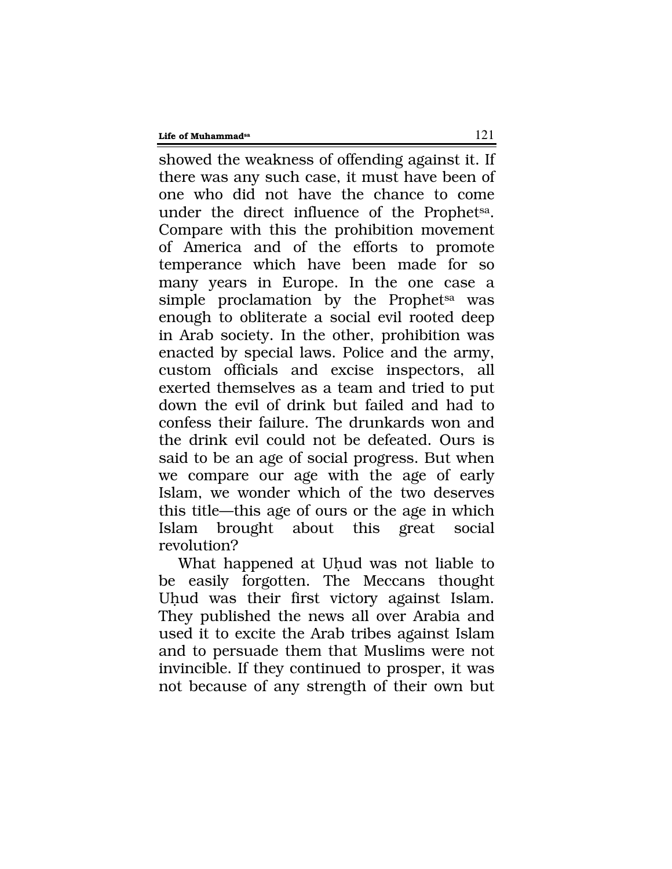showed the weakness of offending against it. If there was any such case, it must have been of one who did not have the chance to come under the direct influence of the Prophetsa. Compare with this the prohibition movement of America and of the efforts to promote temperance which have been made for so many years in Europe. In the one case a simple proclamation by the Prophetsa was enough to obliterate a social evil rooted deep in Arab society. In the other, prohibition was enacted by special laws. Police and the army, custom officials and excise inspectors, all exerted themselves as a team and tried to put down the evil of drink but failed and had to confess their failure. The drunkards won and the drink evil could not be defeated. Ours is said to be an age of social progress. But when we compare our age with the age of early Islam, we wonder which of the two deserves this title—this age of ours or the age in which Islam brought about this great social revolution?

What happened at Uhud was not liable to be easily forgotten. The Meccans thought Uhud was their first victory against Islam. They published the news all over Arabia and used it to excite the Arab tribes against Islam and to persuade them that Muslims were not invincible. If they continued to prosper, it was not because of any strength of their own but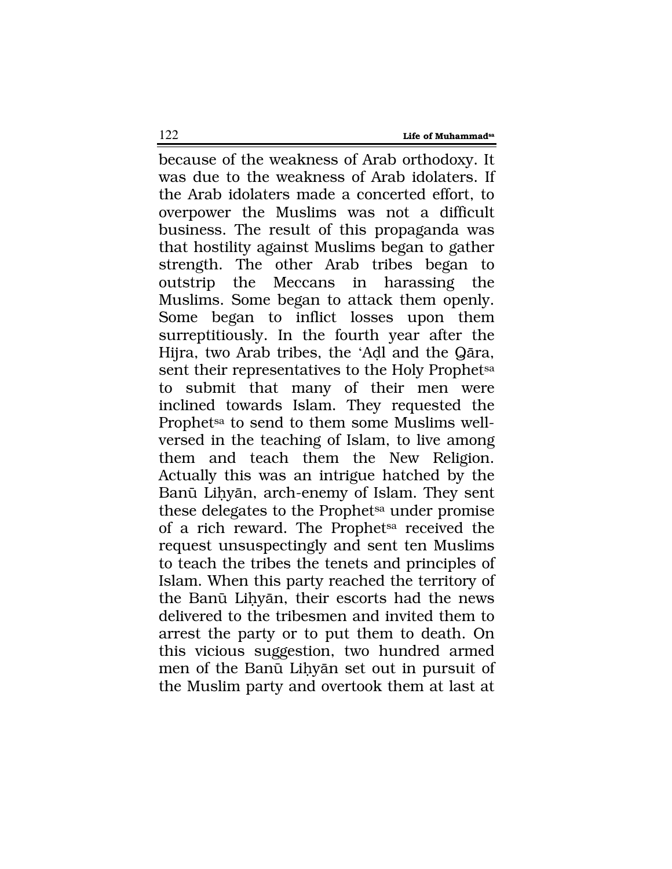because of the weakness of Arab orthodoxy. It was due to the weakness of Arab idolaters. If the Arab idolaters made a concerted effort, to overpower the Muslims was not a difficult business. The result of this propaganda was that hostility against Muslims began to gather strength. The other Arab tribes began to outstrip the Meccans in harassing the Muslims. Some began to attack them openly. Some began to inflict losses upon them surreptitiously. In the fourth year after the Hijra, two Arab tribes, the 'Adl and the Qara, sent their representatives to the Holy Prophetsa to submit that many of their men were inclined towards Islam. They requested the Prophetsa to send to them some Muslims wellversed in the teaching of Islam, to live among them and teach them the New Religion. Actually this was an intrigue hatched by the Banu Lihyan, arch-enemy of Islam. They sent these delegates to the Prophetsa under promise of a rich reward. The Prophetsa received the request unsuspectingly and sent ten Muslims to teach the tribes the tenets and principles of Islam. When this party reached the territory of the Banū Lihyān, their escorts had the news delivered to the tribesmen and invited them to arrest the party or to put them to death. On this vicious suggestion, two hundred armed men of the Banū Lihyān set out in pursuit of the Muslim party and overtook them at last at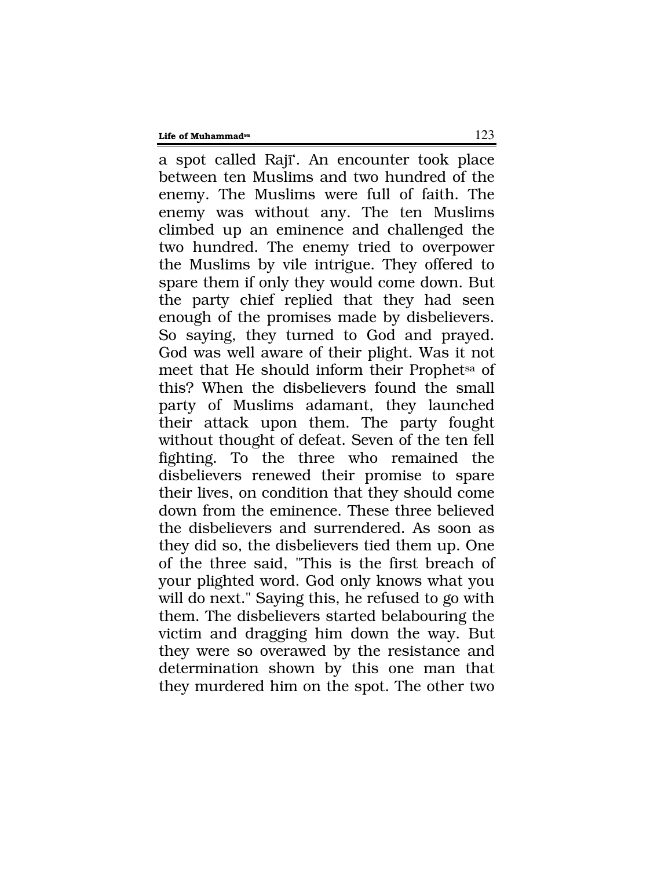a spot called Raji'. An encounter took place between ten Muslims and two hundred of the enemy. The Muslims were full of faith. The enemy was without any. The ten Muslims climbed up an eminence and challenged the two hundred. The enemy tried to overpower the Muslims by vile intrigue. They offered to spare them if only they would come down. But the party chief replied that they had seen enough of the promises made by disbelievers. So saying, they turned to God and prayed. God was well aware of their plight. Was it not meet that He should inform their Prophetsa of this? When the disbelievers found the small party of Muslims adamant, they launched their attack upon them. The party fought without thought of defeat. Seven of the ten fell fighting. To the three who remained the disbelievers renewed their promise to spare their lives, on condition that they should come down from the eminence. These three believed the disbelievers and surrendered. As soon as they did so, the disbelievers tied them up. One of the three said, "This is the first breach of your plighted word. God only knows what you will do next." Saying this, he refused to go with them. The disbelievers started belabouring the victim and dragging him down the way. But they were so overawed by the resistance and determination shown by this one man that they murdered him on the spot. The other two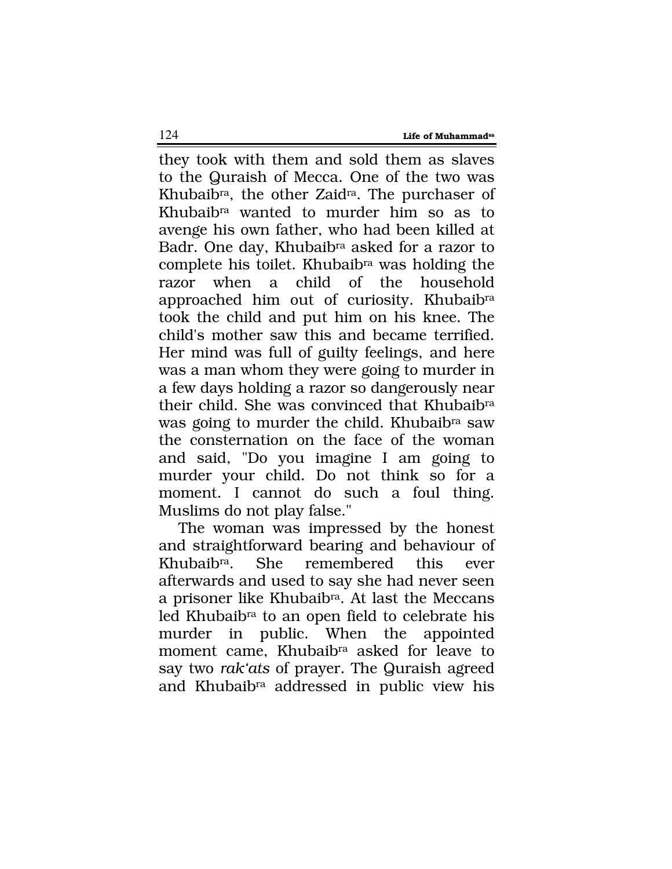they took with them and sold them as slaves to the Quraish of Mecca. One of the two was Khubaibra, the other Zaidra. The purchaser of Khubaibra wanted to murder him so as to avenge his own father, who had been killed at Badr. One day, Khubaibra asked for a razor to complete his toilet. Khubaibra was holding the razor when a child of the household approached him out of curiosity. Khubaibra took the child and put him on his knee. The child's mother saw this and became terrified. Her mind was full of guilty feelings, and here was a man whom they were going to murder in a few days holding a razor so dangerously near their child. She was convinced that Khubaibra was going to murder the child. Khubaibra saw the consternation on the face of the woman and said, "Do you imagine I am going to murder your child. Do not think so for a moment. I cannot do such a foul thing. Muslims do not play false."

The woman was impressed by the honest and straightforward bearing and behaviour of Khubaibra. She remembered this ever afterwards and used to say she had never seen a prisoner like Khubaibra. At last the Meccans led Khubaibra to an open field to celebrate his murder in public. When the appointed moment came, Khubaibra asked for leave to say two *rak'ats* of prayer. The Quraish agreed and Khubaibra addressed in public view his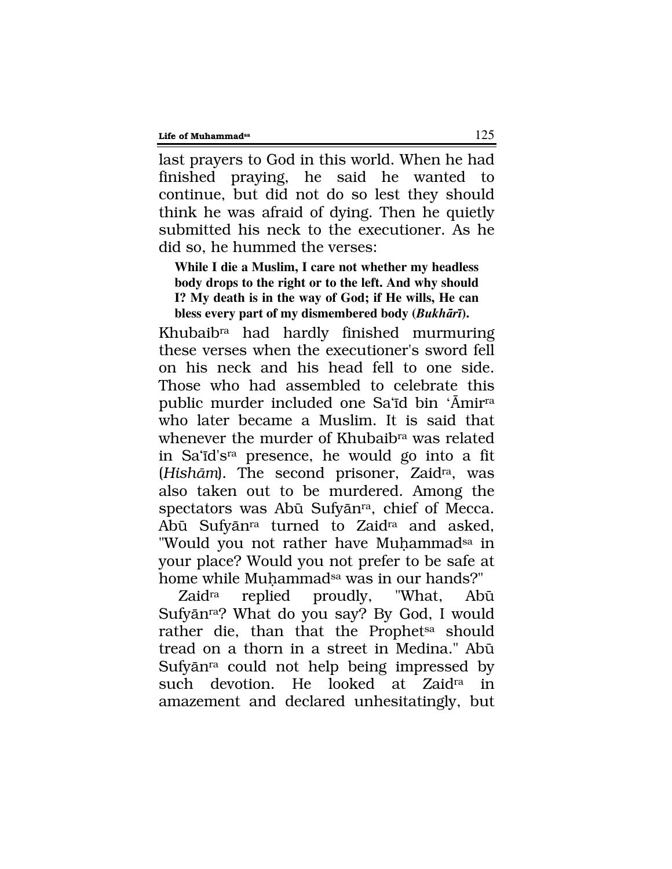last prayers to God in this world. When he had finished praying, he said he wanted to continue, but did not do so lest they should think he was afraid of dying. Then he quietly submitted his neck to the executioner. As he did so, he hummed the verses:

**While I die a Muslim, I care not whether my headless body drops to the right or to the left. And why should I? My death is in the way of God; if He wills, He can bless every part of my dismembered body (***Bukh*a*r*i**).** 

Khubaibra had hardly finished murmuring these verses when the executioner's sword fell on his neck and his head fell to one side. Those who had assembled to celebrate this public murder included one Sa'id bin 'Amirra who later became a Muslim. It is said that whenever the murder of Khubaibra was related in Sa'id'sra presence, he would go into a fit (*Hish*a*m*). The second prisoner, Zaidra, was also taken out to be murdered. Among the spectators was Abū Sufyānra, chief of Mecca. Abū Sufyān<sup>ra</sup> turned to Zaid<sup>ra</sup> and asked, "Would you not rather have Muhammadsa in your place? Would you not prefer to be safe at home while Muhammad<sup>sa</sup> was in our hands?"

Zaid<sup>ra</sup> replied proudly, "What, Abū Sufyanra? What do you say? By God, I would rather die, than that the Prophetsa should tread on a thorn in a street in Medina." Abū Sufyanra could not help being impressed by such devotion. He looked at Zaidra in amazement and declared unhesitatingly, but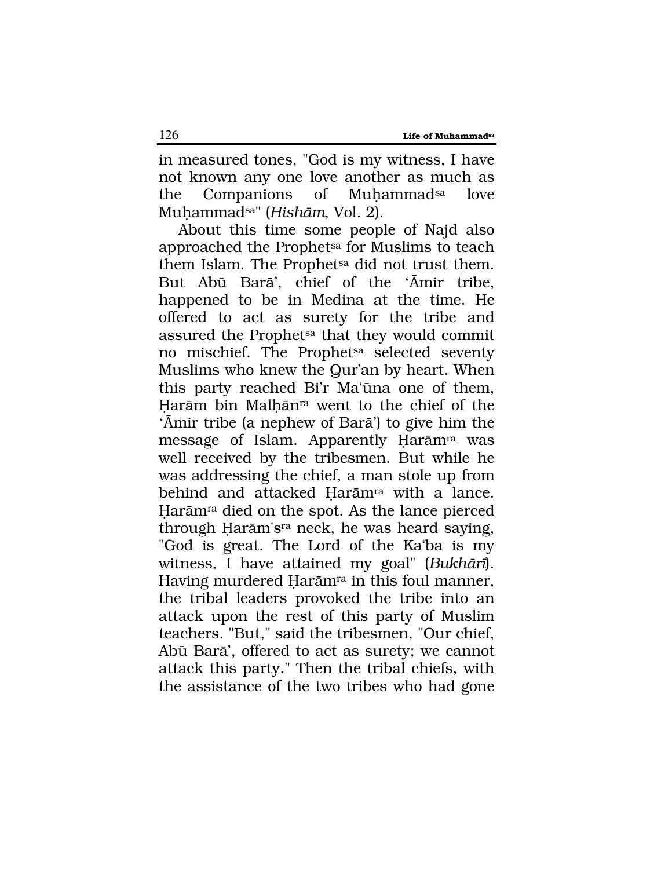in measured tones, "God is my witness, I have not known any one love another as much as the Companions of Muhammadsa love Muhammadsa" (*Hish*a*m*, Vol. 2).

About this time some people of Najd also approached the Prophetsa for Muslims to teach them Islam. The Prophetsa did not trust them. But Abū Barā', chief of the 'Āmir tribe. happened to be in Medina at the time. He offered to act as surety for the tribe and assured the Prophetsa that they would commit no mischief. The Prophetsa selected seventy Muslims who knew the Qur'an by heart. When this party reached Bi'r Ma'ūna one of them, Haram bin Malhanra went to the chief of the 'Amir tribe (a nephew of Bara') to give him the message of Islam. Apparently Haramra was well received by the tribesmen. But while he was addressing the chief, a man stole up from behind and attacked Harām<sup>ra</sup> with a lance. Haramra died on the spot. As the lance pierced through Haram'sra neck, he was heard saying, "God is great. The Lord of the Ka'ba is my witness, I have attained my goal" (*Bukh*a*r*i). Having murdered Harām<sup>ra</sup> in this foul manner, the tribal leaders provoked the tribe into an attack upon the rest of this party of Muslim teachers. "But," said the tribesmen, "Our chief, Abū Barā', offered to act as surety; we cannot attack this party." Then the tribal chiefs, with the assistance of the two tribes who had gone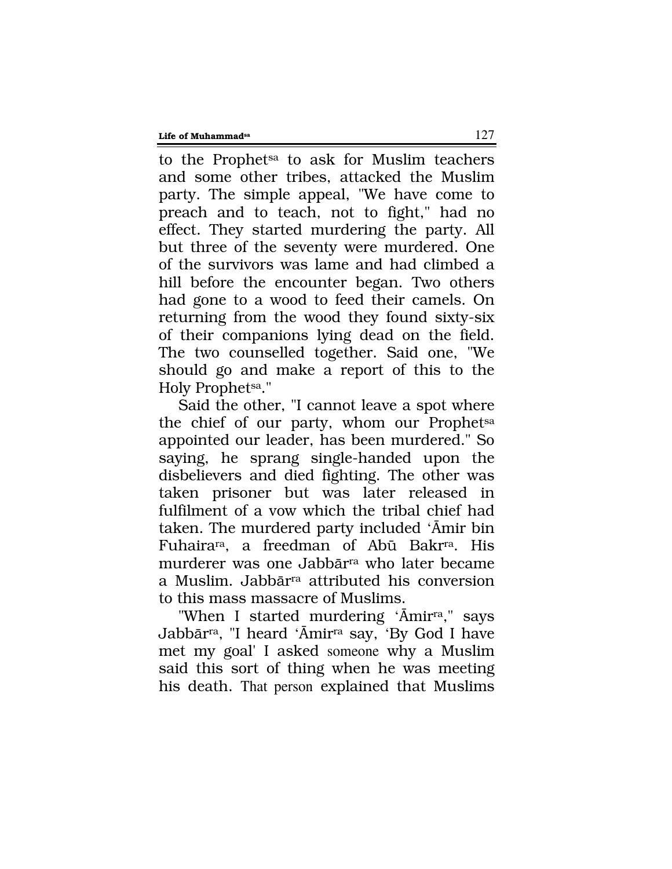to the Prophetsa to ask for Muslim teachers and some other tribes, attacked the Muslim party. The simple appeal, "We have come to preach and to teach, not to fight," had no effect. They started murdering the party. All but three of the seventy were murdered. One of the survivors was lame and had climbed a hill before the encounter began. Two others had gone to a wood to feed their camels. On returning from the wood they found sixty-six of their companions lying dead on the field. The two counselled together. Said one, "We should go and make a report of this to the Holy Prophetsa."

Said the other, "I cannot leave a spot where the chief of our party, whom our Prophetsa appointed our leader, has been murdered." So saying, he sprang single-handed upon the disbelievers and died fighting. The other was taken prisoner but was later released in fulfilment of a vow which the tribal chief had taken. The murdered party included 'Amir bin Fuhairara, a freedman of Abū Bakrra. His murderer was one Jabbarra who later became a Muslim. Jabbarra attributed his conversion to this mass massacre of Muslims.

"When I started murdering 'Amirra," says Jabbarra, "I heard 'Amirra say, 'By God I have met my goal' I asked someone why a Muslim said this sort of thing when he was meeting his death. That person explained that Muslims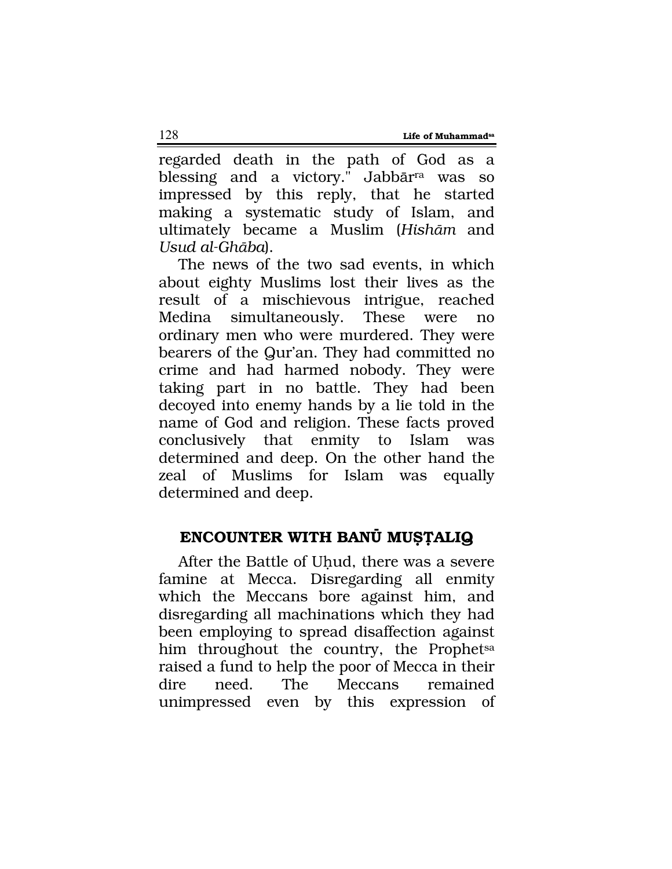regarded death in the path of God as a blessing and a victory." Jabbarra was so impressed by this reply, that he started making a systematic study of Islam, and ultimately became a Muslim (*Hish*a*m* and *Usud al-Gh*a*ba*).

The news of the two sad events, in which about eighty Muslims lost their lives as the result of a mischievous intrigue, reached Medina simultaneously. These were no ordinary men who were murdered. They were bearers of the Qur'an. They had committed no crime and had harmed nobody. They were taking part in no battle. They had been decoyed into enemy hands by a lie told in the name of God and religion. These facts proved conclusively that enmity to Islam was determined and deep. On the other hand the zeal of Muslims for Islam was equally determined and deep.

# **ENCOUNTER WITH BAN**U **MU**ST**ALIQ**

After the Battle of Uhud, there was a severe famine at Mecca. Disregarding all enmity which the Meccans bore against him, and disregarding all machinations which they had been employing to spread disaffection against him throughout the country, the Prophetsa raised a fund to help the poor of Mecca in their dire need. The Meccans remained unimpressed even by this expression of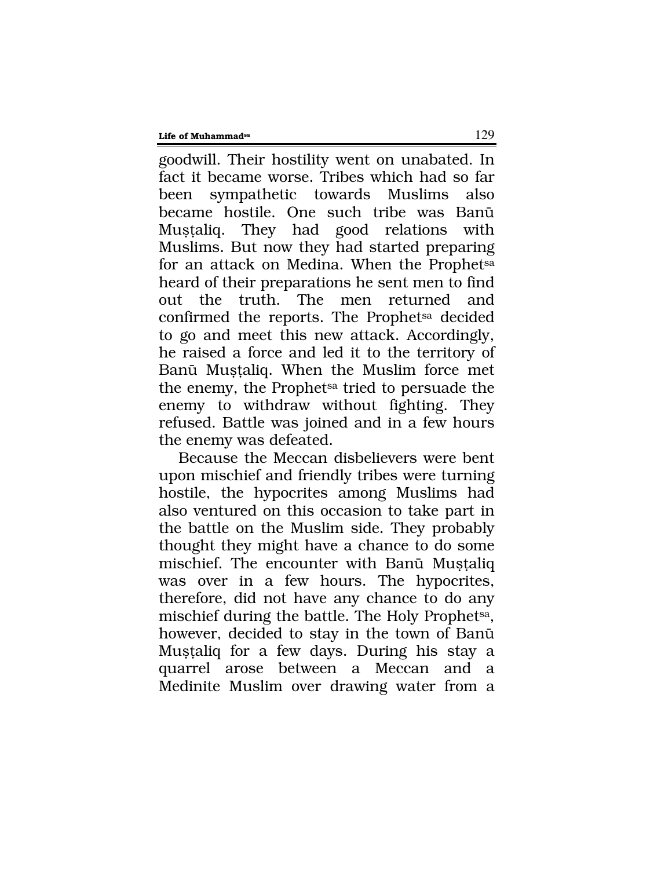goodwill. Their hostility went on unabated. In fact it became worse. Tribes which had so far been sympathetic towards Muslims also became hostile. One such tribe was Banū Mustaliq. They had good relations with Muslims. But now they had started preparing for an attack on Medina. When the Prophetsa heard of their preparations he sent men to find out the truth. The men returned and confirmed the reports. The Prophetsa decided to go and meet this new attack. Accordingly, he raised a force and led it to the territory of Banū Mustaliq. When the Muslim force met the enemy, the Prophetsa tried to persuade the enemy to withdraw without fighting. They refused. Battle was joined and in a few hours the enemy was defeated.

Because the Meccan disbelievers were bent upon mischief and friendly tribes were turning hostile, the hypocrites among Muslims had also ventured on this occasion to take part in the battle on the Muslim side. They probably thought they might have a chance to do some mischief. The encounter with Banū Mușțaliq was over in a few hours. The hypocrites, therefore, did not have any chance to do any mischief during the battle. The Holy Prophetsa, however, decided to stay in the town of Banū Mustaliq for a few days. During his stay a quarrel arose between a Meccan and a Medinite Muslim over drawing water from a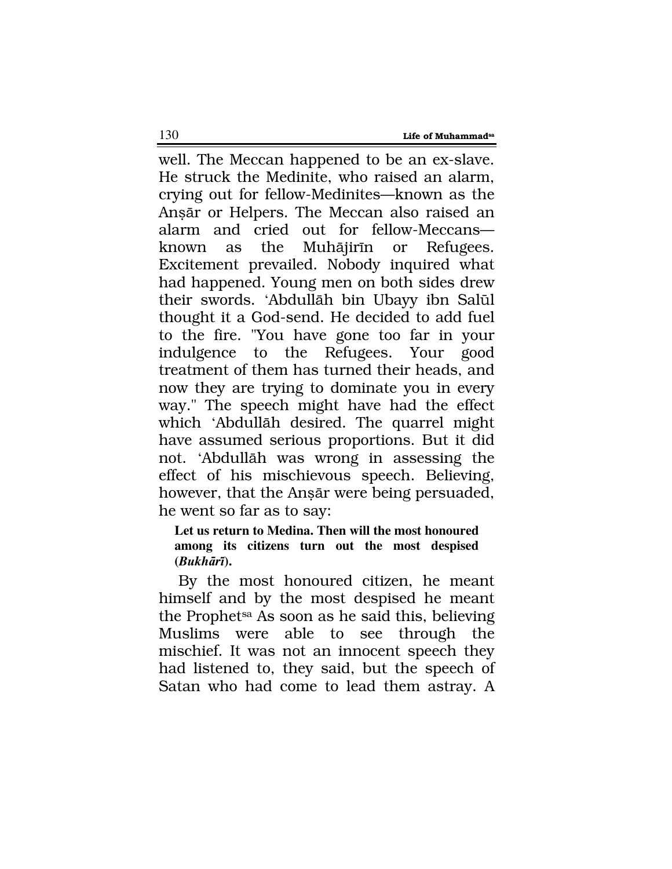well. The Meccan happened to be an ex-slave. He struck the Medinite, who raised an alarm, crying out for fellow-Medinites—known as the Ansar or Helpers. The Meccan also raised an alarm and cried out for fellow-Meccans known as the Muhajirin or Refugees. Excitement prevailed. Nobody inquired what had happened. Young men on both sides drew their swords. 'Abdullah bin Ubayy ibn Salul thought it a God-send. He decided to add fuel to the fire. "You have gone too far in your indulgence to the Refugees. Your good treatment of them has turned their heads, and now they are trying to dominate you in every way." The speech might have had the effect which 'Abdullah desired. The quarrel might have assumed serious proportions. But it did not. 'Abdullah was wrong in assessing the effect of his mischievous speech. Believing, however, that the Ansar were being persuaded, he went so far as to say:

**Let us return to Medina. Then will the most honoured among its citizens turn out the most despised (***Bukh*a*r*i**).** 

By the most honoured citizen, he meant himself and by the most despised he meant the Prophetsa As soon as he said this, believing Muslims were able to see through the mischief. It was not an innocent speech they had listened to, they said, but the speech of Satan who had come to lead them astray. A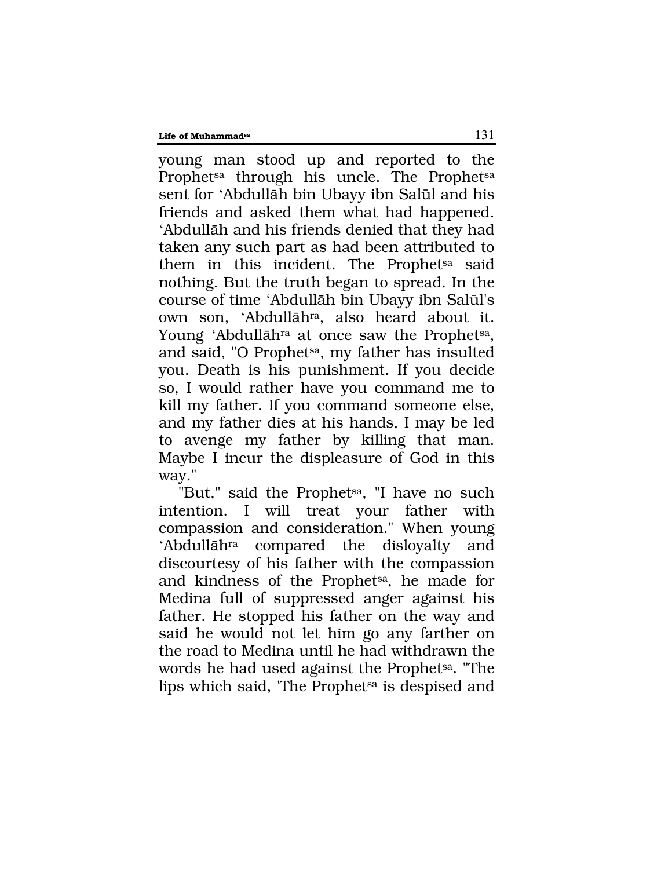young man stood up and reported to the Prophet<sup>sa</sup> through his uncle. The Prophet<sup>sa</sup> sent for 'Abdullah bin Ubayy ibn Salūl and his friends and asked them what had happened. 'Abdullah and his friends denied that they had taken any such part as had been attributed to them in this incident. The Prophetsa said nothing. But the truth began to spread. In the course of time 'Abdullah bin Ubayy ibn Salul's own son, 'Abdullahra, also heard about it. Young 'Abdullahra at once saw the Prophetsa, and said, "O Prophetsa, my father has insulted you. Death is his punishment. If you decide so, I would rather have you command me to kill my father. If you command someone else, and my father dies at his hands, I may be led to avenge my father by killing that man. Maybe I incur the displeasure of God in this way."

"But," said the Prophetsa, "I have no such intention. I will treat your father with compassion and consideration." When young 'Abdullahra compared the disloyalty and discourtesy of his father with the compassion and kindness of the Prophetsa, he made for Medina full of suppressed anger against his father. He stopped his father on the way and said he would not let him go any farther on the road to Medina until he had withdrawn the words he had used against the Prophetsa. "The lips which said, 'The Prophetsa is despised and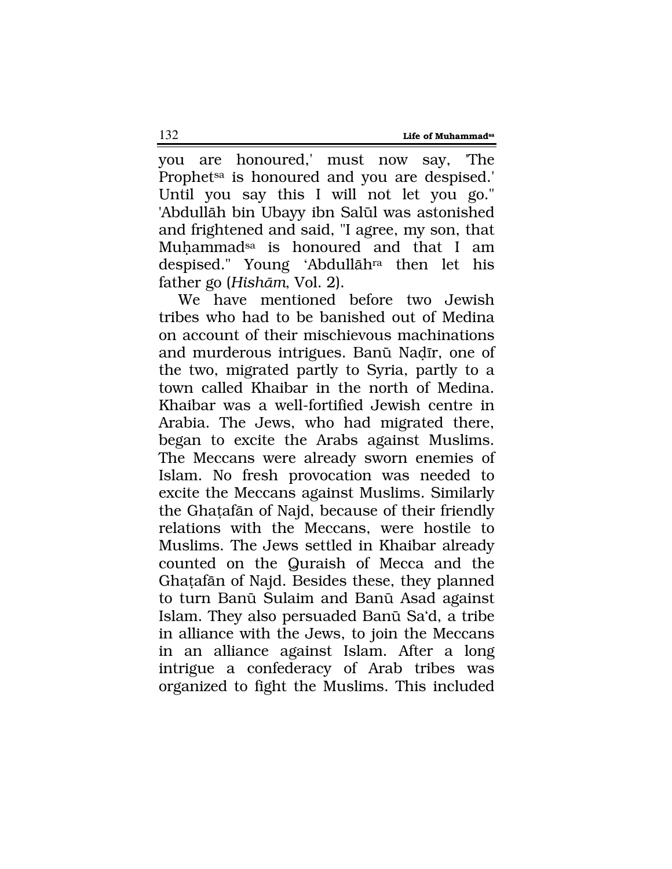you are honoured,' must now say, 'The Prophet<sup>sa</sup> is honoured and you are despised.' Until you say this I will not let you go." 'Abdullāh bin Ubayy ibn Salūl was astonished and frightened and said, "I agree, my son, that Muhammadsa is honoured and that I am despised." Young 'Abdullahra then let his father go (*Hish*a*m*, Vol. 2).

We have mentioned before two Jewish tribes who had to be banished out of Medina on account of their mischievous machinations and murderous intrigues. Banu Nadir, one of the two, migrated partly to Syria, partly to a town called Khaibar in the north of Medina. Khaibar was a well-fortified Jewish centre in Arabia. The Jews, who had migrated there, began to excite the Arabs against Muslims. The Meccans were already sworn enemies of Islam. No fresh provocation was needed to excite the Meccans against Muslims. Similarly the Ghatafan of Najd, because of their friendly relations with the Meccans, were hostile to Muslims. The Jews settled in Khaibar already counted on the Quraish of Mecca and the Ghatafan of Najd. Besides these, they planned to turn Banū Sulaim and Banū Asad against Islam. They also persuaded Banu Sa'd, a tribe in alliance with the Jews, to join the Meccans in an alliance against Islam. After a long intrigue a confederacy of Arab tribes was organized to fight the Muslims. This included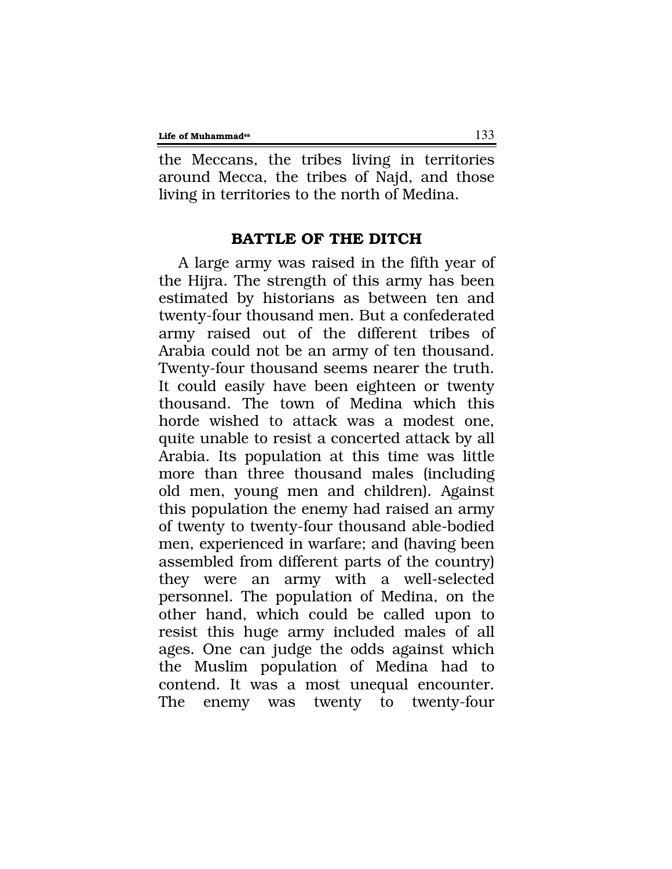the Meccans, the tribes living in territories around Mecca, the tribes of Najd, and those living in territories to the north of Medina.

#### **BATTLE OF THE DITCH**

A large army was raised in the fifth year of the Hijra. The strength of this army has been estimated by historians as between ten and twenty-four thousand men. But a confederated army raised out of the different tribes of Arabia could not be an army of ten thousand. Twenty-four thousand seems nearer the truth. It could easily have been eighteen or twenty thousand. The town of Medina which this horde wished to attack was a modest one, quite unable to resist a concerted attack by all Arabia. Its population at this time was little more than three thousand males (including old men, young men and children). Against this population the enemy had raised an army of twenty to twenty-four thousand able-bodied men, experienced in warfare; and (having been assembled from different parts of the country) they were an army with a well-selected personnel. The population of Medina, on the other hand, which could be called upon to resist this huge army included males of all ages. One can judge the odds against which the Muslim population of Medina had to contend. It was a most unequal encounter. The enemy was twenty to twenty-four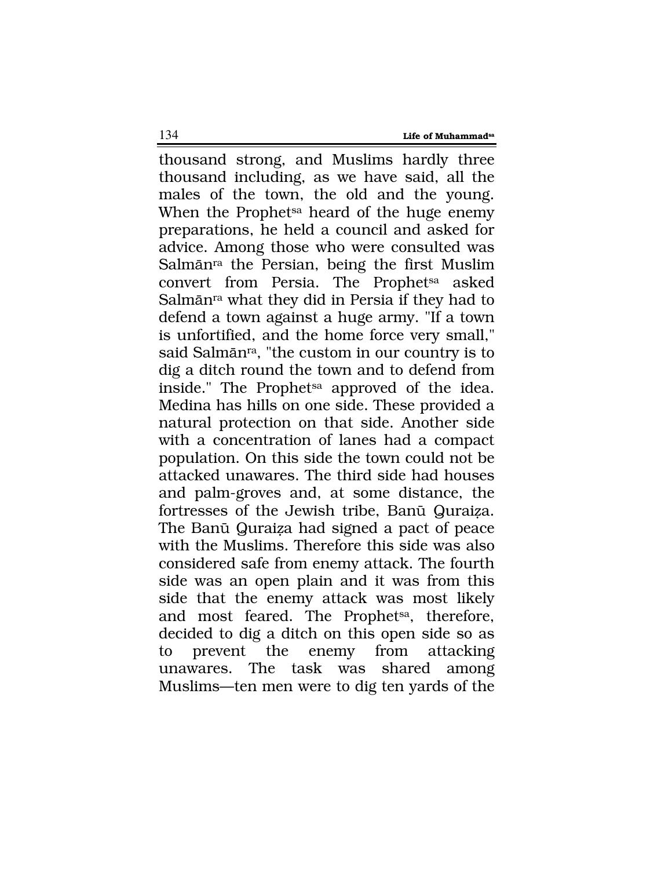thousand strong, and Muslims hardly three thousand including, as we have said, all the males of the town, the old and the young. When the Prophetsa heard of the huge enemy preparations, he held a council and asked for advice. Among those who were consulted was Salmanra the Persian, being the first Muslim convert from Persia. The Prophetsa asked Salmanra what they did in Persia if they had to defend a town against a huge army. "If a town is unfortified, and the home force very small," said Salmanra, "the custom in our country is to dig a ditch round the town and to defend from inside." The Prophet<sup>sa</sup> approved of the idea. Medina has hills on one side. These provided a natural protection on that side. Another side with a concentration of lanes had a compact population. On this side the town could not be attacked unawares. The third side had houses and palm-groves and, at some distance, the fortresses of the Jewish tribe, Banū Quraiza. The Banū Quraiza had signed a pact of peace with the Muslims. Therefore this side was also considered safe from enemy attack. The fourth side was an open plain and it was from this side that the enemy attack was most likely and most feared. The Prophetsa, therefore, decided to dig a ditch on this open side so as to prevent the enemy from attacking unawares. The task was shared among Muslims—ten men were to dig ten yards of the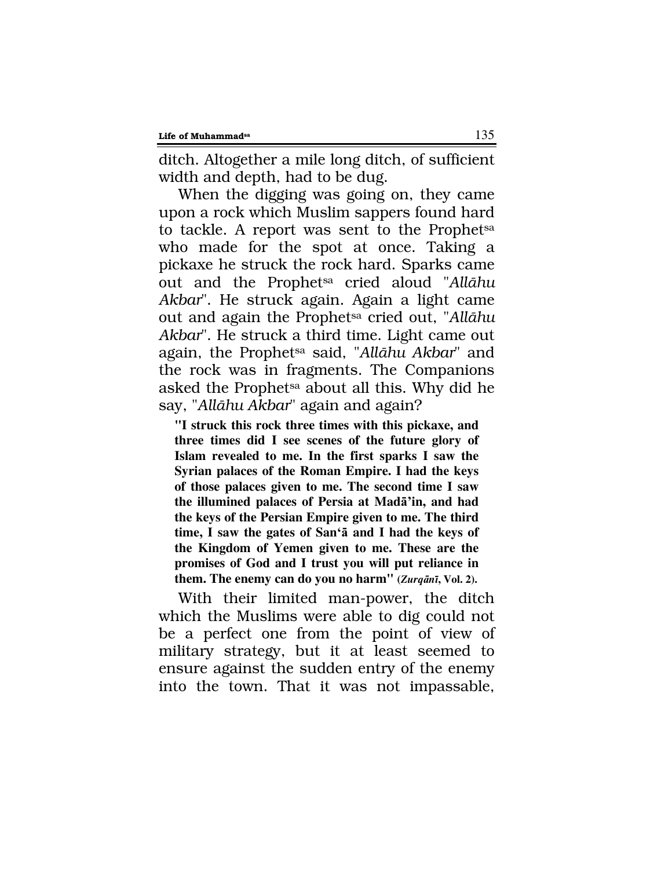ditch. Altogether a mile long ditch, of sufficient width and depth, had to be dug.

When the digging was going on, they came upon a rock which Muslim sappers found hard to tackle. A report was sent to the Prophetsa who made for the spot at once. Taking a pickaxe he struck the rock hard. Sparks came out and the Prophetsa cried aloud "*All*a*hu Akbar*". He struck again. Again a light came out and again the Prophetsa cried out, "*All*a*hu Akbar*". He struck a third time. Light came out again, the Prophetsa said, "*All*a*hu Akbar*" and the rock was in fragments. The Companions asked the Prophetsa about all this. Why did he say, "*All*a*hu Akbar*" again and again?

**"I struck this rock three times with this pickaxe, and three times did I see scenes of the future glory of Islam revealed to me. In the first sparks I saw the Syrian palaces of the Roman Empire. I had the keys of those palaces given to me. The second time I saw the illumined palaces of Persia at Mad**a**'in, and had the keys of the Persian Empire given to me. The third time, I saw the gates of San'**a **and I had the keys of the Kingdom of Yemen given to me. These are the promises of God and I trust you will put reliance in them. The enemy can do you no harm" (***Zurq*a*n*i**, Vol. 2).**

With their limited man-power, the ditch which the Muslims were able to dig could not be a perfect one from the point of view of military strategy, but it at least seemed to ensure against the sudden entry of the enemy into the town. That it was not impassable,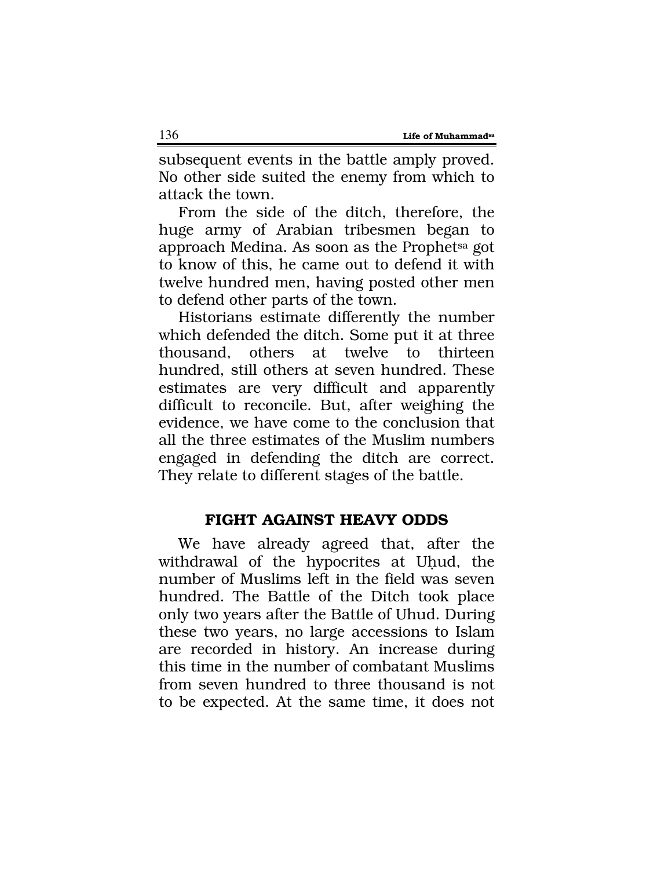subsequent events in the battle amply proved. No other side suited the enemy from which to attack the town.

From the side of the ditch, therefore, the huge army of Arabian tribesmen began to approach Medina. As soon as the Prophetsa got to know of this, he came out to defend it with twelve hundred men, having posted other men to defend other parts of the town.

Historians estimate differently the number which defended the ditch. Some put it at three thousand, others at twelve to thirteen hundred, still others at seven hundred. These estimates are very difficult and apparently difficult to reconcile. But, after weighing the evidence, we have come to the conclusion that all the three estimates of the Muslim numbers engaged in defending the ditch are correct. They relate to different stages of the battle.

### **FIGHT AGAINST HEAVY ODDS**

We have already agreed that, after the withdrawal of the hypocrites at Uhud, the number of Muslims left in the field was seven hundred. The Battle of the Ditch took place only two years after the Battle of Uhud. During these two years, no large accessions to Islam are recorded in history. An increase during this time in the number of combatant Muslims from seven hundred to three thousand is not to be expected. At the same time, it does not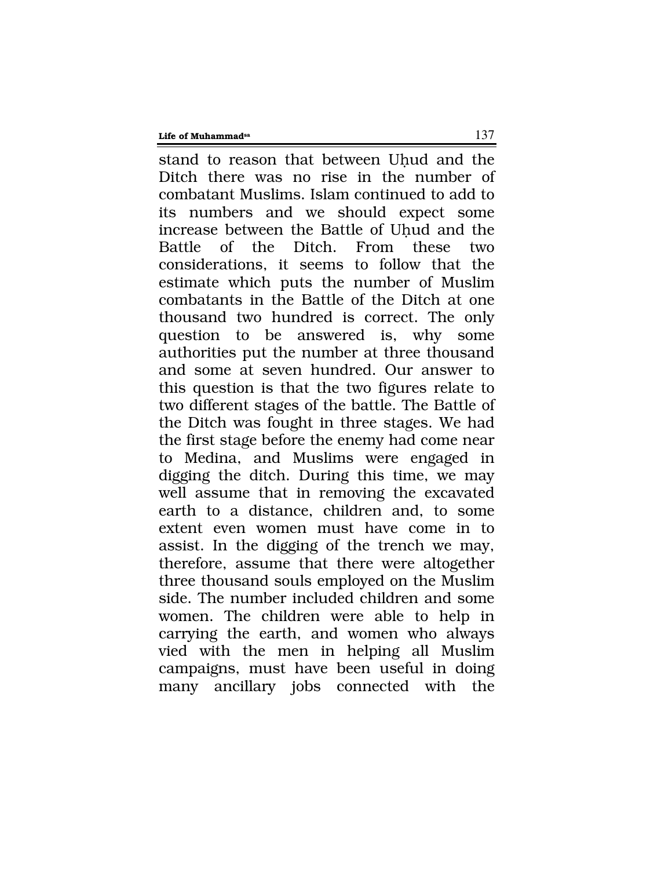stand to reason that between Uhud and the Ditch there was no rise in the number of combatant Muslims. Islam continued to add to its numbers and we should expect some increase between the Battle of Uhud and the Battle of the Ditch. From these two considerations, it seems to follow that the estimate which puts the number of Muslim combatants in the Battle of the Ditch at one thousand two hundred is correct. The only question to be answered is, why some authorities put the number at three thousand and some at seven hundred. Our answer to this question is that the two figures relate to two different stages of the battle. The Battle of the Ditch was fought in three stages. We had the first stage before the enemy had come near to Medina, and Muslims were engaged in digging the ditch. During this time, we may well assume that in removing the excavated earth to a distance, children and, to some extent even women must have come in to assist. In the digging of the trench we may, therefore, assume that there were altogether three thousand souls employed on the Muslim side. The number included children and some women. The children were able to help in carrying the earth, and women who always vied with the men in helping all Muslim campaigns, must have been useful in doing many ancillary jobs connected with the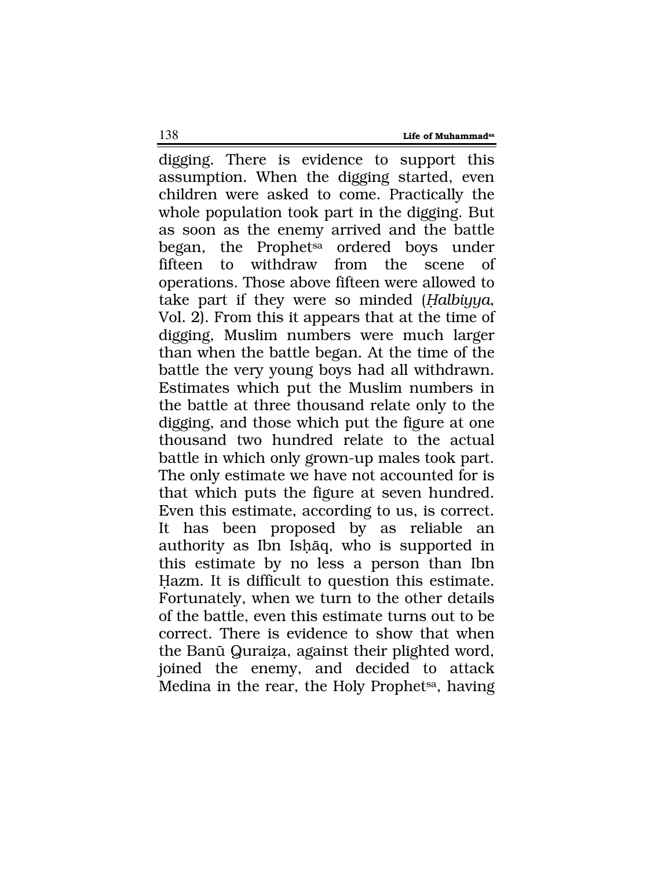digging. There is evidence to support this assumption. When the digging started, even children were asked to come. Practically the whole population took part in the digging. But as soon as the enemy arrived and the battle began, the Prophetsa ordered boys under fifteen to withdraw from the scene of operations. Those above fifteen were allowed to take part if they were so minded (H*albiyya*, Vol. 2). From this it appears that at the time of digging, Muslim numbers were much larger than when the battle began. At the time of the battle the very young boys had all withdrawn. Estimates which put the Muslim numbers in the battle at three thousand relate only to the digging, and those which put the figure at one thousand two hundred relate to the actual battle in which only grown-up males took part. The only estimate we have not accounted for is that which puts the figure at seven hundred. Even this estimate, according to us, is correct. It has been proposed by as reliable an authority as Ibn Ishaq, who is supported in this estimate by no less a person than Ibn Hazm. It is difficult to question this estimate. Fortunately, when we turn to the other details of the battle, even this estimate turns out to be correct. There is evidence to show that when the Banū Quraiza, against their plighted word, joined the enemy, and decided to attack Medina in the rear, the Holy Prophetsa, having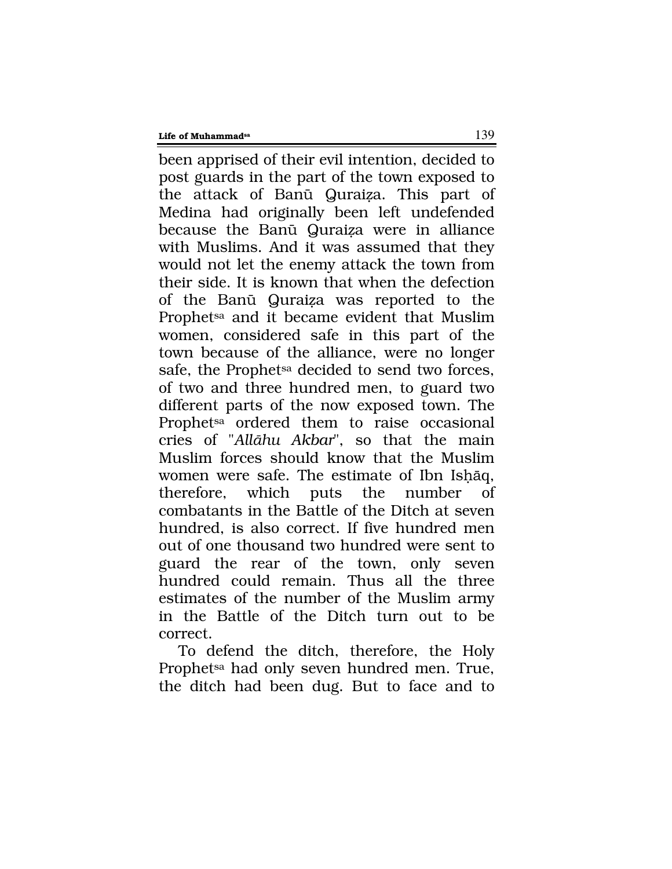been apprised of their evil intention, decided to post guards in the part of the town exposed to the attack of Banu Quraiza. This part of Medina had originally been left undefended because the Banū Quraiza were in alliance with Muslims. And it was assumed that they would not let the enemy attack the town from their side. It is known that when the defection of the Banu Quraiza was reported to the Prophetsa and it became evident that Muslim women, considered safe in this part of the town because of the alliance, were no longer safe, the Prophetsa decided to send two forces, of two and three hundred men, to guard two different parts of the now exposed town. The Prophetsa ordered them to raise occasional cries of "*All*a*hu Akbar*", so that the main Muslim forces should know that the Muslim women were safe. The estimate of Ibn Ishaq, therefore, which puts the number of combatants in the Battle of the Ditch at seven hundred, is also correct. If five hundred men out of one thousand two hundred were sent to guard the rear of the town, only seven hundred could remain. Thus all the three estimates of the number of the Muslim army in the Battle of the Ditch turn out to be correct.

To defend the ditch, therefore, the Holy Prophetsa had only seven hundred men. True, the ditch had been dug. But to face and to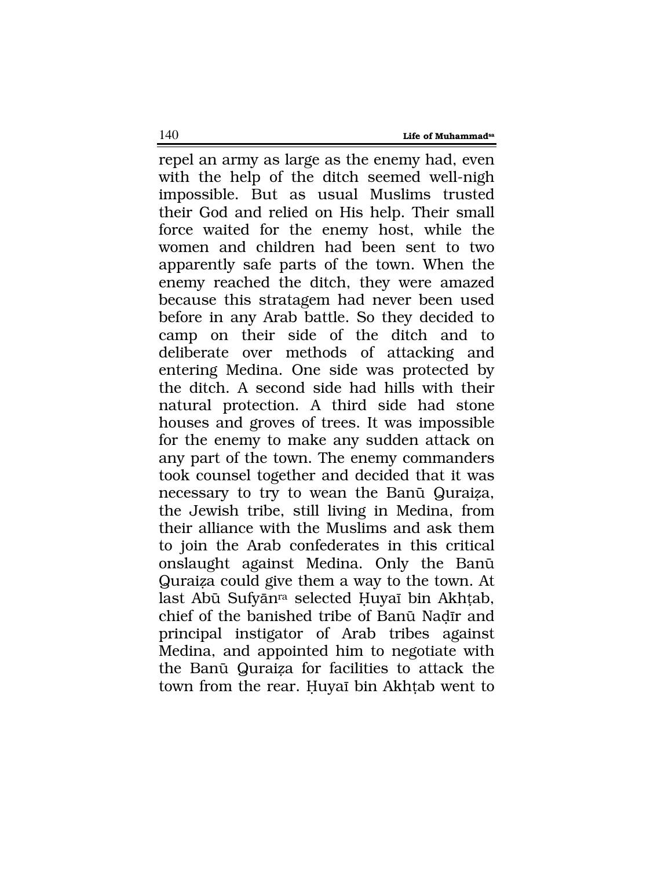repel an army as large as the enemy had, even with the help of the ditch seemed well-nigh impossible. But as usual Muslims trusted their God and relied on His help. Their small force waited for the enemy host, while the women and children had been sent to two apparently safe parts of the town. When the enemy reached the ditch, they were amazed because this stratagem had never been used before in any Arab battle. So they decided to camp on their side of the ditch and to deliberate over methods of attacking and entering Medina. One side was protected by the ditch. A second side had hills with their natural protection. A third side had stone houses and groves of trees. It was impossible for the enemy to make any sudden attack on any part of the town. The enemy commanders took counsel together and decided that it was necessary to try to wean the Banū Quraiza, the Jewish tribe, still living in Medina, from their alliance with the Muslims and ask them to join the Arab confederates in this critical onslaught against Medina. Only the Banu Quraiza could give them a way to the town. At last Abū Sufyān<sup>ra</sup> selected Huyaī bin Akhtab, chief of the banished tribe of Banu Nadir and principal instigator of Arab tribes against Medina, and appointed him to negotiate with the Banu Quraiza for facilities to attack the town from the rear. Huyai bin Akhtab went to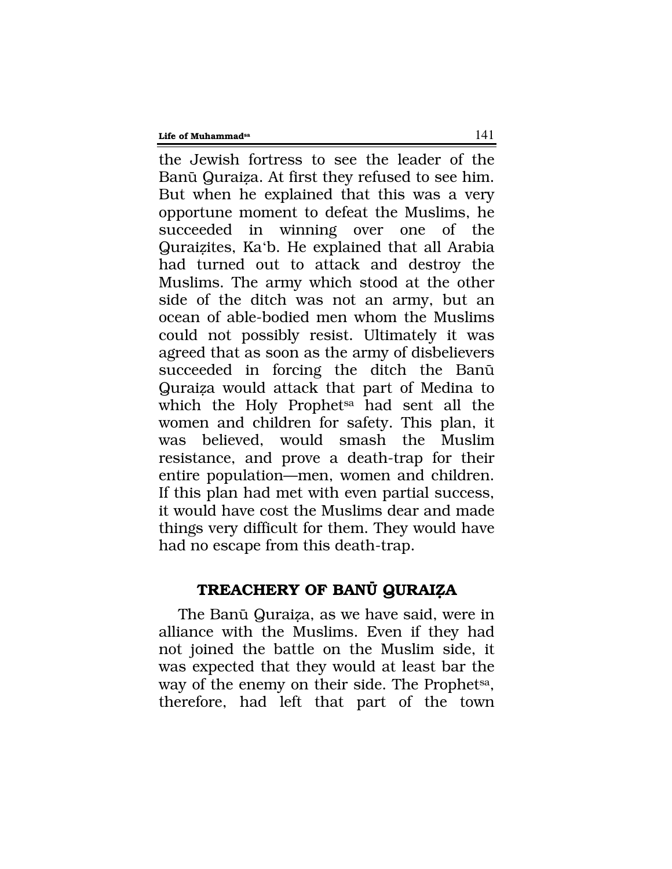the Jewish fortress to see the leader of the Banū Quraiza. At first they refused to see him. But when he explained that this was a very opportune moment to defeat the Muslims, he succeeded in winning over one of the Quraizites, Ka'b. He explained that all Arabia had turned out to attack and destroy the Muslims. The army which stood at the other side of the ditch was not an army, but an ocean of able-bodied men whom the Muslims could not possibly resist. Ultimately it was agreed that as soon as the army of disbelievers succeeded in forcing the ditch the Banū Quraiza would attack that part of Medina to which the Holy Prophetsa had sent all the women and children for safety. This plan, it was believed, would smash the Muslim resistance, and prove a death-trap for their entire population—men, women and children. If this plan had met with even partial success, it would have cost the Muslims dear and made things very difficult for them. They would have had no escape from this death-trap.

# **TREACHERY OF BAN**U **QURAI**Z**A**

The Banū Quraiza, as we have said, were in alliance with the Muslims. Even if they had not joined the battle on the Muslim side, it was expected that they would at least bar the way of the enemy on their side. The Prophetsa, therefore, had left that part of the town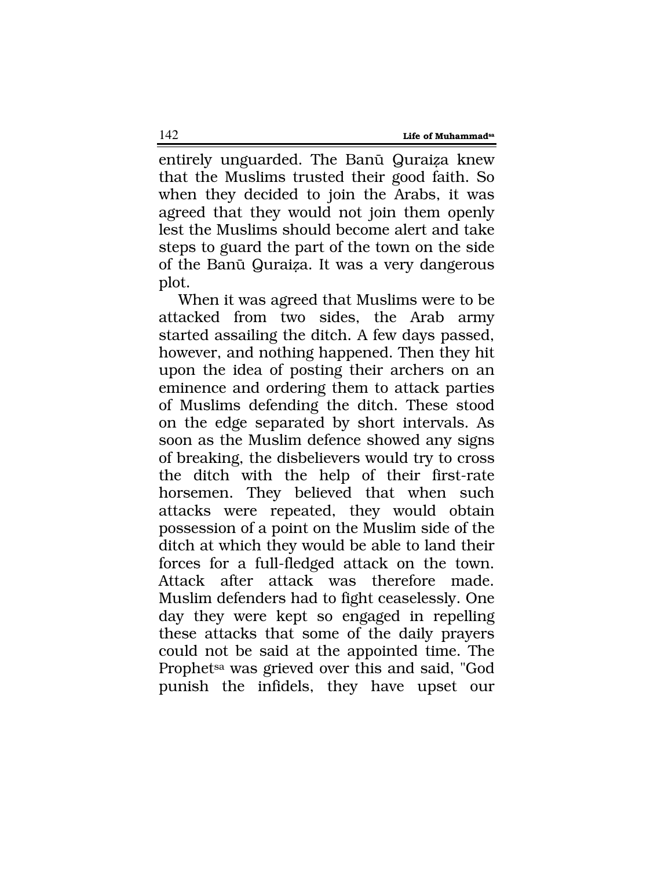entirely unguarded. The Banū Quraiza knew that the Muslims trusted their good faith. So when they decided to join the Arabs, it was agreed that they would not join them openly lest the Muslims should become alert and take steps to guard the part of the town on the side of the Banū Quraiza. It was a very dangerous plot.

When it was agreed that Muslims were to be attacked from two sides, the Arab army started assailing the ditch. A few days passed, however, and nothing happened. Then they hit upon the idea of posting their archers on an eminence and ordering them to attack parties of Muslims defending the ditch. These stood on the edge separated by short intervals. As soon as the Muslim defence showed any signs of breaking, the disbelievers would try to cross the ditch with the help of their first-rate horsemen. They believed that when such attacks were repeated, they would obtain possession of a point on the Muslim side of the ditch at which they would be able to land their forces for a full-fledged attack on the town. Attack after attack was therefore made. Muslim defenders had to fight ceaselessly. One day they were kept so engaged in repelling these attacks that some of the daily prayers could not be said at the appointed time. The Prophetsa was grieved over this and said, "God punish the infidels, they have upset our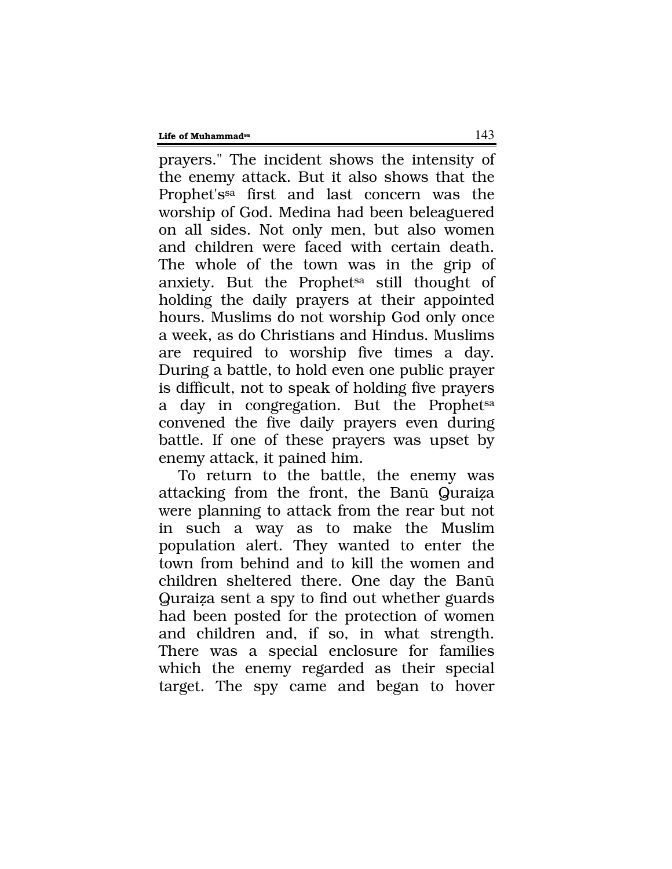prayers." The incident shows the intensity of the enemy attack. But it also shows that the Prophet'ssa first and last concern was the worship of God. Medina had been beleaguered on all sides. Not only men, but also women and children were faced with certain death. The whole of the town was in the grip of anxiety. But the Prophetsa still thought of holding the daily prayers at their appointed hours. Muslims do not worship God only once a week, as do Christians and Hindus. Muslims are required to worship five times a day. During a battle, to hold even one public prayer is difficult, not to speak of holding five prayers a day in congregation. But the Prophetsa convened the five daily prayers even during battle. If one of these prayers was upset by enemy attack, it pained him.

To return to the battle, the enemy was attacking from the front, the Banu Quraiza were planning to attack from the rear but not in such a way as to make the Muslim population alert. They wanted to enter the town from behind and to kill the women and children sheltered there. One day the Banu Quraiza sent a spy to find out whether guards had been posted for the protection of women and children and, if so, in what strength. There was a special enclosure for families which the enemy regarded as their special target. The spy came and began to hover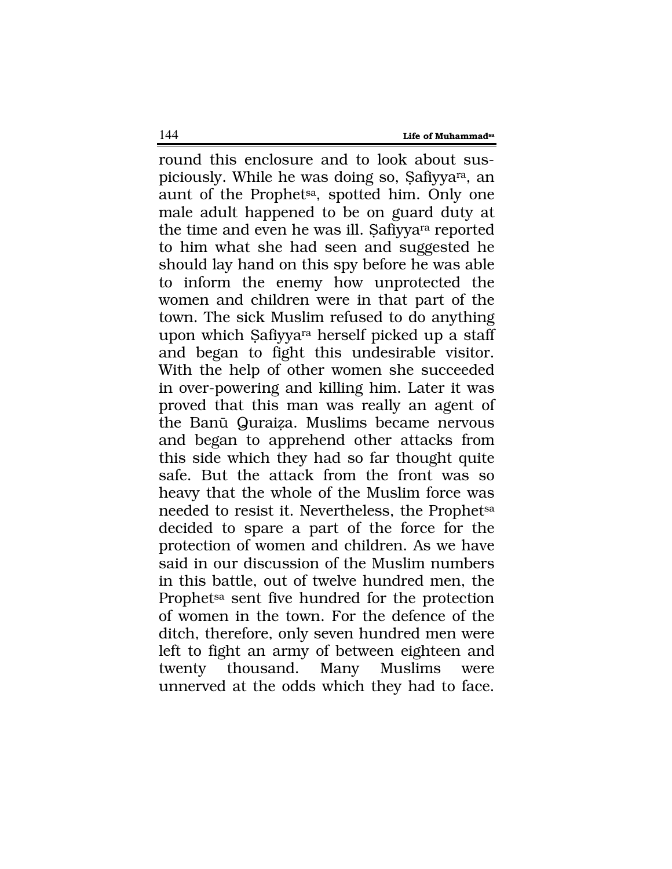round this enclosure and to look about suspiciously. While he was doing so, Safiyyara, an aunt of the Prophetsa, spotted him. Only one male adult happened to be on guard duty at the time and even he was ill. Safiyyara reported to him what she had seen and suggested he should lay hand on this spy before he was able to inform the enemy how unprotected the women and children were in that part of the town. The sick Muslim refused to do anything upon which Safiyyara herself picked up a staff and began to fight this undesirable visitor. With the help of other women she succeeded in over-powering and killing him. Later it was proved that this man was really an agent of the Banū Quraiza. Muslims became nervous and began to apprehend other attacks from this side which they had so far thought quite safe. But the attack from the front was so heavy that the whole of the Muslim force was needed to resist it. Nevertheless, the Prophetsa decided to spare a part of the force for the protection of women and children. As we have said in our discussion of the Muslim numbers in this battle, out of twelve hundred men, the Prophet<sup>sa</sup> sent five hundred for the protection of women in the town. For the defence of the ditch, therefore, only seven hundred men were left to fight an army of between eighteen and twenty thousand. Many Muslims were unnerved at the odds which they had to face.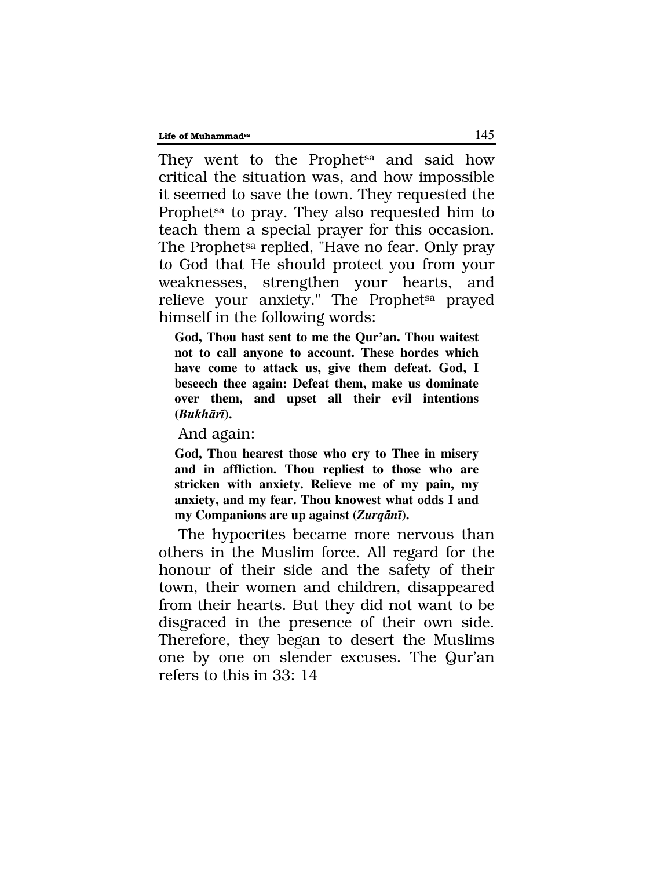They went to the Prophetsa and said how critical the situation was, and how impossible it seemed to save the town. They requested the Prophetsa to pray. They also requested him to teach them a special prayer for this occasion. The Prophetsa replied, "Have no fear. Only pray to God that He should protect you from your weaknesses, strengthen your hearts, and relieve your anxiety." The Prophetsa prayed himself in the following words:

**God, Thou hast sent to me the Qur'an. Thou waitest not to call anyone to account. These hordes which have come to attack us, give them defeat. God, I beseech thee again: Defeat them, make us dominate over them, and upset all their evil intentions (***Bukh*ari**).** 

And again:

**God, Thou hearest those who cry to Thee in misery and in affliction. Thou repliest to those who are stricken with anxiety. Relieve me of my pain, my anxiety, and my fear. Thou knowest what odds I and**  my Companions are up against (*Zurqānī*).

The hypocrites became more nervous than others in the Muslim force. All regard for the honour of their side and the safety of their town, their women and children, disappeared from their hearts. But they did not want to be disgraced in the presence of their own side. Therefore, they began to desert the Muslims one by one on slender excuses. The Qur'an refers to this in 33: 14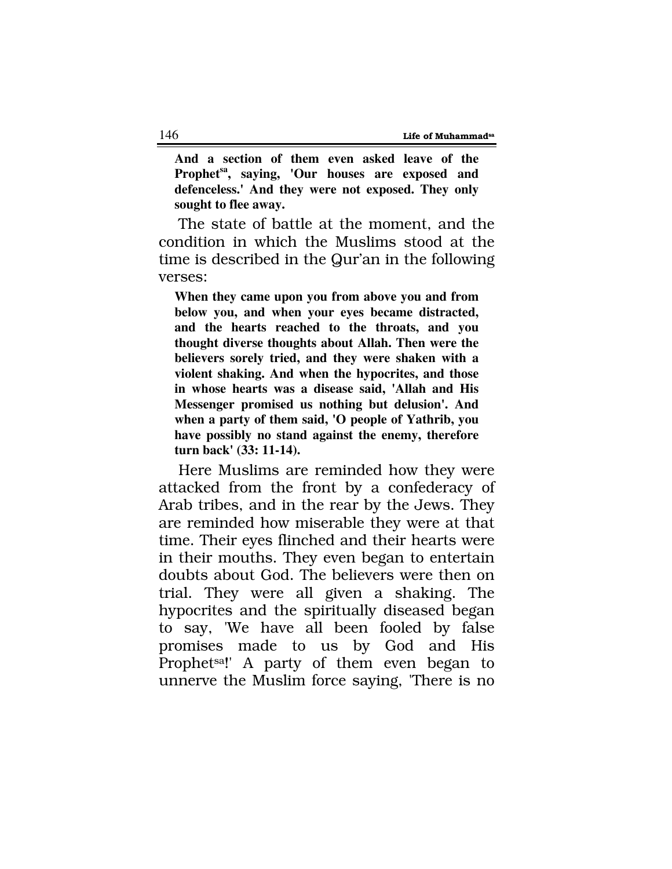**And a section of them even asked leave of the**  Prophet<sup>sa</sup>, saying, 'Our houses are exposed and **defenceless.' And they were not exposed. They only sought to flee away.** 

The state of battle at the moment, and the condition in which the Muslims stood at the time is described in the Qur'an in the following verses:

**When they came upon you from above you and from below you, and when your eyes became distracted, and the hearts reached to the throats, and you thought diverse thoughts about Allah. Then were the believers sorely tried, and they were shaken with a violent shaking. And when the hypocrites, and those in whose hearts was a disease said, 'Allah and His Messenger promised us nothing but delusion'. And when a party of them said, 'O people of Yathrib, you have possibly no stand against the enemy, therefore turn back' (33: 11-14).** 

Here Muslims are reminded how they were attacked from the front by a confederacy of Arab tribes, and in the rear by the Jews. They are reminded how miserable they were at that time. Their eyes flinched and their hearts were in their mouths. They even began to entertain doubts about God. The believers were then on trial. They were all given a shaking. The hypocrites and the spiritually diseased began to say, 'We have all been fooled by false promises made to us by God and His Prophetsa!' A party of them even began to unnerve the Muslim force saying, 'There is no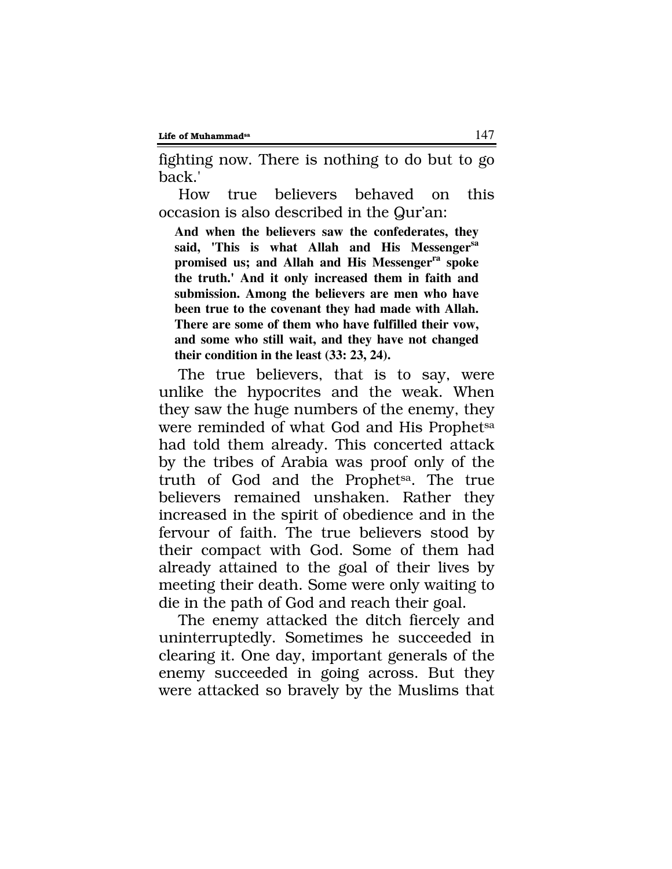fighting now. There is nothing to do but to go back.'

How true believers behaved on this occasion is also described in the Qur'an:

**And when the believers saw the confederates, they said, 'This is what Allah and His Messengersa promised us; and Allah and His Messengerra spoke the truth.' And it only increased them in faith and submission. Among the believers are men who have been true to the covenant they had made with Allah. There are some of them who have fulfilled their vow, and some who still wait, and they have not changed their condition in the least (33: 23, 24).** 

The true believers, that is to say, were unlike the hypocrites and the weak. When they saw the huge numbers of the enemy, they were reminded of what God and His Prophetsa had told them already. This concerted attack by the tribes of Arabia was proof only of the truth of God and the Prophetsa. The true believers remained unshaken. Rather they increased in the spirit of obedience and in the fervour of faith. The true believers stood by their compact with God. Some of them had already attained to the goal of their lives by meeting their death. Some were only waiting to die in the path of God and reach their goal.

The enemy attacked the ditch fiercely and uninterruptedly. Sometimes he succeeded in clearing it. One day, important generals of the enemy succeeded in going across. But they were attacked so bravely by the Muslims that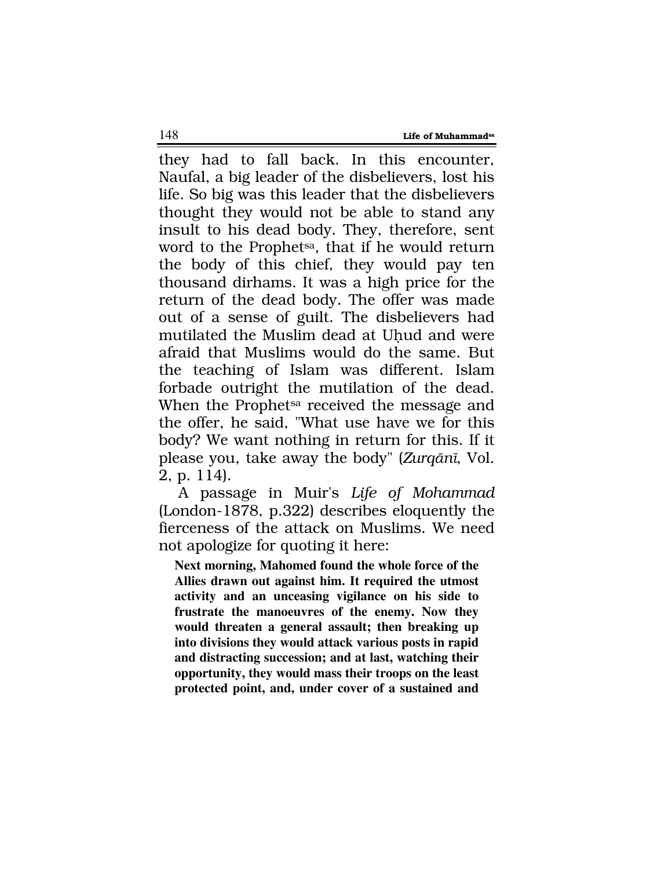they had to fall back. In this encounter, Naufal, a big leader of the disbelievers, lost his life. So big was this leader that the disbelievers thought they would not be able to stand any insult to his dead body. They, therefore, sent word to the Prophetsa, that if he would return the body of this chief, they would pay ten thousand dirhams. It was a high price for the return of the dead body. The offer was made out of a sense of guilt. The disbelievers had mutilated the Muslim dead at Uhud and were afraid that Muslims would do the same. But the teaching of Islam was different. Islam forbade outright the mutilation of the dead. When the Prophetsa received the message and the offer, he said, "What use have we for this body? We want nothing in return for this. If it please you, take away the body" (*Zurq*a*n*i, Vol. 2, p. 114).

A passage in Muir's *Life of Mohammad* (London-1878, p.322) describes eloquently the fierceness of the attack on Muslims. We need not apologize for quoting it here:

**Next morning, Mahomed found the whole force of the Allies drawn out against him. It required the utmost activity and an unceasing vigilance on his side to frustrate the manoeuvres of the enemy. Now they would threaten a general assault; then breaking up into divisions they would attack various posts in rapid and distracting succession; and at last, watching their opportunity, they would mass their troops on the least protected point, and, under cover of a sustained and**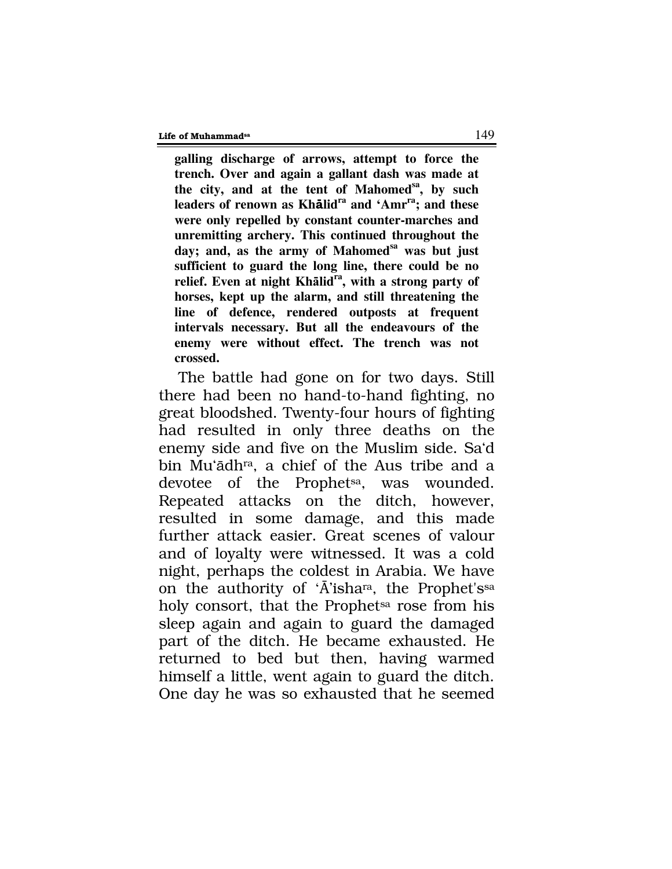**galling discharge of arrows, attempt to force the trench. Over and again a gallant dash was made at the city, and at the tent of Mahomedsa, by such**  leaders of renown as Kh**āl**id<sup>ra</sup> and 'Amr<sup>ra</sup>; and these **were only repelled by constant counter-marches and unremitting archery. This continued throughout the**  day; and, as the army of Mahomed<sup>sa</sup> was but just **sufficient to guard the long line, there could be no**  relief. Even at night Khālid<sup>ra</sup>, with a strong party of **horses, kept up the alarm, and still threatening the line of defence, rendered outposts at frequent intervals necessary. But all the endeavours of the enemy were without effect. The trench was not crossed.** 

The battle had gone on for two days. Still there had been no hand-to-hand fighting, no great bloodshed. Twenty-four hours of fighting had resulted in only three deaths on the enemy side and five on the Muslim side. Sa'd bin Mu'adhra, a chief of the Aus tribe and a devotee of the Prophetsa, was wounded. Repeated attacks on the ditch, however, resulted in some damage, and this made further attack easier. Great scenes of valour and of loyalty were witnessed. It was a cold night, perhaps the coldest in Arabia. We have on the authority of 'A'ishara, the Prophet'ssa holy consort, that the Prophetsa rose from his sleep again and again to guard the damaged part of the ditch. He became exhausted. He returned to bed but then, having warmed himself a little, went again to guard the ditch. One day he was so exhausted that he seemed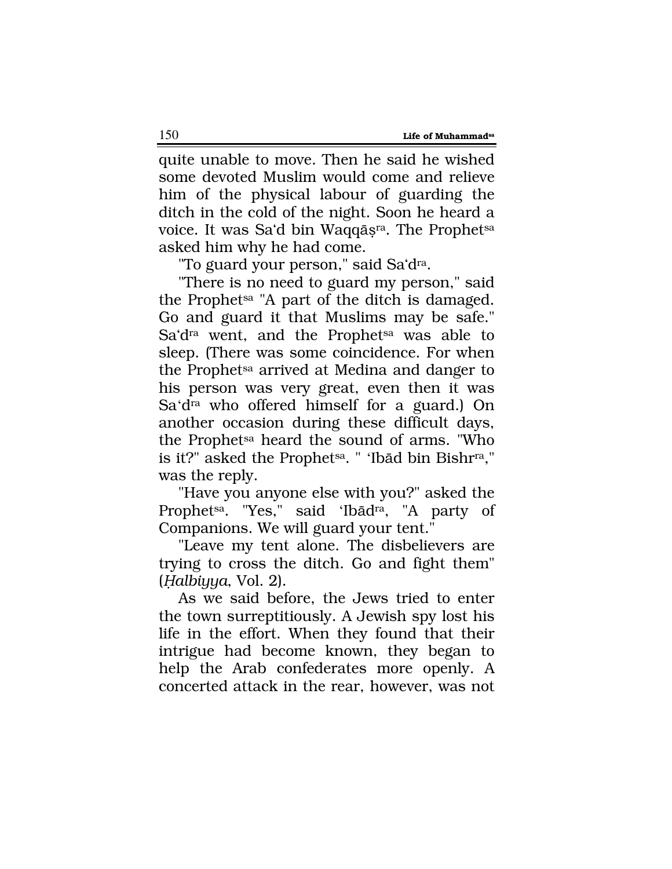quite unable to move. Then he said he wished some devoted Muslim would come and relieve him of the physical labour of guarding the ditch in the cold of the night. Soon he heard a voice. It was Sa'd bin Waqqās<sup>ra</sup>. The Prophetsa asked him why he had come.

"To guard your person," said Sa'dra.

"There is no need to guard my person," said the Prophetsa "A part of the ditch is damaged. Go and guard it that Muslims may be safe." Sa'd<sup>ra</sup> went, and the Prophet<sup>sa</sup> was able to sleep. (There was some coincidence. For when the Prophetsa arrived at Medina and danger to his person was very great, even then it was Sa'dr<sup>a</sup> who offered himself for a guard.) On another occasion during these difficult days, the Prophetsa heard the sound of arms. "Who is it?" asked the Prophetsa. " 'Ibad bin Bishrra," was the reply.

"Have you anyone else with you?" asked the Prophetsa. "Yes," said 'Ibadra, "A party of Companions. We will guard your tent."

"Leave my tent alone. The disbelievers are trying to cross the ditch. Go and fight them" (H*albiyya*, Vol. 2).

As we said before, the Jews tried to enter the town surreptitiously. A Jewish spy lost his life in the effort. When they found that their intrigue had become known, they began to help the Arab confederates more openly. A concerted attack in the rear, however, was not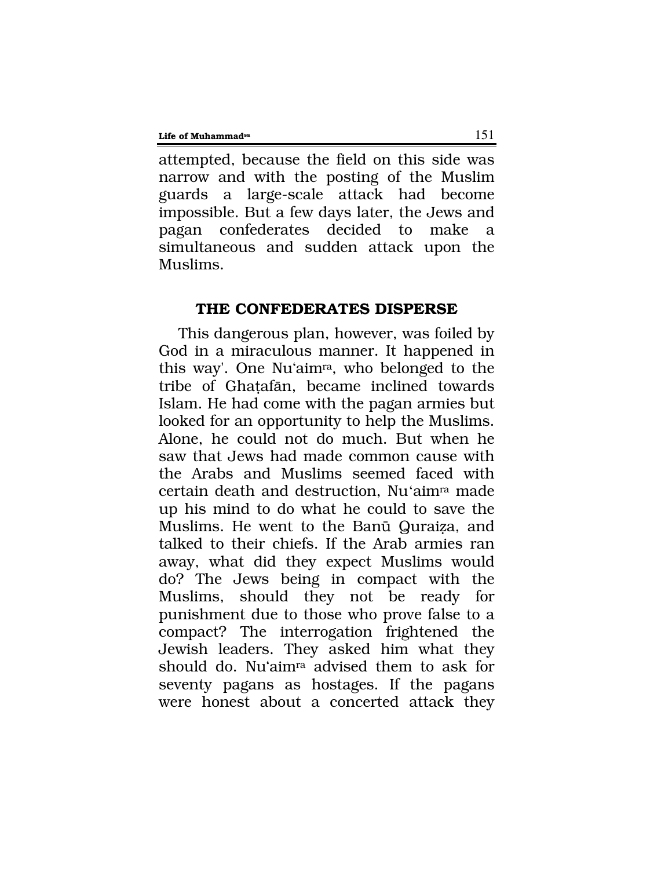attempted, because the field on this side was narrow and with the posting of the Muslim guards a large-scale attack had become impossible. But a few days later, the Jews and pagan confederates decided to make a simultaneous and sudden attack upon the Muslims.

#### **THE CONFEDERATES DISPERSE**

This dangerous plan, however, was foiled by God in a miraculous manner. It happened in this way'. One Nu'aimra, who belonged to the tribe of Ghatafan, became inclined towards Islam. He had come with the pagan armies but looked for an opportunity to help the Muslims. Alone, he could not do much. But when he saw that Jews had made common cause with the Arabs and Muslims seemed faced with certain death and destruction, Nu'aimra made up his mind to do what he could to save the Muslims. He went to the Banū Quraiza, and talked to their chiefs. If the Arab armies ran away, what did they expect Muslims would do? The Jews being in compact with the Muslims, should they not be ready for punishment due to those who prove false to a compact? The interrogation frightened the Jewish leaders. They asked him what they should do. Nu'aimra advised them to ask for seventy pagans as hostages. If the pagans were honest about a concerted attack they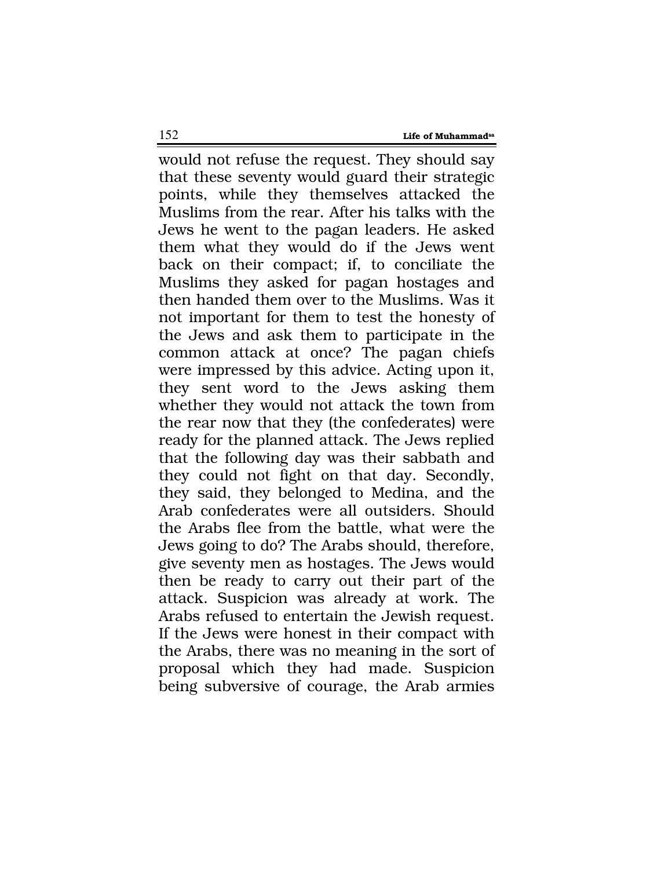would not refuse the request. They should say that these seventy would guard their strategic points, while they themselves attacked the Muslims from the rear. After his talks with the Jews he went to the pagan leaders. He asked them what they would do if the Jews went back on their compact; if, to conciliate the Muslims they asked for pagan hostages and then handed them over to the Muslims. Was it not important for them to test the honesty of the Jews and ask them to participate in the common attack at once? The pagan chiefs were impressed by this advice. Acting upon it, they sent word to the Jews asking them whether they would not attack the town from the rear now that they (the confederates) were ready for the planned attack. The Jews replied that the following day was their sabbath and they could not fight on that day. Secondly, they said, they belonged to Medina, and the Arab confederates were all outsiders. Should the Arabs flee from the battle, what were the Jews going to do? The Arabs should, therefore, give seventy men as hostages. The Jews would then be ready to carry out their part of the attack. Suspicion was already at work. The Arabs refused to entertain the Jewish request. If the Jews were honest in their compact with the Arabs, there was no meaning in the sort of proposal which they had made. Suspicion being subversive of courage, the Arab armies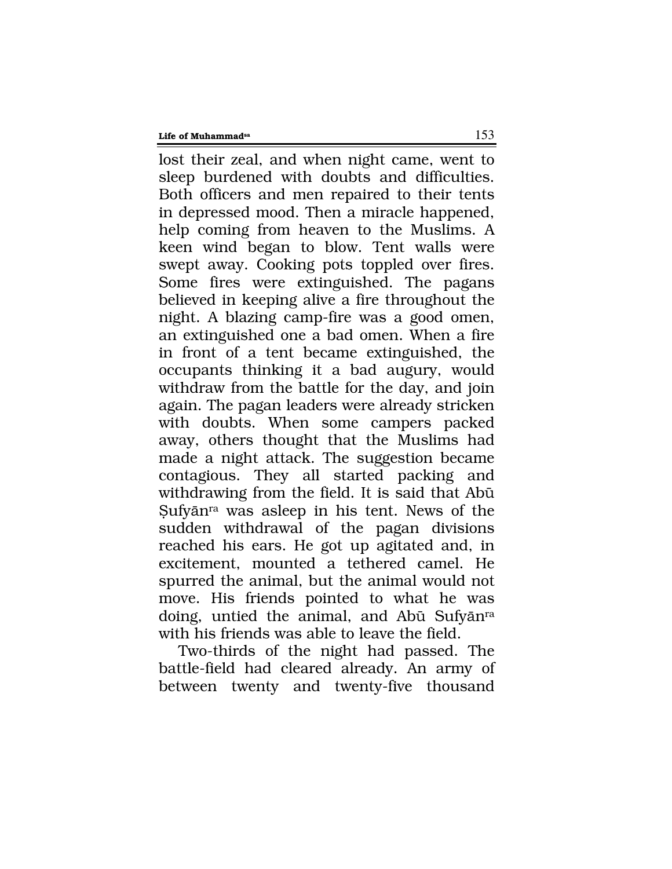lost their zeal, and when night came, went to sleep burdened with doubts and difficulties. Both officers and men repaired to their tents in depressed mood. Then a miracle happened, help coming from heaven to the Muslims. A keen wind began to blow. Tent walls were swept away. Cooking pots toppled over fires. Some fires were extinguished. The pagans believed in keeping alive a fire throughout the night. A blazing camp-fire was a good omen, an extinguished one a bad omen. When a fire in front of a tent became extinguished, the occupants thinking it a bad augury, would withdraw from the battle for the day, and join again. The pagan leaders were already stricken with doubts. When some campers packed away, others thought that the Muslims had made a night attack. The suggestion became contagious. They all started packing and withdrawing from the field. It is said that Abū Sufyanra was asleep in his tent. News of the sudden withdrawal of the pagan divisions reached his ears. He got up agitated and, in excitement, mounted a tethered camel. He spurred the animal, but the animal would not move. His friends pointed to what he was doing, untied the animal, and Abū Sufyānra with his friends was able to leave the field.

Two-thirds of the night had passed. The battle-field had cleared already. An army of between twenty and twenty-five thousand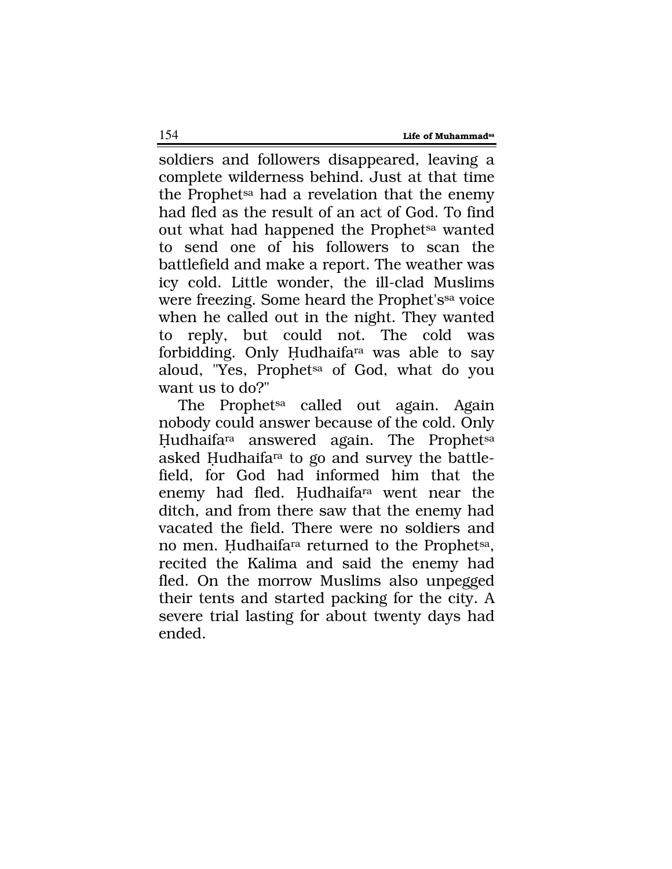soldiers and followers disappeared, leaving a complete wilderness behind. Just at that time the Prophetsa had a revelation that the enemy had fled as the result of an act of God. To find out what had happened the Prophetsa wanted to send one of his followers to scan the battlefield and make a report. The weather was icy cold. Little wonder, the ill-clad Muslims were freezing. Some heard the Prophet'ssa voice when he called out in the night. They wanted to reply, but could not. The cold was forbidding. Only Hudhaifara was able to say aloud, "Yes, Prophetsa of God, what do you want us to do?"

The Prophetsa called out again. Again nobody could answer because of the cold. Only Hudhaifara answered again. The Prophetsa asked Hudhaifara to go and survey the battlefield, for God had informed him that the enemy had fled. Hudhaifara went near the ditch, and from there saw that the enemy had vacated the field. There were no soldiers and no men. Hudhaifara returned to the Prophetsa, recited the Kalima and said the enemy had fled. On the morrow Muslims also unpegged their tents and started packing for the city. A severe trial lasting for about twenty days had ended.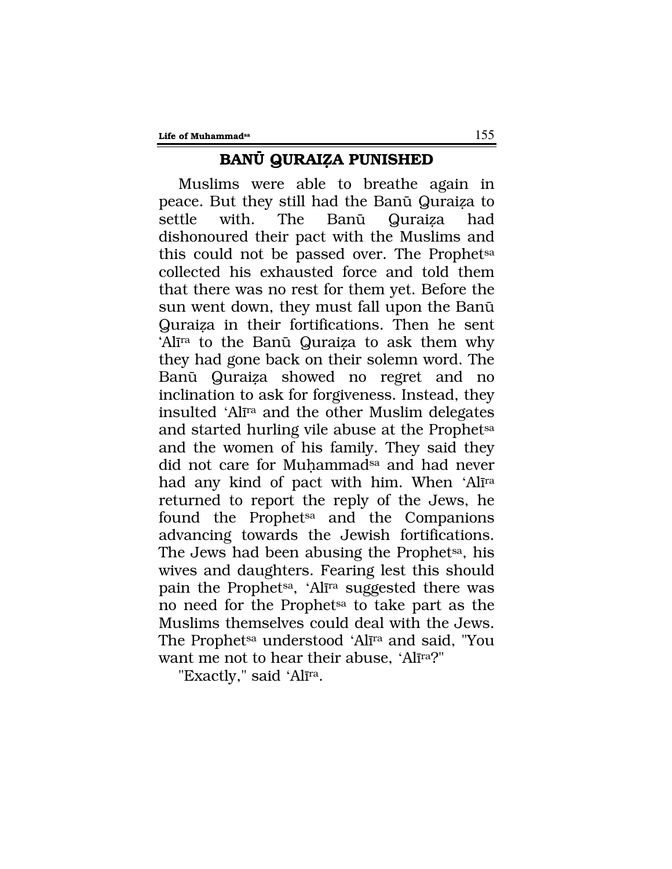## **BAN**U **QURAI**Z**A PUNISHED**

Muslims were able to breathe again in peace. But they still had the Banu Quraiza to settle with. The Banu Quraiza had dishonoured their pact with the Muslims and this could not be passed over. The Prophetsa collected his exhausted force and told them that there was no rest for them yet. Before the sun went down, they must fall upon the Banū Quraiza in their fortifications. Then he sent 'Alira to the Banu Quraiza to ask them why they had gone back on their solemn word. The Banu Quraiza showed no regret and no inclination to ask for forgiveness. Instead, they insulted 'Alira and the other Muslim delegates and started hurling vile abuse at the Prophetsa and the women of his family. They said they did not care for Muhammad<sup>sa</sup> and had never had any kind of pact with him. When 'Alira returned to report the reply of the Jews, he found the Prophet<sup>sa</sup> and the Companions advancing towards the Jewish fortifications. The Jews had been abusing the Prophetsa, his wives and daughters. Fearing lest this should pain the Prophetsa, 'Alira suggested there was no need for the Prophetsa to take part as the Muslims themselves could deal with the Jews. The Prophetsa understood 'Alira and said, "You want me not to hear their abuse, 'Alira?"

"Exactly," said 'Alīra.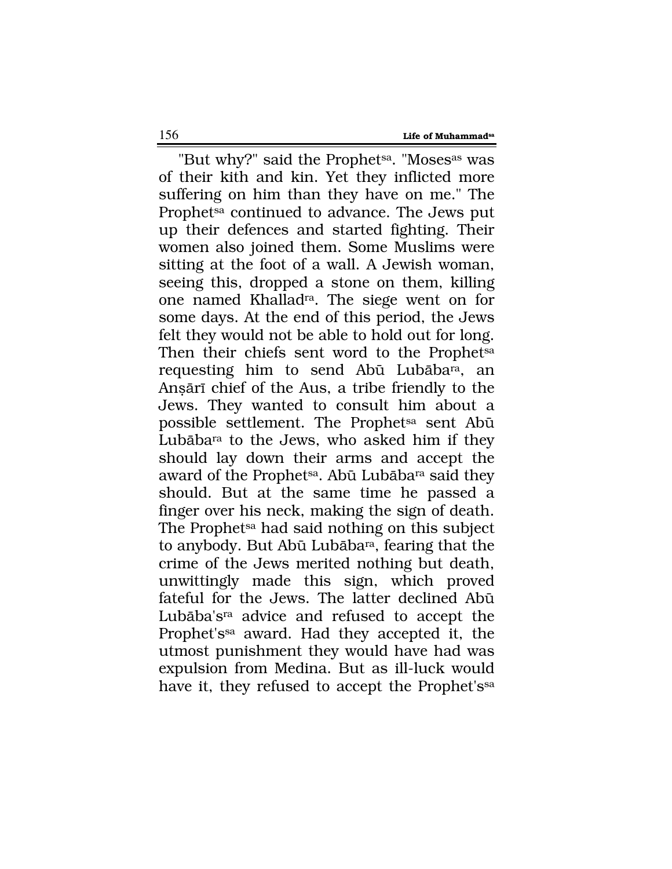"But why?" said the Prophetsa. "Mosesas was of their kith and kin. Yet they inflicted more suffering on him than they have on me." The Prophetsa continued to advance. The Jews put up their defences and started fighting. Their women also joined them. Some Muslims were sitting at the foot of a wall. A Jewish woman, seeing this, dropped a stone on them, killing one named Khalladra. The siege went on for some days. At the end of this period, the Jews felt they would not be able to hold out for long. Then their chiefs sent word to the Prophetsa requesting him to send Abū Lubābara, an Ansari chief of the Aus, a tribe friendly to the Jews. They wanted to consult him about a possible settlement. The Prophetsa sent Abū Lubabara to the Jews, who asked him if they should lay down their arms and accept the award of the Prophetsa. Abū Lubābara said they should. But at the same time he passed a finger over his neck, making the sign of death. The Prophet<sup>sa</sup> had said nothing on this subject to anybody. But Abū Lubābara, fearing that the crime of the Jews merited nothing but death, unwittingly made this sign, which proved fateful for the Jews. The latter declined Abū Lubaba'sra advice and refused to accept the Prophet'ssa award. Had they accepted it, the utmost punishment they would have had was expulsion from Medina. But as ill-luck would have it, they refused to accept the Prophet'ssa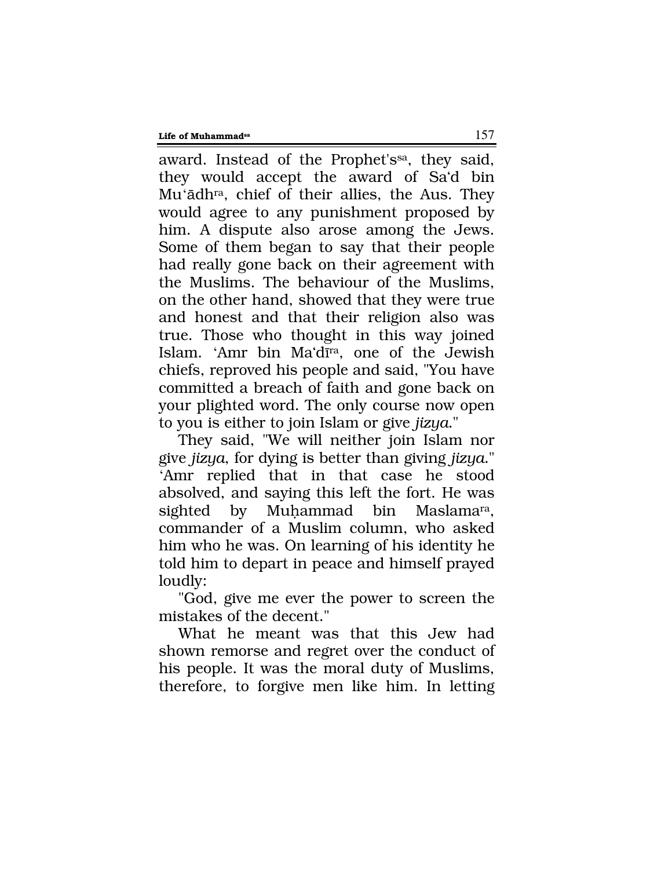award. Instead of the Prophet'ssa, they said, they would accept the award of Sa'd bin Mu'adhra, chief of their allies, the Aus. They would agree to any punishment proposed by him. A dispute also arose among the Jews. Some of them began to say that their people had really gone back on their agreement with the Muslims. The behaviour of the Muslims, on the other hand, showed that they were true and honest and that their religion also was true. Those who thought in this way joined Islam. 'Amr bin Ma'dira, one of the Jewish chiefs, reproved his people and said, "You have committed a breach of faith and gone back on your plighted word. The only course now open to you is either to join Islam or give *jizya*."

They said, "We will neither join Islam nor give *jizya*, for dying is better than giving *jizya*." 'Amr replied that in that case he stood absolved, and saying this left the fort. He was sighted by Muhammad bin Maslamara, commander of a Muslim column, who asked him who he was. On learning of his identity he told him to depart in peace and himself prayed loudly:

"God, give me ever the power to screen the mistakes of the decent."

What he meant was that this Jew had shown remorse and regret over the conduct of his people. It was the moral duty of Muslims, therefore, to forgive men like him. In letting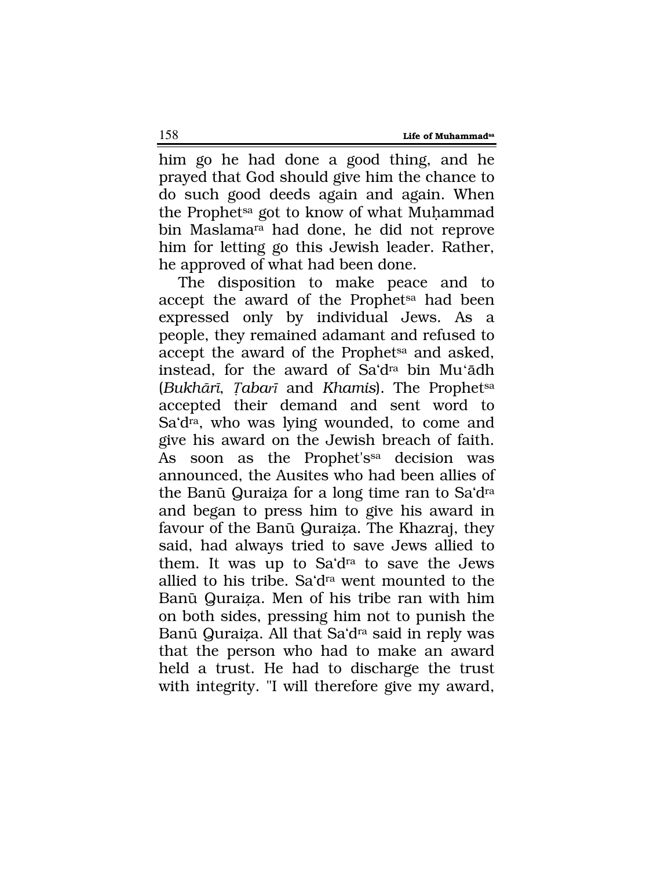him go he had done a good thing, and he prayed that God should give him the chance to do such good deeds again and again. When the Prophetsa got to know of what Muhammad bin Maslamara had done, he did not reprove him for letting go this Jewish leader. Rather, he approved of what had been done.

The disposition to make peace and to accept the award of the Prophetsa had been expressed only by individual Jews. As a people, they remained adamant and refused to accept the award of the Prophetsa and asked, instead, for the award of Sa'dra bin Mu'adh (*Bukh*a*r*i, T*abar*i and *Khamis*). The Prophetsa accepted their demand and sent word to Sa'dra, who was lying wounded, to come and give his award on the Jewish breach of faith. As soon as the Prophet'ssa decision was announced, the Ausites who had been allies of the Banū Quraiza for a long time ran to Sa'dra and began to press him to give his award in favour of the Banū Quraiza. The Khazraj, they said, had always tried to save Jews allied to them. It was up to Sa'dra to save the Jews allied to his tribe. Sa'dra went mounted to the Banū Quraiza. Men of his tribe ran with him on both sides, pressing him not to punish the Banū Quraiza. All that Sa'd<sup>ra</sup> said in reply was that the person who had to make an award held a trust. He had to discharge the trust with integrity. "I will therefore give my award,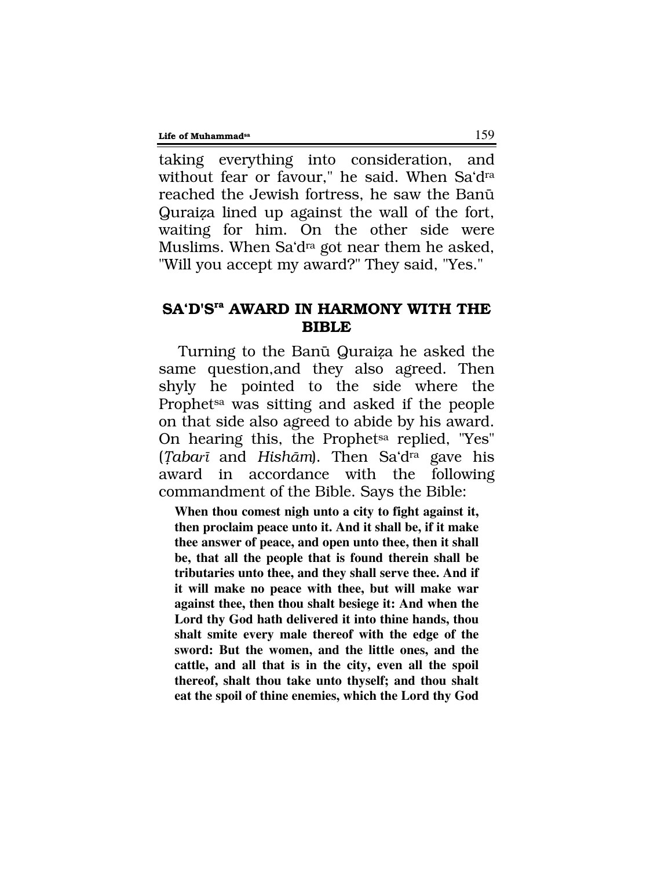taking everything into consideration, and without fear or favour," he said. When Sa'dra reached the Jewish fortress, he saw the Banū Quraiza lined up against the wall of the fort, waiting for him. On the other side were Muslims. When Sa'dra got near them he asked, "Will you accept my award?" They said, "Yes."

#### **SA'D'Sra AWARD IN HARMONY WITH THE BIBLE**

Turning to the Banu Quraiza he asked the same question,and they also agreed. Then shyly he pointed to the side where the Prophetsa was sitting and asked if the people on that side also agreed to abide by his award. On hearing this, the Prophetsa replied, "Yes" (T*abar*i and *Hish*a*m*). Then Sa'dra gave his award in accordance with the following commandment of the Bible. Says the Bible:

**When thou comest nigh unto a city to fight against it, then proclaim peace unto it. And it shall be, if it make thee answer of peace, and open unto thee, then it shall be, that all the people that is found therein shall be tributaries unto thee, and they shall serve thee. And if it will make no peace with thee, but will make war against thee, then thou shalt besiege it: And when the Lord thy God hath delivered it into thine hands, thou shalt smite every male thereof with the edge of the sword: But the women, and the little ones, and the cattle, and all that is in the city, even all the spoil thereof, shalt thou take unto thyself; and thou shalt eat the spoil of thine enemies, which the Lord thy God**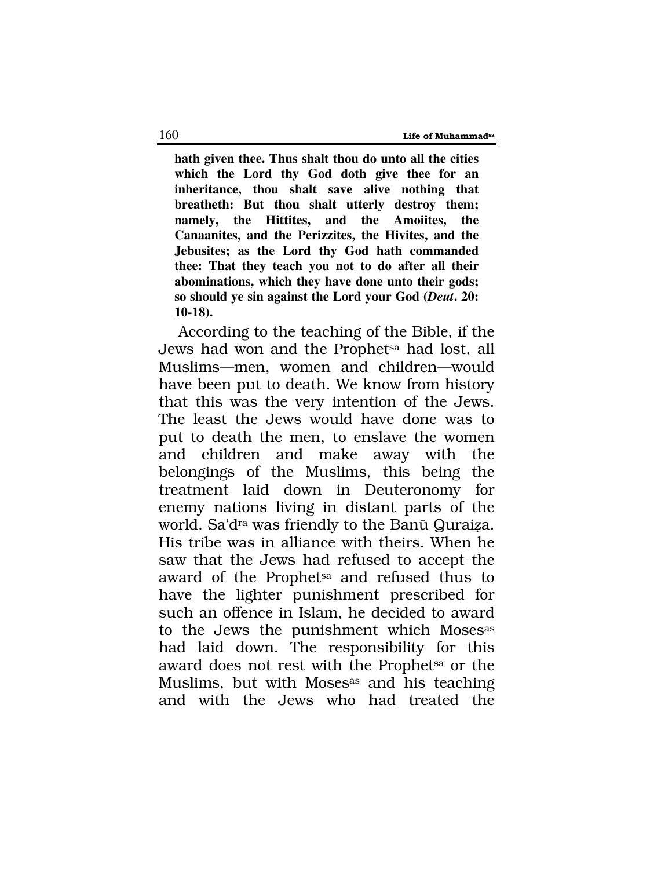**hath given thee. Thus shalt thou do unto all the cities which the Lord thy God doth give thee for an inheritance, thou shalt save alive nothing that breatheth: But thou shalt utterly destroy them; namely, the Hittites, and the Amoiites, the Canaanites, and the Perizzites, the Hivites, and the Jebusites; as the Lord thy God hath commanded thee: That they teach you not to do after all their abominations, which they have done unto their gods; so should ye sin against the Lord your God (***Deut***. 20: 10-18).** 

According to the teaching of the Bible, if the Jews had won and the Prophetsa had lost, all Muslims—men, women and children—would have been put to death. We know from history that this was the very intention of the Jews. The least the Jews would have done was to put to death the men, to enslave the women and children and make away with the belongings of the Muslims, this being the treatment laid down in Deuteronomy for enemy nations living in distant parts of the world. Sa'd<sup>ra</sup> was friendly to the Banū Quraiza. His tribe was in alliance with theirs. When he saw that the Jews had refused to accept the award of the Prophetsa and refused thus to have the lighter punishment prescribed for such an offence in Islam, he decided to award to the Jews the punishment which Mosesas had laid down. The responsibility for this award does not rest with the Prophetsa or the Muslims, but with Moses<sup>as</sup> and his teaching and with the Jews who had treated the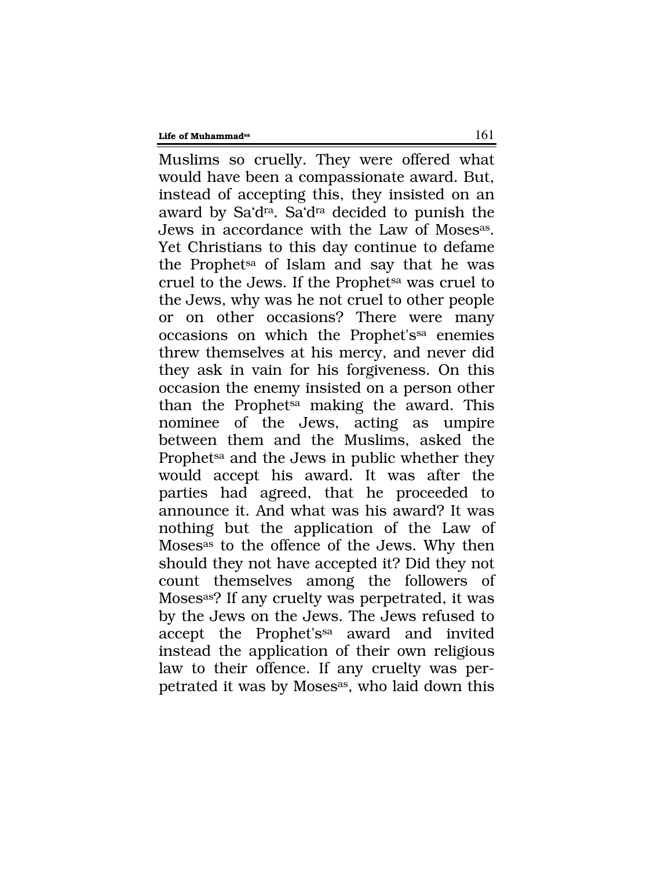Muslims so cruelly. They were offered what would have been a compassionate award. But, instead of accepting this, they insisted on an award by Sa'dra. Sa'dra decided to punish the Jews in accordance with the Law of Mosesas. Yet Christians to this day continue to defame the Prophetsa of Islam and say that he was cruel to the Jews. If the Prophetsa was cruel to the Jews, why was he not cruel to other people or on other occasions? There were many occasions on which the Prophet'ssa enemies threw themselves at his mercy, and never did they ask in vain for his forgiveness. On this occasion the enemy insisted on a person other than the Prophetsa making the award. This nominee of the Jews, acting as umpire between them and the Muslims, asked the Prophetsa and the Jews in public whether they would accept his award. It was after the parties had agreed, that he proceeded to announce it. And what was his award? It was nothing but the application of the Law of Mosesas to the offence of the Jews. Why then should they not have accepted it? Did they not count themselves among the followers of Mosesas? If any cruelty was perpetrated, it was by the Jews on the Jews. The Jews refused to accept the Prophet'ssa award and invited instead the application of their own religious law to their offence. If any cruelty was perpetrated it was by Mosesas, who laid down this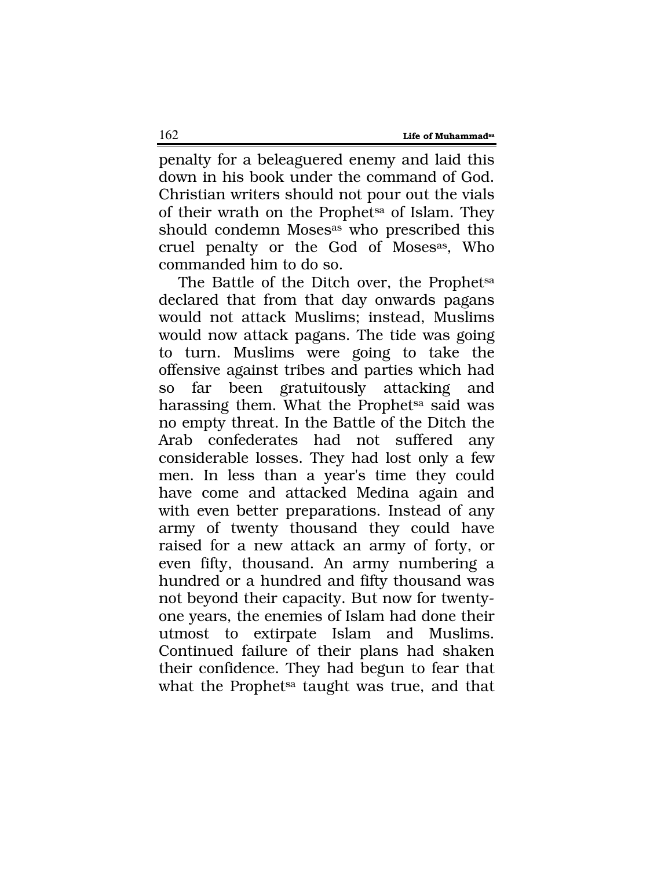penalty for a beleaguered enemy and laid this down in his book under the command of God. Christian writers should not pour out the vials of their wrath on the Prophetsa of Islam. They should condemn Moses<sup>as</sup> who prescribed this cruel penalty or the God of Mosesas, Who commanded him to do so.

The Battle of the Ditch over, the Prophetsa declared that from that day onwards pagans would not attack Muslims; instead, Muslims would now attack pagans. The tide was going to turn. Muslims were going to take the offensive against tribes and parties which had so far been gratuitously attacking and harassing them. What the Prophetsa said was no empty threat. In the Battle of the Ditch the Arab confederates had not suffered any considerable losses. They had lost only a few men. In less than a year's time they could have come and attacked Medina again and with even better preparations. Instead of any army of twenty thousand they could have raised for a new attack an army of forty, or even fifty, thousand. An army numbering a hundred or a hundred and fifty thousand was not beyond their capacity. But now for twentyone years, the enemies of Islam had done their utmost to extirpate Islam and Muslims. Continued failure of their plans had shaken their confidence. They had begun to fear that what the Prophet<sup>sa</sup> taught was true, and that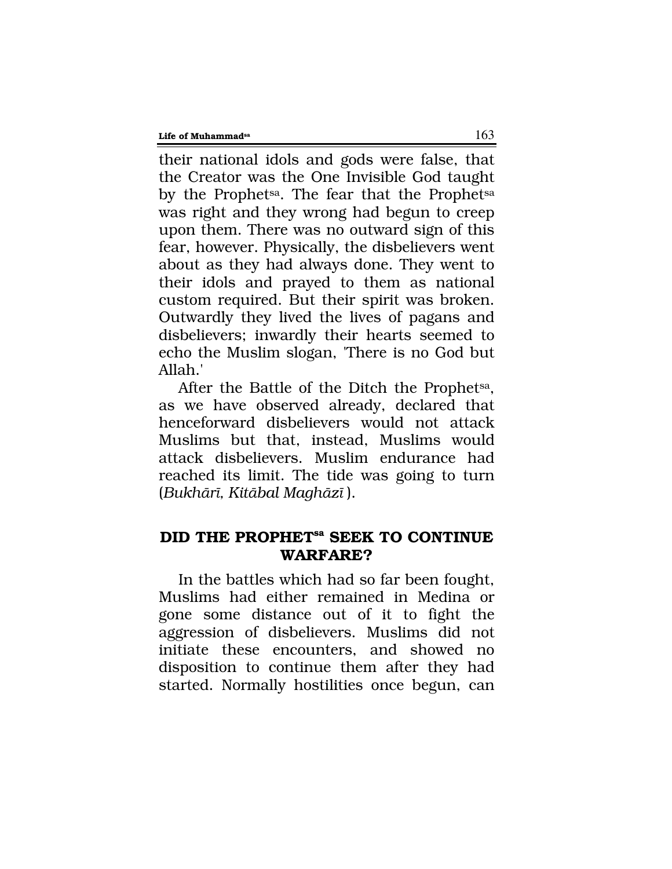their national idols and gods were false, that the Creator was the One Invisible God taught by the Prophetsa. The fear that the Prophetsa was right and they wrong had begun to creep upon them. There was no outward sign of this fear, however. Physically, the disbelievers went about as they had always done. They went to their idols and prayed to them as national custom required. But their spirit was broken. Outwardly they lived the lives of pagans and disbelievers; inwardly their hearts seemed to echo the Muslim slogan, 'There is no God but Allah.'

After the Battle of the Ditch the Prophetsa, as we have observed already, declared that henceforward disbelievers would not attack Muslims but that, instead, Muslims would attack disbelievers. Muslim endurance had reached its limit. The tide was going to turn (*Bukh*a*r*i*, Kit*a*bal Magh*a*z*i ).

## **DID THE PROPHETsa SEEK TO CONTINUE WARFARE?**

In the battles which had so far been fought, Muslims had either remained in Medina or gone some distance out of it to fight the aggression of disbelievers. Muslims did not initiate these encounters, and showed no disposition to continue them after they had started. Normally hostilities once begun, can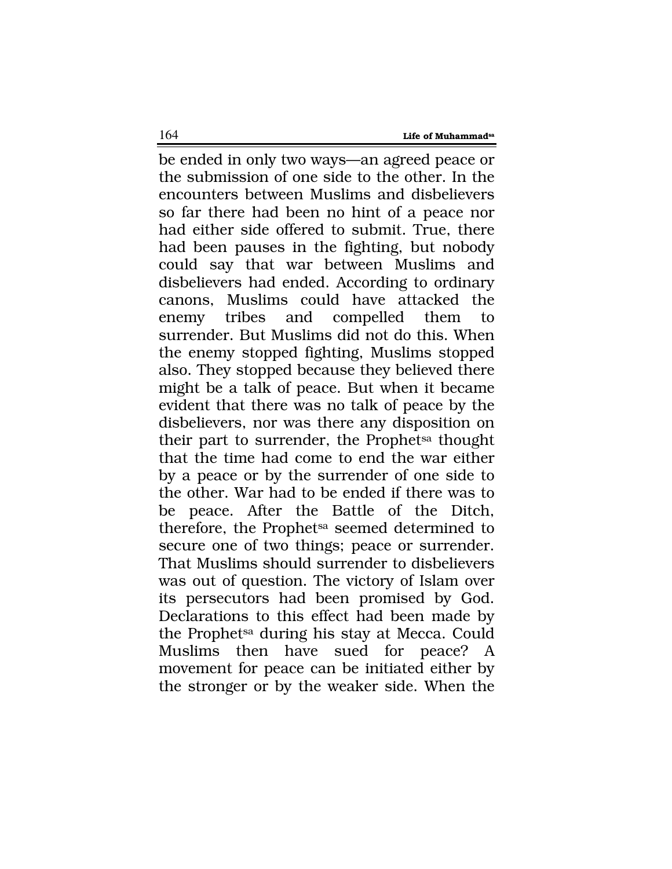be ended in only two ways—an agreed peace or the submission of one side to the other. In the encounters between Muslims and disbelievers so far there had been no hint of a peace nor had either side offered to submit. True, there had been pauses in the fighting, but nobody could say that war between Muslims and disbelievers had ended. According to ordinary canons, Muslims could have attacked the enemy tribes and compelled them to surrender. But Muslims did not do this. When the enemy stopped fighting, Muslims stopped also. They stopped because they believed there might be a talk of peace. But when it became evident that there was no talk of peace by the disbelievers, nor was there any disposition on their part to surrender, the Prophetsa thought that the time had come to end the war either by a peace or by the surrender of one side to the other. War had to be ended if there was to be peace. After the Battle of the Ditch, therefore, the Prophetsa seemed determined to secure one of two things; peace or surrender. That Muslims should surrender to disbelievers was out of question. The victory of Islam over its persecutors had been promised by God. Declarations to this effect had been made by the Prophetsa during his stay at Mecca. Could Muslims then have sued for peace? A movement for peace can be initiated either by the stronger or by the weaker side. When the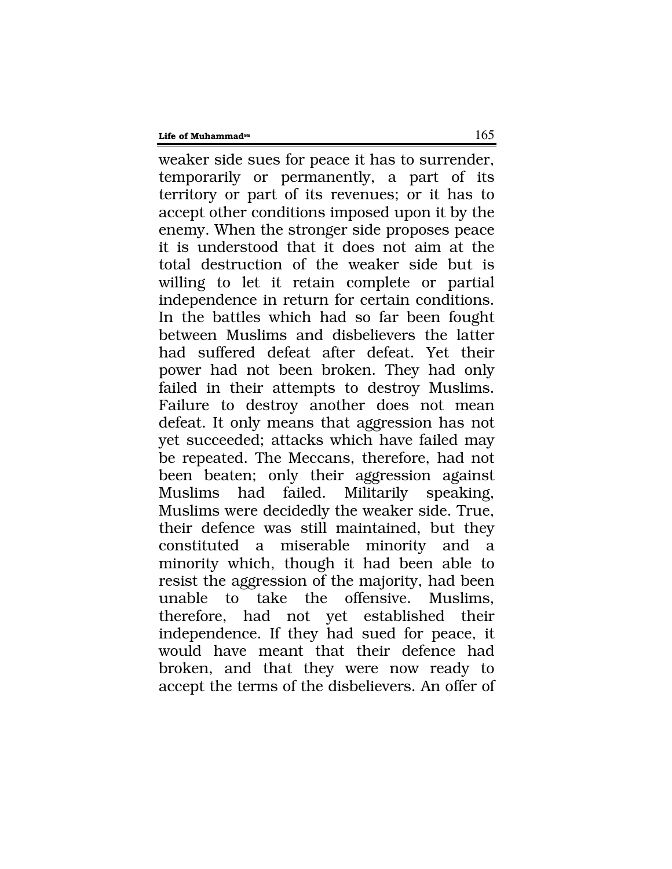weaker side sues for peace it has to surrender, temporarily or permanently, a part of its territory or part of its revenues; or it has to accept other conditions imposed upon it by the enemy. When the stronger side proposes peace it is understood that it does not aim at the total destruction of the weaker side but is willing to let it retain complete or partial independence in return for certain conditions. In the battles which had so far been fought between Muslims and disbelievers the latter had suffered defeat after defeat. Yet their power had not been broken. They had only failed in their attempts to destroy Muslims. Failure to destroy another does not mean defeat. It only means that aggression has not yet succeeded; attacks which have failed may be repeated. The Meccans, therefore, had not been beaten; only their aggression against Muslims had failed. Militarily speaking, Muslims were decidedly the weaker side. True, their defence was still maintained, but they constituted a miserable minority and a minority which, though it had been able to resist the aggression of the majority, had been unable to take the offensive. Muslims, therefore, had not yet established their independence. If they had sued for peace, it would have meant that their defence had broken, and that they were now ready to accept the terms of the disbelievers. An offer of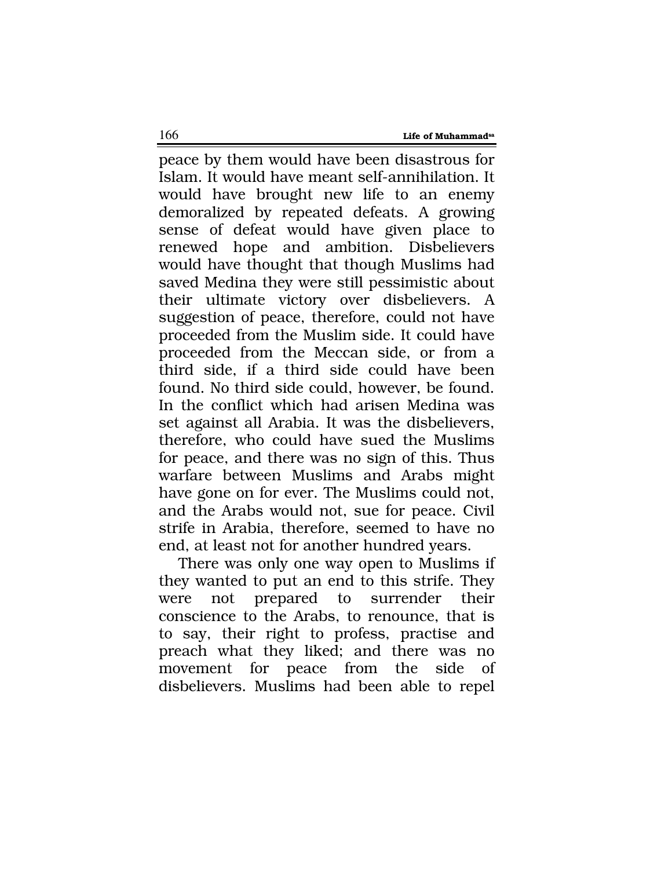peace by them would have been disastrous for Islam. It would have meant self-annihilation. It would have brought new life to an enemy demoralized by repeated defeats. A growing sense of defeat would have given place to renewed hope and ambition. Disbelievers would have thought that though Muslims had saved Medina they were still pessimistic about their ultimate victory over disbelievers. A suggestion of peace, therefore, could not have proceeded from the Muslim side. It could have proceeded from the Meccan side, or from a third side, if a third side could have been found. No third side could, however, be found. In the conflict which had arisen Medina was set against all Arabia. It was the disbelievers, therefore, who could have sued the Muslims for peace, and there was no sign of this. Thus warfare between Muslims and Arabs might have gone on for ever. The Muslims could not, and the Arabs would not, sue for peace. Civil strife in Arabia, therefore, seemed to have no end, at least not for another hundred years.

There was only one way open to Muslims if they wanted to put an end to this strife. They were not prepared to surrender their conscience to the Arabs, to renounce, that is to say, their right to profess, practise and preach what they liked; and there was no movement for peace from the side of disbelievers. Muslims had been able to repel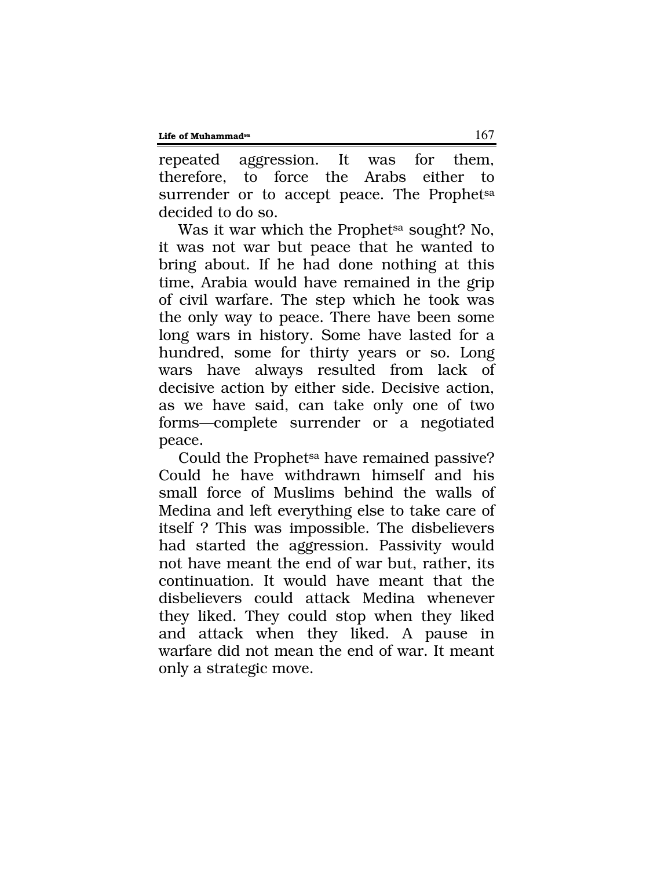repeated aggression. It was for them, therefore, to force the Arabs either to surrender or to accept peace. The Prophetsa decided to do so.

Was it war which the Prophet<sup>sa</sup> sought? No, it was not war but peace that he wanted to bring about. If he had done nothing at this time, Arabia would have remained in the grip of civil warfare. The step which he took was the only way to peace. There have been some long wars in history. Some have lasted for a hundred, some for thirty years or so. Long wars have always resulted from lack of decisive action by either side. Decisive action, as we have said, can take only one of two forms—complete surrender or a negotiated peace.

Could the Prophetsa have remained passive? Could he have withdrawn himself and his small force of Muslims behind the walls of Medina and left everything else to take care of itself ? This was impossible. The disbelievers had started the aggression. Passivity would not have meant the end of war but, rather, its continuation. It would have meant that the disbelievers could attack Medina whenever they liked. They could stop when they liked and attack when they liked. A pause in warfare did not mean the end of war. It meant only a strategic move.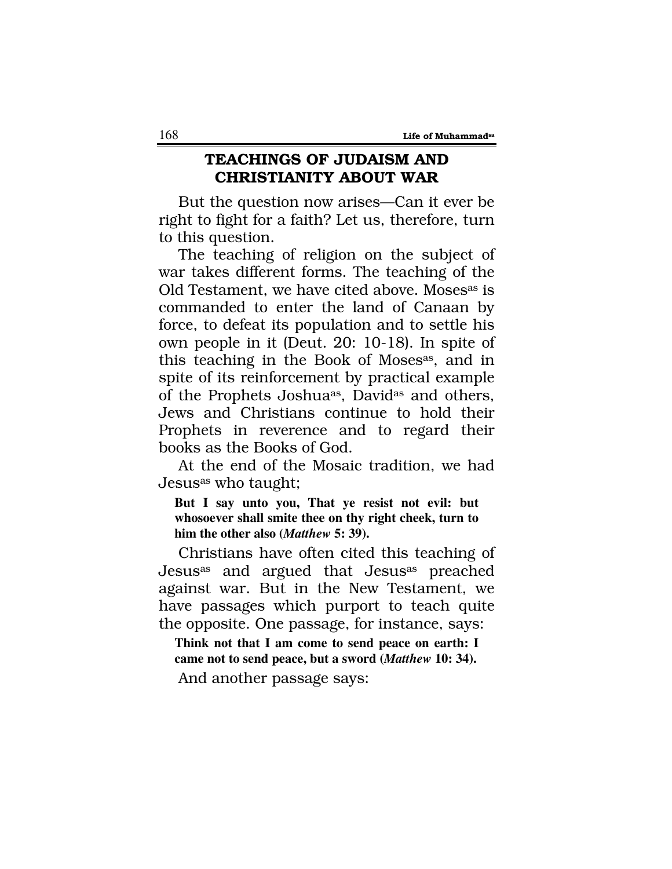# **TEACHINGS OF JUDAISM AND CHRISTIANITY ABOUT WAR**

But the question now arises—Can it ever be right to fight for a faith? Let us, therefore, turn to this question.

The teaching of religion on the subject of war takes different forms. The teaching of the Old Testament, we have cited above. Mosesas is commanded to enter the land of Canaan by force, to defeat its population and to settle his own people in it (Deut. 20: 10-18). In spite of this teaching in the Book of Mosesas, and in spite of its reinforcement by practical example of the Prophets Joshuaas, Davidas and others, Jews and Christians continue to hold their Prophets in reverence and to regard their books as the Books of God.

At the end of the Mosaic tradition, we had Jesusas who taught;

**But I say unto you, That ye resist not evil: but whosoever shall smite thee on thy right cheek, turn to him the other also (***Matthew* **5: 39).** 

Christians have often cited this teaching of Jesusas and argued that Jesusas preached against war. But in the New Testament, we have passages which purport to teach quite the opposite. One passage, for instance, says:

**Think not that I am come to send peace on earth: I came not to send peace, but a sword (***Matthew* **10: 34).** 

And another passage says: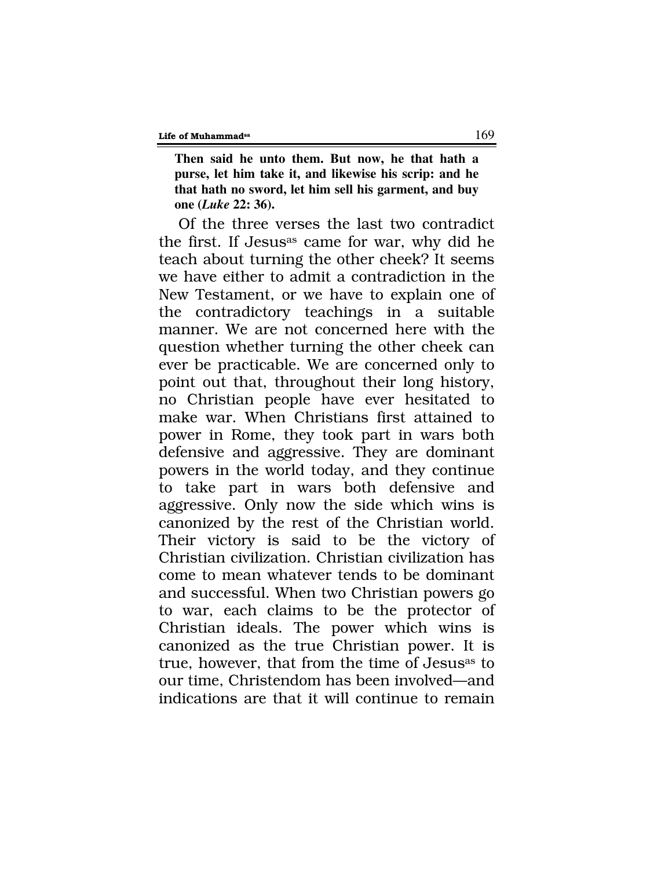**Then said he unto them. But now, he that hath a purse, let him take it, and likewise his scrip: and he that hath no sword, let him sell his garment, and buy one (***Luke* **22: 36).** 

Of the three verses the last two contradict the first. If Jesusas came for war, why did he teach about turning the other cheek? It seems we have either to admit a contradiction in the New Testament, or we have to explain one of the contradictory teachings in a suitable manner. We are not concerned here with the question whether turning the other cheek can ever be practicable. We are concerned only to point out that, throughout their long history, no Christian people have ever hesitated to make war. When Christians first attained to power in Rome, they took part in wars both defensive and aggressive. They are dominant powers in the world today, and they continue to take part in wars both defensive and aggressive. Only now the side which wins is canonized by the rest of the Christian world. Their victory is said to be the victory of Christian civilization. Christian civilization has come to mean whatever tends to be dominant and successful. When two Christian powers go to war, each claims to be the protector of Christian ideals. The power which wins is canonized as the true Christian power. It is true, however, that from the time of Jesusas to our time, Christendom has been involved—and indications are that it will continue to remain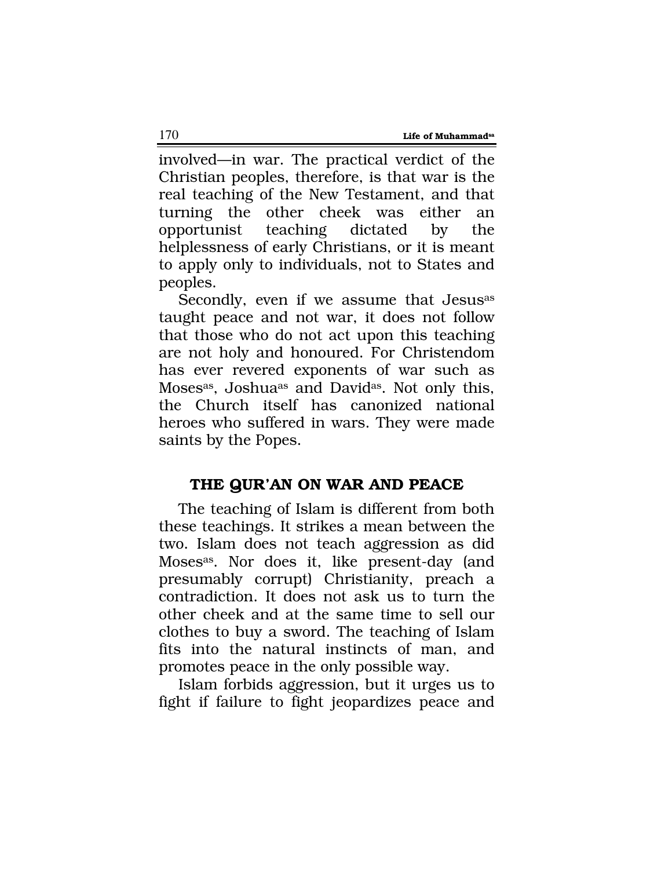involved—in war. The practical verdict of the Christian peoples, therefore, is that war is the real teaching of the New Testament, and that turning the other cheek was either an opportunist teaching dictated by the helplessness of early Christians, or it is meant to apply only to individuals, not to States and peoples.

Secondly, even if we assume that Jesusas taught peace and not war, it does not follow that those who do not act upon this teaching are not holy and honoured. For Christendom has ever revered exponents of war such as Moses<sup>as</sup>, Joshua<sup>as</sup> and David<sup>as</sup>. Not only this, the Church itself has canonized national heroes who suffered in wars. They were made saints by the Popes.

#### **THE QUR'AN ON WAR AND PEACE**

The teaching of Islam is different from both these teachings. It strikes a mean between the two. Islam does not teach aggression as did Mosesas. Nor does it, like present-day (and presumably corrupt) Christianity, preach a contradiction. It does not ask us to turn the other cheek and at the same time to sell our clothes to buy a sword. The teaching of Islam fits into the natural instincts of man, and promotes peace in the only possible way.

Islam forbids aggression, but it urges us to fight if failure to fight jeopardizes peace and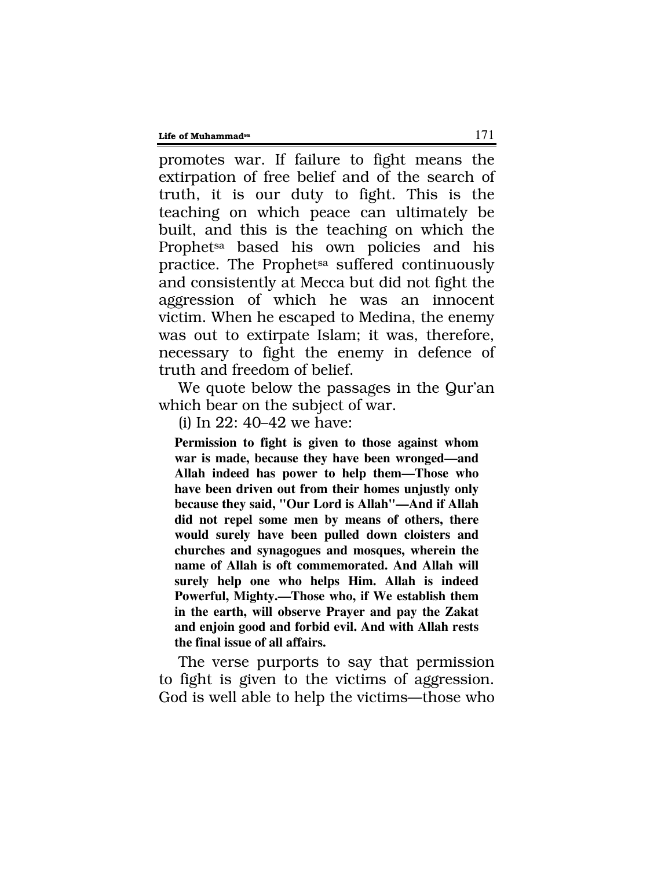promotes war. If failure to fight means the extirpation of free belief and of the search of truth, it is our duty to fight. This is the teaching on which peace can ultimately be built, and this is the teaching on which the Prophetsa based his own policies and his practice. The Prophetsa suffered continuously and consistently at Mecca but did not fight the aggression of which he was an innocent victim. When he escaped to Medina, the enemy was out to extirpate Islam; it was, therefore, necessary to fight the enemy in defence of truth and freedom of belief.

We quote below the passages in the Qur'an which bear on the subject of war.

(i) In 22: 40–42 we have:

**Permission to fight is given to those against whom war is made, because they have been wronged—and Allah indeed has power to help them—Those who have been driven out from their homes unjustly only because they said, "Our Lord is Allah"—And if Allah did not repel some men by means of others, there would surely have been pulled down cloisters and churches and synagogues and mosques, wherein the name of Allah is oft commemorated. And Allah will surely help one who helps Him. Allah is indeed Powerful, Mighty.—Those who, if We establish them in the earth, will observe Prayer and pay the Zakat and enjoin good and forbid evil. And with Allah rests the final issue of all affairs.** 

The verse purports to say that permission to fight is given to the victims of aggression. God is well able to help the victims—those who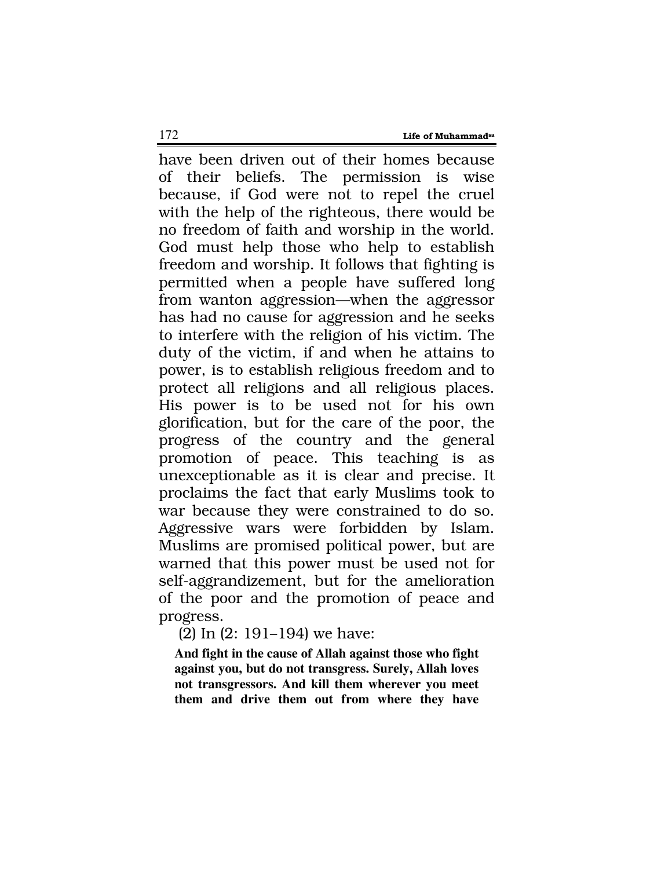have been driven out of their homes because of their beliefs. The permission is wise because, if God were not to repel the cruel with the help of the righteous, there would be no freedom of faith and worship in the world. God must help those who help to establish freedom and worship. It follows that fighting is permitted when a people have suffered long from wanton aggression—when the aggressor has had no cause for aggression and he seeks to interfere with the religion of his victim. The duty of the victim, if and when he attains to power, is to establish religious freedom and to protect all religions and all religious places. His power is to be used not for his own glorification, but for the care of the poor, the progress of the country and the general promotion of peace. This teaching is as unexceptionable as it is clear and precise. It proclaims the fact that early Muslims took to war because they were constrained to do so. Aggressive wars were forbidden by Islam. Muslims are promised political power, but are warned that this power must be used not for self-aggrandizement, but for the amelioration of the poor and the promotion of peace and progress.

(2) In (2: 191–194) we have:

**And fight in the cause of Allah against those who fight against you, but do not transgress. Surely, Allah loves not transgressors. And kill them wherever you meet them and drive them out from where they have**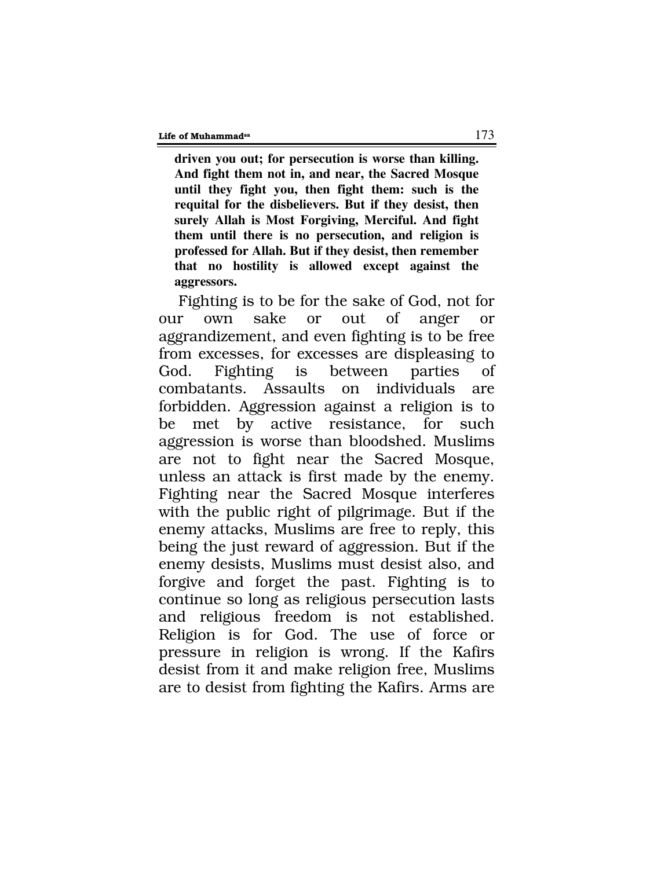**driven you out; for persecution is worse than killing. And fight them not in, and near, the Sacred Mosque until they fight you, then fight them: such is the requital for the disbelievers. But if they desist, then surely Allah is Most Forgiving, Merciful. And fight them until there is no persecution, and religion is professed for Allah. But if they desist, then remember that no hostility is allowed except against the aggressors.** 

Fighting is to be for the sake of God, not for our own sake or out of anger or aggrandizement, and even fighting is to be free from excesses, for excesses are displeasing to God. Fighting is between parties of combatants. Assaults on individuals are forbidden. Aggression against a religion is to be met by active resistance, for such aggression is worse than bloodshed. Muslims are not to fight near the Sacred Mosque, unless an attack is first made by the enemy. Fighting near the Sacred Mosque interferes with the public right of pilgrimage. But if the enemy attacks, Muslims are free to reply, this being the just reward of aggression. But if the enemy desists, Muslims must desist also, and forgive and forget the past. Fighting is to continue so long as religious persecution lasts and religious freedom is not established. Religion is for God. The use of force or pressure in religion is wrong. If the Kafirs desist from it and make religion free, Muslims are to desist from fighting the Kafirs. Arms are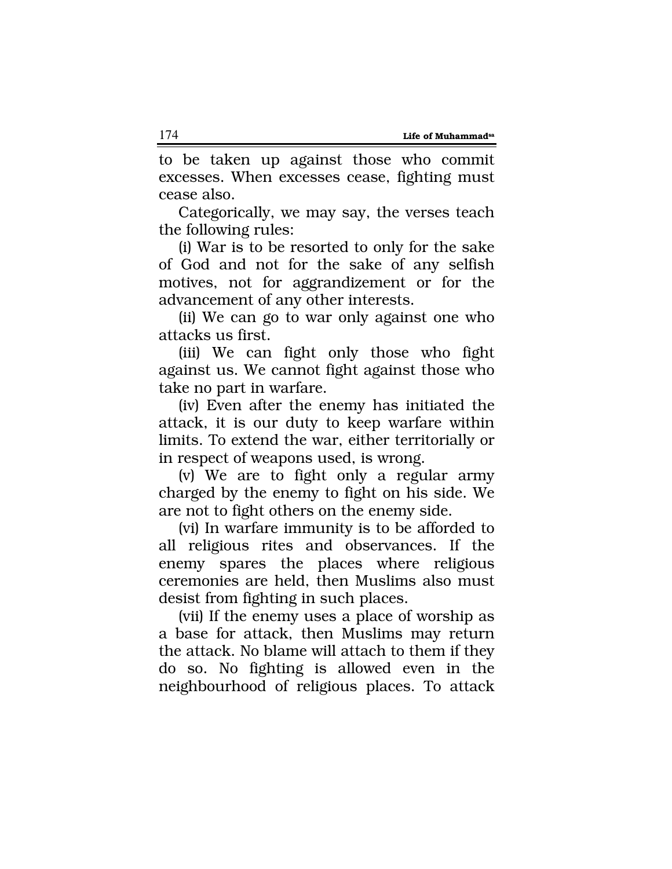to be taken up against those who commit excesses. When excesses cease, fighting must cease also.

Categorically, we may say, the verses teach the following rules:

(i) War is to be resorted to only for the sake of God and not for the sake of any selfish motives, not for aggrandizement or for the advancement of any other interests.

(ii) We can go to war only against one who attacks us first.

(iii) We can fight only those who fight against us. We cannot fight against those who take no part in warfare.

(iv) Even after the enemy has initiated the attack, it is our duty to keep warfare within limits. To extend the war, either territorially or in respect of weapons used, is wrong.

(v) We are to fight only a regular army charged by the enemy to fight on his side. We are not to fight others on the enemy side.

(vi) In warfare immunity is to be afforded to all religious rites and observances. If the enemy spares the places where religious ceremonies are held, then Muslims also must desist from fighting in such places.

(vii) If the enemy uses a place of worship as a base for attack, then Muslims may return the attack. No blame will attach to them if they do so. No fighting is allowed even in the neighbourhood of religious places. To attack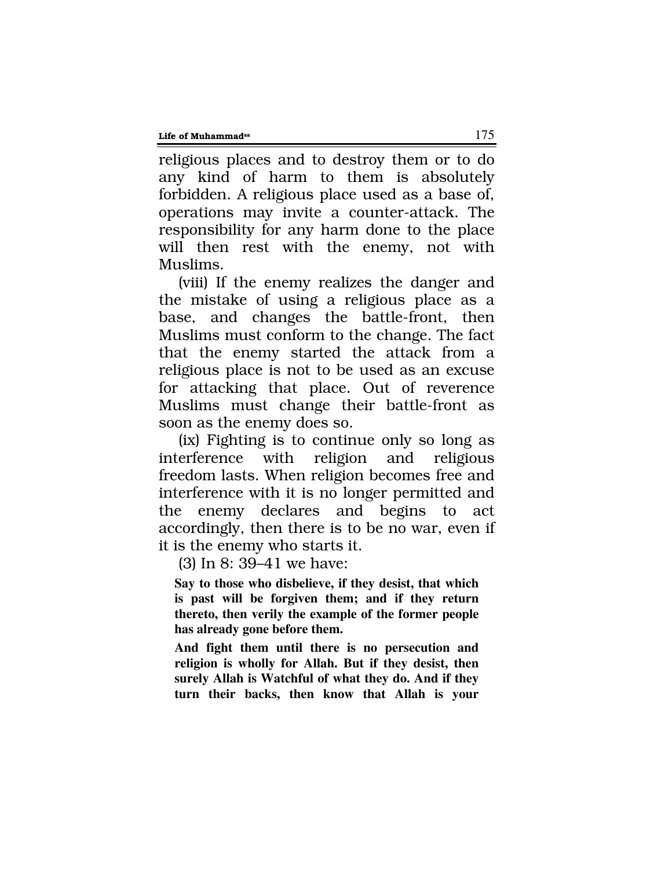religious places and to destroy them or to do any kind of harm to them is absolutely forbidden. A religious place used as a base of, operations may invite a counter-attack. The responsibility for any harm done to the place will then rest with the enemy, not with Muslims.

(viii) If the enemy realizes the danger and the mistake of using a religious place as a base, and changes the battle-front, then Muslims must conform to the change. The fact that the enemy started the attack from a religious place is not to be used as an excuse for attacking that place. Out of reverence Muslims must change their battle-front as soon as the enemy does so.

(ix) Fighting is to continue only so long as interference with religion and religious freedom lasts. When religion becomes free and interference with it is no longer permitted and the enemy declares and begins to act accordingly, then there is to be no war, even if it is the enemy who starts it.

(3) In 8: 39–41 we have:

**Say to those who disbelieve, if they desist, that which is past will be forgiven them; and if they return thereto, then verily the example of the former people has already gone before them.** 

**And fight them until there is no persecution and religion is wholly for Allah. But if they desist, then surely Allah is Watchful of what they do. And if they turn their backs, then know that Allah is your**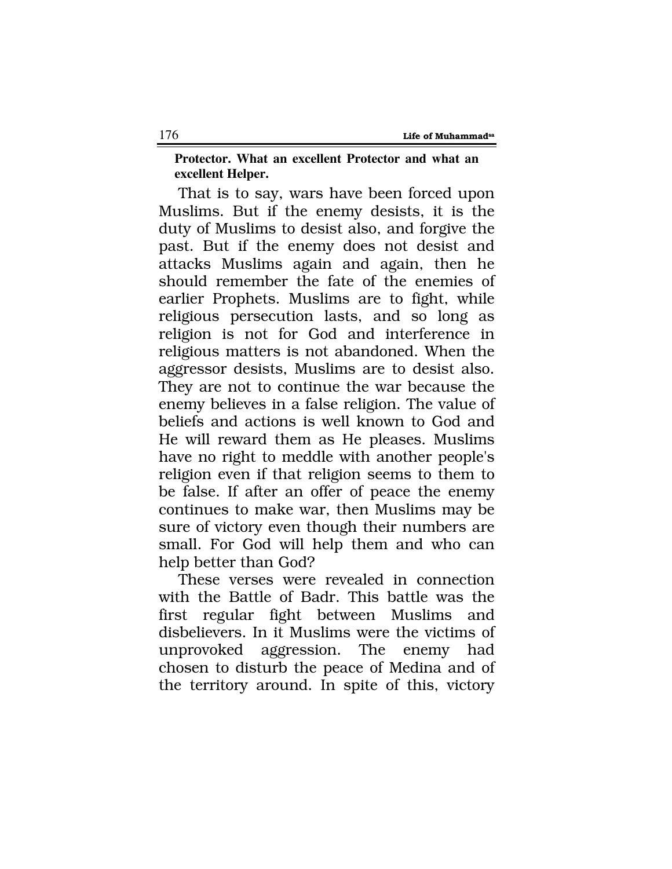**Protector. What an excellent Protector and what an excellent Helper.** 

That is to say, wars have been forced upon Muslims. But if the enemy desists, it is the duty of Muslims to desist also, and forgive the past. But if the enemy does not desist and attacks Muslims again and again, then he should remember the fate of the enemies of earlier Prophets. Muslims are to fight, while religious persecution lasts, and so long as religion is not for God and interference in religious matters is not abandoned. When the aggressor desists, Muslims are to desist also. They are not to continue the war because the enemy believes in a false religion. The value of beliefs and actions is well known to God and He will reward them as He pleases. Muslims have no right to meddle with another people's religion even if that religion seems to them to be false. If after an offer of peace the enemy continues to make war, then Muslims may be sure of victory even though their numbers are small. For God will help them and who can help better than God?

These verses were revealed in connection with the Battle of Badr. This battle was the first regular fight between Muslims and disbelievers. In it Muslims were the victims of unprovoked aggression. The enemy had chosen to disturb the peace of Medina and of the territory around. In spite of this, victory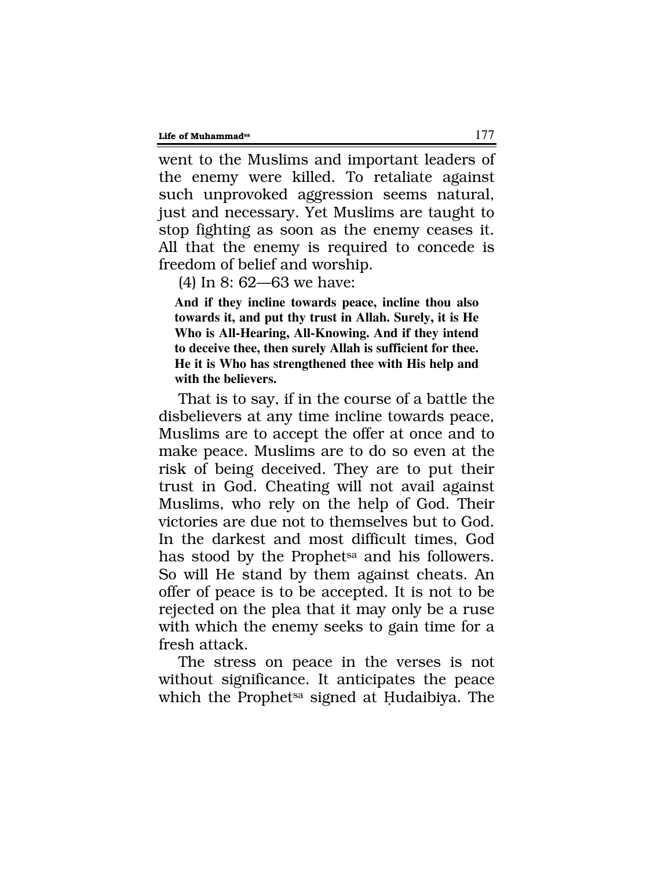went to the Muslims and important leaders of the enemy were killed. To retaliate against such unprovoked aggression seems natural, just and necessary. Yet Muslims are taught to stop fighting as soon as the enemy ceases it. All that the enemy is required to concede is freedom of belief and worship.

(4) In 8: 62—63 we have:

**And if they incline towards peace, incline thou also towards it, and put thy trust in Allah. Surely, it is He Who is All-Hearing, All-Knowing. And if they intend to deceive thee, then surely Allah is sufficient for thee. He it is Who has strengthened thee with His help and with the believers.** 

That is to say, if in the course of a battle the disbelievers at any time incline towards peace, Muslims are to accept the offer at once and to make peace. Muslims are to do so even at the risk of being deceived. They are to put their trust in God. Cheating will not avail against Muslims, who rely on the help of God. Their victories are due not to themselves but to God. In the darkest and most difficult times, God has stood by the Prophetsa and his followers. So will He stand by them against cheats. An offer of peace is to be accepted. It is not to be rejected on the plea that it may only be a ruse with which the enemy seeks to gain time for a fresh attack.

The stress on peace in the verses is not without significance. It anticipates the peace which the Prophet<sup>sa</sup> signed at Hudaibiya. The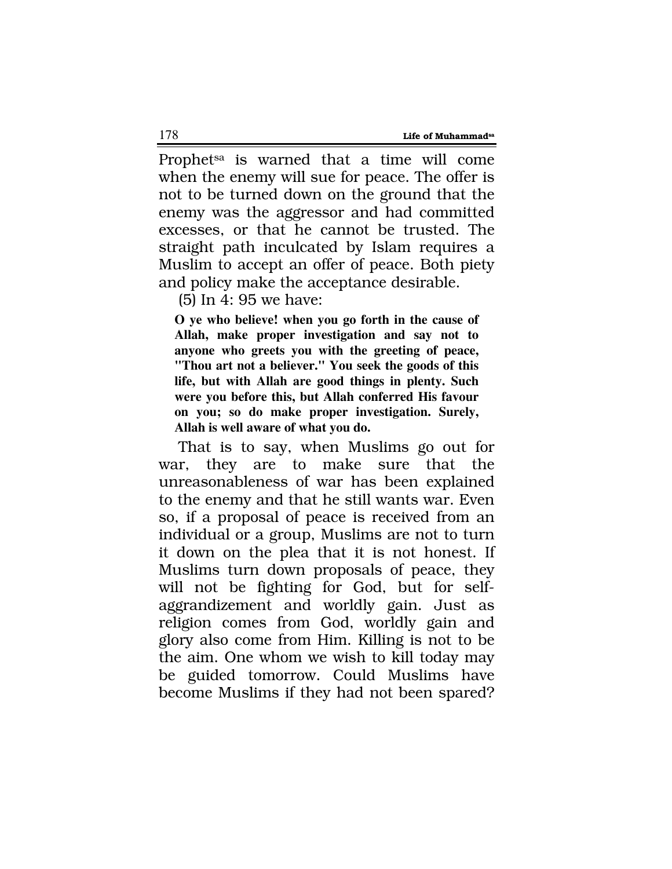Prophetsa is warned that a time will come when the enemy will sue for peace. The offer is not to be turned down on the ground that the enemy was the aggressor and had committed excesses, or that he cannot be trusted. The straight path inculcated by Islam requires a Muslim to accept an offer of peace. Both piety and policy make the acceptance desirable.

(5) In 4: 95 we have:

**O ye who believe! when you go forth in the cause of Allah, make proper investigation and say not to anyone who greets you with the greeting of peace, "Thou art not a believer." You seek the goods of this life, but with Allah are good things in plenty. Such were you before this, but Allah conferred His favour on you; so do make proper investigation. Surely, Allah is well aware of what you do.** 

That is to say, when Muslims go out for war, they are to make sure that the unreasonableness of war has been explained to the enemy and that he still wants war. Even so, if a proposal of peace is received from an individual or a group, Muslims are not to turn it down on the plea that it is not honest. If Muslims turn down proposals of peace, they will not be fighting for God, but for selfaggrandizement and worldly gain. Just as religion comes from God, worldly gain and glory also come from Him. Killing is not to be the aim. One whom we wish to kill today may be guided tomorrow. Could Muslims have become Muslims if they had not been spared?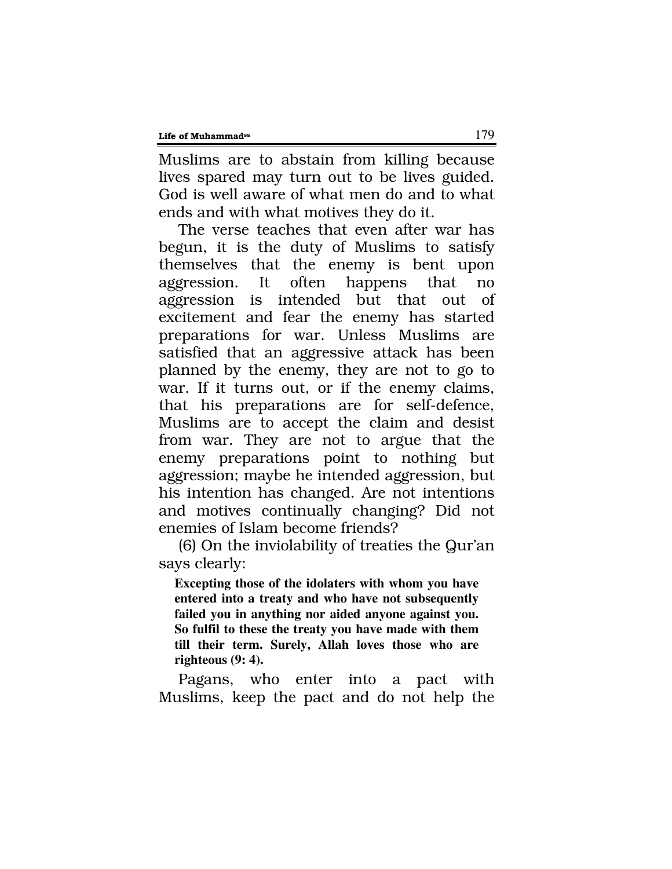Muslims are to abstain from killing because lives spared may turn out to be lives guided. God is well aware of what men do and to what ends and with what motives they do it.

The verse teaches that even after war has begun, it is the duty of Muslims to satisfy themselves that the enemy is bent upon aggression. It often happens that no aggression is intended but that out of excitement and fear the enemy has started preparations for war. Unless Muslims are satisfied that an aggressive attack has been planned by the enemy, they are not to go to war. If it turns out, or if the enemy claims, that his preparations are for self-defence, Muslims are to accept the claim and desist from war. They are not to argue that the enemy preparations point to nothing but aggression; maybe he intended aggression, but his intention has changed. Are not intentions and motives continually changing? Did not enemies of Islam become friends?

(6) On the inviolability of treaties the Qur'an says clearly:

**Excepting those of the idolaters with whom you have entered into a treaty and who have not subsequently failed you in anything nor aided anyone against you. So fulfil to these the treaty you have made with them till their term. Surely, Allah loves those who are righteous (9: 4).** 

Pagans, who enter into a pact with Muslims, keep the pact and do not help the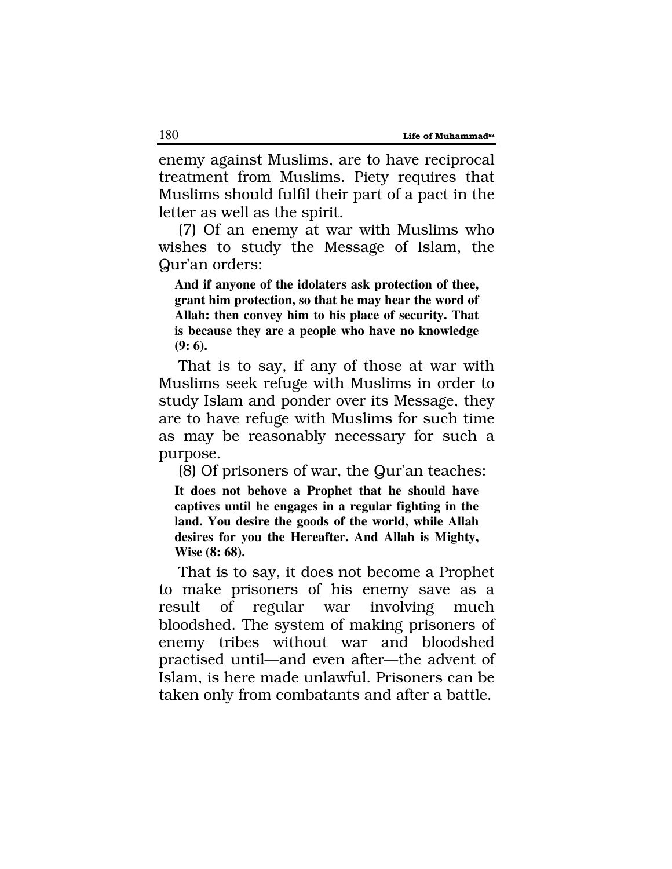enemy against Muslims, are to have reciprocal treatment from Muslims. Piety requires that Muslims should fulfil their part of a pact in the letter as well as the spirit.

(7) Of an enemy at war with Muslims who wishes to study the Message of Islam, the Qur'an orders:

**And if anyone of the idolaters ask protection of thee, grant him protection, so that he may hear the word of Allah: then convey him to his place of security. That is because they are a people who have no knowledge (9: 6).** 

That is to say, if any of those at war with Muslims seek refuge with Muslims in order to study Islam and ponder over its Message, they are to have refuge with Muslims for such time as may be reasonably necessary for such a purpose.

(8) Of prisoners of war, the Qur'an teaches:

**It does not behove a Prophet that he should have captives until he engages in a regular fighting in the land. You desire the goods of the world, while Allah desires for you the Hereafter. And Allah is Mighty, Wise (8: 68).** 

That is to say, it does not become a Prophet to make prisoners of his enemy save as a result of regular war involving much bloodshed. The system of making prisoners of enemy tribes without war and bloodshed practised until—and even after—the advent of Islam, is here made unlawful. Prisoners can be taken only from combatants and after a battle.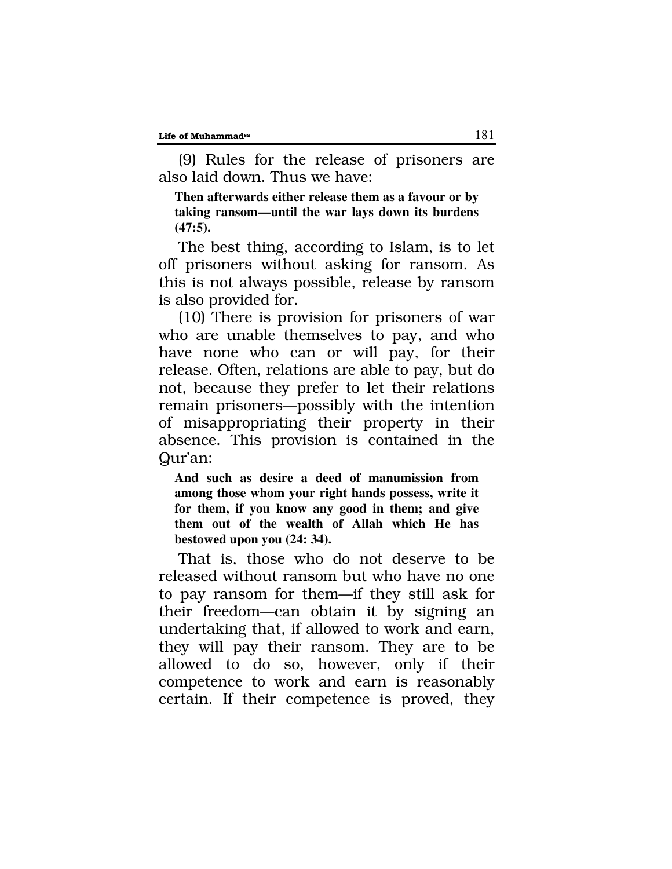(9) Rules for the release of prisoners are also laid down. Thus we have:

**Then afterwards either release them as a favour or by taking ransom—until the war lays down its burdens (47:5).** 

The best thing, according to Islam, is to let off prisoners without asking for ransom. As this is not always possible, release by ransom is also provided for.

(10) There is provision for prisoners of war who are unable themselves to pay, and who have none who can or will pay, for their release. Often, relations are able to pay, but do not, because they prefer to let their relations remain prisoners—possibly with the intention of misappropriating their property in their absence. This provision is contained in the Qur'an:

**And such as desire a deed of manumission from among those whom your right hands possess, write it for them, if you know any good in them; and give them out of the wealth of Allah which He has bestowed upon you (24: 34).** 

That is, those who do not deserve to be released without ransom but who have no one to pay ransom for them—if they still ask for their freedom—can obtain it by signing an undertaking that, if allowed to work and earn, they will pay their ransom. They are to be allowed to do so, however, only if their competence to work and earn is reasonably certain. If their competence is proved, they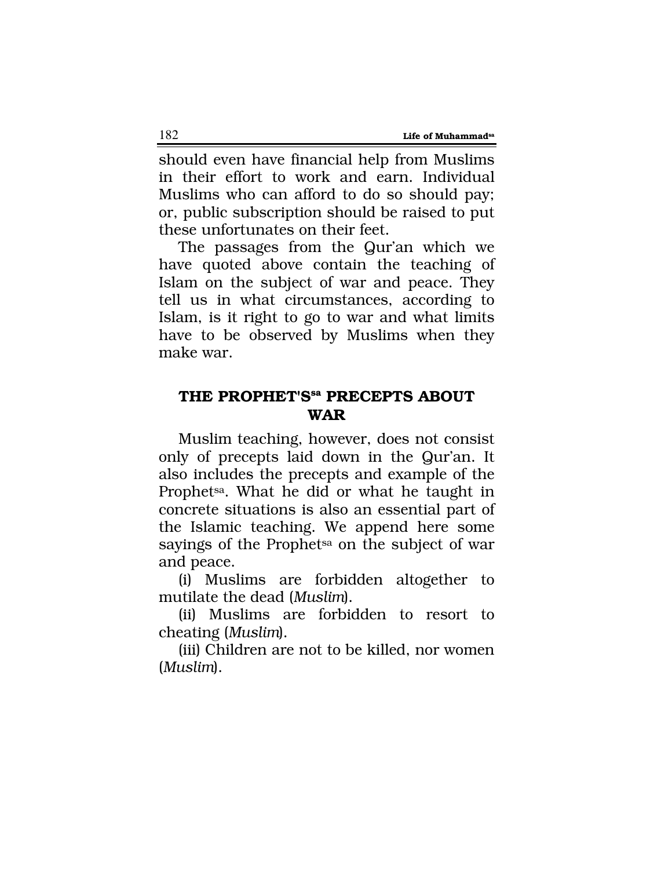should even have financial help from Muslims in their effort to work and earn. Individual Muslims who can afford to do so should pay; or, public subscription should be raised to put these unfortunates on their feet.

The passages from the Qur'an which we have quoted above contain the teaching of Islam on the subject of war and peace. They tell us in what circumstances, according to Islam, is it right to go to war and what limits have to be observed by Muslims when they make war.

# **THE PROPHET'Ssa PRECEPTS ABOUT WAR**

Muslim teaching, however, does not consist only of precepts laid down in the Qur'an. It also includes the precepts and example of the Prophet<sup>sa</sup>. What he did or what he taught in concrete situations is also an essential part of the Islamic teaching. We append here some sayings of the Prophet<sup>sa</sup> on the subject of war and peace.

(i) Muslims are forbidden altogether to mutilate the dead (*Muslim*).

(ii) Muslims are forbidden to resort to cheating (*Muslim*).

(iii) Children are not to be killed, nor women (*Muslim*).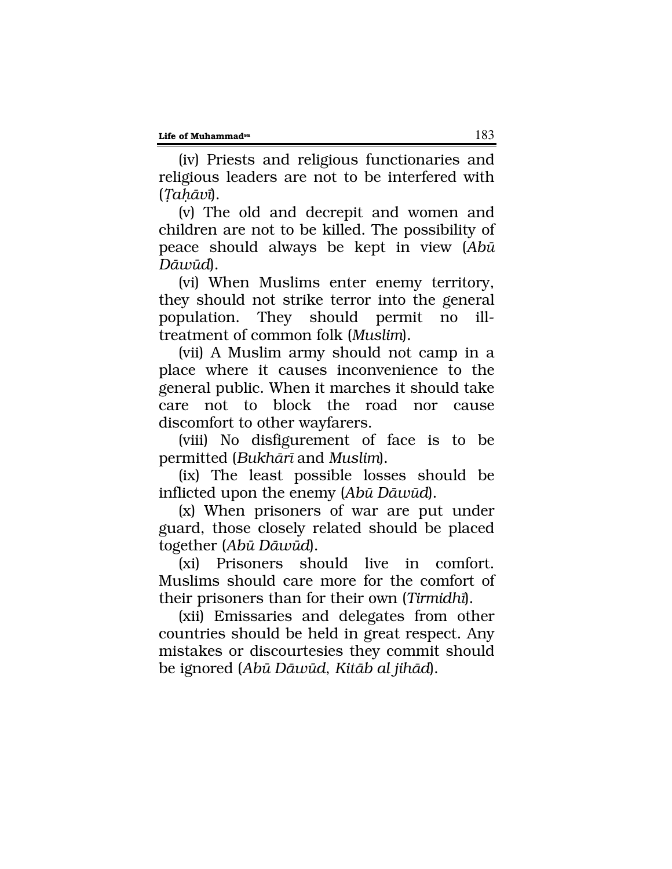(iv) Priests and religious functionaries and religious leaders are not to be interfered with (T*a*ha*v*i).

(v) The old and decrepit and women and children are not to be killed. The possibility of peace should always be kept in view (*Ab*u *D*a*w*u*d*).

(vi) When Muslims enter enemy territory, they should not strike terror into the general population. They should permit no illtreatment of common folk (*Muslim*).

(vii) A Muslim army should not camp in a place where it causes inconvenience to the general public. When it marches it should take care not to block the road nor cause discomfort to other wayfarers.

(viii) No disfigurement of face is to be permitted (*Bukh*a*r*i and *Muslim*).

(ix) The least possible losses should be inflicted upon the enemy (*Ab*u *D*a*w*u*d*).

(x) When prisoners of war are put under guard, those closely related should be placed together (*Ab*u *D*a*w*u*d*).

(xi) Prisoners should live in comfort. Muslims should care more for the comfort of their prisoners than for their own (*Tirmidh*i).

(xii) Emissaries and delegates from other countries should be held in great respect. Any mistakes or discourtesies they commit should be ignored (*Ab*u *D*a*w*u*d*, *Kit*a*b al jih*a*d*).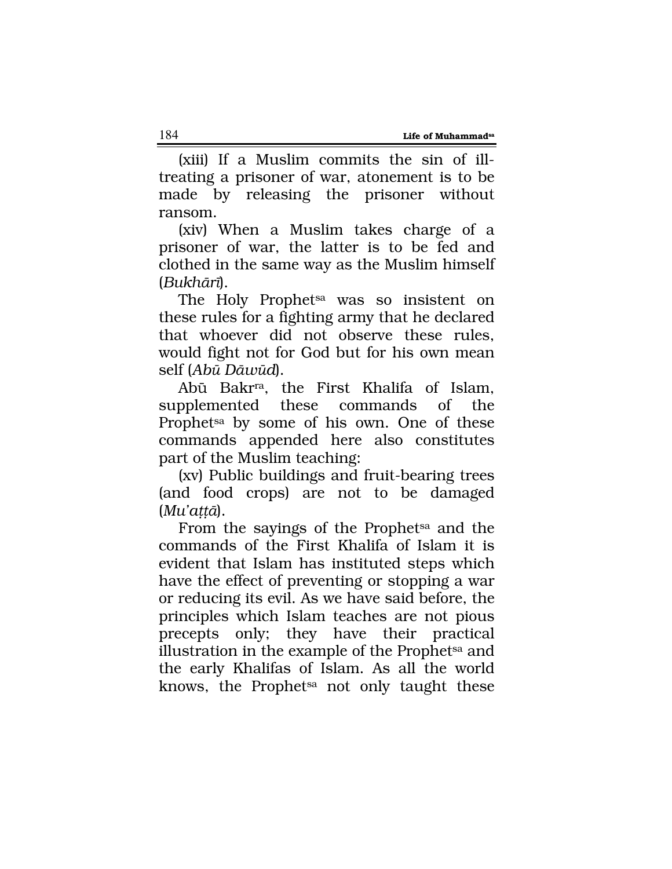(xiii) If a Muslim commits the sin of illtreating a prisoner of war, atonement is to be made by releasing the prisoner without ransom.

(xiv) When a Muslim takes charge of a prisoner of war, the latter is to be fed and clothed in the same way as the Muslim himself (*Bukh*a*r*i).

The Holy Prophet<sup>sa</sup> was so insistent on these rules for a fighting army that he declared that whoever did not observe these rules, would fight not for God but for his own mean self (*Ab*u *D*a*w*u*d*).

Abū Bakr<sup>ra</sup>, the First Khalifa of Islam, supplemented these commands of the Prophetsa by some of his own. One of these commands appended here also constitutes part of the Muslim teaching:

(xv) Public buildings and fruit-bearing trees (and food crops) are not to be damaged (*Mu'a*tta).

From the sayings of the Prophetsa and the commands of the First Khalifa of Islam it is evident that Islam has instituted steps which have the effect of preventing or stopping a war or reducing its evil. As we have said before, the principles which Islam teaches are not pious precepts only; they have their practical illustration in the example of the Prophetsa and the early Khalifas of Islam. As all the world knows, the Prophetsa not only taught these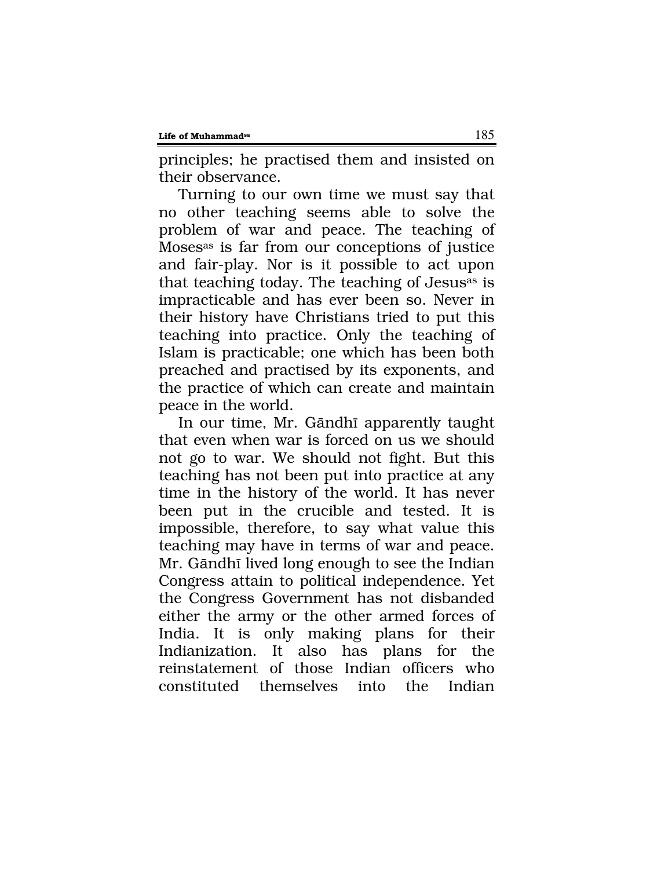principles; he practised them and insisted on their observance.

Turning to our own time we must say that no other teaching seems able to solve the problem of war and peace. The teaching of Mosesas is far from our conceptions of justice and fair-play. Nor is it possible to act upon that teaching today. The teaching of Jesusas is impracticable and has ever been so. Never in their history have Christians tried to put this teaching into practice. Only the teaching of Islam is practicable; one which has been both preached and practised by its exponents, and the practice of which can create and maintain peace in the world.

In our time, Mr. Gandhi apparently taught that even when war is forced on us we should not go to war. We should not fight. But this teaching has not been put into practice at any time in the history of the world. It has never been put in the crucible and tested. It is impossible, therefore, to say what value this teaching may have in terms of war and peace. Mr. Gandhi lived long enough to see the Indian Congress attain to political independence. Yet the Congress Government has not disbanded either the army or the other armed forces of India. It is only making plans for their Indianization. It also has plans for the reinstatement of those Indian officers who constituted themselves into the Indian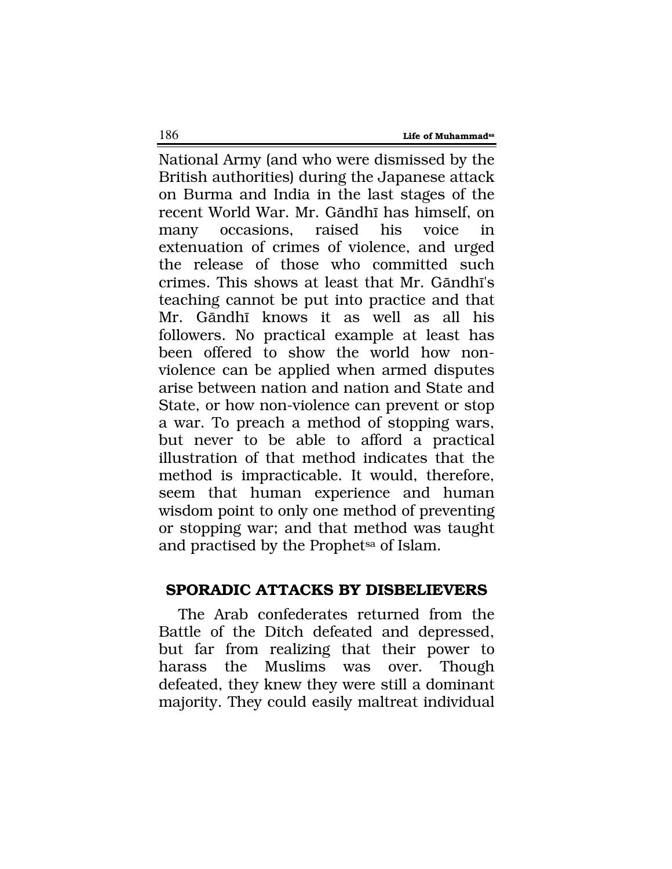National Army (and who were dismissed by the British authorities) during the Japanese attack on Burma and India in the last stages of the recent World War. Mr. Gandhi has himself, on many occasions, raised his voice in extenuation of crimes of violence, and urged the release of those who committed such crimes. This shows at least that Mr. Gandhi's teaching cannot be put into practice and that Mr. Gandhi knows it as well as all his followers. No practical example at least has been offered to show the world how nonviolence can be applied when armed disputes arise between nation and nation and State and State, or how non-violence can prevent or stop a war. To preach a method of stopping wars, but never to be able to afford a practical illustration of that method indicates that the method is impracticable. It would, therefore, seem that human experience and human wisdom point to only one method of preventing or stopping war; and that method was taught and practised by the Prophetsa of Islam.

### **SPORADIC ATTACKS BY DISBELIEVERS**

The Arab confederates returned from the Battle of the Ditch defeated and depressed, but far from realizing that their power to harass the Muslims was over. Though defeated, they knew they were still a dominant majority. They could easily maltreat individual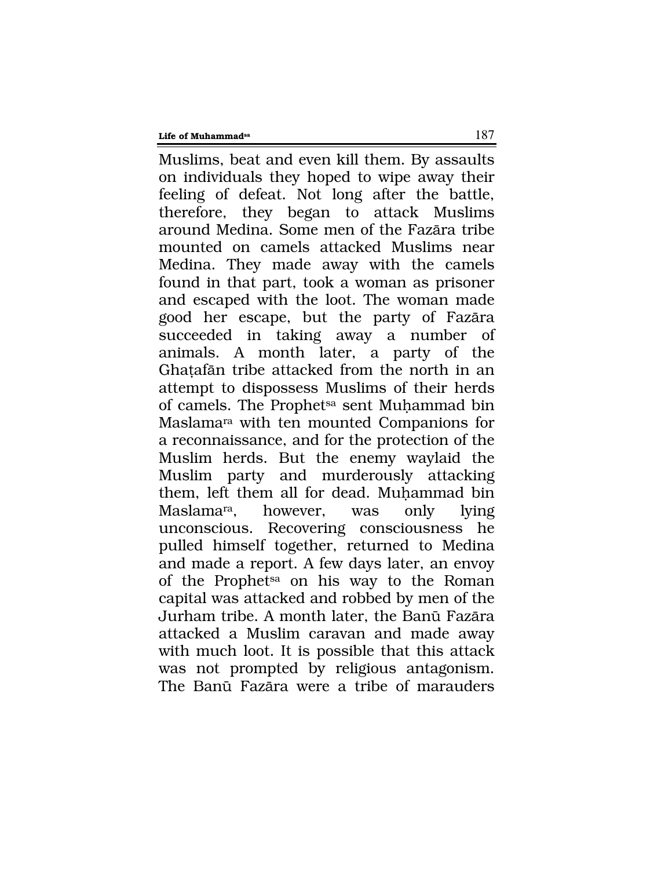Muslims, beat and even kill them. By assaults on individuals they hoped to wipe away their feeling of defeat. Not long after the battle, therefore, they began to attack Muslims around Medina. Some men of the Fazara tribe mounted on camels attacked Muslims near Medina. They made away with the camels found in that part, took a woman as prisoner and escaped with the loot. The woman made good her escape, but the party of Fazara succeeded in taking away a number of animals. A month later, a party of the Ghatafan tribe attacked from the north in an attempt to dispossess Muslims of their herds of camels. The Prophetsa sent Muhammad bin Maslamara with ten mounted Companions for a reconnaissance, and for the protection of the Muslim herds. But the enemy waylaid the Muslim party and murderously attacking them, left them all for dead. Muhammad bin Maslamara, however, was only lying unconscious. Recovering consciousness he pulled himself together, returned to Medina and made a report. A few days later, an envoy of the Prophetsa on his way to the Roman capital was attacked and robbed by men of the Jurham tribe. A month later, the Banu Fazara attacked a Muslim caravan and made away with much loot. It is possible that this attack was not prompted by religious antagonism. The Banū Fazāra were a tribe of marauders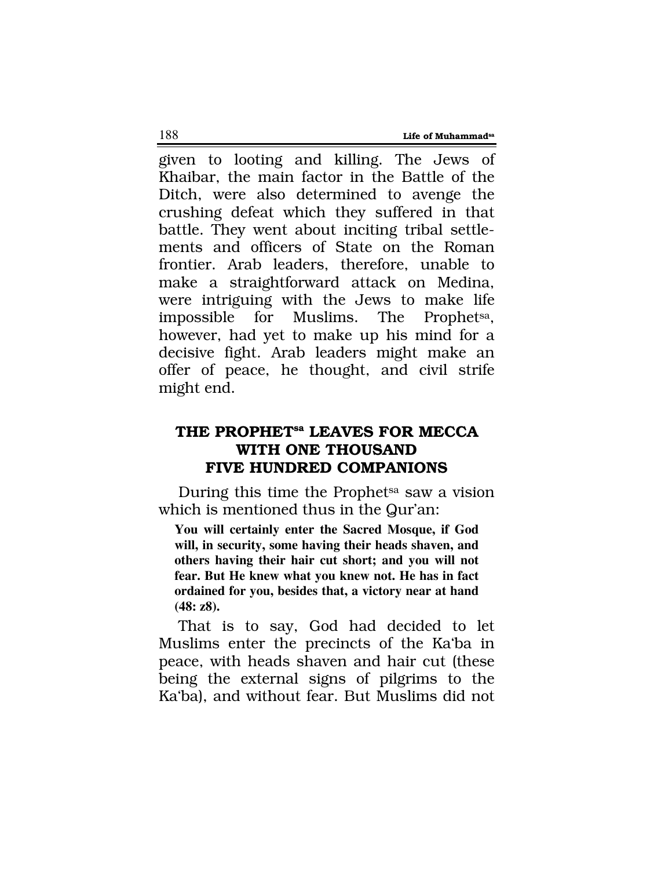given to looting and killing. The Jews of Khaibar, the main factor in the Battle of the Ditch, were also determined to avenge the crushing defeat which they suffered in that battle. They went about inciting tribal settlements and officers of State on the Roman frontier. Arab leaders, therefore, unable to make a straightforward attack on Medina, were intriguing with the Jews to make life impossible for Muslims. The Prophetsa, however, had yet to make up his mind for a decisive fight. Arab leaders might make an offer of peace, he thought, and civil strife might end.

## **THE PROPHETsa LEAVES FOR MECCA WITH ONE THOUSAND FIVE HUNDRED COMPANIONS**

During this time the Prophetsa saw a vision which is mentioned thus in the Qur'an:

**You will certainly enter the Sacred Mosque, if God will, in security, some having their heads shaven, and others having their hair cut short; and you will not fear. But He knew what you knew not. He has in fact ordained for you, besides that, a victory near at hand (48: z8).** 

That is to say, God had decided to let Muslims enter the precincts of the Ka'ba in peace, with heads shaven and hair cut (these being the external signs of pilgrims to the Ka'ba), and without fear. But Muslims did not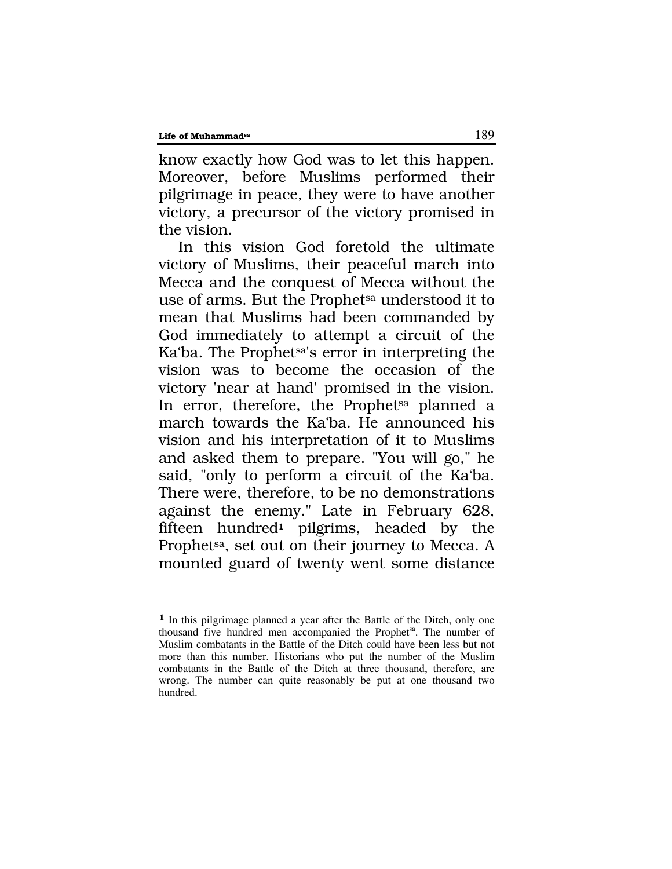$\overline{a}$ 

know exactly how God was to let this happen. Moreover, before Muslims performed their pilgrimage in peace, they were to have another victory, a precursor of the victory promised in the vision.

In this vision God foretold the ultimate victory of Muslims, their peaceful march into Mecca and the conquest of Mecca without the use of arms. But the Prophetsa understood it to mean that Muslims had been commanded by God immediately to attempt a circuit of the Ka'ba. The Prophetsa's error in interpreting the vision was to become the occasion of the victory 'near at hand' promised in the vision. In error, therefore, the Prophetsa planned a march towards the Ka'ba. He announced his vision and his interpretation of it to Muslims and asked them to prepare. "You will go," he said, "only to perform a circuit of the Ka'ba. There were, therefore, to be no demonstrations against the enemy." Late in February 628, fifteen hundred**1** pilgrims, headed by the Prophetsa, set out on their journey to Mecca. A mounted guard of twenty went some distance

**<sup>1</sup>** In this pilgrimage planned a year after the Battle of the Ditch, only one thousand five hundred men accompanied the Prophet<sup>sa</sup>. The number of Muslim combatants in the Battle of the Ditch could have been less but not more than this number. Historians who put the number of the Muslim combatants in the Battle of the Ditch at three thousand, therefore, are wrong. The number can quite reasonably be put at one thousand two hundred.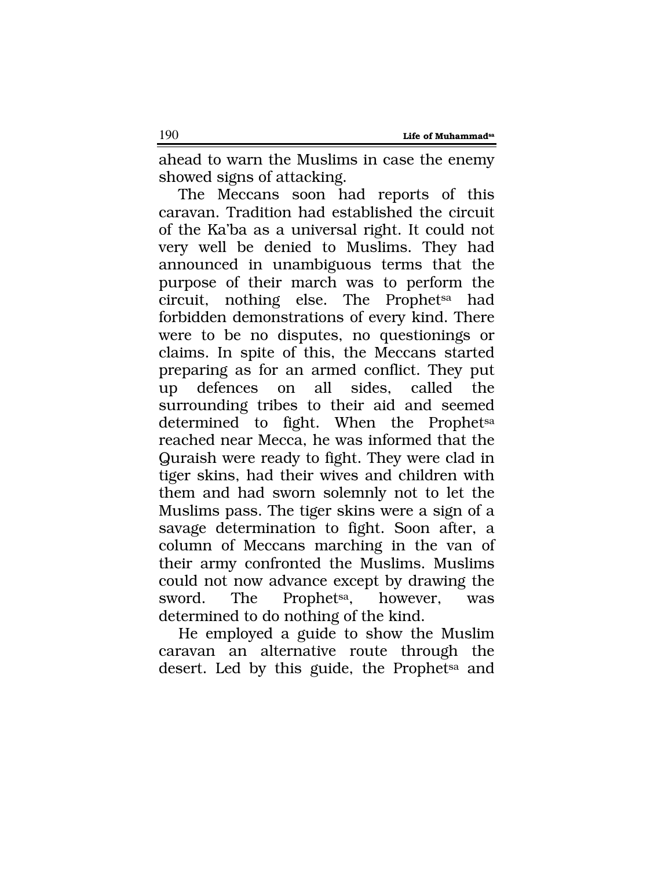ahead to warn the Muslims in case the enemy showed signs of attacking.

The Meccans soon had reports of this caravan. Tradition had established the circuit of the Ka'ba as a universal right. It could not very well be denied to Muslims. They had announced in unambiguous terms that the purpose of their march was to perform the circuit, nothing else. The Prophetsa had forbidden demonstrations of every kind. There were to be no disputes, no questionings or claims. In spite of this, the Meccans started preparing as for an armed conflict. They put up defences on all sides, called the surrounding tribes to their aid and seemed determined to fight. When the Prophetsa reached near Mecca, he was informed that the Quraish were ready to fight. They were clad in tiger skins, had their wives and children with them and had sworn solemnly not to let the Muslims pass. The tiger skins were a sign of a savage determination to fight. Soon after, a column of Meccans marching in the van of their army confronted the Muslims. Muslims could not now advance except by drawing the sword. The Prophet<sup>sa</sup>, however, was determined to do nothing of the kind.

He employed a guide to show the Muslim caravan an alternative route through the desert. Led by this guide, the Prophetsa and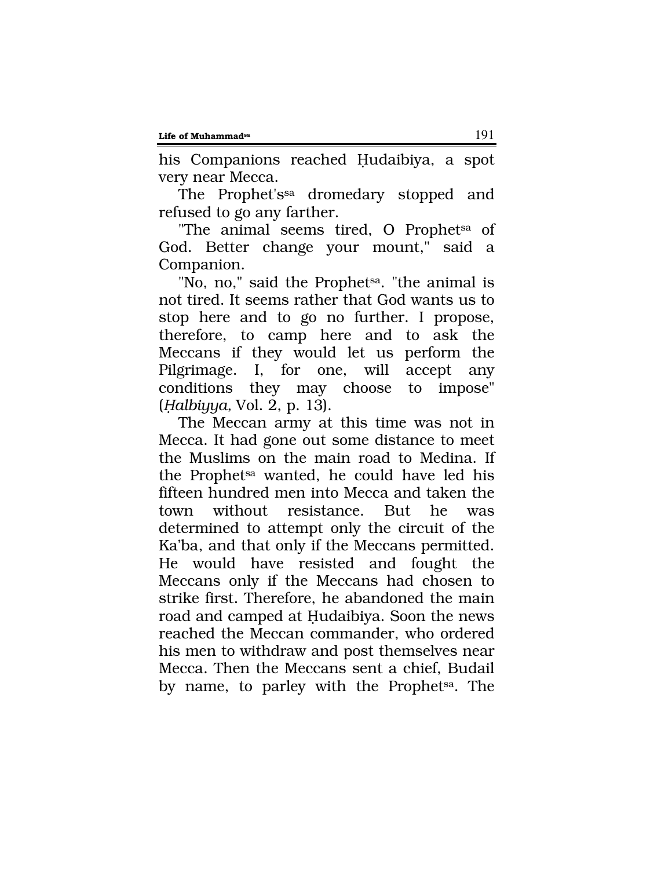his Companions reached Hudaibiya, a spot very near Mecca.

The Prophet'ssa dromedary stopped and refused to go any farther.

"The animal seems tired, O Prophetsa of God. Better change your mount," said a Companion.

"No, no," said the Prophetsa. "the animal is not tired. It seems rather that God wants us to stop here and to go no further. I propose, therefore, to camp here and to ask the Meccans if they would let us perform the Pilgrimage. I, for one, will accept any conditions they may choose to impose" (H*albiyya,* Vol. 2, p. 13).

The Meccan army at this time was not in Mecca. It had gone out some distance to meet the Muslims on the main road to Medina. If the Prophetsa wanted, he could have led his fifteen hundred men into Mecca and taken the town without resistance. But he was determined to attempt only the circuit of the Ka'ba, and that only if the Meccans permitted. He would have resisted and fought the Meccans only if the Meccans had chosen to strike first. Therefore, he abandoned the main road and camped at Hudaibiya. Soon the news reached the Meccan commander, who ordered his men to withdraw and post themselves near Mecca. Then the Meccans sent a chief, Budail by name, to parley with the Prophetsa. The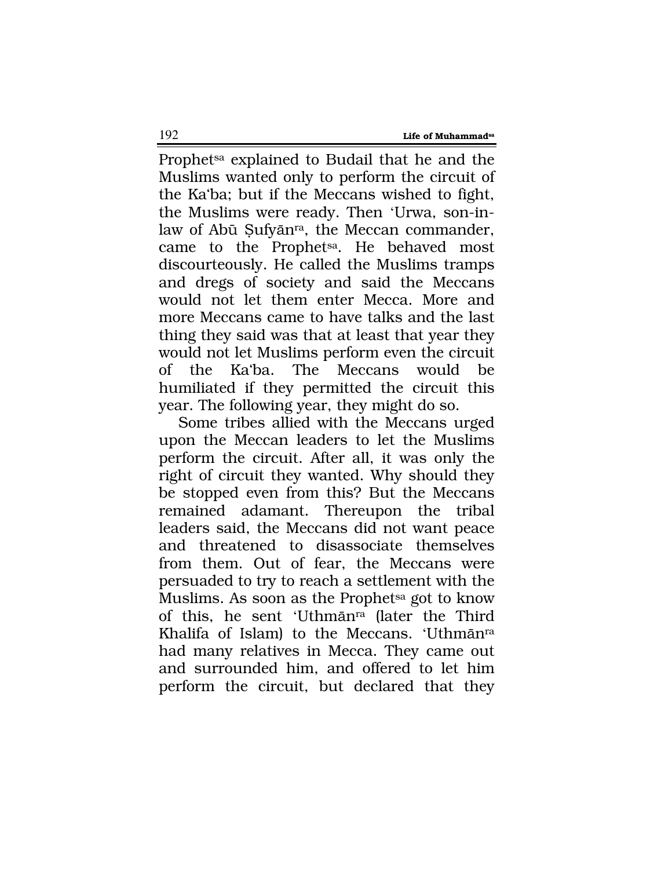Prophetsa explained to Budail that he and the Muslims wanted only to perform the circuit of the Ka'ba; but if the Meccans wished to fight, the Muslims were ready. Then 'Urwa, son-inlaw of Abū Sufyān<sup>ra</sup>, the Meccan commander, came to the Prophetsa. He behaved most discourteously. He called the Muslims tramps and dregs of society and said the Meccans would not let them enter Mecca. More and more Meccans came to have talks and the last thing they said was that at least that year they would not let Muslims perform even the circuit of the Ka'ba. The Meccans would be humiliated if they permitted the circuit this year. The following year, they might do so.

Some tribes allied with the Meccans urged upon the Meccan leaders to let the Muslims perform the circuit. After all, it was only the right of circuit they wanted. Why should they be stopped even from this? But the Meccans remained adamant. Thereupon the tribal leaders said, the Meccans did not want peace and threatened to disassociate themselves from them. Out of fear, the Meccans were persuaded to try to reach a settlement with the Muslims. As soon as the Prophetsa got to know of this, he sent 'Uthmanra (later the Third Khalifa of Islam) to the Meccans. 'Uthmanra had many relatives in Mecca. They came out and surrounded him, and offered to let him perform the circuit, but declared that they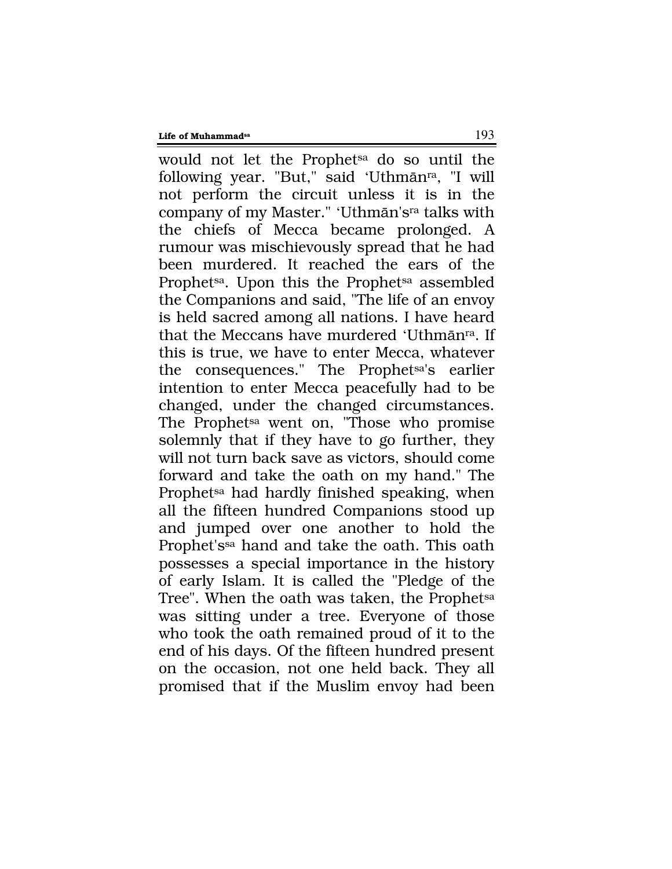would not let the Prophetsa do so until the following year. "But," said 'Uthmanra, "I will not perform the circuit unless it is in the company of my Master." 'Uthman'sra talks with the chiefs of Mecca became prolonged. A rumour was mischievously spread that he had been murdered. It reached the ears of the Prophetsa. Upon this the Prophetsa assembled the Companions and said, "The life of an envoy is held sacred among all nations. I have heard that the Meccans have murdered 'Uthmanra. If this is true, we have to enter Mecca, whatever the consequences." The Prophetsa's earlier intention to enter Mecca peacefully had to be changed, under the changed circumstances. The Prophetsa went on, "Those who promise solemnly that if they have to go further, they will not turn back save as victors, should come forward and take the oath on my hand." The Prophet<sup>sa</sup> had hardly finished speaking, when all the fifteen hundred Companions stood up and jumped over one another to hold the Prophet's<sup>sa</sup> hand and take the oath. This oath possesses a special importance in the history of early Islam. It is called the "Pledge of the Tree". When the oath was taken, the Prophetsa was sitting under a tree. Everyone of those who took the oath remained proud of it to the end of his days. Of the fifteen hundred present on the occasion, not one held back. They all promised that if the Muslim envoy had been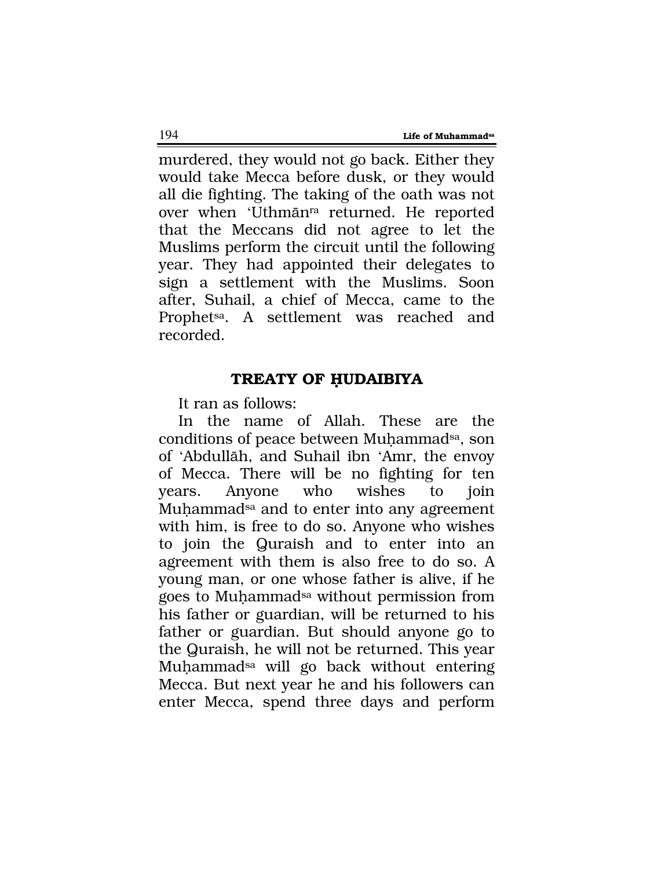murdered, they would not go back. Either they would take Mecca before dusk, or they would all die fighting. The taking of the oath was not over when 'Uthmanra returned. He reported that the Meccans did not agree to let the Muslims perform the circuit until the following year. They had appointed their delegates to sign a settlement with the Muslims. Soon after, Suhail, a chief of Mecca, came to the Prophetsa. A settlement was reached and recorded.

## **TREATY OF** H**UDAIBIYA**

It ran as follows:

In the name of Allah. These are the conditions of peace between Muhammadsa, son of 'Abdullah, and Suhail ibn 'Amr, the envoy of Mecca. There will be no fighting for ten years. Anyone who wishes to join Muhammadsa and to enter into any agreement with him, is free to do so. Anyone who wishes to join the Quraish and to enter into an agreement with them is also free to do so. A young man, or one whose father is alive, if he goes to Muhammadsa without permission from his father or guardian, will be returned to his father or guardian. But should anyone go to the Quraish, he will not be returned. This year Muhammadsa will go back without entering Mecca. But next year he and his followers can enter Mecca, spend three days and perform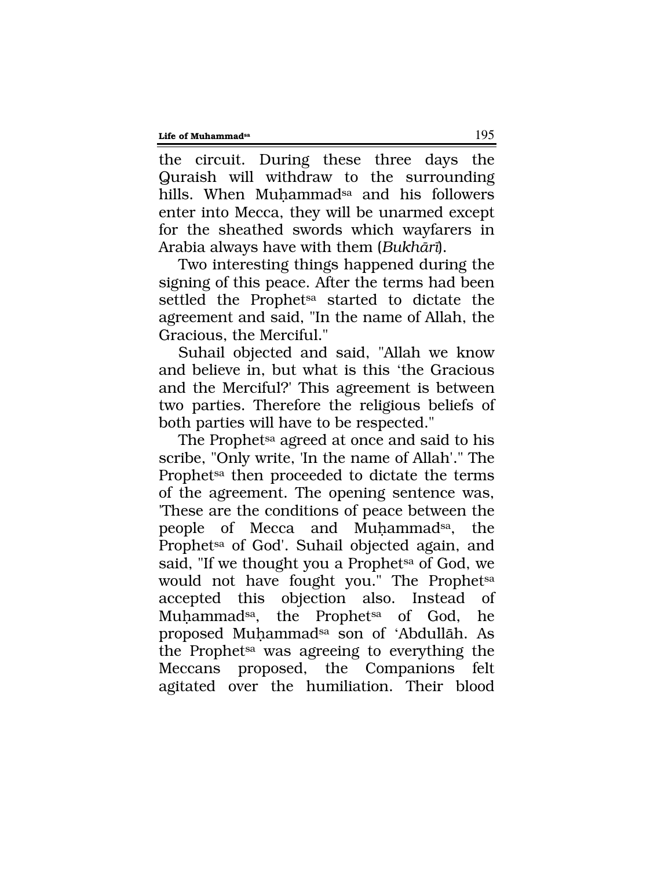the circuit. During these three days the Quraish will withdraw to the surrounding hills. When Muhammadsa and his followers enter into Mecca, they will be unarmed except for the sheathed swords which wayfarers in Arabia always have with them (*Bukh*a*r*i).

Two interesting things happened during the signing of this peace. After the terms had been settled the Prophetsa started to dictate the agreement and said, "In the name of Allah, the Gracious, the Merciful."

Suhail objected and said, "Allah we know and believe in, but what is this 'the Gracious and the Merciful?' This agreement is between two parties. Therefore the religious beliefs of both parties will have to be respected."

The Prophet<sup>sa</sup> agreed at once and said to his scribe, "Only write, 'In the name of Allah'." The Prophetsa then proceeded to dictate the terms of the agreement. The opening sentence was, 'These are the conditions of peace between the people of Mecca and Muhammadsa, the Prophetsa of God'. Suhail objected again, and said, "If we thought you a Prophetsa of God, we would not have fought you." The Prophetsa accepted this objection also. Instead of Muhammadsa, the Prophetsa of God, he proposed Muhammadsa son of 'Abdullah. As the Prophetsa was agreeing to everything the Meccans proposed, the Companions felt agitated over the humiliation. Their blood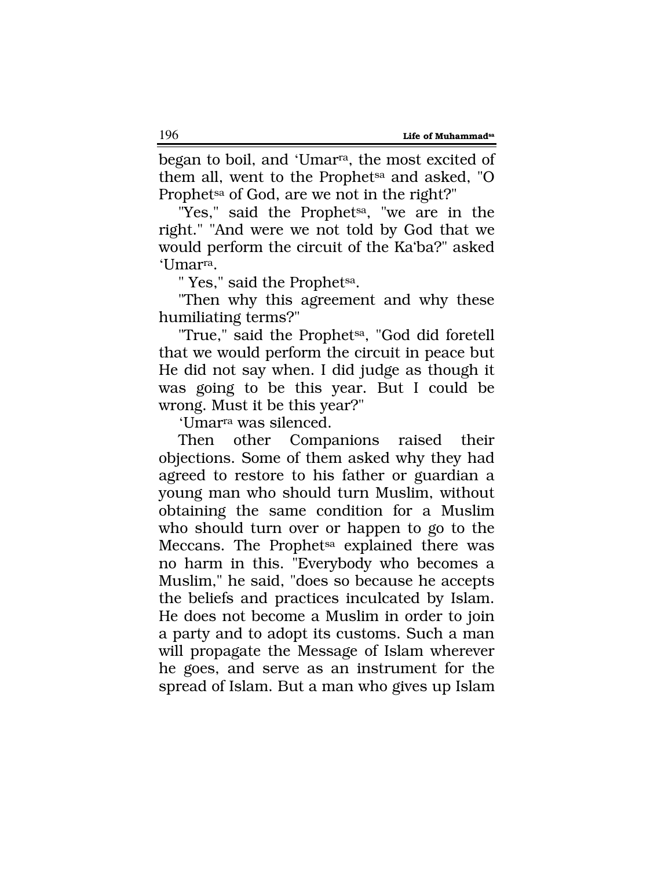began to boil, and 'Umarra, the most excited of them all, went to the Prophetsa and asked, "O Prophetsa of God, are we not in the right?"

"Yes," said the Prophetsa, "we are in the right." "And were we not told by God that we would perform the circuit of the Ka'ba?" asked 'Umarra.

" Yes," said the Prophetsa.

"Then why this agreement and why these humiliating terms?"

"True," said the Prophetsa, "God did foretell that we would perform the circuit in peace but He did not say when. I did judge as though it was going to be this year. But I could be wrong. Must it be this year?"

'Umarra was silenced.

Then other Companions raised their objections. Some of them asked why they had agreed to restore to his father or guardian a young man who should turn Muslim, without obtaining the same condition for a Muslim who should turn over or happen to go to the Meccans. The Prophetsa explained there was no harm in this. "Everybody who becomes a Muslim," he said, "does so because he accepts the beliefs and practices inculcated by Islam. He does not become a Muslim in order to join a party and to adopt its customs. Such a man will propagate the Message of Islam wherever he goes, and serve as an instrument for the spread of Islam. But a man who gives up Islam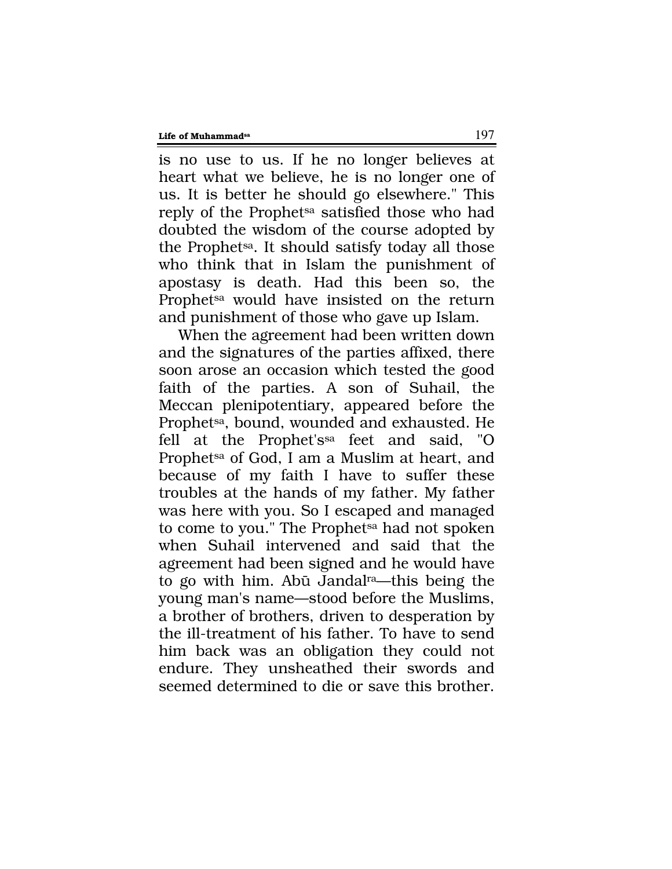is no use to us. If he no longer believes at heart what we believe, he is no longer one of us. It is better he should go elsewhere." This reply of the Prophetsa satisfied those who had doubted the wisdom of the course adopted by the Prophetsa. It should satisfy today all those who think that in Islam the punishment of apostasy is death. Had this been so, the Prophetsa would have insisted on the return and punishment of those who gave up Islam.

When the agreement had been written down and the signatures of the parties affixed, there soon arose an occasion which tested the good faith of the parties. A son of Suhail, the Meccan plenipotentiary, appeared before the Prophetsa, bound, wounded and exhausted. He fell at the Prophet'ssa feet and said, "O Prophetsa of God, I am a Muslim at heart, and because of my faith I have to suffer these troubles at the hands of my father. My father was here with you. So I escaped and managed to come to you." The Prophetsa had not spoken when Suhail intervened and said that the agreement had been signed and he would have to go with him. Abū Jandal<sup>ra</sup>—this being the young man's name—stood before the Muslims, a brother of brothers, driven to desperation by the ill-treatment of his father. To have to send him back was an obligation they could not endure. They unsheathed their swords and seemed determined to die or save this brother.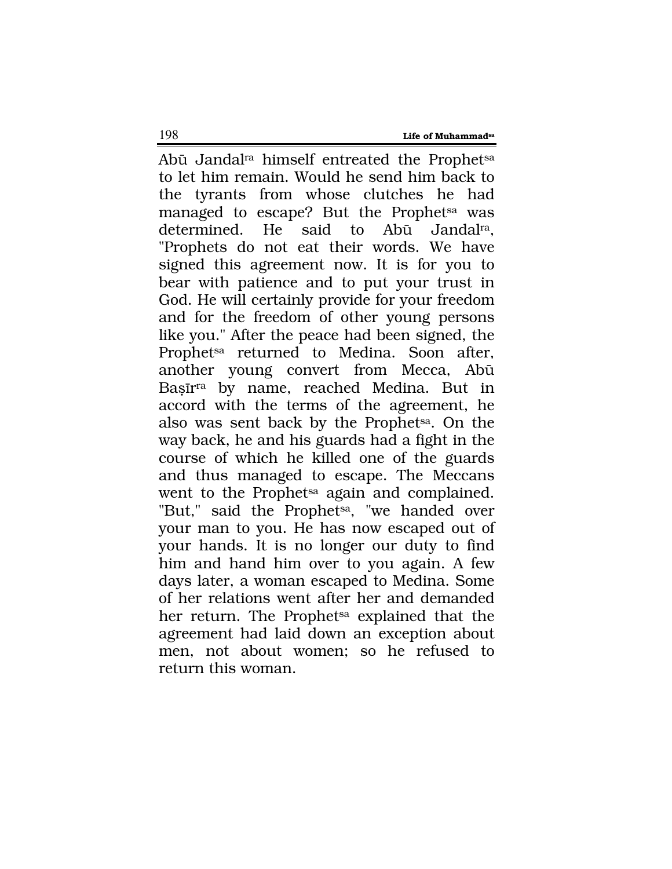Abū Jandal<sup>ra</sup> himself entreated the Prophetsa to let him remain. Would he send him back to the tyrants from whose clutches he had managed to escape? But the Prophetsa was determined. He said to Abū Jandal<sup>ra</sup>, "Prophets do not eat their words. We have signed this agreement now. It is for you to bear with patience and to put your trust in God. He will certainly provide for your freedom and for the freedom of other young persons like you." After the peace had been signed, the Prophet<sup>sa</sup> returned to Medina. Soon after, another young convert from Mecca, Abu Basirra by name, reached Medina. But in accord with the terms of the agreement, he also was sent back by the Prophetsa. On the way back, he and his guards had a fight in the course of which he killed one of the guards and thus managed to escape. The Meccans went to the Prophet<sup>sa</sup> again and complained. "But," said the Prophetsa, "we handed over your man to you. He has now escaped out of your hands. It is no longer our duty to find him and hand him over to you again. A few days later, a woman escaped to Medina. Some of her relations went after her and demanded her return. The Prophetsa explained that the agreement had laid down an exception about men, not about women; so he refused to return this woman.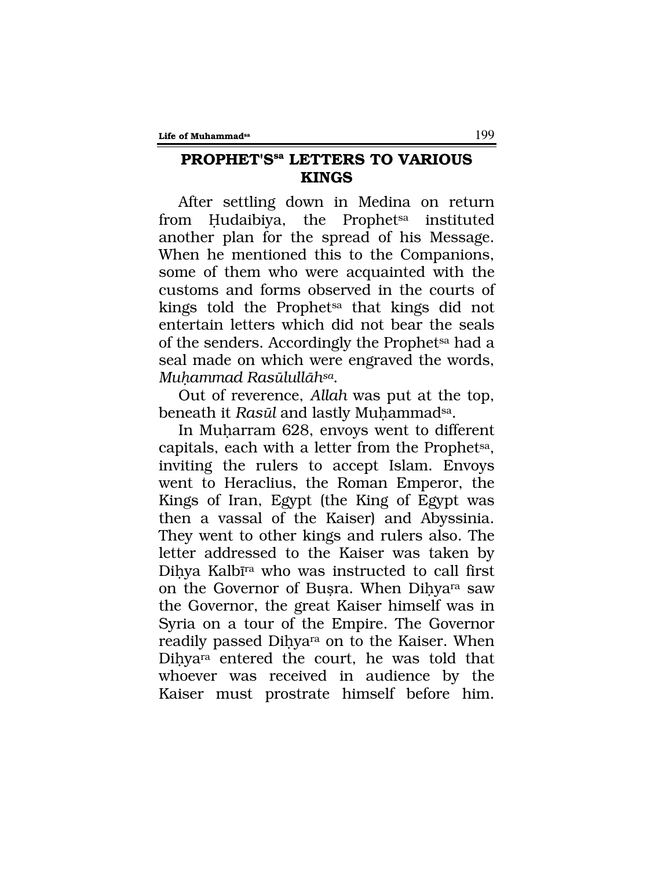## **PROPHET'S<sup>sa</sup> LETTERS TO VARIOUS KINGS**

After settling down in Medina on return from Hudaibiya, the Prophetsa instituted another plan for the spread of his Message. When he mentioned this to the Companions, some of them who were acquainted with the customs and forms observed in the courts of kings told the Prophetsa that kings did not entertain letters which did not bear the seals of the senders. Accordingly the Prophetsa had a seal made on which were engraved the words, *Mu*h*ammad Ras*u*lull*a*hsa*.

Out of reverence, *Allah* was put at the top, beneath it *Rasul* and lastly Muhammadsa.

In Muharram 628, envoys went to different capitals, each with a letter from the Prophetsa, inviting the rulers to accept Islam. Envoys went to Heraclius, the Roman Emperor, the Kings of Iran, Egypt (the King of Egypt was then a vassal of the Kaiser) and Abyssinia. They went to other kings and rulers also. The letter addressed to the Kaiser was taken by Dihya Kalbira who was instructed to call first on the Governor of Busra. When Dihyara saw the Governor, the great Kaiser himself was in Syria on a tour of the Empire. The Governor readily passed Dihyara on to the Kaiser. When Dihyara entered the court, he was told that whoever was received in audience by the Kaiser must prostrate himself before him.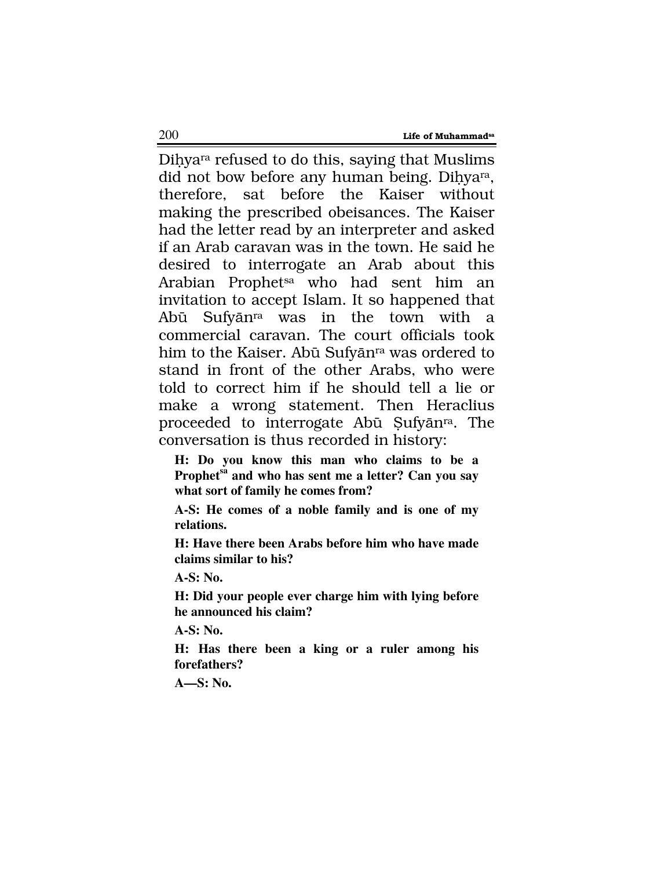Dihyara refused to do this, saying that Muslims did not bow before any human being. Dihyara, therefore, sat before the Kaiser without making the prescribed obeisances. The Kaiser had the letter read by an interpreter and asked if an Arab caravan was in the town. He said he desired to interrogate an Arab about this Arabian Prophetsa who had sent him an invitation to accept Islam. It so happened that Abu Sufyanra was in the town with a commercial caravan. The court officials took him to the Kaiser. Abū Sufyān<sup>ra</sup> was ordered to stand in front of the other Arabs, who were told to correct him if he should tell a lie or make a wrong statement. Then Heraclius proceeded to interrogate Abu Sufyanra. The conversation is thus recorded in history:

**H: Do you know this man who claims to be a**  Prophet<sup>sa</sup> and who has sent me a letter? Can you say **what sort of family he comes from?** 

**A-S: He comes of a noble family and is one of my relations.** 

**H: Have there been Arabs before him who have made claims similar to his?** 

**A-S: No.** 

**H: Did your people ever charge him with lying before he announced his claim?** 

**A-S: No.** 

**H: Has there been a king or a ruler among his forefathers?** 

**A—S: No.**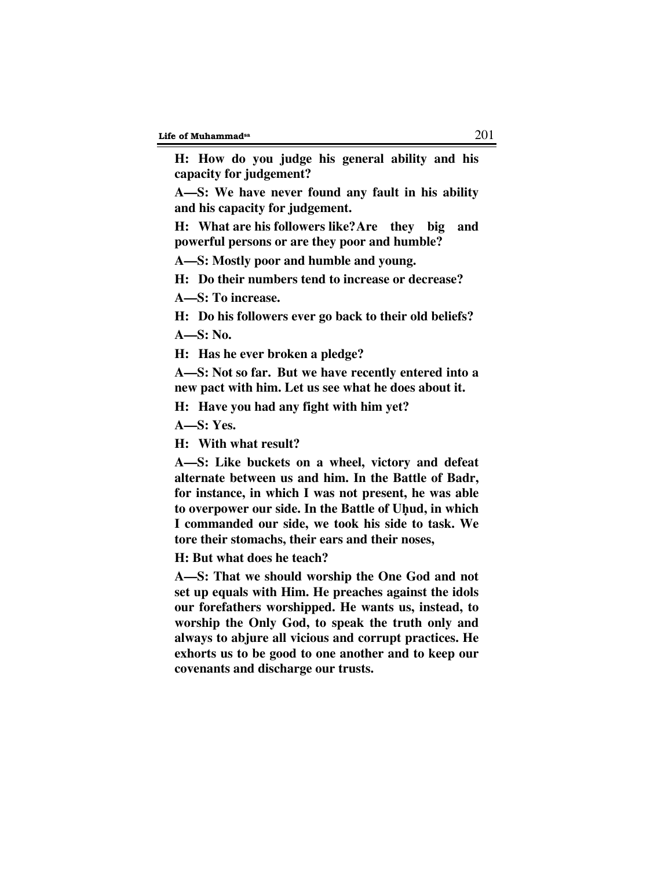**H: How do you judge his general ability and his capacity for judgement?** 

**A—S: We have never found any fault in his ability and his capacity for judgement.** 

**H: What are his followers like? Are they big and powerful persons or are they poor and humble?** 

**A—S: Mostly poor and humble and young.** 

**H: Do their numbers tend to increase or decrease?** 

**A—S: To increase.** 

**H: Do his followers ever go back to their old beliefs? A—S: No.** 

**H: Has he ever broken a pledge?** 

**A—S: Not so far. But we have recently entered into a new pact with him. Let us see what he does about it.** 

**H: Have you had any fight with him yet?** 

**A—S: Yes.** 

**H: With what result?** 

**A—S: Like buckets on a wheel, victory and defeat alternate between us and him. In the Battle of Badr, for instance, in which I was not present, he was able to overpower our side. In the Battle of U**h**ud, in which I commanded our side, we took his side to task. We tore their stomachs, their ears and their noses,** 

**H: But what does he teach?** 

**A—S: That we should worship the One God and not set up equals with Him. He preaches against the idols our forefathers worshipped. He wants us, instead, to worship the Only God, to speak the truth only and always to abjure all vicious and corrupt practices. He exhorts us to be good to one another and to keep our covenants and discharge our trusts.**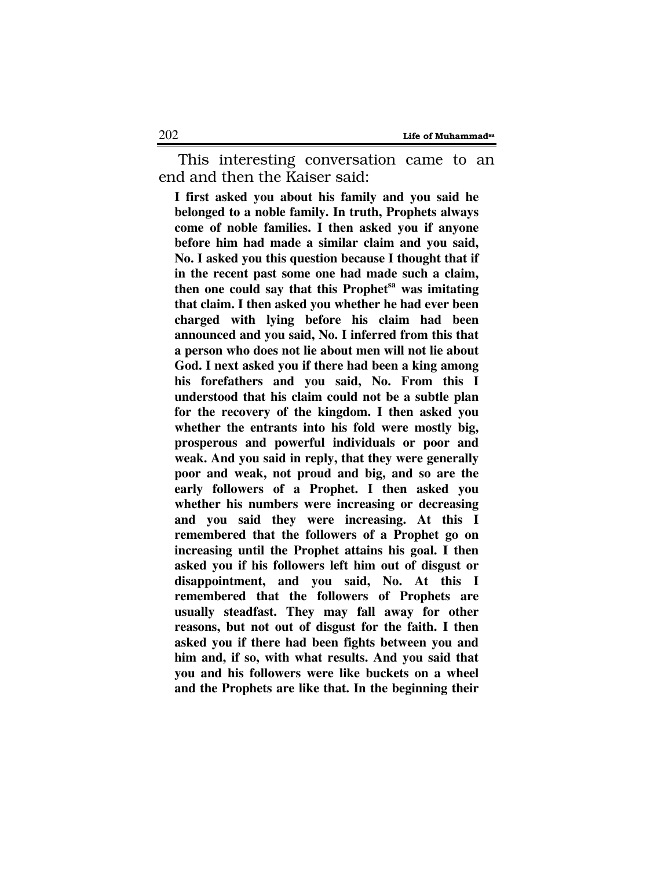This interesting conversation came to an end and then the Kaiser said:

**I first asked you about his family and you said he belonged to a noble family. In truth, Prophets always come of noble families. I then asked you if anyone before him had made a similar claim and you said, No. I asked you this question because I thought that if in the recent past some one had made such a claim,**  then one could say that this Prophet<sup>sa</sup> was imitating **that claim. I then asked you whether he had ever been charged with lying before his claim had been announced and you said, No. I inferred from this that a person who does not lie about men will not lie about God. I next asked you if there had been a king among his forefathers and you said, No. From this I understood that his claim could not be a subtle plan for the recovery of the kingdom. I then asked you whether the entrants into his fold were mostly big, prosperous and powerful individuals or poor and weak. And you said in reply, that they were generally poor and weak, not proud and big, and so are the early followers of a Prophet. I then asked you whether his numbers were increasing or decreasing and you said they were increasing. At this I remembered that the followers of a Prophet go on increasing until the Prophet attains his goal. I then asked you if his followers left him out of disgust or disappointment, and you said, No. At this I remembered that the followers of Prophets are usually steadfast. They may fall away for other reasons, but not out of disgust for the faith. I then asked you if there had been fights between you and him and, if so, with what results. And you said that you and his followers were like buckets on a wheel and the Prophets are like that. In the beginning their**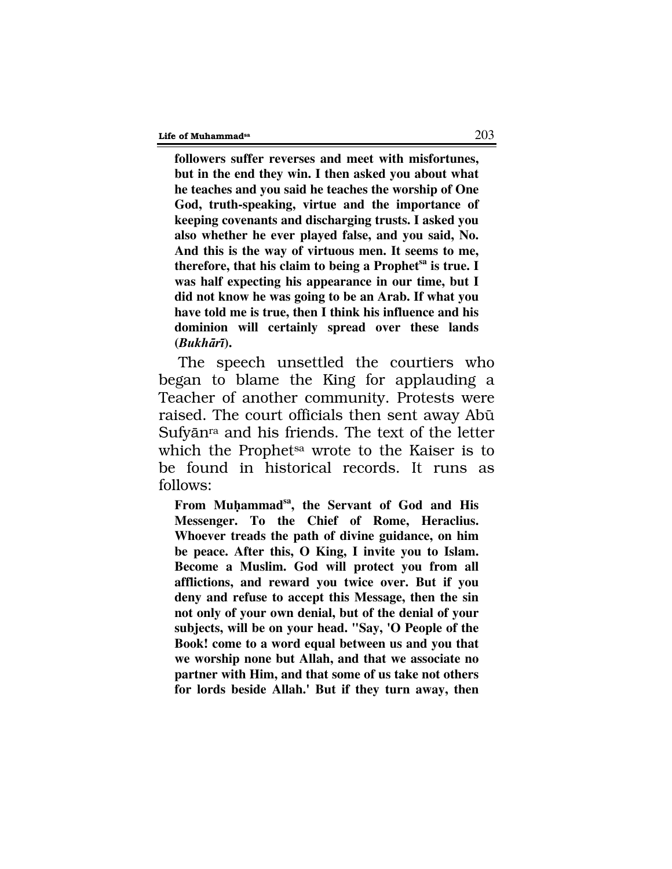**followers suffer reverses and meet with misfortunes, but in the end they win. I then asked you about what he teaches and you said he teaches the worship of One God, truth-speaking, virtue and the importance of keeping covenants and discharging trusts. I asked you also whether he ever played false, and you said, No. And this is the way of virtuous men. It seems to me,**  therefore, that his claim to being a Prophet<sup>sa</sup> is true. I **was half expecting his appearance in our time, but I did not know he was going to be an Arab. If what you have told me is true, then I think his influence and his dominion will certainly spread over these lands (***Bukh*a*r*i**).** 

The speech unsettled the courtiers who began to blame the King for applauding a Teacher of another community. Protests were raised. The court officials then sent away Abū Sufyanra and his friends. The text of the letter which the Prophet<sup>sa</sup> wrote to the Kaiser is to be found in historical records. It runs as follows:

From Muhammad<sup>sa</sup>, the Servant of God and His **Messenger. To the Chief of Rome, Heraclius. Whoever treads the path of divine guidance, on him be peace. After this, O King, I invite you to Islam. Become a Muslim. God will protect you from all afflictions, and reward you twice over. But if you deny and refuse to accept this Message, then the sin not only of your own denial, but of the denial of your subjects, will be on your head. "Say, 'O People of the Book! come to a word equal between us and you that we worship none but Allah, and that we associate no partner with Him, and that some of us take not others for lords beside Allah.' But if they turn away, then**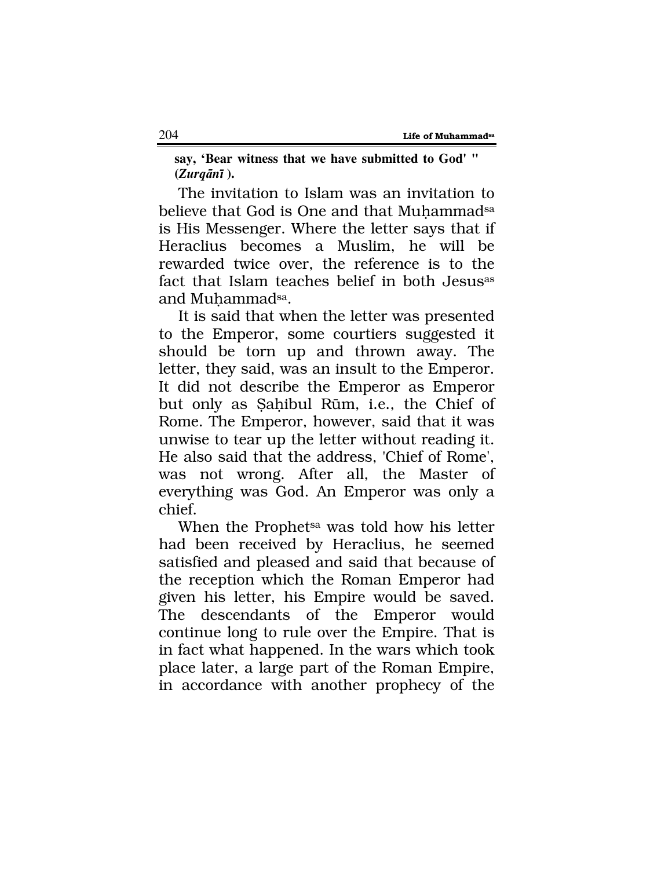**say, 'Bear witness that we have submitted to God' "**   $(Zurg\bar{a}n\bar{\iota})$ .

The invitation to Islam was an invitation to believe that God is One and that Muhammad<sup>sa</sup> is His Messenger. Where the letter says that if Heraclius becomes a Muslim, he will be rewarded twice over, the reference is to the fact that Islam teaches belief in both Jesusas and Muhammadsa.

It is said that when the letter was presented to the Emperor, some courtiers suggested it should be torn up and thrown away. The letter, they said, was an insult to the Emperor. It did not describe the Emperor as Emperor but only as Sahibul Rūm, *i.e.*, the Chief of Rome. The Emperor, however, said that it was unwise to tear up the letter without reading it. He also said that the address, 'Chief of Rome', was not wrong. After all, the Master of everything was God. An Emperor was only a chief.

When the Prophet<sup>sa</sup> was told how his letter had been received by Heraclius, he seemed satisfied and pleased and said that because of the reception which the Roman Emperor had given his letter, his Empire would be saved. The descendants of the Emperor would continue long to rule over the Empire. That is in fact what happened. In the wars which took place later, a large part of the Roman Empire, in accordance with another prophecy of the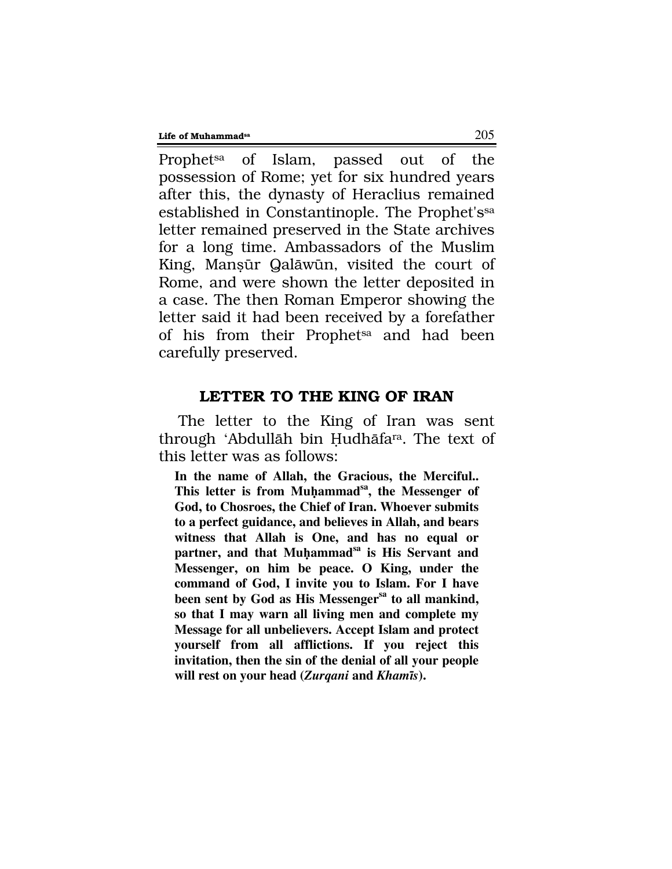Prophetsa of Islam, passed out of the possession of Rome; yet for six hundred years after this, the dynasty of Heraclius remained established in Constantinople. The Prophet'ssa letter remained preserved in the State archives for a long time. Ambassadors of the Muslim King, Mansūr Qalāwūn, visited the court of Rome, and were shown the letter deposited in a case. The then Roman Emperor showing the letter said it had been received by a forefather of his from their Prophetsa and had been carefully preserved.

#### **LETTER TO THE KING OF IRAN**

The letter to the King of Iran was sent through 'Abdullah bin Hudhafara. The text of this letter was as follows:

**In the name of Allah, the Gracious, the Merciful..**  This letter is from Muhammad<sup>sa</sup>, the Messenger of **God, to Chosroes, the Chief of Iran. Whoever submits to a perfect guidance, and believes in Allah, and bears witness that Allah is One, and has no equal or**  partner, and that Muhammad<sup>sa</sup> is His Servant and **Messenger, on him be peace. O King, under the command of God, I invite you to Islam. For I have been sent by God as His Messengersa to all mankind, so that I may warn all living men and complete my Message for all unbelievers. Accept Islam and protect yourself from all afflictions. If you reject this invitation, then the sin of the denial of all your people will rest on your head (***Zurqani* **and** *Kham*i*s***).**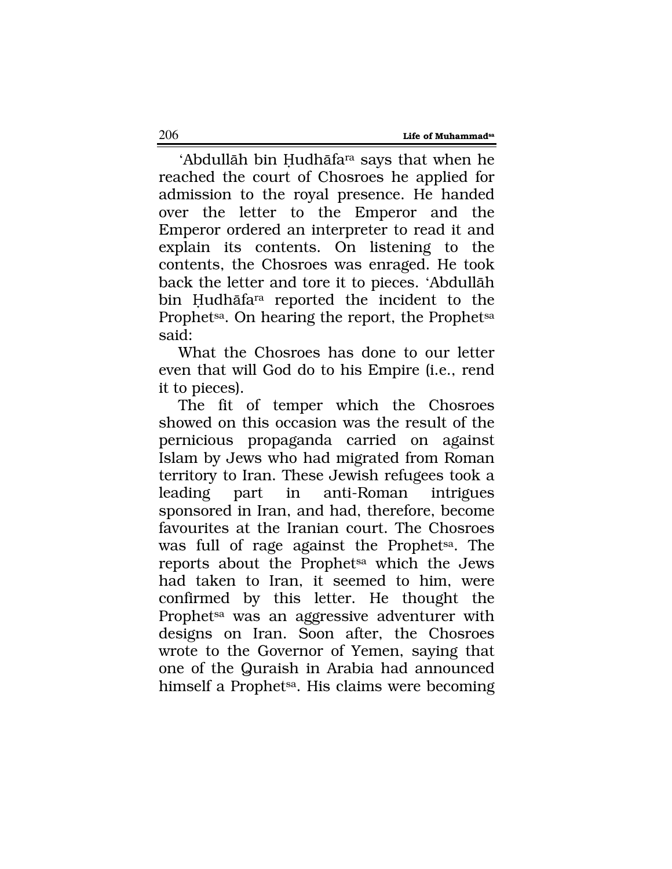'Abdullah bin Hudhafara says that when he reached the court of Chosroes he applied for admission to the royal presence. He handed over the letter to the Emperor and the Emperor ordered an interpreter to read it and explain its contents. On listening to the contents, the Chosroes was enraged. He took back the letter and tore it to pieces. 'Abdullah bin Hudhafara reported the incident to the Prophetsa. On hearing the report, the Prophetsa said:

What the Chosroes has done to our letter even that will God do to his Empire (i.e., rend it to pieces).

The fit of temper which the Chosroes showed on this occasion was the result of the pernicious propaganda carried on against Islam by Jews who had migrated from Roman territory to Iran. These Jewish refugees took a leading part in anti-Roman intrigues sponsored in Iran, and had, therefore, become favourites at the Iranian court. The Chosroes was full of rage against the Prophetsa. The reports about the Prophetsa which the Jews had taken to Iran, it seemed to him, were confirmed by this letter. He thought the Prophetsa was an aggressive adventurer with designs on Iran. Soon after, the Chosroes wrote to the Governor of Yemen, saying that one of the Quraish in Arabia had announced himself a Prophetsa. His claims were becoming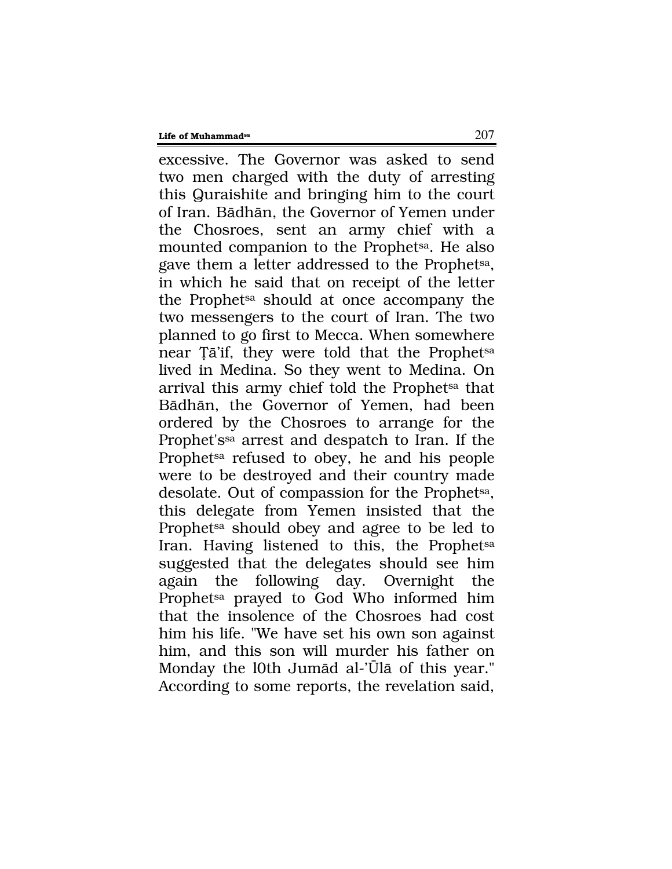excessive. The Governor was asked to send two men charged with the duty of arresting this Quraishite and bringing him to the court of Iran. Badhan, the Governor of Yemen under the Chosroes, sent an army chief with a mounted companion to the Prophetsa. He also gave them a letter addressed to the Prophetsa, in which he said that on receipt of the letter the Prophetsa should at once accompany the two messengers to the court of Iran. The two planned to go first to Mecca. When somewhere near Ta'if, they were told that the Prophetsa lived in Medina. So they went to Medina. On arrival this army chief told the Prophetsa that Badhan, the Governor of Yemen, had been ordered by the Chosroes to arrange for the Prophet's<sup>sa</sup> arrest and despatch to Iran. If the Prophetsa refused to obey, he and his people were to be destroyed and their country made desolate. Out of compassion for the Prophetsa, this delegate from Yemen insisted that the Prophetsa should obey and agree to be led to Iran. Having listened to this, the Prophetsa suggested that the delegates should see him again the following day. Overnight the Prophetsa prayed to God Who informed him that the insolence of the Chosroes had cost him his life. "We have set his own son against him, and this son will murder his father on Monday the l0th Jumad al-'Ula of this year." According to some reports, the revelation said,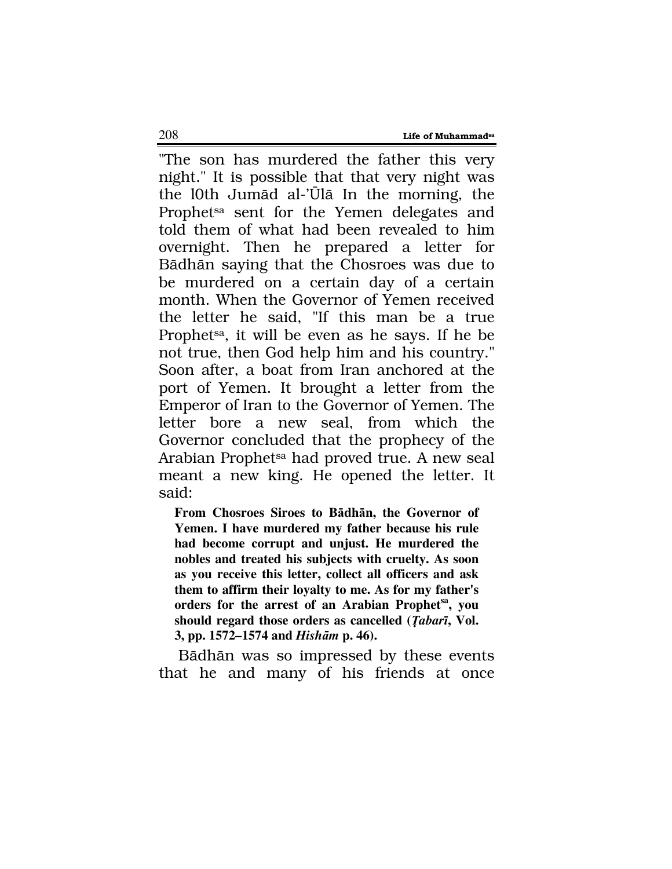"The son has murdered the father this very night." It is possible that that very night was the l0th Jumad al-'Ula In the morning, the Prophetsa sent for the Yemen delegates and told them of what had been revealed to him overnight. Then he prepared a letter for Badhan saying that the Chosroes was due to be murdered on a certain day of a certain month. When the Governor of Yemen received the letter he said, "If this man be a true Prophetsa, it will be even as he says. If he be not true, then God help him and his country." Soon after, a boat from Iran anchored at the port of Yemen. It brought a letter from the Emperor of Iran to the Governor of Yemen. The letter bore a new seal, from which the Governor concluded that the prophecy of the Arabian Prophetsa had proved true. A new seal meant a new king. He opened the letter. It said:

**From Chosroes Siroes to B**a**dh**a**n, the Governor of Yemen. I have murdered my father because his rule had become corrupt and unjust. He murdered the nobles and treated his subjects with cruelty. As soon as you receive this letter, collect all officers and ask them to affirm their loyalty to me. As for my father's**  orders for the arrest of an Arabian Prophet<sup>sa</sup>, you **should regard those orders as cancelled (**T*abar*i**, Vol. 3, pp. 1572–1574 and** *Hish*a*m* **p. 46).** 

Badhan was so impressed by these events that he and many of his friends at once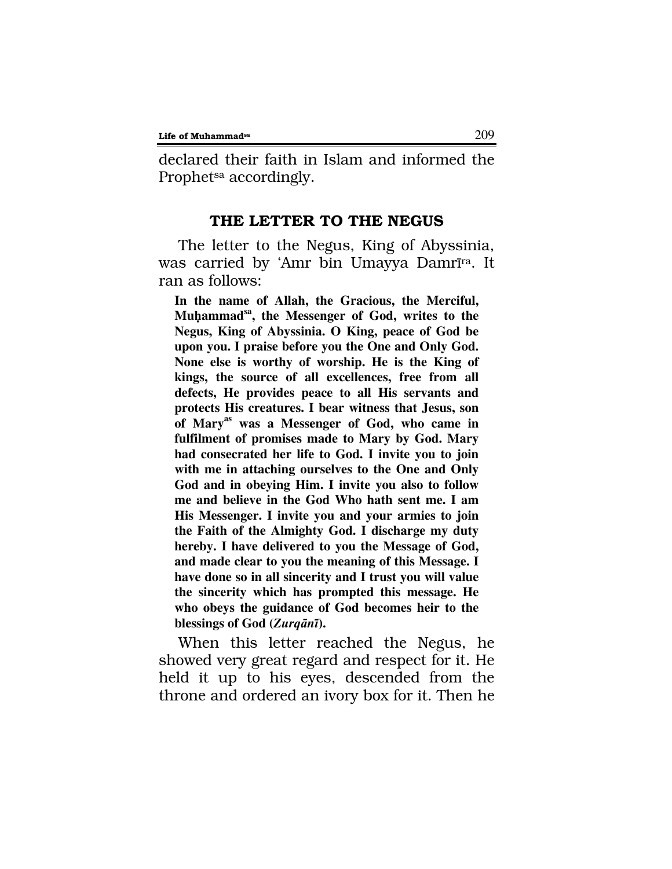declared their faith in Islam and informed the Prophet<sup>sa</sup> accordingly.

#### **THE LETTER TO THE NEGUS**

The letter to the Negus, King of Abyssinia, was carried by 'Amr bin Umayya Damrira. It ran as follows:

**In the name of Allah, the Gracious, the Merciful, Mu**h**ammadsa, the Messenger of God, writes to the Negus, King of Abyssinia. O King, peace of God be upon you. I praise before you the One and Only God. None else is worthy of worship. He is the King of kings, the source of all excellences, free from all defects, He provides peace to all His servants and protects His creatures. I bear witness that Jesus, son of Maryas was a Messenger of God, who came in fulfilment of promises made to Mary by God. Mary had consecrated her life to God. I invite you to join with me in attaching ourselves to the One and Only God and in obeying Him. I invite you also to follow me and believe in the God Who hath sent me. I am His Messenger. I invite you and your armies to join the Faith of the Almighty God. I discharge my duty hereby. I have delivered to you the Message of God, and made clear to you the meaning of this Message. I have done so in all sincerity and I trust you will value the sincerity which has prompted this message. He who obeys the guidance of God becomes heir to the blessings of God (***Zurq*a*n*i**).** 

When this letter reached the Negus, he showed very great regard and respect for it. He held it up to his eyes, descended from the throne and ordered an ivory box for it. Then he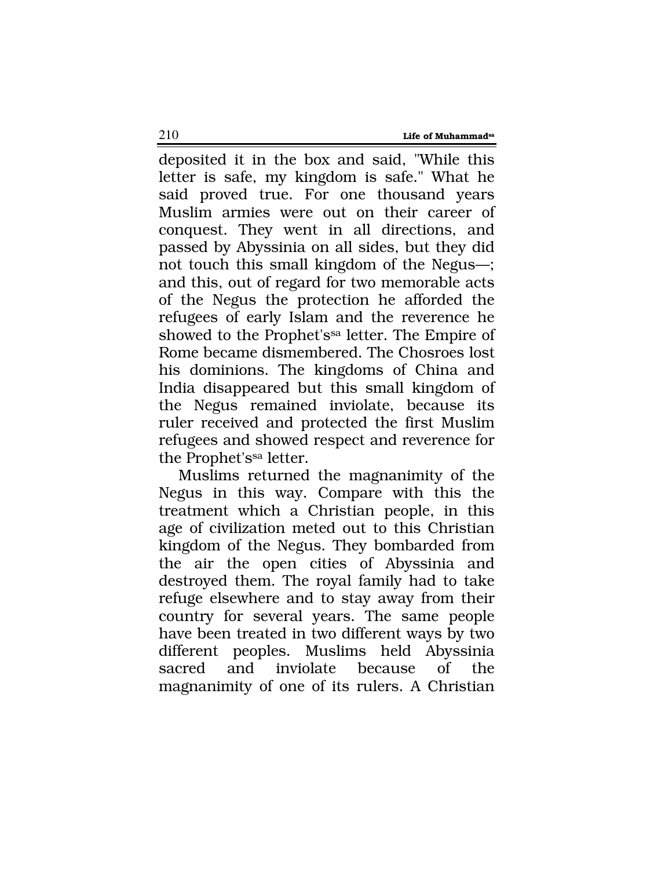deposited it in the box and said, "While this letter is safe, my kingdom is safe." What he said proved true. For one thousand years Muslim armies were out on their career of conquest. They went in all directions, and passed by Abyssinia on all sides, but they did not touch this small kingdom of the Negus—; and this, out of regard for two memorable acts of the Negus the protection he afforded the refugees of early Islam and the reverence he showed to the Prophet'ssa letter. The Empire of Rome became dismembered. The Chosroes lost his dominions. The kingdoms of China and India disappeared but this small kingdom of the Negus remained inviolate, because its ruler received and protected the first Muslim refugees and showed respect and reverence for the Prophet'ssa letter.

Muslims returned the magnanimity of the Negus in this way. Compare with this the treatment which a Christian people, in this age of civilization meted out to this Christian kingdom of the Negus. They bombarded from the air the open cities of Abyssinia and destroyed them. The royal family had to take refuge elsewhere and to stay away from their country for several years. The same people have been treated in two different ways by two different peoples. Muslims held Abyssinia sacred and inviolate because of the magnanimity of one of its rulers. A Christian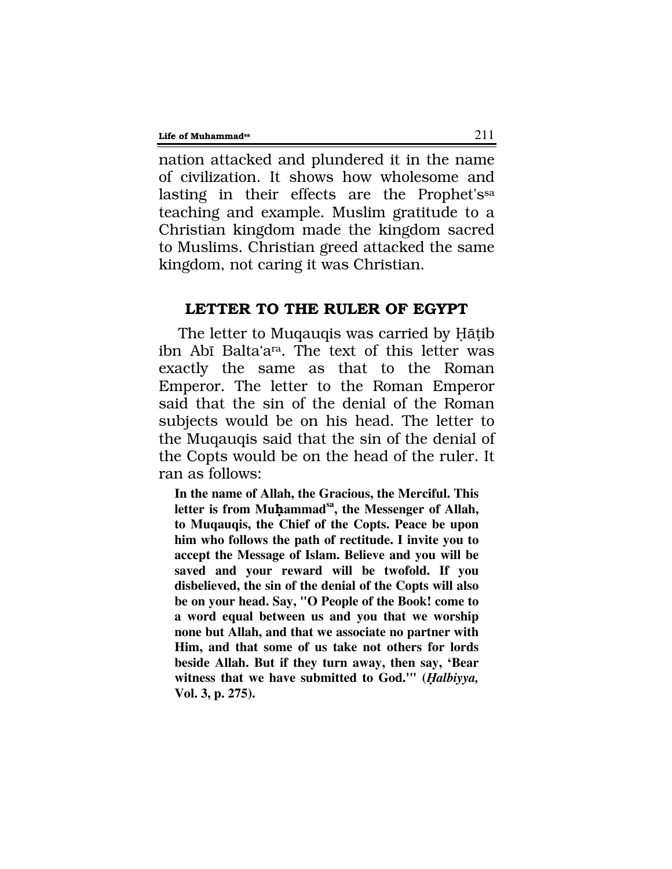nation attacked and plundered it in the name of civilization. It shows how wholesome and lasting in their effects are the Prophet'ssa teaching and example. Muslim gratitude to a Christian kingdom made the kingdom sacred to Muslims. Christian greed attacked the same kingdom, not caring it was Christian.

### **LETTER TO THE RULER OF EGYPT**

The letter to Muqauqis was carried by Hatib ibn Abi Balta'ara. The text of this letter was exactly the same as that to the Roman Emperor. The letter to the Roman Emperor said that the sin of the denial of the Roman subjects would be on his head. The letter to the Muqauqis said that the sin of the denial of the Copts would be on the head of the ruler. It ran as follows:

**In the name of Allah, the Gracious, the Merciful. This**  letter is from Muhammad<sup>sa</sup>, the Messenger of Allah, **to Muqauqis, the Chief of the Copts. Peace be upon him who follows the path of rectitude. I invite you to accept the Message of Islam. Believe and you will be saved and your reward will be twofold. If you disbelieved, the sin of the denial of the Copts will also be on your head. Say, "O People of the Book! come to a word equal between us and you that we worship none but Allah, and that we associate no partner with Him, and that some of us take not others for lords beside Allah. But if they turn away, then say, 'Bear witness that we have submitted to God.'" (**H*albiyya,*  **Vol. 3, p. 275).**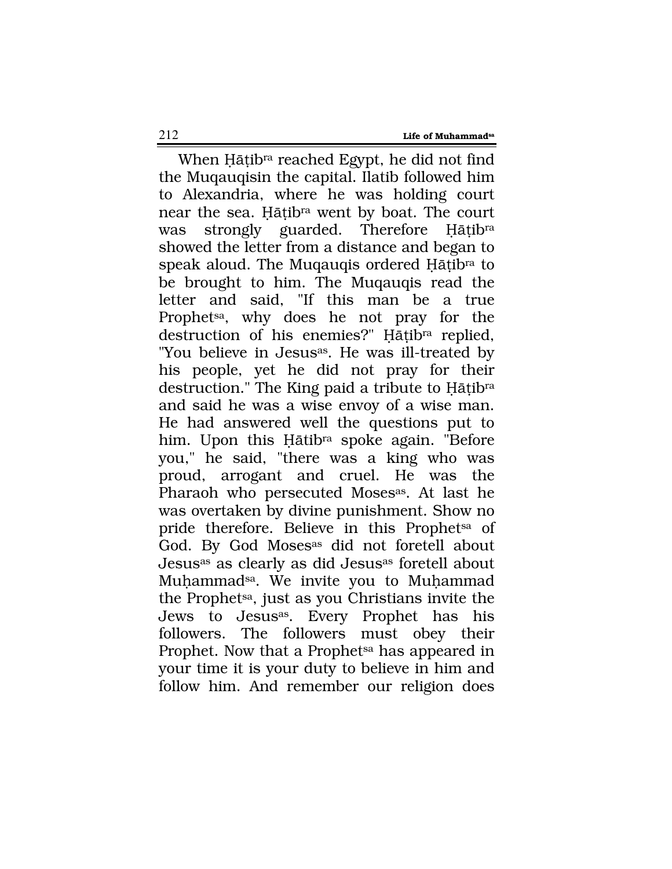When Hatibra reached Egypt, he did not find the Muqauqisin the capital. Ilatib followed him to Alexandria, where he was holding court near the sea. Hatibra went by boat. The court was strongly guarded. Therefore Hatibra showed the letter from a distance and began to speak aloud. The Muqauqis ordered Hatibra to be brought to him. The Muqauqis read the letter and said, "If this man be a true Prophetsa, why does he not pray for the destruction of his enemies?" Hatibra replied, "You believe in Jesus<sup>as</sup>. He was ill-treated by his people, yet he did not pray for their destruction." The King paid a tribute to Hatibra and said he was a wise envoy of a wise man. He had answered well the questions put to him. Upon this Hātibra spoke again. "Before you," he said, "there was a king who was proud, arrogant and cruel. He was the Pharaoh who persecuted Moses<sup>as</sup>. At last he was overtaken by divine punishment. Show no pride therefore. Believe in this Prophetsa of God. By God Moses<sup>as</sup> did not foretell about Jesusas as clearly as did Jesusas foretell about Muhammadsa. We invite you to Muhammad the Prophetsa, just as you Christians invite the Jews to Jesusas. Every Prophet has his followers. The followers must obey their Prophet. Now that a Prophetsa has appeared in your time it is your duty to believe in him and follow him. And remember our religion does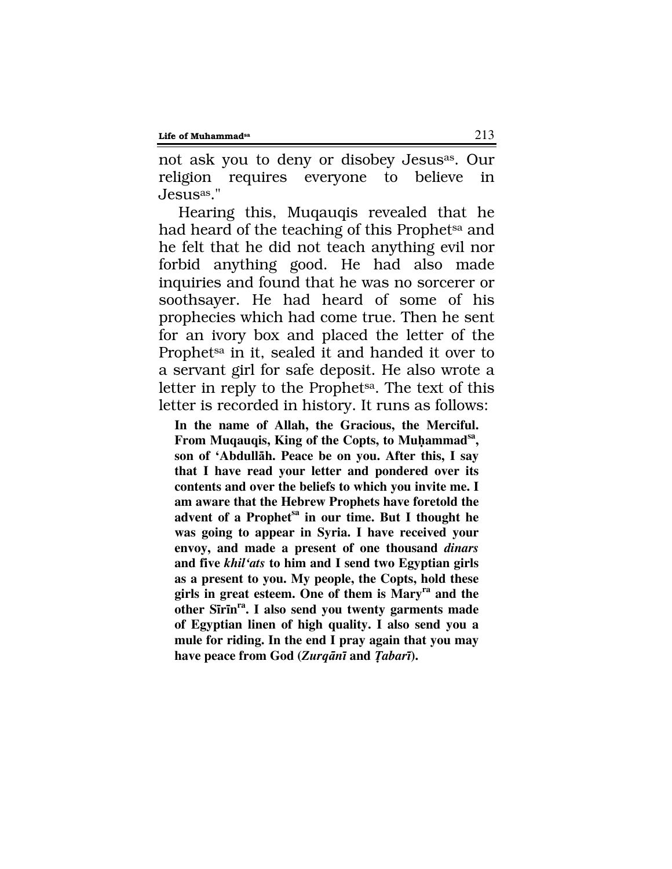not ask you to deny or disobey Jesusas. Our religion requires everyone to believe in Jesusas."

Hearing this, Muqauqis revealed that he had heard of the teaching of this Prophetsa and he felt that he did not teach anything evil nor forbid anything good. He had also made inquiries and found that he was no sorcerer or soothsayer. He had heard of some of his prophecies which had come true. Then he sent for an ivory box and placed the letter of the Prophetsa in it, sealed it and handed it over to a servant girl for safe deposit. He also wrote a letter in reply to the Prophetsa. The text of this letter is recorded in history. It runs as follows:

**In the name of Allah, the Gracious, the Merciful.**  From Muqauqis, King of the Copts, to Muhammad<sup>sa</sup>, **son of 'Abdull**a**h. Peace be on you. After this, I say that I have read your letter and pondered over its contents and over the beliefs to which you invite me. I am aware that the Hebrew Prophets have foretold the advent of a Prophetsa in our time. But I thought he was going to appear in Syria. I have received your envoy, and made a present of one thousand** *dinars* **and five** *khil'ats* **to him and I send two Egyptian girls as a present to you. My people, the Copts, hold these girls in great esteem. One of them is Maryra and the**  other Sīrīn<sup>ra</sup>. I also send you twenty garments made **of Egyptian linen of high quality. I also send you a mule for riding. In the end I pray again that you may have peace from God (***Zurq*a*n*i **and** T*abar*i**).**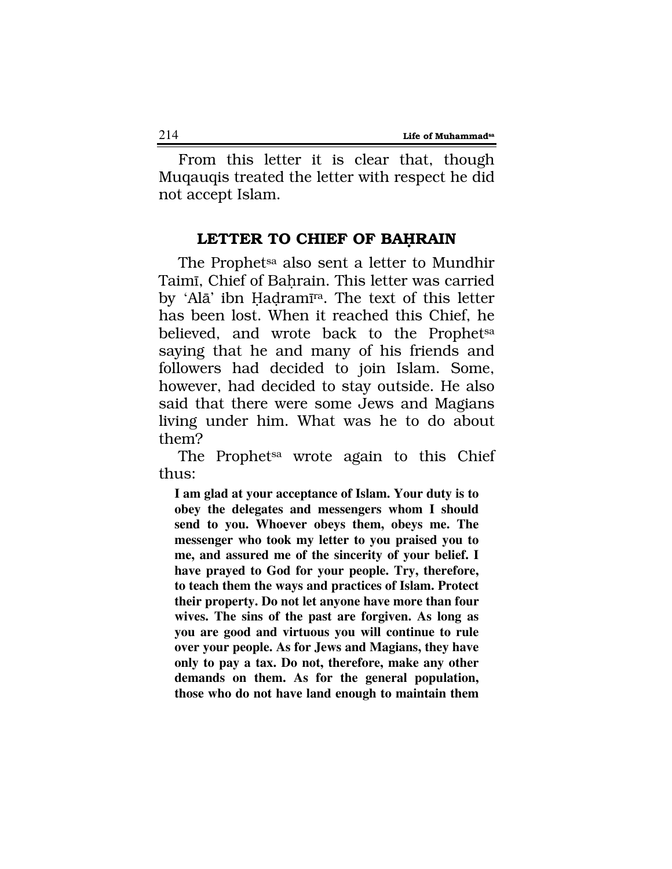From this letter it is clear that, though Muqauqis treated the letter with respect he did not accept Islam.

## **LETTER TO CHIEF OF BA**H**RAIN**

The Prophetsa also sent a letter to Mundhir Taimi, Chief of Bahrain. This letter was carried by 'Ala' ibn Hadramira. The text of this letter has been lost. When it reached this Chief, he believed, and wrote back to the Prophetsa saying that he and many of his friends and followers had decided to join Islam. Some, however, had decided to stay outside. He also said that there were some Jews and Magians living under him. What was he to do about them?

The Prophetsa wrote again to this Chief thus:

**I am glad at your acceptance of Islam. Your duty is to obey the delegates and messengers whom I should send to you. Whoever obeys them, obeys me. The messenger who took my letter to you praised you to me, and assured me of the sincerity of your belief. I have prayed to God for your people. Try, therefore, to teach them the ways and practices of Islam. Protect their property. Do not let anyone have more than four wives. The sins of the past are forgiven. As long as you are good and virtuous you will continue to rule over your people. As for Jews and Magians, they have only to pay a tax. Do not, therefore, make any other demands on them. As for the general population, those who do not have land enough to maintain them**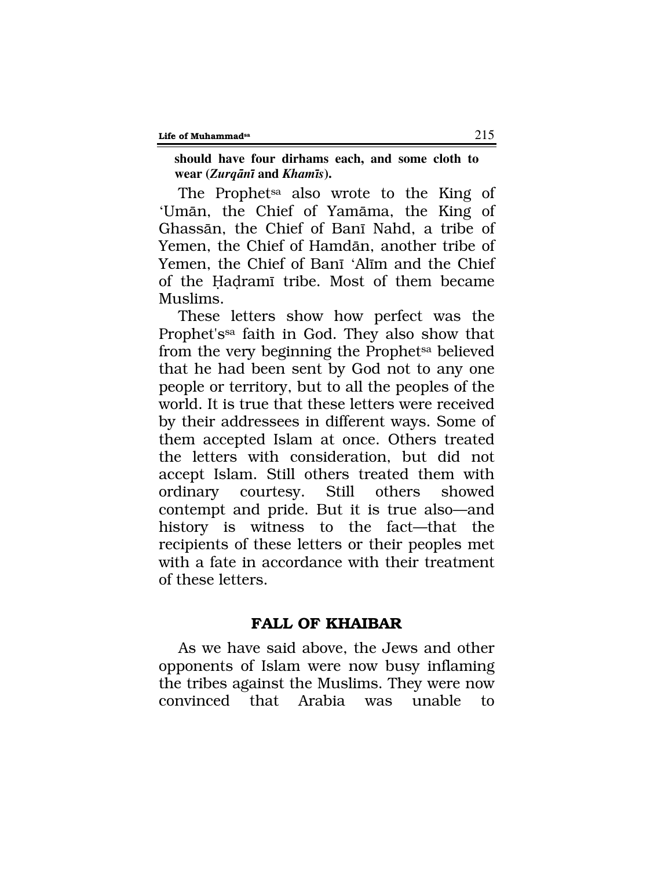**should have four dirhams each, and some cloth to wear (***Zurq*a*n*i **and** *Kham*i*s***).** 

The Prophetsa also wrote to the King of 'Uman, the Chief of Yamama, the King of Ghassan, the Chief of Bani Nahd, a tribe of Yemen, the Chief of Hamdan, another tribe of Yemen, the Chief of Bani 'Alim and the Chief of the Hadrami tribe. Most of them became Muslims.

These letters show how perfect was the Prophet'ssa faith in God. They also show that from the very beginning the Prophetsa believed that he had been sent by God not to any one people or territory, but to all the peoples of the world. It is true that these letters were received by their addressees in different ways. Some of them accepted Islam at once. Others treated the letters with consideration, but did not accept Islam. Still others treated them with ordinary courtesy. Still others showed contempt and pride. But it is true also—and history is witness to the fact—that the recipients of these letters or their peoples met with a fate in accordance with their treatment of these letters.

#### **FALL OF KHAIBAR**

As we have said above, the Jews and other opponents of Islam were now busy inflaming the tribes against the Muslims. They were now convinced that Arabia was unable to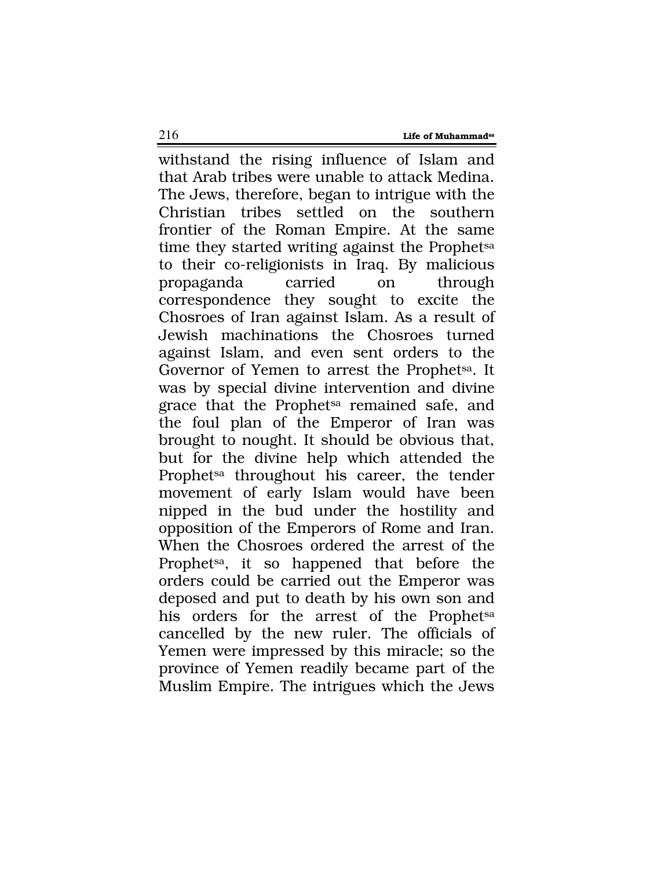withstand the rising influence of Islam and that Arab tribes were unable to attack Medina. The Jews, therefore, began to intrigue with the Christian tribes settled on the southern frontier of the Roman Empire. At the same time they started writing against the Prophetsa to their co-religionists in Iraq. By malicious propaganda carried on through correspondence they sought to excite the Chosroes of Iran against Islam. As a result of Jewish machinations the Chosroes turned against Islam, and even sent orders to the Governor of Yemen to arrest the Prophetsa. It was by special divine intervention and divine grace that the Prophetsa remained safe, and the foul plan of the Emperor of Iran was brought to nought. It should be obvious that, but for the divine help which attended the Prophet<sup>sa</sup> throughout his career, the tender movement of early Islam would have been nipped in the bud under the hostility and opposition of the Emperors of Rome and Iran. When the Chosroes ordered the arrest of the Prophetsa, it so happened that before the orders could be carried out the Emperor was deposed and put to death by his own son and his orders for the arrest of the Prophetsa cancelled by the new ruler. The officials of Yemen were impressed by this miracle; so the province of Yemen readily became part of the Muslim Empire. The intrigues which the Jews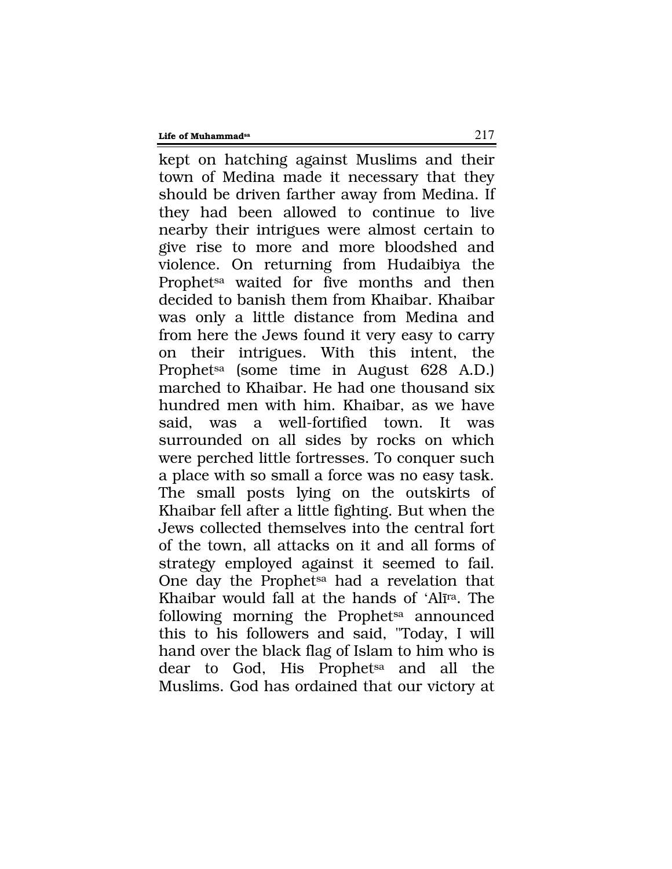kept on hatching against Muslims and their town of Medina made it necessary that they should be driven farther away from Medina. If they had been allowed to continue to live nearby their intrigues were almost certain to give rise to more and more bloodshed and violence. On returning from Hudaibiya the Prophet<sup>sa</sup> waited for five months and then decided to banish them from Khaibar. Khaibar was only a little distance from Medina and from here the Jews found it very easy to carry on their intrigues. With this intent, the Prophetsa (some time in August 628 A.D.) marched to Khaibar. He had one thousand six hundred men with him. Khaibar, as we have said, was a well-fortified town. It was surrounded on all sides by rocks on which were perched little fortresses. To conquer such a place with so small a force was no easy task. The small posts lying on the outskirts of Khaibar fell after a little fighting. But when the Jews collected themselves into the central fort of the town, all attacks on it and all forms of strategy employed against it seemed to fail. One day the Prophetsa had a revelation that Khaibar would fall at the hands of 'Alira. The following morning the Prophetsa announced this to his followers and said, "Today, I will hand over the black flag of Islam to him who is dear to God, His Prophetsa and all the Muslims. God has ordained that our victory at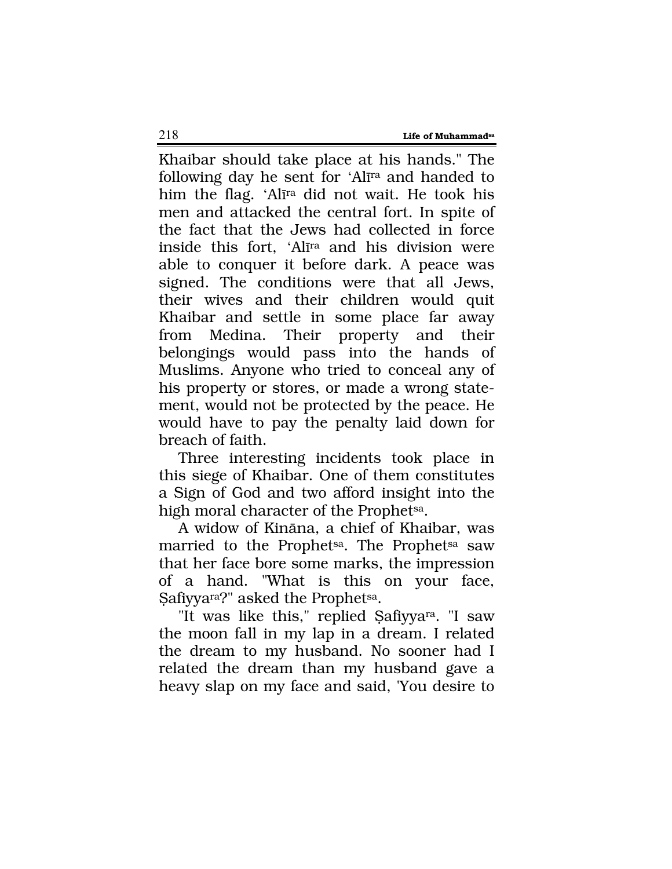Khaibar should take place at his hands." The following day he sent for 'Alira and handed to him the flag. 'Alira did not wait. He took his men and attacked the central fort. In spite of the fact that the Jews had collected in force inside this fort, 'Alira and his division were able to conquer it before dark. A peace was signed. The conditions were that all Jews, their wives and their children would quit Khaibar and settle in some place far away from Medina. Their property and their belongings would pass into the hands of Muslims. Anyone who tried to conceal any of his property or stores, or made a wrong statement, would not be protected by the peace. He would have to pay the penalty laid down for breach of faith.

Three interesting incidents took place in this siege of Khaibar. One of them constitutes a Sign of God and two afford insight into the high moral character of the Prophetsa.

A widow of Kinana, a chief of Khaibar, was married to the Prophetsa. The Prophetsa saw that her face bore some marks, the impression of a hand. "What is this on your face, Safiyyara?" asked the Prophetsa.

"It was like this," replied Safiyyara. "I saw the moon fall in my lap in a dream. I related the dream to my husband. No sooner had I related the dream than my husband gave a heavy slap on my face and said, 'You desire to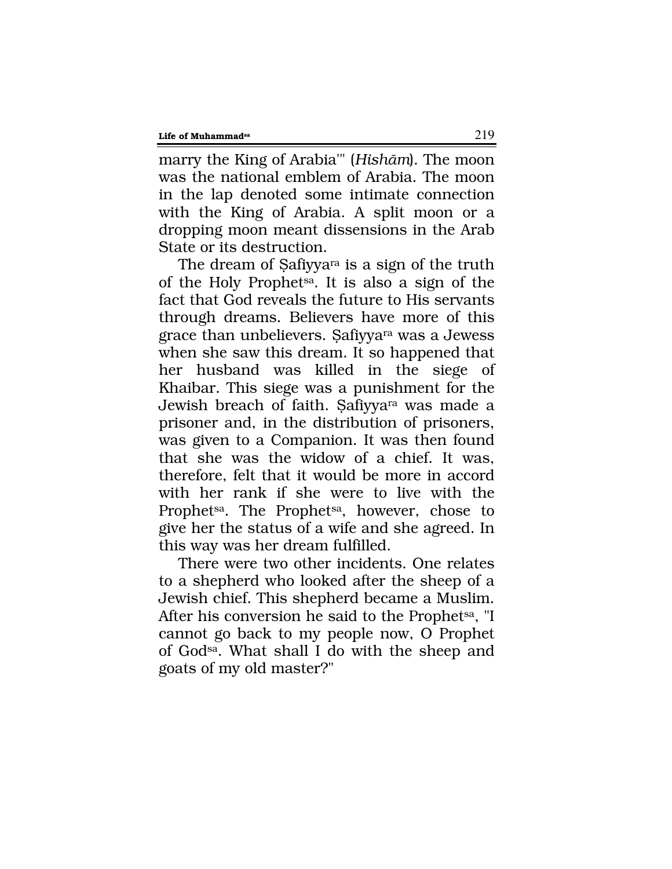marry the King of Arabia'" (*Hish*a*m*). The moon was the national emblem of Arabia. The moon in the lap denoted some intimate connection with the King of Arabia. A split moon or a dropping moon meant dissensions in the Arab State or its destruction.

The dream of Safiyyara is a sign of the truth of the Holy Prophetsa. It is also a sign of the fact that God reveals the future to His servants through dreams. Believers have more of this grace than unbelievers. Safiyyara was a Jewess when she saw this dream. It so happened that her husband was killed in the siege of Khaibar. This siege was a punishment for the Jewish breach of faith. Safiyyara was made a prisoner and, in the distribution of prisoners, was given to a Companion. It was then found that she was the widow of a chief. It was, therefore, felt that it would be more in accord with her rank if she were to live with the Prophetsa. The Prophetsa, however, chose to give her the status of a wife and she agreed. In this way was her dream fulfilled.

There were two other incidents. One relates to a shepherd who looked after the sheep of a Jewish chief. This shepherd became a Muslim. After his conversion he said to the Prophetsa, "I cannot go back to my people now, O Prophet of Godsa. What shall I do with the sheep and goats of my old master?"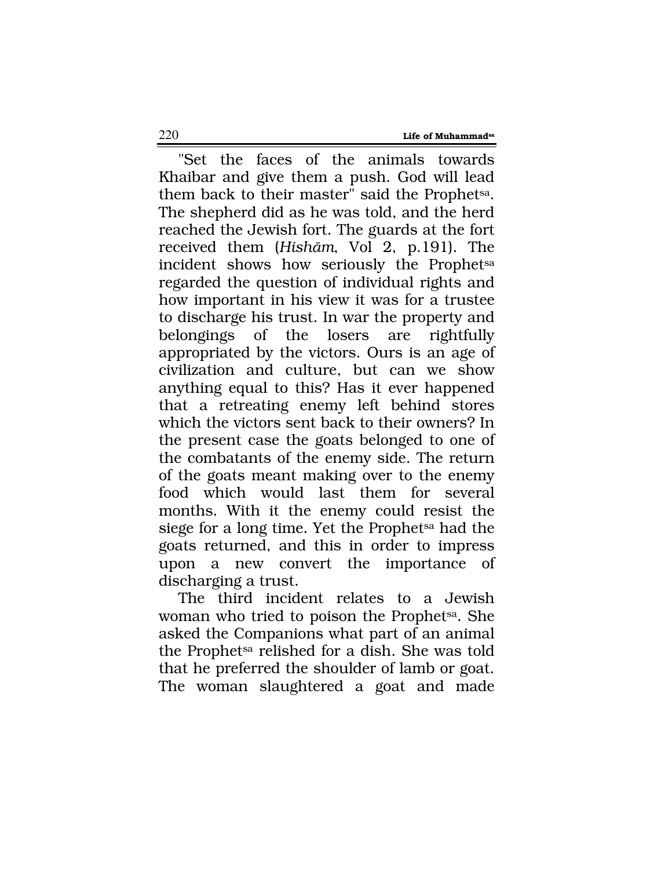"Set the faces of the animals towards Khaibar and give them a push. God will lead them back to their master" said the Prophetsa. The shepherd did as he was told, and the herd reached the Jewish fort. The guards at the fort received them (*Hish*a*m*, Vol 2, p.191). The incident shows how seriously the Prophetsa regarded the question of individual rights and how important in his view it was for a trustee to discharge his trust. In war the property and belongings of the losers are rightfully appropriated by the victors. Ours is an age of civilization and culture, but can we show anything equal to this? Has it ever happened that a retreating enemy left behind stores which the victors sent back to their owners? In the present case the goats belonged to one of the combatants of the enemy side. The return of the goats meant making over to the enemy food which would last them for several months. With it the enemy could resist the siege for a long time. Yet the Prophetsa had the goats returned, and this in order to impress upon a new convert the importance of discharging a trust.

The third incident relates to a Jewish woman who tried to poison the Prophetsa. She asked the Companions what part of an animal the Prophetsa relished for a dish. She was told that he preferred the shoulder of lamb or goat. The woman slaughtered a goat and made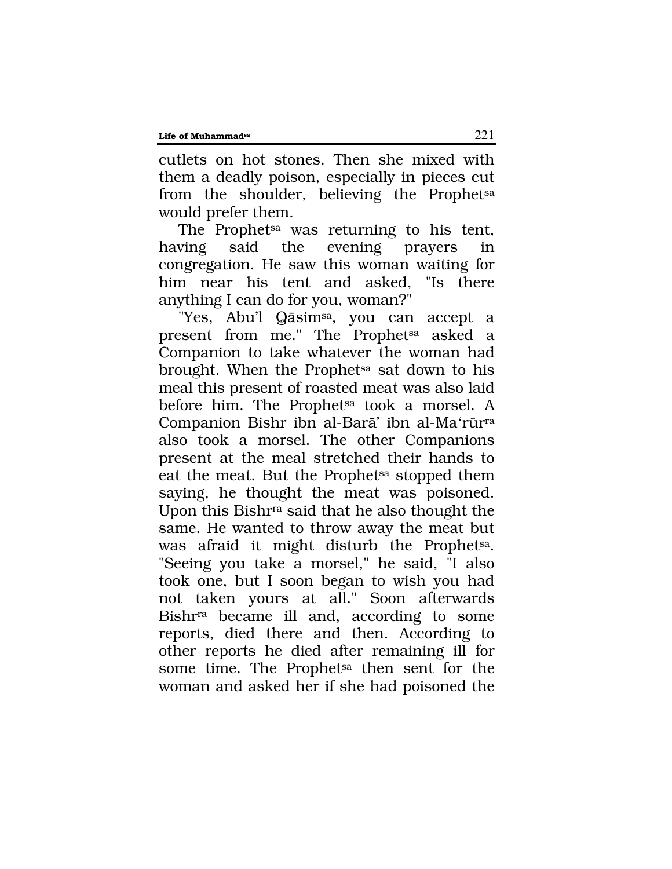cutlets on hot stones. Then she mixed with them a deadly poison, especially in pieces cut from the shoulder, believing the Prophetsa would prefer them.

The Prophetsa was returning to his tent, having said the evening prayers in congregation. He saw this woman waiting for him near his tent and asked, "Is there anything I can do for you, woman?"

"Yes, Abu'l Qāsimsa, you can accept a present from me." The Prophetsa asked a Companion to take whatever the woman had brought. When the Prophet<sup>sa</sup> sat down to his meal this present of roasted meat was also laid before him. The Prophetsa took a morsel. A Companion Bishr ibn al-Barā' ibn al-Ma'rūrra also took a morsel. The other Companions present at the meal stretched their hands to eat the meat. But the Prophetsa stopped them saying, he thought the meat was poisoned. Upon this Bishrra said that he also thought the same. He wanted to throw away the meat but was afraid it might disturb the Prophetsa. "Seeing you take a morsel," he said, "I also took one, but I soon began to wish you had not taken yours at all." Soon afterwards Bishrra became ill and, according to some reports, died there and then. According to other reports he died after remaining ill for some time. The Prophetsa then sent for the woman and asked her if she had poisoned the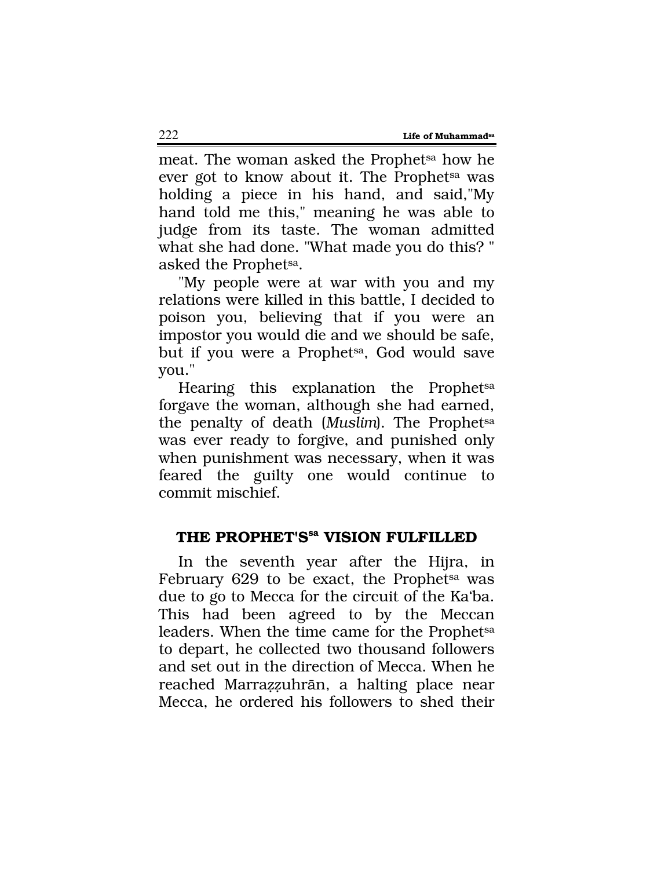meat. The woman asked the Prophetsa how he ever got to know about it. The Prophetsa was holding a piece in his hand, and said,"My hand told me this," meaning he was able to judge from its taste. The woman admitted what she had done. "What made you do this? " asked the Prophetsa.

"My people were at war with you and my relations were killed in this battle, I decided to poison you, believing that if you were an impostor you would die and we should be safe, but if you were a Prophetsa, God would save you."

Hearing this explanation the Prophetsa forgave the woman, although she had earned, the penalty of death (*Muslim*). The Prophetsa was ever ready to forgive, and punished only when punishment was necessary, when it was feared the guilty one would continue to commit mischief.

# **THE PROPHET'Ssa VISION FULFILLED**

In the seventh year after the Hijra, in February 629 to be exact, the Prophetsa was due to go to Mecca for the circuit of the Ka'ba. This had been agreed to by the Meccan leaders. When the time came for the Prophetsa to depart, he collected two thousand followers and set out in the direction of Mecca. When he reached Marrazzuhrān, a halting place near Mecca, he ordered his followers to shed their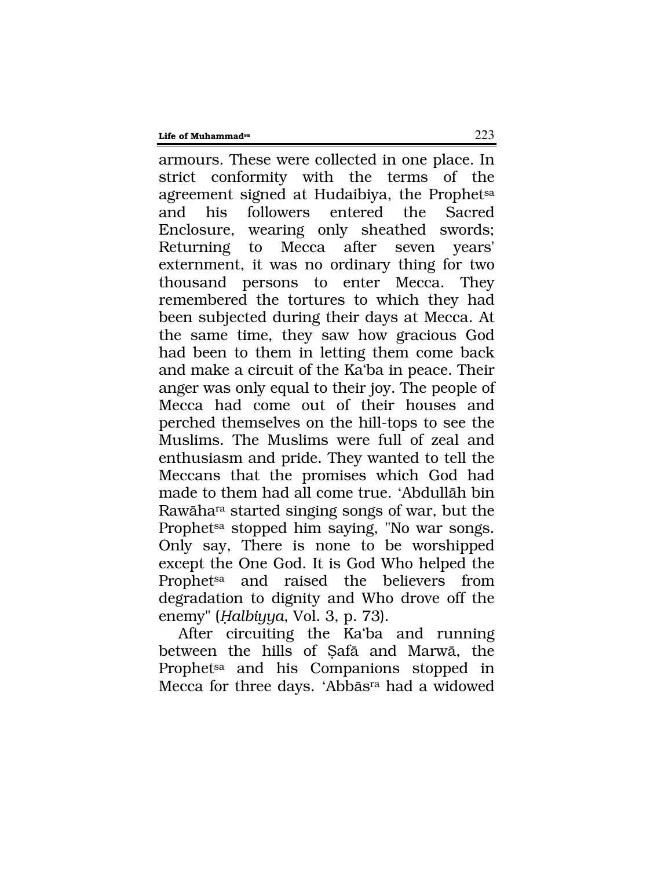armours. These were collected in one place. In strict conformity with the terms of the agreement signed at Hudaibiya, the Prophetsa and his followers entered the Sacred Enclosure, wearing only sheathed swords; Returning to Mecca after seven years' externment, it was no ordinary thing for two thousand persons to enter Mecca. They remembered the tortures to which they had been subjected during their days at Mecca. At the same time, they saw how gracious God had been to them in letting them come back and make a circuit of the Ka'ba in peace. Their anger was only equal to their joy. The people of Mecca had come out of their houses and perched themselves on the hill-tops to see the Muslims. The Muslims were full of zeal and enthusiasm and pride. They wanted to tell the Meccans that the promises which God had made to them had all come true. 'Abdullah bin Rawahara started singing songs of war, but the Prophetsa stopped him saying, "No war songs. Only say, There is none to be worshipped except the One God. It is God Who helped the Prophet<sup>sa</sup> and raised the believers from degradation to dignity and Who drove off the enemy" (H*albiyya*, Vol. 3, p. 73).

After circuiting the Ka'ba and running between the hills of Safa and Marwa, the Prophetsa and his Companions stopped in Mecca for three days. 'Abbasra had a widowed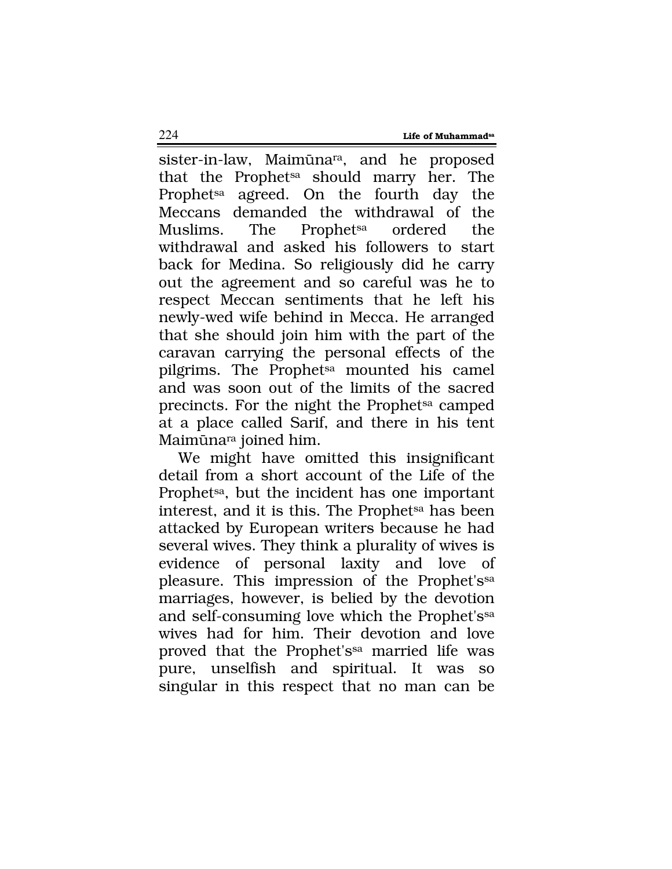sister-in-law, Maimūnara, and he proposed that the Prophetsa should marry her. The Prophetsa agreed. On the fourth day the Meccans demanded the withdrawal of the Muslims. The Prophetsa ordered the withdrawal and asked his followers to start back for Medina. So religiously did he carry out the agreement and so careful was he to respect Meccan sentiments that he left his newly-wed wife behind in Mecca. He arranged that she should join him with the part of the caravan carrying the personal effects of the pilgrims. The Prophetsa mounted his camel and was soon out of the limits of the sacred precincts. For the night the Prophetsa camped at a place called Sarif, and there in his tent Maimūnara joined him.

We might have omitted this insignificant detail from a short account of the Life of the Prophetsa, but the incident has one important interest, and it is this. The Prophetsa has been attacked by European writers because he had several wives. They think a plurality of wives is evidence of personal laxity and love of pleasure. This impression of the Prophet'ssa marriages, however, is belied by the devotion and self-consuming love which the Prophet'ssa wives had for him. Their devotion and love proved that the Prophet'ssa married life was pure, unselfish and spiritual. It was so singular in this respect that no man can be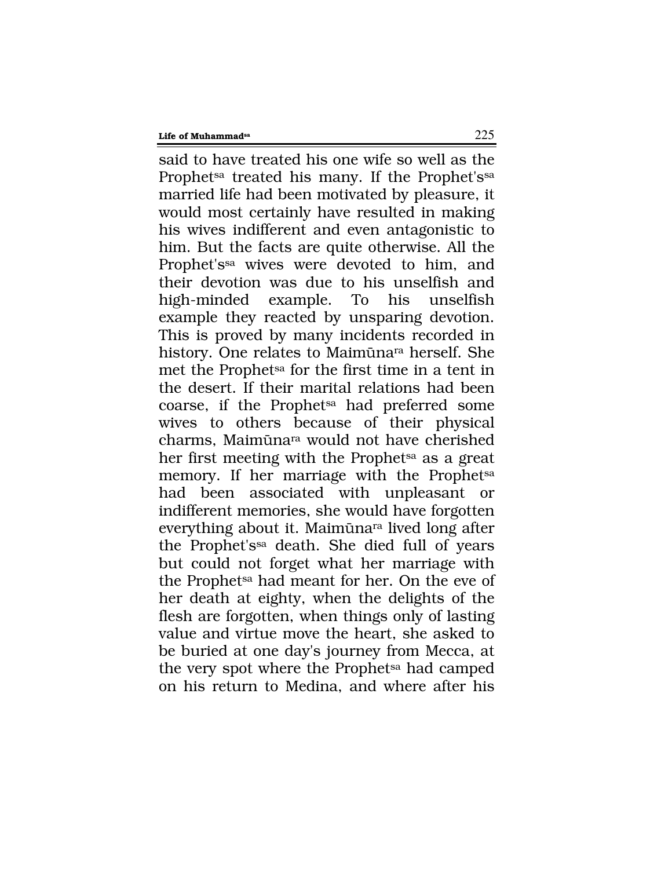said to have treated his one wife so well as the Prophet<sup>sa</sup> treated his many. If the Prophet's<sup>sa</sup> married life had been motivated by pleasure, it would most certainly have resulted in making his wives indifferent and even antagonistic to him. But the facts are quite otherwise. All the Prophet's<sup>sa</sup> wives were devoted to him, and their devotion was due to his unselfish and high-minded example. To his unselfish example they reacted by unsparing devotion. This is proved by many incidents recorded in history. One relates to Maimūnara herself. She met the Prophetsa for the first time in a tent in the desert. If their marital relations had been coarse, if the Prophetsa had preferred some wives to others because of their physical charms. Maimūnara would not have cherished her first meeting with the Prophetsa as a great memory. If her marriage with the Prophetsa had been associated with unpleasant or indifferent memories, she would have forgotten everything about it. Maimūnara lived long after the Prophet'ssa death. She died full of years but could not forget what her marriage with the Prophetsa had meant for her. On the eve of her death at eighty, when the delights of the flesh are forgotten, when things only of lasting value and virtue move the heart, she asked to be buried at one day's journey from Mecca, at the very spot where the Prophetsa had camped on his return to Medina, and where after his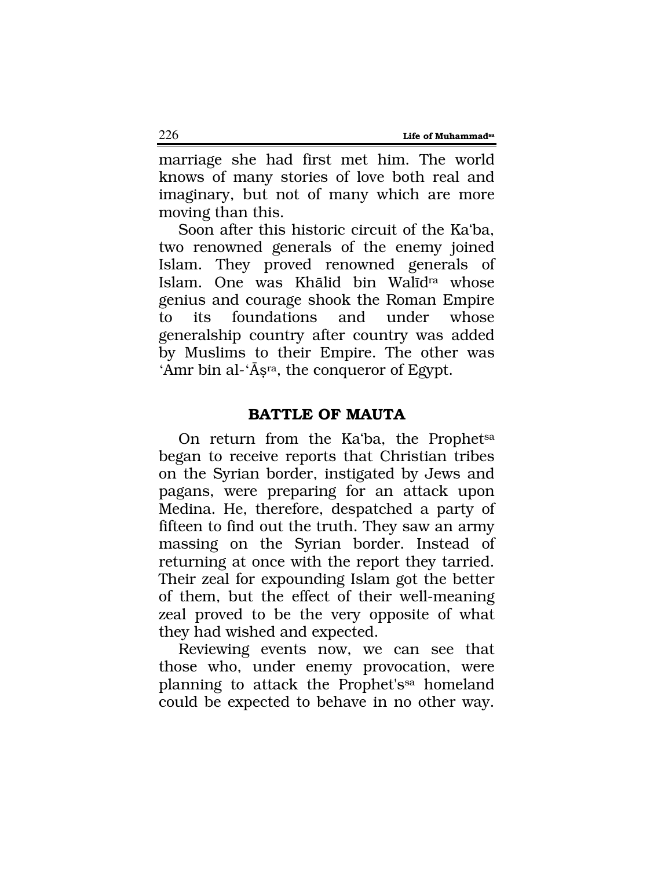marriage she had first met him. The world knows of many stories of love both real and imaginary, but not of many which are more moving than this.

Soon after this historic circuit of the Ka'ba, two renowned generals of the enemy joined Islam. They proved renowned generals of Islam. One was Khalid bin Walidra whose genius and courage shook the Roman Empire to its foundations and under whose generalship country after country was added by Muslims to their Empire. The other was 'Amr bin al-'Asra, the conqueror of Egypt.

## **BATTLE OF MAUTA**

On return from the Ka'ba, the Prophetsa began to receive reports that Christian tribes on the Syrian border, instigated by Jews and pagans, were preparing for an attack upon Medina. He, therefore, despatched a party of fifteen to find out the truth. They saw an army massing on the Syrian border. Instead of returning at once with the report they tarried. Their zeal for expounding Islam got the better of them, but the effect of their well-meaning zeal proved to be the very opposite of what they had wished and expected.

Reviewing events now, we can see that those who, under enemy provocation, were planning to attack the Prophet'ssa homeland could be expected to behave in no other way.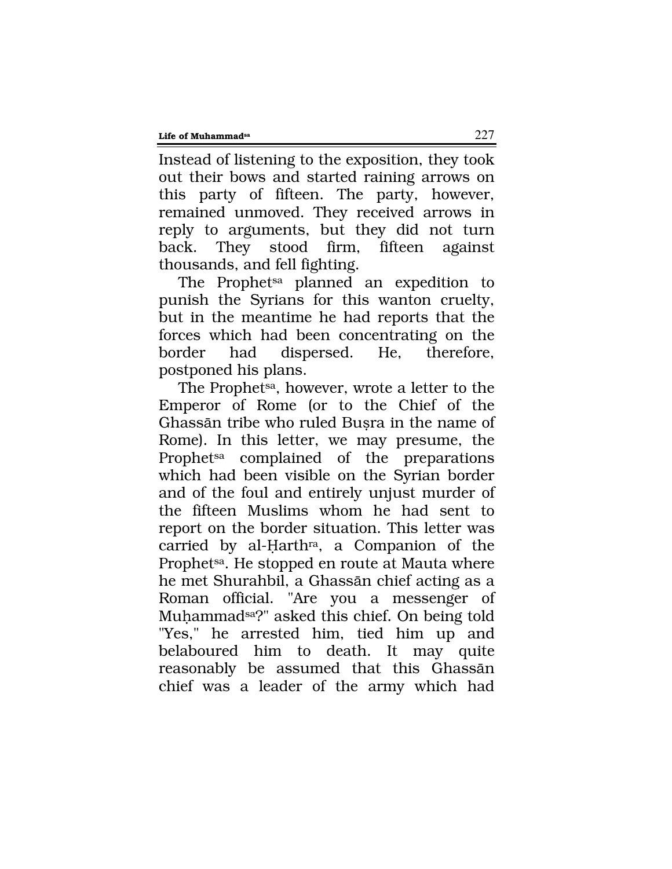Instead of listening to the exposition, they took out their bows and started raining arrows on this party of fifteen. The party, however, remained unmoved. They received arrows in reply to arguments, but they did not turn back. They stood firm, fifteen against thousands, and fell fighting.

The Prophet<sup>sa</sup> planned an expedition to punish the Syrians for this wanton cruelty, but in the meantime he had reports that the forces which had been concentrating on the border had dispersed. He, therefore, postponed his plans.

The Prophet<sup>sa</sup>, however, wrote a letter to the Emperor of Rome (or to the Chief of the Ghassan tribe who ruled Busra in the name of Rome). In this letter, we may presume, the Prophetsa complained of the preparations which had been visible on the Syrian border and of the foul and entirely unjust murder of the fifteen Muslims whom he had sent to report on the border situation. This letter was carried by al-Harthra, a Companion of the Prophetsa. He stopped en route at Mauta where he met Shurahbil, a Ghassan chief acting as a Roman official. "Are you a messenger of Muhammadsa?" asked this chief. On being told "Yes," he arrested him, tied him up and belaboured him to death. It may quite reasonably be assumed that this Ghassan chief was a leader of the army which had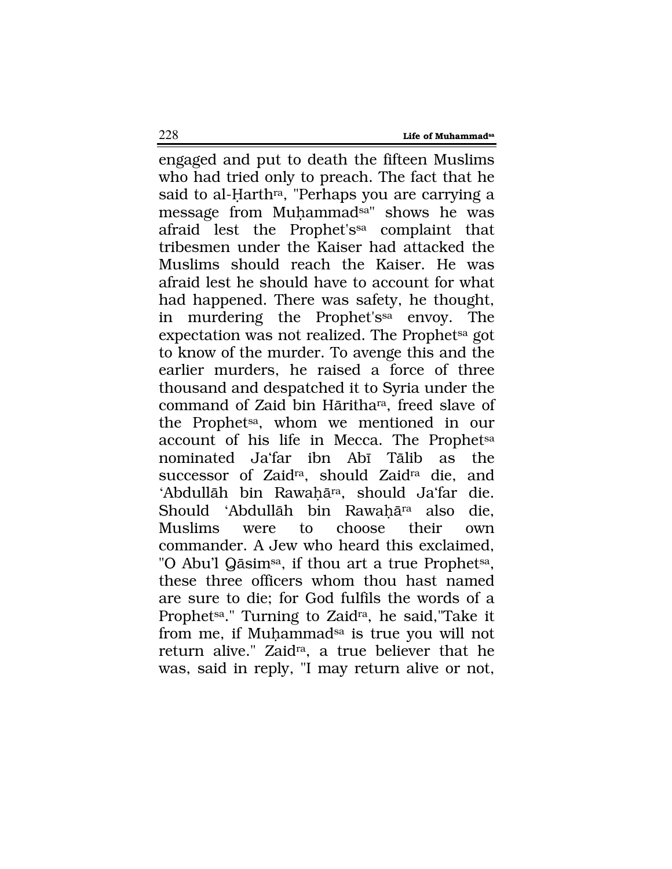engaged and put to death the fifteen Muslims who had tried only to preach. The fact that he said to al-Harthra, "Perhaps you are carrying a message from Muhammadsa" shows he was afraid lest the Prophet'ssa complaint that tribesmen under the Kaiser had attacked the Muslims should reach the Kaiser. He was afraid lest he should have to account for what had happened. There was safety, he thought, in murdering the Prophet'ssa envoy. The expectation was not realized. The Prophetsa got to know of the murder. To avenge this and the earlier murders, he raised a force of three thousand and despatched it to Syria under the command of Zaid bin Harithara, freed slave of the Prophetsa, whom we mentioned in our account of his life in Mecca. The Prophetsa nominated Ja'far ibn Abi Talib as the successor of Zaidra, should Zaidra die, and 'Abdullah bin Rawahara, should Ja'far die. Should 'Abdullah bin Rawahara also die, Muslims were to choose their own commander. A Jew who heard this exclaimed, "O Abu'l Qasimsa, if thou art a true Prophetsa, these three officers whom thou hast named are sure to die; for God fulfils the words of a Prophetsa." Turning to Zaidra, he said,"Take it from me, if Muhammadsa is true you will not return alive." Zaidra, a true believer that he was, said in reply, "I may return alive or not,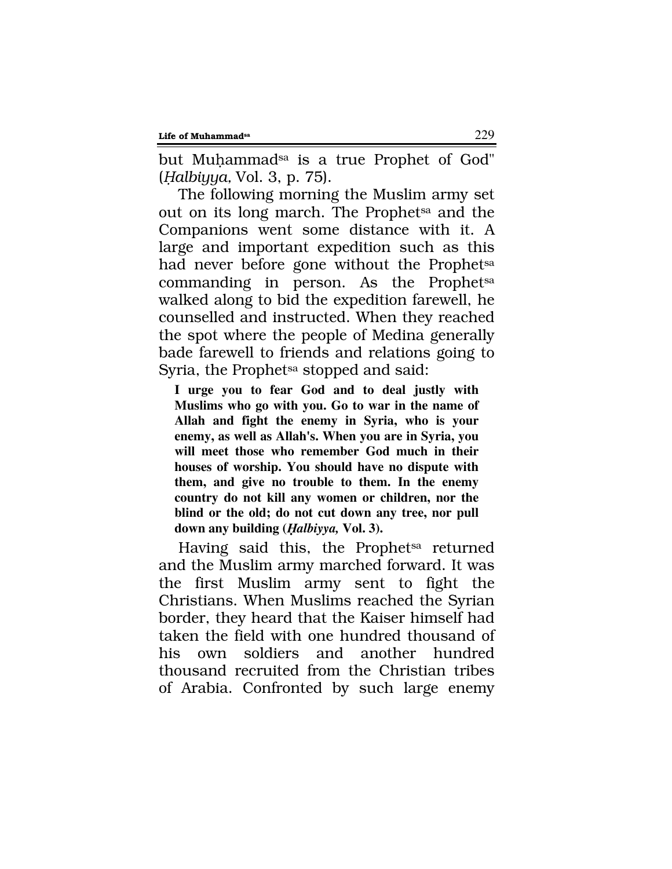but Muhammadsa is a true Prophet of God" (H*albiyya,* Vol. 3, p. 75).

The following morning the Muslim army set out on its long march. The Prophetsa and the Companions went some distance with it. A large and important expedition such as this had never before gone without the Prophetsa commanding in person. As the Prophetsa walked along to bid the expedition farewell, he counselled and instructed. When they reached the spot where the people of Medina generally bade farewell to friends and relations going to Syria, the Prophet<sup>sa</sup> stopped and said:

**I urge you to fear God and to deal justly with Muslims who go with you. Go to war in the name of Allah and fight the enemy in Syria, who is your enemy, as well as Allah's. When you are in Syria, you will meet those who remember God much in their houses of worship. You should have no dispute with them, and give no trouble to them. In the enemy country do not kill any women or children, nor the blind or the old; do not cut down any tree, nor pull down any building (**H*albiyya,* **Vol. 3).** 

Having said this, the Prophetsa returned and the Muslim army marched forward. It was the first Muslim army sent to fight the Christians. When Muslims reached the Syrian border, they heard that the Kaiser himself had taken the field with one hundred thousand of his own soldiers and another hundred thousand recruited from the Christian tribes of Arabia. Confronted by such large enemy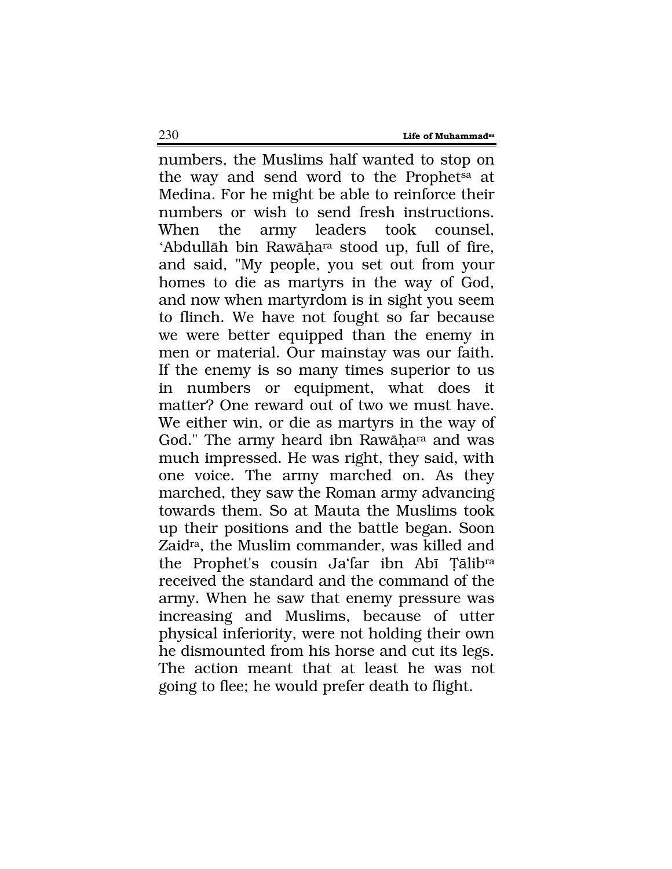numbers, the Muslims half wanted to stop on the way and send word to the Prophetsa at Medina. For he might be able to reinforce their numbers or wish to send fresh instructions. When the army leaders took counsel, 'Abdullah bin Rawahara stood up, full of fire, and said, "My people, you set out from your homes to die as martyrs in the way of God, and now when martyrdom is in sight you seem to flinch. We have not fought so far because we were better equipped than the enemy in men or material. Our mainstay was our faith. If the enemy is so many times superior to us in numbers or equipment, what does it matter? One reward out of two we must have. We either win, or die as martyrs in the way of God." The army heard ibn Rawahara and was much impressed. He was right, they said, with one voice. The army marched on. As they marched, they saw the Roman army advancing towards them. So at Mauta the Muslims took up their positions and the battle began. Soon Zaidra, the Muslim commander, was killed and the Prophet's cousin Ja'far ibn Abi Talibra received the standard and the command of the army. When he saw that enemy pressure was increasing and Muslims, because of utter physical inferiority, were not holding their own he dismounted from his horse and cut its legs. The action meant that at least he was not going to flee; he would prefer death to flight.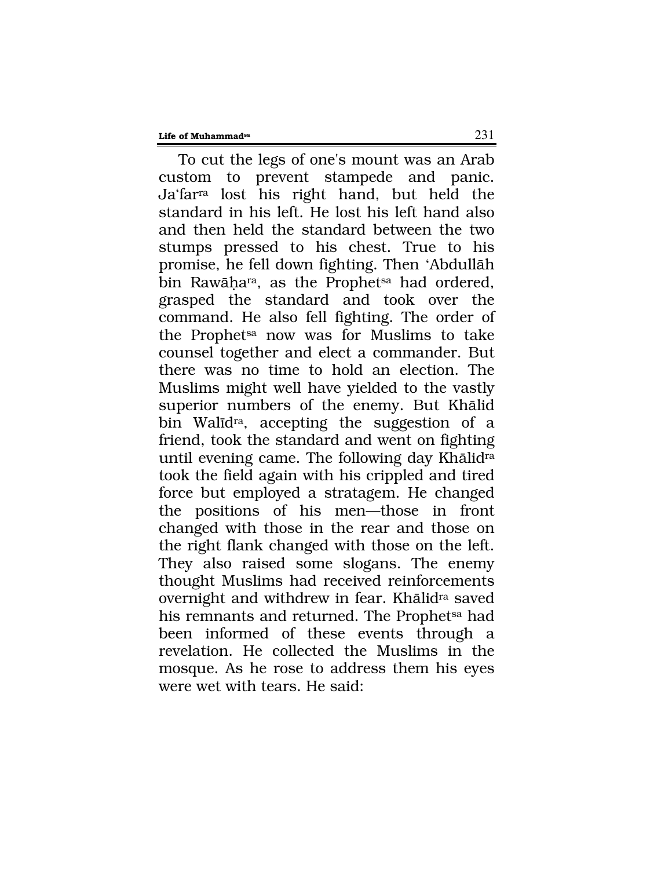To cut the legs of one's mount was an Arab custom to prevent stampede and panic. Ja'farra lost his right hand, but held the standard in his left. He lost his left hand also and then held the standard between the two stumps pressed to his chest. True to his promise, he fell down fighting. Then 'Abdullah bin Rawāhara, as the Prophetsa had ordered, grasped the standard and took over the command. He also fell fighting. The order of the Prophetsa now was for Muslims to take counsel together and elect a commander. But there was no time to hold an election. The Muslims might well have yielded to the vastly superior numbers of the enemy. But Khalid bin Walidra, accepting the suggestion of a friend, took the standard and went on fighting until evening came. The following day Khalidra took the field again with his crippled and tired force but employed a stratagem. He changed the positions of his men—those in front changed with those in the rear and those on the right flank changed with those on the left. They also raised some slogans. The enemy thought Muslims had received reinforcements overnight and withdrew in fear. Khalidra saved his remnants and returned. The Prophetsa had been informed of these events through a revelation. He collected the Muslims in the mosque. As he rose to address them his eyes were wet with tears. He said: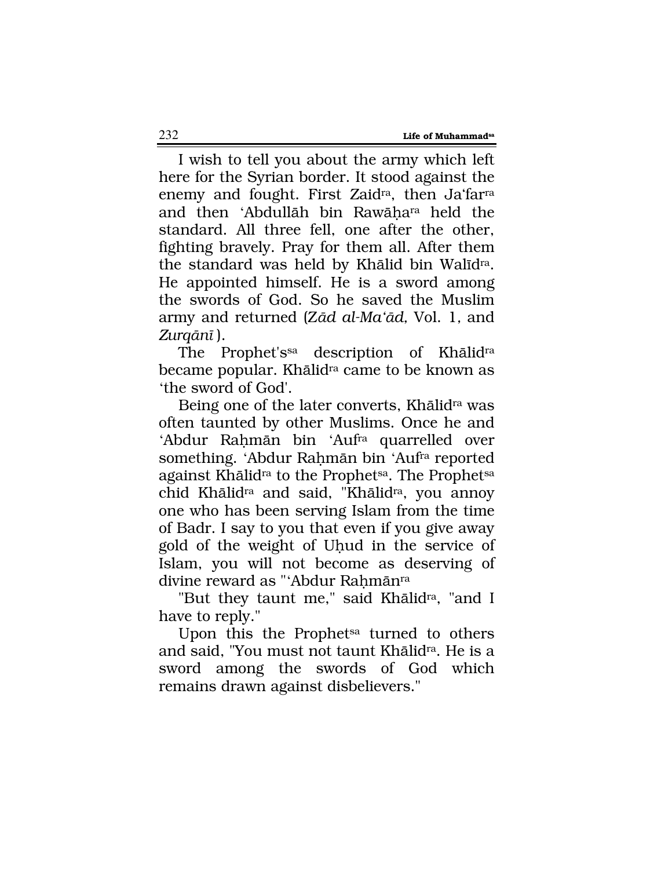I wish to tell you about the army which left here for the Syrian border. It stood against the enemy and fought. First Zaidra, then Ja'farra and then 'Abdullah bin Rawahara held the standard. All three fell, one after the other, fighting bravely. Pray for them all. After them the standard was held by Khalid bin Walidra. He appointed himself. He is a sword among the swords of God. So he saved the Muslim army and returned (Za*d al-Ma'*a*d,* Vol. 1*,* and *Zurq*a*n*i ).

The Prophet'ssa description of Khalidra became popular. Khalidra came to be known as 'the sword of God'.

Being one of the later converts, Khalidra was often taunted by other Muslims. Once he and 'Abdur Rahman bin 'Aufra quarrelled over something. 'Abdur Rahman bin 'Aufra reported against Khalidra to the Prophetsa. The Prophetsa chid Khalidra and said, "Khalidra, you annoy one who has been serving Islam from the time of Badr. I say to you that even if you give away gold of the weight of Uhud in the service of Islam, you will not become as deserving of divine reward as "'Abdur Rahmanra

"But they taunt me," said Khālidra, "and I have to reply."

Upon this the Prophetsa turned to others and said, "You must not taunt Khalidra. He is a sword among the swords of God which remains drawn against disbelievers."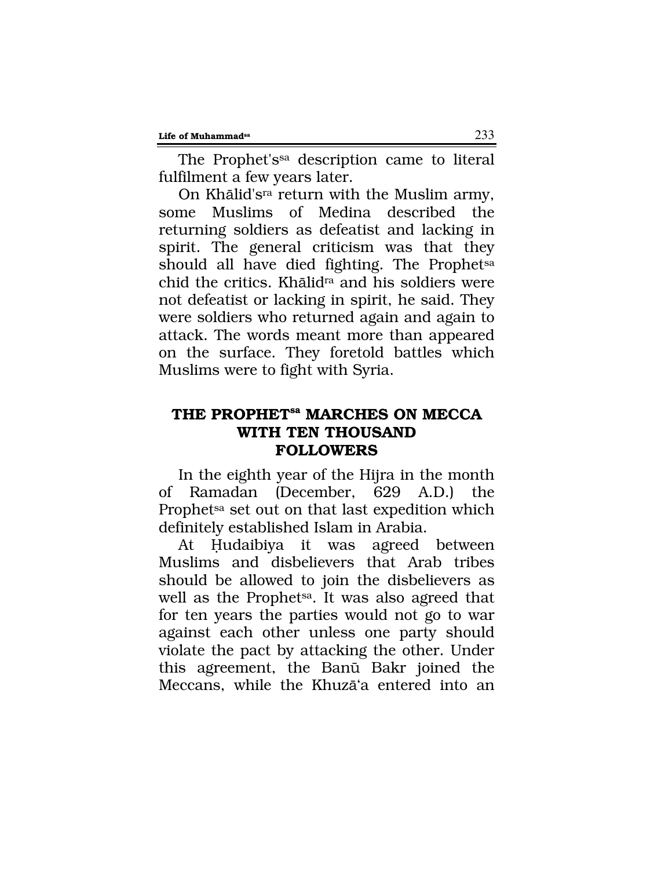The Prophet's<sup>sa</sup> description came to literal fulfilment a few years later.

On Khalid'sra return with the Muslim army, some Muslims of Medina described the returning soldiers as defeatist and lacking in spirit. The general criticism was that they should all have died fighting. The Prophetsa chid the critics. Khalidra and his soldiers were not defeatist or lacking in spirit, he said. They were soldiers who returned again and again to attack. The words meant more than appeared on the surface. They foretold battles which Muslims were to fight with Syria.

## **THE PROPHETsa MARCHES ON MECCA WITH TEN THOUSAND FOLLOWERS**

In the eighth year of the Hijra in the month of Ramadan (December, 629 A.D.) the Prophetsa set out on that last expedition which definitely established Islam in Arabia.

At Hudaibiya it was agreed between Muslims and disbelievers that Arab tribes should be allowed to join the disbelievers as well as the Prophetsa. It was also agreed that for ten years the parties would not go to war against each other unless one party should violate the pact by attacking the other. Under this agreement, the Banu Bakr joined the Meccans, while the Khuza'a entered into an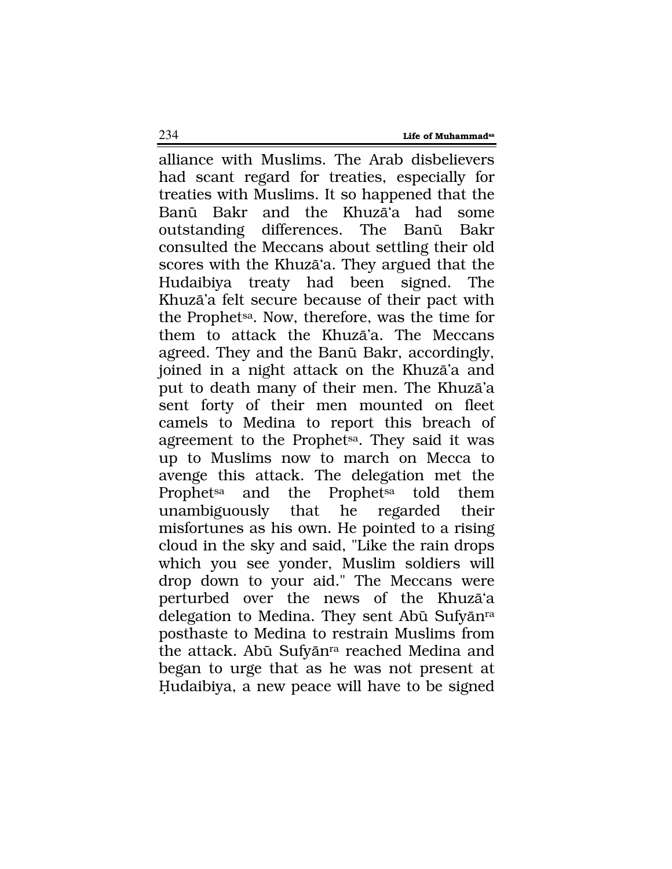alliance with Muslims. The Arab disbelievers had scant regard for treaties, especially for treaties with Muslims. It so happened that the Banū Bakr and the Khuzā'a had some outstanding differences. The Banū Bakr consulted the Meccans about settling their old scores with the Khuza'a. They argued that the Hudaibiya treaty had been signed. The Khuza'a felt secure because of their pact with the Prophetsa. Now, therefore, was the time for them to attack the Khuza'a. The Meccans agreed. They and the Banu Bakr, accordingly, joined in a night attack on the Khuza'a and put to death many of their men. The Khuza'a sent forty of their men mounted on fleet camels to Medina to report this breach of agreement to the Prophet<sup>sa</sup>. They said it was up to Muslims now to march on Mecca to avenge this attack. The delegation met the Prophet<sup>sa</sup> and the Prophet<sup>sa</sup> told them unambiguously that he regarded their misfortunes as his own. He pointed to a rising cloud in the sky and said, "Like the rain drops which you see yonder, Muslim soldiers will drop down to your aid." The Meccans were perturbed over the news of the Khuza'a delegation to Medina. They sent Abū Sufyānra posthaste to Medina to restrain Muslims from the attack. Abū Sufyān<sup>ra</sup> reached Medina and began to urge that as he was not present at Hudaibiya, a new peace will have to be signed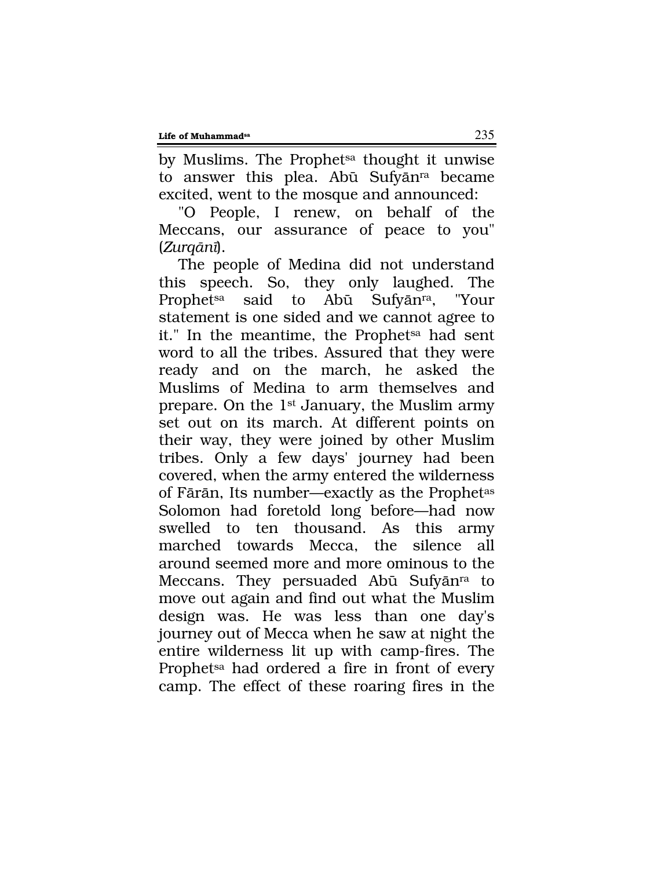by Muslims. The Prophetsa thought it unwise to answer this plea. Abū Sufyān<sup>ra</sup> became excited, went to the mosque and announced:

"O People, I renew, on behalf of the Meccans, our assurance of peace to you" (*Zurq*a*n*i).

The people of Medina did not understand this speech. So, they only laughed. The Prophetsa said to Abū Sufyānra, "Your statement is one sided and we cannot agree to it." In the meantime, the Prophetsa had sent word to all the tribes. Assured that they were ready and on the march, he asked the Muslims of Medina to arm themselves and prepare. On the 1st January, the Muslim army set out on its march. At different points on their way, they were joined by other Muslim tribes. Only a few days' journey had been covered, when the army entered the wilderness of Faran, Its number—exactly as the Prophetas Solomon had foretold long before—had now swelled to ten thousand. As this army marched towards Mecca, the silence all around seemed more and more ominous to the Meccans. They persuaded Abū Sufyānra to move out again and find out what the Muslim design was. He was less than one day's journey out of Mecca when he saw at night the entire wilderness lit up with camp-fires. The Prophetsa had ordered a fire in front of every camp. The effect of these roaring fires in the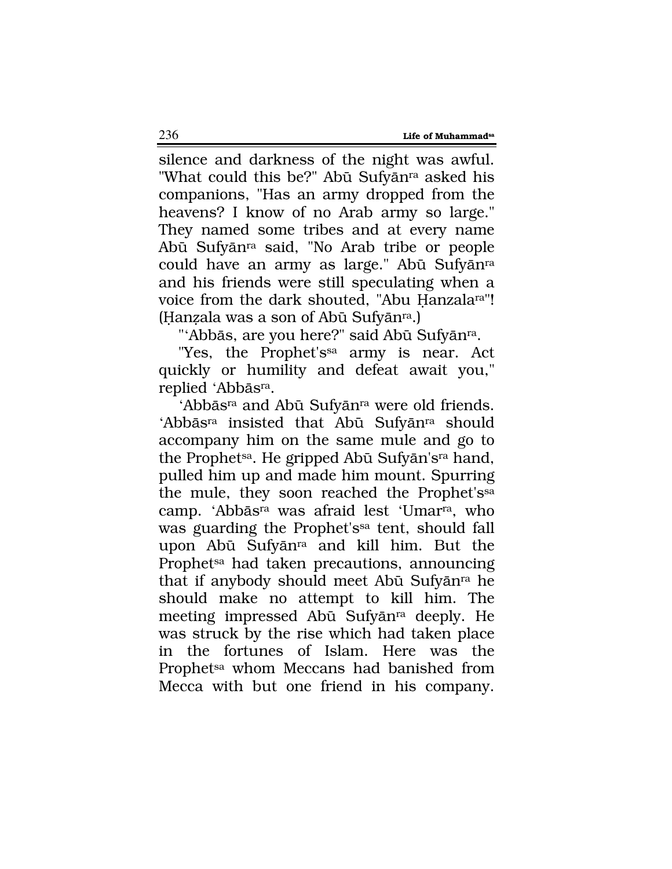silence and darkness of the night was awful. "What could this be?" Abū Sufyān<sup>ra</sup> asked his companions, "Has an army dropped from the heavens? I know of no Arab army so large." They named some tribes and at every name Abu Sufyān<sup>ra</sup> said, "No Arab tribe or people could have an army as large." Abū Sufyānra and his friends were still speculating when a voice from the dark shouted, "Abu Hanzalara"! (Hanzala was a son of Abū Sufyānra.)

"'Abbās, are you here?" said Abū Sufyān<sup>ra</sup>.

"Yes, the Prophet'ssa army is near. Act quickly or humility and defeat await you," replied 'Abbasra.

'Abbāsra and Abū Sufyānra were old friends. 'Abbāsra insisted that Abū Sufyānra should accompany him on the same mule and go to the Prophetsa. He gripped Abū Sufyān'sra hand, pulled him up and made him mount. Spurring the mule, they soon reached the Prophet'ssa camp. 'Abbasra was afraid lest 'Umarra, who was guarding the Prophet'ssa tent, should fall upon Abū Sufyān<sup>ra</sup> and kill him. But the Prophet<sup>sa</sup> had taken precautions, announcing that if anybody should meet Abū Sufyānra he should make no attempt to kill him. The meeting impressed Abu Sufyanra deeply. He was struck by the rise which had taken place in the fortunes of Islam. Here was the Prophetsa whom Meccans had banished from Mecca with but one friend in his company.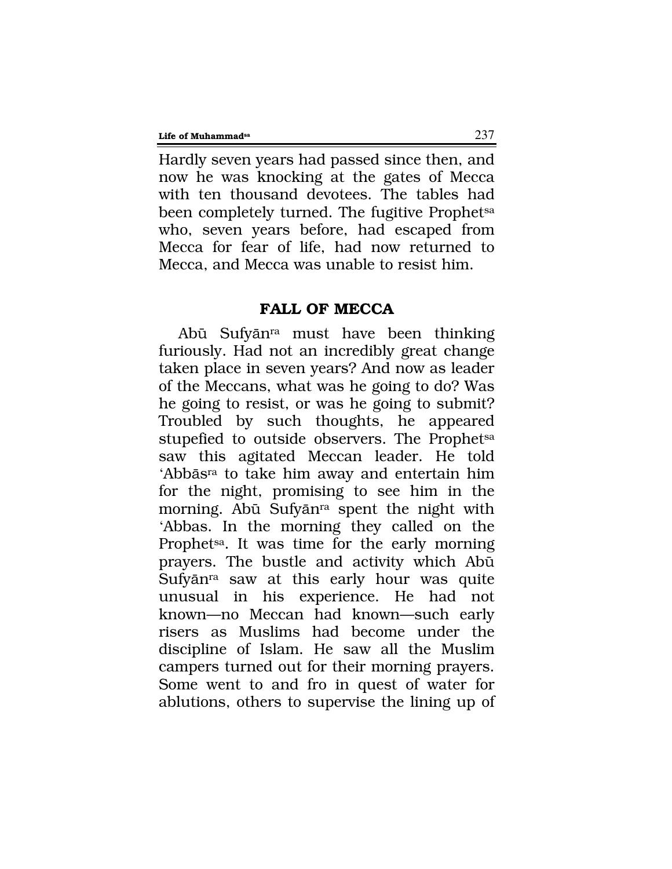Hardly seven years had passed since then, and now he was knocking at the gates of Mecca with ten thousand devotees. The tables had been completely turned. The fugitive Prophetsa who, seven years before, had escaped from Mecca for fear of life, had now returned to Mecca, and Mecca was unable to resist him.

#### **FALL OF MECCA**

Abū Sufyān<sup>ra</sup> must have been thinking furiously. Had not an incredibly great change taken place in seven years? And now as leader of the Meccans, what was he going to do? Was he going to resist, or was he going to submit? Troubled by such thoughts, he appeared stupefied to outside observers. The Prophet<sup>sa</sup> saw this agitated Meccan leader. He told 'Abbasra to take him away and entertain him for the night, promising to see him in the morning. Abū Sufyān<sup>ra</sup> spent the night with 'Abbas. In the morning they called on the Prophet<sup>sa</sup>. It was time for the early morning prayers. The bustle and activity which Abu Sufyanra saw at this early hour was quite unusual in his experience. He had not known—no Meccan had known—such early risers as Muslims had become under the discipline of Islam. He saw all the Muslim campers turned out for their morning prayers. Some went to and fro in quest of water for ablutions, others to supervise the lining up of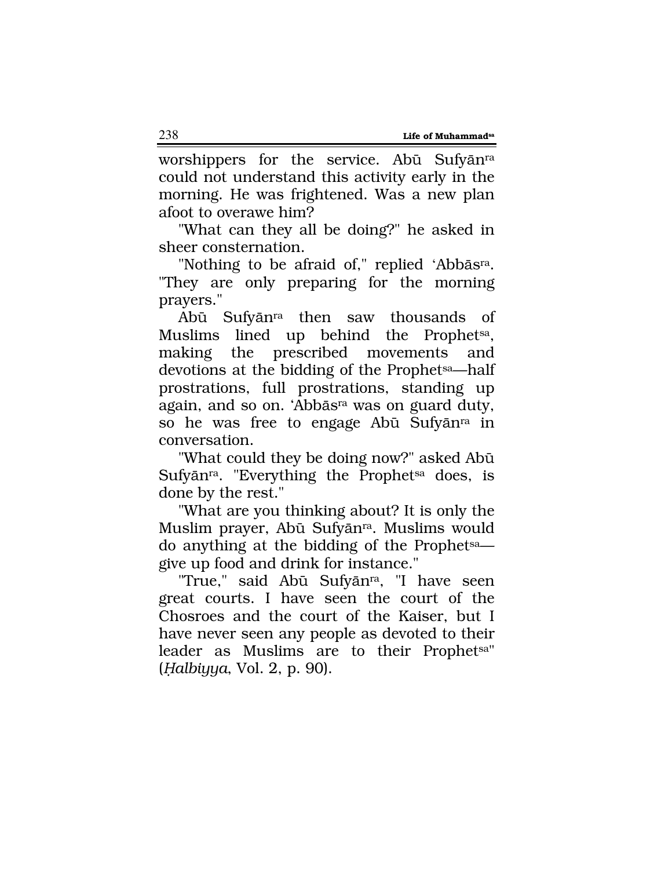worshippers for the service. Abū Sufyānra could not understand this activity early in the morning. He was frightened. Was a new plan afoot to overawe him?

"What can they all be doing?" he asked in sheer consternation.

"Nothing to be afraid of," replied 'Abbasra. "They are only preparing for the morning prayers."

Abu Sufyanra then saw thousands of Muslims lined up behind the Prophetsa, making the prescribed movements and devotions at the bidding of the Prophetsa—half prostrations, full prostrations, standing up again, and so on. 'Abbasra was on guard duty, so he was free to engage Abū Sufyān<sup>ra</sup> in conversation.

"What could they be doing now?" asked Abū Sufyanra. "Everything the Prophetsa does, is done by the rest."

"What are you thinking about? It is only the Muslim prayer, Abū Sufyānra. Muslims would do anything at the bidding of the Prophetsa give up food and drink for instance."

"True," said Abū Sufyānra, "I have seen great courts. I have seen the court of the Chosroes and the court of the Kaiser, but I have never seen any people as devoted to their leader as Muslims are to their Prophetsa" (H*albiyya*, Vol. 2, p. 90).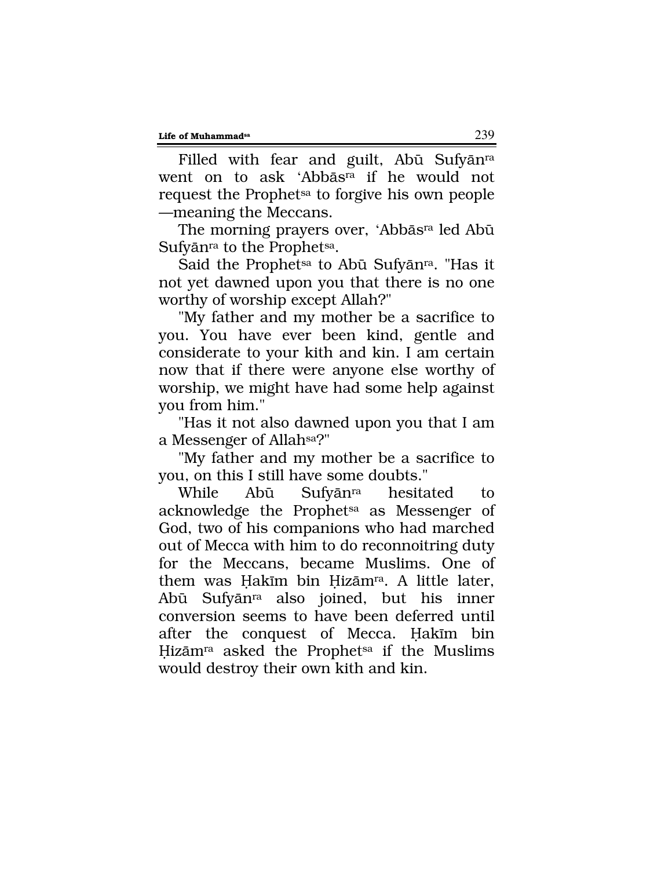Filled with fear and guilt, Abū Sufyānra went on to ask 'Abbasra if he would not request the Prophetsa to forgive his own people —meaning the Meccans.

The morning prayers over, 'Abbāsra led Abū Sufyanra to the Prophetsa.

Said the Prophetsa to Abū Sufyānra. "Has it not yet dawned upon you that there is no one worthy of worship except Allah?"

"My father and my mother be a sacrifice to you. You have ever been kind, gentle and considerate to your kith and kin. I am certain now that if there were anyone else worthy of worship, we might have had some help against you from him."

"Has it not also dawned upon you that I am a Messenger of Allahsa?"

"My father and my mother be a sacrifice to you, on this I still have some doubts."

While Abū Sufyān<sup>ra</sup> hesitated to acknowledge the Prophetsa as Messenger of God, two of his companions who had marched out of Mecca with him to do reconnoitring duty for the Meccans, became Muslims. One of them was Hakim bin Hizamra. A little later, Abū Sufyān<sup>ra</sup> also joined, but his inner conversion seems to have been deferred until after the conquest of Mecca. Hakim bin Hizamra asked the Prophetsa if the Muslims would destroy their own kith and kin.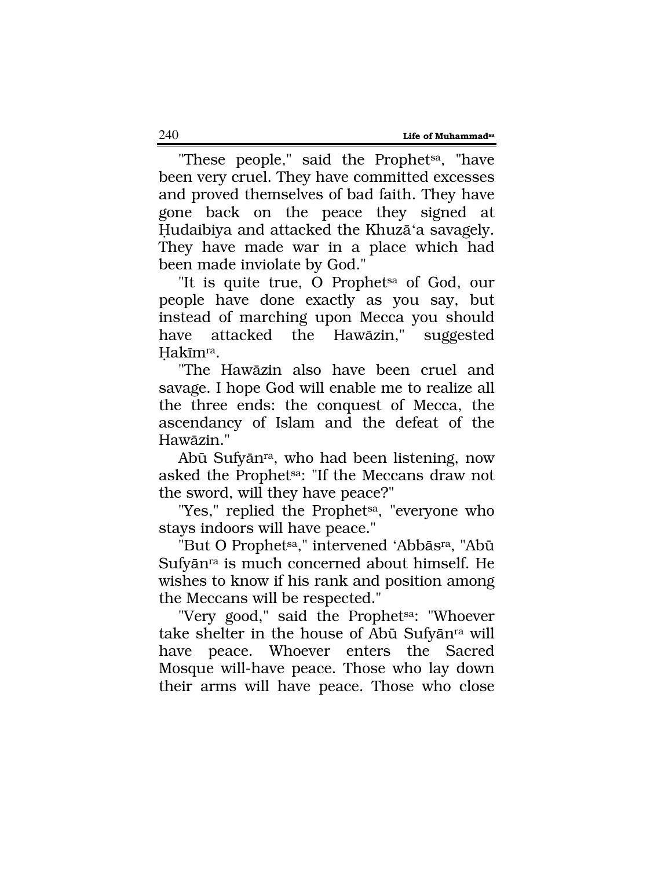"These people," said the Prophetsa, "have been very cruel. They have committed excesses and proved themselves of bad faith. They have gone back on the peace they signed at Hudaibiya and attacked the Khuza'a savagely. They have made war in a place which had been made inviolate by God."

"It is quite true, O Prophetsa of God, our people have done exactly as you say, but instead of marching upon Mecca you should have attacked the Hawazin," suggested Hakimra.

"The Hawazin also have been cruel and savage. I hope God will enable me to realize all the three ends: the conquest of Mecca, the ascendancy of Islam and the defeat of the Hawazin."

Abu Sufyanra, who had been listening, now asked the Prophetsa: "If the Meccans draw not the sword, will they have peace?"

"Yes," replied the Prophetsa, "everyone who stays indoors will have peace."

"But O Prophetsa," intervened 'Abbāsra, "Abū Sufyanra is much concerned about himself. He wishes to know if his rank and position among the Meccans will be respected."

"Very good," said the Prophetsa: "Whoever take shelter in the house of Abū Sufyān<sup>ra</sup> will have peace. Whoever enters the Sacred Mosque will-have peace. Those who lay down their arms will have peace. Those who close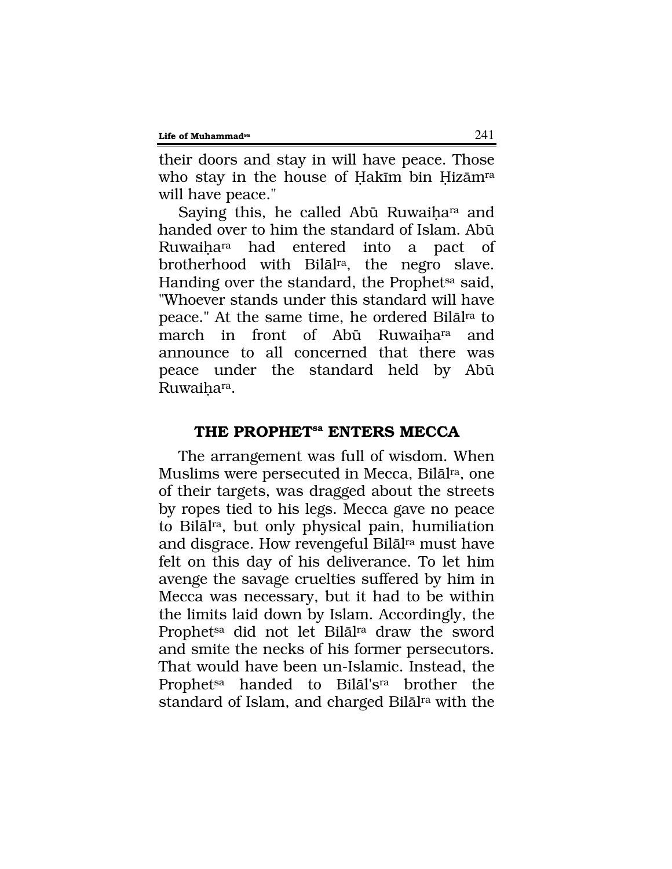their doors and stay in will have peace. Those who stay in the house of Hakim bin Hizamra will have peace."

Saying this, he called Abū Ruwaihara and handed over to him the standard of Islam. Abu Ruwaihara had entered into a pact of brotherhood with Bilalra, the negro slave. Handing over the standard, the Prophet<sup>sa</sup> said, "Whoever stands under this standard will have peace." At the same time, he ordered Bilalra to march in front of Abū Ruwaiha<sup>ra</sup> and announce to all concerned that there was peace under the standard held by Abu Ruwaihara.

### **THE PROPHETsa ENTERS MECCA**

The arrangement was full of wisdom. When Muslims were persecuted in Mecca, Bilalra, one of their targets, was dragged about the streets by ropes tied to his legs. Mecca gave no peace to Bilalra, but only physical pain, humiliation and disgrace. How revengeful Bilalra must have felt on this day of his deliverance. To let him avenge the savage cruelties suffered by him in Mecca was necessary, but it had to be within the limits laid down by Islam. Accordingly, the Prophetsa did not let Bilalra draw the sword and smite the necks of his former persecutors. That would have been un-Islamic. Instead, the Prophetsa handed to Bilal'sra brother the standard of Islam, and charged Bilalra with the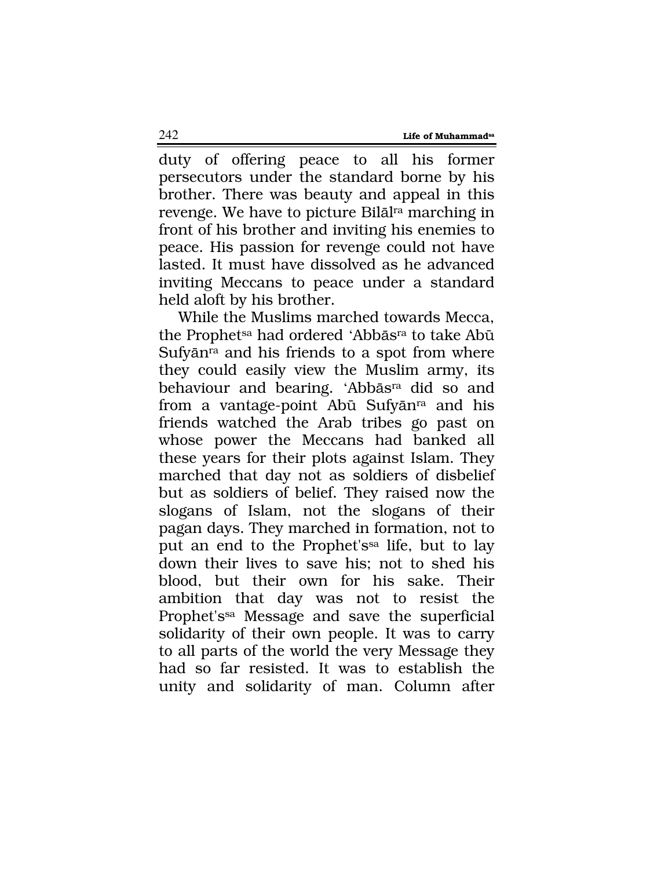duty of offering peace to all his former persecutors under the standard borne by his brother. There was beauty and appeal in this revenge. We have to picture Bilalra marching in front of his brother and inviting his enemies to peace. His passion for revenge could not have lasted. It must have dissolved as he advanced inviting Meccans to peace under a standard held aloft by his brother.

While the Muslims marched towards Mecca, the Prophet<sup>sa</sup> had ordered 'Abbās<sup>ra</sup> to take Abū Sufyanra and his friends to a spot from where they could easily view the Muslim army, its behaviour and bearing. 'Abbasra did so and from a vantage-point Abū Sufyānra and his friends watched the Arab tribes go past on whose power the Meccans had banked all these years for their plots against Islam. They marched that day not as soldiers of disbelief but as soldiers of belief. They raised now the slogans of Islam, not the slogans of their pagan days. They marched in formation, not to put an end to the Prophet'ssa life, but to lay down their lives to save his; not to shed his blood, but their own for his sake. Their ambition that day was not to resist the Prophet'ssa Message and save the superficial solidarity of their own people. It was to carry to all parts of the world the very Message they had so far resisted. It was to establish the unity and solidarity of man. Column after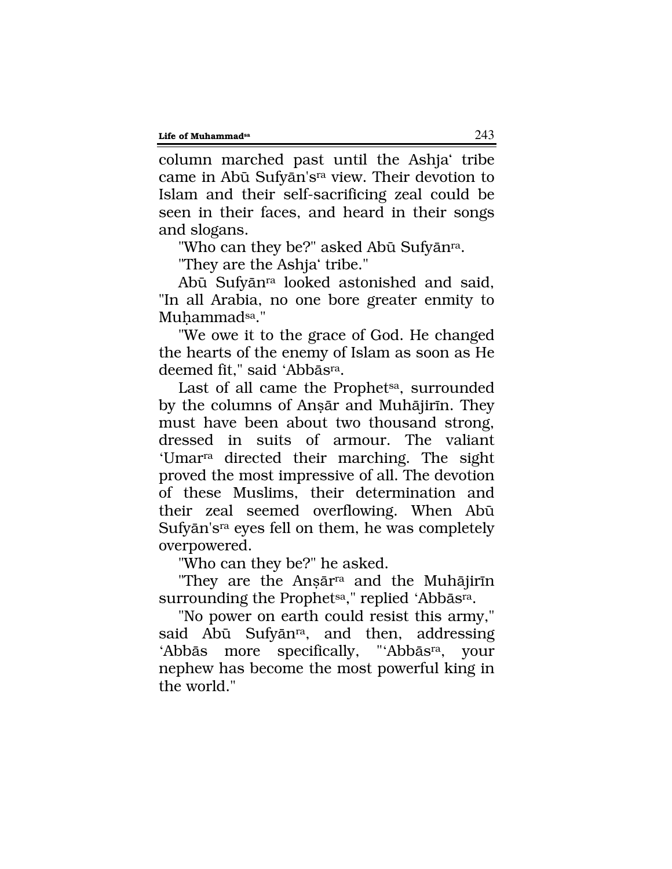column marched past until the Ashja' tribe came in Abu Sufyan'sra view. Their devotion to Islam and their self-sacrificing zeal could be seen in their faces, and heard in their songs and slogans.

"Who can they be?" asked Abū Sufyān<sup>ra</sup>.

"They are the Ashja' tribe."

Abū Sufyān<sup>ra</sup> looked astonished and said, "In all Arabia, no one bore greater enmity to Muhammadsa."

"We owe it to the grace of God. He changed the hearts of the enemy of Islam as soon as He deemed fit," said 'Abbasra.

Last of all came the Prophetsa, surrounded by the columns of Ansar and Muhajirin. They must have been about two thousand strong, dressed in suits of armour. The valiant 'Umarra directed their marching. The sight proved the most impressive of all. The devotion of these Muslims, their determination and their zeal seemed overflowing. When Abu Sufyan'sra eyes fell on them, he was completely overpowered.

"Who can they be?" he asked.

"They are the Ansarra and the Muhajirin surrounding the Prophetsa," replied 'Abbās<sup>ra</sup>.

"No power on earth could resist this army," said Abū Sufyān<sup>ra</sup>, and then, addressing 'Abbas more specifically, "'Abbasra, your nephew has become the most powerful king in the world."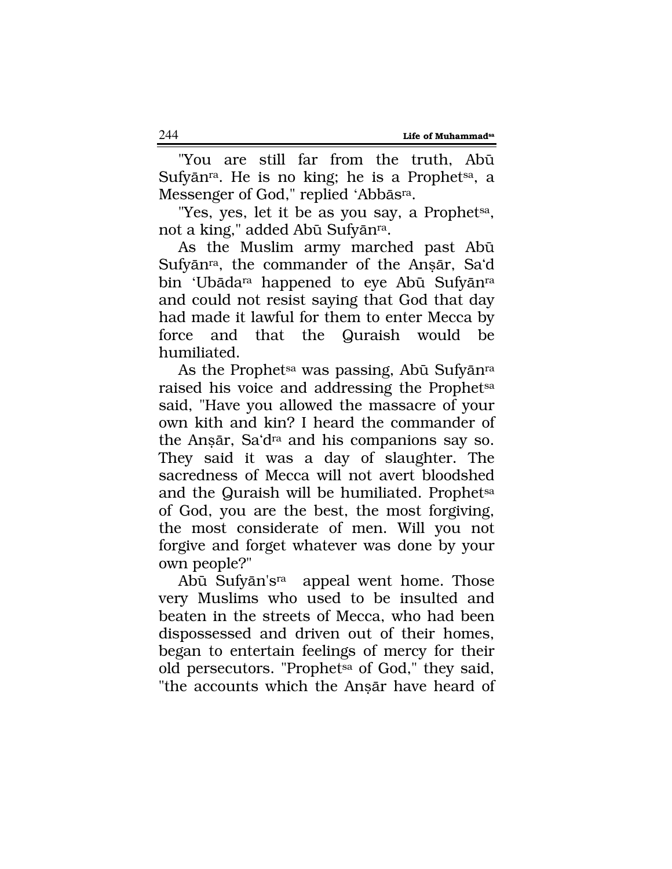"You are still far from the truth, Abū Sufyān<sup>ra</sup>. He is no king; he is a Prophetsa, a Messenger of God," replied 'Abbasra.

"Yes, yes, let it be as you say, a Prophetsa, not a king," added Abu Sufyanra.

As the Muslim army marched past Abu Sufyanra, the commander of the Ansar, Sa'd bin 'Ubādara happened to eye Abū Sufyānra and could not resist saying that God that day had made it lawful for them to enter Mecca by force and that the Quraish would be humiliated.

As the Prophetsa was passing, Abū Sufyānra raised his voice and addressing the Prophetsa said, "Have you allowed the massacre of your own kith and kin? I heard the commander of the Ansar, Sa'dra and his companions say so. They said it was a day of slaughter. The sacredness of Mecca will not avert bloodshed and the Quraish will be humiliated. Prophetsa of God, you are the best, the most forgiving, the most considerate of men. Will you not forgive and forget whatever was done by your own people?"

Abū Sufyān's<sup>ra</sup> appeal went home. Those very Muslims who used to be insulted and beaten in the streets of Mecca, who had been dispossessed and driven out of their homes, began to entertain feelings of mercy for their old persecutors. "Prophetsa of God," they said, "the accounts which the Ansar have heard of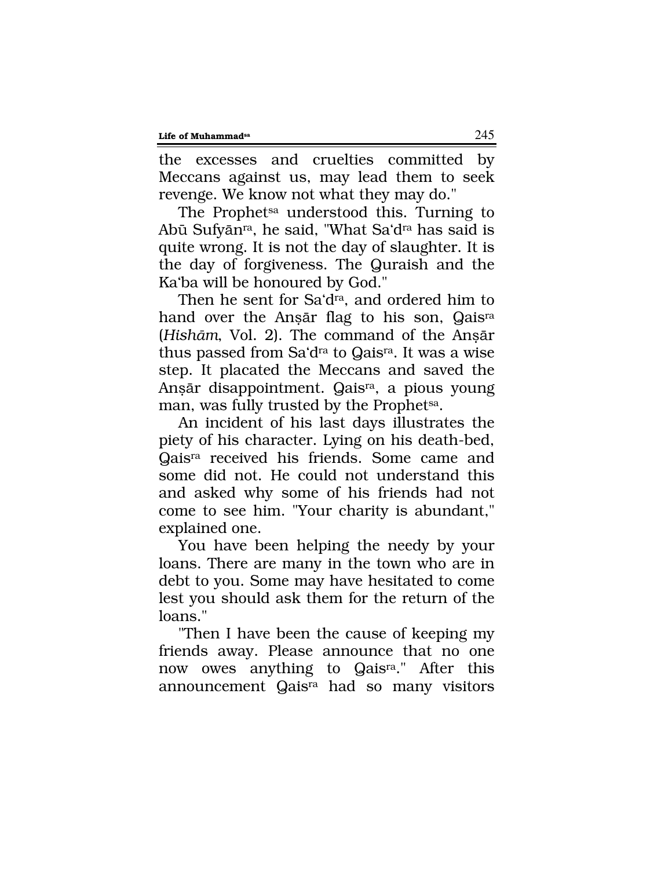the excesses and cruelties committed by Meccans against us, may lead them to seek revenge. We know not what they may do."

The Prophet<sup>sa</sup> understood this. Turning to Abū Sufyān<sup>ra</sup>, he said, "What Sa'd<sup>ra</sup> has said is quite wrong. It is not the day of slaughter. It is the day of forgiveness. The Quraish and the Ka'ba will be honoured by God."

Then he sent for Sa'dra, and ordered him to hand over the Ansar flag to his son, Qaisra (*Hish*a*m*, Vol. 2). The command of the Ansar thus passed from Sa'dra to Qaisra. It was a wise step. It placated the Meccans and saved the Ansar disappointment. Qaisra, a pious young man, was fully trusted by the Prophetsa.

An incident of his last days illustrates the piety of his character. Lying on his death-bed, Qaisra received his friends. Some came and some did not. He could not understand this and asked why some of his friends had not come to see him. "Your charity is abundant," explained one.

You have been helping the needy by your loans. There are many in the town who are in debt to you. Some may have hesitated to come lest you should ask them for the return of the loans."

"Then I have been the cause of keeping my friends away. Please announce that no one now owes anything to Qaisra." After this announcement Qaisra had so many visitors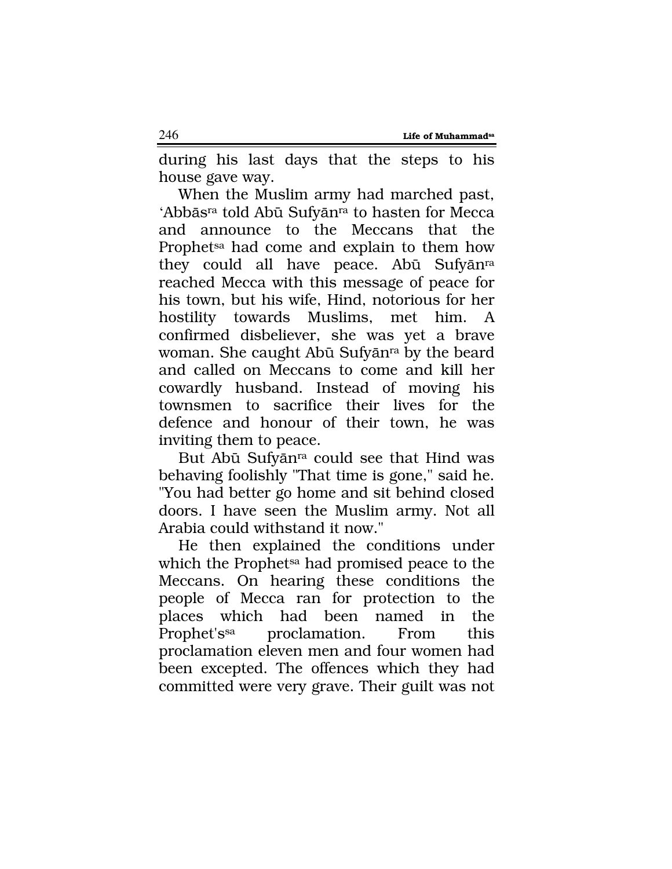during his last days that the steps to his house gave way.

When the Muslim army had marched past, 'Abbasra told Abu Sufyanra to hasten for Mecca and announce to the Meccans that the Prophetsa had come and explain to them how they could all have peace. Abū Sufyānra reached Mecca with this message of peace for his town, but his wife, Hind, notorious for her hostility towards Muslims, met him. A confirmed disbeliever, she was yet a brave woman. She caught Abū Sufyānra by the beard and called on Meccans to come and kill her cowardly husband. Instead of moving his townsmen to sacrifice their lives for the defence and honour of their town, he was inviting them to peace.

But Abū Sufyān<sup>ra</sup> could see that Hind was behaving foolishly "That time is gone," said he. "You had better go home and sit behind closed doors. I have seen the Muslim army. Not all Arabia could withstand it now."

He then explained the conditions under which the Prophetsa had promised peace to the Meccans. On hearing these conditions the people of Mecca ran for protection to the places which had been named in the Prophet's<sup>sa</sup> proclamation. From this proclamation eleven men and four women had been excepted. The offences which they had committed were very grave. Their guilt was not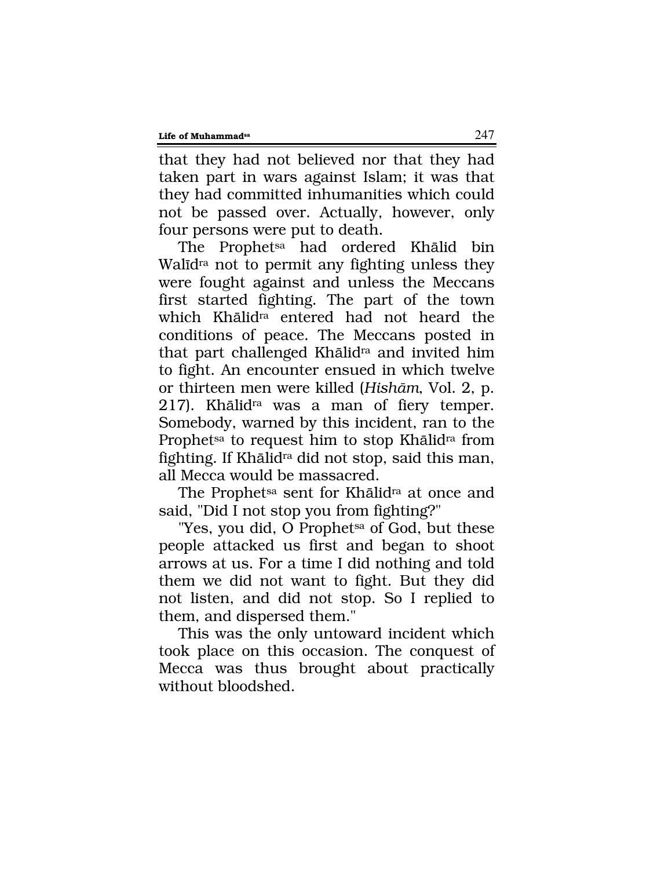that they had not believed nor that they had taken part in wars against Islam; it was that they had committed inhumanities which could not be passed over. Actually, however, only four persons were put to death.

The Prophetsa had ordered Khalid bin Walidra not to permit any fighting unless they were fought against and unless the Meccans first started fighting. The part of the town which Khalidra entered had not heard the conditions of peace. The Meccans posted in that part challenged Khalidra and invited him to fight. An encounter ensued in which twelve or thirteen men were killed (*Hish*a*m*, Vol. 2, p. 217). Khalidra was a man of fiery temper. Somebody, warned by this incident, ran to the Prophetsa to request him to stop Khalidra from fighting. If Khalidra did not stop, said this man, all Mecca would be massacred.

The Prophet<sup>sa</sup> sent for Khālid<sup>ra</sup> at once and said, "Did I not stop you from fighting?"

"Yes, you did, O Prophetsa of God, but these people attacked us first and began to shoot arrows at us. For a time I did nothing and told them we did not want to fight. But they did not listen, and did not stop. So I replied to them, and dispersed them."

This was the only untoward incident which took place on this occasion. The conquest of Mecca was thus brought about practically without bloodshed.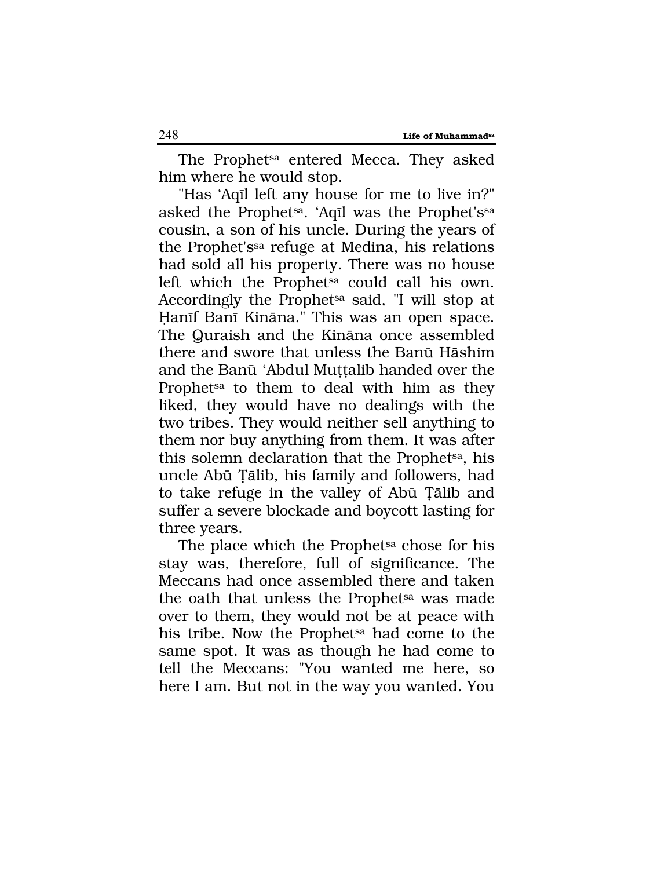The Prophetsa entered Mecca. They asked him where he would stop.

"Has 'Aqīl left any house for me to live in?" asked the Prophetsa. 'Aqil was the Prophet'ssa cousin, a son of his uncle. During the years of the Prophet'ssa refuge at Medina, his relations had sold all his property. There was no house left which the Prophetsa could call his own. Accordingly the Prophetsa said, "I will stop at Hanif Bani Kinana." This was an open space. The Quraish and the Kinana once assembled there and swore that unless the Banū Hāshim and the Banū 'Abdul Muttalib handed over the Prophet<sup>sa</sup> to them to deal with him as they liked, they would have no dealings with the two tribes. They would neither sell anything to them nor buy anything from them. It was after this solemn declaration that the Prophetsa, his uncle Abu Talib, his family and followers, had to take refuge in the valley of Abū Tālib and suffer a severe blockade and boycott lasting for three years.

The place which the Prophetsa chose for his stay was, therefore, full of significance. The Meccans had once assembled there and taken the oath that unless the Prophetsa was made over to them, they would not be at peace with his tribe. Now the Prophetsa had come to the same spot. It was as though he had come to tell the Meccans: "You wanted me here, so here I am. But not in the way you wanted. You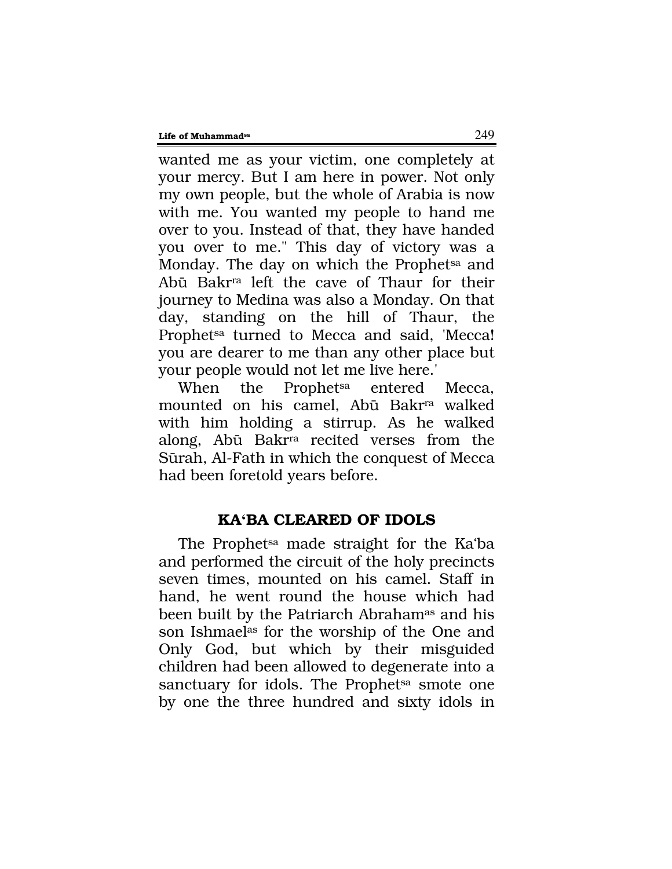wanted me as your victim, one completely at your mercy. But I am here in power. Not only my own people, but the whole of Arabia is now with me. You wanted my people to hand me over to you. Instead of that, they have handed you over to me." This day of victory was a Monday. The day on which the Prophetsa and Abū Bakr<sup>ra</sup> left the cave of Thaur for their journey to Medina was also a Monday. On that day, standing on the hill of Thaur, the Prophetsa turned to Mecca and said, 'Mecca! you are dearer to me than any other place but your people would not let me live here.'

When the Prophetsa entered Mecca, mounted on his camel, Abū Bakr<sup>ra</sup> walked with him holding a stirrup. As he walked along, Abū Bakr<sup>ra</sup> recited verses from the Sūrah, Al-Fath in which the conquest of Mecca had been foretold years before.

### **KA'BA CLEARED OF IDOLS**

The Prophet<sup>sa</sup> made straight for the Ka'ba and performed the circuit of the holy precincts seven times, mounted on his camel. Staff in hand, he went round the house which had been built by the Patriarch Abrahamas and his son Ishmaelas for the worship of the One and Only God, but which by their misguided children had been allowed to degenerate into a sanctuary for idols. The Prophetsa smote one by one the three hundred and sixty idols in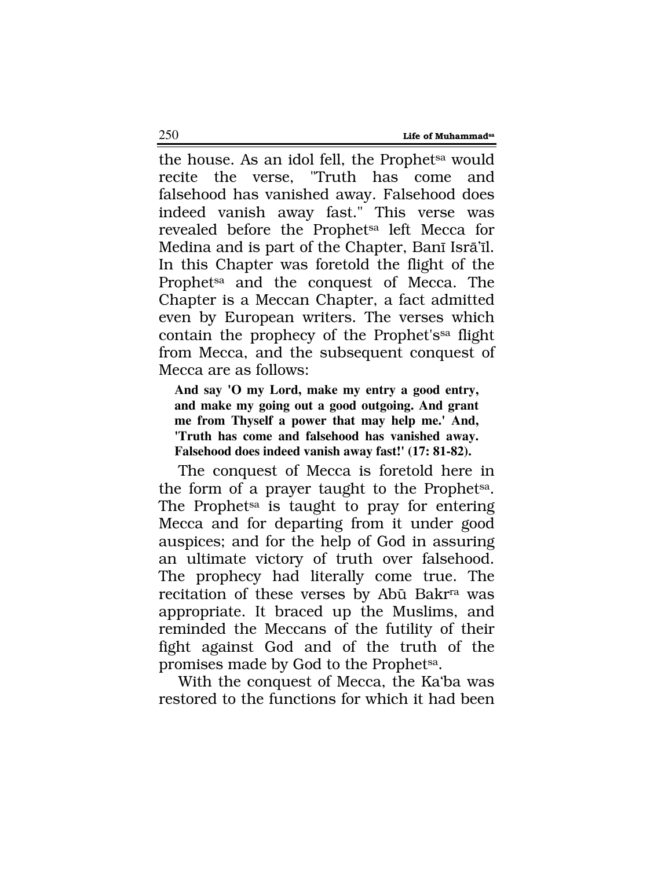the house. As an idol fell, the Prophetsa would recite the verse, "Truth has come and falsehood has vanished away. Falsehood does indeed vanish away fast." This verse was revealed before the Prophetsa left Mecca for Medina and is part of the Chapter, Bani Isra'il. In this Chapter was foretold the flight of the Prophet<sup>sa</sup> and the conquest of Mecca. The Chapter is a Meccan Chapter, a fact admitted even by European writers. The verses which contain the prophecy of the Prophet'ssa flight from Mecca, and the subsequent conquest of Mecca are as follows:

**And say 'O my Lord, make my entry a good entry, and make my going out a good outgoing. And grant me from Thyself a power that may help me.' And, 'Truth has come and falsehood has vanished away. Falsehood does indeed vanish away fast!' (17: 81-82).** 

The conquest of Mecca is foretold here in the form of a prayer taught to the Prophetsa. The Prophet<sup>sa</sup> is taught to pray for entering Mecca and for departing from it under good auspices; and for the help of God in assuring an ultimate victory of truth over falsehood. The prophecy had literally come true. The recitation of these verses by Abū Bakr<sup>ra</sup> was appropriate. It braced up the Muslims, and reminded the Meccans of the futility of their fight against God and of the truth of the promises made by God to the Prophetsa.

With the conquest of Mecca, the Ka'ba was restored to the functions for which it had been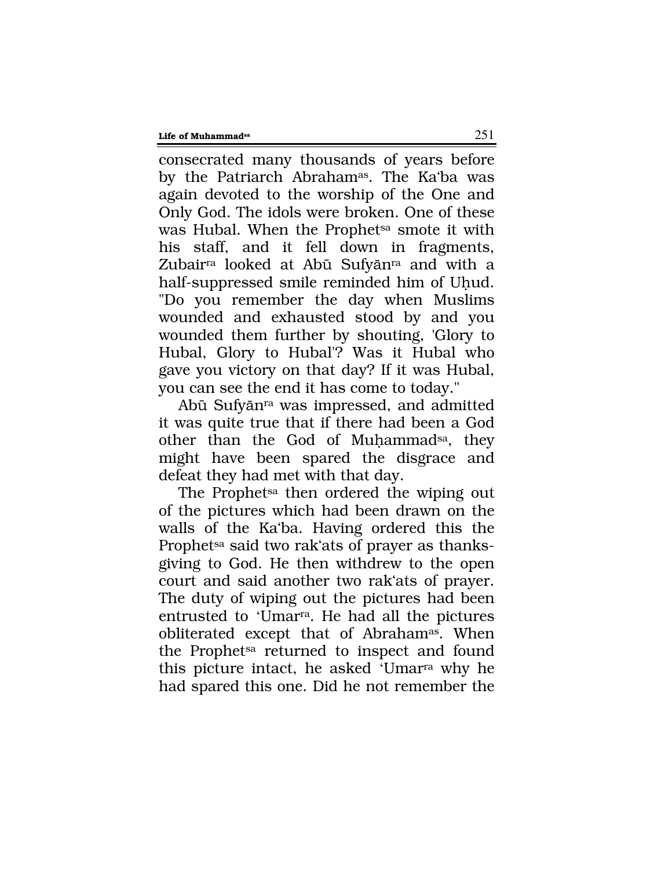consecrated many thousands of years before by the Patriarch Abraham<sup>as</sup>. The Ka'ba was again devoted to the worship of the One and Only God. The idols were broken. One of these was Hubal. When the Prophetsa smote it with his staff, and it fell down in fragments, Zubairra looked at Abu Sufyanra and with a half-suppressed smile reminded him of Uhud. "Do you remember the day when Muslims wounded and exhausted stood by and you wounded them further by shouting, 'Glory to Hubal, Glory to Hubal'? Was it Hubal who gave you victory on that day? If it was Hubal, you can see the end it has come to today."

Abū Sufyānra was impressed, and admitted it was quite true that if there had been a God other than the God of Muhammadsa, they might have been spared the disgrace and defeat they had met with that day.

The Prophet<sup>sa</sup> then ordered the wiping out of the pictures which had been drawn on the walls of the Ka'ba. Having ordered this the Prophet<sup>sa</sup> said two rak'ats of prayer as thanksgiving to God. He then withdrew to the open court and said another two rak'ats of prayer. The duty of wiping out the pictures had been entrusted to 'Umarra. He had all the pictures obliterated except that of Abrahamas. When the Prophetsa returned to inspect and found this picture intact, he asked 'Umarra why he had spared this one. Did he not remember the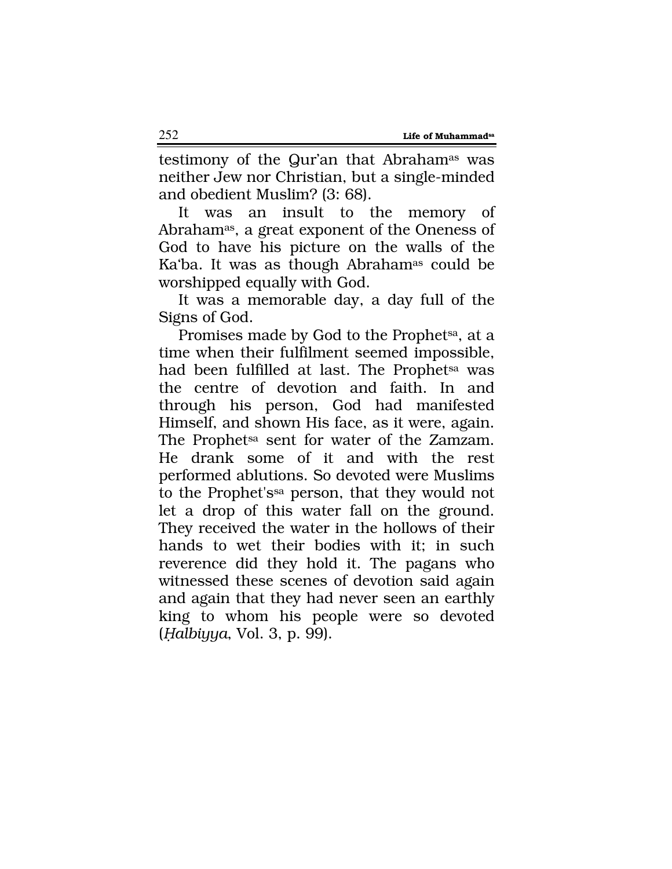testimony of the Qur'an that Abrahamas was neither Jew nor Christian, but a single-minded and obedient Muslim? (3: 68).

It was an insult to the memory of Abrahamas, a great exponent of the Oneness of God to have his picture on the walls of the Ka'ba. It was as though Abraham<sup>as</sup> could be worshipped equally with God.

It was a memorable day, a day full of the Signs of God.

Promises made by God to the Prophetsa, at a time when their fulfilment seemed impossible, had been fulfilled at last. The Prophetsa was the centre of devotion and faith. In and through his person, God had manifested Himself, and shown His face, as it were, again. The Prophet<sup>sa</sup> sent for water of the Zamzam. He drank some of it and with the rest performed ablutions. So devoted were Muslims to the Prophet'ssa person, that they would not let a drop of this water fall on the ground. They received the water in the hollows of their hands to wet their bodies with it; in such reverence did they hold it. The pagans who witnessed these scenes of devotion said again and again that they had never seen an earthly king to whom his people were so devoted (H*albiyya*, Vol. 3, p. 99).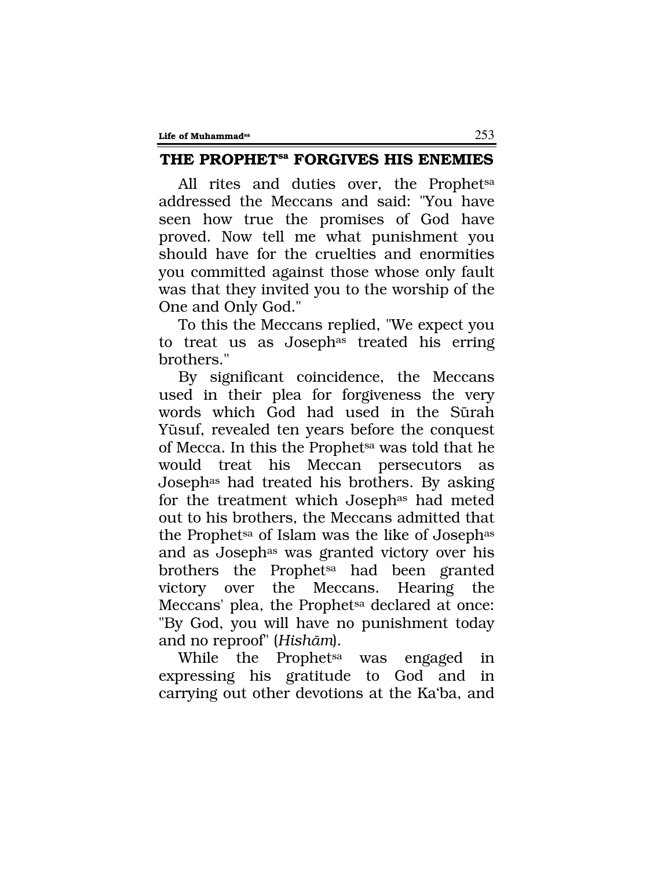#### **THE PROPHETsa FORGIVES HIS ENEMIES**

All rites and duties over, the Prophetsa addressed the Meccans and said: "You have seen how true the promises of God have proved. Now tell me what punishment you should have for the cruelties and enormities you committed against those whose only fault was that they invited you to the worship of the One and Only God."

To this the Meccans replied, "We expect you to treat us as Joseph<sup>as</sup> treated his erring brothers."

By significant coincidence, the Meccans used in their plea for forgiveness the very words which God had used in the Sūrah Yūsuf, revealed ten years before the conquest of Mecca. In this the Prophetsa was told that he would treat his Meccan persecutors as Josephas had treated his brothers. By asking for the treatment which Josephas had meted out to his brothers, the Meccans admitted that the Prophetsa of Islam was the like of Josephas and as Josephas was granted victory over his brothers the Prophetsa had been granted victory over the Meccans. Hearing the Meccans' plea, the Prophetsa declared at once: "By God, you will have no punishment today and no reproof" (*Hish*a*m*).

While the Prophetsa was engaged in expressing his gratitude to God and in carrying out other devotions at the Ka'ba, and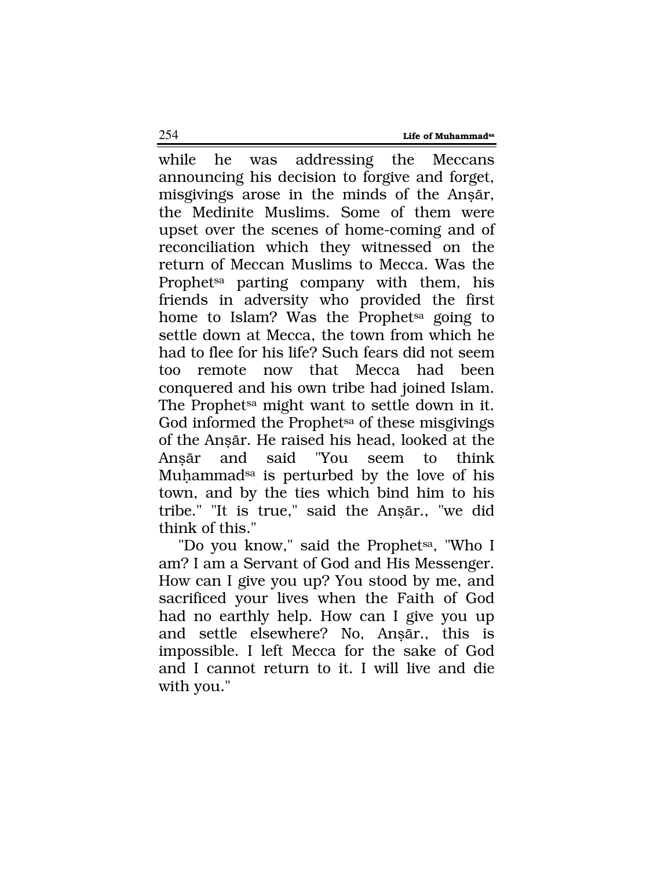while he was addressing the Meccans announcing his decision to forgive and forget, misgivings arose in the minds of the Ansar, the Medinite Muslims. Some of them were upset over the scenes of home-coming and of reconciliation which they witnessed on the return of Meccan Muslims to Mecca. Was the Prophet<sup>sa</sup> parting company with them, his friends in adversity who provided the first home to Islam? Was the Prophetsa going to settle down at Mecca, the town from which he had to flee for his life? Such fears did not seem too remote now that Mecca had been conquered and his own tribe had joined Islam. The Prophetsa might want to settle down in it. God informed the Prophetsa of these misgivings of the Ansar. He raised his head, looked at the Ansar and said "You seem to think Muhammadsa is perturbed by the love of his town, and by the ties which bind him to his tribe." "It is true," said the Ansar., "we did think of this."

"Do you know," said the Prophetsa, "Who I am? I am a Servant of God and His Messenger. How can I give you up? You stood by me, and sacrificed your lives when the Faith of God had no earthly help. How can I give you up and settle elsewhere? No, Ansar., this is impossible. I left Mecca for the sake of God and I cannot return to it. I will live and die with you."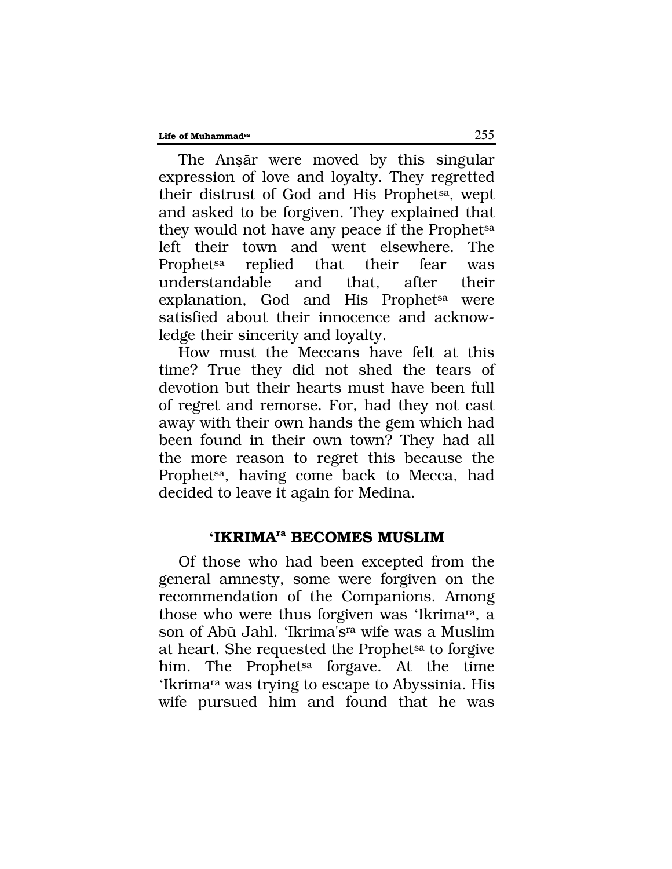The Ansar were moved by this singular expression of love and loyalty. They regretted their distrust of God and His Prophetsa, wept and asked to be forgiven. They explained that they would not have any peace if the Prophetsa left their town and went elsewhere. The Prophet<sup>sa</sup> replied that their fear was understandable and that, after their explanation, God and His Prophetsa were satisfied about their innocence and acknowledge their sincerity and loyalty.

How must the Meccans have felt at this time? True they did not shed the tears of devotion but their hearts must have been full of regret and remorse. For, had they not cast away with their own hands the gem which had been found in their own town? They had all the more reason to regret this because the Prophetsa, having come back to Mecca, had decided to leave it again for Medina.

### **'IKRIMAra BECOMES MUSLIM**

Of those who had been excepted from the general amnesty, some were forgiven on the recommendation of the Companions. Among those who were thus forgiven was 'Ikrimara, a son of Abū Jahl. 'Ikrima's<sup>ra</sup> wife was a Muslim at heart. She requested the Prophetsa to forgive him. The Prophetsa forgave. At the time 'Ikrimara was trying to escape to Abyssinia. His wife pursued him and found that he was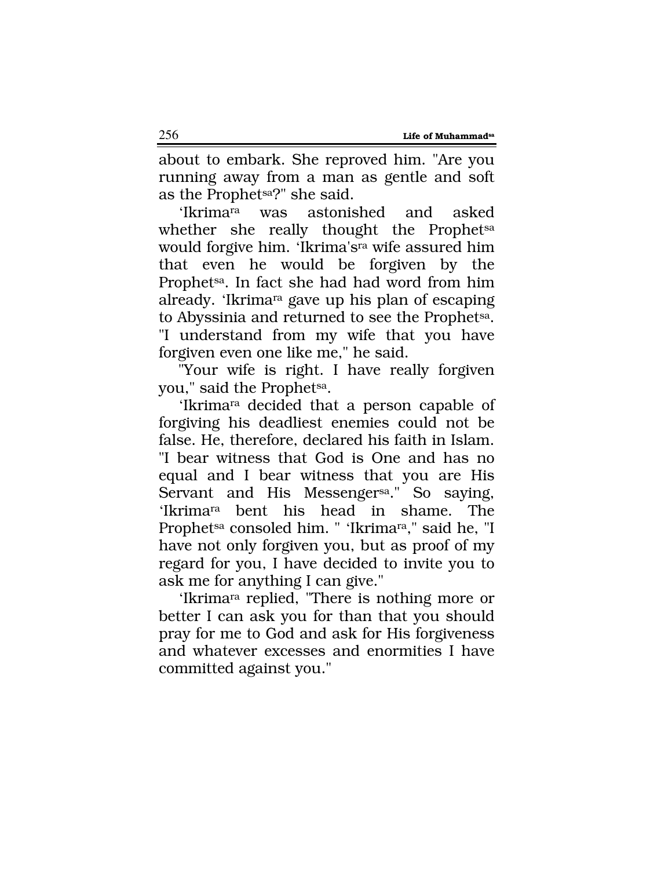about to embark. She reproved him. "Are you running away from a man as gentle and soft as the Prophetsa?" she said.

'Ikrimara was astonished and asked whether she really thought the Prophetsa would forgive him. 'Ikrima'sra wife assured him that even he would be forgiven by the Prophetsa. In fact she had had word from him already. 'Ikrimara gave up his plan of escaping to Abyssinia and returned to see the Prophetsa. "I understand from my wife that you have forgiven even one like me," he said.

"Your wife is right. I have really forgiven you," said the Prophetsa.

'Ikrimara decided that a person capable of forgiving his deadliest enemies could not be false. He, therefore, declared his faith in Islam. "I bear witness that God is One and has no equal and I bear witness that you are His Servant and His Messengersa." So saying, 'Ikrimara bent his head in shame. The Prophetsa consoled him. " 'Ikrimara," said he, "I have not only forgiven you, but as proof of my regard for you, I have decided to invite you to ask me for anything I can give."

'Ikrimara replied, "There is nothing more or better I can ask you for than that you should pray for me to God and ask for His forgiveness and whatever excesses and enormities I have committed against you."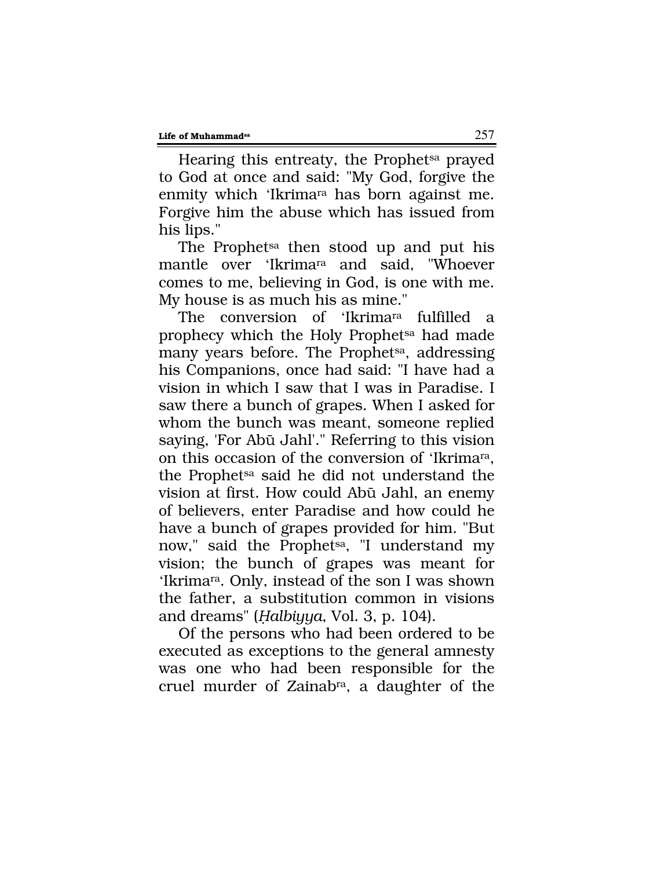Hearing this entreaty, the Prophetsa prayed to God at once and said: "My God, forgive the enmity which 'Ikrimara has born against me. Forgive him the abuse which has issued from his lips."

The Prophetsa then stood up and put his mantle over 'Ikrimara and said, "Whoever comes to me, believing in God, is one with me. My house is as much his as mine."

The conversion of 'Ikrimara fulfilled a prophecy which the Holy Prophetsa had made many years before. The Prophetsa, addressing his Companions, once had said: "I have had a vision in which I saw that I was in Paradise. I saw there a bunch of grapes. When I asked for whom the bunch was meant, someone replied saying, 'For Abū Jahl'." Referring to this vision on this occasion of the conversion of 'Ikrimara, the Prophetsa said he did not understand the vision at first. How could Abū Jahl, an enemy of believers, enter Paradise and how could he have a bunch of grapes provided for him. "But now," said the Prophetsa, "I understand my vision; the bunch of grapes was meant for 'Ikrimara. Only, instead of the son I was shown the father, a substitution common in visions and dreams" (H*albiyya*, Vol. 3, p. 104).

Of the persons who had been ordered to be executed as exceptions to the general amnesty was one who had been responsible for the cruel murder of Zainabra, a daughter of the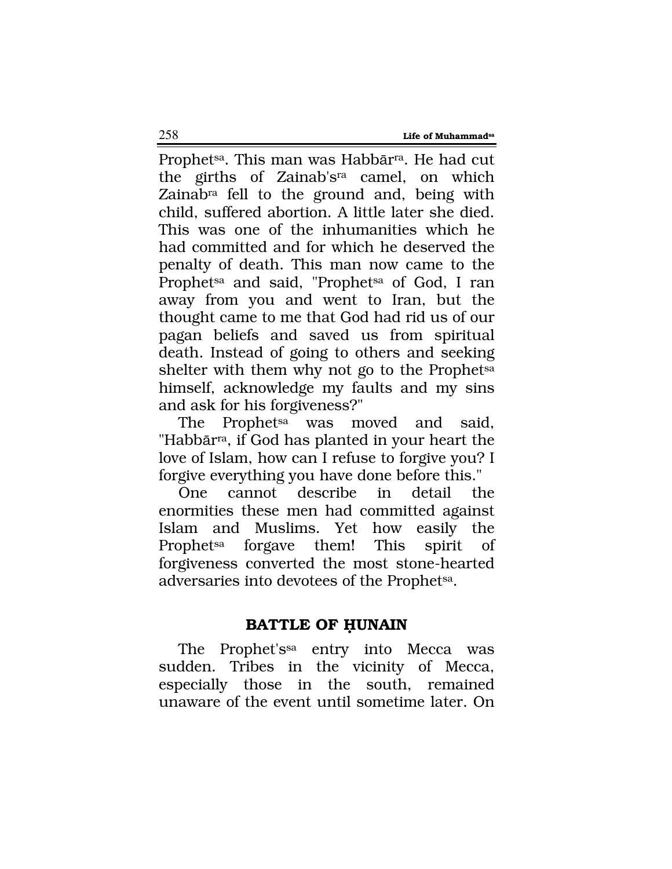Prophetsa. This man was Habbarra. He had cut the girths of Zainab'sra camel, on which Zainabra fell to the ground and, being with child, suffered abortion. A little later she died. This was one of the inhumanities which he had committed and for which he deserved the penalty of death. This man now came to the Prophet<sup>sa</sup> and said, "Prophet<sup>sa</sup> of God, I ran away from you and went to Iran, but the thought came to me that God had rid us of our pagan beliefs and saved us from spiritual death. Instead of going to others and seeking shelter with them why not go to the Prophetsa himself, acknowledge my faults and my sins and ask for his forgiveness?"

The Prophetsa was moved and said, "Habbarra, if God has planted in your heart the love of Islam, how can I refuse to forgive you? I forgive everything you have done before this."

One cannot describe in detail the enormities these men had committed against Islam and Muslims. Yet how easily the Prophet<sup>sa</sup> forgave them! This spirit of forgiveness converted the most stone-hearted adversaries into devotees of the Prophetsa.

## **BATTLE OF** H**UNAIN**

The Prophet's<sup>sa</sup> entry into Mecca was sudden. Tribes in the vicinity of Mecca, especially those in the south, remained unaware of the event until sometime later. On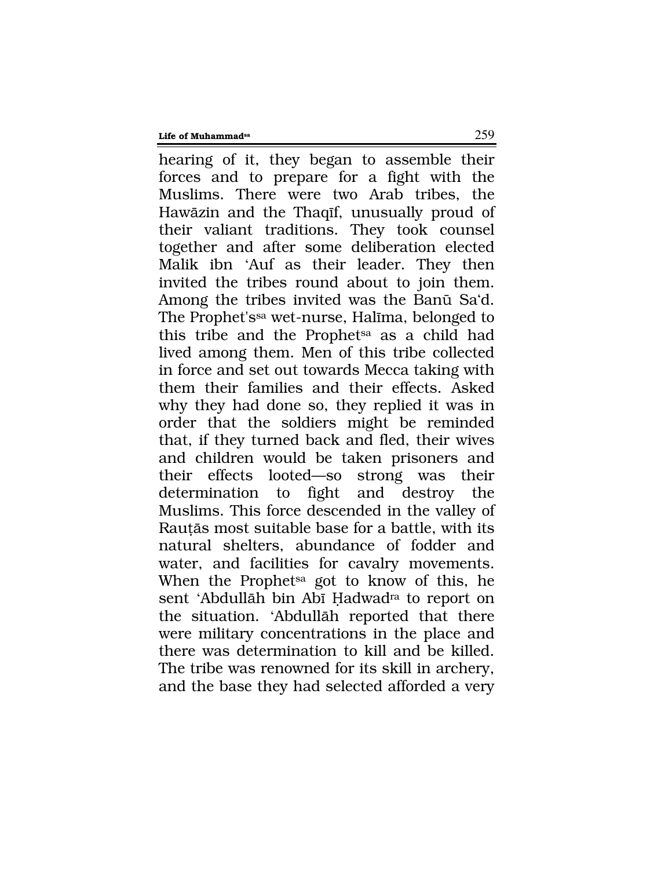hearing of it, they began to assemble their forces and to prepare for a fight with the Muslims. There were two Arab tribes, the Hawazin and the Thaqif, unusually proud of their valiant traditions. They took counsel together and after some deliberation elected Malik ibn 'Auf as their leader. They then invited the tribes round about to join them. Among the tribes invited was the Banū Sa'd. The Prophet'ssa wet-nurse, Halima, belonged to this tribe and the Prophet<sup>sa</sup> as a child had lived among them. Men of this tribe collected in force and set out towards Mecca taking with them their families and their effects. Asked why they had done so, they replied it was in order that the soldiers might be reminded that, if they turned back and fled, their wives and children would be taken prisoners and their effects looted—so strong was their determination to fight and destroy the Muslims. This force descended in the valley of Rautas most suitable base for a battle, with its natural shelters, abundance of fodder and water, and facilities for cavalry movements. When the Prophetsa got to know of this, he sent 'Abdullah bin Abi Hadwadra to report on the situation. 'Abdullah reported that there were military concentrations in the place and there was determination to kill and be killed. The tribe was renowned for its skill in archery, and the base they had selected afforded a very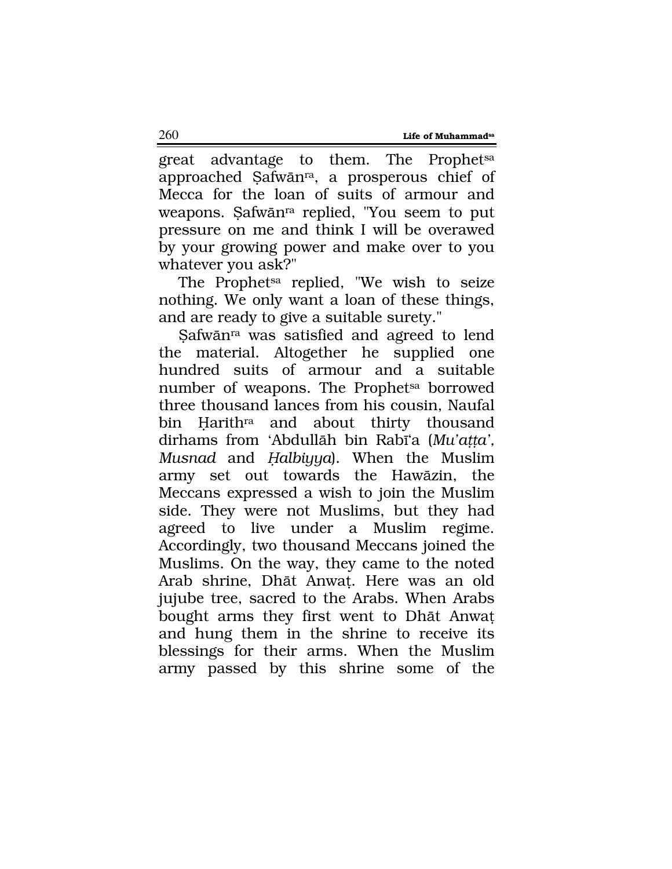great advantage to them. The Prophetsa approached Safwanra, a prosperous chief of Mecca for the loan of suits of armour and weapons. Safwanra replied, "You seem to put pressure on me and think I will be overawed by your growing power and make over to you whatever you ask?"

The Prophetsa replied, "We wish to seize nothing. We only want a loan of these things, and are ready to give a suitable surety."

Safwanra was satisfied and agreed to lend the material. Altogether he supplied one hundred suits of armour and a suitable number of weapons. The Prophetsa borrowed three thousand lances from his cousin, Naufal bin Harithra and about thirty thousand dirhams from 'Abdullah bin Rabi'a (*Mu'a*tt*a', Musnad* and H*albiyya*). When the Muslim army set out towards the Hawazin, the Meccans expressed a wish to join the Muslim side. They were not Muslims, but they had agreed to live under a Muslim regime. Accordingly, two thousand Meccans joined the Muslims. On the way, they came to the noted Arab shrine, Dhat Anwat. Here was an old jujube tree, sacred to the Arabs. When Arabs bought arms they first went to Dhat Anwat and hung them in the shrine to receive its blessings for their arms. When the Muslim army passed by this shrine some of the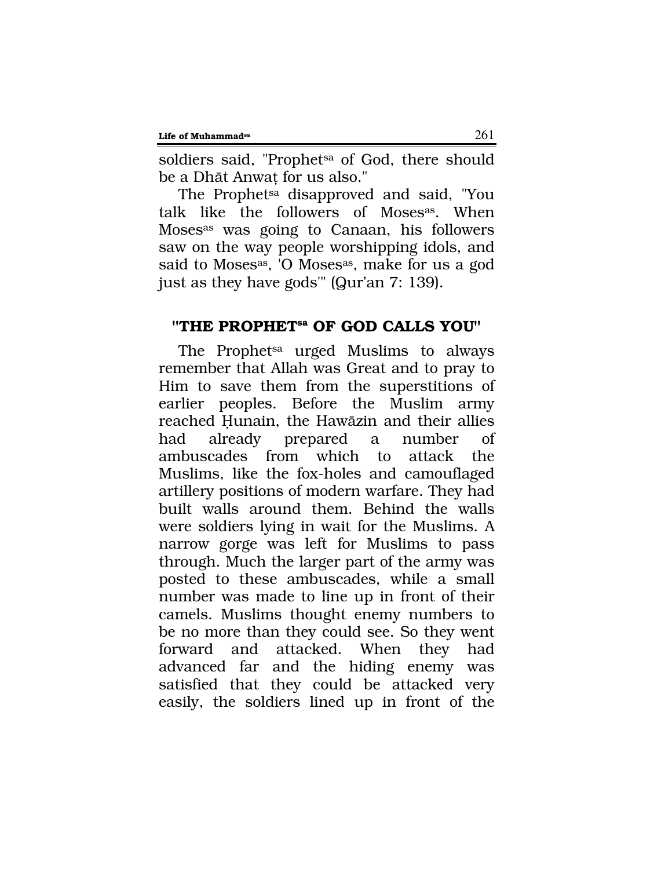soldiers said, "Prophetsa of God, there should be a Dhat Anwat for us also."

The Prophetsa disapproved and said, "You talk like the followers of Mosesas. When Mosesas was going to Canaan, his followers saw on the way people worshipping idols, and said to Mosesas, 'O Mosesas, make for us a god just as they have gods'" (Qur'an 7: 139).

## **"THE PROPHETsa OF GOD CALLS YOU"**

The Prophetsa urged Muslims to always remember that Allah was Great and to pray to Him to save them from the superstitions of earlier peoples. Before the Muslim army reached Hunain, the Hawazin and their allies had already prepared a number of ambuscades from which to attack the Muslims, like the fox-holes and camouflaged artillery positions of modern warfare. They had built walls around them. Behind the walls were soldiers lying in wait for the Muslims. A narrow gorge was left for Muslims to pass through. Much the larger part of the army was posted to these ambuscades, while a small number was made to line up in front of their camels. Muslims thought enemy numbers to be no more than they could see. So they went forward and attacked. When they had advanced far and the hiding enemy was satisfied that they could be attacked very easily, the soldiers lined up in front of the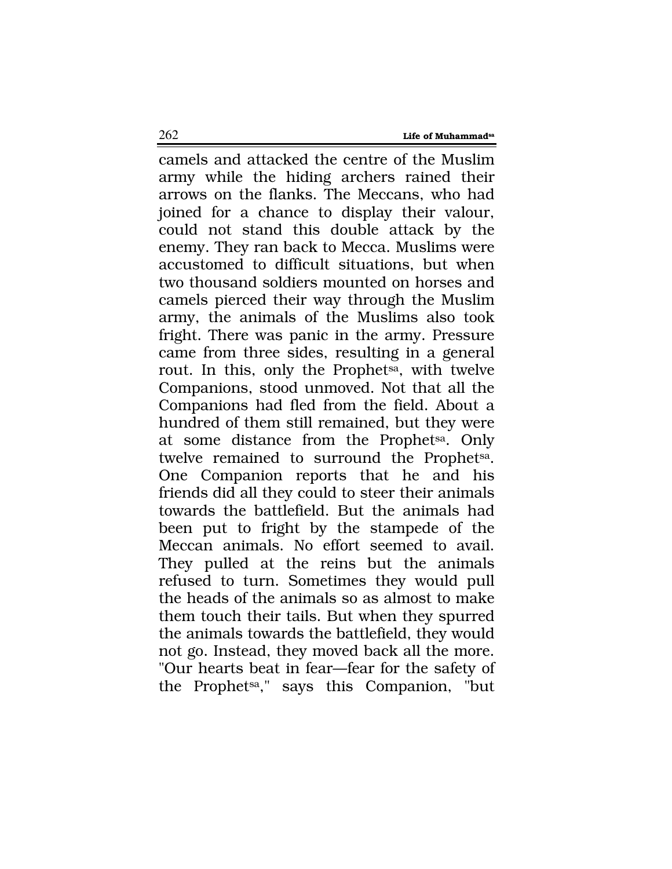camels and attacked the centre of the Muslim army while the hiding archers rained their arrows on the flanks. The Meccans, who had joined for a chance to display their valour, could not stand this double attack by the enemy. They ran back to Mecca. Muslims were accustomed to difficult situations, but when two thousand soldiers mounted on horses and camels pierced their way through the Muslim army, the animals of the Muslims also took fright. There was panic in the army. Pressure came from three sides, resulting in a general rout. In this, only the Prophetsa, with twelve Companions, stood unmoved. Not that all the Companions had fled from the field. About a hundred of them still remained, but they were at some distance from the Prophetsa. Only twelve remained to surround the Prophetsa. One Companion reports that he and his friends did all they could to steer their animals towards the battlefield. But the animals had been put to fright by the stampede of the Meccan animals. No effort seemed to avail. They pulled at the reins but the animals refused to turn. Sometimes they would pull the heads of the animals so as almost to make them touch their tails. But when they spurred the animals towards the battlefield, they would not go. Instead, they moved back all the more. "Our hearts beat in fear—fear for the safety of the Prophetsa," says this Companion, "but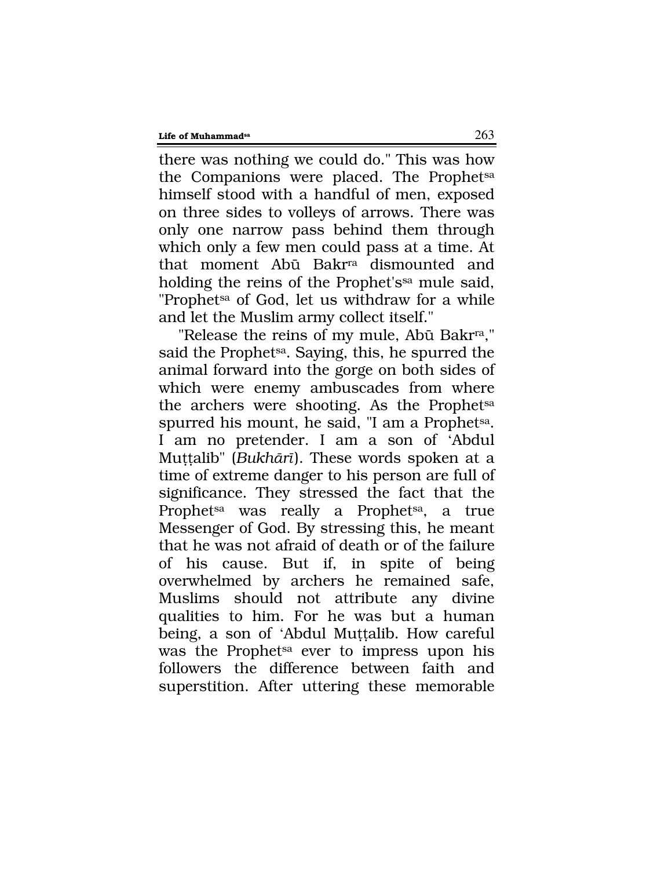there was nothing we could do." This was how the Companions were placed. The Prophetsa himself stood with a handful of men, exposed on three sides to volleys of arrows. There was only one narrow pass behind them through which only a few men could pass at a time. At that moment Abū Bakr<sup>ra</sup> dismounted and holding the reins of the Prophet'ssa mule said, "Prophetsa of God, let us withdraw for a while and let the Muslim army collect itself."

"Release the reins of my mule, Abū Bakr<sup>ra</sup>," said the Prophetsa. Saying, this, he spurred the animal forward into the gorge on both sides of which were enemy ambuscades from where the archers were shooting. As the Prophetsa spurred his mount, he said, "I am a Prophetsa. I am no pretender. I am a son of 'Abdul Muttalib" (*Bukhārī*). These words spoken at a time of extreme danger to his person are full of significance. They stressed the fact that the Prophetsa was really a Prophetsa, a true Messenger of God. By stressing this, he meant that he was not afraid of death or of the failure of his cause. But if, in spite of being overwhelmed by archers he remained safe, Muslims should not attribute any divine qualities to him. For he was but a human being, a son of 'Abdul Muțțalib. How careful was the Prophet<sup>sa</sup> ever to impress upon his followers the difference between faith and superstition. After uttering these memorable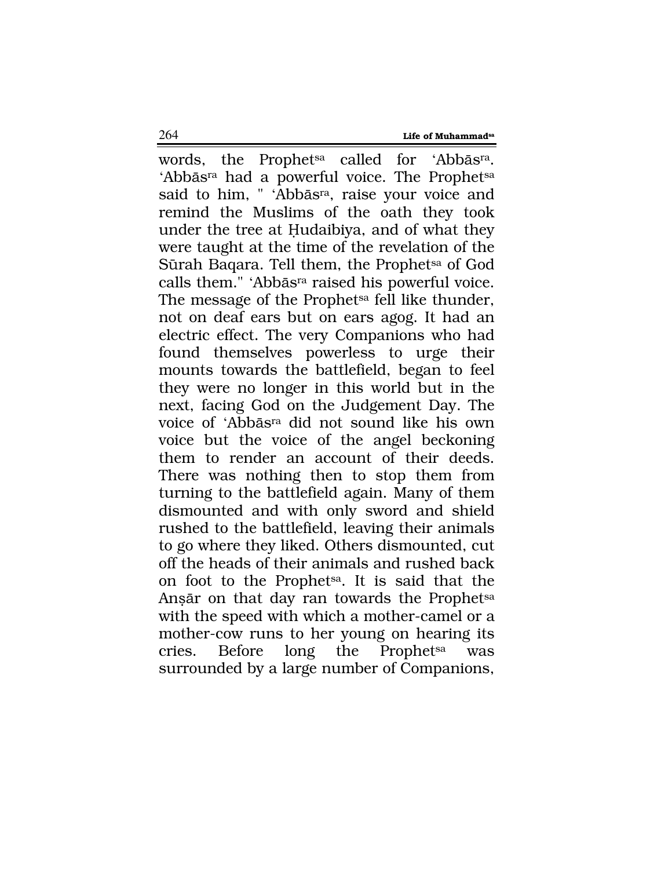words, the Prophetsa called for 'Abbāsra. 'Abbās<sup>ra</sup> had a powerful voice. The Prophetsa said to him, " 'Abbāsra, raise your voice and remind the Muslims of the oath they took under the tree at Hudaibiya, and of what they were taught at the time of the revelation of the Surah Baqara. Tell them, the Prophetsa of God calls them." 'Abbasra raised his powerful voice. The message of the Prophetsa fell like thunder, not on deaf ears but on ears agog. It had an electric effect. The very Companions who had found themselves powerless to urge their mounts towards the battlefield, began to feel they were no longer in this world but in the next, facing God on the Judgement Day. The voice of 'Abbasra did not sound like his own voice but the voice of the angel beckoning them to render an account of their deeds. There was nothing then to stop them from turning to the battlefield again. Many of them dismounted and with only sword and shield rushed to the battlefield, leaving their animals to go where they liked. Others dismounted, cut off the heads of their animals and rushed back on foot to the Prophetsa. It is said that the Ansar on that day ran towards the Prophetsa with the speed with which a mother-camel or a mother-cow runs to her young on hearing its cries. Before long the Prophetsa was surrounded by a large number of Companions,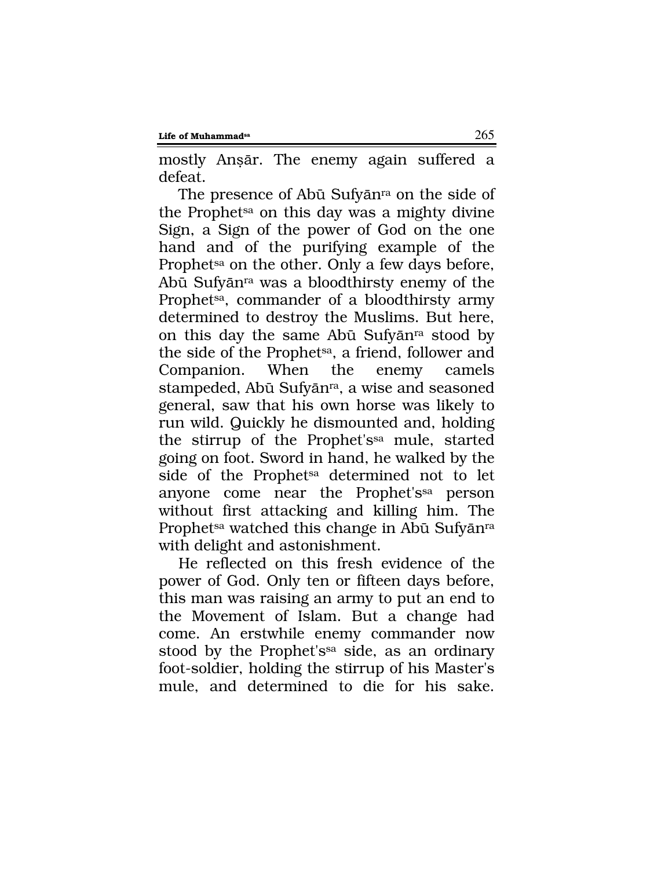mostly Ansar. The enemy again suffered a defeat.

The presence of Abū Sufyān<sup>ra</sup> on the side of the Prophetsa on this day was a mighty divine Sign, a Sign of the power of God on the one hand and of the purifying example of the Prophetsa on the other. Only a few days before, Abū Sufyān<sup>ra</sup> was a bloodthirsty enemy of the Prophetsa, commander of a bloodthirsty army determined to destroy the Muslims. But here, on this day the same Abū Sufyān<sup>ra</sup> stood by the side of the Prophetsa, a friend, follower and Companion. When the enemy camels stampeded, Abū Sufyān<sup>ra</sup>, a wise and seasoned general, saw that his own horse was likely to run wild. Quickly he dismounted and, holding the stirrup of the Prophet'ssa mule, started going on foot. Sword in hand, he walked by the side of the Prophetsa determined not to let anyone come near the Prophet'ssa person without first attacking and killing him. The Prophetsa watched this change in Abū Sufyānra with delight and astonishment.

He reflected on this fresh evidence of the power of God. Only ten or fifteen days before, this man was raising an army to put an end to the Movement of Islam. But a change had come. An erstwhile enemy commander now stood by the Prophet's<sup>sa</sup> side, as an ordinary foot-soldier, holding the stirrup of his Master's mule, and determined to die for his sake.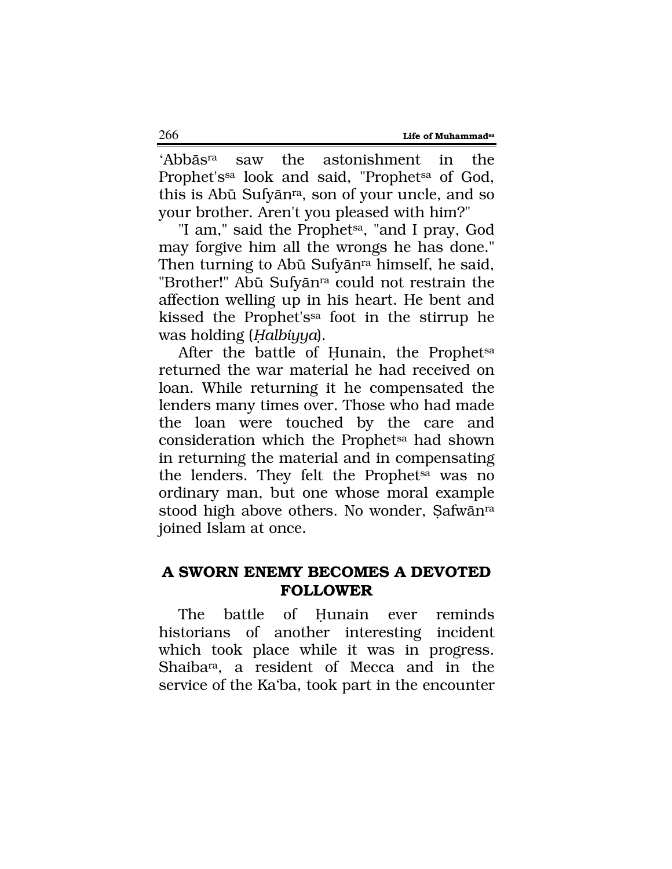'Abbasra saw the astonishment in the Prophet's<sup>sa</sup> look and said, "Prophet<sup>sa</sup> of God, this is Abū Sufyān<sup>ra</sup>, son of your uncle, and so your brother. Aren't you pleased with him?"

"I am," said the Prophetsa, "and I pray, God may forgive him all the wrongs he has done." Then turning to Abū Sufyān<sup>ra</sup> himself, he said, "Brother!" Abū Sufvān<sup>ra</sup> could not restrain the affection welling up in his heart. He bent and kissed the Prophet'ssa foot in the stirrup he was holding (H*albiyya*).

After the battle of Hunain, the Prophetsa returned the war material he had received on loan. While returning it he compensated the lenders many times over. Those who had made the loan were touched by the care and consideration which the Prophetsa had shown in returning the material and in compensating the lenders. They felt the Prophetsa was no ordinary man, but one whose moral example stood high above others. No wonder, Safwanra joined Islam at once.

# **A SWORN ENEMY BECOMES A DEVOTED FOLLOWER**

The battle of Hunain ever reminds historians of another interesting incident which took place while it was in progress. Shaibara, a resident of Mecca and in the service of the Ka'ba, took part in the encounter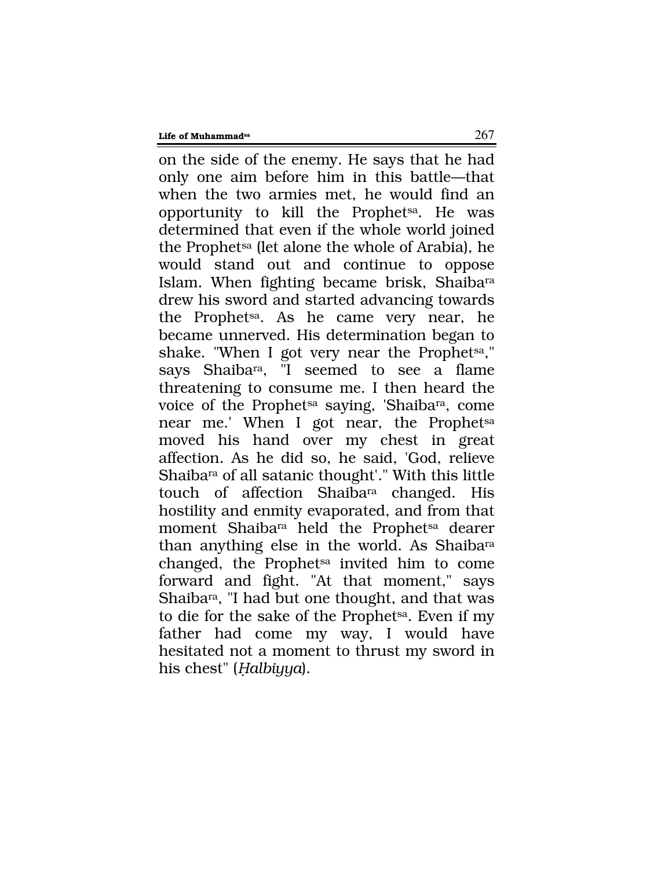on the side of the enemy. He says that he had only one aim before him in this battle—that when the two armies met, he would find an opportunity to kill the Prophetsa. He was determined that even if the whole world joined the Prophetsa (let alone the whole of Arabia), he would stand out and continue to oppose Islam. When fighting became brisk, Shaibara drew his sword and started advancing towards the Prophetsa. As he came very near, he became unnerved. His determination began to shake. "When I got very near the Prophetsa," says Shaibara, "I seemed to see a flame threatening to consume me. I then heard the voice of the Prophetsa saying, 'Shaibara, come near me.' When I got near, the Prophetsa moved his hand over my chest in great affection. As he did so, he said, 'God, relieve Shaibara of all satanic thought'." With this little touch of affection Shaibara changed. His hostility and enmity evaporated, and from that moment Shaibara held the Prophetsa dearer than anything else in the world. As Shaibara changed, the Prophetsa invited him to come forward and fight. "At that moment," says Shaibara, "I had but one thought, and that was to die for the sake of the Prophetsa. Even if my father had come my way, I would have hesitated not a moment to thrust my sword in his chest" (H*albiyya*).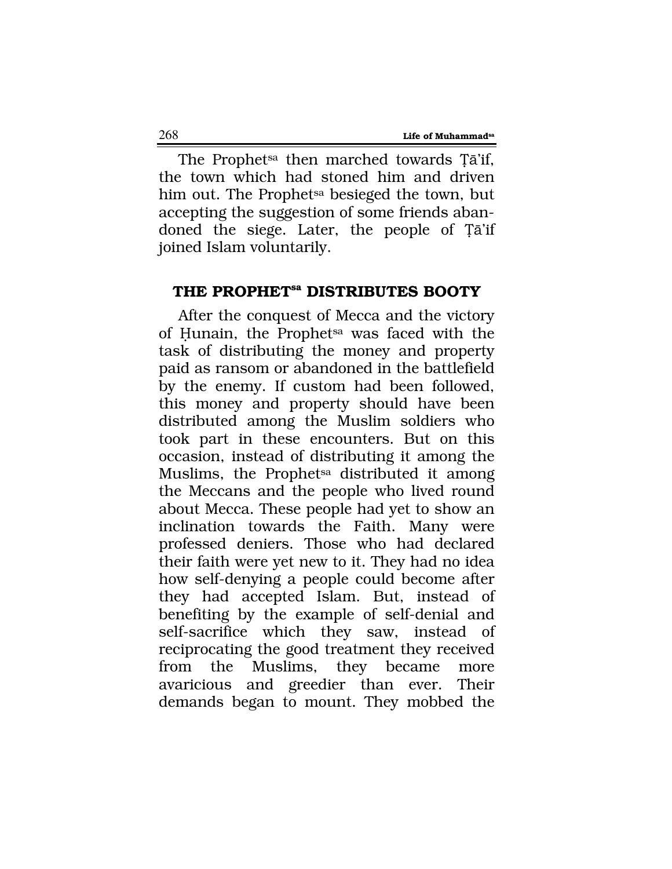The Prophet<sup>sa</sup> then marched towards Tā'if, the town which had stoned him and driven him out. The Prophetsa besieged the town, but accepting the suggestion of some friends abandoned the siege. Later, the people of Ta'if joined Islam voluntarily.

#### **THE PROPHETsa DISTRIBUTES BOOTY**

After the conquest of Mecca and the victory of Hunain, the Prophetsa was faced with the task of distributing the money and property paid as ransom or abandoned in the battlefield by the enemy. If custom had been followed, this money and property should have been distributed among the Muslim soldiers who took part in these encounters. But on this occasion, instead of distributing it among the Muslims, the Prophetsa distributed it among the Meccans and the people who lived round about Mecca. These people had yet to show an inclination towards the Faith. Many were professed deniers. Those who had declared their faith were yet new to it. They had no idea how self-denying a people could become after they had accepted Islam. But, instead of benefiting by the example of self-denial and self-sacrifice which they saw, instead of reciprocating the good treatment they received from the Muslims, they became more avaricious and greedier than ever. Their demands began to mount. They mobbed the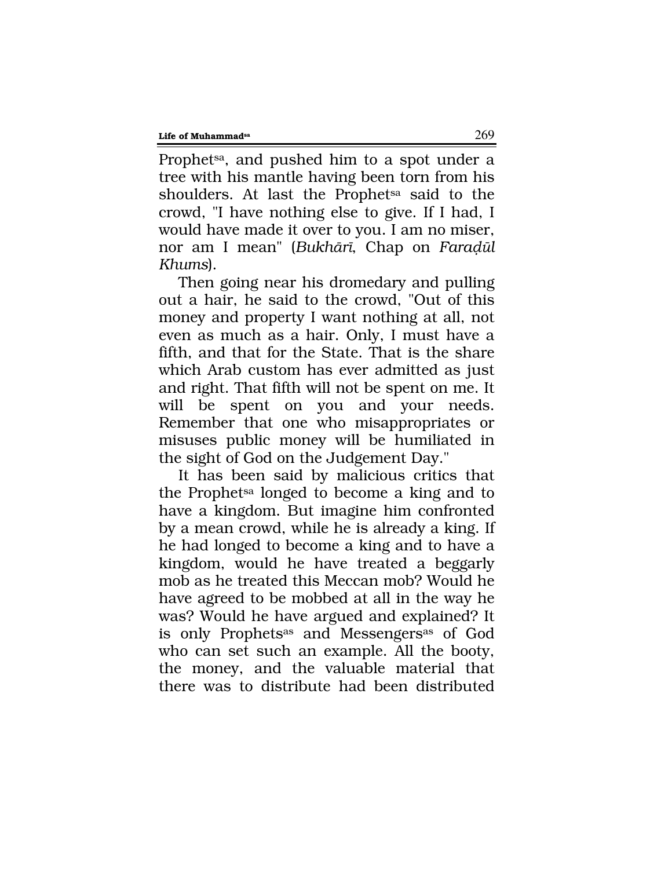Prophetsa, and pushed him to a spot under a tree with his mantle having been torn from his shoulders. At last the Prophetsa said to the crowd, "I have nothing else to give. If I had, I would have made it over to you. I am no miser, nor am I mean" (*Bukh*a*r*i, Chap on *Fara*du*l Khums*).

Then going near his dromedary and pulling out a hair, he said to the crowd, "Out of this money and property I want nothing at all, not even as much as a hair. Only, I must have a fifth, and that for the State. That is the share which Arab custom has ever admitted as just and right. That fifth will not be spent on me. It will be spent on you and your needs. Remember that one who misappropriates or misuses public money will be humiliated in the sight of God on the Judgement Day."

It has been said by malicious critics that the Prophetsa longed to become a king and to have a kingdom. But imagine him confronted by a mean crowd, while he is already a king. If he had longed to become a king and to have a kingdom, would he have treated a beggarly mob as he treated this Meccan mob? Would he have agreed to be mobbed at all in the way he was? Would he have argued and explained? It is only Prophetsas and Messengersas of God who can set such an example. All the booty, the money, and the valuable material that there was to distribute had been distributed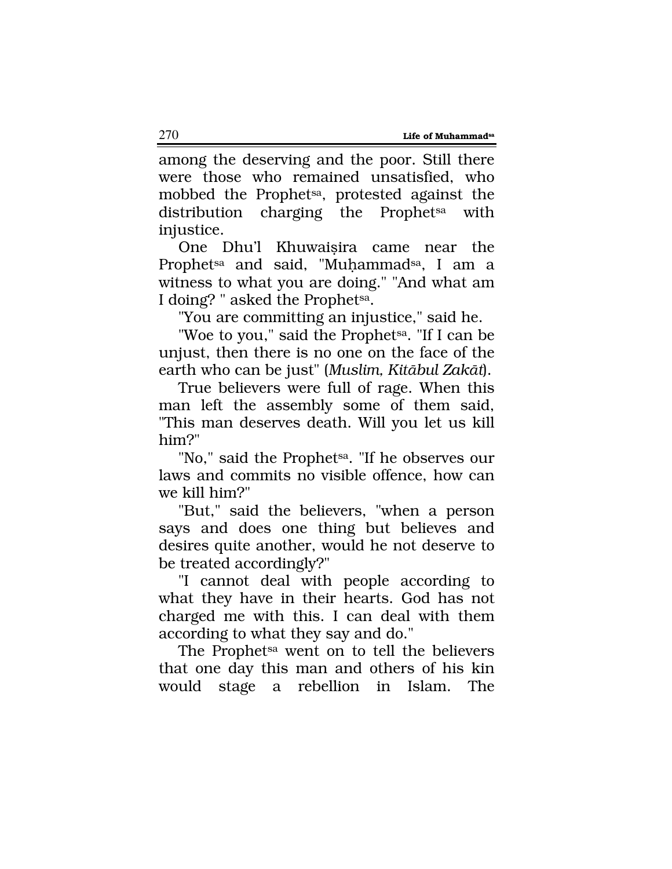among the deserving and the poor. Still there were those who remained unsatisfied, who mobbed the Prophetsa, protested against the distribution charging the Prophetsa with injustice.

One Dhu'l Khuwaisira came near the Prophetsa and said, "Muhammadsa, I am a witness to what you are doing." "And what am I doing? " asked the Prophetsa.

"You are committing an injustice," said he.

"Woe to you," said the Prophetsa. "If I can be unjust, then there is no one on the face of the earth who can be just" (*Muslim, Kit*a*bul Zak*a*t*).

True believers were full of rage. When this man left the assembly some of them said, "This man deserves death. Will you let us kill him?"

"No," said the Prophetsa. "If he observes our laws and commits no visible offence, how can we kill him?"

"But," said the believers, "when a person says and does one thing but believes and desires quite another, would he not deserve to be treated accordingly?"

"I cannot deal with people according to what they have in their hearts. God has not charged me with this. I can deal with them according to what they say and do."

The Prophet<sup>sa</sup> went on to tell the believers that one day this man and others of his kin would stage a rebellion in Islam. The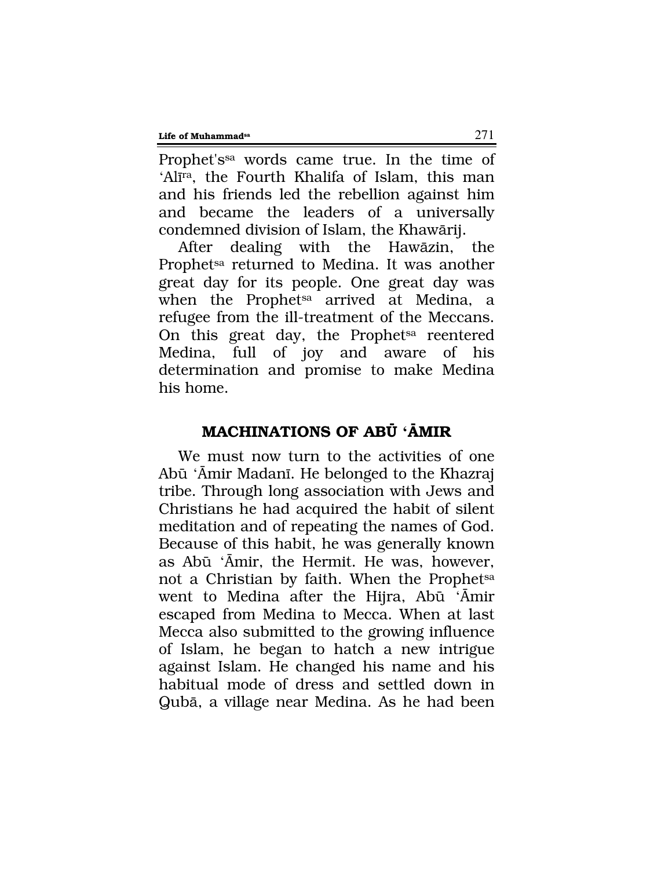Prophet'ssa words came true. In the time of 'Alira, the Fourth Khalifa of Islam, this man and his friends led the rebellion against him and became the leaders of a universally condemned division of Islam, the Khawarij.

After dealing with the Hawazin, the Prophetsa returned to Medina. It was another great day for its people. One great day was when the Prophetsa arrived at Medina, a refugee from the ill-treatment of the Meccans. On this great day, the Prophetsa reentered Medina, full of joy and aware of his determination and promise to make Medina his home.

## **MACHINATIONS OF AB**U **'**A**MIR**

We must now turn to the activities of one Abū 'Āmir Madanī. He belonged to the Khazraj tribe. Through long association with Jews and Christians he had acquired the habit of silent meditation and of repeating the names of God. Because of this habit, he was generally known as Abu 'Amir, the Hermit. He was, however, not a Christian by faith. When the Prophetsa went to Medina after the Hijra, Abū 'Āmir escaped from Medina to Mecca. When at last Mecca also submitted to the growing influence of Islam, he began to hatch a new intrigue against Islam. He changed his name and his habitual mode of dress and settled down in Quba, a village near Medina. As he had been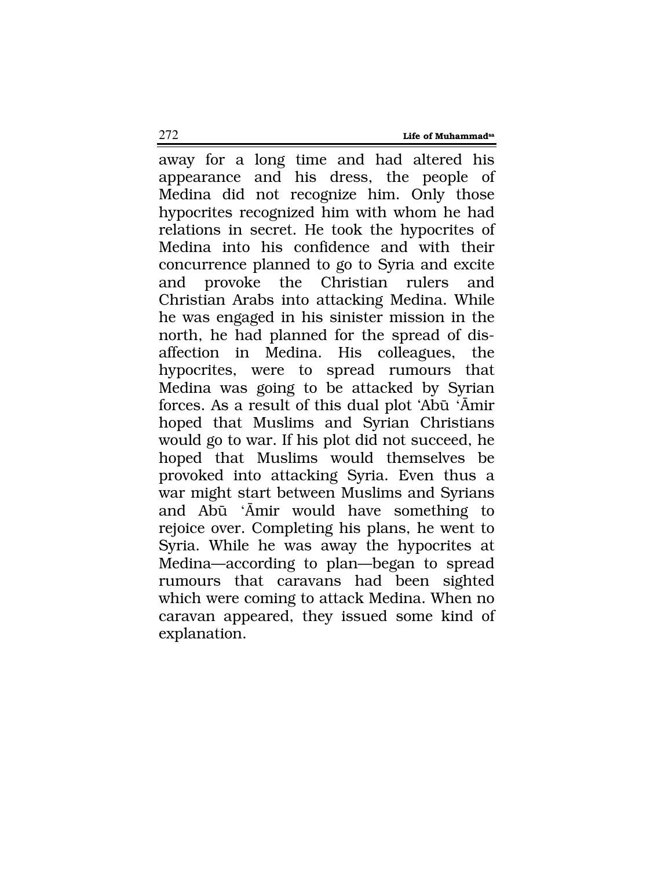away for a long time and had altered his appearance and his dress, the people of Medina did not recognize him. Only those hypocrites recognized him with whom he had relations in secret. He took the hypocrites of Medina into his confidence and with their concurrence planned to go to Syria and excite and provoke the Christian rulers and Christian Arabs into attacking Medina. While he was engaged in his sinister mission in the north, he had planned for the spread of disaffection in Medina. His colleagues, the hypocrites, were to spread rumours that Medina was going to be attacked by Syrian forces. As a result of this dual plot 'Abu 'Amir hoped that Muslims and Syrian Christians would go to war. If his plot did not succeed, he hoped that Muslims would themselves be provoked into attacking Syria. Even thus a war might start between Muslims and Syrians and Abu 'Amir would have something to rejoice over. Completing his plans, he went to Syria. While he was away the hypocrites at Medina—according to plan—began to spread rumours that caravans had been sighted which were coming to attack Medina. When no caravan appeared, they issued some kind of explanation.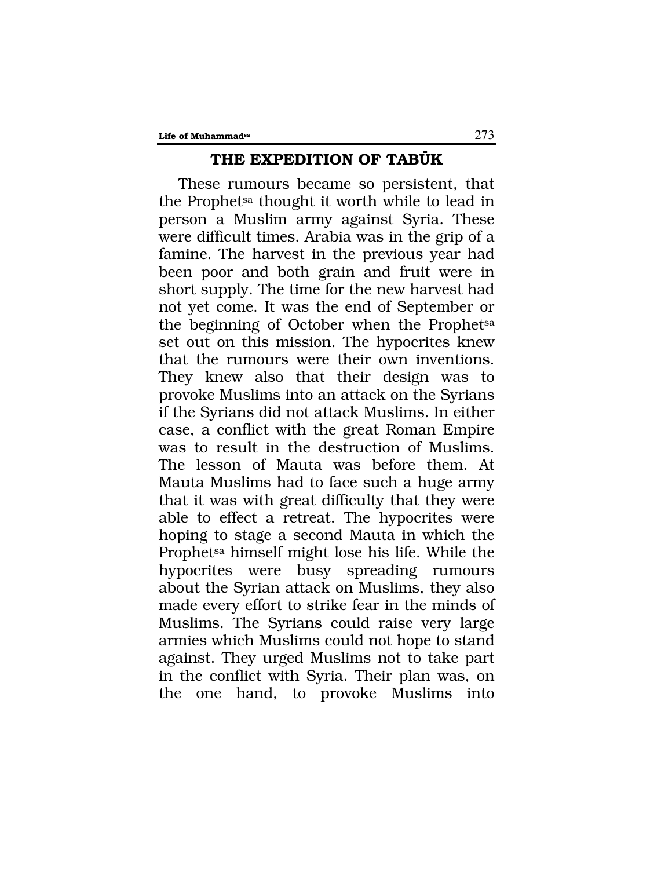#### **THE EXPEDITION OF TAB**U**K**

These rumours became so persistent, that the Prophetsa thought it worth while to lead in person a Muslim army against Syria. These were difficult times. Arabia was in the grip of a famine. The harvest in the previous year had been poor and both grain and fruit were in short supply. The time for the new harvest had not yet come. It was the end of September or the beginning of October when the Prophetsa set out on this mission. The hypocrites knew that the rumours were their own inventions. They knew also that their design was to provoke Muslims into an attack on the Syrians if the Syrians did not attack Muslims. In either case, a conflict with the great Roman Empire was to result in the destruction of Muslims. The lesson of Mauta was before them. At Mauta Muslims had to face such a huge army that it was with great difficulty that they were able to effect a retreat. The hypocrites were hoping to stage a second Mauta in which the Prophetsa himself might lose his life. While the hypocrites were busy spreading rumours about the Syrian attack on Muslims, they also made every effort to strike fear in the minds of Muslims. The Syrians could raise very large armies which Muslims could not hope to stand against. They urged Muslims not to take part in the conflict with Syria. Their plan was, on the one hand, to provoke Muslims into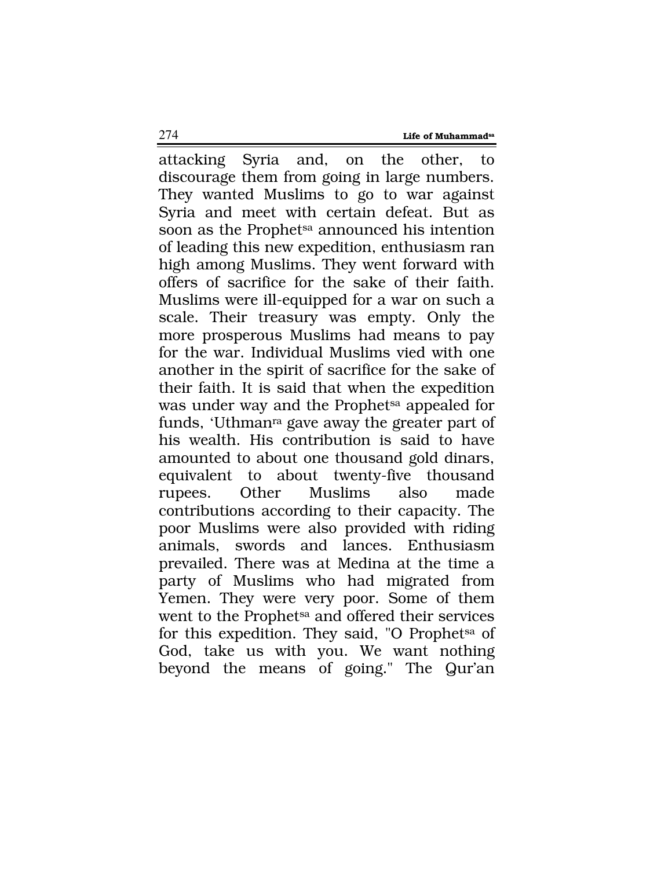attacking Syria and, on the other, to discourage them from going in large numbers. They wanted Muslims to go to war against Syria and meet with certain defeat. But as soon as the Prophet<sup>sa</sup> announced his intention of leading this new expedition, enthusiasm ran high among Muslims. They went forward with offers of sacrifice for the sake of their faith. Muslims were ill-equipped for a war on such a scale. Their treasury was empty. Only the more prosperous Muslims had means to pay for the war. Individual Muslims vied with one another in the spirit of sacrifice for the sake of their faith. It is said that when the expedition was under way and the Prophetsa appealed for funds, 'Uthmanra gave away the greater part of his wealth. His contribution is said to have amounted to about one thousand gold dinars, equivalent to about twenty-five thousand rupees. Other Muslims also made contributions according to their capacity. The poor Muslims were also provided with riding animals, swords and lances. Enthusiasm prevailed. There was at Medina at the time a party of Muslims who had migrated from Yemen. They were very poor. Some of them went to the Prophetsa and offered their services for this expedition. They said, "O Prophetsa of God, take us with you. We want nothing beyond the means of going." The Qur'an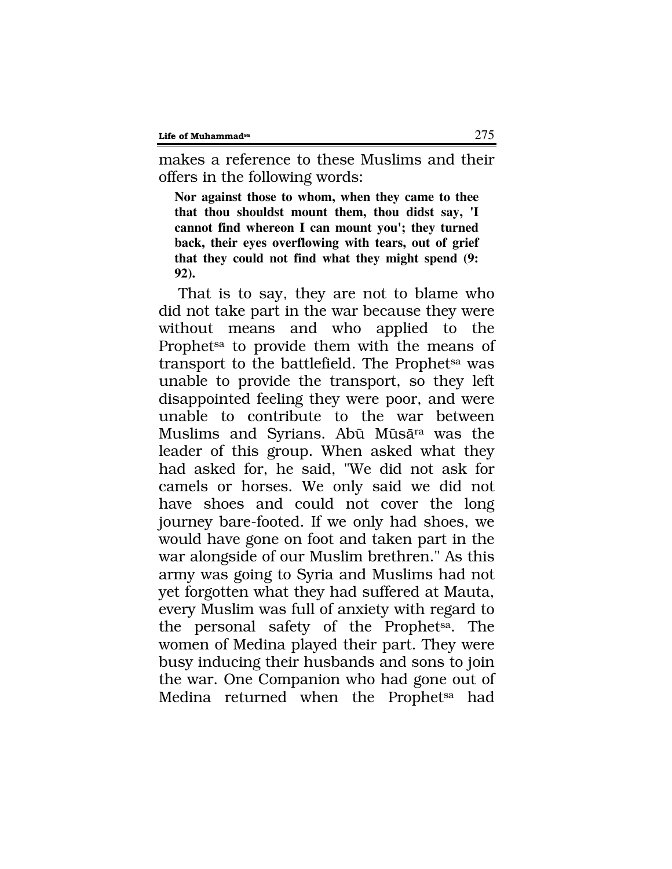makes a reference to these Muslims and their offers in the following words:

**Nor against those to whom, when they came to thee that thou shouldst mount them, thou didst say, 'I cannot find whereon I can mount you'; they turned back, their eyes overflowing with tears, out of grief that they could not find what they might spend (9: 92).** 

That is to say, they are not to blame who did not take part in the war because they were without means and who applied to the Prophet<sup>sa</sup> to provide them with the means of transport to the battlefield. The Prophetsa was unable to provide the transport, so they left disappointed feeling they were poor, and were unable to contribute to the war between Muslims and Syrians. Abū Mūsāra was the leader of this group. When asked what they had asked for, he said, "We did not ask for camels or horses. We only said we did not have shoes and could not cover the long journey bare-footed. If we only had shoes, we would have gone on foot and taken part in the war alongside of our Muslim brethren." As this army was going to Syria and Muslims had not yet forgotten what they had suffered at Mauta, every Muslim was full of anxiety with regard to the personal safety of the Prophetsa. The women of Medina played their part. They were busy inducing their husbands and sons to join the war. One Companion who had gone out of Medina returned when the Prophetsa had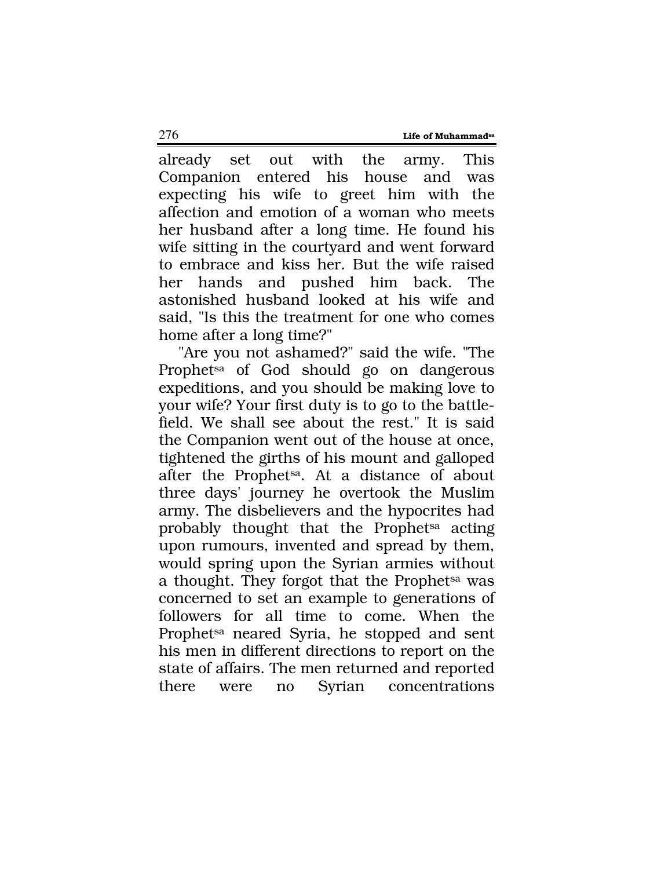already set out with the army. This Companion entered his house and was expecting his wife to greet him with the affection and emotion of a woman who meets her husband after a long time. He found his wife sitting in the courtyard and went forward to embrace and kiss her. But the wife raised her hands and pushed him back. The astonished husband looked at his wife and said, "Is this the treatment for one who comes home after a long time?"

"Are you not ashamed?" said the wife. "The Prophet<sup>sa</sup> of God should go on dangerous expeditions, and you should be making love to your wife? Your first duty is to go to the battlefield. We shall see about the rest." It is said the Companion went out of the house at once, tightened the girths of his mount and galloped after the Prophetsa. At a distance of about three days' journey he overtook the Muslim army. The disbelievers and the hypocrites had probably thought that the Prophetsa acting upon rumours, invented and spread by them, would spring upon the Syrian armies without a thought. They forgot that the Prophetsa was concerned to set an example to generations of followers for all time to come. When the Prophetsa neared Syria, he stopped and sent his men in different directions to report on the state of affairs. The men returned and reported there were no Syrian concentrations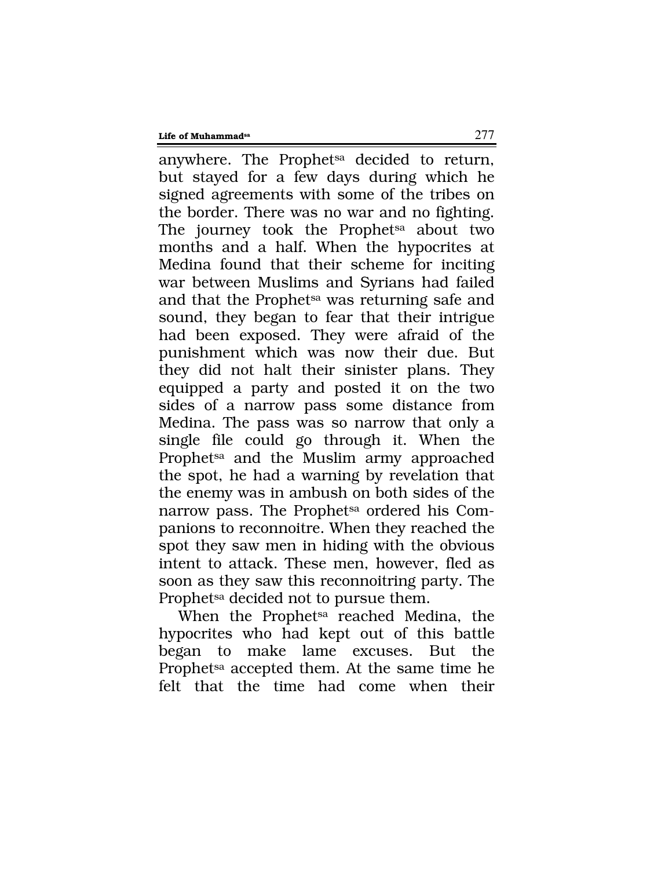anywhere. The Prophetsa decided to return, but stayed for a few days during which he signed agreements with some of the tribes on the border. There was no war and no fighting. The journey took the Prophetsa about two months and a half. When the hypocrites at Medina found that their scheme for inciting war between Muslims and Syrians had failed and that the Prophetsa was returning safe and sound, they began to fear that their intrigue had been exposed. They were afraid of the punishment which was now their due. But they did not halt their sinister plans. They equipped a party and posted it on the two sides of a narrow pass some distance from Medina. The pass was so narrow that only a single file could go through it. When the Prophetsa and the Muslim army approached the spot, he had a warning by revelation that the enemy was in ambush on both sides of the narrow pass. The Prophetsa ordered his Companions to reconnoitre. When they reached the spot they saw men in hiding with the obvious intent to attack. These men, however, fled as soon as they saw this reconnoitring party. The Prophet<sup>sa</sup> decided not to pursue them.

When the Prophetsa reached Medina, the hypocrites who had kept out of this battle began to make lame excuses. But the Prophetsa accepted them. At the same time he felt that the time had come when their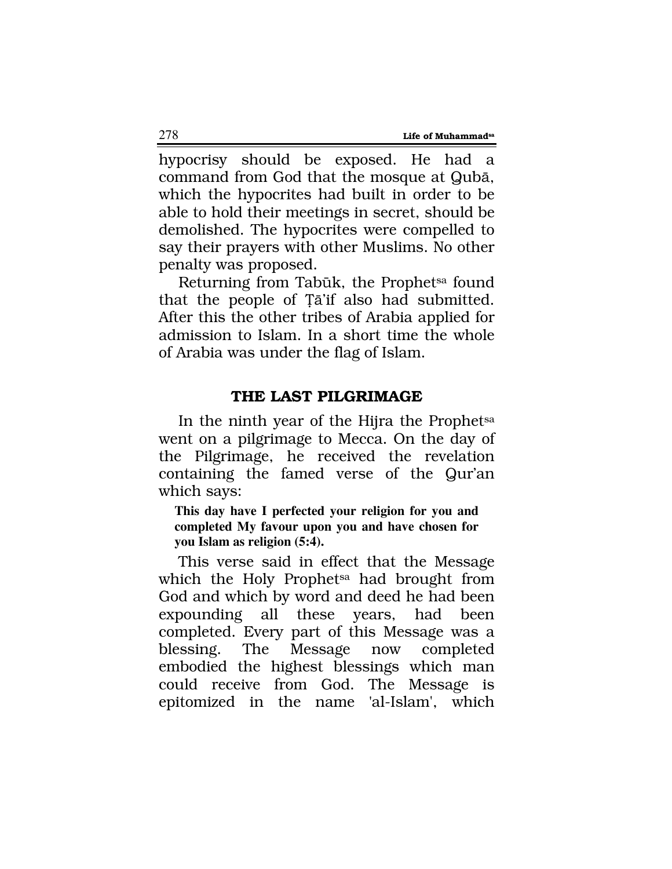hypocrisy should be exposed. He had a command from God that the mosque at Quba, which the hypocrites had built in order to be able to hold their meetings in secret, should be demolished. The hypocrites were compelled to say their prayers with other Muslims. No other penalty was proposed.

Returning from Tabūk, the Prophetsa found that the people of Ta'if also had submitted. After this the other tribes of Arabia applied for admission to Islam. In a short time the whole of Arabia was under the flag of Islam.

### **THE LAST PILGRIMAGE**

In the ninth year of the Hijra the Prophetsa went on a pilgrimage to Mecca. On the day of the Pilgrimage, he received the revelation containing the famed verse of the Qur'an which says:

**This day have I perfected your religion for you and completed My favour upon you and have chosen for you Islam as religion (5:4).** 

This verse said in effect that the Message which the Holy Prophetsa had brought from God and which by word and deed he had been expounding all these years, had been completed. Every part of this Message was a blessing. The Message now completed embodied the highest blessings which man could receive from God. The Message is epitomized in the name 'al-Islam', which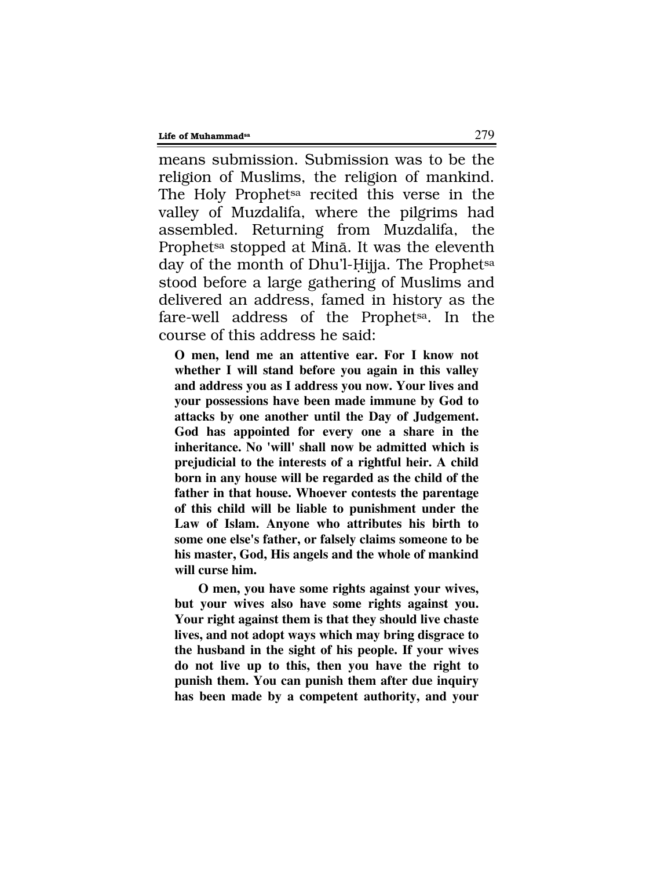means submission. Submission was to be the religion of Muslims, the religion of mankind. The Holy Prophet<sup>sa</sup> recited this verse in the valley of Muzdalifa, where the pilgrims had assembled. Returning from Muzdalifa, the Prophetsa stopped at Mina. It was the eleventh day of the month of Dhu'l-Hijja. The Prophetsa stood before a large gathering of Muslims and delivered an address, famed in history as the fare-well address of the Prophetsa. In the course of this address he said:

**O men, lend me an attentive ear. For I know not whether I will stand before you again in this valley and address you as I address you now. Your lives and your possessions have been made immune by God to attacks by one another until the Day of Judgement. God has appointed for every one a share in the inheritance. No 'will' shall now be admitted which is prejudicial to the interests of a rightful heir. A child born in any house will be regarded as the child of the father in that house. Whoever contests the parentage of this child will be liable to punishment under the Law of Islam. Anyone who attributes his birth to some one else's father, or falsely claims someone to be his master, God, His angels and the whole of mankind will curse him.** 

**O men, you have some rights against your wives, but your wives also have some rights against you. Your right against them is that they should live chaste lives, and not adopt ways which may bring disgrace to the husband in the sight of his people. If your wives do not live up to this, then you have the right to punish them. You can punish them after due inquiry has been made by a competent authority, and your**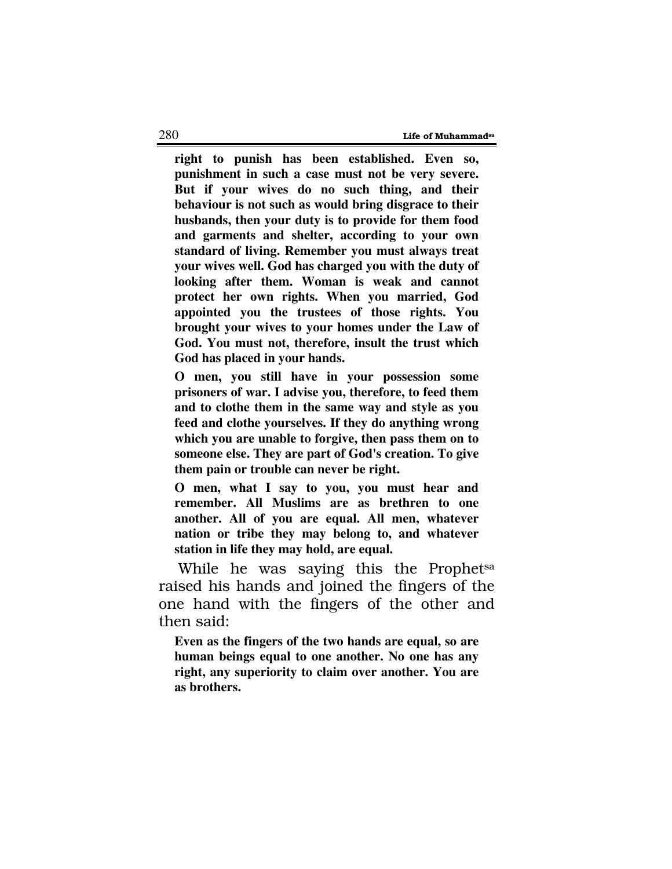**right to punish has been established. Even so, punishment in such a case must not be very severe. But if your wives do no such thing, and their behaviour is not such as would bring disgrace to their husbands, then your duty is to provide for them food and garments and shelter, according to your own standard of living. Remember you must always treat your wives well. God has charged you with the duty of looking after them. Woman is weak and cannot protect her own rights. When you married, God appointed you the trustees of those rights. You brought your wives to your homes under the Law of God. You must not, therefore, insult the trust which God has placed in your hands.** 

**O men, you still have in your possession some prisoners of war. I advise you, therefore, to feed them and to clothe them in the same way and style as you feed and clothe yourselves. If they do anything wrong which you are unable to forgive, then pass them on to someone else. They are part of God's creation. To give them pain or trouble can never be right.** 

**O men, what I say to you, you must hear and remember. All Muslims are as brethren to one another. All of you are equal. All men, whatever nation or tribe they may belong to, and whatever station in life they may hold, are equal.** 

While he was saying this the Prophetsa raised his hands and joined the fingers of the one hand with the fingers of the other and then said:

**Even as the fingers of the two hands are equal, so are human beings equal to one another. No one has any right, any superiority to claim over another. You are as brothers.**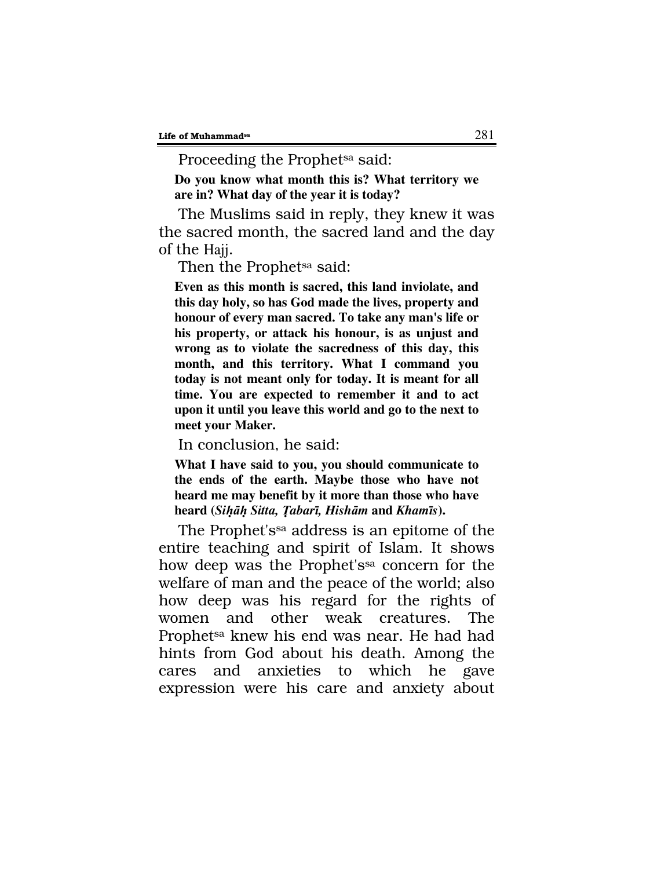Proceeding the Prophetsa said:

**Do you know what month this is? What territory we are in? What day of the year it is today?** 

The Muslims said in reply, they knew it was the sacred month, the sacred land and the day of the Hajj.

Then the Prophetsa said:

**Even as this month is sacred, this land inviolate, and this day holy, so has God made the lives, property and honour of every man sacred. To take any man's life or his property, or attack his honour, is as unjust and wrong as to violate the sacredness of this day, this month, and this territory. What I command you today is not meant only for today. It is meant for all time. You are expected to remember it and to act upon it until you leave this world and go to the next to meet your Maker.** 

In conclusion, he said:

**What I have said to you, you should communicate to the ends of the earth. Maybe those who have not heard me may benefit by it more than those who have heard (***Si*hah *Sitta,* T*abar*i*, Hish*a*m* **and** *Kham*i*s***).** 

The Prophet'ssa address is an epitome of the entire teaching and spirit of Islam. It shows how deep was the Prophet'ssa concern for the welfare of man and the peace of the world; also how deep was his regard for the rights of women and other weak creatures. The Prophetsa knew his end was near. He had had hints from God about his death. Among the cares and anxieties to which he gave expression were his care and anxiety about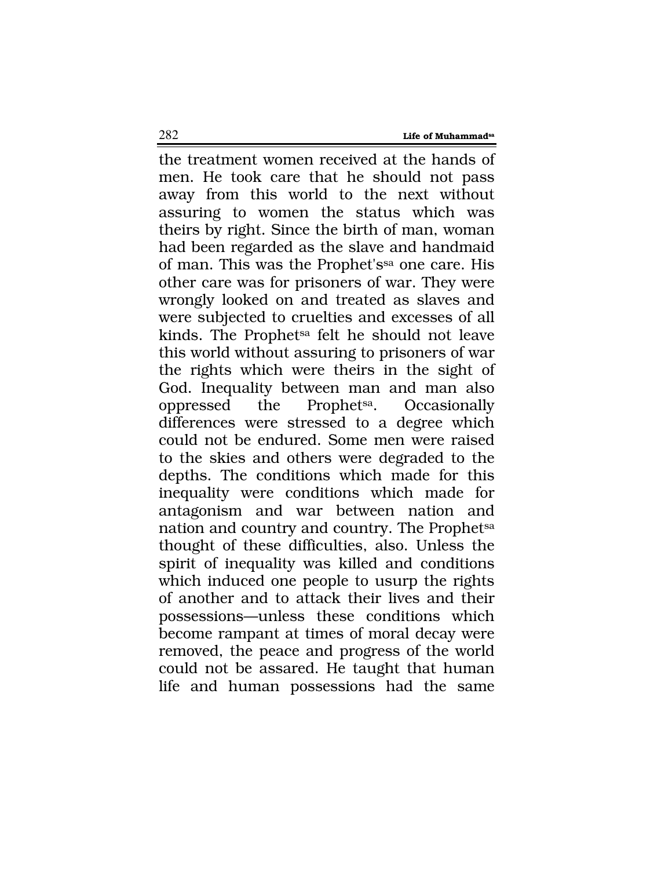the treatment women received at the hands of men. He took care that he should not pass away from this world to the next without assuring to women the status which was theirs by right. Since the birth of man, woman had been regarded as the slave and handmaid of man. This was the Prophet'ssa one care. His other care was for prisoners of war. They were wrongly looked on and treated as slaves and were subjected to cruelties and excesses of all kinds. The Prophetsa felt he should not leave this world without assuring to prisoners of war the rights which were theirs in the sight of God. Inequality between man and man also oppressed the Prophetsa. Occasionally differences were stressed to a degree which could not be endured. Some men were raised to the skies and others were degraded to the depths. The conditions which made for this inequality were conditions which made for antagonism and war between nation and nation and country and country. The Prophetsa thought of these difficulties, also. Unless the spirit of inequality was killed and conditions which induced one people to usurp the rights of another and to attack their lives and their possessions—unless these conditions which become rampant at times of moral decay were removed, the peace and progress of the world could not be assared. He taught that human life and human possessions had the same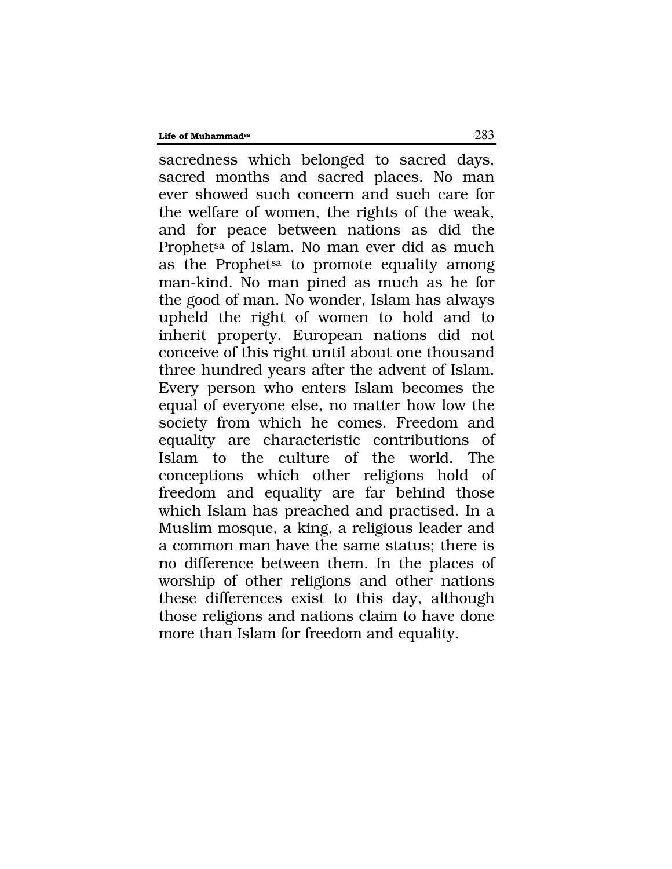sacredness which belonged to sacred days, sacred months and sacred places. No man ever showed such concern and such care for the welfare of women, the rights of the weak, and for peace between nations as did the Prophetsa of Islam. No man ever did as much as the Prophetsa to promote equality among man-kind. No man pined as much as he for the good of man. No wonder, Islam has always upheld the right of women to hold and to inherit property. European nations did not conceive of this right until about one thousand three hundred years after the advent of Islam. Every person who enters Islam becomes the equal of everyone else, no matter how low the society from which he comes. Freedom and equality are characteristic contributions of Islam to the culture of the world. The conceptions which other religions hold of freedom and equality are far behind those which Islam has preached and practised. In a Muslim mosque, a king, a religious leader and a common man have the same status; there is no difference between them. In the places of worship of other religions and other nations these differences exist to this day, although those religions and nations claim to have done more than Islam for freedom and equality.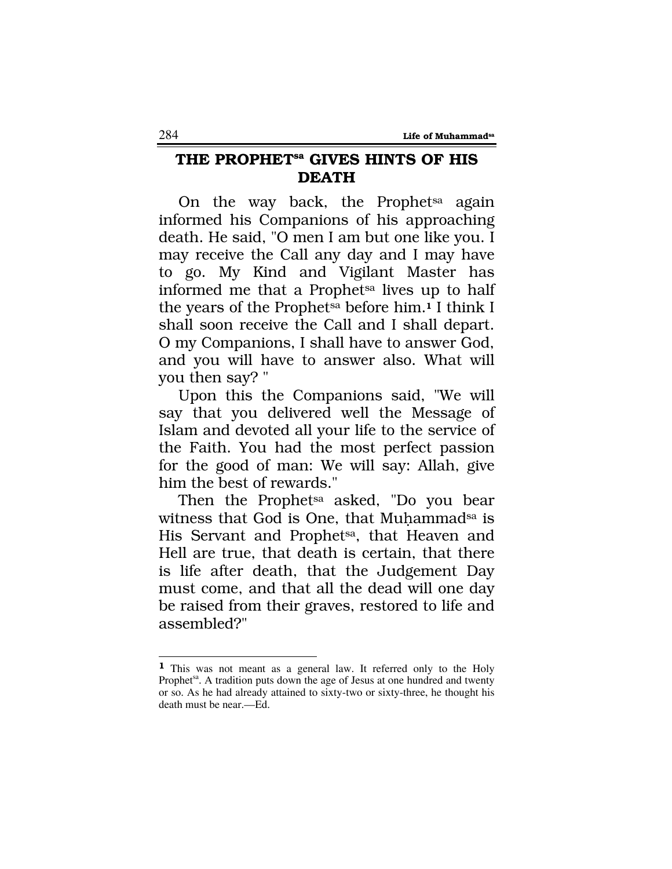# **THE PROPHETsa GIVES HINTS OF HIS DEATH**

On the way back, the Prophetsa again informed his Companions of his approaching death. He said, "O men I am but one like you. I may receive the Call any day and I may have to go. My Kind and Vigilant Master has informed me that a Prophetsa lives up to half the years of the Prophetsa before him.**1** I think I shall soon receive the Call and I shall depart. O my Companions, I shall have to answer God, and you will have to answer also. What will you then say? "

Upon this the Companions said, "We will say that you delivered well the Message of Islam and devoted all your life to the service of the Faith. You had the most perfect passion for the good of man: We will say: Allah, give him the best of rewards."

Then the Prophet<sup>sa</sup> asked, "Do you bear witness that God is One, that Muhammad<sup>sa</sup> is His Servant and Prophetsa, that Heaven and Hell are true, that death is certain, that there is life after death, that the Judgement Day must come, and that all the dead will one day be raised from their graves, restored to life and assembled?"

 $\overline{a}$ 

**<sup>1</sup>** This was not meant as a general law. It referred only to the Holy Prophet<sup>sa</sup>. A tradition puts down the age of Jesus at one hundred and twenty or so. As he had already attained to sixty-two or sixty-three, he thought his death must be near.—Ed.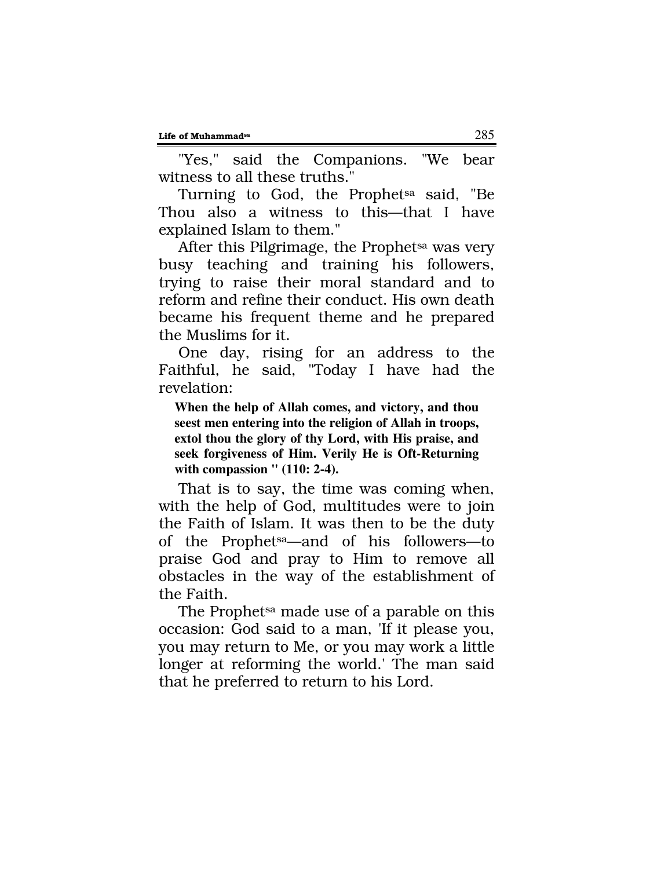"Yes," said the Companions. "We bear witness to all these truths."

Turning to God, the Prophetsa said, "Be Thou also a witness to this—that I have explained Islam to them."

After this Pilgrimage, the Prophetsa was very busy teaching and training his followers, trying to raise their moral standard and to reform and refine their conduct. His own death became his frequent theme and he prepared the Muslims for it.

One day, rising for an address to the Faithful, he said, "Today I have had the revelation:

**When the help of Allah comes, and victory, and thou seest men entering into the religion of Allah in troops, extol thou the glory of thy Lord, with His praise, and seek forgiveness of Him. Verily He is Oft-Returning with compassion " (110: 2-4).** 

That is to say, the time was coming when, with the help of God, multitudes were to join the Faith of Islam. It was then to be the duty of the Prophetsa—and of his followers—to praise God and pray to Him to remove all obstacles in the way of the establishment of the Faith.

The Prophet<sup>sa</sup> made use of a parable on this occasion: God said to a man, 'If it please you, you may return to Me, or you may work a little longer at reforming the world.' The man said that he preferred to return to his Lord.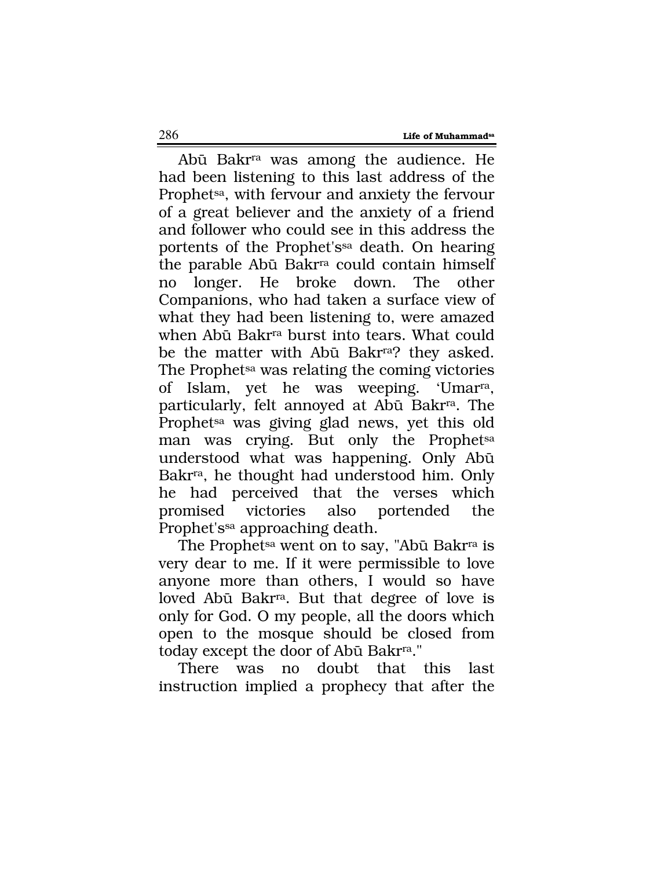Abu Bakrra was among the audience. He had been listening to this last address of the Prophetsa, with fervour and anxiety the fervour of a great believer and the anxiety of a friend and follower who could see in this address the portents of the Prophet'ssa death. On hearing the parable Abū Bakr<sup>ra</sup> could contain himself no longer. He broke down. The other Companions, who had taken a surface view of what they had been listening to, were amazed when Abū Bakr<sup>ra</sup> burst into tears. What could be the matter with Abū Bakr<sup>ra</sup>? they asked. The Prophetsa was relating the coming victories of Islam, yet he was weeping. 'Umarra, particularly, felt annoyed at Abū Bakrra. The Prophetsa was giving glad news, yet this old man was crying. But only the Prophetsa understood what was happening. Only Abu Bakrra, he thought had understood him. Only he had perceived that the verses which promised victories also portended the Prophet'ssa approaching death.

The Prophet<sup>sa</sup> went on to say, "Abū Bakr<sup>ra</sup> is very dear to me. If it were permissible to love anyone more than others, I would so have loved Abū Bakr<sup>ra</sup>. But that degree of love is only for God. O my people, all the doors which open to the mosque should be closed from today except the door of Abū Bakr<sup>ra</sup>."

There was no doubt that this last instruction implied a prophecy that after the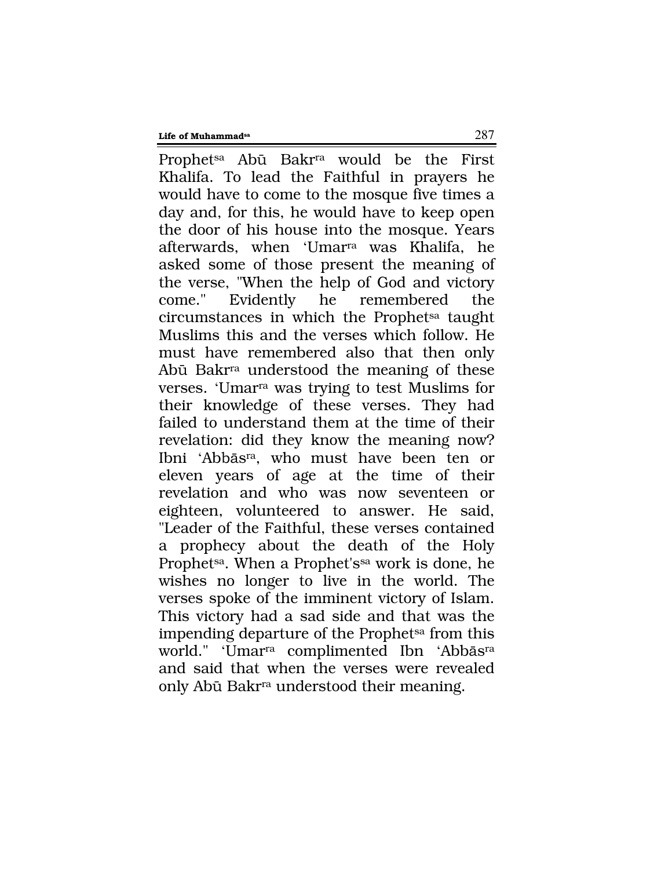Prophetsa Abū Bakrra would be the First Khalifa. To lead the Faithful in prayers he would have to come to the mosque five times a day and, for this, he would have to keep open the door of his house into the mosque. Years afterwards, when 'Umarra was Khalifa, he asked some of those present the meaning of the verse, "When the help of God and victory come." Evidently he remembered the circumstances in which the Prophetsa taught Muslims this and the verses which follow. He must have remembered also that then only Abū Bakr<sup>ra</sup> understood the meaning of these verses. 'Umarra was trying to test Muslims for their knowledge of these verses. They had failed to understand them at the time of their revelation: did they know the meaning now? Ibni 'Abbasra, who must have been ten or eleven years of age at the time of their revelation and who was now seventeen or eighteen, volunteered to answer. He said, "Leader of the Faithful, these verses contained a prophecy about the death of the Holy Prophetsa. When a Prophet'ssa work is done, he wishes no longer to live in the world. The verses spoke of the imminent victory of Islam. This victory had a sad side and that was the impending departure of the Prophetsa from this world." 'Umarra complimented Ibn 'Abbasra and said that when the verses were revealed only Abū Bakr<sup>ra</sup> understood their meaning.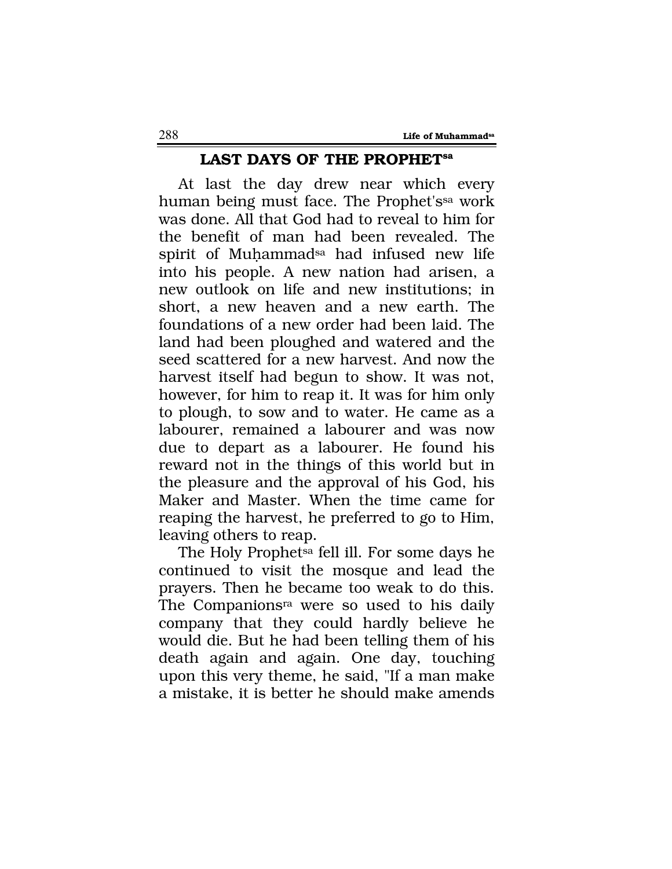## **LAST DAYS OF THE PROPHETsa**

At last the day drew near which every human being must face. The Prophet'ssa work was done. All that God had to reveal to him for the benefit of man had been revealed. The spirit of Muhammad<sup>sa</sup> had infused new life into his people. A new nation had arisen, a new outlook on life and new institutions; in short, a new heaven and a new earth. The foundations of a new order had been laid. The land had been ploughed and watered and the seed scattered for a new harvest. And now the harvest itself had begun to show. It was not, however, for him to reap it. It was for him only to plough, to sow and to water. He came as a labourer, remained a labourer and was now due to depart as a labourer. He found his reward not in the things of this world but in the pleasure and the approval of his God, his Maker and Master. When the time came for reaping the harvest, he preferred to go to Him, leaving others to reap.

The Holy Prophetsa fell ill. For some days he continued to visit the mosque and lead the prayers. Then he became too weak to do this. The Companions<sup>ra</sup> were so used to his daily company that they could hardly believe he would die. But he had been telling them of his death again and again. One day, touching upon this very theme, he said, "If a man make a mistake, it is better he should make amends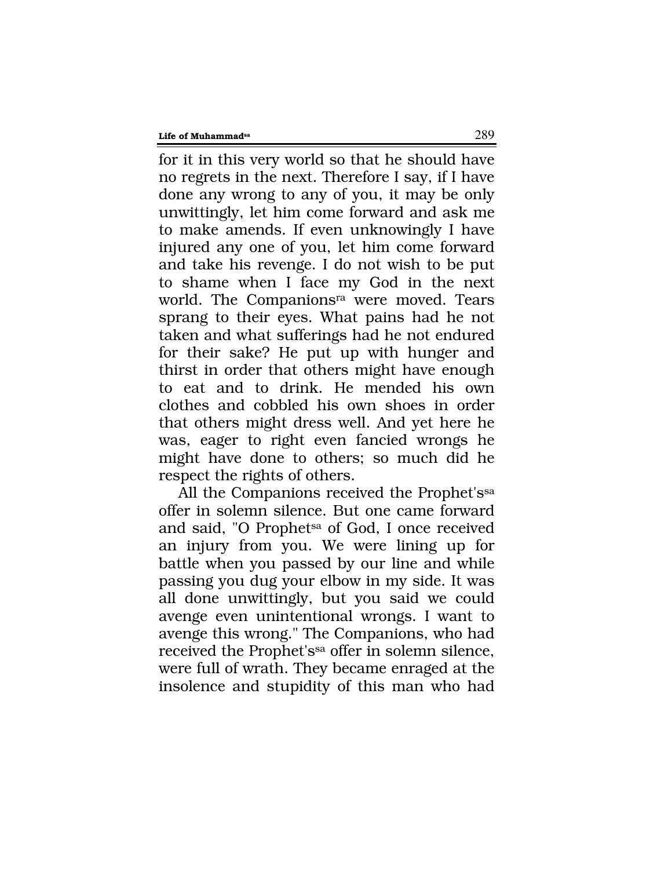for it in this very world so that he should have no regrets in the next. Therefore I say, if I have done any wrong to any of you, it may be only unwittingly, let him come forward and ask me to make amends. If even unknowingly I have injured any one of you, let him come forward and take his revenge. I do not wish to be put to shame when I face my God in the next world. The Companionsra were moved. Tears sprang to their eyes. What pains had he not taken and what sufferings had he not endured for their sake? He put up with hunger and thirst in order that others might have enough to eat and to drink. He mended his own clothes and cobbled his own shoes in order that others might dress well. And yet here he was, eager to right even fancied wrongs he might have done to others; so much did he respect the rights of others.

All the Companions received the Prophet'ssa offer in solemn silence. But one came forward and said, "O Prophetsa of God, I once received an injury from you. We were lining up for battle when you passed by our line and while passing you dug your elbow in my side. It was all done unwittingly, but you said we could avenge even unintentional wrongs. I want to avenge this wrong." The Companions, who had received the Prophet'ssa offer in solemn silence, were full of wrath. They became enraged at the insolence and stupidity of this man who had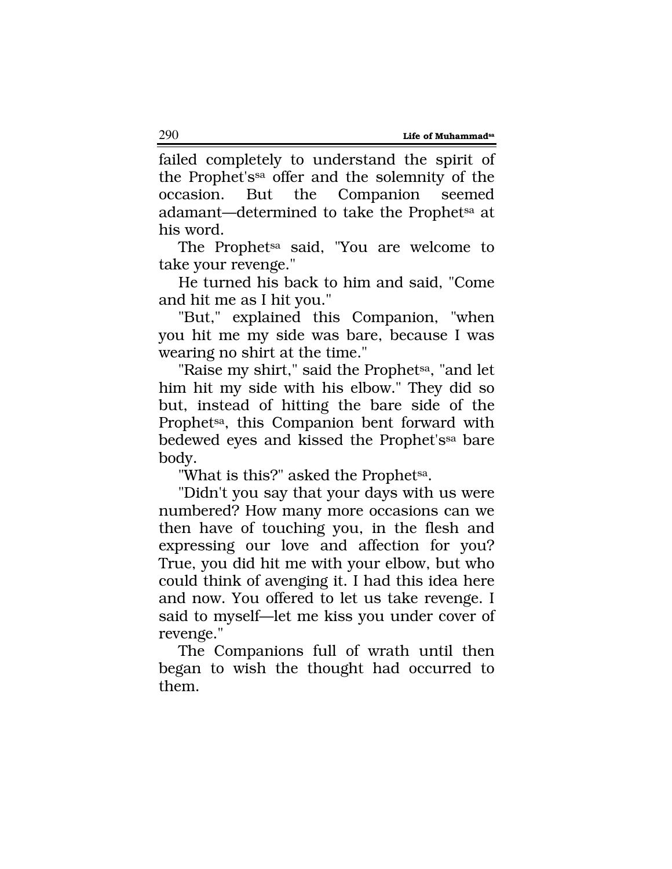failed completely to understand the spirit of the Prophet'ssa offer and the solemnity of the occasion. But the Companion seemed adamant—determined to take the Prophetsa at his word.

The Prophetsa said, "You are welcome to take your revenge."

He turned his back to him and said, "Come and hit me as I hit you."

"But," explained this Companion, "when you hit me my side was bare, because I was wearing no shirt at the time."

"Raise my shirt," said the Prophetsa, "and let him hit my side with his elbow." They did so but, instead of hitting the bare side of the Prophetsa, this Companion bent forward with bedewed eyes and kissed the Prophet'ssa bare body.

"What is this?" asked the Prophetsa.

"Didn't you say that your days with us were numbered? How many more occasions can we then have of touching you, in the flesh and expressing our love and affection for you? True, you did hit me with your elbow, but who could think of avenging it. I had this idea here and now. You offered to let us take revenge. I said to myself—let me kiss you under cover of revenge."

The Companions full of wrath until then began to wish the thought had occurred to them.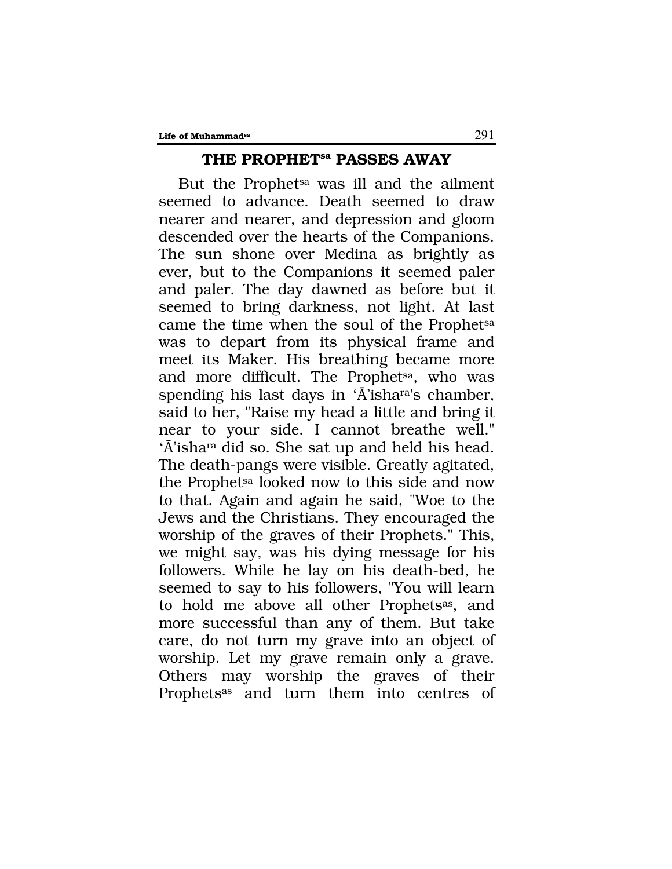#### THE PROPHET<sup>sa</sup> PASSES AWAY

But the Prophetsa was ill and the ailment seemed to advance. Death seemed to draw nearer and nearer, and depression and gloom descended over the hearts of the Companions. The sun shone over Medina as brightly as ever, but to the Companions it seemed paler and paler. The day dawned as before but it seemed to bring darkness, not light. At last came the time when the soul of the Prophetsa was to depart from its physical frame and meet its Maker. His breathing became more and more difficult. The Prophetsa, who was spending his last days in 'A'ishara's chamber, said to her, "Raise my head a little and bring it near to your side. I cannot breathe well." 'A'ishara did so. She sat up and held his head. The death-pangs were visible. Greatly agitated, the Prophetsa looked now to this side and now to that. Again and again he said, "Woe to the Jews and the Christians. They encouraged the worship of the graves of their Prophets." This, we might say, was his dying message for his followers. While he lay on his death-bed, he seemed to say to his followers, "You will learn to hold me above all other Prophetsas, and more successful than any of them. But take care, do not turn my grave into an object of worship. Let my grave remain only a grave. Others may worship the graves of their Prophetsas and turn them into centres of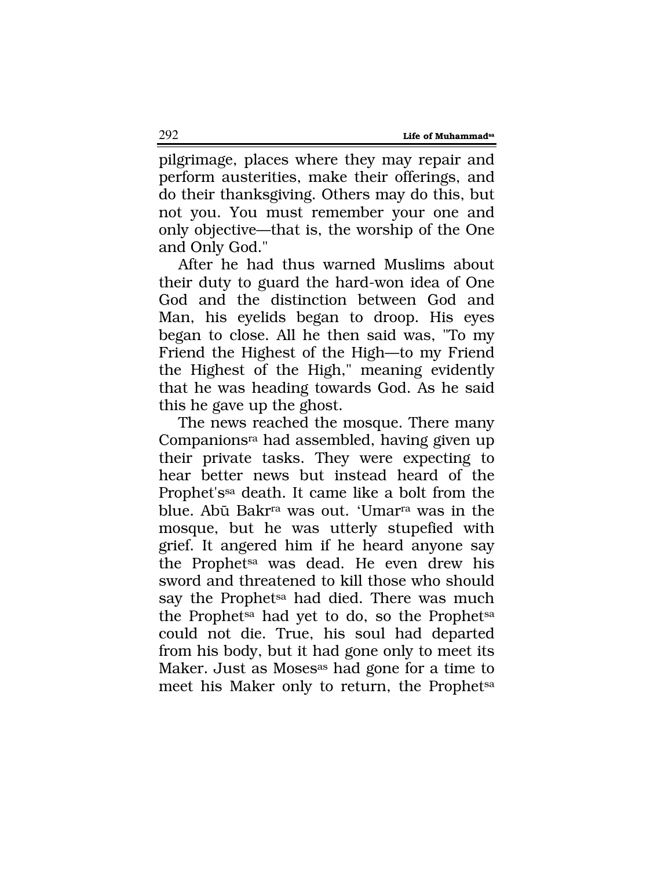pilgrimage, places where they may repair and perform austerities, make their offerings, and do their thanksgiving. Others may do this, but not you. You must remember your one and only objective—that is, the worship of the One and Only God."

After he had thus warned Muslims about their duty to guard the hard-won idea of One God and the distinction between God and Man, his eyelids began to droop. His eyes began to close. All he then said was, "To my Friend the Highest of the High—to my Friend the Highest of the High," meaning evidently that he was heading towards God. As he said this he gave up the ghost.

The news reached the mosque. There many Companionsra had assembled, having given up their private tasks. They were expecting to hear better news but instead heard of the Prophet's<sup>sa</sup> death. It came like a bolt from the blue. Abū Bakr<sup>ra</sup> was out. 'Umar<sup>ra</sup> was in the mosque, but he was utterly stupefied with grief. It angered him if he heard anyone say the Prophetsa was dead. He even drew his sword and threatened to kill those who should say the Prophet<sup>sa</sup> had died. There was much the Prophetsa had yet to do, so the Prophetsa could not die. True, his soul had departed from his body, but it had gone only to meet its Maker. Just as Moses<sup>as</sup> had gone for a time to meet his Maker only to return, the Prophetsa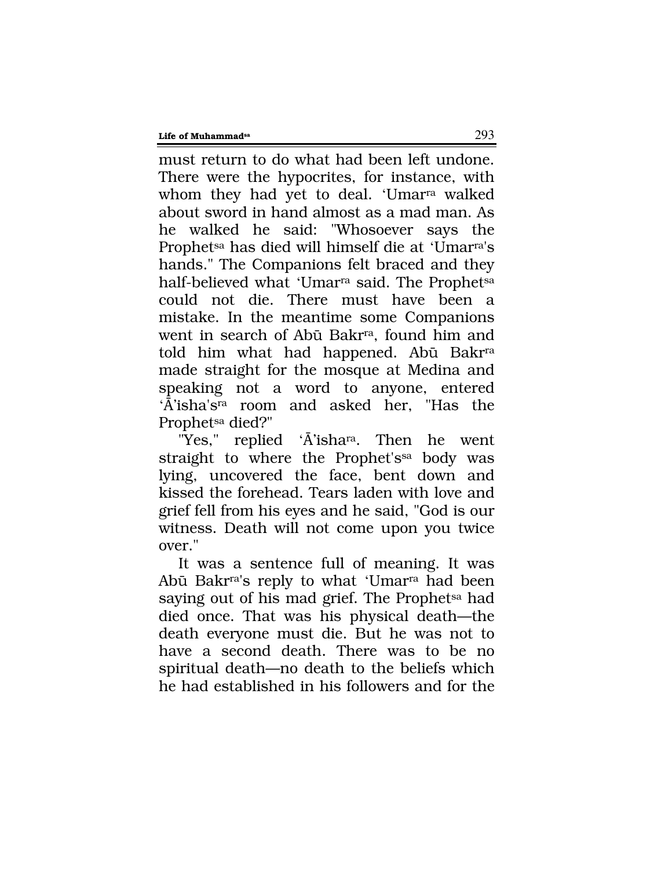must return to do what had been left undone. There were the hypocrites, for instance, with whom they had yet to deal. 'Umarra walked about sword in hand almost as a mad man. As he walked he said: "Whosoever says the Prophetsa has died will himself die at 'Umarra's hands." The Companions felt braced and they half-believed what 'Umar<sup>ra</sup> said. The Prophetsa could not die. There must have been a mistake. In the meantime some Companions went in search of Abū Bakr<sup>ra</sup>, found him and told him what had happened. Abū Bakrra made straight for the mosque at Medina and speaking not a word to anyone, entered 'A'isha'sra room and asked her, "Has the Prophetsa died?"

"Yes," replied 'A'isha<sup>ra</sup>. Then he went straight to where the Prophet'ssa body was lying, uncovered the face, bent down and kissed the forehead. Tears laden with love and grief fell from his eyes and he said, "God is our witness. Death will not come upon you twice over."

It was a sentence full of meaning. It was Abu Bakrra's reply to what 'Umarra had been saying out of his mad grief. The Prophet<sup>sa</sup> had died once. That was his physical death—the death everyone must die. But he was not to have a second death. There was to be no spiritual death—no death to the beliefs which he had established in his followers and for the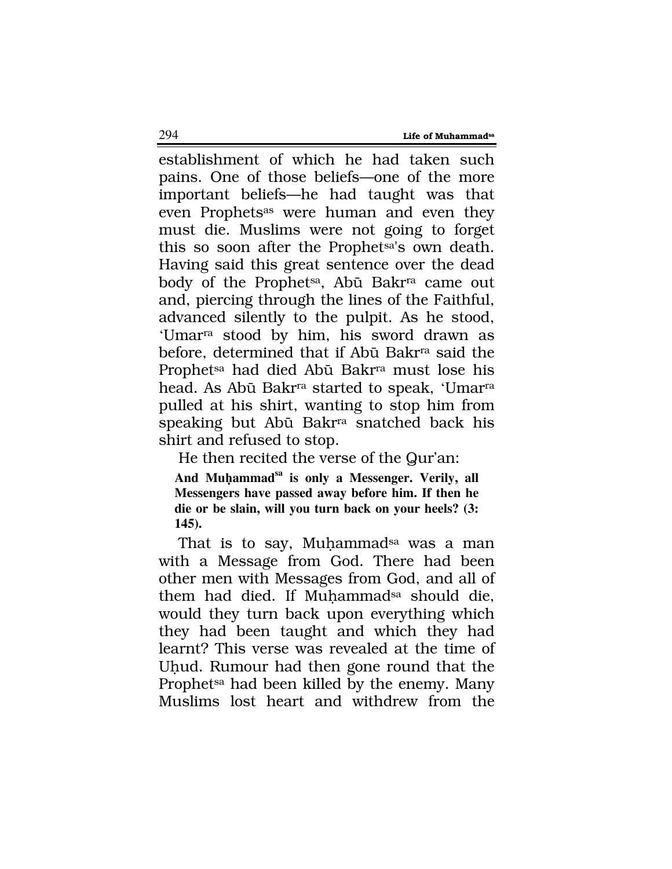establishment of which he had taken such pains. One of those beliefs—one of the more important beliefs—he had taught was that even Prophetsas were human and even they must die. Muslims were not going to forget this so soon after the Prophetsa's own death. Having said this great sentence over the dead body of the Prophetsa, Abū Bakrra came out and, piercing through the lines of the Faithful, advanced silently to the pulpit. As he stood, 'Umarra stood by him, his sword drawn as before, determined that if Abū Bakr<sup>ra</sup> said the Prophetsa had died Abu Bakrra must lose his head. As Abū Bakr<sup>ra</sup> started to speak, 'Umar<sup>ra</sup> pulled at his shirt, wanting to stop him from speaking but Abū Bakr<sup>ra</sup> snatched back his shirt and refused to stop.

He then recited the verse of the Qur'an:

And Muḥammad<sup>sa</sup> is only a Messenger. Verily, all **Messengers have passed away before him. If then he die or be slain, will you turn back on your heels? (3: 145).** 

That is to say, Muhammad<sup>sa</sup> was a man with a Message from God. There had been other men with Messages from God, and all of them had died. If Muhammadsa should die, would they turn back upon everything which they had been taught and which they had learnt? This verse was revealed at the time of Uhud. Rumour had then gone round that the Prophet<sup>sa</sup> had been killed by the enemy. Many Muslims lost heart and withdrew from the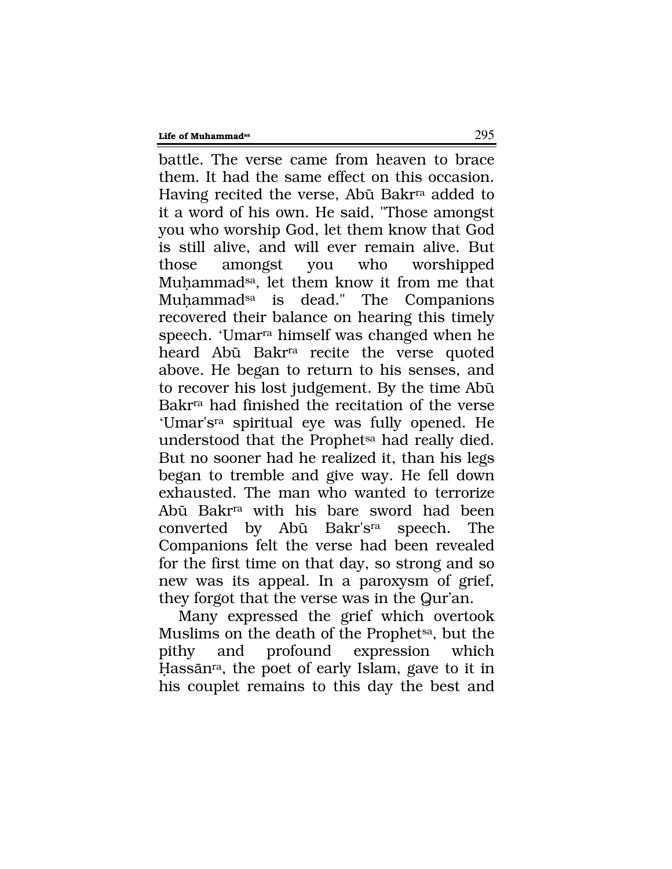battle. The verse came from heaven to brace them. It had the same effect on this occasion. Having recited the verse, Abū Bakr<sup>ra</sup> added to it a word of his own. He said, "Those amongst you who worship God, let them know that God is still alive, and will ever remain alive. But those amongst you who worshipped Muhammadsa, let them know it from me that Muhammadsa is dead." The Companions recovered their balance on hearing this timely speech. 'Umarra himself was changed when he heard Abū Bakr<sup>ra</sup> recite the verse quoted above. He began to return to his senses, and to recover his lost judgement. By the time Abū Bakrra had finished the recitation of the verse 'Umar'sra spiritual eye was fully opened. He understood that the Prophetsa had really died. But no sooner had he realized it, than his legs began to tremble and give way. He fell down exhausted. The man who wanted to terrorize Abū Bakr<sup>ra</sup> with his bare sword had been converted by Abū Bakr's<sup>ra</sup> speech. The Companions felt the verse had been revealed for the first time on that day, so strong and so new was its appeal. In a paroxysm of grief, they forgot that the verse was in the Qur'an.

Many expressed the grief which overtook Muslims on the death of the Prophetsa, but the pithy and profound expression which Hassanra, the poet of early Islam, gave to it in his couplet remains to this day the best and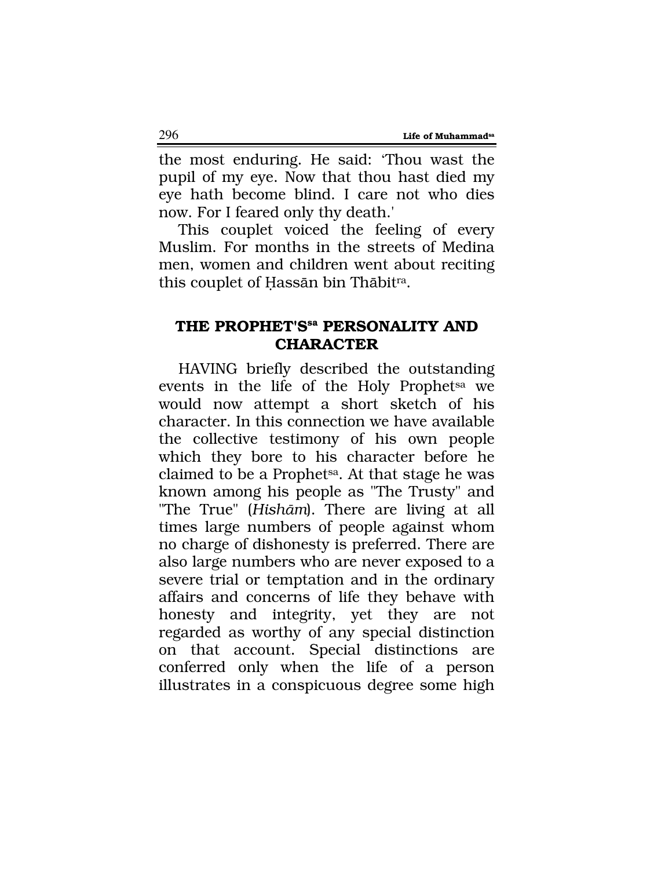the most enduring. He said: 'Thou wast the pupil of my eye. Now that thou hast died my eye hath become blind. I care not who dies now. For I feared only thy death.'

This couplet voiced the feeling of every Muslim. For months in the streets of Medina men, women and children went about reciting this couplet of Hassan bin Thabitra.

# THE PROPHET'S<sup>sa</sup> PERSONALITY AND **CHARACTER**

HAVING briefly described the outstanding events in the life of the Holy Prophetsa we would now attempt a short sketch of his character. In this connection we have available the collective testimony of his own people which they bore to his character before he claimed to be a Prophetsa. At that stage he was known among his people as "The Trusty" and "The True" (*Hish*a*m*). There are living at all times large numbers of people against whom no charge of dishonesty is preferred. There are also large numbers who are never exposed to a severe trial or temptation and in the ordinary affairs and concerns of life they behave with honesty and integrity, yet they are not regarded as worthy of any special distinction on that account. Special distinctions are conferred only when the life of a person illustrates in a conspicuous degree some high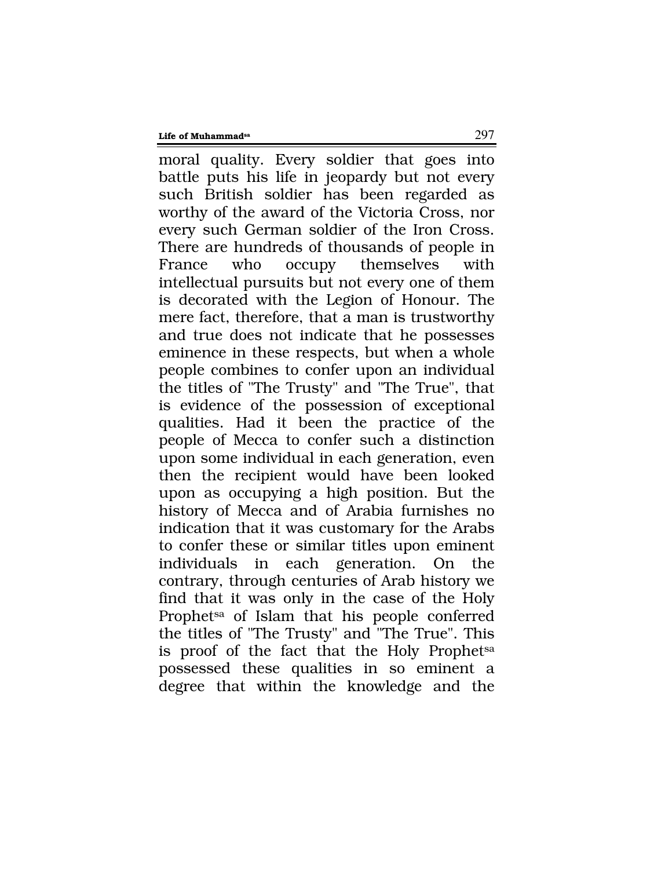moral quality. Every soldier that goes into battle puts his life in jeopardy but not every such British soldier has been regarded as worthy of the award of the Victoria Cross, nor every such German soldier of the Iron Cross. There are hundreds of thousands of people in France who occupy themselves with intellectual pursuits but not every one of them is decorated with the Legion of Honour. The mere fact, therefore, that a man is trustworthy and true does not indicate that he possesses eminence in these respects, but when a whole people combines to confer upon an individual the titles of "The Trusty" and "The True", that is evidence of the possession of exceptional qualities. Had it been the practice of the people of Mecca to confer such a distinction upon some individual in each generation, even then the recipient would have been looked upon as occupying a high position. But the history of Mecca and of Arabia furnishes no indication that it was customary for the Arabs to confer these or similar titles upon eminent individuals in each generation. On the contrary, through centuries of Arab history we find that it was only in the case of the Holy Prophetsa of Islam that his people conferred the titles of "The Trusty" and "The True". This is proof of the fact that the Holy Prophetsa possessed these qualities in so eminent a degree that within the knowledge and the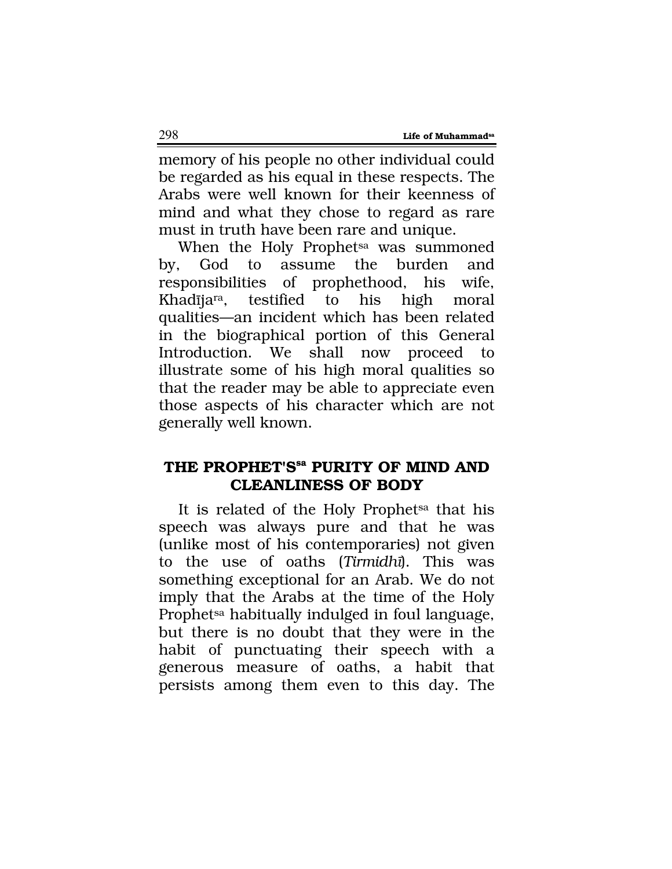memory of his people no other individual could be regarded as his equal in these respects. The Arabs were well known for their keenness of mind and what they chose to regard as rare must in truth have been rare and unique.

When the Holy Prophetsa was summoned by, God to assume the burden and responsibilities of prophethood, his wife, Khadijara, testified to his high moral qualities—an incident which has been related in the biographical portion of this General Introduction. We shall now proceed to illustrate some of his high moral qualities so that the reader may be able to appreciate even those aspects of his character which are not generally well known.

# THE PROPHET'S<sup>sa</sup> PURITY OF MIND AND **CLEANLINESS OF BODY**

It is related of the Holy Prophetsa that his speech was always pure and that he was (unlike most of his contemporaries) not given to the use of oaths (*Tirmidh*i). This was something exceptional for an Arab. We do not imply that the Arabs at the time of the Holy Prophet<sup>sa</sup> habitually indulged in foul language, but there is no doubt that they were in the habit of punctuating their speech with a generous measure of oaths, a habit that persists among them even to this day. The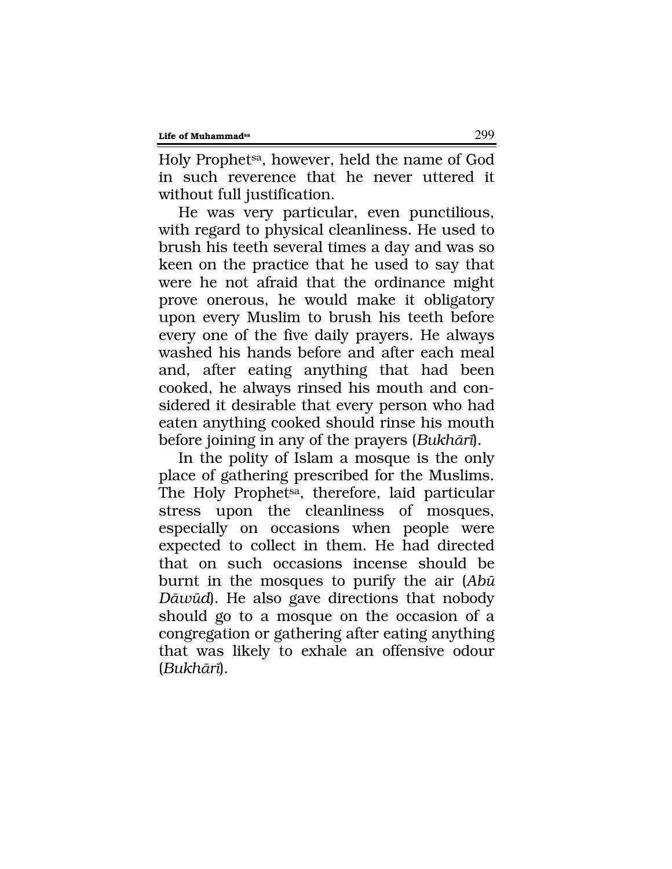Holy Prophetsa, however, held the name of God in such reverence that he never uttered it without full justification.

He was very particular, even punctilious, with regard to physical cleanliness. He used to brush his teeth several times a day and was so keen on the practice that he used to say that were he not afraid that the ordinance might prove onerous, he would make it obligatory upon every Muslim to brush his teeth before every one of the five daily prayers. He always washed his hands before and after each meal and, after eating anything that had been cooked, he always rinsed his mouth and considered it desirable that every person who had eaten anything cooked should rinse his mouth before joining in any of the prayers (*Bukh*a*r*i).

In the polity of Islam a mosque is the only place of gathering prescribed for the Muslims. The Holy Prophetsa, therefore, laid particular stress upon the cleanliness of mosques, especially on occasions when people were expected to collect in them. He had directed that on such occasions incense should be burnt in the mosques to purify the air (*Ab*u *D*a*w*u*d*). He also gave directions that nobody should go to a mosque on the occasion of a congregation or gathering after eating anything that was likely to exhale an offensive odour (*Bukh*a*r*i).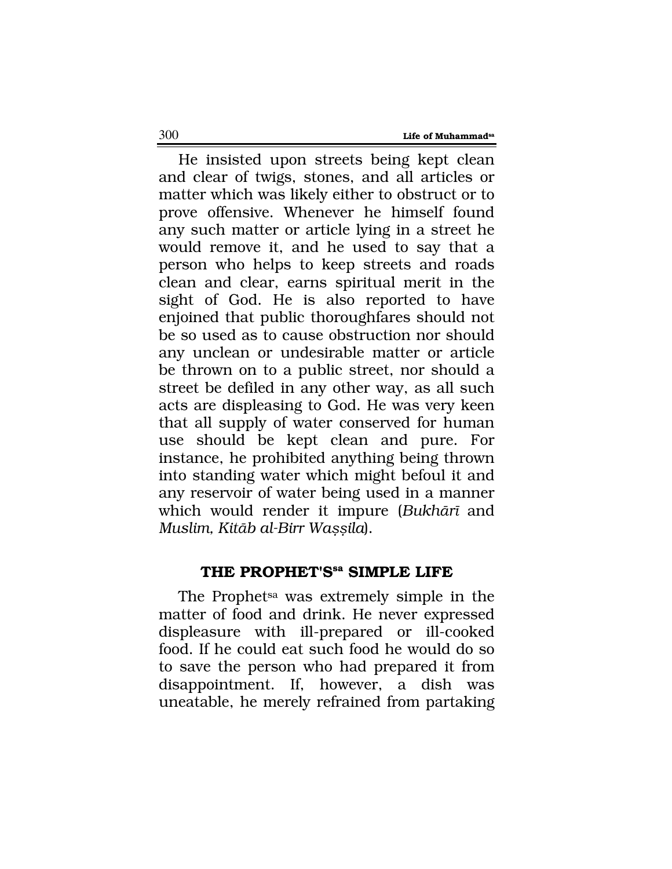He insisted upon streets being kept clean and clear of twigs, stones, and all articles or matter which was likely either to obstruct or to prove offensive. Whenever he himself found any such matter or article lying in a street he would remove it, and he used to say that a person who helps to keep streets and roads clean and clear, earns spiritual merit in the sight of God. He is also reported to have enjoined that public thoroughfares should not be so used as to cause obstruction nor should any unclean or undesirable matter or article be thrown on to a public street, nor should a street be defiled in any other way, as all such acts are displeasing to God. He was very keen that all supply of water conserved for human use should be kept clean and pure. For instance, he prohibited anything being thrown into standing water which might befoul it and any reservoir of water being used in a manner which would render it impure (*Bukh*a*r*i and *Muslim, Kit*a*b al-Birr Wa*ss*ila*).

#### **THE PROPHET'Ssa SIMPLE LIFE**

The Prophet<sup>sa</sup> was extremely simple in the matter of food and drink. He never expressed displeasure with ill-prepared or ill-cooked food. If he could eat such food he would do so to save the person who had prepared it from disappointment. If, however, a dish was uneatable, he merely refrained from partaking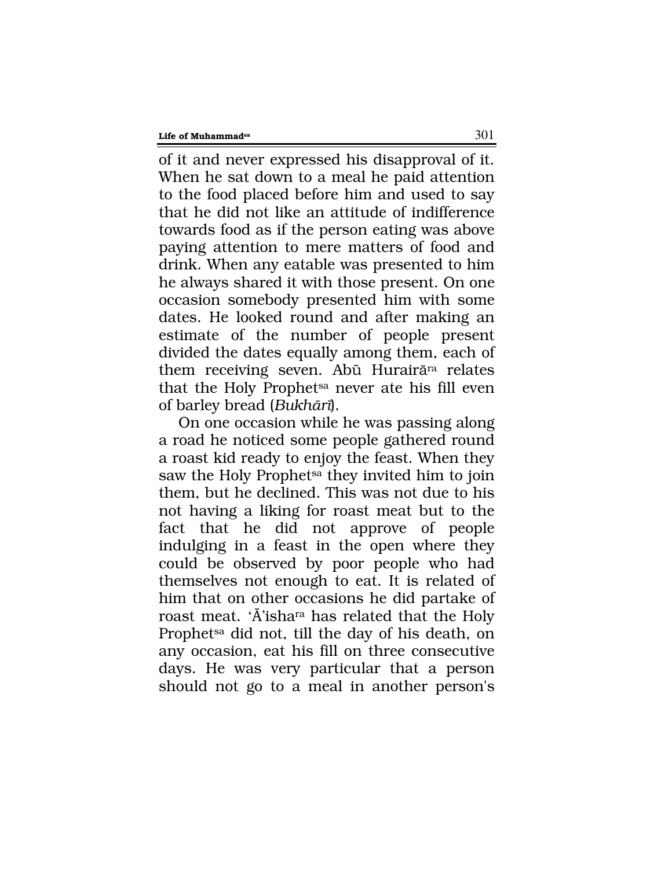of it and never expressed his disapproval of it. When he sat down to a meal he paid attention to the food placed before him and used to say that he did not like an attitude of indifference towards food as if the person eating was above paying attention to mere matters of food and drink. When any eatable was presented to him he always shared it with those present. On one occasion somebody presented him with some dates. He looked round and after making an estimate of the number of people present divided the dates equally among them, each of them receiving seven. Abū Hurairāra relates that the Holy Prophetsa never ate his fill even of barley bread (*Bukh*a*r*i).

On one occasion while he was passing along a road he noticed some people gathered round a roast kid ready to enjoy the feast. When they saw the Holy Prophetsa they invited him to join them, but he declined. This was not due to his not having a liking for roast meat but to the fact that he did not approve of people indulging in a feast in the open where they could be observed by poor people who had themselves not enough to eat. It is related of him that on other occasions he did partake of roast meat. 'A'ishara has related that the Holy Prophetsa did not, till the day of his death, on any occasion, eat his fill on three consecutive days. He was very particular that a person should not go to a meal in another person's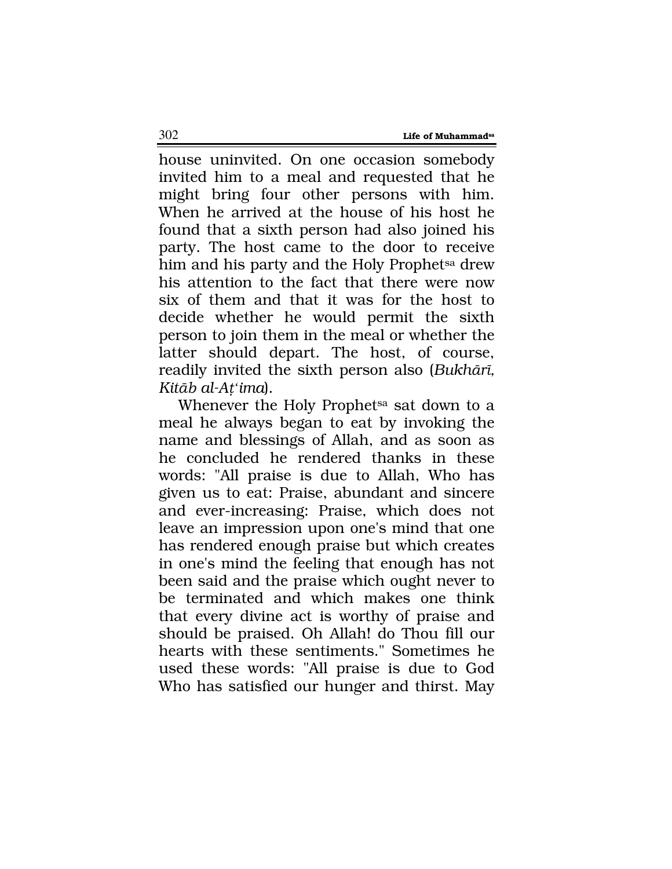house uninvited. On one occasion somebody invited him to a meal and requested that he might bring four other persons with him. When he arrived at the house of his host he found that a sixth person had also joined his party. The host came to the door to receive him and his party and the Holy Prophetsa drew his attention to the fact that there were now six of them and that it was for the host to decide whether he would permit the sixth person to join them in the meal or whether the latter should depart. The host, of course, readily invited the sixth person also (*Bukh*a*r*i*, Kit*ab *al-A*t*'ima*).

Whenever the Holy Prophetsa sat down to a meal he always began to eat by invoking the name and blessings of Allah, and as soon as he concluded he rendered thanks in these words: "All praise is due to Allah, Who has given us to eat: Praise, abundant and sincere and ever-increasing: Praise, which does not leave an impression upon one's mind that one has rendered enough praise but which creates in one's mind the feeling that enough has not been said and the praise which ought never to be terminated and which makes one think that every divine act is worthy of praise and should be praised. Oh Allah! do Thou fill our hearts with these sentiments." Sometimes he used these words: "All praise is due to God Who has satisfied our hunger and thirst. May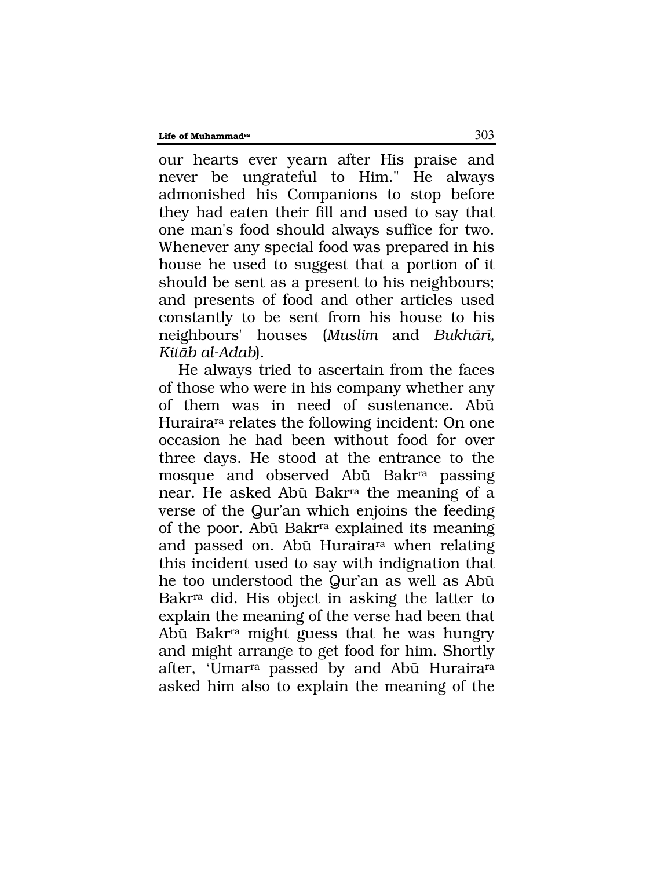our hearts ever yearn after His praise and never be ungrateful to Him." He always admonished his Companions to stop before they had eaten their fill and used to say that one man's food should always suffice for two. Whenever any special food was prepared in his house he used to suggest that a portion of it should be sent as a present to his neighbours; and presents of food and other articles used constantly to be sent from his house to his neighbours' houses (*Muslim* and *Bukh*a*r*i*, Kit*a*b al-Adab*).

He always tried to ascertain from the faces of those who were in his company whether any of them was in need of sustenance. Abu Hurairara relates the following incident: On one occasion he had been without food for over three days. He stood at the entrance to the mosque and observed Abū Bakrra passing near. He asked Abū Bakr<sup>ra</sup> the meaning of a verse of the Qur'an which enjoins the feeding of the poor. Abū Bakr<sup>ra</sup> explained its meaning and passed on. Abū Huraira<sup>ra</sup> when relating this incident used to say with indignation that he too understood the Qur'an as well as Abu Bakrra did. His object in asking the latter to explain the meaning of the verse had been that Abū Bakr<sup>ra</sup> might guess that he was hungry and might arrange to get food for him. Shortly after, 'Umarra passed by and Abū Hurairara asked him also to explain the meaning of the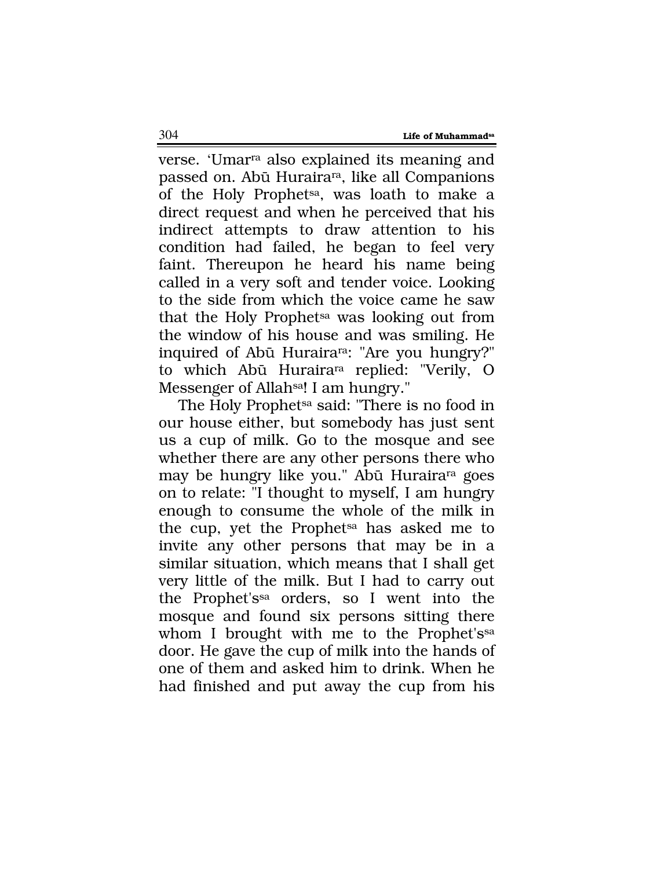verse. 'Umarra also explained its meaning and passed on. Abū Huraira<sup>ra</sup>, like all Companions of the Holy Prophetsa, was loath to make a direct request and when he perceived that his indirect attempts to draw attention to his condition had failed, he began to feel very faint. Thereupon he heard his name being called in a very soft and tender voice. Looking to the side from which the voice came he saw that the Holy Prophetsa was looking out from the window of his house and was smiling. He inquired of Abū Huraira<sup>ra</sup>: "Are you hungry?" to which Abū Huraira<sup>ra</sup> replied: "Verily, O Messenger of Allahsa! I am hungry."

The Holy Prophetsa said: "There is no food in our house either, but somebody has just sent us a cup of milk. Go to the mosque and see whether there are any other persons there who may be hungry like you." Abū Hurairara goes on to relate: "I thought to myself, I am hungry enough to consume the whole of the milk in the cup, yet the Prophetsa has asked me to invite any other persons that may be in a similar situation, which means that I shall get very little of the milk. But I had to carry out the Prophet'ssa orders, so I went into the mosque and found six persons sitting there whom I brought with me to the Prophet'ssa door. He gave the cup of milk into the hands of one of them and asked him to drink. When he had finished and put away the cup from his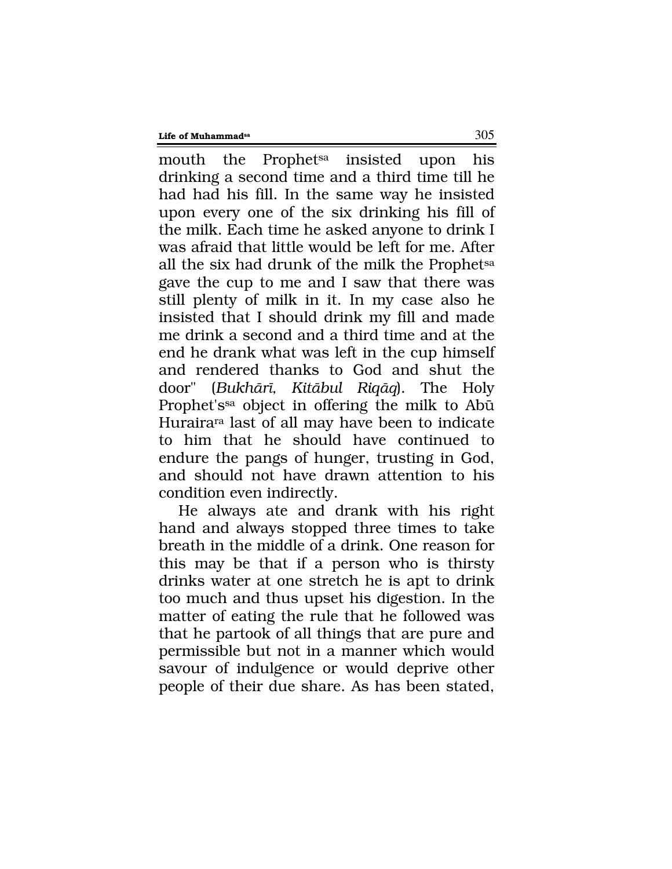mouth the Prophetsa insisted upon his drinking a second time and a third time till he had had his fill. In the same way he insisted upon every one of the six drinking his fill of the milk. Each time he asked anyone to drink I was afraid that little would be left for me. After all the six had drunk of the milk the Prophetsa gave the cup to me and I saw that there was still plenty of milk in it. In my case also he insisted that I should drink my fill and made me drink a second and a third time and at the end he drank what was left in the cup himself and rendered thanks to God and shut the door" (*Bukh*a*r*i*, Kit*a*bul Riq*aq). The Holy Prophet's<sup>sa</sup> object in offering the milk to Abū Hurairara last of all may have been to indicate to him that he should have continued to endure the pangs of hunger, trusting in God, and should not have drawn attention to his condition even indirectly.

He always ate and drank with his right hand and always stopped three times to take breath in the middle of a drink. One reason for this may be that if a person who is thirsty drinks water at one stretch he is apt to drink too much and thus upset his digestion. In the matter of eating the rule that he followed was that he partook of all things that are pure and permissible but not in a manner which would savour of indulgence or would deprive other people of their due share. As has been stated,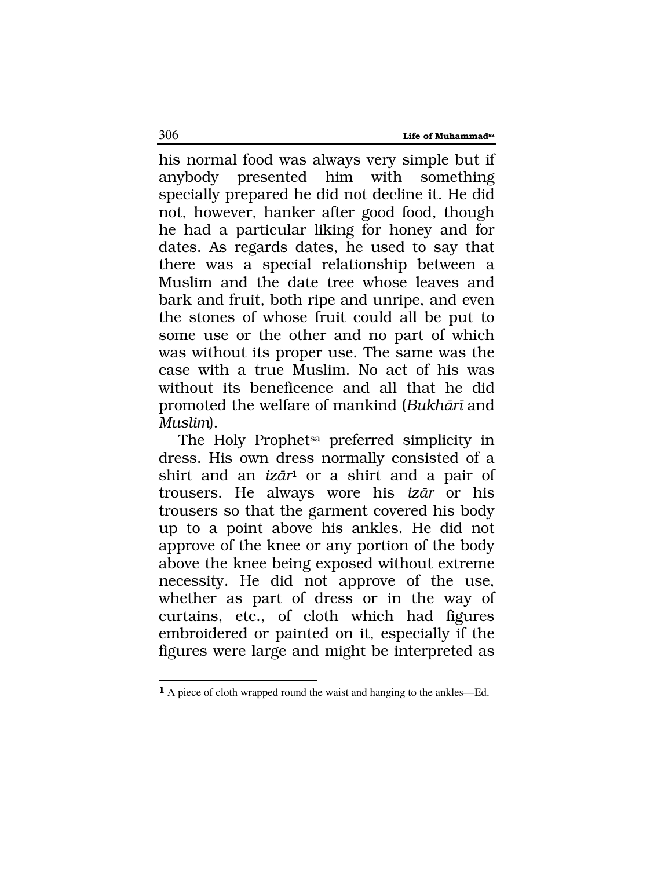his normal food was always very simple but if anybody presented him with something specially prepared he did not decline it. He did not, however, hanker after good food, though he had a particular liking for honey and for dates. As regards dates, he used to say that there was a special relationship between a Muslim and the date tree whose leaves and bark and fruit, both ripe and unripe, and even the stones of whose fruit could all be put to some use or the other and no part of which was without its proper use. The same was the case with a true Muslim. No act of his was without its beneficence and all that he did promoted the welfare of mankind (*Bukh*a*r*i and *Muslim*).

The Holy Prophetsa preferred simplicity in dress. His own dress normally consisted of a shirt and an *iz*a*r***1** or a shirt and a pair of trousers. He always wore his *iz*a*r* or his trousers so that the garment covered his body up to a point above his ankles. He did not approve of the knee or any portion of the body above the knee being exposed without extreme necessity. He did not approve of the use, whether as part of dress or in the way of curtains, etc., of cloth which had figures embroidered or painted on it, especially if the figures were large and might be interpreted as

 $\overline{a}$ **1** A piece of cloth wrapped round the waist and hanging to the ankles—Ed.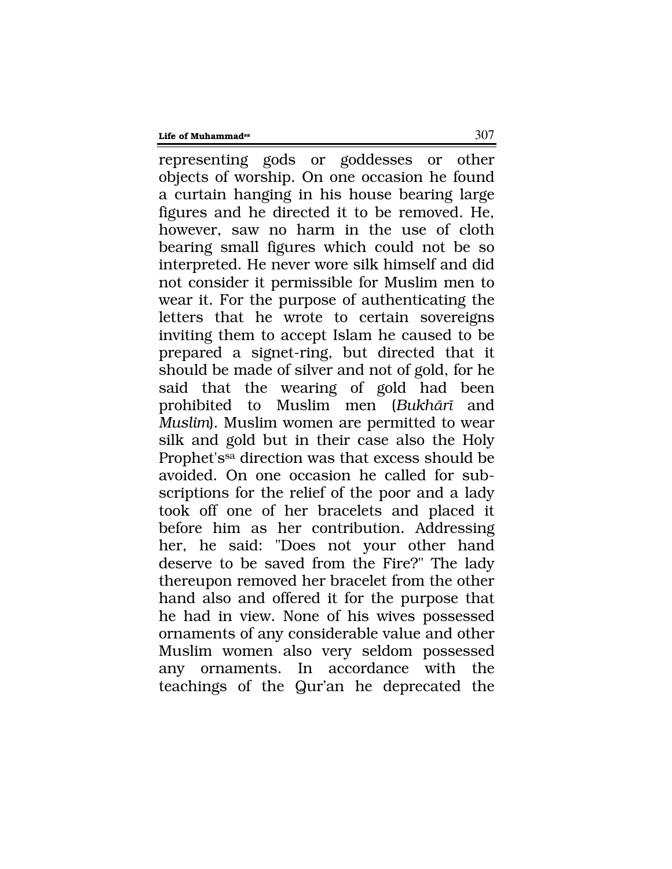representing gods or goddesses or other objects of worship. On one occasion he found a curtain hanging in his house bearing large figures and he directed it to be removed. He, however, saw no harm in the use of cloth bearing small figures which could not be so interpreted. He never wore silk himself and did not consider it permissible for Muslim men to wear it. For the purpose of authenticating the letters that he wrote to certain sovereigns inviting them to accept Islam he caused to be prepared a signet-ring, but directed that it should be made of silver and not of gold, for he said that the wearing of gold had been prohibited to Muslim men (*Bukh*a*r*i and *Muslim*). Muslim women are permitted to wear silk and gold but in their case also the Holy Prophet'ssa direction was that excess should be avoided. On one occasion he called for subscriptions for the relief of the poor and a lady took off one of her bracelets and placed it before him as her contribution. Addressing her, he said: "Does not your other hand deserve to be saved from the Fire?" The lady thereupon removed her bracelet from the other hand also and offered it for the purpose that he had in view. None of his wives possessed ornaments of any considerable value and other Muslim women also very seldom possessed any ornaments. In accordance with the teachings of the Qur'an he deprecated the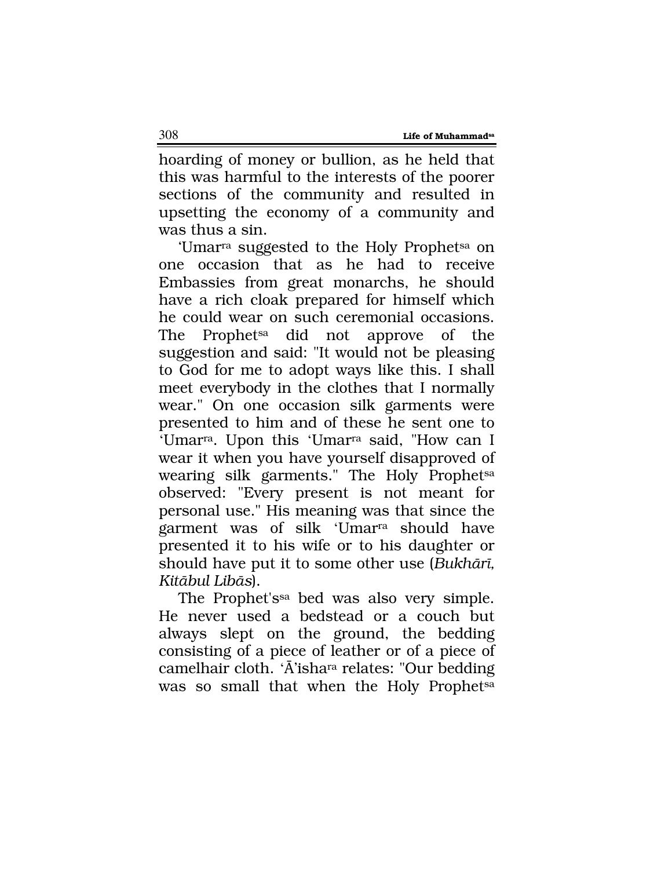hoarding of money or bullion, as he held that this was harmful to the interests of the poorer sections of the community and resulted in upsetting the economy of a community and was thus a sin.

'Umarra suggested to the Holy Prophetsa on one occasion that as he had to receive Embassies from great monarchs, he should have a rich cloak prepared for himself which he could wear on such ceremonial occasions. The Prophet<sup>sa</sup> did not approve of the suggestion and said: "It would not be pleasing to God for me to adopt ways like this. I shall meet everybody in the clothes that I normally wear." On one occasion silk garments were presented to him and of these he sent one to 'Umarra. Upon this 'Umarra said, "How can I wear it when you have yourself disapproved of wearing silk garments." The Holy Prophetsa observed: "Every present is not meant for personal use." His meaning was that since the garment was of silk 'Umarra should have presented it to his wife or to his daughter or should have put it to some other use (*Bukh*a*r*i*, Kit*a*bul Lib*a*s*).

The Prophet's<sup>sa</sup> bed was also very simple. He never used a bedstead or a couch but always slept on the ground, the bedding consisting of a piece of leather or of a piece of camelhair cloth. 'A'ishara relates: "Our bedding was so small that when the Holy Prophetsa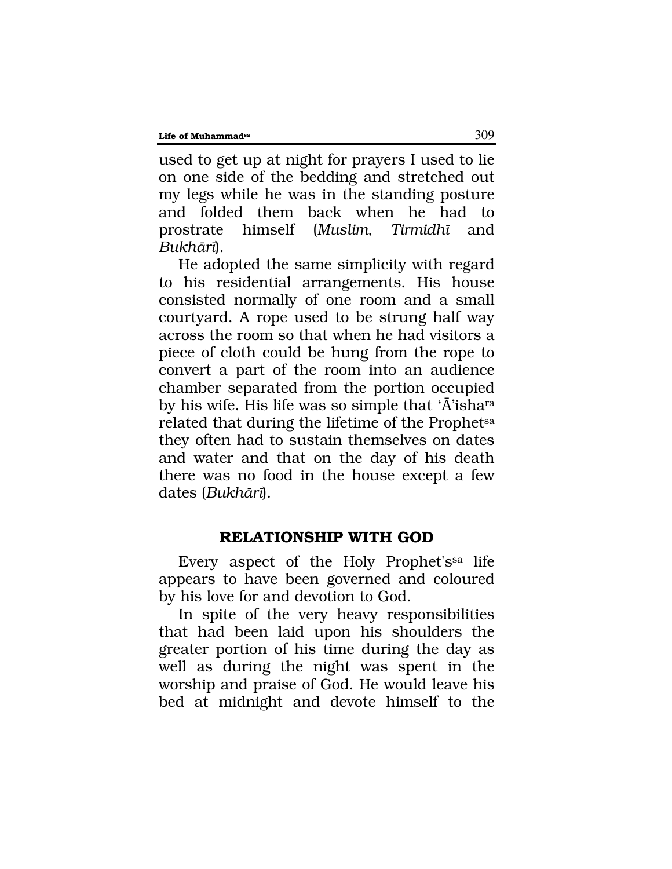used to get up at night for prayers I used to lie on one side of the bedding and stretched out my legs while he was in the standing posture and folded them back when he had to prostrate himself (*Muslim, Tirmidh*i and *Bukh*a*r*i).

He adopted the same simplicity with regard to his residential arrangements. His house consisted normally of one room and a small courtyard. A rope used to be strung half way across the room so that when he had visitors a piece of cloth could be hung from the rope to convert a part of the room into an audience chamber separated from the portion occupied by his wife. His life was so simple that 'A'ishara related that during the lifetime of the Prophetsa they often had to sustain themselves on dates and water and that on the day of his death there was no food in the house except a few dates (*Bukh*a*r*i).

## **RELATIONSHIP WITH GOD**

Every aspect of the Holy Prophet'ssa life appears to have been governed and coloured by his love for and devotion to God.

In spite of the very heavy responsibilities that had been laid upon his shoulders the greater portion of his time during the day as well as during the night was spent in the worship and praise of God. He would leave his bed at midnight and devote himself to the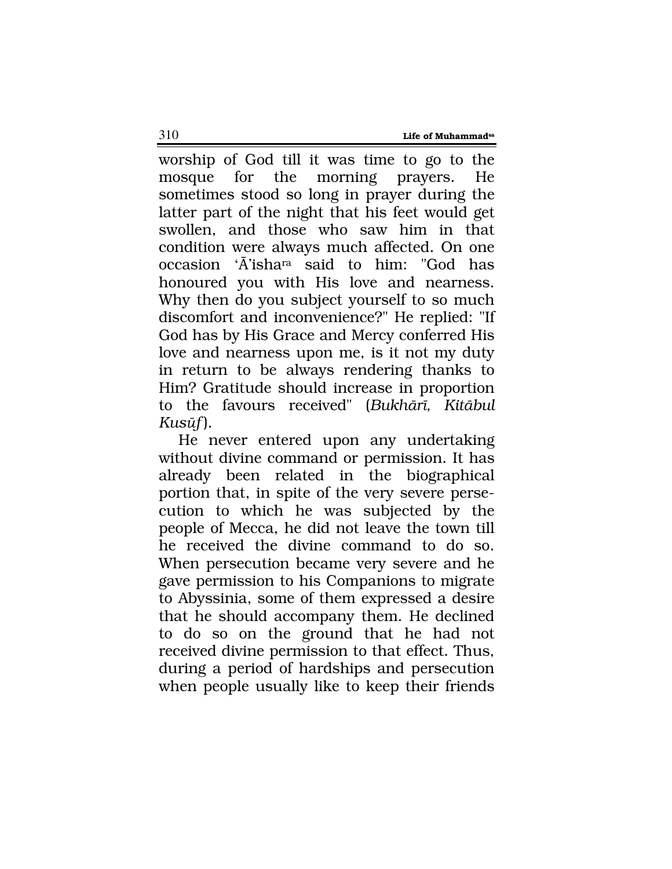worship of God till it was time to go to the mosque for the morning prayers. He sometimes stood so long in prayer during the latter part of the night that his feet would get swollen, and those who saw him in that condition were always much affected. On one occasion 'A'ishara said to him: "God has honoured you with His love and nearness. Why then do you subject yourself to so much discomfort and inconvenience?" He replied: "If God has by His Grace and Mercy conferred His love and nearness upon me, is it not my duty in return to be always rendering thanks to Him? Gratitude should increase in proportion to the favours received" (*Bukh*a*r*i*, Kit*a*bul Kus*u*f* ).

He never entered upon any undertaking without divine command or permission. It has already been related in the biographical portion that, in spite of the very severe persecution to which he was subjected by the people of Mecca, he did not leave the town till he received the divine command to do so. When persecution became very severe and he gave permission to his Companions to migrate to Abyssinia, some of them expressed a desire that he should accompany them. He declined to do so on the ground that he had not received divine permission to that effect. Thus, during a period of hardships and persecution when people usually like to keep their friends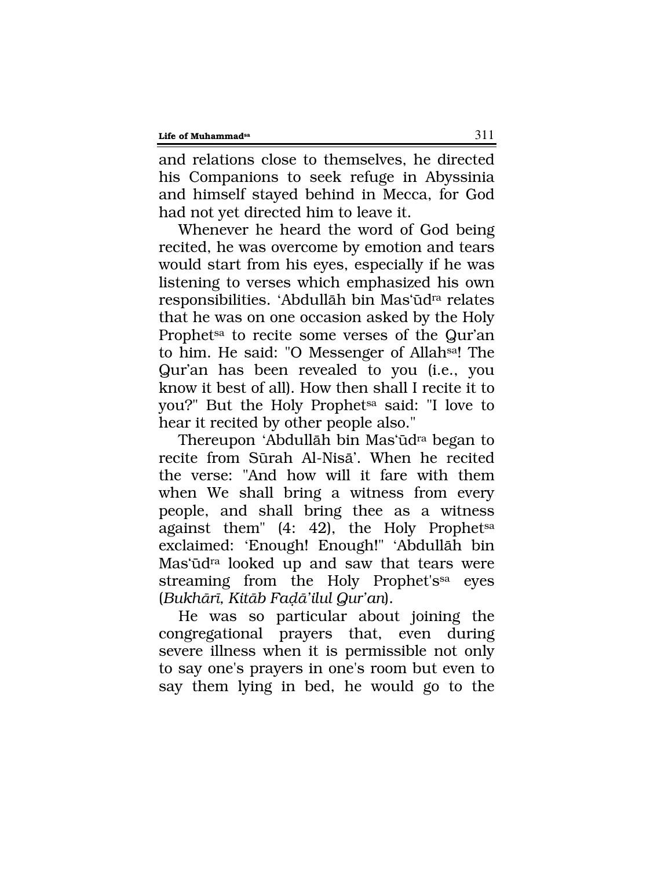and relations close to themselves, he directed his Companions to seek refuge in Abyssinia and himself stayed behind in Mecca, for God had not yet directed him to leave it.

Whenever he heard the word of God being recited, he was overcome by emotion and tears would start from his eyes, especially if he was listening to verses which emphasized his own responsibilities. 'Abdullāh bin Mas'ūdra relates that he was on one occasion asked by the Holy Prophet<sup>sa</sup> to recite some verses of the Qur'an to him. He said: "O Messenger of Allahsa! The Qur'an has been revealed to you (i.e., you know it best of all). How then shall I recite it to you?" But the Holy Prophetsa said: "I love to hear it recited by other people also."

Thereupon 'Abdullāh bin Mas'ūdra began to recite from Sūrah Al-Nisā'. When he recited the verse: "And how will it fare with them when We shall bring a witness from every people, and shall bring thee as a witness against them" (4: 42), the Holy Prophetsa exclaimed: 'Enough! Enough!" 'Abdullah bin Mas'ūdra looked up and saw that tears were streaming from the Holy Prophet'ssa eyes (*Bukh*a*r*i*, Kit*a*b Fa*da*'ilul Qur'an*).

He was so particular about joining the congregational prayers that, even during severe illness when it is permissible not only to say one's prayers in one's room but even to say them lying in bed, he would go to the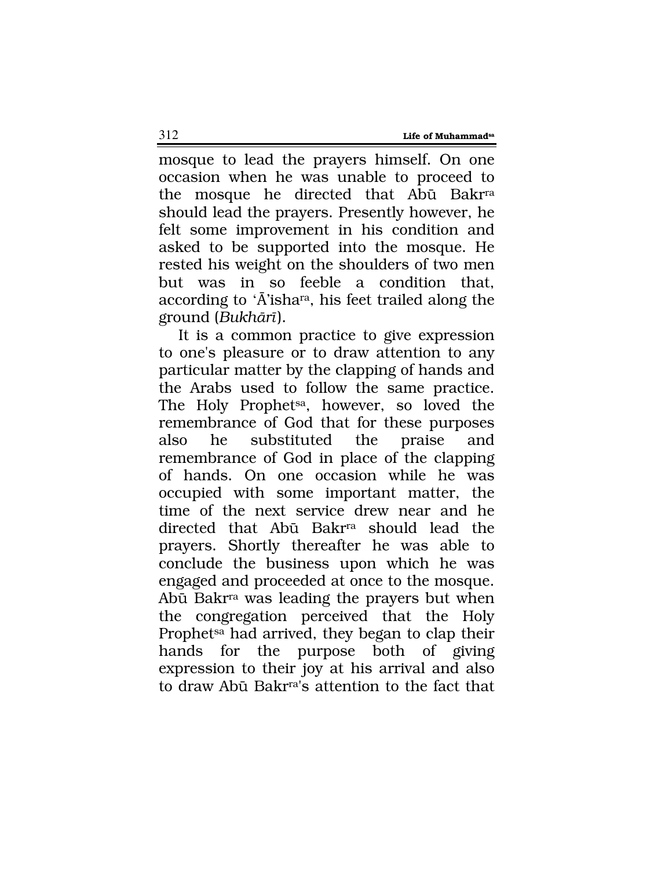mosque to lead the prayers himself. On one occasion when he was unable to proceed to the mosque he directed that Abū Bakr<sup>ra</sup> should lead the prayers. Presently however, he felt some improvement in his condition and asked to be supported into the mosque. He rested his weight on the shoulders of two men but was in so feeble a condition that, according to 'A'ishara, his feet trailed along the ground (*Bukh*a*r*i ).

It is a common practice to give expression to one's pleasure or to draw attention to any particular matter by the clapping of hands and the Arabs used to follow the same practice. The Holy Prophetsa, however, so loved the remembrance of God that for these purposes also he substituted the praise and remembrance of God in place of the clapping of hands. On one occasion while he was occupied with some important matter, the time of the next service drew near and he directed that Abū Bakr<sup>ra</sup> should lead the prayers. Shortly thereafter he was able to conclude the business upon which he was engaged and proceeded at once to the mosque. Abū Bakr<sup>ra</sup> was leading the prayers but when the congregation perceived that the Holy Prophetsa had arrived, they began to clap their hands for the purpose both of giving expression to their joy at his arrival and also to draw Abū Bakr<sup>ra'</sup>s attention to the fact that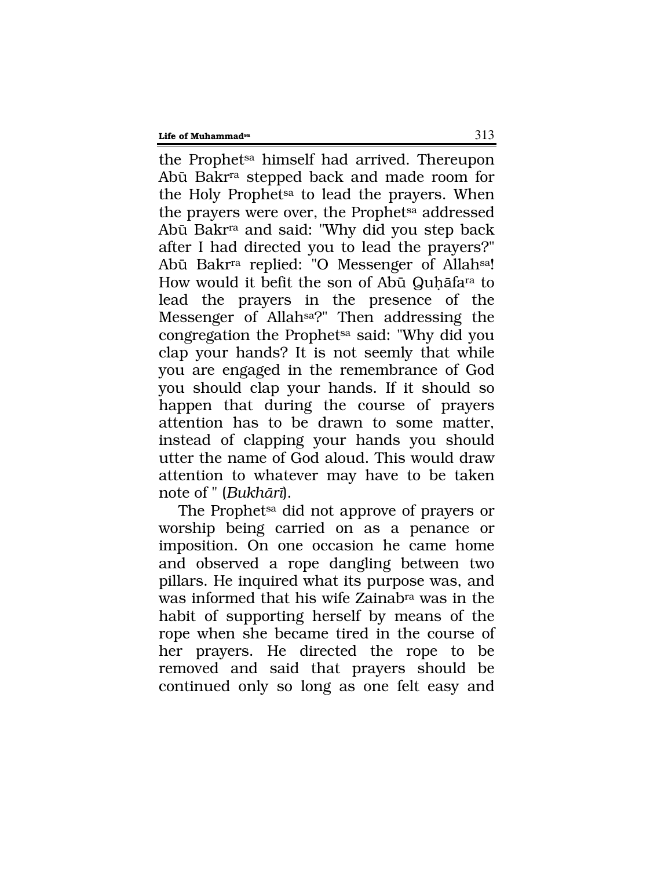the Prophetsa himself had arrived. Thereupon Abū Bakr<sup>ra</sup> stepped back and made room for the Holy Prophetsa to lead the prayers. When the prayers were over, the Prophetsa addressed Abū Bakr<sup>ra</sup> and said: "Why did you step back after I had directed you to lead the prayers?" Abū Bakr<sup>ra</sup> replied: "O Messenger of Allahsa! How would it befit the son of Abu Quhafara to lead the prayers in the presence of the Messenger of Allahsa?" Then addressing the congregation the Prophetsa said: "Why did you clap your hands? It is not seemly that while you are engaged in the remembrance of God you should clap your hands. If it should so happen that during the course of prayers attention has to be drawn to some matter, instead of clapping your hands you should utter the name of God aloud. This would draw attention to whatever may have to be taken note of " (*Bukh*a*r*i).

The Prophet<sup>sa</sup> did not approve of prayers or worship being carried on as a penance or imposition. On one occasion he came home and observed a rope dangling between two pillars. He inquired what its purpose was, and was informed that his wife Zainabra was in the habit of supporting herself by means of the rope when she became tired in the course of her prayers. He directed the rope to be removed and said that prayers should be continued only so long as one felt easy and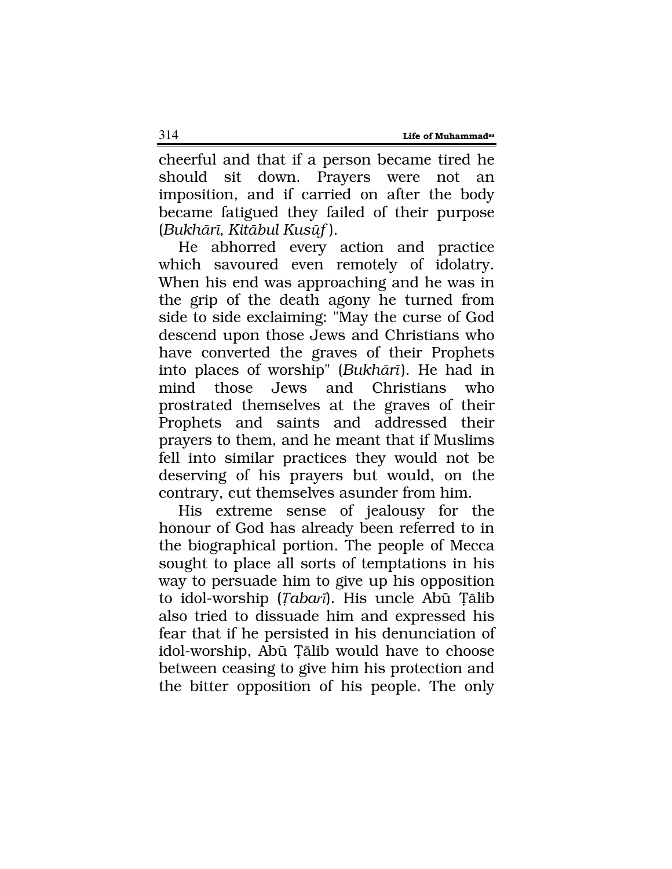cheerful and that if a person became tired he should sit down. Prayers were not an imposition, and if carried on after the body became fatigued they failed of their purpose (*Bukh*a*r*i*, Kit*ab*ul Kus*u*f* ).

He abhorred every action and practice which savoured even remotely of idolatry. When his end was approaching and he was in the grip of the death agony he turned from side to side exclaiming: "May the curse of God descend upon those Jews and Christians who have converted the graves of their Prophets into places of worship" (*Bukhārī*). He had in mind those Jews and Christians who prostrated themselves at the graves of their Prophets and saints and addressed their prayers to them, and he meant that if Muslims fell into similar practices they would not be deserving of his prayers but would, on the contrary, cut themselves asunder from him.

His extreme sense of jealousy for the honour of God has already been referred to in the biographical portion. The people of Mecca sought to place all sorts of temptations in his way to persuade him to give up his opposition to idol-worship (T*abar*i). His uncle Abu Talib also tried to dissuade him and expressed his fear that if he persisted in his denunciation of idol-worship, Abū Tālib would have to choose between ceasing to give him his protection and the bitter opposition of his people. The only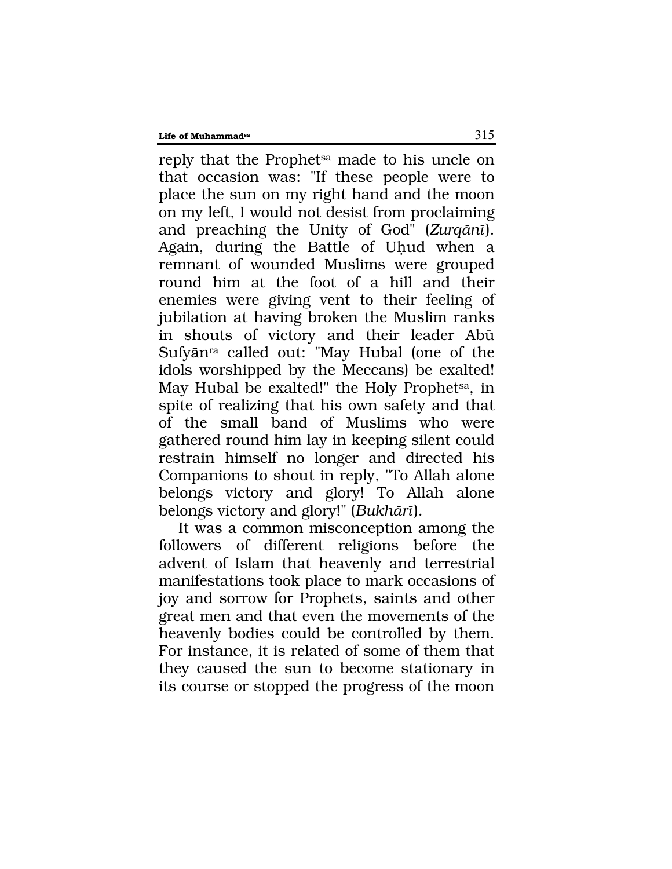reply that the Prophetsa made to his uncle on that occasion was: "If these people were to place the sun on my right hand and the moon on my left, I would not desist from proclaiming and preaching the Unity of God<sup>"</sup> (Zurqani). Again, during the Battle of Uhud when a remnant of wounded Muslims were grouped round him at the foot of a hill and their enemies were giving vent to their feeling of jubilation at having broken the Muslim ranks in shouts of victory and their leader Abu Sufyanra called out: "May Hubal (one of the idols worshipped by the Meccans) be exalted! May Hubal be exalted!" the Holy Prophetsa, in spite of realizing that his own safety and that of the small band of Muslims who were gathered round him lay in keeping silent could restrain himself no longer and directed his Companions to shout in reply, "To Allah alone belongs victory and glory! To Allah alone belongs victory and glory!" (*Bukh*a*r*i ).

It was a common misconception among the followers of different religions before the advent of Islam that heavenly and terrestrial manifestations took place to mark occasions of joy and sorrow for Prophets, saints and other great men and that even the movements of the heavenly bodies could be controlled by them. For instance, it is related of some of them that they caused the sun to become stationary in its course or stopped the progress of the moon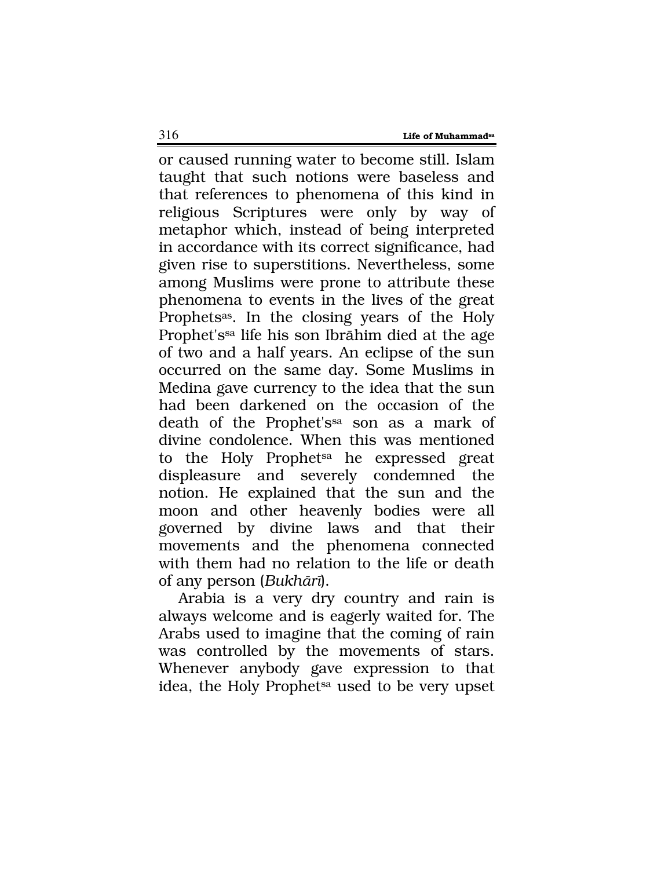or caused running water to become still. Islam taught that such notions were baseless and that references to phenomena of this kind in religious Scriptures were only by way of metaphor which, instead of being interpreted in accordance with its correct significance, had given rise to superstitions. Nevertheless, some among Muslims were prone to attribute these phenomena to events in the lives of the great Prophetsas. In the closing years of the Holy Prophet'ssa life his son Ibrahim died at the age of two and a half years. An eclipse of the sun occurred on the same day. Some Muslims in Medina gave currency to the idea that the sun had been darkened on the occasion of the death of the Prophet'ssa son as a mark of divine condolence. When this was mentioned to the Holy Prophetsa he expressed great displeasure and severely condemned the notion. He explained that the sun and the moon and other heavenly bodies were all governed by divine laws and that their movements and the phenomena connected with them had no relation to the life or death of any person (*Bukh*a*r*i).

Arabia is a very dry country and rain is always welcome and is eagerly waited for. The Arabs used to imagine that the coming of rain was controlled by the movements of stars. Whenever anybody gave expression to that idea, the Holy Prophetsa used to be very upset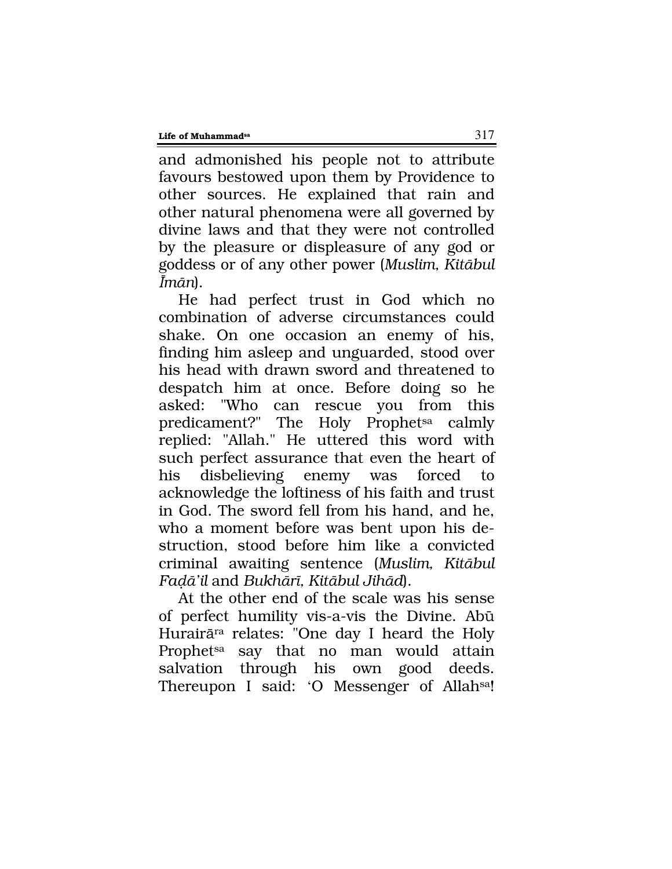and admonished his people not to attribute favours bestowed upon them by Providence to other sources. He explained that rain and other natural phenomena were all governed by divine laws and that they were not controlled by the pleasure or displeasure of any god or goddess or of any other power (*Muslim, Kit*a*bul*   $\bar{I}$ *mān*).

He had perfect trust in God which no combination of adverse circumstances could shake. On one occasion an enemy of his, finding him asleep and unguarded, stood over his head with drawn sword and threatened to despatch him at once. Before doing so he asked: "Who can rescue you from this predicament?" The Holy Prophetsa calmly replied: "Allah." He uttered this word with such perfect assurance that even the heart of his disbelieving enemy was forced to acknowledge the loftiness of his faith and trust in God. The sword fell from his hand, and he, who a moment before was bent upon his destruction, stood before him like a convicted criminal awaiting sentence (*Muslim, Kit*a*bul Fa*da*'il* and *Bukh*a*r*i*, Kit*a*bul Jih*a*d*).

At the other end of the scale was his sense of perfect humility vis-a-vis the Divine. Abu Hurairāra relates: "One day I heard the Holy Prophet<sup>sa</sup> say that no man would attain salvation through his own good deeds. Thereupon I said: 'O Messenger of Allahsa!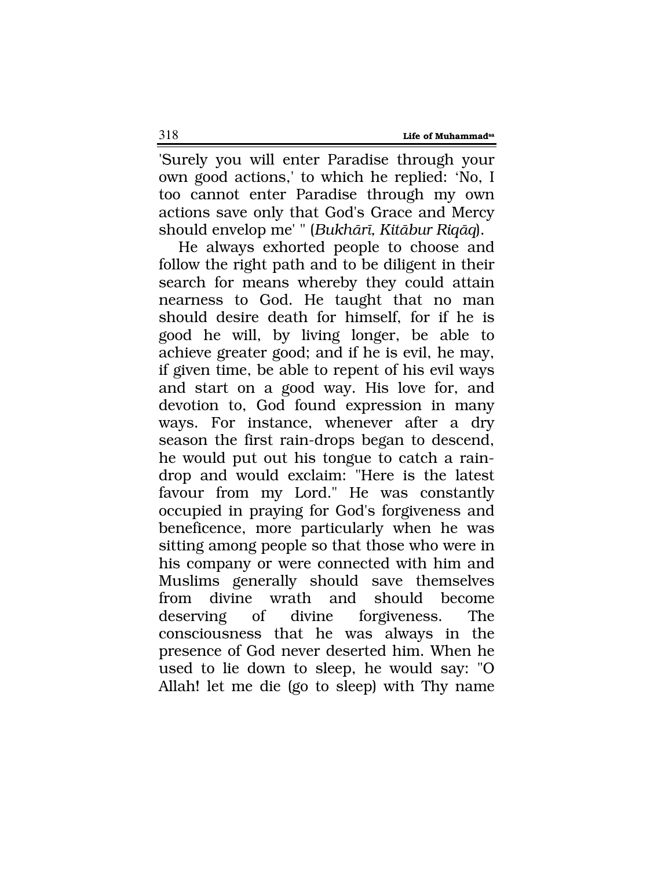'Surely you will enter Paradise through your own good actions,' to which he replied: 'No, I too cannot enter Paradise through my own actions save only that God's Grace and Mercy should envelop me' " (*Bukh*a*r*i*, Kit*a*bur Riq*a*q*).

He always exhorted people to choose and follow the right path and to be diligent in their search for means whereby they could attain nearness to God. He taught that no man should desire death for himself, for if he is good he will, by living longer, be able to achieve greater good; and if he is evil, he may, if given time, be able to repent of his evil ways and start on a good way. His love for, and devotion to, God found expression in many ways. For instance, whenever after a dry season the first rain-drops began to descend, he would put out his tongue to catch a raindrop and would exclaim: "Here is the latest favour from my Lord." He was constantly occupied in praying for God's forgiveness and beneficence, more particularly when he was sitting among people so that those who were in his company or were connected with him and Muslims generally should save themselves from divine wrath and should become deserving of divine forgiveness. The consciousness that he was always in the presence of God never deserted him. When he used to lie down to sleep, he would say: "O Allah! let me die (go to sleep) with Thy name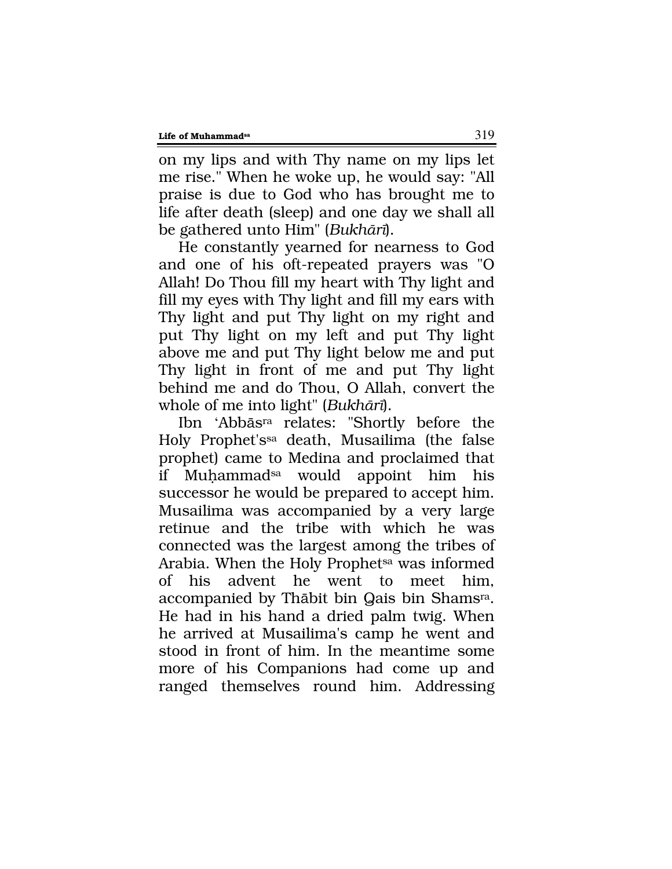on my lips and with Thy name on my lips let me rise." When he woke up, he would say: "All praise is due to God who has brought me to life after death (sleep) and one day we shall all be gathered unto Him" (*Bukh*a*r*i).

He constantly yearned for nearness to God and one of his oft-repeated prayers was "O Allah! Do Thou fill my heart with Thy light and fill my eyes with Thy light and fill my ears with Thy light and put Thy light on my right and put Thy light on my left and put Thy light above me and put Thy light below me and put Thy light in front of me and put Thy light behind me and do Thou, O Allah, convert the whole of me into light" (*Bukh*a*r*i).

Ibn 'Abbasra relates: "Shortly before the Holy Prophet'ssa death, Musailima (the false prophet) came to Medina and proclaimed that if Muhammadsa would appoint him his successor he would be prepared to accept him. Musailima was accompanied by a very large retinue and the tribe with which he was connected was the largest among the tribes of Arabia. When the Holy Prophetsa was informed of his advent he went to meet him, accompanied by Thabit bin Qais bin Shamsra. He had in his hand a dried palm twig. When he arrived at Musailima's camp he went and stood in front of him. In the meantime some more of his Companions had come up and ranged themselves round him. Addressing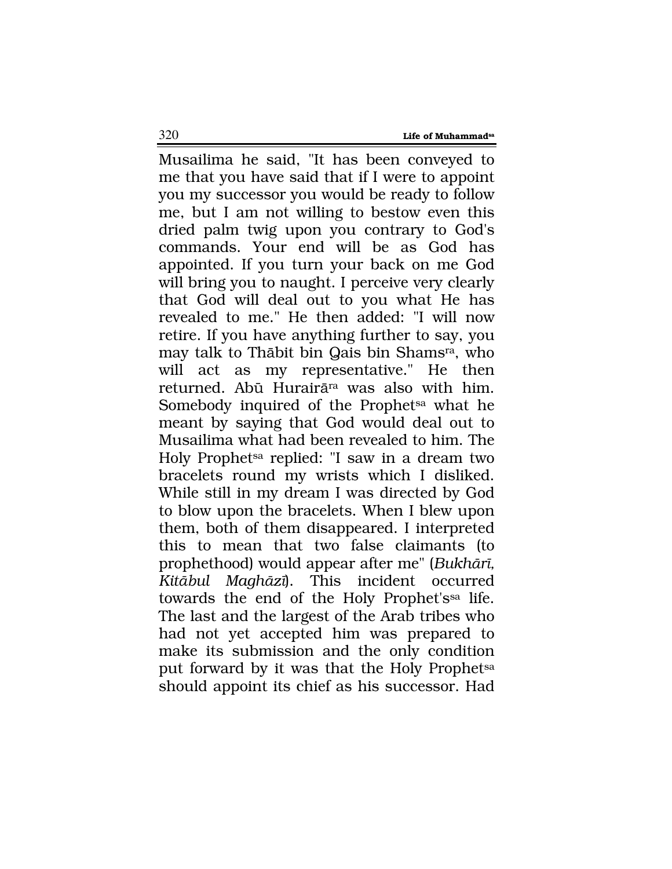Musailima he said, "It has been conveyed to me that you have said that if I were to appoint you my successor you would be ready to follow me, but I am not willing to bestow even this dried palm twig upon you contrary to God's commands. Your end will be as God has appointed. If you turn your back on me God will bring you to naught. I perceive very clearly that God will deal out to you what He has revealed to me." He then added: "I will now retire. If you have anything further to say, you may talk to Thabit bin Qais bin Shamsra, who will act as my representative." He then returned. Abū Hurairā<sup>ra</sup> was also with him. Somebody inquired of the Prophetsa what he meant by saying that God would deal out to Musailima what had been revealed to him. The Holy Prophetsa replied: "I saw in a dream two bracelets round my wrists which I disliked. While still in my dream I was directed by God to blow upon the bracelets. When I blew upon them, both of them disappeared. I interpreted this to mean that two false claimants (to prophethood) would appear after me" (*Bukh*a*r*i*, Kit*ab*ul Magh*a*z*i). This incident occurred towards the end of the Holy Prophet'ssa life. The last and the largest of the Arab tribes who had not yet accepted him was prepared to make its submission and the only condition put forward by it was that the Holy Prophetsa should appoint its chief as his successor. Had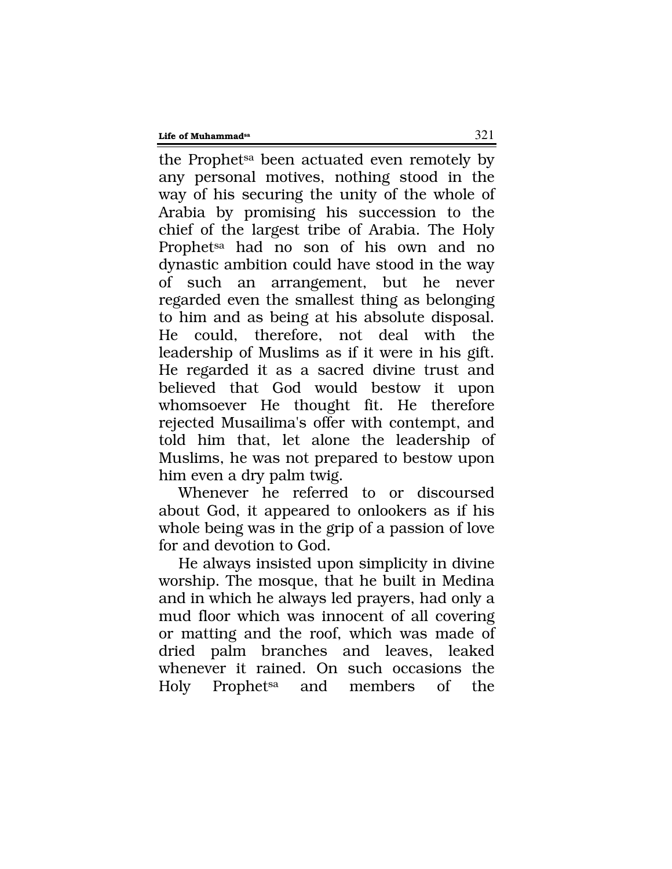the Prophetsa been actuated even remotely by any personal motives, nothing stood in the way of his securing the unity of the whole of Arabia by promising his succession to the chief of the largest tribe of Arabia. The Holy Prophetsa had no son of his own and no dynastic ambition could have stood in the way of such an arrangement, but he never regarded even the smallest thing as belonging to him and as being at his absolute disposal. He could, therefore, not deal with the leadership of Muslims as if it were in his gift. He regarded it as a sacred divine trust and believed that God would bestow it upon whomsoever He thought fit. He therefore rejected Musailima's offer with contempt, and told him that, let alone the leadership of Muslims, he was not prepared to bestow upon him even a dry palm twig.

Whenever he referred to or discoursed about God, it appeared to onlookers as if his whole being was in the grip of a passion of love for and devotion to God.

He always insisted upon simplicity in divine worship. The mosque, that he built in Medina and in which he always led prayers, had only a mud floor which was innocent of all covering or matting and the roof, which was made of dried palm branches and leaves, leaked whenever it rained. On such occasions the Holy Prophetsa and members of the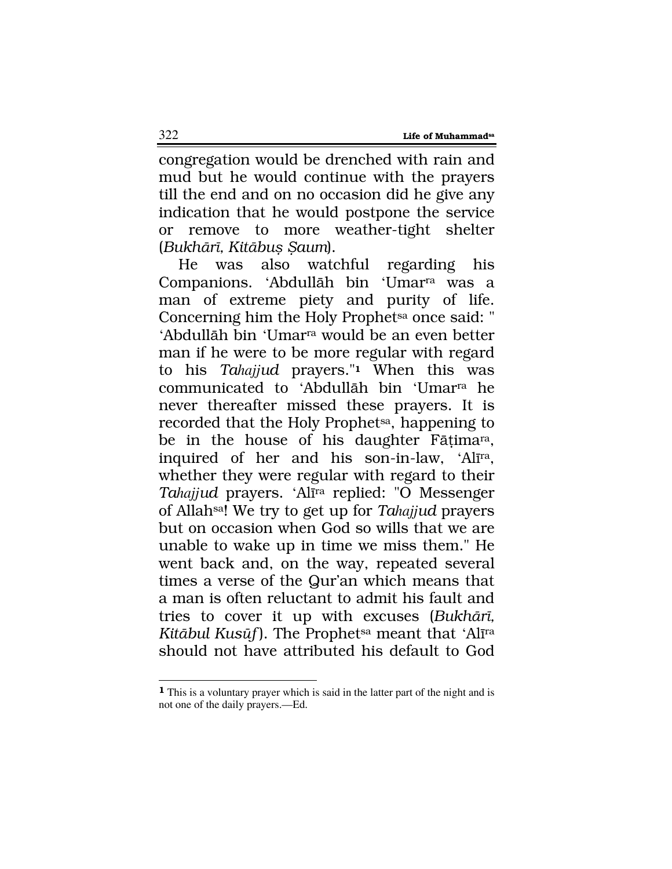congregation would be drenched with rain and mud but he would continue with the prayers till the end and on no occasion did he give any indication that he would postpone the service or remove to more weather-tight shelter (*Bukh*a*r*i*, Kit*a*bu*s S*aum*).

He was also watchful regarding his Companions. 'Abdullah bin 'Umarra was a man of extreme piety and purity of life. Concerning him the Holy Prophetsa once said: " 'Abdullah bin 'Umarra would be an even better man if he were to be more regular with regard to his *Tahajjud* prayers."**1** When this was communicated to 'Abdullah bin 'Umarra he never thereafter missed these prayers. It is recorded that the Holy Prophetsa, happening to be in the house of his daughter Fatimara, inquired of her and his son-in-law, 'Alira, whether they were regular with regard to their *Tahajjud* prayers. 'Alira replied: "O Messenger of Allahsa! We try to get up for *Tahajjud* prayers but on occasion when God so wills that we are unable to wake up in time we miss them." He went back and, on the way, repeated several times a verse of the Qur'an which means that a man is often reluctant to admit his fault and tries to cover it up with excuses (*Bukh*a*r*i*, Kit*a*bul Kus*u*f* ). The Prophetsa meant that 'Alira should not have attributed his default to God

 $\overline{a}$ 

**<sup>1</sup>** This is a voluntary prayer which is said in the latter part of the night and is not one of the daily prayers.—Ed.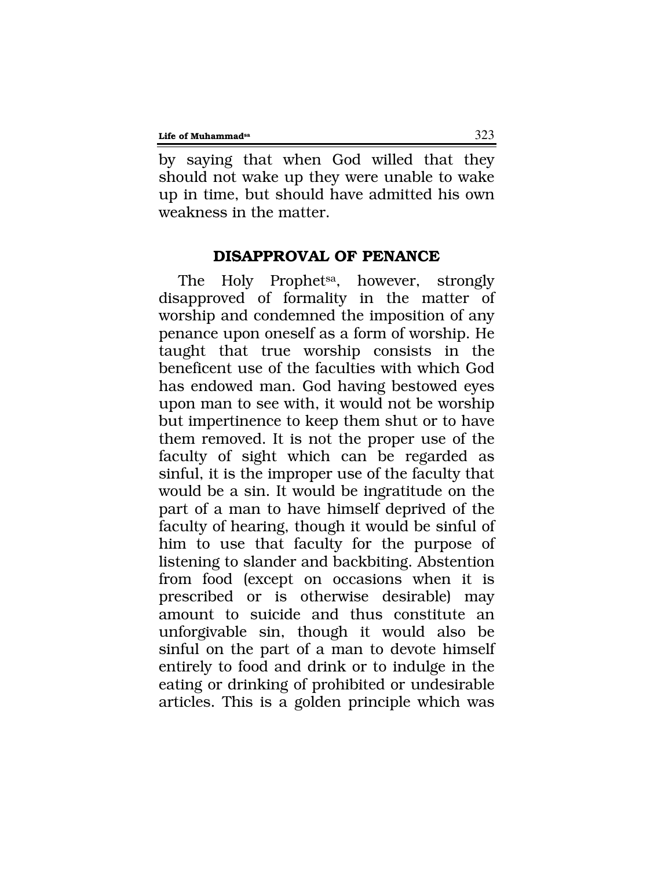by saying that when God willed that they should not wake up they were unable to wake up in time, but should have admitted his own weakness in the matter.

### **DISAPPROVAL OF PENANCE**

The Holy Prophetsa, however, strongly disapproved of formality in the matter of worship and condemned the imposition of any penance upon oneself as a form of worship. He taught that true worship consists in the beneficent use of the faculties with which God has endowed man. God having bestowed eyes upon man to see with, it would not be worship but impertinence to keep them shut or to have them removed. It is not the proper use of the faculty of sight which can be regarded as sinful, it is the improper use of the faculty that would be a sin. It would be ingratitude on the part of a man to have himself deprived of the faculty of hearing, though it would be sinful of him to use that faculty for the purpose of listening to slander and backbiting. Abstention from food (except on occasions when it is prescribed or is otherwise desirable) may amount to suicide and thus constitute an unforgivable sin, though it would also be sinful on the part of a man to devote himself entirely to food and drink or to indulge in the eating or drinking of prohibited or undesirable articles. This is a golden principle which was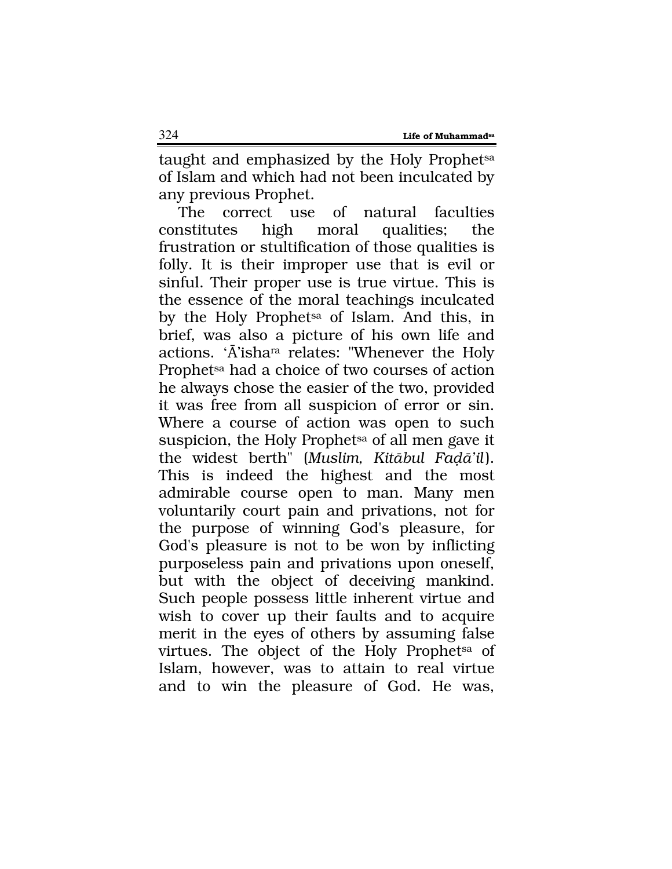taught and emphasized by the Holy Prophetsa of Islam and which had not been inculcated by any previous Prophet.

The correct use of natural faculties constitutes high moral qualities; the frustration or stultification of those qualities is folly. It is their improper use that is evil or sinful. Their proper use is true virtue. This is the essence of the moral teachings inculcated by the Holy Prophetsa of Islam. And this, in brief, was also a picture of his own life and actions. 'A'ishara relates: "Whenever the Holy Prophetsa had a choice of two courses of action he always chose the easier of the two, provided it was free from all suspicion of error or sin. Where a course of action was open to such suspicion, the Holy Prophetsa of all men gave it the widest berth" (*Muslim, Kit*ab*ul Fa*da*'il* ). This is indeed the highest and the most admirable course open to man. Many men voluntarily court pain and privations, not for the purpose of winning God's pleasure, for God's pleasure is not to be won by inflicting purposeless pain and privations upon oneself, but with the object of deceiving mankind. Such people possess little inherent virtue and wish to cover up their faults and to acquire merit in the eyes of others by assuming false virtues. The object of the Holy Prophetsa of Islam, however, was to attain to real virtue and to win the pleasure of God. He was,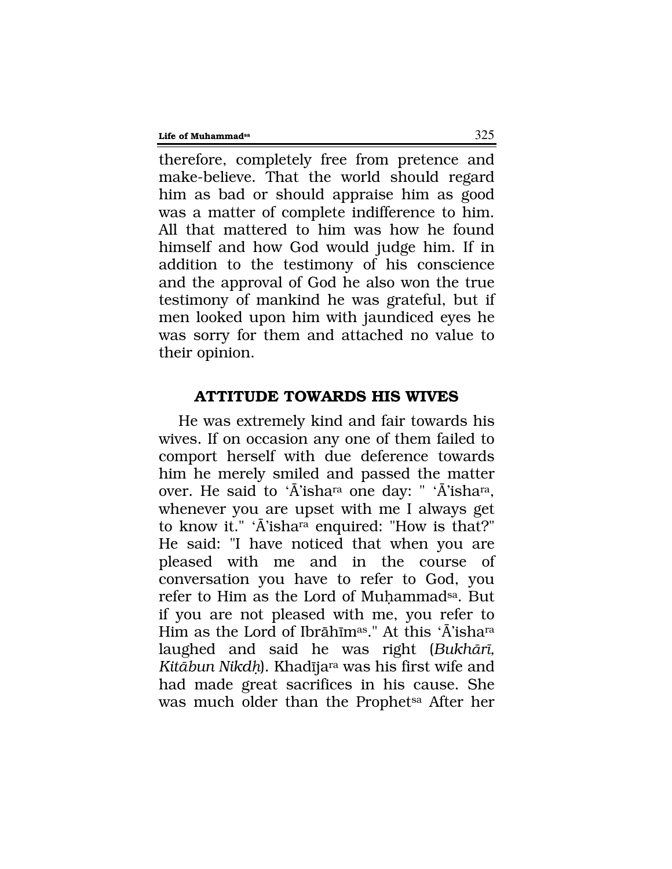therefore, completely free from pretence and make-believe. That the world should regard him as bad or should appraise him as good was a matter of complete indifference to him. All that mattered to him was how he found himself and how God would judge him. If in addition to the testimony of his conscience and the approval of God he also won the true testimony of mankind he was grateful, but if men looked upon him with jaundiced eyes he was sorry for them and attached no value to their opinion.

### **ATTITUDE TOWARDS HIS WIVES**

He was extremely kind and fair towards his wives. If on occasion any one of them failed to comport herself with due deference towards him he merely smiled and passed the matter over. He said to 'A'ishara one day: " 'A'ishara, whenever you are upset with me I always get to know it." 'A'ishara enquired: "How is that?" He said: "I have noticed that when you are pleased with me and in the course of conversation you have to refer to God, you refer to Him as the Lord of Muhammadsa. But if you are not pleased with me, you refer to Him as the Lord of Ibrahimas." At this 'A'ishara laughed and said he was right (*Bukh*a*r*i*, Kit*ab*un Nikd*h). Khadijara was his first wife and had made great sacrifices in his cause. She was much older than the Prophet<sup>sa</sup> After her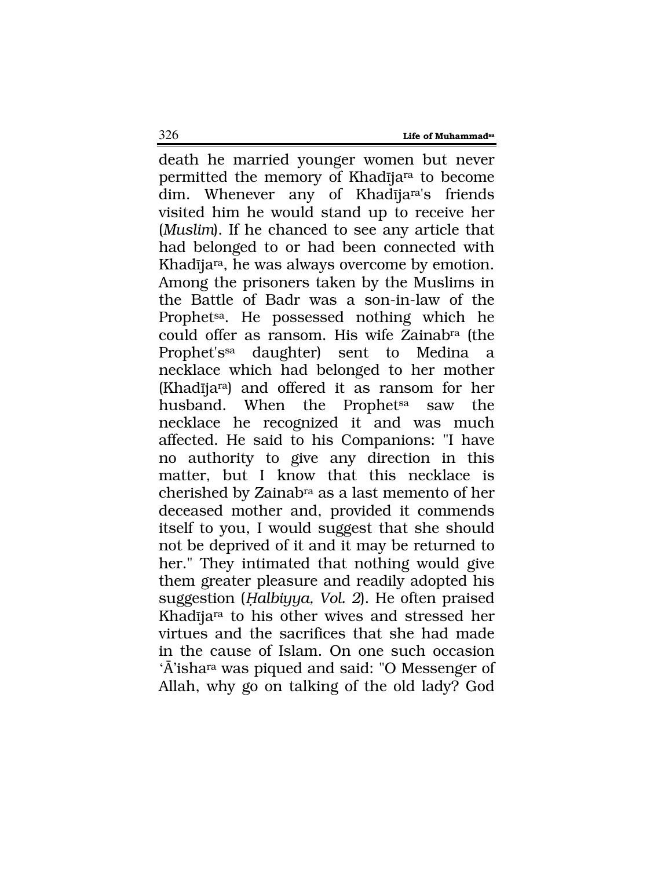death he married younger women but never permitted the memory of Khadijara to become dim. Whenever any of Khadijara's friends visited him he would stand up to receive her (*Muslim*). If he chanced to see any article that had belonged to or had been connected with Khadijara, he was always overcome by emotion. Among the prisoners taken by the Muslims in the Battle of Badr was a son-in-law of the Prophetsa. He possessed nothing which he could offer as ransom. His wife Zainabra (the Prophet'ssa daughter) sent to Medina a necklace which had belonged to her mother (Khadijara) and offered it as ransom for her husband. When the Prophetsa saw the necklace he recognized it and was much affected. He said to his Companions: "I have no authority to give any direction in this matter, but I know that this necklace is cherished by Zainabra as a last memento of her deceased mother and, provided it commends itself to you, I would suggest that she should not be deprived of it and it may be returned to her." They intimated that nothing would give them greater pleasure and readily adopted his suggestion (H*albiyya, Vol. 2*). He often praised Khadijara to his other wives and stressed her virtues and the sacrifices that she had made in the cause of Islam. On one such occasion 'A'ishara was piqued and said: "O Messenger of Allah, why go on talking of the old lady? God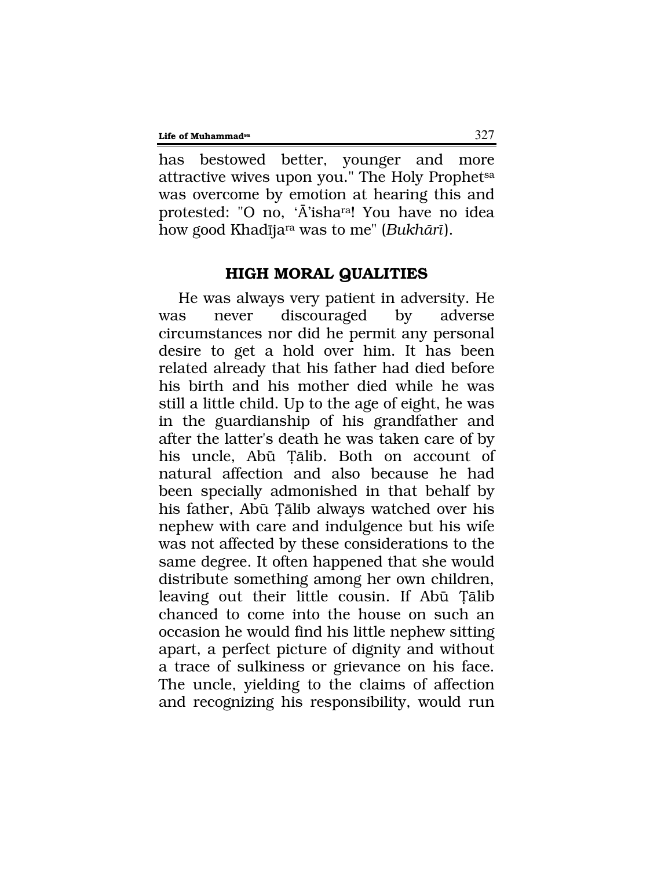has bestowed better, younger and more attractive wives upon you." The Holy Prophetsa was overcome by emotion at hearing this and protested: "O no, 'A'ishara! You have no idea how good Khadijara was to me" (*Bukh*a*r*i ).

# **HIGH MORAL QUALITIES**

He was always very patient in adversity. He was never discouraged by adverse circumstances nor did he permit any personal desire to get a hold over him. It has been related already that his father had died before his birth and his mother died while he was still a little child. Up to the age of eight, he was in the guardianship of his grandfather and after the latter's death he was taken care of by his uncle, Abu Talib. Both on account of natural affection and also because he had been specially admonished in that behalf by his father, Abū Tālib always watched over his nephew with care and indulgence but his wife was not affected by these considerations to the same degree. It often happened that she would distribute something among her own children, leaving out their little cousin. If Abū Tālib chanced to come into the house on such an occasion he would find his little nephew sitting apart, a perfect picture of dignity and without a trace of sulkiness or grievance on his face. The uncle, yielding to the claims of affection and recognizing his responsibility, would run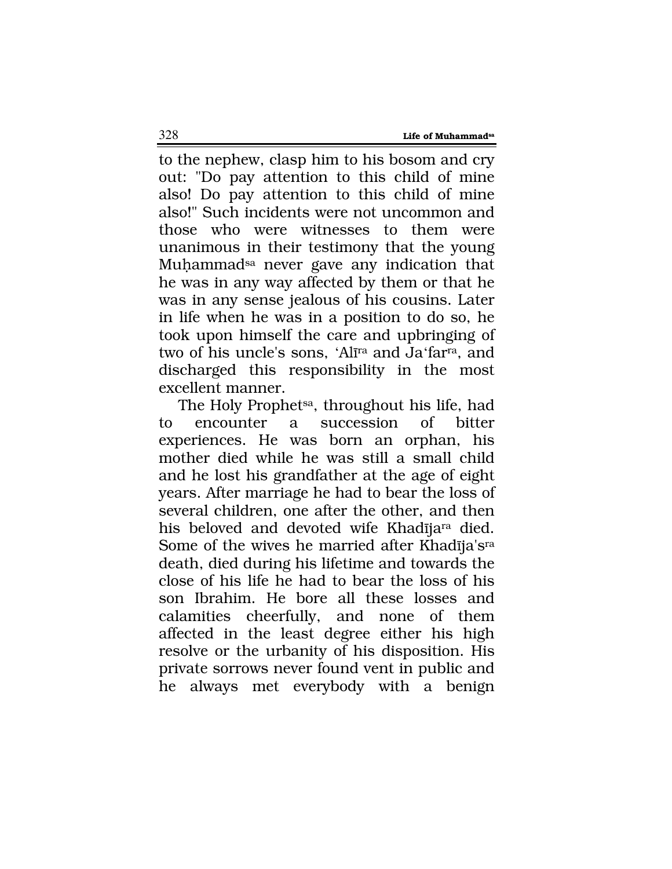to the nephew, clasp him to his bosom and cry out: "Do pay attention to this child of mine also! Do pay attention to this child of mine also!" Such incidents were not uncommon and those who were witnesses to them were unanimous in their testimony that the young Muhammadsa never gave any indication that he was in any way affected by them or that he was in any sense jealous of his cousins. Later in life when he was in a position to do so, he took upon himself the care and upbringing of two of his uncle's sons, 'Alira and Ja'farra, and discharged this responsibility in the most excellent manner.

The Holy Prophetsa, throughout his life, had to encounter a succession of bitter experiences. He was born an orphan, his mother died while he was still a small child and he lost his grandfather at the age of eight years. After marriage he had to bear the loss of several children, one after the other, and then his beloved and devoted wife Khadijara died. Some of the wives he married after Khadija'sra death, died during his lifetime and towards the close of his life he had to bear the loss of his son Ibrahim. He bore all these losses and calamities cheerfully, and none of them affected in the least degree either his high resolve or the urbanity of his disposition. His private sorrows never found vent in public and he always met everybody with a benign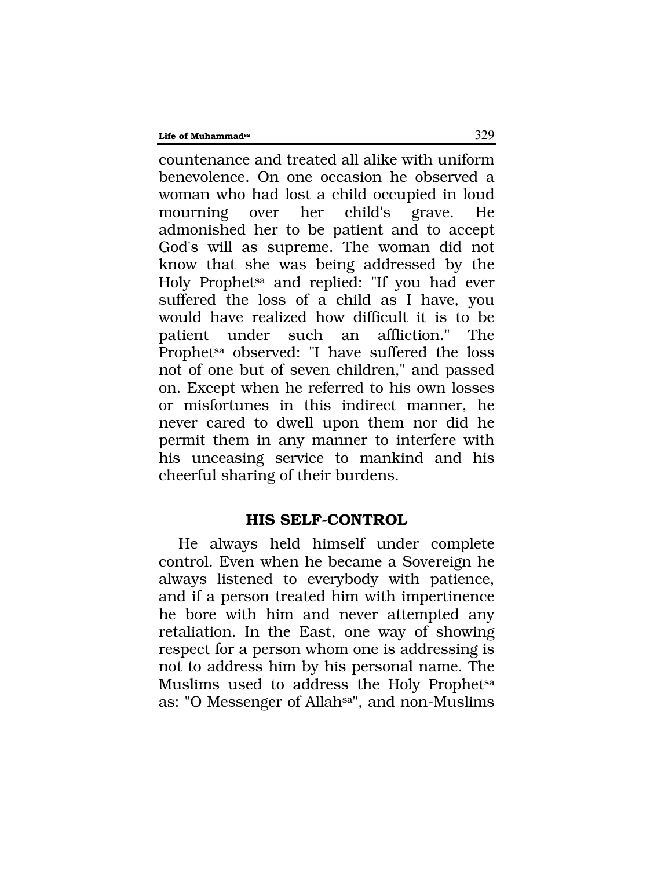countenance and treated all alike with uniform benevolence. On one occasion he observed a woman who had lost a child occupied in loud mourning over her child's grave. He admonished her to be patient and to accept God's will as supreme. The woman did not know that she was being addressed by the Holy Prophetsa and replied: "If you had ever suffered the loss of a child as I have, you would have realized how difficult it is to be patient under such an affliction." The Prophetsa observed: "I have suffered the loss not of one but of seven children," and passed on. Except when he referred to his own losses or misfortunes in this indirect manner, he never cared to dwell upon them nor did he permit them in any manner to interfere with his unceasing service to mankind and his cheerful sharing of their burdens.

## **HIS SELF-CONTROL**

He always held himself under complete control. Even when he became a Sovereign he always listened to everybody with patience, and if a person treated him with impertinence he bore with him and never attempted any retaliation. In the East, one way of showing respect for a person whom one is addressing is not to address him by his personal name. The Muslims used to address the Holy Prophetsa as: "O Messenger of Allahsa", and non-Muslims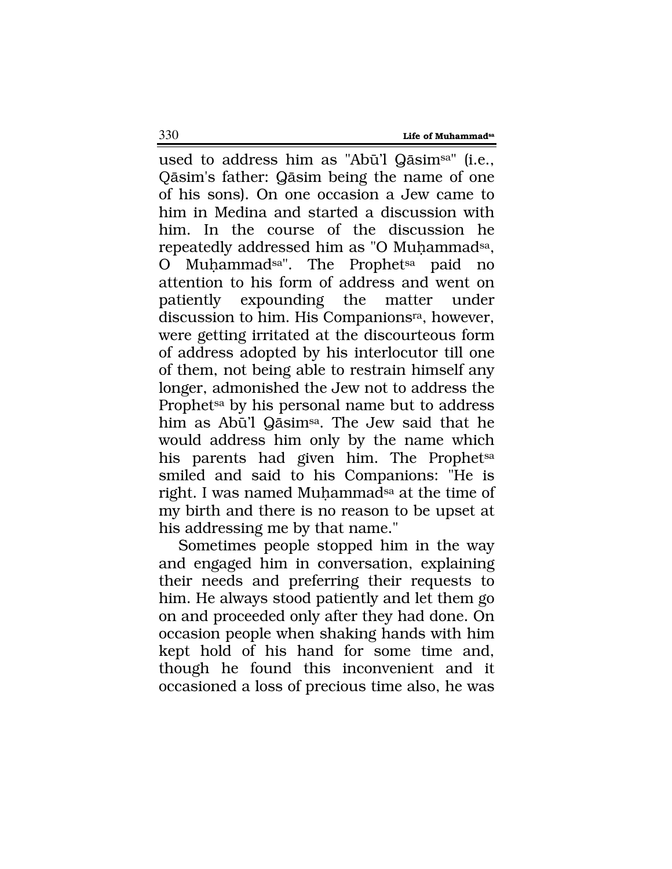used to address him as "Abū'l Qāsim<sup>sa</sup>" (i.e., Qasim's father: Qasim being the name of one of his sons). On one occasion a Jew came to him in Medina and started a discussion with him. In the course of the discussion he repeatedly addressed him as "O Muhammadsa, O Muhammadsa". The Prophetsa paid no attention to his form of address and went on patiently expounding the matter under discussion to him. His Companionsra, however, were getting irritated at the discourteous form of address adopted by his interlocutor till one of them, not being able to restrain himself any longer, admonished the Jew not to address the Prophetsa by his personal name but to address him as Abū'l Qāsimsa. The Jew said that he would address him only by the name which his parents had given him. The Prophetsa smiled and said to his Companions: "He is right. I was named Muhammad<sup>sa</sup> at the time of my birth and there is no reason to be upset at his addressing me by that name."

Sometimes people stopped him in the way and engaged him in conversation, explaining their needs and preferring their requests to him. He always stood patiently and let them go on and proceeded only after they had done. On occasion people when shaking hands with him kept hold of his hand for some time and, though he found this inconvenient and it occasioned a loss of precious time also, he was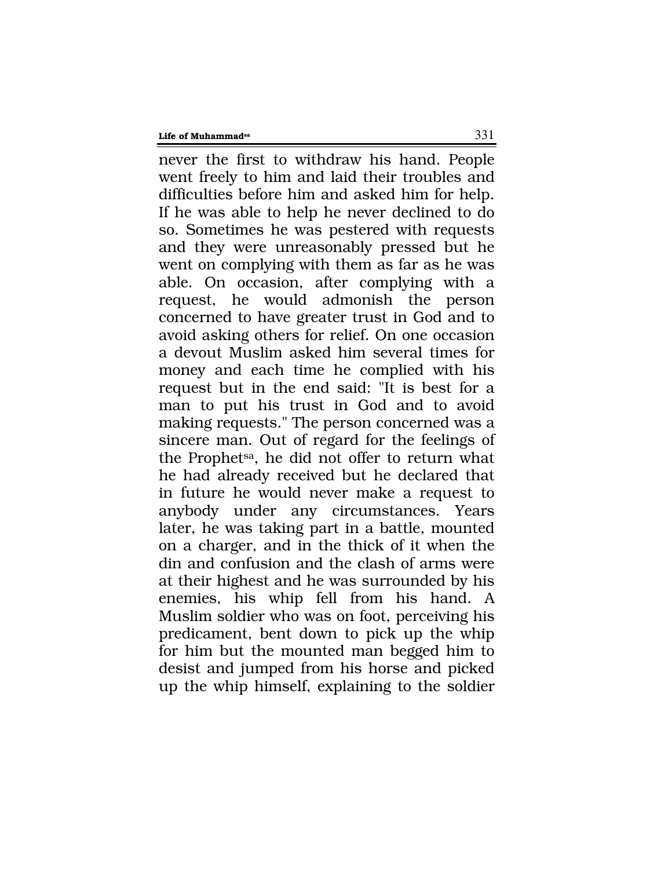never the first to withdraw his hand. People went freely to him and laid their troubles and difficulties before him and asked him for help. If he was able to help he never declined to do so. Sometimes he was pestered with requests and they were unreasonably pressed but he went on complying with them as far as he was able. On occasion, after complying with a request, he would admonish the person concerned to have greater trust in God and to avoid asking others for relief. On one occasion a devout Muslim asked him several times for money and each time he complied with his request but in the end said: "It is best for a man to put his trust in God and to avoid making requests." The person concerned was a sincere man. Out of regard for the feelings of the Prophetsa, he did not offer to return what he had already received but he declared that in future he would never make a request to anybody under any circumstances. Years later, he was taking part in a battle, mounted on a charger, and in the thick of it when the din and confusion and the clash of arms were at their highest and he was surrounded by his enemies, his whip fell from his hand. A Muslim soldier who was on foot, perceiving his predicament, bent down to pick up the whip for him but the mounted man begged him to desist and jumped from his horse and picked up the whip himself, explaining to the soldier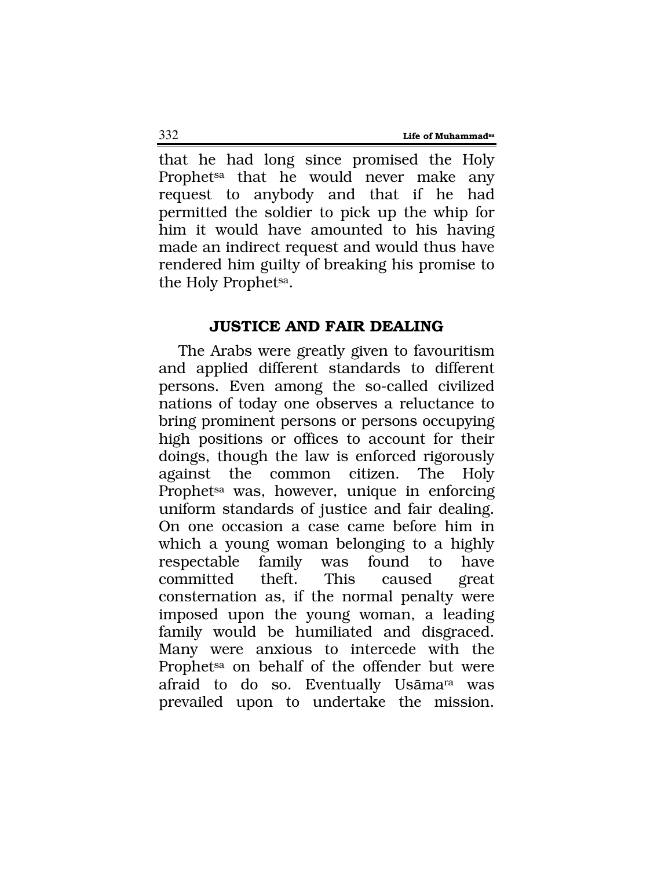that he had long since promised the Holy Prophet<sup>sa</sup> that he would never make any request to anybody and that if he had permitted the soldier to pick up the whip for him it would have amounted to his having made an indirect request and would thus have rendered him guilty of breaking his promise to the Holy Prophetsa.

### **JUSTICE AND FAIR DEALING**

The Arabs were greatly given to favouritism and applied different standards to different persons. Even among the so-called civilized nations of today one observes a reluctance to bring prominent persons or persons occupying high positions or offices to account for their doings, though the law is enforced rigorously against the common citizen. The Holy Prophet<sup>sa</sup> was, however, unique in enforcing uniform standards of justice and fair dealing. On one occasion a case came before him in which a young woman belonging to a highly respectable family was found to have committed theft. This caused great consternation as, if the normal penalty were imposed upon the young woman, a leading family would be humiliated and disgraced. Many were anxious to intercede with the Prophetsa on behalf of the offender but were afraid to do so. Eventually Usamara was prevailed upon to undertake the mission.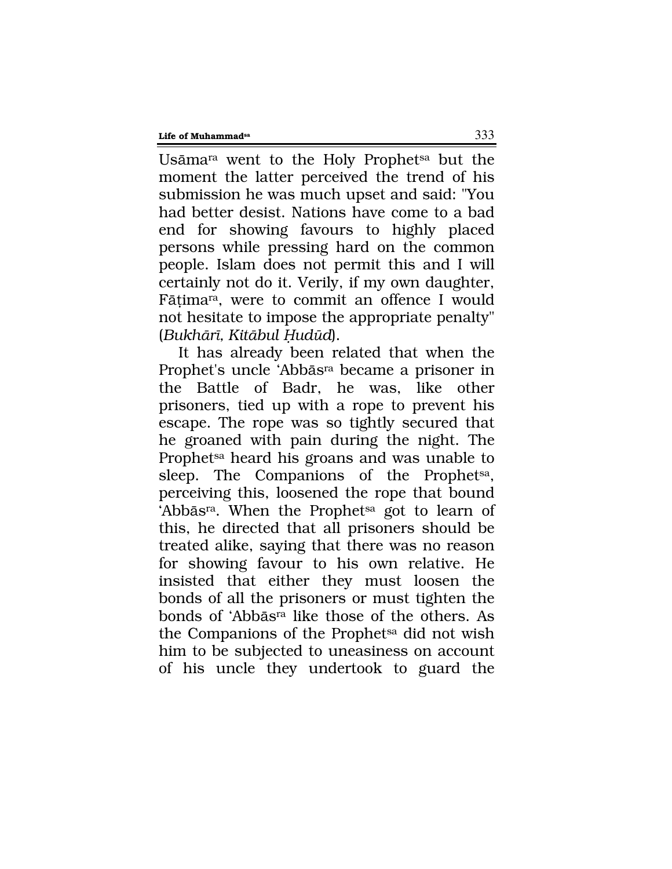Usamara went to the Holy Prophetsa but the moment the latter perceived the trend of his submission he was much upset and said: "You had better desist. Nations have come to a bad end for showing favours to highly placed persons while pressing hard on the common people. Islam does not permit this and I will certainly not do it. Verily, if my own daughter, Fatimara, were to commit an offence I would not hesitate to impose the appropriate penalty" (*Bukh*a*r*i*, Kit*a*bul* H*ud*u*d*).

It has already been related that when the Prophet's uncle 'Abbasra became a prisoner in the Battle of Badr, he was, like other prisoners, tied up with a rope to prevent his escape. The rope was so tightly secured that he groaned with pain during the night. The Prophetsa heard his groans and was unable to sleep. The Companions of the Prophetsa, perceiving this, loosened the rope that bound 'Abbasra. When the Prophetsa got to learn of this, he directed that all prisoners should be treated alike, saying that there was no reason for showing favour to his own relative. He insisted that either they must loosen the bonds of all the prisoners or must tighten the bonds of 'Abbasra like those of the others. As the Companions of the Prophetsa did not wish him to be subjected to uneasiness on account of his uncle they undertook to guard the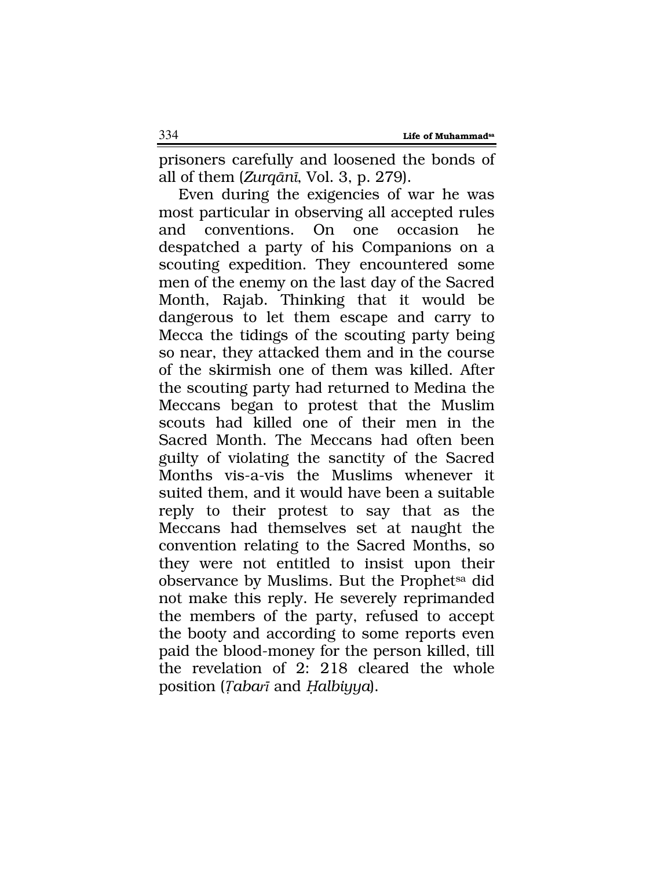prisoners carefully and loosened the bonds of all of them (*Zurq*a*n*i, Vol. 3, p. 279).

Even during the exigencies of war he was most particular in observing all accepted rules and conventions. On one occasion he despatched a party of his Companions on a scouting expedition. They encountered some men of the enemy on the last day of the Sacred Month, Rajab. Thinking that it would be dangerous to let them escape and carry to Mecca the tidings of the scouting party being so near, they attacked them and in the course of the skirmish one of them was killed. After the scouting party had returned to Medina the Meccans began to protest that the Muslim scouts had killed one of their men in the Sacred Month. The Meccans had often been guilty of violating the sanctity of the Sacred Months vis-a-vis the Muslims whenever it suited them, and it would have been a suitable reply to their protest to say that as the Meccans had themselves set at naught the convention relating to the Sacred Months, so they were not entitled to insist upon their observance by Muslims. But the Prophetsa did not make this reply. He severely reprimanded the members of the party, refused to accept the booty and according to some reports even paid the blood-money for the person killed, till the revelation of 2: 218 cleared the whole position (T*abar*i and H*albiyya*).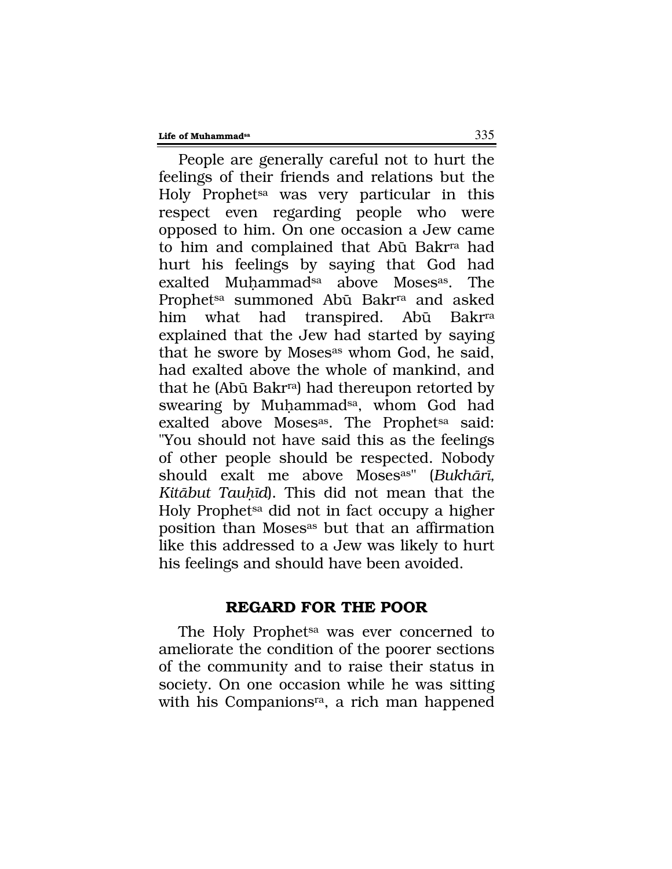People are generally careful not to hurt the feelings of their friends and relations but the Holy Prophetsa was very particular in this respect even regarding people who were opposed to him. On one occasion a Jew came to him and complained that Abū Bakr<sup>ra</sup> had hurt his feelings by saying that God had exalted Muhammadsa above Mosesas. The Prophetsa summoned Abū Bakrra and asked him what had transpired. Abū Bakr<sup>ra</sup> explained that the Jew had started by saying that he swore by Mosesas whom God, he said, had exalted above the whole of mankind, and that he (Abū Bakr<sup>ra</sup>) had thereupon retorted by swearing by Muhammadsa, whom God had exalted above Mosesas. The Prophetsa said: "You should not have said this as the feelings of other people should be respected. Nobody should exalt me above Mosesas" (*Bukh*a*r*i*, Kit*a*but Tau*hi*d*). This did not mean that the Holy Prophetsa did not in fact occupy a higher position than Mosesas but that an affirmation like this addressed to a Jew was likely to hurt his feelings and should have been avoided.

#### **REGARD FOR THE POOR**

The Holy Prophetsa was ever concerned to ameliorate the condition of the poorer sections of the community and to raise their status in society. On one occasion while he was sitting with his Companions<sup>ra</sup>, a rich man happened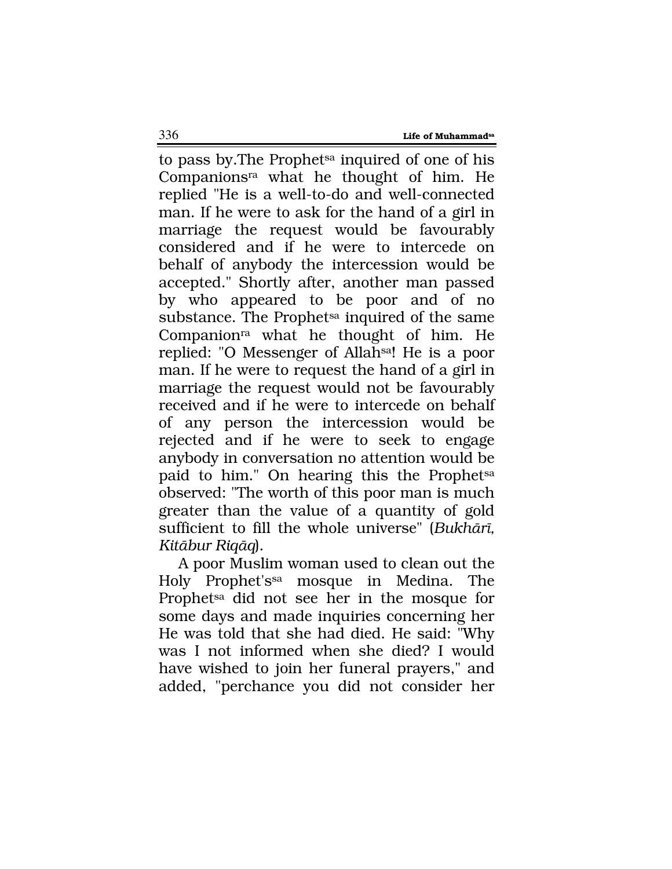to pass by.The Prophetsa inquired of one of his Companionsra what he thought of him. He replied "He is a well-to-do and well-connected man. If he were to ask for the hand of a girl in marriage the request would be favourably considered and if he were to intercede on behalf of anybody the intercession would be accepted." Shortly after, another man passed by who appeared to be poor and of no substance. The Prophet<sup>sa</sup> inquired of the same Companionra what he thought of him. He replied: "O Messenger of Allahsa! He is a poor man. If he were to request the hand of a girl in marriage the request would not be favourably received and if he were to intercede on behalf of any person the intercession would be rejected and if he were to seek to engage anybody in conversation no attention would be paid to him." On hearing this the Prophetsa observed: "The worth of this poor man is much greater than the value of a quantity of gold sufficient to fill the whole universe" (*Bukh*a*r*i*, Kit*a*bur Riq*a*q*).

A poor Muslim woman used to clean out the Holy Prophet'ssa mosque in Medina. The Prophetsa did not see her in the mosque for some days and made inquiries concerning her He was told that she had died. He said: "Why was I not informed when she died? I would have wished to join her funeral prayers," and added, "perchance you did not consider her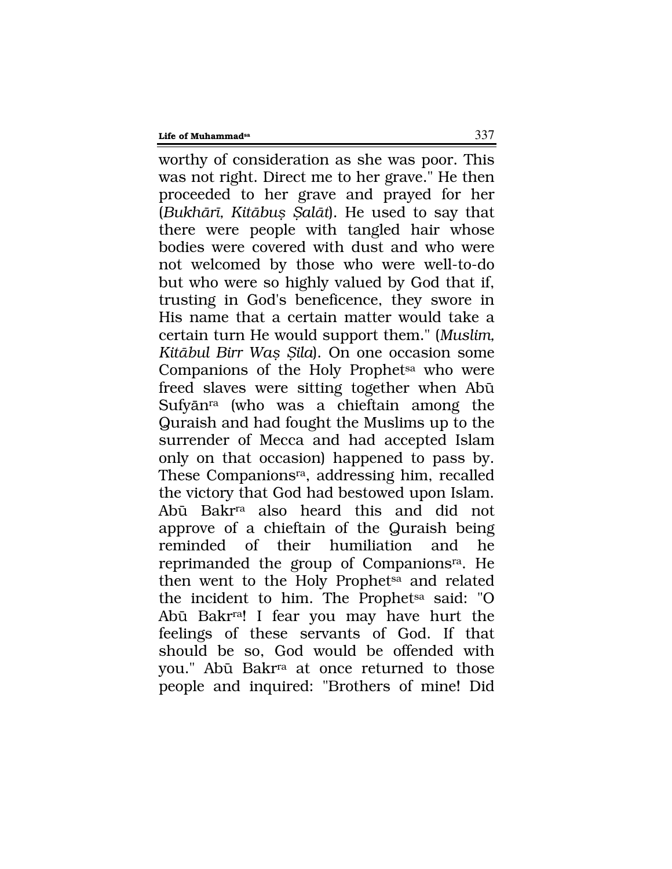worthy of consideration as she was poor. This was not right. Direct me to her grave." He then proceeded to her grave and prayed for her (*Bukh*a*r*i*, Kit*a*bu*s S*al*a*t*). He used to say that there were people with tangled hair whose bodies were covered with dust and who were not welcomed by those who were well-to-do but who were so highly valued by God that if, trusting in God's beneficence, they swore in His name that a certain matter would take a certain turn He would support them." (*Muslim, Kit*ab*ul Birr Wa*s S*ila*). On one occasion some Companions of the Holy Prophetsa who were freed slaves were sitting together when Abu Sufyanra (who was a chieftain among the Quraish and had fought the Muslims up to the surrender of Mecca and had accepted Islam only on that occasion) happened to pass by. These Companionsra, addressing him, recalled the victory that God had bestowed upon Islam. Abu Bakrra also heard this and did not approve of a chieftain of the Quraish being reminded of their humiliation and he reprimanded the group of Companionsra. He then went to the Holy Prophetsa and related the incident to him. The Prophetsa said: "O Abū Bakr<sup>ra!</sup> I fear you may have hurt the feelings of these servants of God. If that should be so, God would be offended with you." Abu Bakrra at once returned to those people and inquired: "Brothers of mine! Did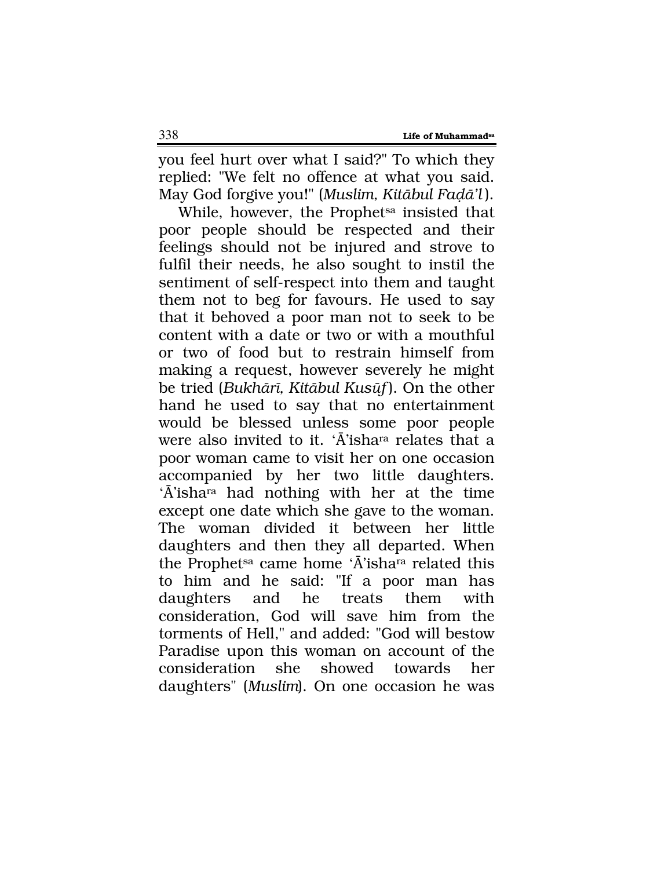you feel hurt over what I said?" To which they replied: "We felt no offence at what you said. May God forgive you!" (*Muslim, Kit*a*bul Fa*da*'l* ).

While, however, the Prophetsa insisted that poor people should be respected and their feelings should not be injured and strove to fulfil their needs, he also sought to instil the sentiment of self-respect into them and taught them not to beg for favours. He used to say that it behoved a poor man not to seek to be content with a date or two or with a mouthful or two of food but to restrain himself from making a request, however severely he might be tried (*Bukh*a*r*i*, Kit*a*bul Kus*u*f* ). On the other hand he used to say that no entertainment would be blessed unless some poor people were also invited to it. 'A'ishara relates that a poor woman came to visit her on one occasion accompanied by her two little daughters. 'Ā'ishara had nothing with her at the time except one date which she gave to the woman. The woman divided it between her little daughters and then they all departed. When the Prophetsa came home 'A'ishara related this to him and he said: "If a poor man has daughters and he treats them with consideration, God will save him from the torments of Hell," and added: "God will bestow Paradise upon this woman on account of the consideration she showed towards her daughters" (*Muslim*). On one occasion he was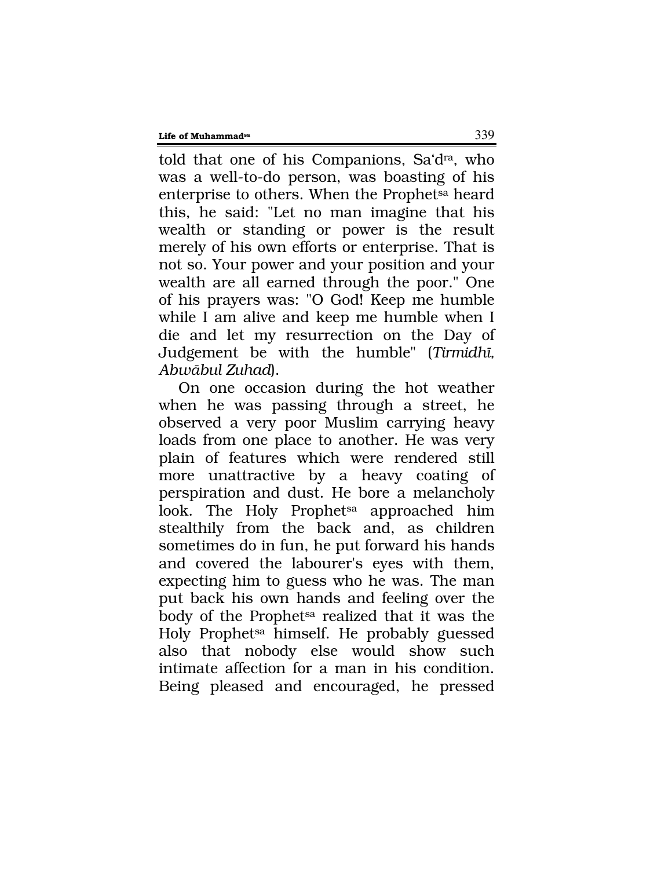told that one of his Companions, Sa'dra, who was a well-to-do person, was boasting of his enterprise to others. When the Prophetsa heard this, he said: "Let no man imagine that his wealth or standing or power is the result merely of his own efforts or enterprise. That is not so. Your power and your position and your wealth are all earned through the poor." One of his prayers was: "O God! Keep me humble while I am alive and keep me humble when I die and let my resurrection on the Day of Judgement be with the humble" (*Tirmidh*i*, Abw*a*bul Zuhad*).

On one occasion during the hot weather when he was passing through a street, he observed a very poor Muslim carrying heavy loads from one place to another. He was very plain of features which were rendered still more unattractive by a heavy coating of perspiration and dust. He bore a melancholy look. The Holy Prophetsa approached him stealthily from the back and, as children sometimes do in fun, he put forward his hands and covered the labourer's eyes with them, expecting him to guess who he was. The man put back his own hands and feeling over the body of the Prophetsa realized that it was the Holy Prophetsa himself. He probably guessed also that nobody else would show such intimate affection for a man in his condition. Being pleased and encouraged, he pressed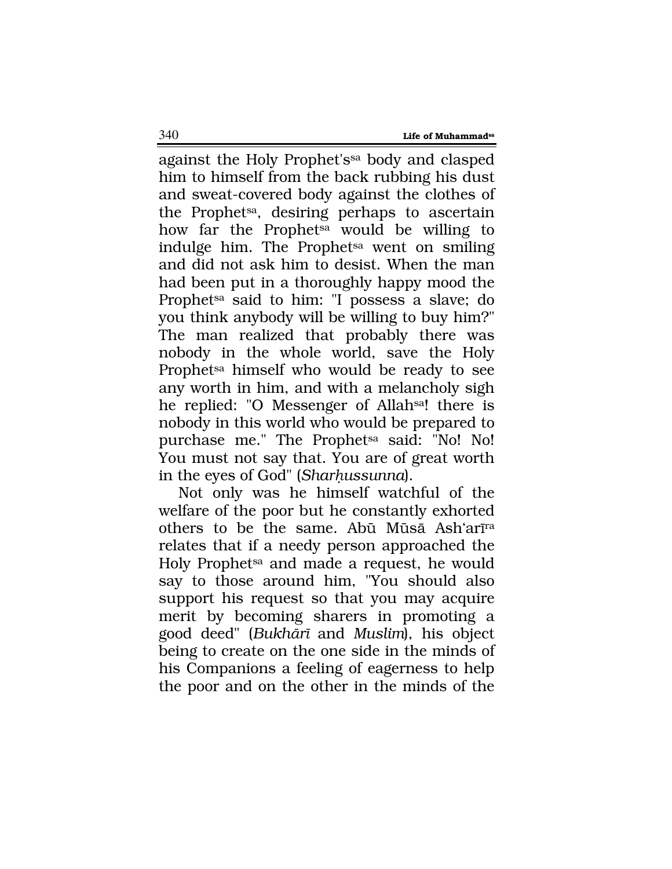against the Holy Prophet'ssa body and clasped him to himself from the back rubbing his dust and sweat-covered body against the clothes of the Prophetsa, desiring perhaps to ascertain how far the Prophetsa would be willing to indulge him. The Prophetsa went on smiling and did not ask him to desist. When the man had been put in a thoroughly happy mood the Prophetsa said to him: "I possess a slave; do you think anybody will be willing to buy him?" The man realized that probably there was nobody in the whole world, save the Holy Prophetsa himself who would be ready to see any worth in him, and with a melancholy sigh he replied: "O Messenger of Allahsa! there is nobody in this world who would be prepared to purchase me." The Prophetsa said: "No! No! You must not say that. You are of great worth in the eyes of God" (*Shar*h*ussunna*).

Not only was he himself watchful of the welfare of the poor but he constantly exhorted others to be the same. Abū Mūsā Ash'arī<sup>ra</sup> relates that if a needy person approached the Holy Prophetsa and made a request, he would say to those around him, "You should also support his request so that you may acquire merit by becoming sharers in promoting a good deed" (*Bukh*a*r*i and *Muslim*), his object being to create on the one side in the minds of his Companions a feeling of eagerness to help the poor and on the other in the minds of the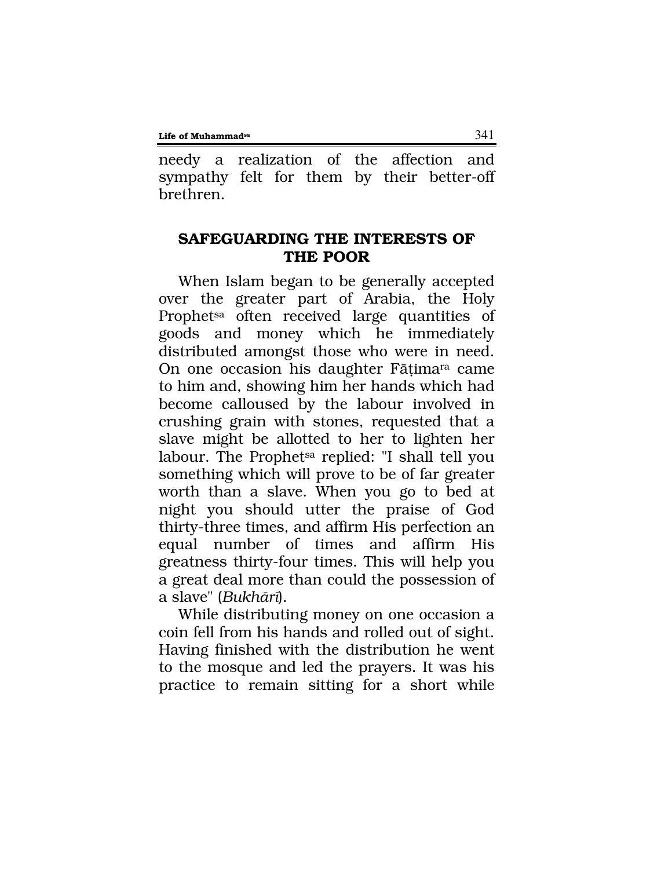needy a realization of the affection and sympathy felt for them by their better-off brethren.

## **SAFEGUARDING THE INTERESTS OF THE POOR**

When Islam began to be generally accepted over the greater part of Arabia, the Holy Prophetsa often received large quantities of goods and money which he immediately distributed amongst those who were in need. On one occasion his daughter Fatimara came to him and, showing him her hands which had become calloused by the labour involved in crushing grain with stones, requested that a slave might be allotted to her to lighten her labour. The Prophetsa replied: "I shall tell you something which will prove to be of far greater worth than a slave. When you go to bed at night you should utter the praise of God thirty-three times, and affirm His perfection an equal number of times and affirm His greatness thirty-four times. This will help you a great deal more than could the possession of a slave" (*Bukh*a*r*i).

While distributing money on one occasion a coin fell from his hands and rolled out of sight. Having finished with the distribution he went to the mosque and led the prayers. It was his practice to remain sitting for a short while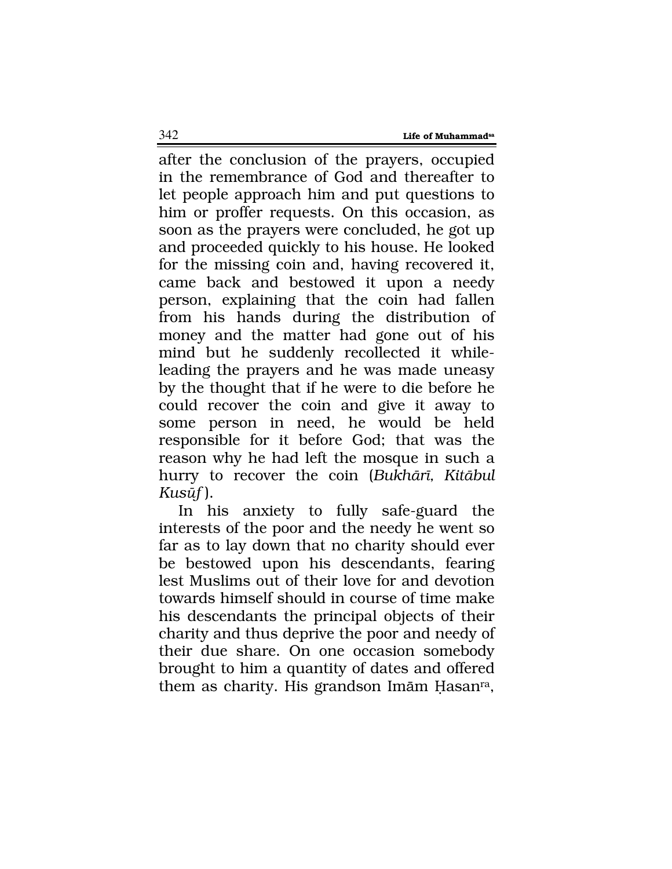after the conclusion of the prayers, occupied in the remembrance of God and thereafter to let people approach him and put questions to him or proffer requests. On this occasion, as soon as the prayers were concluded, he got up and proceeded quickly to his house. He looked for the missing coin and, having recovered it, came back and bestowed it upon a needy person, explaining that the coin had fallen from his hands during the distribution of money and the matter had gone out of his mind but he suddenly recollected it whileleading the prayers and he was made uneasy by the thought that if he were to die before he could recover the coin and give it away to some person in need, he would be held responsible for it before God; that was the reason why he had left the mosque in such a hurry to recover the coin (*Bukh*a*r*i*, Kit*a*bul Kus*u*f* ).

In his anxiety to fully safe-guard the interests of the poor and the needy he went so far as to lay down that no charity should ever be bestowed upon his descendants, fearing lest Muslims out of their love for and devotion towards himself should in course of time make his descendants the principal objects of their charity and thus deprive the poor and needy of their due share. On one occasion somebody brought to him a quantity of dates and offered them as charity. His grandson Imam Hasanra,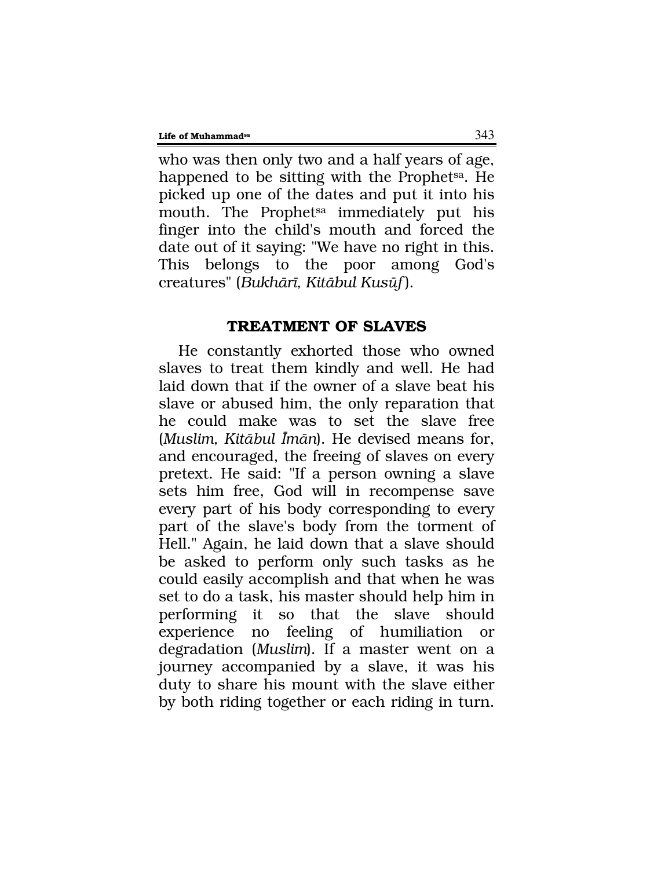who was then only two and a half years of age, happened to be sitting with the Prophetsa. He picked up one of the dates and put it into his mouth. The Prophetsa immediately put his finger into the child's mouth and forced the date out of it saying: "We have no right in this. This belongs to the poor among God's creatures" (*Bukh*a*r*i*, Kit*a*bul Kus*u*f* ).

### **TREATMENT OF SLAVES**

He constantly exhorted those who owned slaves to treat them kindly and well. He had laid down that if the owner of a slave beat his slave or abused him, the only reparation that he could make was to set the slave free (*Muslim, Kit*ab*ul* I*m*a*n*). He devised means for, and encouraged, the freeing of slaves on every pretext. He said: "If a person owning a slave sets him free, God will in recompense save every part of his body corresponding to every part of the slave's body from the torment of Hell." Again, he laid down that a slave should be asked to perform only such tasks as he could easily accomplish and that when he was set to do a task, his master should help him in performing it so that the slave should experience no feeling of humiliation or degradation (*Muslim*). If a master went on a journey accompanied by a slave, it was his duty to share his mount with the slave either by both riding together or each riding in turn.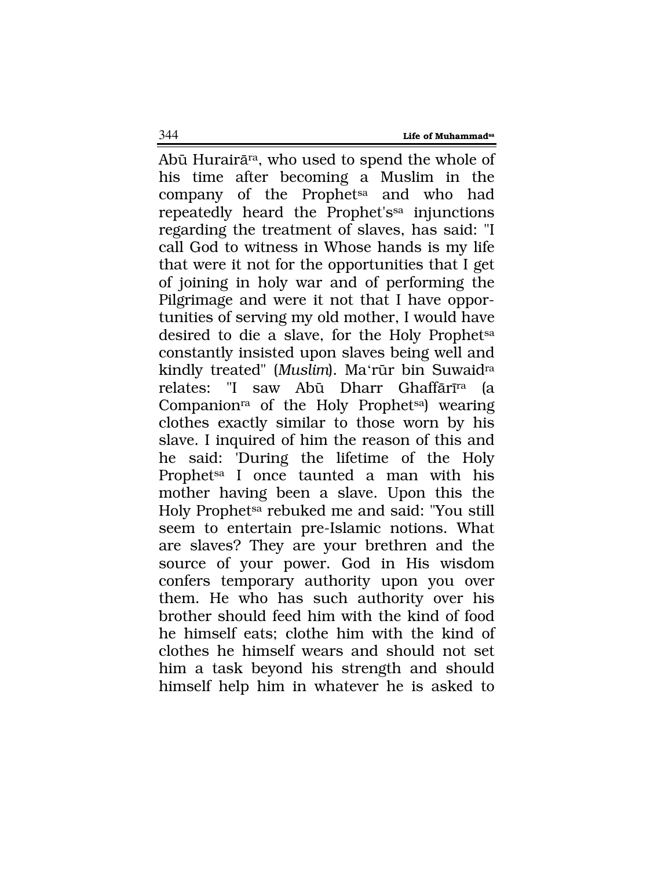Abū Hurairāra, who used to spend the whole of his time after becoming a Muslim in the company of the Prophetsa and who had repeatedly heard the Prophet'ssa injunctions regarding the treatment of slaves, has said: "I call God to witness in Whose hands is my life that were it not for the opportunities that I get of joining in holy war and of performing the Pilgrimage and were it not that I have opportunities of serving my old mother, I would have desired to die a slave, for the Holy Prophetsa constantly insisted upon slaves being well and kindly treated" (Muslim). Ma'rūr bin Suwaidra relates: "I saw Abū Dharr Ghaffārī<sup>ra</sup> (a Companionra of the Holy Prophetsa) wearing clothes exactly similar to those worn by his slave. I inquired of him the reason of this and he said: 'During the lifetime of the Holy Prophetsa I once taunted a man with his mother having been a slave. Upon this the Holy Prophetsa rebuked me and said: "You still seem to entertain pre-Islamic notions. What are slaves? They are your brethren and the source of your power. God in His wisdom confers temporary authority upon you over them. He who has such authority over his brother should feed him with the kind of food he himself eats; clothe him with the kind of clothes he himself wears and should not set him a task beyond his strength and should himself help him in whatever he is asked to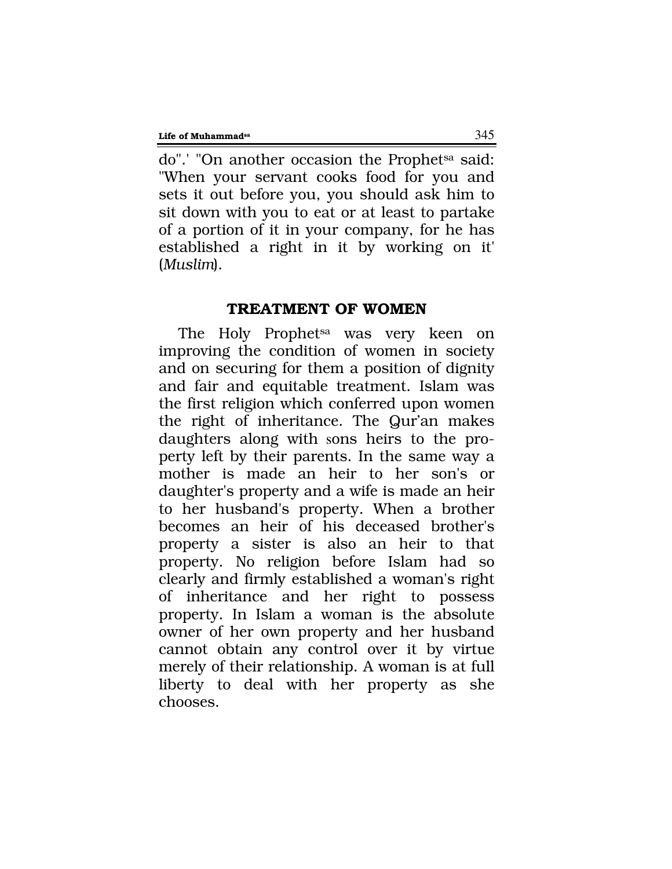do".' "On another occasion the Prophetsa said: "When your servant cooks food for you and sets it out before you, you should ask him to sit down with you to eat or at least to partake of a portion of it in your company, for he has established a right in it by working on it' (*Muslim*).

#### **TREATMENT OF WOMEN**

The Holy Prophet<sup>sa</sup> was very keen on improving the condition of women in society and on securing for them a position of dignity and fair and equitable treatment. Islam was the first religion which conferred upon women the right of inheritance. The Qur'an makes daughters along with sons heirs to the property left by their parents. In the same way a mother is made an heir to her son's or daughter's property and a wife is made an heir to her husband's property. When a brother becomes an heir of his deceased brother's property a sister is also an heir to that property. No religion before Islam had so clearly and firmly established a woman's right of inheritance and her right to possess property. In Islam a woman is the absolute owner of her own property and her husband cannot obtain any control over it by virtue merely of their relationship. A woman is at full liberty to deal with her property as she chooses.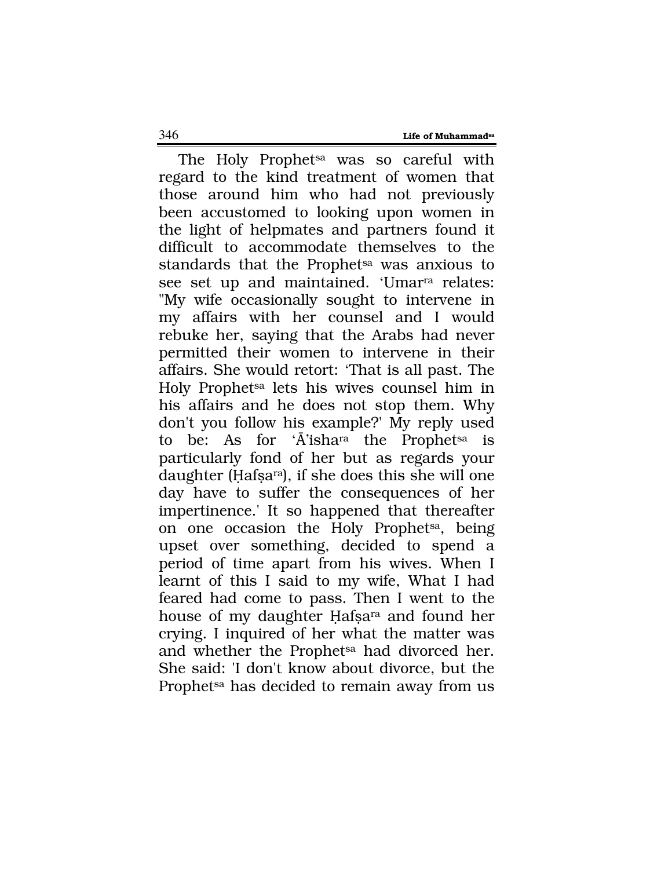The Holy Prophetsa was so careful with regard to the kind treatment of women that those around him who had not previously been accustomed to looking upon women in the light of helpmates and partners found it difficult to accommodate themselves to the standards that the Prophetsa was anxious to see set up and maintained. 'Umar<sup>ra</sup> relates: "My wife occasionally sought to intervene in my affairs with her counsel and I would rebuke her, saying that the Arabs had never permitted their women to intervene in their affairs. She would retort: 'That is all past. The Holy Prophetsa lets his wives counsel him in his affairs and he does not stop them. Why don't you follow his example?' My reply used to be: As for 'A'ishara the Prophetsa is particularly fond of her but as regards your daughter (Hafsara), if she does this she will one day have to suffer the consequences of her impertinence.' It so happened that thereafter on one occasion the Holy Prophetsa, being upset over something, decided to spend a period of time apart from his wives. When I learnt of this I said to my wife, What I had feared had come to pass. Then I went to the house of my daughter Hafsara and found her crying. I inquired of her what the matter was and whether the Prophetsa had divorced her. She said: 'I don't know about divorce, but the Prophetsa has decided to remain away from us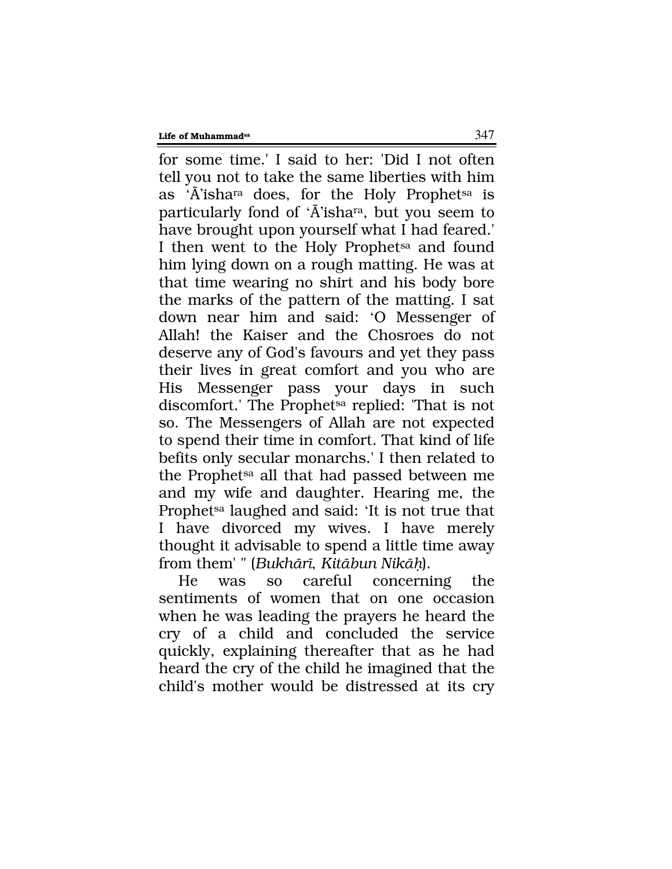for some time.' I said to her: 'Did I not often tell you not to take the same liberties with him as 'Ā'ishara does, for the Holy Prophetsa is particularly fond of 'A'ishara, but you seem to have brought upon yourself what I had feared.' I then went to the Holy Prophetsa and found him lying down on a rough matting. He was at that time wearing no shirt and his body bore the marks of the pattern of the matting. I sat down near him and said: 'O Messenger of Allah! the Kaiser and the Chosroes do not deserve any of God's favours and yet they pass their lives in great comfort and you who are His Messenger pass your days in such discomfort.' The Prophetsa replied: 'That is not so. The Messengers of Allah are not expected to spend their time in comfort. That kind of life befits only secular monarchs.' I then related to the Prophetsa all that had passed between me and my wife and daughter. Hearing me, the Prophetsa laughed and said: 'It is not true that I have divorced my wives. I have merely thought it advisable to spend a little time away from them' " (*Bukh*a*r*i, *Kit*ab*un Nik*ah).

He was so careful concerning the sentiments of women that on one occasion when he was leading the prayers he heard the cry of a child and concluded the service quickly, explaining thereafter that as he had heard the cry of the child he imagined that the child's mother would be distressed at its cry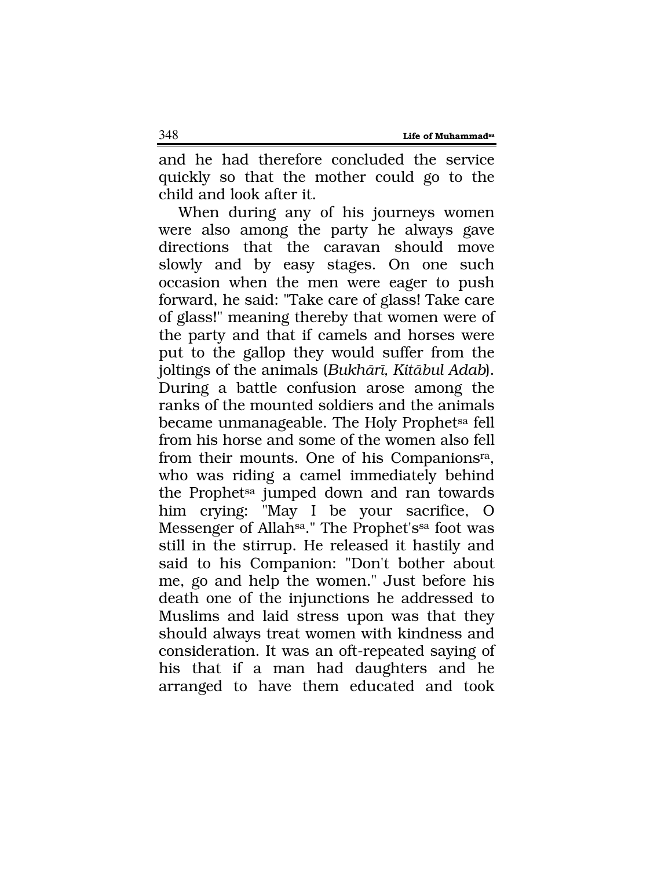and he had therefore concluded the service quickly so that the mother could go to the child and look after it.

When during any of his journeys women were also among the party he always gave directions that the caravan should move slowly and by easy stages. On one such occasion when the men were eager to push forward, he said: "Take care of glass! Take care of glass!" meaning thereby that women were of the party and that if camels and horses were put to the gallop they would suffer from the joltings of the animals (*Bukh*a*r*i*, Kit*ab*ul Adab*). During a battle confusion arose among the ranks of the mounted soldiers and the animals became unmanageable. The Holy Prophetsa fell from his horse and some of the women also fell from their mounts. One of his Companionsra, who was riding a camel immediately behind the Prophetsa jumped down and ran towards him crying: "May I be your sacrifice, O Messenger of Allahsa." The Prophet'ssa foot was still in the stirrup. He released it hastily and said to his Companion: "Don't bother about me, go and help the women." Just before his death one of the injunctions he addressed to Muslims and laid stress upon was that they should always treat women with kindness and consideration. It was an oft-repeated saying of his that if a man had daughters and he arranged to have them educated and took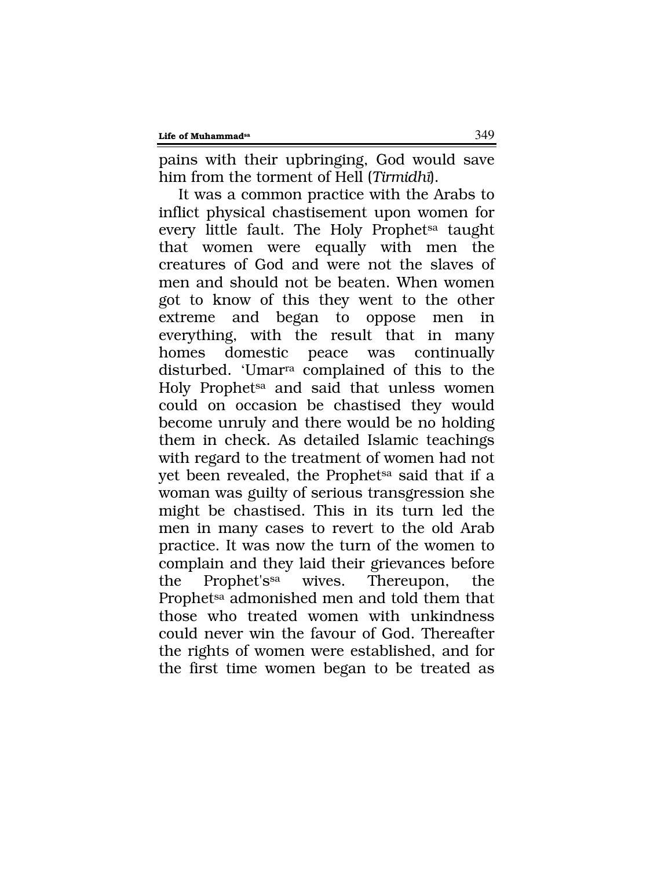pains with their upbringing, God would save him from the torment of Hell (*Tirmidh*i).

It was a common practice with the Arabs to inflict physical chastisement upon women for every little fault. The Holy Prophetsa taught that women were equally with men the creatures of God and were not the slaves of men and should not be beaten. When women got to know of this they went to the other extreme and began to oppose men in everything, with the result that in many homes domestic peace was continually disturbed. 'Umarra complained of this to the Holy Prophet<sup>sa</sup> and said that unless women could on occasion be chastised they would become unruly and there would be no holding them in check. As detailed Islamic teachings with regard to the treatment of women had not yet been revealed, the Prophetsa said that if a woman was guilty of serious transgression she might be chastised. This in its turn led the men in many cases to revert to the old Arab practice. It was now the turn of the women to complain and they laid their grievances before the Prophet'ssa wives. Thereupon, the Prophetsa admonished men and told them that those who treated women with unkindness could never win the favour of God. Thereafter the rights of women were established, and for the first time women began to be treated as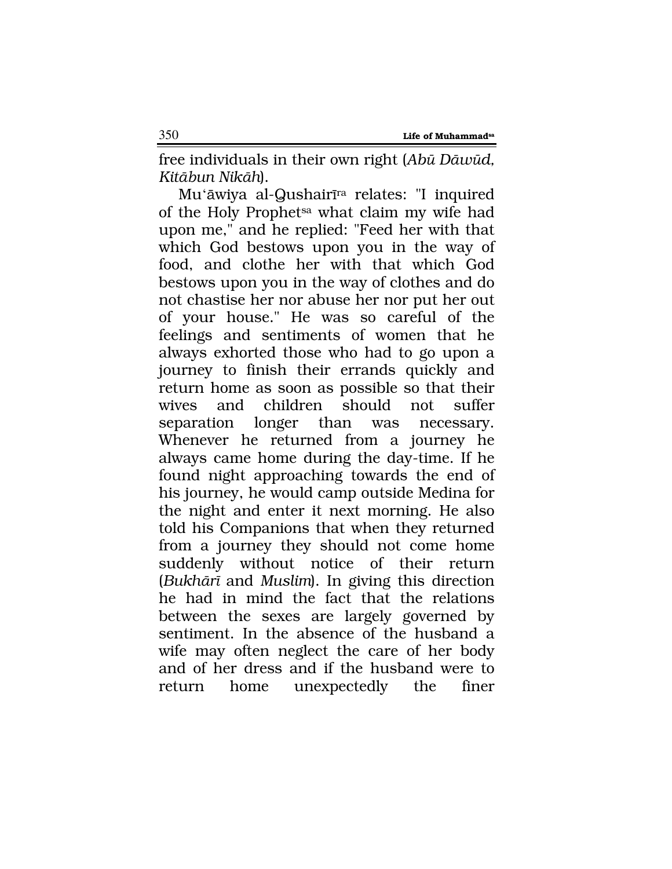free individuals in their own right (*Ab*u *D*a*w*u*d, Kit*ab*un Nik*a*h*).

Mu'āwiya al-Qushairī<sup>ra</sup> relates: "I inquired of the Holy Prophetsa what claim my wife had upon me," and he replied: "Feed her with that which God bestows upon you in the way of food, and clothe her with that which God bestows upon you in the way of clothes and do not chastise her nor abuse her nor put her out of your house." He was so careful of the feelings and sentiments of women that he always exhorted those who had to go upon a journey to finish their errands quickly and return home as soon as possible so that their wives and children should not suffer separation longer than was necessary. Whenever he returned from a journey he always came home during the day-time. If he found night approaching towards the end of his journey, he would camp outside Medina for the night and enter it next morning. He also told his Companions that when they returned from a journey they should not come home suddenly without notice of their return (*Bukh*a*r*i and *Muslim*). In giving this direction he had in mind the fact that the relations between the sexes are largely governed by sentiment. In the absence of the husband a wife may often neglect the care of her body and of her dress and if the husband were to return home unexpectedly the finer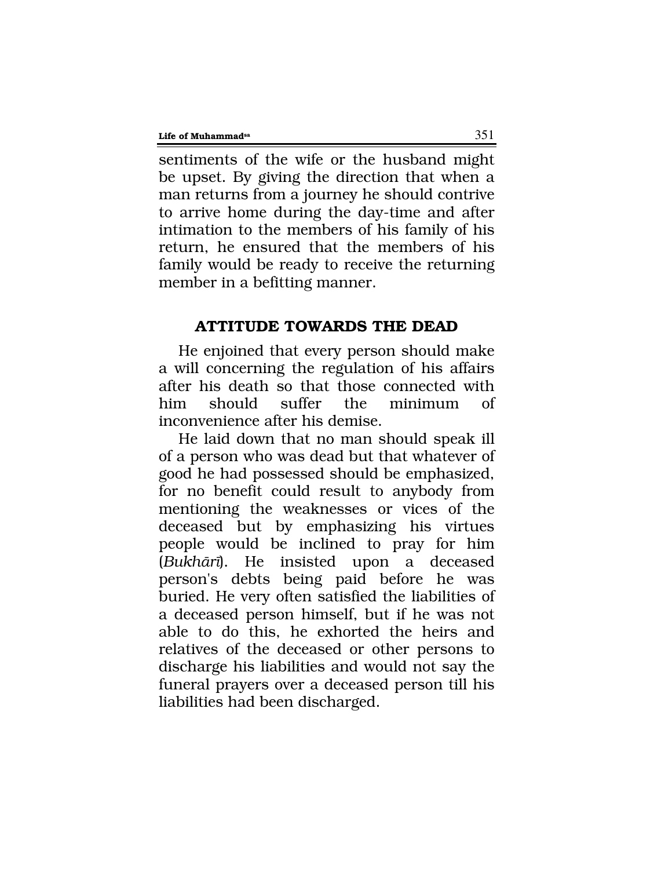sentiments of the wife or the husband might be upset. By giving the direction that when a man returns from a journey he should contrive to arrive home during the day-time and after intimation to the members of his family of his return, he ensured that the members of his family would be ready to receive the returning member in a befitting manner.

## **ATTITUDE TOWARDS THE DEAD**

He enjoined that every person should make a will concerning the regulation of his affairs after his death so that those connected with him should suffer the minimum of inconvenience after his demise.

He laid down that no man should speak ill of a person who was dead but that whatever of good he had possessed should be emphasized, for no benefit could result to anybody from mentioning the weaknesses or vices of the deceased but by emphasizing his virtues people would be inclined to pray for him (*Bukh*a*r*i). He insisted upon a deceased person's debts being paid before he was buried. He very often satisfied the liabilities of a deceased person himself, but if he was not able to do this, he exhorted the heirs and relatives of the deceased or other persons to discharge his liabilities and would not say the funeral prayers over a deceased person till his liabilities had been discharged.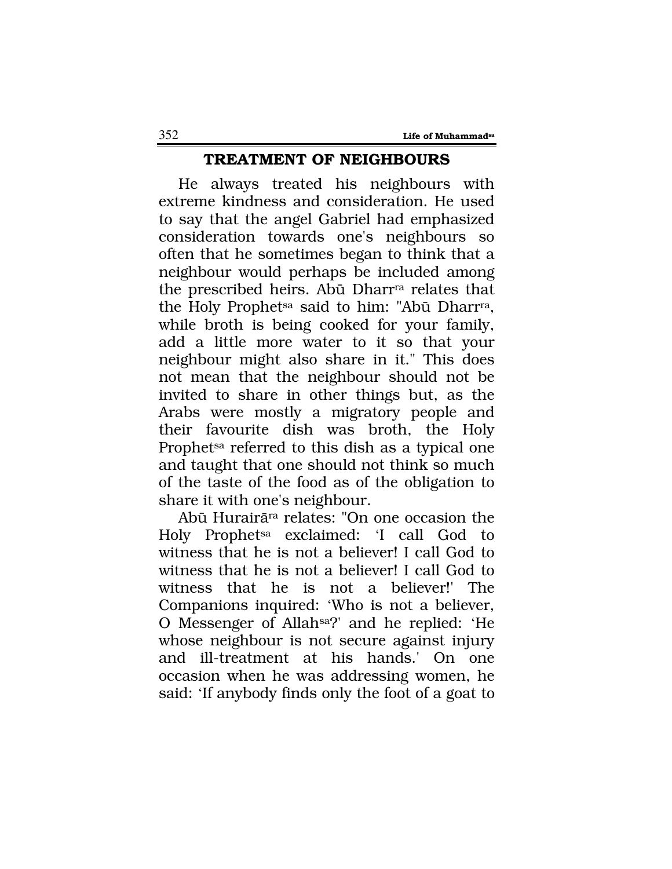## **TREATMENT OF NEIGHBOURS**

He always treated his neighbours with extreme kindness and consideration. He used to say that the angel Gabriel had emphasized consideration towards one's neighbours so often that he sometimes began to think that a neighbour would perhaps be included among the prescribed heirs. Abu Dharrra relates that the Holy Prophet<sup>sa</sup> said to him: "Abū Dharr<sup>ra</sup>, while broth is being cooked for your family, add a little more water to it so that your neighbour might also share in it." This does not mean that the neighbour should not be invited to share in other things but, as the Arabs were mostly a migratory people and their favourite dish was broth, the Holy Prophet<sup>sa</sup> referred to this dish as a typical one and taught that one should not think so much of the taste of the food as of the obligation to share it with one's neighbour.

Abū Hurairā<sup>ra</sup> relates: "On one occasion the Holy Prophetsa exclaimed: 'I call God to witness that he is not a believer! I call God to witness that he is not a believer! I call God to witness that he is not a believer!' The Companions inquired: 'Who is not a believer, O Messenger of Allahsa?' and he replied: 'He whose neighbour is not secure against injury and ill-treatment at his hands.' On one occasion when he was addressing women, he said: 'If anybody finds only the foot of a goat to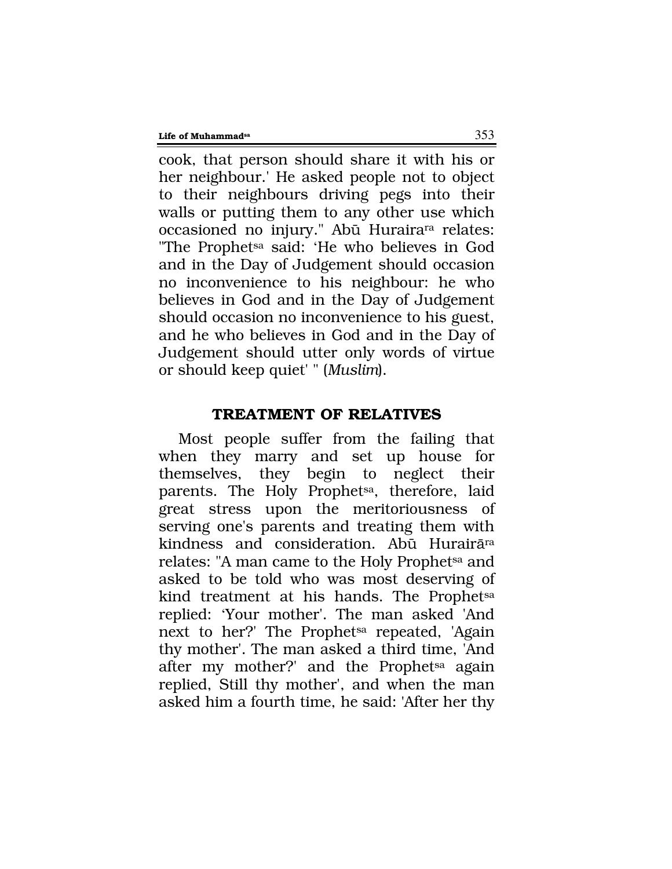cook, that person should share it with his or her neighbour.' He asked people not to object to their neighbours driving pegs into their walls or putting them to any other use which occasioned no injury." Abū Huraira<sup>ra</sup> relates: "The Prophetsa said: 'He who believes in God and in the Day of Judgement should occasion no inconvenience to his neighbour: he who believes in God and in the Day of Judgement should occasion no inconvenience to his guest, and he who believes in God and in the Day of Judgement should utter only words of virtue or should keep quiet' " (*Muslim*).

### **TREATMENT OF RELATIVES**

Most people suffer from the failing that when they marry and set up house for themselves, they begin to neglect their parents. The Holy Prophetsa, therefore, laid great stress upon the meritoriousness of serving one's parents and treating them with kindness and consideration. Abū Hurairā<sup>ra</sup> relates: "A man came to the Holy Prophetsa and asked to be told who was most deserving of kind treatment at his hands. The Prophetsa replied: 'Your mother'. The man asked 'And next to her?' The Prophetsa repeated, 'Again thy mother'. The man asked a third time, 'And after my mother?' and the Prophetsa again replied, Still thy mother', and when the man asked him a fourth time, he said: 'After her thy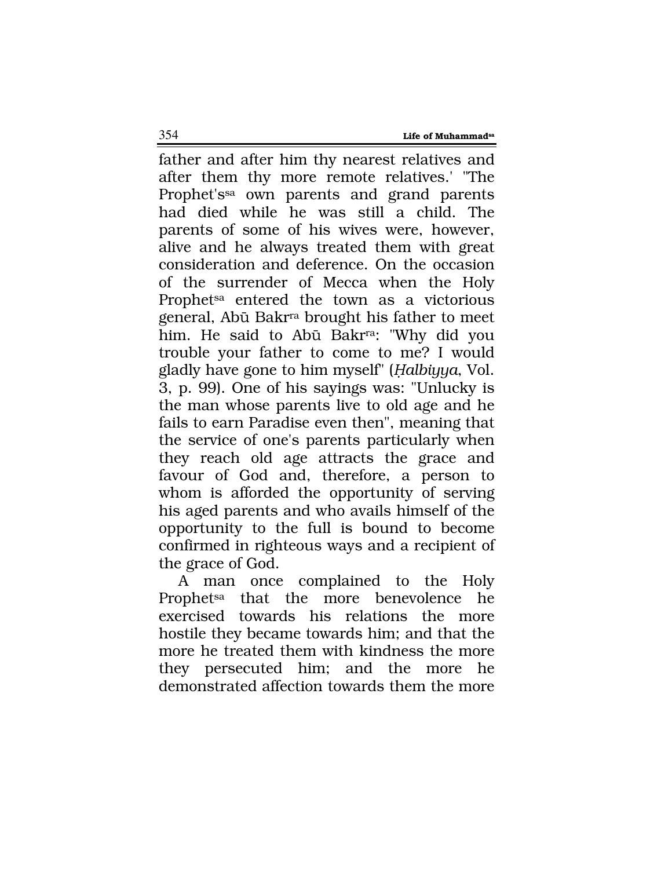father and after him thy nearest relatives and after them thy more remote relatives.' "The Prophet's<sup>sa</sup> own parents and grand parents had died while he was still a child. The parents of some of his wives were, however, alive and he always treated them with great consideration and deference. On the occasion of the surrender of Mecca when the Holy Prophetsa entered the town as a victorious general, Abu Bakrra brought his father to meet him. He said to Abū Bakr<sup>ra</sup>: "Why did you trouble your father to come to me? I would gladly have gone to him myself" (H*albiyya*, Vol. 3, p. 99). One of his sayings was: "Unlucky is the man whose parents live to old age and he fails to earn Paradise even then", meaning that the service of one's parents particularly when they reach old age attracts the grace and favour of God and, therefore, a person to whom is afforded the opportunity of serving his aged parents and who avails himself of the opportunity to the full is bound to become confirmed in righteous ways and a recipient of the grace of God.

A man once complained to the Holy Prophetsa that the more benevolence he exercised towards his relations the more hostile they became towards him; and that the more he treated them with kindness the more they persecuted him; and the more he demonstrated affection towards them the more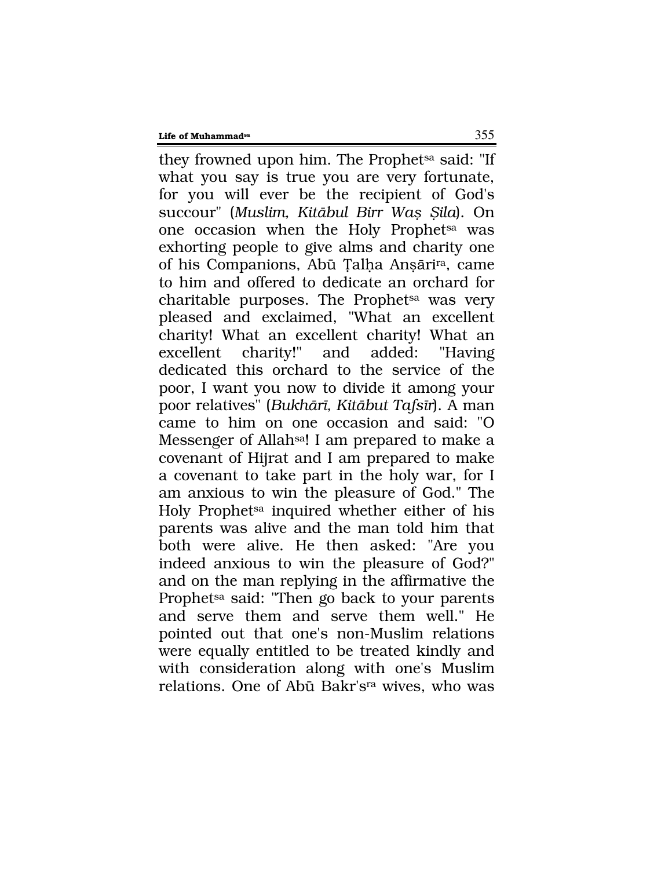they frowned upon him. The Prophetsa said: "If what you say is true you are very fortunate, for you will ever be the recipient of God's succour" (*Muslim, Kit*a*bul Birr Wa*s S*ila*). On one occasion when the Holy Prophetsa was exhorting people to give alms and charity one of his Companions, Abu Talha Ansarira, came to him and offered to dedicate an orchard for charitable purposes. The Prophetsa was very pleased and exclaimed, "What an excellent charity! What an excellent charity! What an excellent charity!" and added: "Having dedicated this orchard to the service of the poor, I want you now to divide it among your poor relatives" (*Bukh*a*r*i*, Kit*a*but Tafs*i*r*). A man came to him on one occasion and said: "O Messenger of Allahsa! I am prepared to make a covenant of Hijrat and I am prepared to make a covenant to take part in the holy war, for I am anxious to win the pleasure of God." The Holy Prophetsa inquired whether either of his parents was alive and the man told him that both were alive. He then asked: "Are you indeed anxious to win the pleasure of God?" and on the man replying in the affirmative the Prophetsa said: "Then go back to your parents and serve them and serve them well." He pointed out that one's non-Muslim relations were equally entitled to be treated kindly and with consideration along with one's Muslim relations. One of Abū Bakr's<sup>ra</sup> wives, who was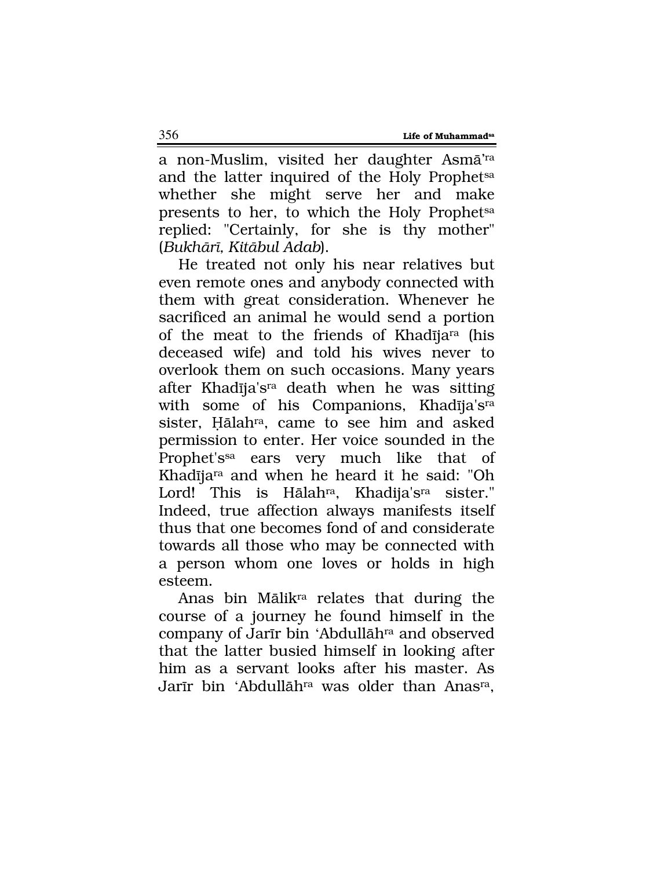a non-Muslim, visited her daughter Asmā'<sup>ra</sup> and the latter inquired of the Holy Prophetsa whether she might serve her and make presents to her, to which the Holy Prophetsa replied: "Certainly, for she is thy mother" (*Bukh*a*r*i*, Kit*a*bul Adab*).

He treated not only his near relatives but even remote ones and anybody connected with them with great consideration. Whenever he sacrificed an animal he would send a portion of the meat to the friends of Khadijara (his deceased wife) and told his wives never to overlook them on such occasions. Many years after Khadija'sra death when he was sitting with some of his Companions, Khadija'sra sister, Halahra, came to see him and asked permission to enter. Her voice sounded in the Prophet's<sup>sa</sup> ears very much like that of Khadijara and when he heard it he said: "Oh Lord! This is Hālahra, Khadija'sra sister." Indeed, true affection always manifests itself thus that one becomes fond of and considerate towards all those who may be connected with a person whom one loves or holds in high esteem.

Anas bin Malikra relates that during the course of a journey he found himself in the company of Jarir bin 'Abdullahra and observed that the latter busied himself in looking after him as a servant looks after his master. As Jarir bin 'Abdullahra was older than Anasra,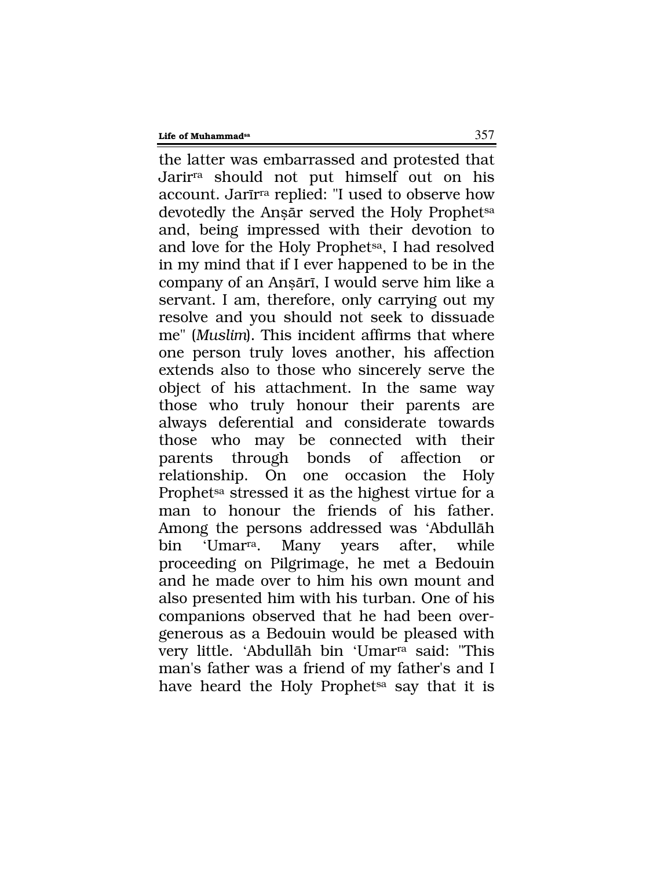the latter was embarrassed and protested that Jarirra should not put himself out on his account. Jarirra replied: "I used to observe how devotedly the Ansar served the Holy Prophetsa and, being impressed with their devotion to and love for the Holy Prophetsa, I had resolved in my mind that if I ever happened to be in the company of an Ansari, I would serve him like a servant. I am, therefore, only carrying out my resolve and you should not seek to dissuade me" (*Muslim*). This incident affirms that where one person truly loves another, his affection extends also to those who sincerely serve the object of his attachment. In the same way those who truly honour their parents are always deferential and considerate towards those who may be connected with their parents through bonds of affection or relationship. On one occasion the Holy Prophet<sup>sa</sup> stressed it as the highest virtue for a man to honour the friends of his father. Among the persons addressed was 'Abdullah bin 'Umar<sup>ra</sup>. Many years after, while proceeding on Pilgrimage, he met a Bedouin and he made over to him his own mount and also presented him with his turban. One of his companions observed that he had been overgenerous as a Bedouin would be pleased with very little. 'Abdullah bin 'Umarra said: "This man's father was a friend of my father's and I have heard the Holy Prophetsa say that it is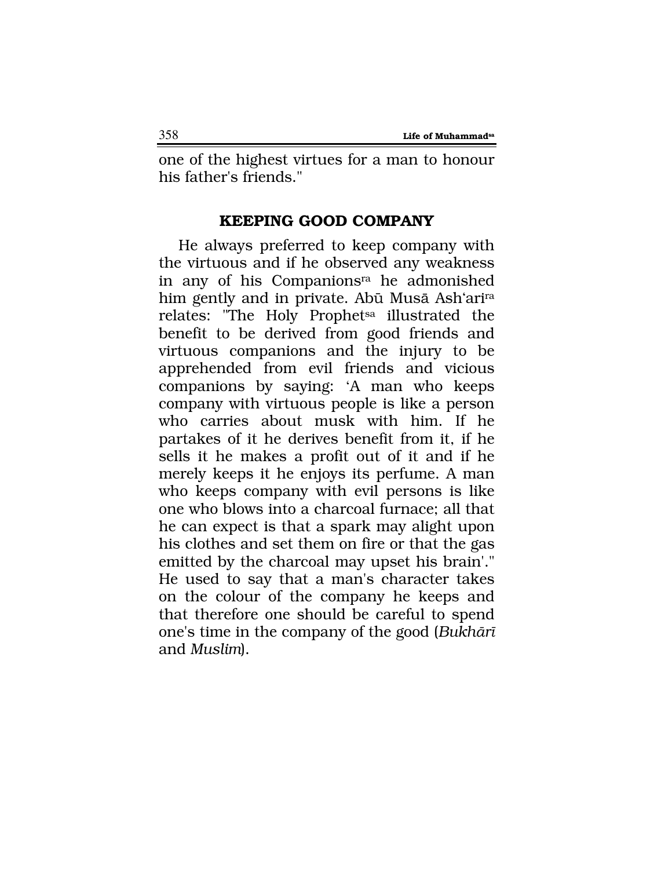one of the highest virtues for a man to honour his father's friends."

### **KEEPING GOOD COMPANY**

He always preferred to keep company with the virtuous and if he observed any weakness in any of his Companionsra he admonished him gently and in private. Abū Musā Ash'arira relates: "The Holy Prophetsa illustrated the benefit to be derived from good friends and virtuous companions and the injury to be apprehended from evil friends and vicious companions by saying: 'A man who keeps company with virtuous people is like a person who carries about musk with him. If he partakes of it he derives benefit from it, if he sells it he makes a profit out of it and if he merely keeps it he enjoys its perfume. A man who keeps company with evil persons is like one who blows into a charcoal furnace; all that he can expect is that a spark may alight upon his clothes and set them on fire or that the gas emitted by the charcoal may upset his brain'." He used to say that a man's character takes on the colour of the company he keeps and that therefore one should be careful to spend one's time in the company of the good (*Bukh*a*r*i and *Muslim*).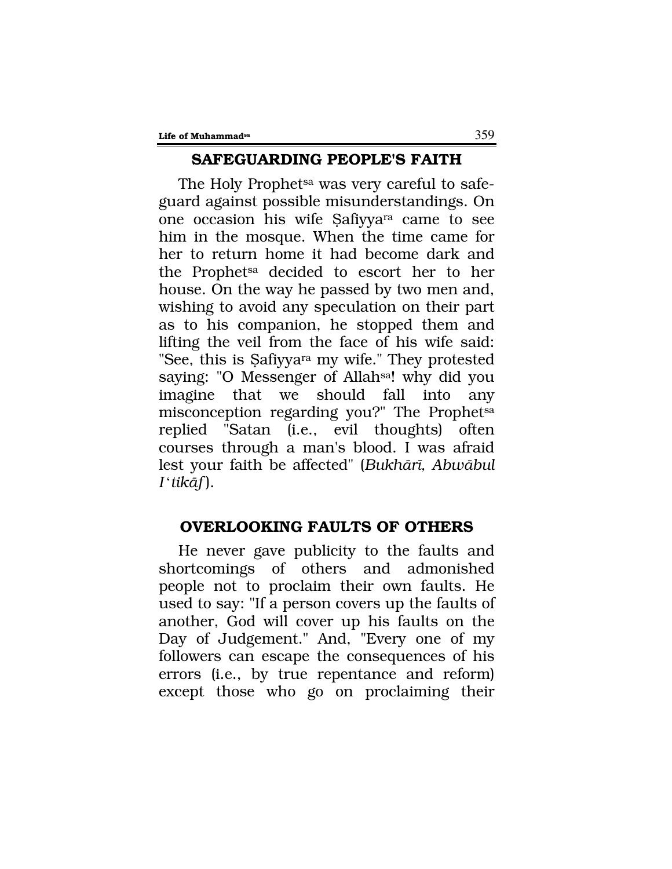### **SAFEGUARDING PEOPLE'S FAITH**

The Holy Prophet<sup>sa</sup> was very careful to safeguard against possible misunderstandings. On one occasion his wife Safiyyara came to see him in the mosque. When the time came for her to return home it had become dark and the Prophetsa decided to escort her to her house. On the way he passed by two men and, wishing to avoid any speculation on their part as to his companion, he stopped them and lifting the veil from the face of his wife said: "See, this is Safiyyara my wife." They protested saying: "O Messenger of Allahsa! why did you imagine that we should fall into any misconception regarding you?" The Prophetsa replied "Satan (i.e., evil thoughts) often courses through a man's blood. I was afraid lest your faith be affected" (*Bukh*a*r*i*, Abw*a*bul I*'*tik*a*f* ).

### **OVERLOOKING FAULTS OF OTHERS**

He never gave publicity to the faults and shortcomings of others and admonished people not to proclaim their own faults. He used to say: "If a person covers up the faults of another, God will cover up his faults on the Day of Judgement." And, "Every one of my followers can escape the consequences of his errors (i.e., by true repentance and reform) except those who go on proclaiming their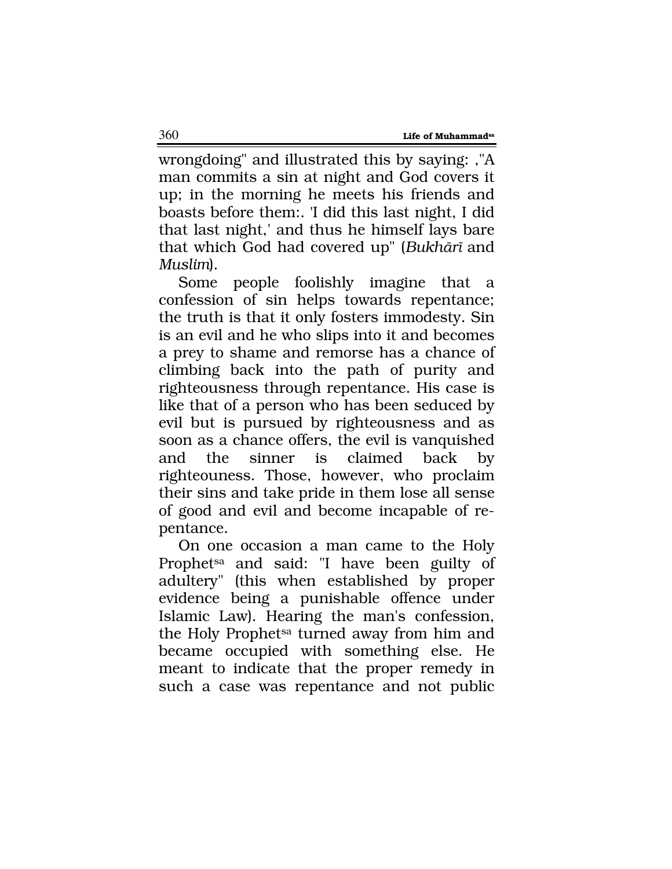wrongdoing" and illustrated this by saying: ,"A man commits a sin at night and God covers it up; in the morning he meets his friends and boasts before them:. 'I did this last night, I did that last night,' and thus he himself lays bare that which God had covered up" (*Bukh*a*r*i and *Muslim*).

Some people foolishly imagine that a confession of sin helps towards repentance; the truth is that it only fosters immodesty. Sin is an evil and he who slips into it and becomes a prey to shame and remorse has a chance of climbing back into the path of purity and righteousness through repentance. His case is like that of a person who has been seduced by evil but is pursued by righteousness and as soon as a chance offers, the evil is vanquished and the sinner is claimed back by righteouness. Those, however, who proclaim their sins and take pride in them lose all sense of good and evil and become incapable of repentance.

On one occasion a man came to the Holy Prophetsa and said: "I have been guilty of adultery" (this when established by proper evidence being a punishable offence under Islamic Law). Hearing the man's confession, the Holy Prophetsa turned away from him and became occupied with something else. He meant to indicate that the proper remedy in such a case was repentance and not public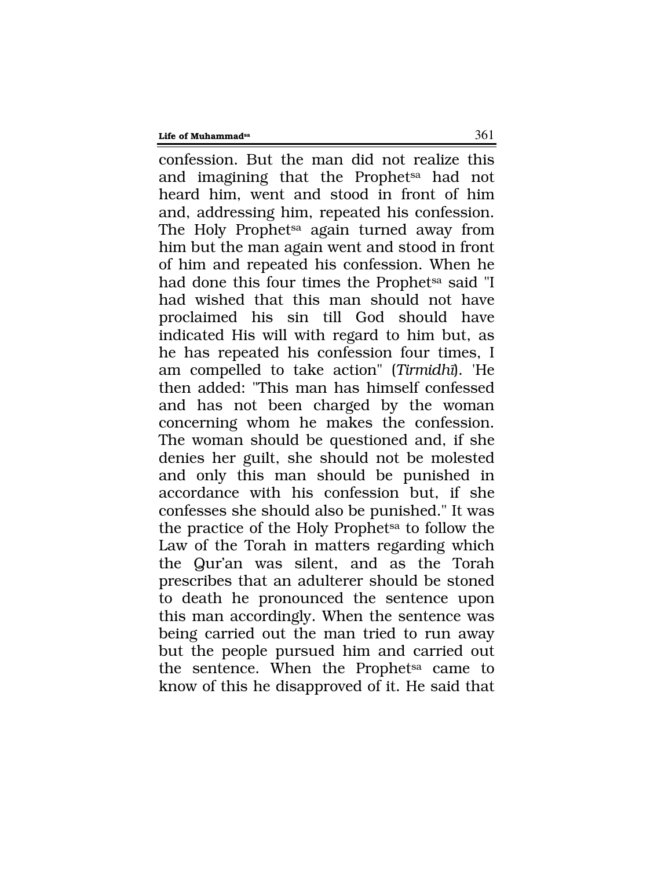confession. But the man did not realize this and imagining that the Prophetsa had not heard him, went and stood in front of him and, addressing him, repeated his confession. The Holy Prophet<sup>sa</sup> again turned away from him but the man again went and stood in front of him and repeated his confession. When he had done this four times the Prophetsa said "I had wished that this man should not have proclaimed his sin till God should have indicated His will with regard to him but, as he has repeated his confession four times, I am compelled to take action" (*Tirmidh*i). 'He then added: "This man has himself confessed and has not been charged by the woman concerning whom he makes the confession. The woman should be questioned and, if she denies her guilt, she should not be molested and only this man should be punished in accordance with his confession but, if she confesses she should also be punished." It was the practice of the Holy Prophetsa to follow the Law of the Torah in matters regarding which the Qur'an was silent, and as the Torah prescribes that an adulterer should be stoned to death he pronounced the sentence upon this man accordingly. When the sentence was being carried out the man tried to run away but the people pursued him and carried out the sentence. When the Prophetsa came to know of this he disapproved of it. He said that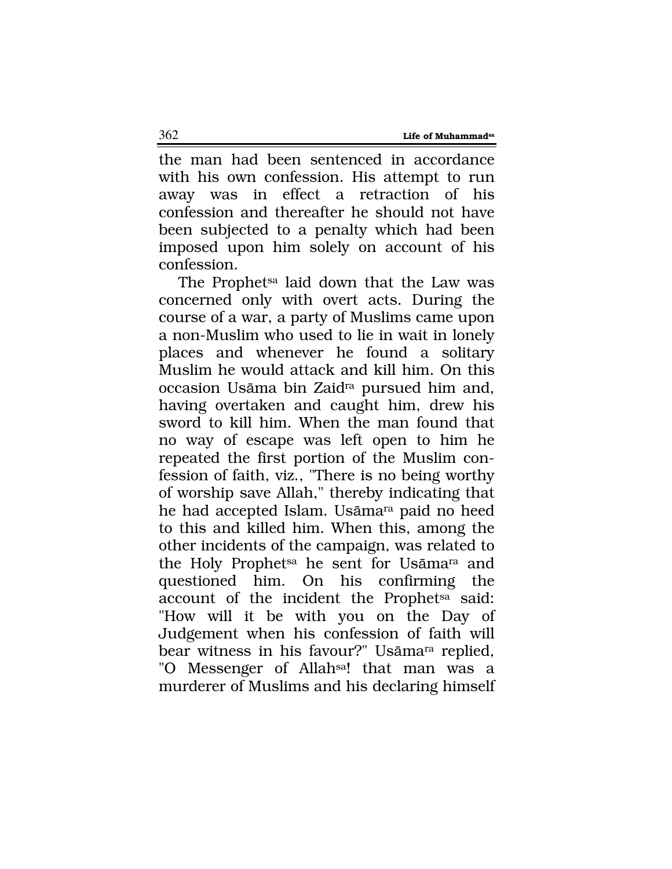the man had been sentenced in accordance with his own confession. His attempt to run away was in effect a retraction of his confession and thereafter he should not have been subjected to a penalty which had been imposed upon him solely on account of his confession.

The Prophet<sup>sa</sup> laid down that the Law was concerned only with overt acts. During the course of a war, a party of Muslims came upon a non-Muslim who used to lie in wait in lonely places and whenever he found a solitary Muslim he would attack and kill him. On this occasion Usama bin Zaidra pursued him and, having overtaken and caught him, drew his sword to kill him. When the man found that no way of escape was left open to him he repeated the first portion of the Muslim confession of faith, viz., "There is no being worthy of worship save Allah," thereby indicating that he had accepted Islam. Usamara paid no heed to this and killed him. When this, among the other incidents of the campaign, was related to the Holy Prophetsa he sent for Usamara and questioned him. On his confirming the account of the incident the Prophetsa said: "How will it be with you on the Day of Judgement when his confession of faith will bear witness in his favour?" Usamara replied, "O Messenger of Allahsa! that man was a murderer of Muslims and his declaring himself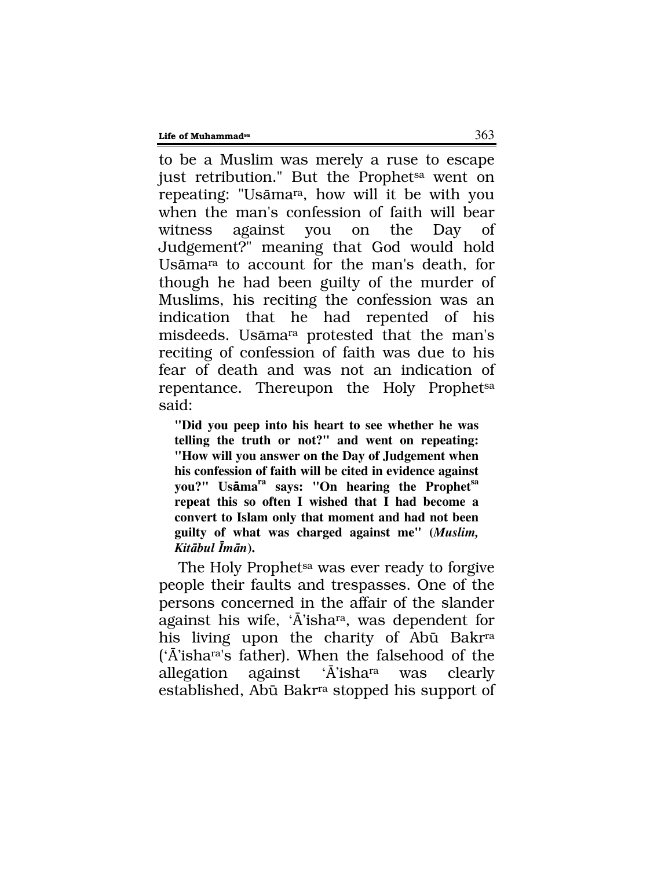to be a Muslim was merely a ruse to escape just retribution." But the Prophetsa went on repeating: "Usamara, how will it be with you when the man's confession of faith will bear witness against you on the Day of Judgement?" meaning that God would hold Usamara to account for the man's death, for though he had been guilty of the murder of Muslims, his reciting the confession was an indication that he had repented of his misdeeds. Usamara protested that the man's reciting of confession of faith was due to his fear of death and was not an indication of repentance. Thereupon the Holy Prophetsa said:

**"Did you peep into his heart to see whether he was telling the truth or not?" and went on repeating: "How will you answer on the Day of Judgement when his confession of faith will be cited in evidence against you?" Us**a**mara says: "On hearing the Prophetsa repeat this so often I wished that I had become a convert to Islam only that moment and had not been guilty of what was charged against me" (***Muslim, Kit*a*bul* I*m*a*n***).** 

The Holy Prophet<sup>sa</sup> was ever ready to forgive people their faults and trespasses. One of the persons concerned in the affair of the slander against his wife, 'A'ishara, was dependent for his living upon the charity of Abū Bakr<sup>ra</sup> ('A'ishara's father). When the falsehood of the allegation against 'A'ishara was clearly established, Abū Bakr<sup>ra</sup> stopped his support of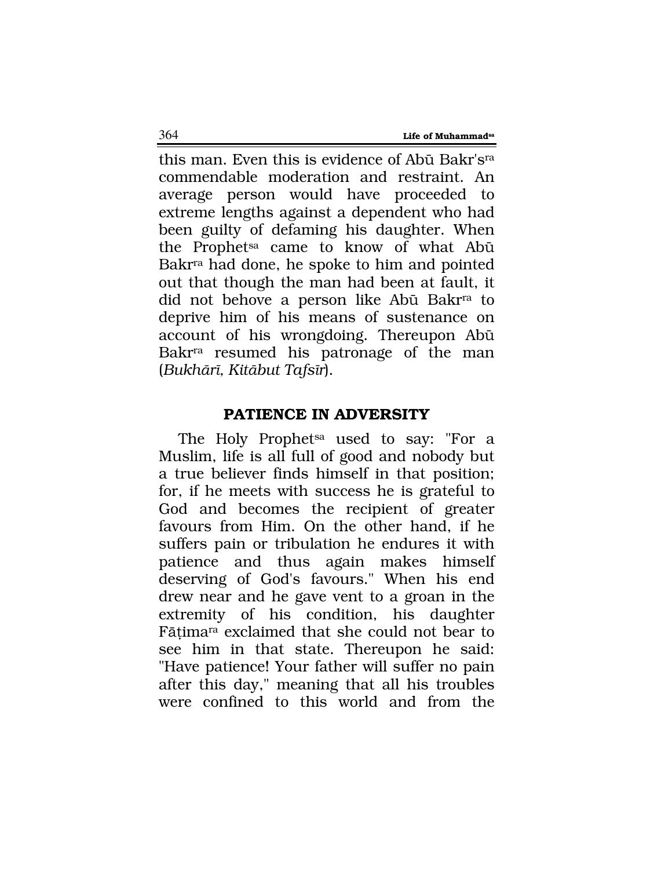this man. Even this is evidence of Abū Bakr's<sup>ra</sup> commendable moderation and restraint. An average person would have proceeded to extreme lengths against a dependent who had been guilty of defaming his daughter. When the Prophetsa came to know of what Abu Bakrra had done, he spoke to him and pointed out that though the man had been at fault, it did not behove a person like Abū Bakr<sup>ra</sup> to deprive him of his means of sustenance on account of his wrongdoing. Thereupon Abu Bakrra resumed his patronage of the man (*Bukh*a*r*i*, Kit*a*but Tafs*i*r*).

## **PATIENCE IN ADVERSITY**

The Holy Prophet<sup>sa</sup> used to say: "For a Muslim, life is all full of good and nobody but a true believer finds himself in that position; for, if he meets with success he is grateful to God and becomes the recipient of greater favours from Him. On the other hand, if he suffers pain or tribulation he endures it with patience and thus again makes himself deserving of God's favours." When his end drew near and he gave vent to a groan in the extremity of his condition, his daughter Fatimara exclaimed that she could not bear to see him in that state. Thereupon he said: "Have patience! Your father will suffer no pain after this day," meaning that all his troubles were confined to this world and from the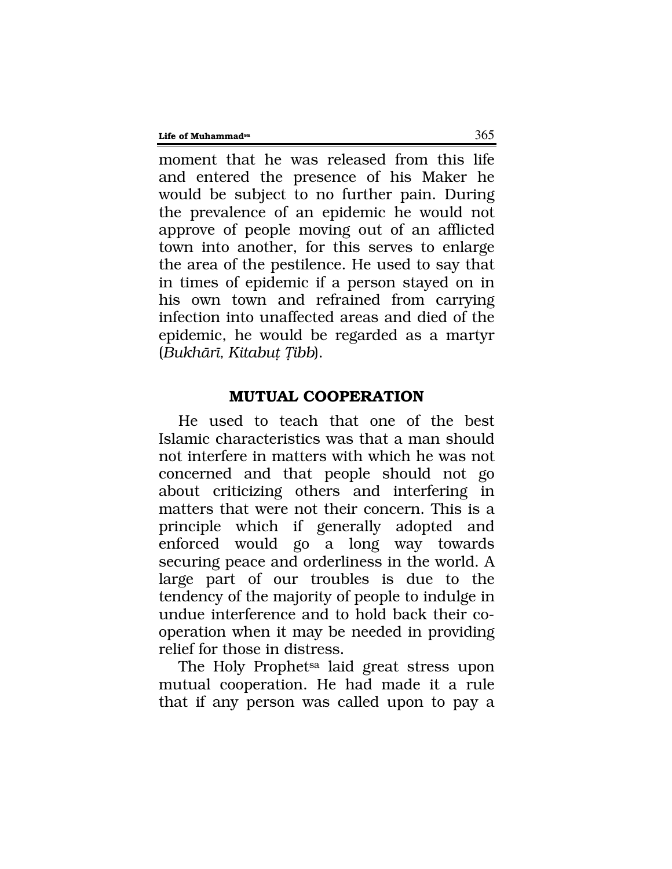moment that he was released from this life and entered the presence of his Maker he would be subject to no further pain. During the prevalence of an epidemic he would not approve of people moving out of an afflicted town into another, for this serves to enlarge the area of the pestilence. He used to say that in times of epidemic if a person stayed on in his own town and refrained from carrying infection into unaffected areas and died of the epidemic, he would be regarded as a martyr (*Bukh*a*r*i*, Kitabu*t T*ibb*).

# **MUTUAL COOPERATION**

He used to teach that one of the best Islamic characteristics was that a man should not interfere in matters with which he was not concerned and that people should not go about criticizing others and interfering in matters that were not their concern. This is a principle which if generally adopted and enforced would go a long way towards securing peace and orderliness in the world. A large part of our troubles is due to the tendency of the majority of people to indulge in undue interference and to hold back their cooperation when it may be needed in providing relief for those in distress.

The Holy Prophetsa laid great stress upon mutual cooperation. He had made it a rule that if any person was called upon to pay a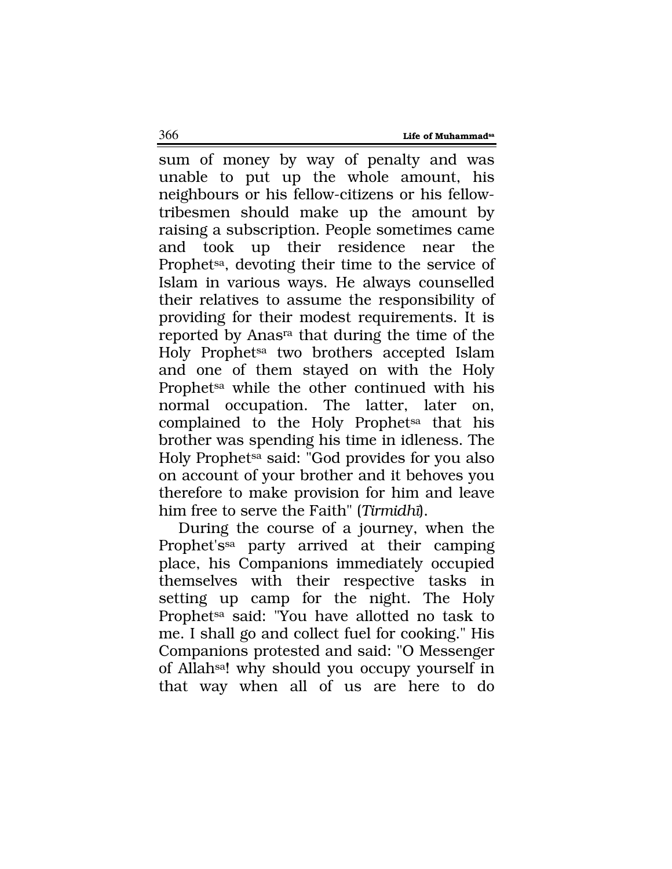sum of money by way of penalty and was unable to put up the whole amount, his neighbours or his fellow-citizens or his fellowtribesmen should make up the amount by raising a subscription. People sometimes came and took up their residence near the Prophetsa, devoting their time to the service of Islam in various ways. He always counselled their relatives to assume the responsibility of providing for their modest requirements. It is reported by Anasra that during the time of the Holy Prophetsa two brothers accepted Islam and one of them stayed on with the Holy Prophet<sup>sa</sup> while the other continued with his normal occupation. The latter, later on, complained to the Holy Prophetsa that his brother was spending his time in idleness. The Holy Prophetsa said: "God provides for you also on account of your brother and it behoves you therefore to make provision for him and leave him free to serve the Faith" (*Tirmidh*i).

During the course of a journey, when the Prophet's<sup>sa</sup> party arrived at their camping place, his Companions immediately occupied themselves with their respective tasks in setting up camp for the night. The Holy Prophetsa said: "You have allotted no task to me. I shall go and collect fuel for cooking." His Companions protested and said: "O Messenger of Allahsa! why should you occupy yourself in that way when all of us are here to do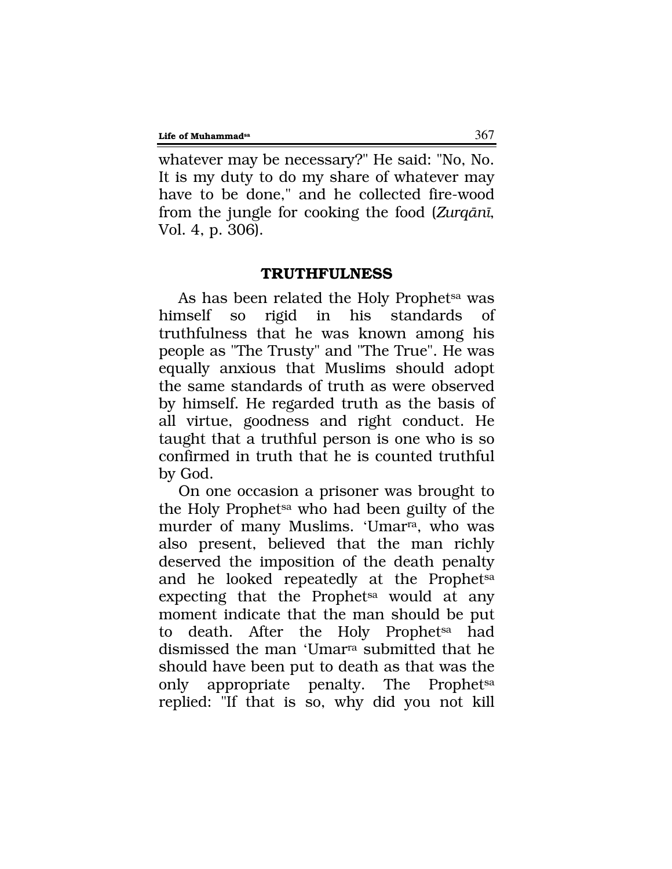whatever may be necessary?" He said: "No, No. It is my duty to do my share of whatever may have to be done," and he collected fire-wood from the jungle for cooking the food (*Zurq*a*n*i, Vol. 4, p. 306).

## **TRUTHFULNESS**

As has been related the Holy Prophetsa was himself so rigid in his standards of truthfulness that he was known among his people as "The Trusty" and "The True". He was equally anxious that Muslims should adopt the same standards of truth as were observed by himself. He regarded truth as the basis of all virtue, goodness and right conduct. He taught that a truthful person is one who is so confirmed in truth that he is counted truthful by God.

On one occasion a prisoner was brought to the Holy Prophetsa who had been guilty of the murder of many Muslims. 'Umarra, who was also present, believed that the man richly deserved the imposition of the death penalty and he looked repeatedly at the Prophetsa expecting that the Prophetsa would at any moment indicate that the man should be put to death. After the Holy Prophetsa had dismissed the man 'Umarra submitted that he should have been put to death as that was the only appropriate penalty. The Prophetsa replied: "If that is so, why did you not kill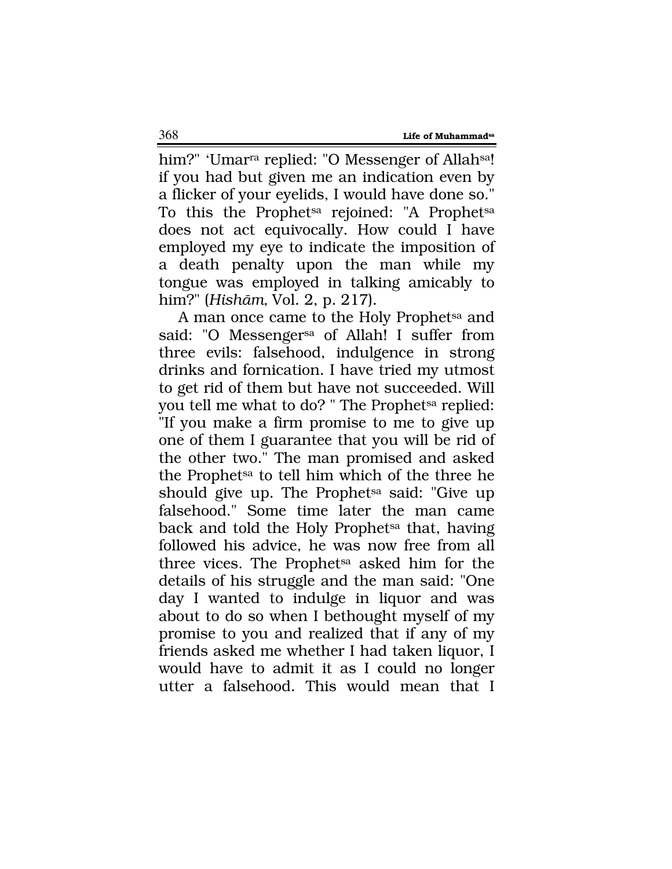him?" 'Umarra replied: "O Messenger of Allahsa! if you had but given me an indication even by a flicker of your eyelids, I would have done so." To this the Prophetsa rejoined: "A Prophetsa does not act equivocally. How could I have employed my eye to indicate the imposition of a death penalty upon the man while my tongue was employed in talking amicably to him?" (*Hish*a*m,* Vol. 2, p. 217).

A man once came to the Holy Prophetsa and said: "O Messengersa of Allah! I suffer from three evils: falsehood, indulgence in strong drinks and fornication. I have tried my utmost to get rid of them but have not succeeded. Will you tell me what to do? " The Prophetsa replied: "If you make a firm promise to me to give up one of them I guarantee that you will be rid of the other two." The man promised and asked the Prophetsa to tell him which of the three he should give up. The Prophetsa said: "Give up falsehood." Some time later the man came back and told the Holy Prophetsa that, having followed his advice, he was now free from all three vices. The Prophetsa asked him for the details of his struggle and the man said: "One day I wanted to indulge in liquor and was about to do so when I bethought myself of my promise to you and realized that if any of my friends asked me whether I had taken liquor, I would have to admit it as I could no longer utter a falsehood. This would mean that I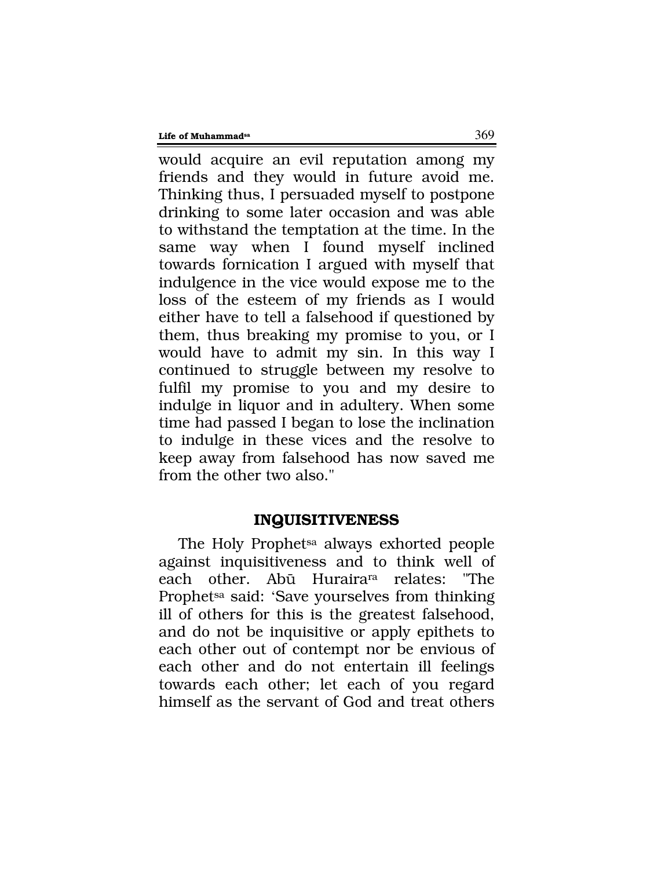would acquire an evil reputation among my friends and they would in future avoid me. Thinking thus, I persuaded myself to postpone drinking to some later occasion and was able to withstand the temptation at the time. In the same way when I found myself inclined towards fornication I argued with myself that indulgence in the vice would expose me to the loss of the esteem of my friends as I would either have to tell a falsehood if questioned by them, thus breaking my promise to you, or I would have to admit my sin. In this way I continued to struggle between my resolve to fulfil my promise to you and my desire to indulge in liquor and in adultery. When some time had passed I began to lose the inclination to indulge in these vices and the resolve to keep away from falsehood has now saved me from the other two also."

## **INQUISITIVENESS**

The Holy Prophet<sup>sa</sup> always exhorted people against inquisitiveness and to think well of each other. Abu Hurairara relates: "The Prophetsa said: 'Save yourselves from thinking ill of others for this is the greatest falsehood, and do not be inquisitive or apply epithets to each other out of contempt nor be envious of each other and do not entertain ill feelings towards each other; let each of you regard himself as the servant of God and treat others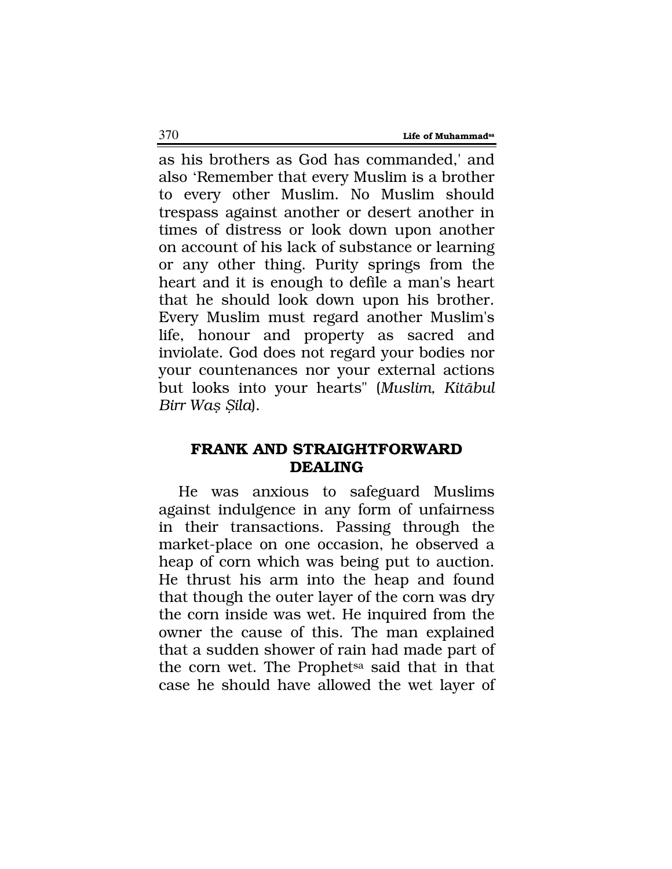as his brothers as God has commanded,' and also 'Remember that every Muslim is a brother to every other Muslim. No Muslim should trespass against another or desert another in times of distress or look down upon another on account of his lack of substance or learning or any other thing. Purity springs from the heart and it is enough to defile a man's heart that he should look down upon his brother. Every Muslim must regard another Muslim's life, honour and property as sacred and inviolate. God does not regard your bodies nor your countenances nor your external actions but looks into your hearts" (*Muslim, Kit*a*bul Birr Wa*s S*ila*).

## **FRANK AND STRAIGHTFORWARD DEALING**

He was anxious to safeguard Muslims against indulgence in any form of unfairness in their transactions. Passing through the market-place on one occasion, he observed a heap of corn which was being put to auction. He thrust his arm into the heap and found that though the outer layer of the corn was dry the corn inside was wet. He inquired from the owner the cause of this. The man explained that a sudden shower of rain had made part of the corn wet. The Prophetsa said that in that case he should have allowed the wet layer of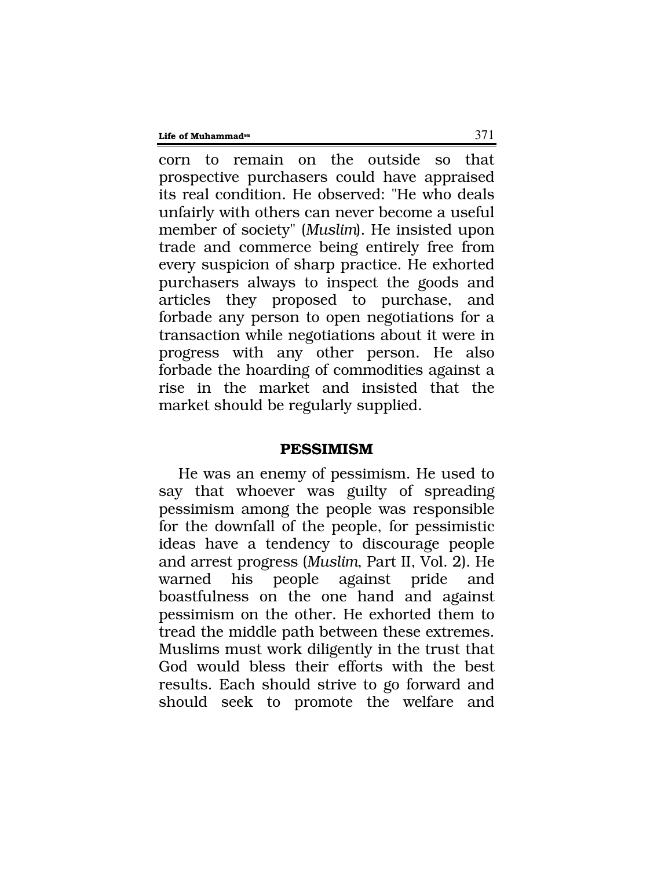corn to remain on the outside so that prospective purchasers could have appraised its real condition. He observed: "He who deals unfairly with others can never become a useful member of society" (*Muslim*). He insisted upon trade and commerce being entirely free from every suspicion of sharp practice. He exhorted purchasers always to inspect the goods and articles they proposed to purchase, and forbade any person to open negotiations for a transaction while negotiations about it were in progress with any other person. He also forbade the hoarding of commodities against a rise in the market and insisted that the market should be regularly supplied.

### **PESSIMISM**

He was an enemy of pessimism. He used to say that whoever was guilty of spreading pessimism among the people was responsible for the downfall of the people, for pessimistic ideas have a tendency to discourage people and arrest progress (*Muslim*, Part II, Vol. 2). He warned his people against pride and boastfulness on the one hand and against pessimism on the other. He exhorted them to tread the middle path between these extremes. Muslims must work diligently in the trust that God would bless their efforts with the best results. Each should strive to go forward and should seek to promote the welfare and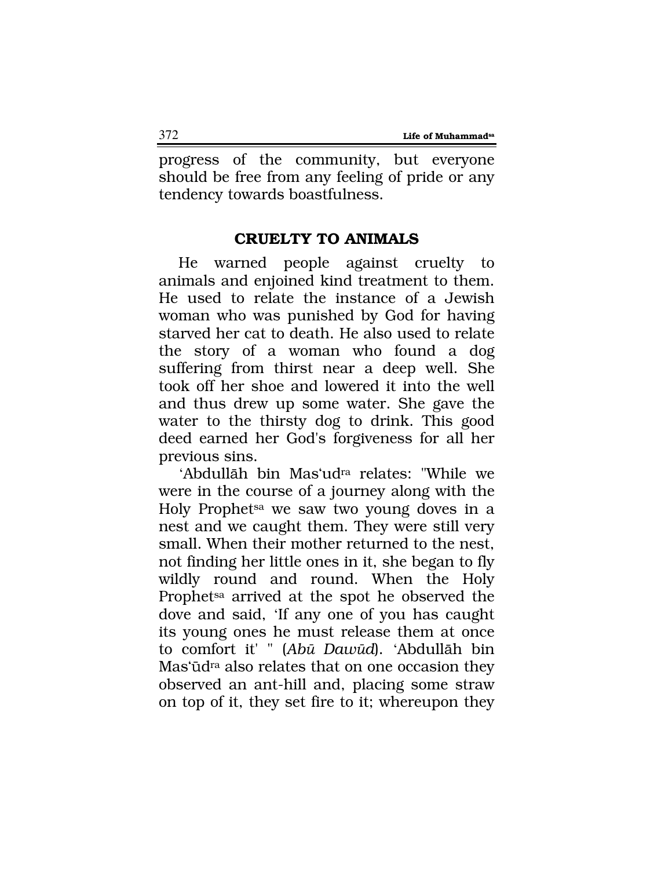progress of the community, but everyone should be free from any feeling of pride or any tendency towards boastfulness.

## **CRUELTY TO ANIMALS**

He warned people against cruelty to animals and enjoined kind treatment to them. He used to relate the instance of a Jewish woman who was punished by God for having starved her cat to death. He also used to relate the story of a woman who found a dog suffering from thirst near a deep well. She took off her shoe and lowered it into the well and thus drew up some water. She gave the water to the thirsty dog to drink. This good deed earned her God's forgiveness for all her previous sins.

'Abdullah bin Mas'udra relates: "While we were in the course of a journey along with the Holy Prophetsa we saw two young doves in a nest and we caught them. They were still very small. When their mother returned to the nest, not finding her little ones in it, she began to fly wildly round and round. When the Holy Prophet<sup>sa</sup> arrived at the spot he observed the dove and said, 'If any one of you has caught its young ones he must release them at once to comfort it' " (*Ab*u *Daw*u*d*). 'Abdullah bin Mas'ūdra also relates that on one occasion they observed an ant-hill and, placing some straw on top of it, they set fire to it; whereupon they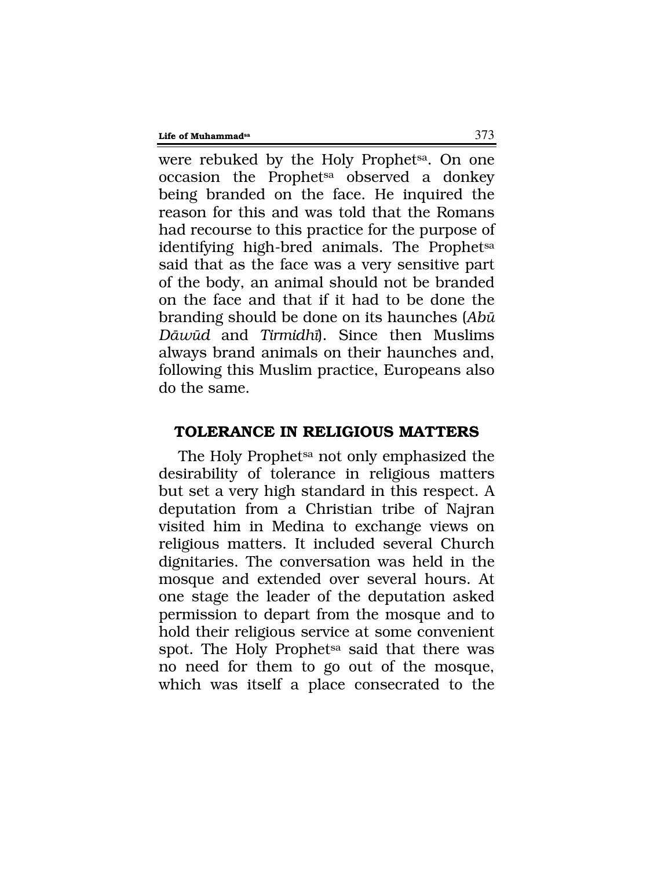were rebuked by the Holy Prophetsa. On one occasion the Prophetsa observed a donkey being branded on the face. He inquired the reason for this and was told that the Romans had recourse to this practice for the purpose of identifying high-bred animals. The Prophetsa said that as the face was a very sensitive part of the body, an animal should not be branded on the face and that if it had to be done the branding should be done on its haunches (*Ab*u *D*awu*d* and *Tirmidh*i). Since then Muslims always brand animals on their haunches and, following this Muslim practice, Europeans also do the same.

## **TOLERANCE IN RELIGIOUS MATTERS**

The Holy Prophetsa not only emphasized the desirability of tolerance in religious matters but set a very high standard in this respect. A deputation from a Christian tribe of Najran visited him in Medina to exchange views on religious matters. It included several Church dignitaries. The conversation was held in the mosque and extended over several hours. At one stage the leader of the deputation asked permission to depart from the mosque and to hold their religious service at some convenient spot. The Holy Prophet<sup>sa</sup> said that there was no need for them to go out of the mosque, which was itself a place consecrated to the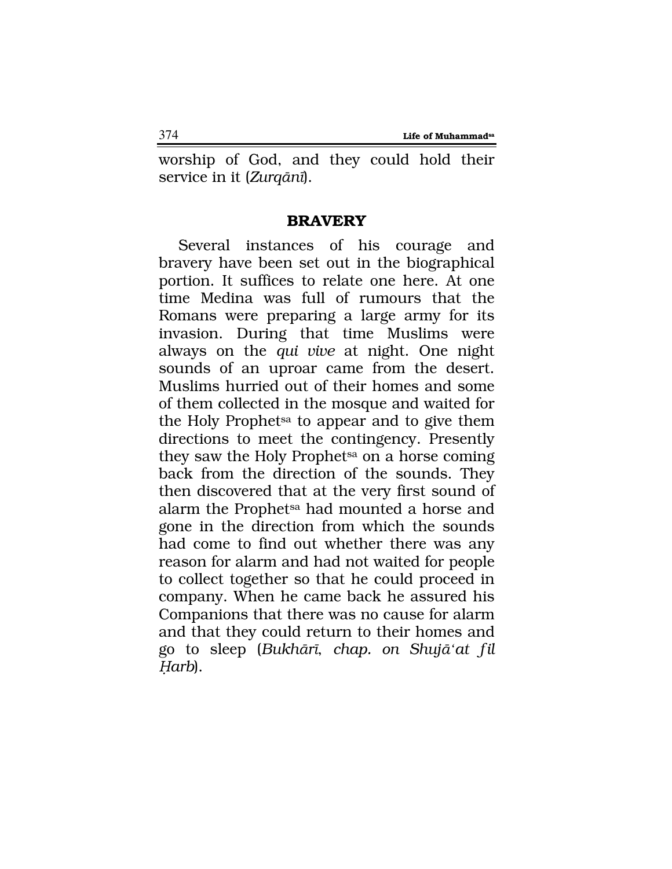worship of God, and they could hold their service in it (*Zurq*a*n*i).

#### **BRAVERY**

Several instances of his courage and bravery have been set out in the biographical portion. It suffices to relate one here. At one time Medina was full of rumours that the Romans were preparing a large army for its invasion. During that time Muslims were always on the *qui vive* at night. One night sounds of an uproar came from the desert. Muslims hurried out of their homes and some of them collected in the mosque and waited for the Holy Prophetsa to appear and to give them directions to meet the contingency. Presently they saw the Holy Prophetsa on a horse coming back from the direction of the sounds. They then discovered that at the very first sound of alarm the Prophetsa had mounted a horse and gone in the direction from which the sounds had come to find out whether there was any reason for alarm and had not waited for people to collect together so that he could proceed in company. When he came back he assured his Companions that there was no cause for alarm and that they could return to their homes and go to sleep (*Bukh*a*r*i, *chap. on Shuj*a*'at f il*  H*arb*).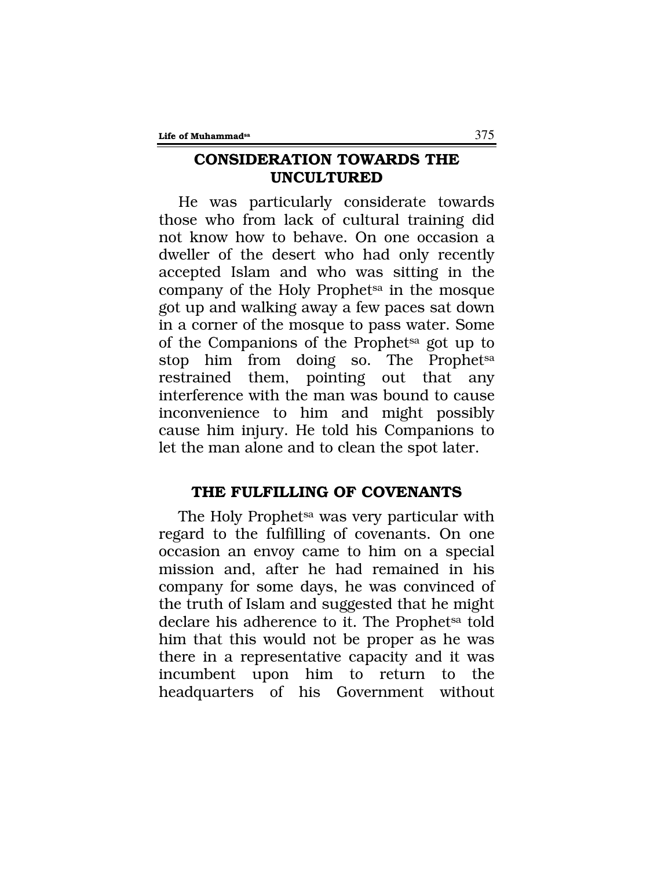## **CONSIDERATION TOWARDS THE UNCULTURED**

He was particularly considerate towards those who from lack of cultural training did not know how to behave. On one occasion a dweller of the desert who had only recently accepted Islam and who was sitting in the company of the Holy Prophetsa in the mosque got up and walking away a few paces sat down in a corner of the mosque to pass water. Some of the Companions of the Prophetsa got up to stop him from doing so. The Prophetsa restrained them, pointing out that any interference with the man was bound to cause inconvenience to him and might possibly cause him injury. He told his Companions to let the man alone and to clean the spot later.

## **THE FULFILLING OF COVENANTS**

The Holy Prophet<sup>sa</sup> was very particular with regard to the fulfilling of covenants. On one occasion an envoy came to him on a special mission and, after he had remained in his company for some days, he was convinced of the truth of Islam and suggested that he might declare his adherence to it. The Prophet<sup>sa</sup> told him that this would not be proper as he was there in a representative capacity and it was incumbent upon him to return to the headquarters of his Government without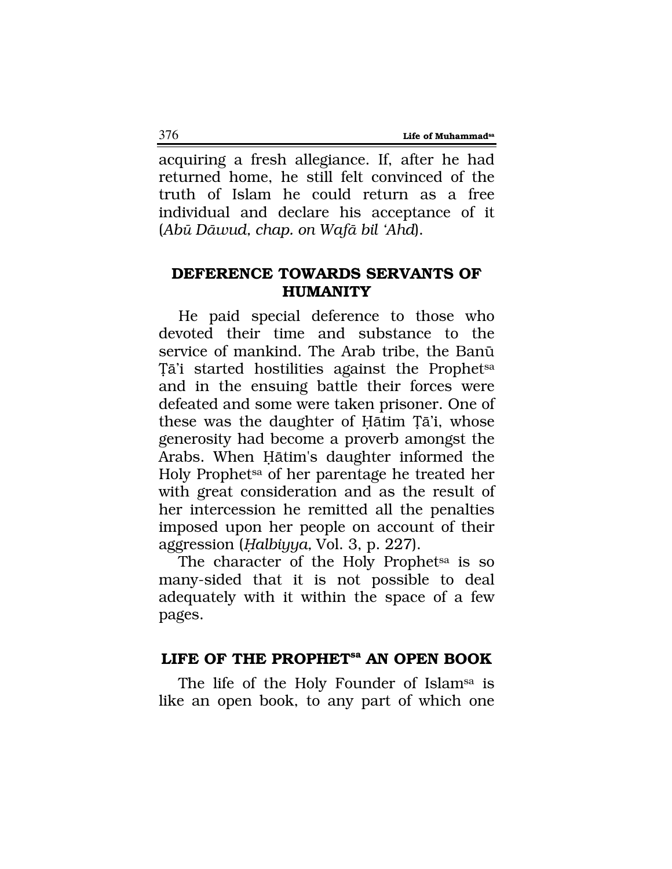acquiring a fresh allegiance. If, after he had returned home, he still felt convinced of the truth of Islam he could return as a free individual and declare his acceptance of it (*Ab*u *D*a*wud, chap. on Waf*a *bil 'Ahd*).

# **DEFERENCE TOWARDS SERVANTS OF HUMANITY**

He paid special deference to those who devoted their time and substance to the service of mankind. The Arab tribe, the Banū Ta'i started hostilities against the Prophetsa and in the ensuing battle their forces were defeated and some were taken prisoner. One of these was the daughter of Hatim Ta'i, whose generosity had become a proverb amongst the Arabs. When Hatim's daughter informed the Holy Prophetsa of her parentage he treated her with great consideration and as the result of her intercession he remitted all the penalties imposed upon her people on account of their aggression (H*albiyya,* Vol. 3, p. 227).

The character of the Holy Prophetsa is so many-sided that it is not possible to deal adequately with it within the space of a few pages.

# **LIFE OF THE PROPHETsa AN OPEN BOOK**

The life of the Holy Founder of Islamsa is like an open book, to any part of which one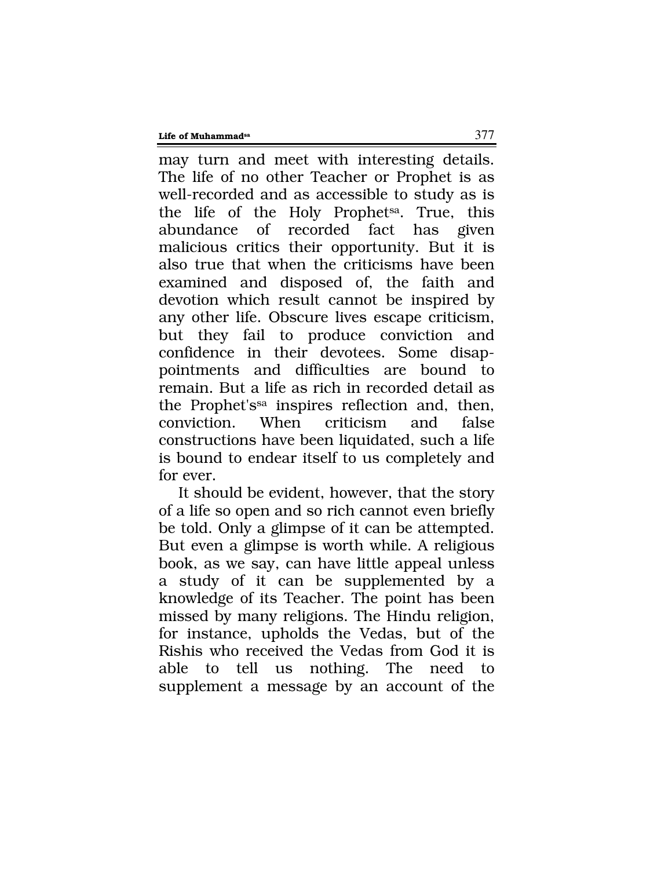may turn and meet with interesting details. The life of no other Teacher or Prophet is as well-recorded and as accessible to study as is the life of the Holy Prophetsa. True, this abundance of recorded fact has given malicious critics their opportunity. But it is also true that when the criticisms have been examined and disposed of, the faith and devotion which result cannot be inspired by any other life. Obscure lives escape criticism, but they fail to produce conviction and confidence in their devotees. Some disappointments and difficulties are bound to remain. But a life as rich in recorded detail as the Prophet'ssa inspires reflection and, then, conviction. When criticism and false constructions have been liquidated, such a life is bound to endear itself to us completely and for ever.

It should be evident, however, that the story of a life so open and so rich cannot even briefly be told. Only a glimpse of it can be attempted. But even a glimpse is worth while. A religious book, as we say, can have little appeal unless a study of it can be supplemented by a knowledge of its Teacher. The point has been missed by many religions. The Hindu religion, for instance, upholds the Vedas, but of the Rishis who received the Vedas from God it is able to tell us nothing. The need to supplement a message by an account of the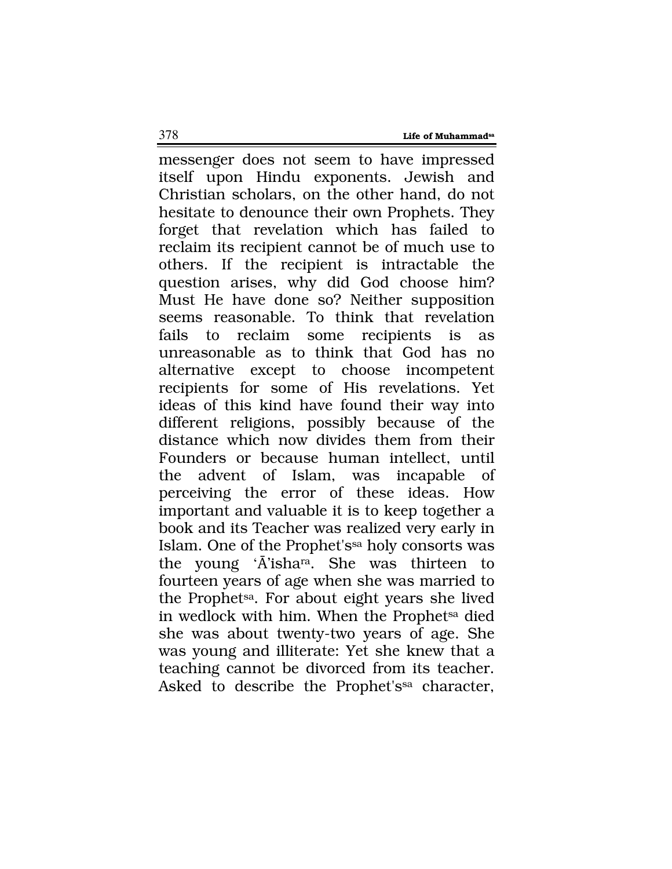messenger does not seem to have impressed itself upon Hindu exponents. Jewish and Christian scholars, on the other hand, do not hesitate to denounce their own Prophets. They forget that revelation which has failed to reclaim its recipient cannot be of much use to others. If the recipient is intractable the question arises, why did God choose him? Must He have done so? Neither supposition seems reasonable. To think that revelation fails to reclaim some recipients is as unreasonable as to think that God has no alternative except to choose incompetent recipients for some of His revelations. Yet ideas of this kind have found their way into different religions, possibly because of the distance which now divides them from their Founders or because human intellect, until the advent of Islam, was incapable of perceiving the error of these ideas. How important and valuable it is to keep together a book and its Teacher was realized very early in Islam. One of the Prophet'ssa holy consorts was the young 'A'ishara. She was thirteen to fourteen years of age when she was married to the Prophetsa. For about eight years she lived in wedlock with him. When the Prophetsa died she was about twenty-two years of age. She was young and illiterate: Yet she knew that a teaching cannot be divorced from its teacher. Asked to describe the Prophet'ssa character,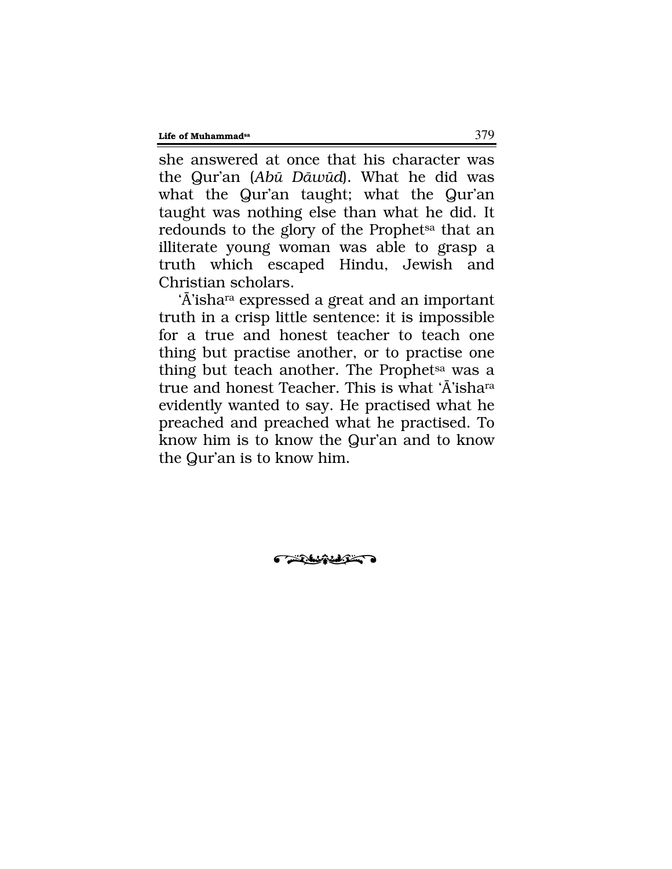she answered at once that his character was the Qur'an (*Ab*u *D*a*w*u*d*). What he did was what the Qur'an taught; what the Qur'an taught was nothing else than what he did. It redounds to the glory of the Prophetsa that an illiterate young woman was able to grasp a truth which escaped Hindu, Jewish and Christian scholars.

'A'ishara expressed a great and an important truth in a crisp little sentence: it is impossible for a true and honest teacher to teach one thing but practise another, or to practise one thing but teach another. The Prophetsa was a true and honest Teacher. This is what 'A'ishara evidently wanted to say. He practised what he preached and preached what he practised. To know him is to know the Qur'an and to know the Qur'an is to know him.

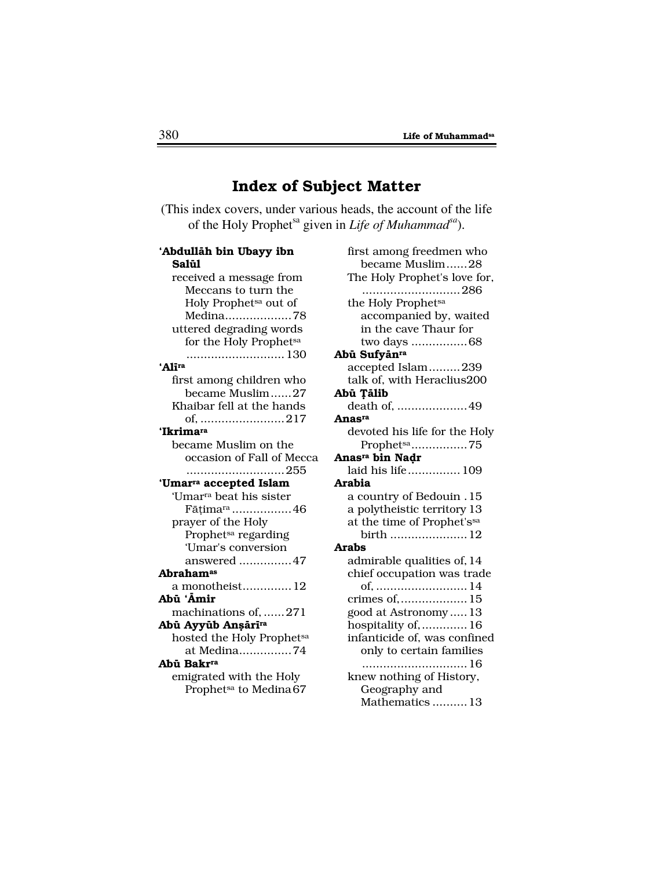### **Index of Subject Matter**

(This index covers, under various heads, the account of the life of the Holy Prophetsa given in *Life of Muhammadsa*).

#### **'Abdull**a**h bin Ubayy ibn Sal**u**l**  received a message from Meccans to turn the Holy Prophetsa out of Medina...................78 uttered degrading words for the Holy Prophetsa ............................130 **'Al**i**ra** first among children who became Muslim......27 Khaibar fell at the hands of, ........................217 **'Ikrimara** became Muslim on the occasion of Fall of Mecca ............................255 **'Umarra accepted Islam**  'Umarra beat his sister Fatimara .................46 prayer of the Holy Prophetsa regarding 'Umar's conversion answered ...............47 **Abrahamas** a monotheist..............12 **Ab**u **'**A**mir**  machinations of, ......271 **Ab**u **Ayy**u**b An**sa**r**i**ra** hosted the Holy Prophetsa at Medina...............74 **Ab**u **Bakrra** emigrated with the Holy Prophetsa to Medina 67 **Arabs**

first among freedmen who became Muslim......28 The Holy Prophet's love for, ............................286 the Holy Prophetsa accompanied by, waited in the cave Thaur for two days ................68 **Ab**u **Sufy**a**nra** accepted Islam.........239 talk of, with Heraclius200 **Ab**u Ta**lib**  death of, ....................49 **Anasra** devoted his life for the Holy Prophetsa................75 **Anasra bin Na**d**r**  laid his life...............109 **Arabia**  a country of Bedouin .15 a polytheistic territory 13 at the time of Prophet'ssa birth ......................12 admirable qualities of,14 chief occupation was trade of, ..........................14 crimes of,...................15 good at Astronomy.....13 hospitality of,.............16 infanticide of, was confined only to certain families ..............................16 knew nothing of History, Geography and Mathematics ..........13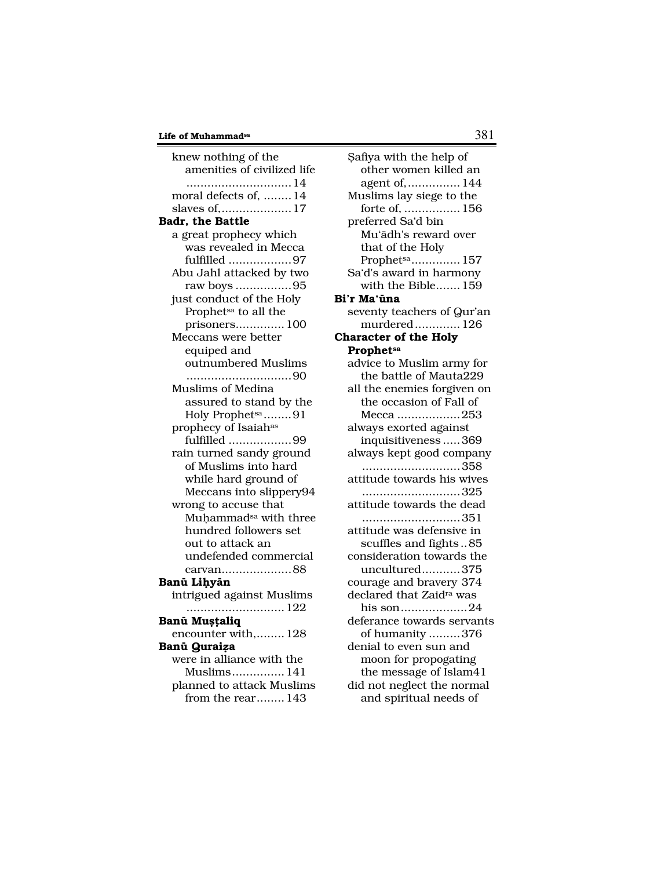| knew nothing of the         |
|-----------------------------|
| amenities of civilized life |
| 14                          |
| moral defects of,  14       |
| slaves of,17                |
| Badr, the Battle            |
| a great prophecy which      |
| was revealed in Mecca       |
| fulfilled 97                |
| Abu Jahl attacked by two    |
| raw boys 95                 |
| just conduct of the Holy    |
| Prophetsa to all the        |
| prisoners 100               |
| Meccans were better         |
| equiped and                 |
| outnumbered Muslims         |
| 90                          |
| Muslims of Medina           |
| assured to stand by the     |
| Holy Prophetsa91            |
| prophecy of Isaiahas        |
| fulfilled 99                |
| rain turned sandy ground    |
| of Muslims into hard        |
|                             |
| while hard ground of        |
| Meccans into slippery94     |
| wrong to accuse that        |
| Muhammadsa with three       |
| hundred followers set       |
| out to attack an            |
| undefended commercial       |
| carvan88                    |
| Banū Liḥyān                 |
| intrigued against Muslims   |
|                             |
| Banū Mușțaliq               |
| encounter with, 128         |
| Banū Quraiza                |
| were in alliance with the   |
| Muslims 141                 |
| planned to attack Muslims   |
| from the rear 143           |

| Safiya with the help of      |
|------------------------------|
| other women killed an        |
| agent of, 144                |
| Muslims lay siege to the     |
| forte of,  156               |
| preferred Sa'd bin           |
| Mu'ādh's reward over         |
| that of the Holy             |
| Prophetsa 157                |
| Sa'd's award in harmony      |
|                              |
| with the Bible 159           |
| Bi'r Ma'ūna                  |
| seventy teachers of Qur'an   |
| murdered 126                 |
| <b>Character of the Holy</b> |
| Prophetsa                    |
| advice to Muslim army for    |
| the battle of Mauta229       |
| all the enemies forgiven on  |
| the occasion of Fall of      |
| Mecca 253                    |
| always exorted against       |
| inquisitiveness  369         |
| always kept good company     |
| 358                          |
| attitude towards his wives   |
|                              |
| attitude towards the dead    |
|                              |
| attitude was defensive in    |
| scuffles and fights85        |
| consideration towards the    |
| uncultured375                |
| courage and bravery 374      |
| declared that Zaidra was     |
| his son24                    |
| deferance towards servants   |
| of humanity 376              |
| denial to even sun and       |
|                              |
| moon for propogating         |
| the message of Islam41       |
| did not neglect the normal   |
| and spiritual needs of       |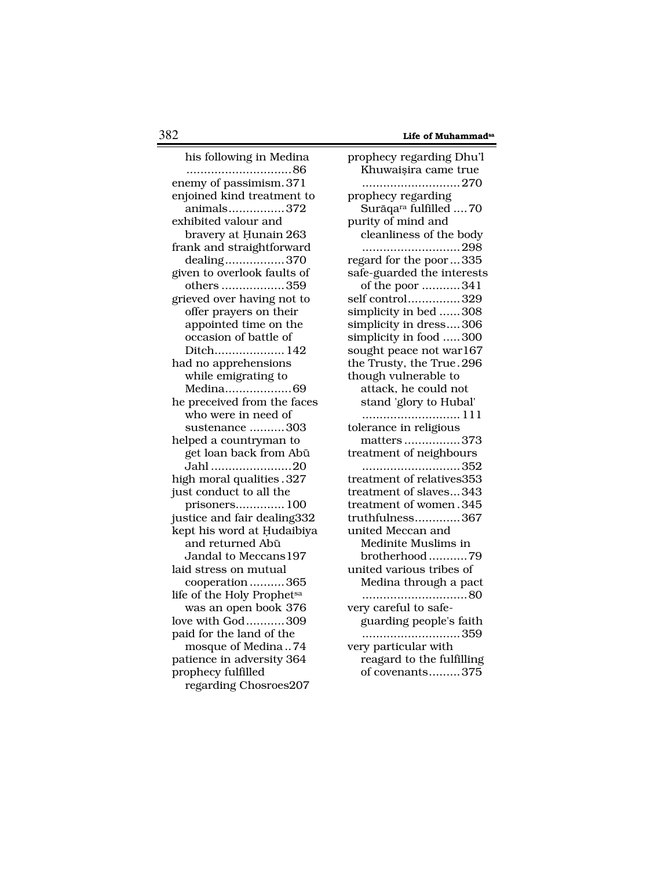| his following in Medina     |
|-----------------------------|
| . 86                        |
| enemy of passimism. 371     |
| enjoined kind treatment to  |
| animals372                  |
| exhibited valour and        |
| bravery at Hunain 263       |
| frank and straightforward   |
| dealing370                  |
| given to overlook faults of |
| others 359                  |
| grieved over having not to  |
| offer prayers on their      |
| appointed time on the       |
| occasion of battle of       |
| Ditch 142                   |
| had no apprehensions        |
| while emigrating to         |
| Medina69                    |
| he preceived from the faces |
| who were in need of         |
| sustenance 303              |
| helped a countryman to      |
| get loan back from Abū      |
| Jahl20                      |
| high moral qualities. 327   |
| just conduct to all the     |
| prisoners 100               |
| justice and fair dealing332 |
| kept his word at Hudaibiya  |
| and returned Abū            |
| Jandal to Meccans197        |
| laid stress on mutual       |
| cooperation365              |
| life of the Holy Prophetsa  |
| was an open book 376        |
| love with God309            |
| paid for the land of the    |
| mosque of Medina74          |
| patience in adversity 364   |
| prophecy fulfilled          |
| regarding Chosroes207       |

| prophecy regarding Dhu'l                     |
|----------------------------------------------|
| Khuwaișira came true                         |
| 270<br>.<br>.                                |
| prophecy regarding                           |
| Surāqara fulfilled 70                        |
| purity of mind and                           |
| cleanliness of the body                      |
| 298                                          |
| regard for the poor335                       |
| safe-guarded the interests                   |
| of the poor 341                              |
| self control329                              |
| simplicity in bed 308                        |
| simplicity in dress306                       |
| simplicity in food 300                       |
| sought peace not war167                      |
| the Trusty, the True. 296                    |
| though vulnerable to                         |
| attack, he could not                         |
| stand 'glory to Hubal'                       |
|                                              |
|                                              |
| 111                                          |
| tolerance in religious                       |
| matters373                                   |
| treatment of neighbours                      |
|                                              |
| treatment of relatives353                    |
| treatment of slaves343                       |
| treatment of women.345                       |
| truthfulness367                              |
| united Meccan and                            |
| Medinite Muslims in                          |
| brotherhood 79                               |
| united various tribes of                     |
| Medina through a pact                        |
| . 80<br>.                                    |
| very careful to safe-                        |
| guarding people's faith                      |
| 359                                          |
| very particular with                         |
| reagard to the fulfilling<br>of covenants375 |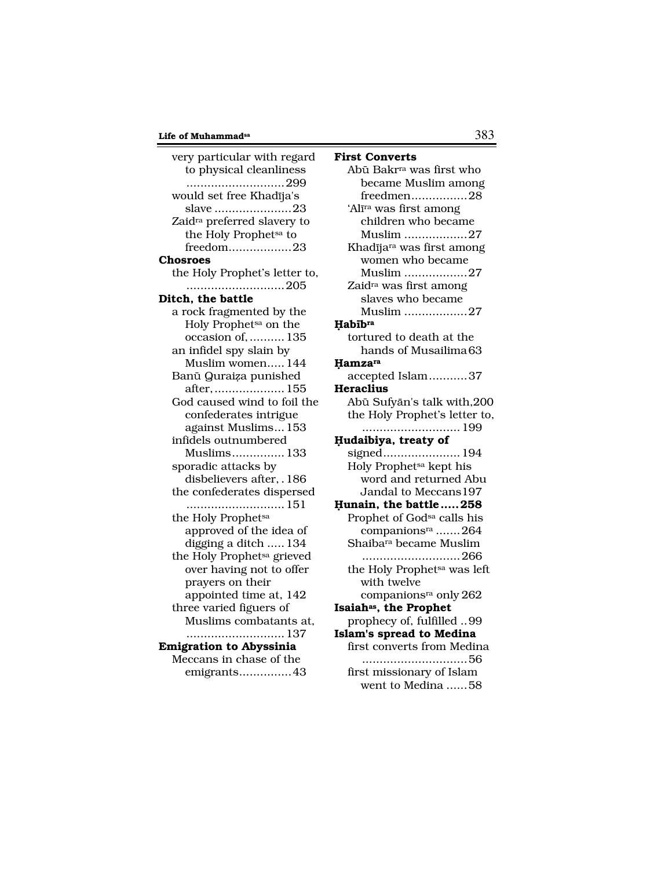| very particular with regard       | <b>First Converts</b>                 |
|-----------------------------------|---------------------------------------|
| to physical cleanliness           | Abū Bakr <sup>ra</sup> was first who  |
| 299                               | became Muslim among                   |
| would set free Khadīja's          | $freedmen$ 28                         |
| slave 23                          | 'Alīra was first among                |
| Zaidra preferred slavery to       | children who became                   |
| the Holy Prophetsa to             | Muslim 27                             |
| freedom23                         | Khadīja <sup>ra</sup> was first among |
| Chosroes                          | women who became                      |
| the Holy Prophet's letter to,     | Muslim 27                             |
|                                   | Zaidra was first among                |
| Ditch, the battle                 | slaves who became                     |
| a rock fragmented by the          | Muslim 27                             |
| Holy Prophet <sup>sa</sup> on the | <b>Habibra</b>                        |
| occasion of,  135                 | tortured to death at the              |
| an infidel spy slain by           | hands of Musailima 63                 |
| Muslim women 144                  | <b>Hamzara</b>                        |
| Banū Quraiza punished             | accepted Islam37                      |
| after,  155                       | <b>Heraclius</b>                      |
| God caused wind to foil the       | Abū Sufyān's talk with, 200           |
| confederates intrigue             | the Holy Prophet's letter to,         |
| against Muslims153                | 199                                   |
| infidels outnumbered              | Hudaibiya, treaty of                  |
| Muslims 133                       | signed 194                            |
| sporadic attacks by               | Holy Prophetsa kept his               |
| disbelievers after, . 186         | word and returned Abu                 |
| the confederates dispersed        | Jandal to Meccans197                  |
|                                   | Hunain, the battle258                 |
| the Holy Prophetsa                | Prophet of Godsa calls his            |
| approved of the idea of           | companions <sup>ra</sup> 264          |
| digging a ditch  134              | Shaibara became Muslim                |
| the Holy Prophetsa grieved        | 266                                   |
| over having not to offer          | the Holy Prophetsa was left           |
| prayers on their                  | with twelve                           |
| appointed time at, 142            | companionsra only 262                 |
| three varied figuers of           | Isaiah <sup>as</sup> , the Prophet    |
| Muslims combatants at,            | prophecy of, fulfilled 99             |
|                                   | <b>Islam's spread to Medina</b>       |
| <b>Emigration to Abyssinia</b>    | first converts from Medina            |
| Meccans in chase of the           |                                       |
| emigrants43                       | first missionary of Islam             |
|                                   | went to Medina 58                     |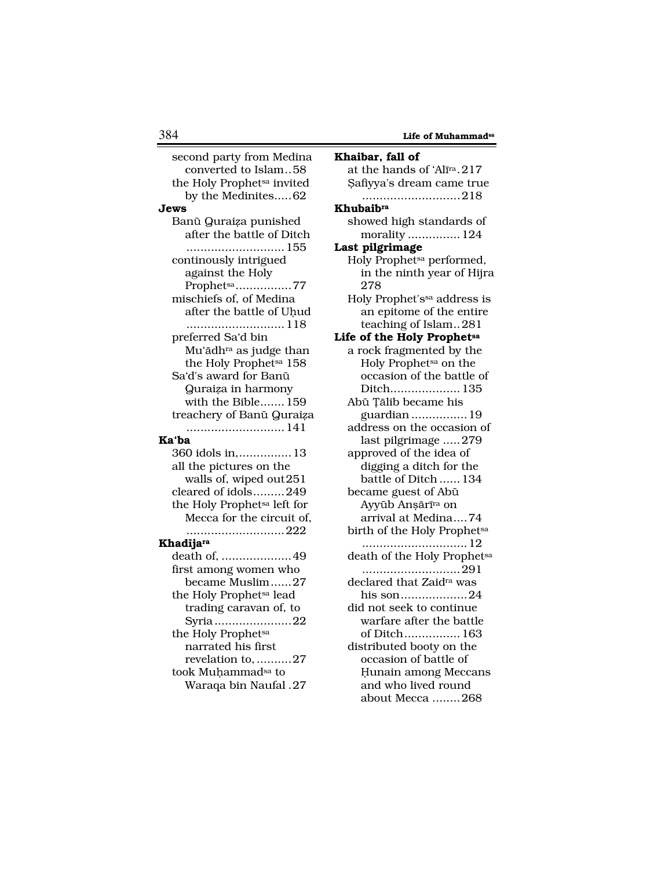| second party from Medina                 |
|------------------------------------------|
| converted to Islam58                     |
| the Holy Prophetsa invited               |
| by the Medinites62                       |
| Jews                                     |
| Banū Quraiza punished                    |
| after the battle of Ditch                |
|                                          |
| continously intrigued                    |
| against the Holy                         |
| Prophetsa77                              |
| mischiefs of, of Medina                  |
| after the battle of Uhud                 |
|                                          |
| preferred Sa'd bin                       |
| Mu'ādhra as judge than                   |
|                                          |
| the Holy Prophetsa 158                   |
| Sa'd's award for Banū                    |
| Quraiza in harmony                       |
| with the Bible 159                       |
| treachery of Banū Quraiza                |
| 141                                      |
| Ka'ba                                    |
| 360 idols in, 13                         |
| all the pictures on the                  |
| walls of, wiped out 251                  |
| cleared of idols249                      |
| the Holy Prophetsa left for              |
| Mecca for the circuit of,                |
| 222                                      |
|                                          |
| <b>Khadijara</b>                         |
| death of, 49                             |
| first among women who                    |
| became Muslim27                          |
| the Holy Prophetsa lead                  |
| trading caravan of, to                   |
| Syria22                                  |
|                                          |
| the Holy Prophetsa<br>narrated his first |
| revelation to, 27                        |
| took Muhammadsa to                       |
| Waraqa bin Naufal.27                     |

| Khaibar, fall of                 |
|----------------------------------|
| at the hands of 'Alīra. 217      |
| Safiyya's dream came true<br>218 |
| <b>Khubaibra</b>                 |
| showed high standards of         |
| morality  124                    |
| Last pilgrimage                  |
| Holy Prophetsa performed,        |
| in the ninth year of Hijra       |
| 278                              |
| Holy Prophet'ssa address is      |
| an epitome of the entire         |
| teaching of Islam281             |
| Life of the Holy Prophetsa       |
| a rock fragmented by the         |
| Holy Prophetsa on the            |
| occasion of the battle of        |
| Ditch 135                        |
| Abū Tālib became his             |
| guardian  19                     |
| address on the occasion of       |
| last pilgrimage 279              |
| approved of the idea of          |
| digging a ditch for the          |
| battle of Ditch  134             |
| became guest of Abū              |
| Ayyūb Anșārīra on                |
| arrival at Medina74              |
| birth of the Holy Prophetsa      |
| death of the Holy Prophetsa      |
|                                  |
| declared that Zaidra was         |
| his son24                        |
| did not seek to continue         |
| warfare after the battle         |
| of Ditch 163                     |
| distributed booty on the         |
| occasion of battle of            |
| Hunain among Meccans             |
| and who lived round              |
| about Mecca 268                  |
|                                  |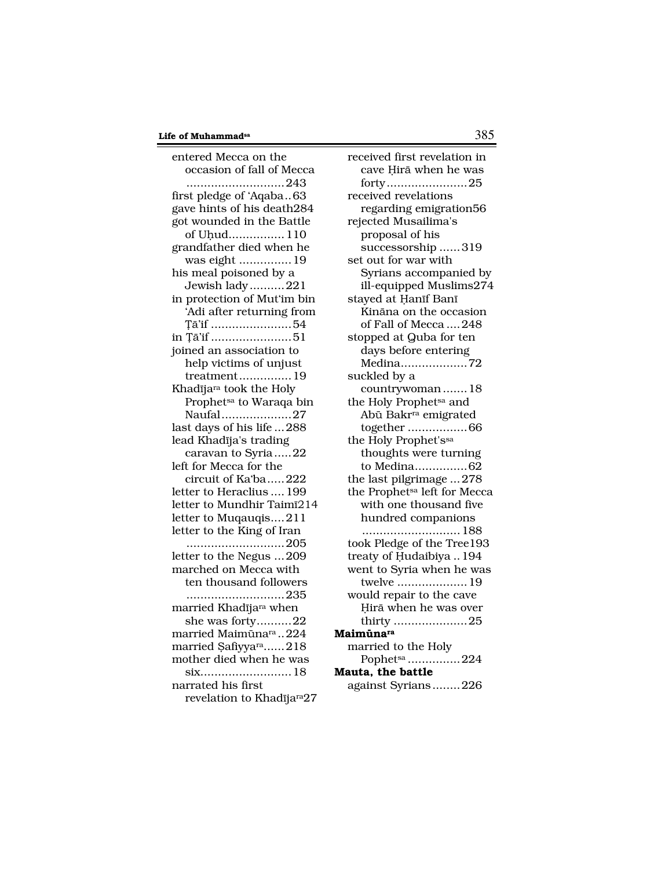| entered Mecca on the                          |
|-----------------------------------------------|
| occasion of fall of Mecca                     |
|                                               |
|                                               |
| gave hints of his death284                    |
| got wounded in the Battle                     |
| of Uhud 110                                   |
| grandfather died when he                      |
| was eight  19                                 |
| his meal poisoned by a                        |
|                                               |
| Jewish lady221<br>in protection of Mut'im bin |
|                                               |
| 'Adi after returning from                     |
| Tā'if 54                                      |
| in Țā'if 51                                   |
| joined an association to                      |
| help victims of unjust                        |
| treatment 19                                  |
| Khadījara took the Holy                       |
| Prophetsa to Waraqa bin                       |
| Naufal27                                      |
| last days of his life  288                    |
| lead Khadīja's trading                        |
| caravan to Syria22                            |
| left for Mecca for the                        |
| circuit of Ka'ba222                           |
| letter to Heraclius  199                      |
| letter to Mundhir Taimī214                    |
| letter to Muqauqis211                         |
| letter to the King of Iran                    |
| . 205                                         |
| letter to the Negus 209                       |
| marched on Mecca with                         |
| ten thousand followers                        |
| 235                                           |
| married Khadījara when                        |
| she was forty22                               |
| married Maimūnara224                          |
| married Şafiyya <sup>ra</sup> 218             |
| mother died when he was                       |
| six 18                                        |
| narrated his first                            |
| revelation to Khadījara27                     |
|                                               |

received first revelation in cave Hira when he was forty.......................25 received revelations regarding emigration56 rejected Musailima's proposal of his successorship ......319 set out for war with Syrians accompanied by ill-equipped Muslims274 stayed at Hanif Bani Kinana on the occasion of Fall of Mecca ....248 stopped at Quba for ten days before entering Medina...................72 suckled by a countrywoman .......18 the Holy Prophetsa and Abū Bakr<sup>ra</sup> emigrated together .................66 the Holy Prophet'ssa thoughts were turning to Medina...............62 the last pilgrimage ...278 the Prophetsa left for Mecca with one thousand five hundred companions ............................188 took Pledge of the Tree193 treaty of Hudaibiya ..194 went to Syria when he was twelve ....................19 would repair to the cave Hira when he was over thirty .....................25 **Maim**u**nara** married to the Holy Pophetsa ...............224 **Mauta, the battle** 

against Syrians........226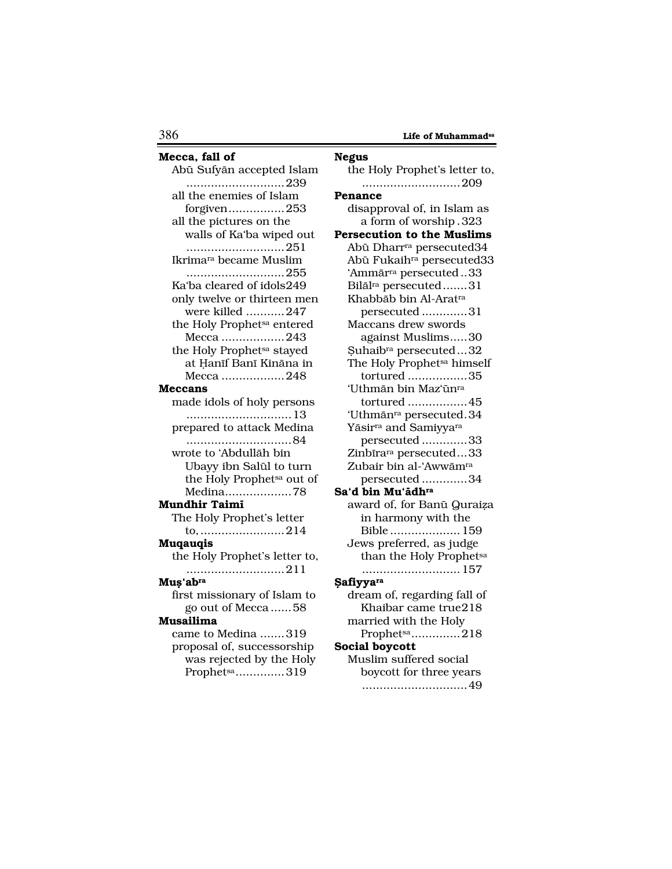| Mecca, fall of                |
|-------------------------------|
| Abū Sufyān accepted Islam     |
| 239                           |
| all the enemies of Islam      |
| forgiven253                   |
| all the pictures on the       |
| walls of Ka'ba wiped out      |
| 251                           |
| Ikrimara became Muslim        |
| Ka'ba cleared of idols249     |
| only twelve or thirteen men   |
| were killed 247               |
| the Holy Prophetsa entered    |
| Mecca 243                     |
| the Holy Prophetsa stayed     |
| at Hanīf Banī Kināna in       |
| Mecca 248                     |
| Meccans                       |
| made idols of holy persons    |
| . 13<br>.<br>.                |
| prepared to attack Medina     |
| . 84                          |
| wrote to 'Abdullāh bin        |
| Ubayy ibn Salūl to turn       |
| the Holy Prophetsa out of     |
| Medina78                      |
| <b>Mundhir Taimi</b>          |
| The Holy Prophet's letter     |
| to, 214                       |
| <b>Mugaugis</b>               |
| the Holy Prophet's letter to, |
| 211<br>Muș'abra               |
| first missionary of Islam to  |
| go out of Mecca58             |
| <b>Musailima</b>              |
| came to Medina 319            |
| proposal of, successorship    |
| was rejected by the Holy      |
| Prophetsa319                  |

#### **Negus**  the Holy Prophet's letter to,

| .209                                 |
|--------------------------------------|
| Penance                              |
| disapproval of, in Islam as          |
| a form of worship. 323               |
| Persecution to the Muslims           |
| Abū Dharr <sup>ra</sup> persecuted34 |
| Abū Fukaihra persecuted33            |
| 'Ammār <sup>ra</sup> persecuted33    |
| Bilāl <sup>ra</sup> persecuted31     |
| Khabbab bin Al-Aratra                |
| persecuted31                         |
| Maccans drew swords                  |
| against Muslims30                    |
| Suhaibra persecuted32                |
| The Holy Prophetsa himself           |
| tortured 35                          |
| 'Uthmān bin Maz'ūnra                 |
| tortured 45                          |
| 'Uthmānra persecuted.34              |
| Yāsirra and Samiyyara                |
| persecuted 33                        |
| Zinbīrara persecuted33               |
| Zubair bin al-'Awwāmra               |
| persecuted 34                        |
| Sa'd bin Mu'ādhra                    |
| award of, for Banū Quraiza           |
| in harmony with the                  |
| Bible  159                           |
| Jews preferred, as judge             |
| than the Holy Prophetsa              |
| 157                                  |
| Şafiyyara                            |
| dream of, regarding fall of          |
| Khaibar came true218                 |
| married with the Holy                |
| Prophetsa218                         |
| Social boycott                       |
| Muslim suffered social               |
| boycott for three years              |

..............................49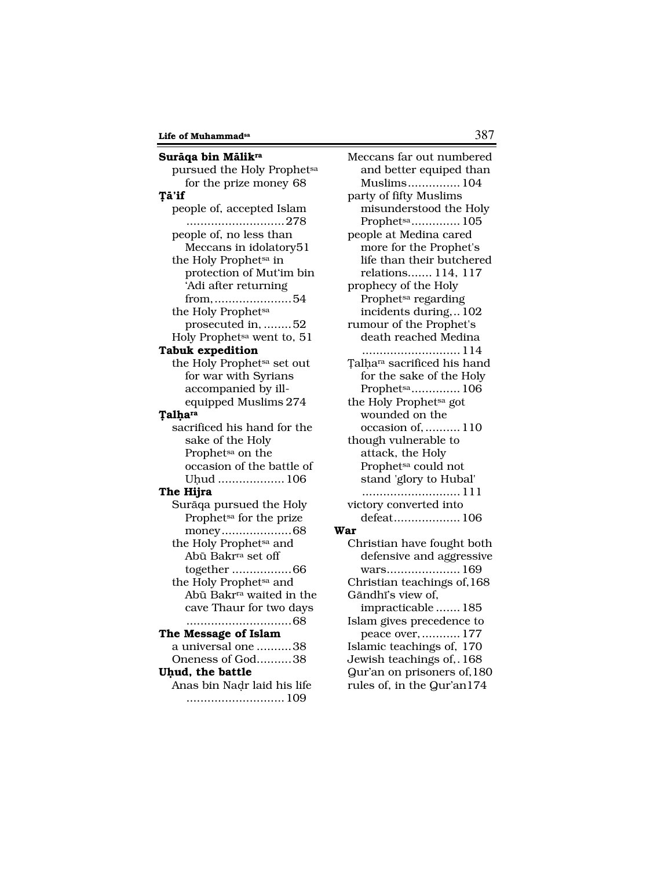| Surāqa bin Mālik <sup>ra</sup>                       |
|------------------------------------------------------|
| pursued the Holy Prophetsa                           |
| for the prize money 68                               |
| <b>Tä'if</b>                                         |
| people of, accepted Islam                            |
|                                                      |
| people of, no less than                              |
| Meccans in idolatory51                               |
| the Holy Prophetsa in                                |
| protection of Mut'im bin                             |
| 'Adi after returning                                 |
| $from, \ldots \ldots \ldots \ldots \ldots \ldots 54$ |
| the Holy Prophetsa                                   |
| prosecuted in, 52                                    |
| Holy Prophetsa went to, 51                           |
| <b>Tabuk</b> expedition                              |
| the Holy Prophetsa set out                           |
| for war with Syrians                                 |
| accompanied by ill-                                  |
| equipped Muslims 274                                 |
| <b>Talhara</b>                                       |
| sacrificed his hand for the                          |
| sake of the Holy                                     |
| Prophetsa on the                                     |
| occasion of the battle of                            |
| Uhud  106                                            |
| The Hijra                                            |
| Surāqa pursued the Holy                              |
| Prophetsa for the prize                              |
| money68                                              |
| the Holy Prophetsa and                               |
| Abū Bakrra set off                                   |
| together 66                                          |
| the Holy Prophetsa and                               |
| Abū Bakr <sup>ra</sup> waited in the                 |
| cave Thaur for two days                              |
|                                                      |
| The Message of Islam                                 |
| a universal one 38                                   |
| Oneness of God38                                     |
| Uhud, the battle                                     |
| Anas bin Nadr laid his life                          |
| 109                                                  |

Meccans far out numbered and better equiped than Muslims...............104 party of fifty Muslims misunderstood the Holy Prophetsa..............105 people at Medina cared more for the Prophet's life than their butchered relations....... 114, 117 prophecy of the Holy Prophetsa regarding incidents during,..102 rumour of the Prophet's death reached Medina ............................114 Talhara sacrificed his hand for the sake of the Holy Prophetsa..............106 the Holy Prophetsa got wounded on the occasion of,..........110 though vulnerable to attack, the Holy Prophetsa could not stand 'glory to Hubal' ............................111 victory converted into defeat...................106 **War**  Christian have fought both defensive and aggressive wars.....................169 Christian teachings of,168 Gandhi's view of, impracticable .......185 Islam gives precedence to peace over,...........177 Islamic teachings of, 170 Jewish teachings of,.168 Qur'an on prisoners of,180 rules of, in the Qur'an174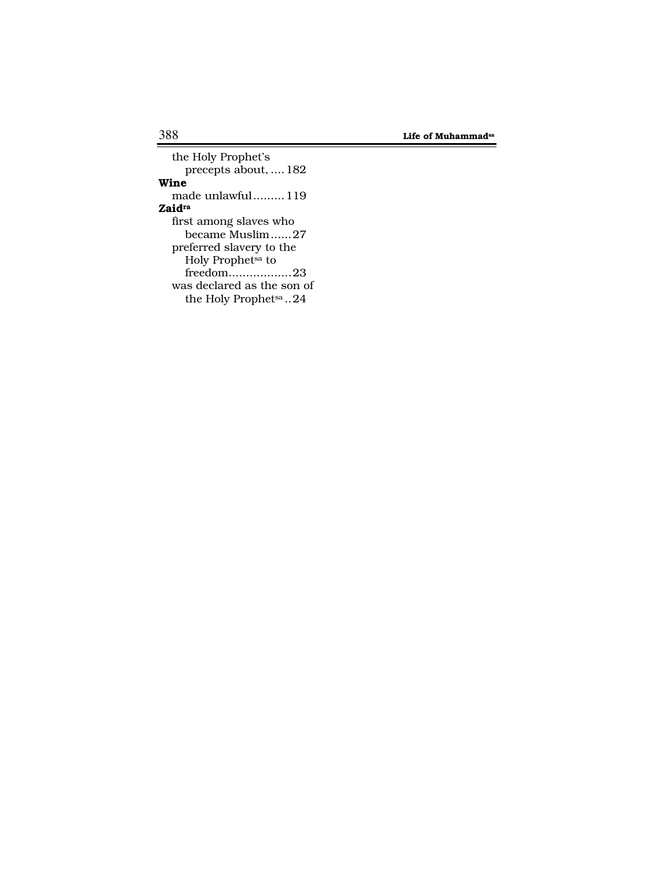| the Holy Prophet's         |
|----------------------------|
| precepts about,  182       |
| Wine                       |
| made unlawful119           |
| Zaidra                     |
| first among slaves who     |
| became Muslim27            |
| preferred slavery to the   |
| Holy Prophetsa to          |
| freedom23                  |
| was declared as the son of |
| the Holy Prophetsa24       |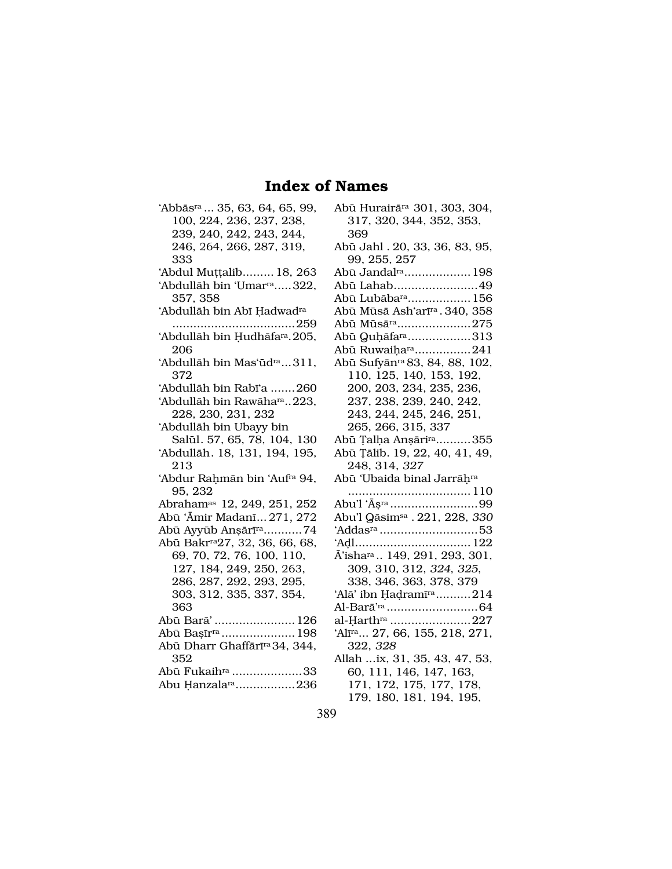#### **Index of Names**

'Abbasra ... 35, 63, 64, 65, 99, 100, 224, 236, 237, 238, 239, 240, 242, 243, 244, 246, 264, 266, 287, 319, 333 'Abdul Muttalib.........18, 263 'Abdullah bin 'Umarra.....322, 357, 358 'Abdullah bin Abi Hadwadra ...................................259 'Abdullah bin Hudhafara.205, 206 'Abdullah bin Mas'udra...311, 372 'Abdullah bin Rabi'a .......260 'Abdullah bin Rawahara..223, 228, 230, 231, 232 'Abdullah bin Ubayy bin Salul. 57, 65, 78, 104, 130 'Abdullah. 18, 131, 194, 195, 213 'Abdur Rahman bin 'Aufra 94, 95, 232 Abrahamas 12, 249, 251, 252 Abu 'Amir Madani... 271, 272 Abū Ayyūb Anşārī¤...........74 Abu Bakrra27, 32, 36, 66, 68, 69, 70, 72, 76, 100, 110, 127, 184, 249, 250, 263, 286, 287, 292, 293, 295, 303, 312, 335, 337, 354, 363 Abu Bara' .......................126 Abu Basirra .....................198 Abu Dharr Ghaffarira34, 344, 352 Abū Fukaih<sup>ra</sup> .....................33 Abu Hanzalara.................236 Abu Hurairara 301, 303, 304, 317, 320, 344, 352, 353, 369 Abu Jahl . 20, 33, 36, 83, 95, 99, 255, 257 Abu Jandalra...................198 Abu Lahab........................49 Abū Lubābara.................... 156 Abu Musa Ash'arira . 340, 358 Abū Mūsā<sup>ra</sup>......................275 Abu Quhafara..................313 Abū Ruwaiha<sup>ra</sup>................241 Abu Sufyanra 83, 84, 88, 102, 110, 125, 140, 153, 192, 200, 203, 234, 235, 236, 237, 238, 239, 240, 242, 243, 244, 245, 246, 251, 265, 266, 315, 337 Abu Talha Ansarira..........355 Abu Talib. 19, 22, 40, 41, 49, 248, 314, *327* Abū 'Ubaida binal Jarrāhra ...................................110 Abu'l 'Asra .........................99 Abu'l Qasimsa . 221, 228, *330* 'Addasra ............................53 'Adl.................................122 A'ishara .. 149, 291, 293, 301, 309, 310, 312, *324*, *325*, 338, 346, 363, 378, 379 'Ala' ibn Hadramira..........214 Al-Bara' ra ..........................64 al-Harthra .......................227 'Alira... 27, 66, 155, 218, 271, 322, *328* Allah ...ix, 31, 35, 43, 47, 53, 60, 111, 146, 147, 163, 171, 172, 175, 177, 178, 179, 180, 181, 194, 195,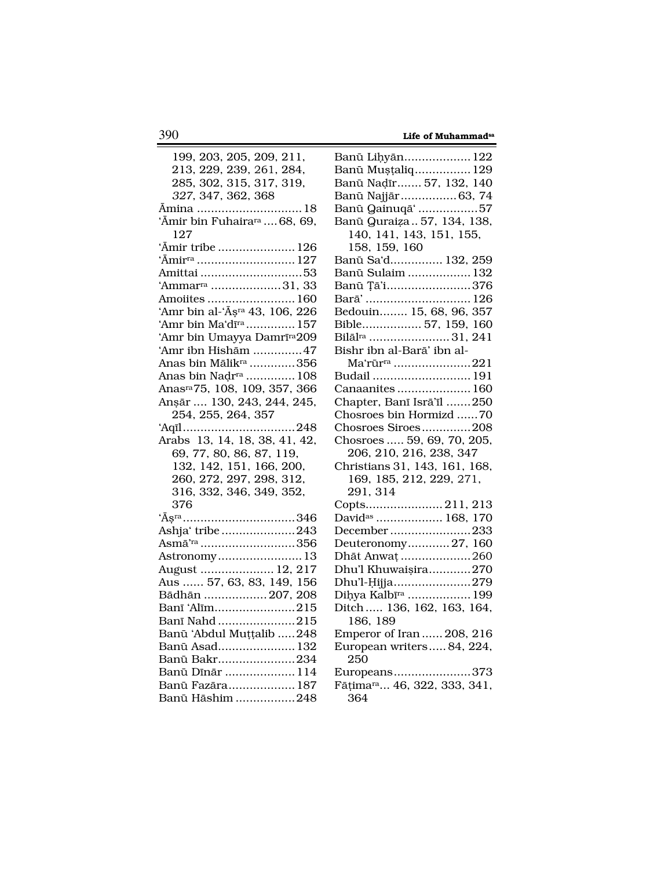| 199, 203, 205, 209, 211, 213, 229, 239, 261, 284, |
|---------------------------------------------------|
| 285, 302, 315, 317, 319,                          |
| 327, 347, 362, 368                                |
| Āmina  18                                         |
| 'Āmir bin Fuhaira <sup>ra</sup> 68, 69,           |
| 127                                               |
| 'Āmir tribe  126                                  |
|                                                   |
|                                                   |
| 'Ammar <sup>ra</sup> 31, 33                       |
| Amoiites  160                                     |
| 'Amr bin al-'Āṣ <sup>ra</sup> 43, 106, 226        |
| 'Amr bin Ma'dī <sup>ra</sup> 157                  |
| 'Amr bin Umayya Damrīra209                        |
| 'Amr ibn Hishām 47                                |
| Anas bin Mālikra 356                              |
| Anas bin Nadr <sup>ra</sup> 108                   |
| Anas <sup>ra</sup> 75, 108, 109, 357, 366         |
| Anşār  130, 243, 244, 245,                        |
| 254, 255, 264, 357                                |
|                                                   |
| Arabs 13, 14, 18, 38, 41, 42,                     |
| 69, 77, 80, 86, 87, 119,                          |
| 132, 142, 151, 166, 200,                          |
| 260, 272, 297, 298, 312,                          |
| 316, 332, 346, 349, 352,                          |
| 376                                               |
|                                                   |
| Ashja' tribe243                                   |
| Asmā' <sup>ra</sup> 356                           |
| Astronomy13                                       |
| August  12, 217                                   |
| Aus  57, 63, 83, 149, 156                         |
| Bādhān  207, 208                                  |
| Banī 'Alīm215                                     |
| Banī Nahd 215                                     |
| Banū 'Abdul Muțțalib 248                          |
| Banū Asad 132                                     |
| Banū Bakr234                                      |
| Banū Dīnār  114                                   |
|                                                   |
| Banū Fazāra 187<br>Banū Hāshim 248                |

| Banū Liḥyān 122                                                                                      |  |
|------------------------------------------------------------------------------------------------------|--|
| Banū Muṣṭaliq 129                                                                                    |  |
| Banū Naḍīr 57, 132, 140                                                                              |  |
|                                                                                                      |  |
|                                                                                                      |  |
| Banū Najjār 63, 74<br>Banū Qainuqā' 57<br>Banū Quraiza  57, 134, 138,                                |  |
| 140, 141, 143, 151, 155,                                                                             |  |
| 158, 159, 160                                                                                        |  |
| .<br>Banū Sa'd…………… 132, 259                                                                         |  |
| Banū Sulaim  132                                                                                     |  |
|                                                                                                      |  |
| Banū Țā'i376                                                                                         |  |
| Barā' ………………………… 126                                                                                 |  |
| Bedouin 15, 68, 96, 357                                                                              |  |
| Bible 57, 159, 160                                                                                   |  |
| Bilāl <sup>ra</sup> 31, 241                                                                          |  |
| Bishr ibn al-Barā' ibn al-                                                                           |  |
| Ma'rūr <sup>ra</sup> 221                                                                             |  |
| Budail  191                                                                                          |  |
| Canaanites  160                                                                                      |  |
| Chapter, Banī Isrā'īl 250                                                                            |  |
| Chosroes bin Hormizd 70                                                                              |  |
| Chosroes Siroes208                                                                                   |  |
| Chosroes  59, 69, 70, 205,                                                                           |  |
|                                                                                                      |  |
| 206, 210, 216, 238, 347                                                                              |  |
| Christians 31, 143, 161, 168,                                                                        |  |
| 169, 185, 212, 229, 271,                                                                             |  |
| 291, 314                                                                                             |  |
|                                                                                                      |  |
| David <sup>as</sup> 168, 170                                                                         |  |
| December 233                                                                                         |  |
| Deuteronomy27, 160                                                                                   |  |
| Dhāt Anwaț 260                                                                                       |  |
| Dhu'l Khuwaisira270                                                                                  |  |
| Dhu'l-Ḥijja279                                                                                       |  |
| Diḥya Kalbī¤  199                                                                                    |  |
| Ditch  136, 162, 163, 164,                                                                           |  |
| 186, 189                                                                                             |  |
|                                                                                                      |  |
|                                                                                                      |  |
|                                                                                                      |  |
| - 250                                                                                                |  |
|                                                                                                      |  |
| Emperor of Iran  208, 216<br>European writers 84, 224,<br>Europeans373<br>Fāṭima™ 46, 322, 333, 341, |  |
| 364                                                                                                  |  |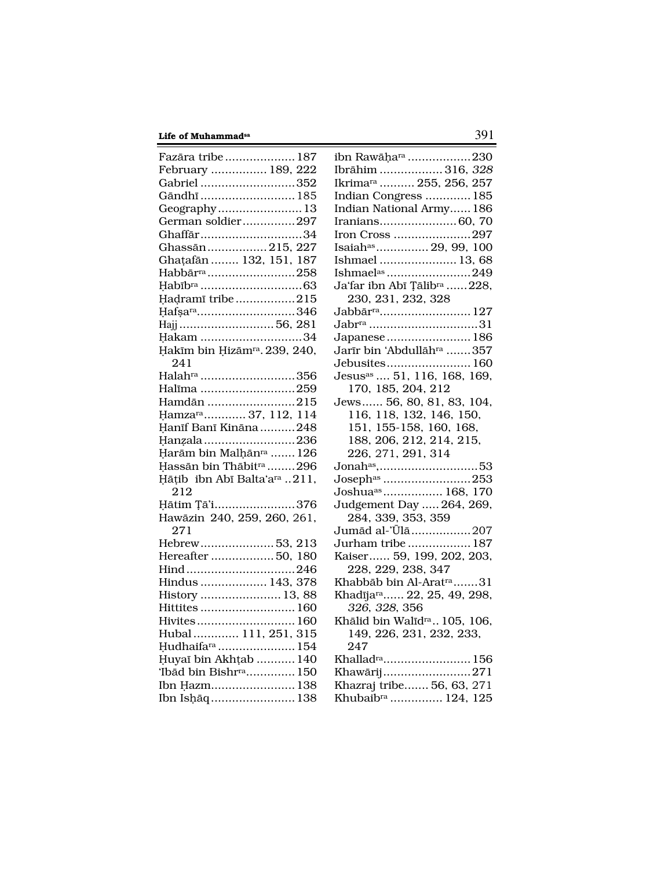| Fazāra tribe 187                                    |
|-----------------------------------------------------|
| February  189, 222                                  |
| Gabriel 352                                         |
| Gāndhī  185                                         |
| Geography13                                         |
| German soldier297                                   |
| Ghaffār34                                           |
| Ghassān 215, 227                                    |
| Ghațafān  132, 151, 187                             |
| Habbār <sup>ra</sup> 258                            |
|                                                     |
| Hadramī tribe215                                    |
| Hafsa <sup>ra</sup> 346                             |
| Hajj 56, 281                                        |
| Hakam 34                                            |
| Hakīm bin Hizāmra. 239, 240,<br>241                 |
| Halahra 356                                         |
| Halīma 259                                          |
| Hamdān 215                                          |
| Hamzara 37, 112, 114                                |
| Hanīf Banī Kināna 248                               |
| Hanzala236                                          |
| Harām bin Malhānra  126                             |
| Hassān bin Thābitra 296                             |
| Hāṭib ibn Abī Balta'ara 211,<br>212                 |
|                                                     |
| Hātim Țā'i376<br>Hawāzin 240, 259, 260, 261,<br>271 |
| Hebrew53, 213                                       |
| Hereafter  50, 180                                  |
| Hind246                                             |
| Hindus  143, 378                                    |
| History  13, 88                                     |
| Hittites  160                                       |
| Hivites 160                                         |
| Hubal 111, 251, 315                                 |
| Hudhaifara  154                                     |
| Huyaī bin Akhtab  140                               |
| 'Ibad bin Bishr <sup>ra</sup> 150                   |
| Ibn Hazm 138                                        |
| Ibn Isḥāq  138                                      |

| ibn Rawāḥa <sup>ra</sup> 230                            |
|---------------------------------------------------------|
| Ibrāhim  316, 328                                       |
| Ikrima <sup>ra</sup> 255, 256, 257                      |
| Indian Congress  185                                    |
| Indian National Army 186                                |
| Iranians60, 70                                          |
| Iron Cross 297                                          |
| Isaiah <sup>as</sup> 29, 99, 100                        |
| Ishmael  13, 68                                         |
| Ishmael <sup>as</sup> 249                               |
| Ja'far ibn Abī Țālibra 228,                             |
| 230, 231, 232, 328                                      |
| Jabbār <sup>ra</sup> 127                                |
| Jabr <sup>ra</sup> 31                                   |
| Japanese 186                                            |
| Jarīr bin 'Abdullāhra 357                               |
|                                                         |
| Jebusites 160<br>Jesus <sup>as</sup> 51, 116, 168, 169, |
| 170, 185, 204, 212                                      |
|                                                         |
| Jews 56, 80, 81, 83, 104,                               |
| 116, 118, 132, 146, 150,<br>151, 155-158, 160, 168,     |
|                                                         |
| 188, 206, 212, 214, 215,                                |
| 226, 271, 291, 314                                      |
| Jonah <sup>as</sup> ,53                                 |
| Joseph <sup>as</sup> 253                                |
| Joshua <sup>as</sup> 168, 170                           |
| Judgement Day  264, 269,                                |
| 284, 339, 353, 359                                      |
| Jumād al-'Ūlā207                                        |
| Jurham tribe  187                                       |
| Kaiser 59, 199, 202, 203,                               |
| 228, 229, 238, 347                                      |
| Khabbāb bin Al-Aratra31                                 |
| Khadīja <sup>ra</sup> 22, 25, 49, 298,                  |
| 326, 328, 356                                           |
| Khālid bin Walīdra 105, 106,                            |
| 149, 226, 231, 232, 233,                                |
| 247                                                     |
| Khallad <sup>ra</sup> 156                               |
| Khawārij271                                             |
| Khazraj tribe 56, 63, 271                               |
| Khubaib <sup>ra</sup> 124, 125                          |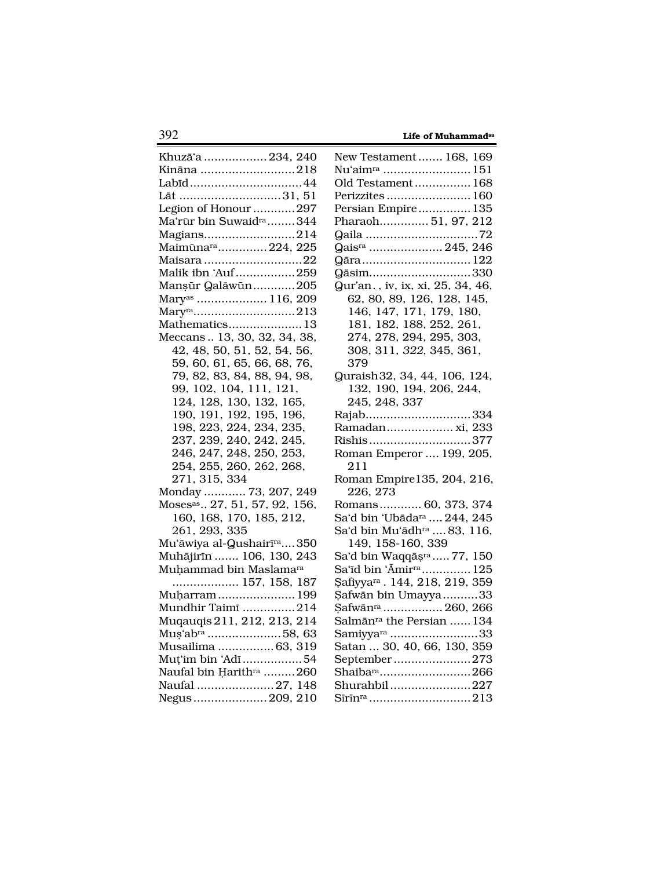| Khuzā'a  234, 240                                    |
|------------------------------------------------------|
| Kināna 218                                           |
|                                                      |
| Lāt 31, 51                                           |
| Legion of Honour 297                                 |
| Ma'rūr bin Suwaidra344                               |
| Magians214                                           |
| Maimūnara 224, 225                                   |
| Maisara22                                            |
| Malik ibn 'Auf259                                    |
| Manşūr Qalāwūn205                                    |
| Mary <sup>as</sup> 116, 209                          |
| Mary <sup>ra</sup> 213                               |
| Mathematics 13                                       |
| Meccans 13, 30, 32, 34, 38,                          |
| 42, 48, 50, 51, 52, 54, 56,                          |
| 59, 60, 61, 65, 66, 68, 76,                          |
| 79, 82, 83, 84, 88, 94, 98,                          |
| 99, 102, 104, 111, 121,                              |
| 124, 128, 130, 132, 165,                             |
| 190, 191, 192, 195, 196,                             |
| 198, 223, 224, 234, 235,                             |
| 237, 239, 240, 242, 245,<br>246, 247, 248, 250, 253, |
| 254, 255, 260, 262, 268,                             |
| 271, 315, 334                                        |
| Monday  73, 207, 249                                 |
| Moses <sup>as</sup> 27, 51, 57, 92, 156,             |
| 160, 168, 170, 185, 212,                             |
| 261, 293, 335                                        |
| Mu'āwiya al-Qushairī <sup>ra</sup> 350               |
| Muhājirīn  106, 130, 243                             |
| Muhammad bin Maslamara                               |
| 157, 158, 187                                        |
| Muharram 199                                         |
| Mundhir Taimī 214                                    |
| Muqauqis 211, 212, 213, 214                          |
| Muș'abra 58, 63                                      |
| Musailima  63, 319                                   |
| Muț'im bin 'Adī 54                                   |
| Naufal bin Harith <sup>ra</sup> 260                  |
| Naufal 27, 148                                       |
| Negus  209, 210                                      |
|                                                      |

| New Testament 168, 169                            |
|---------------------------------------------------|
| Nu'aim <sup>ra</sup> 151                          |
| Old Testament 168                                 |
| Perizzites  160                                   |
| Persian Empire 135                                |
| Pharaoh 51, 97, 212                               |
|                                                   |
| Qais <sup>ra</sup> 245, 246                       |
| Gāra  122                                         |
| Qāsim330                                          |
| Gur'an. , iv, ix, xi, 25, 34, 46,                 |
| 62, 80, 89, 126, 128, 145,                        |
|                                                   |
| 146, 147, 171, 179, 180, 181, 182, 188, 252, 261, |
| 274, 278, 294, 295, 303,                          |
| 308, 311, 322, 345, 361,                          |
| 379.                                              |
| Quraish 32, 34, 44, 106, 124,                     |
| 132, 190, 194, 206, 244,                          |
| 245, 248, 337                                     |
| Rajab334                                          |
| Ramadan xi, 233                                   |
| Rishis377                                         |
| Roman Emperor  199, 205,                          |
| 211                                               |
| Roman Empire 135, 204, 216,                       |
| 226, 273                                          |
| Romans 60, 373, 374                               |
| Sa'd bin 'Ubāda <sup>ra</sup> 244, 245            |
| Sa'd bin Mu'ādhra  83, 116,                       |
| 149, 158-160, 339                                 |
| Sa'd bin Waqqāş <sup>ra</sup> 77, 150             |
| Sa'īd bin 'Āmir¤…………. 125                         |
| Safiyya <sup>ra</sup> . 144, 218, 219, 359        |
| Safwān bin Umayya 33                              |
| Şafwān <sup>ra</sup> 260, 266                     |
| Salmān <sup>ra</sup> the Persian  134             |
| Samiyya <sup>ra</sup> 33                          |
| Satan  30, 40, 66, 130, 359                       |
| September 273                                     |
| Shaiba <sup>ra</sup> 266                          |
| Shurahbil 227                                     |
| Sīrīn <sup>ra</sup> …………………………213                 |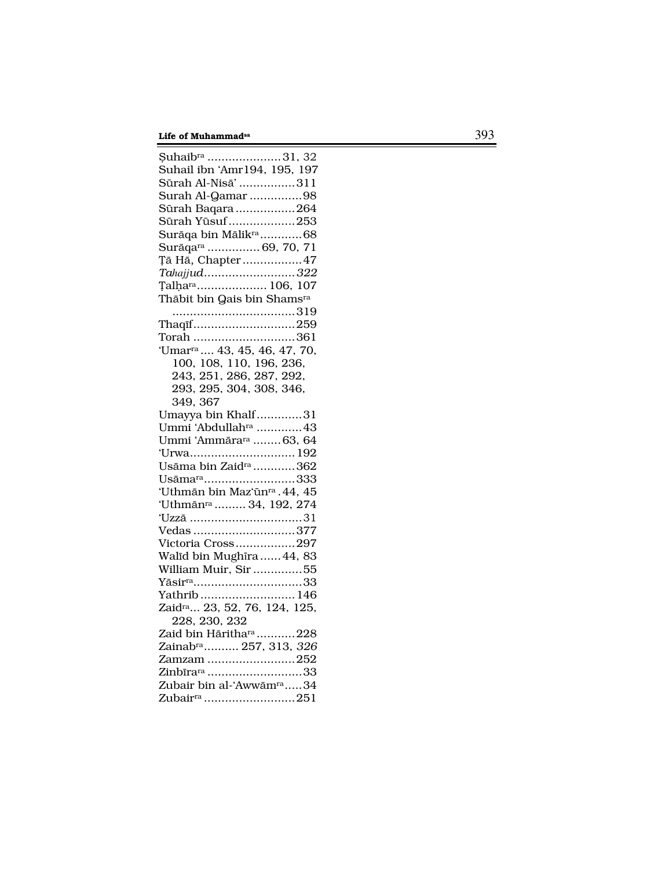| Suhaib <sup>ra</sup> 31, 32                         |
|-----------------------------------------------------|
| Suhail ibn 'Amr194, 195, 197                        |
| Sūrah Al-Nisā' 311                                  |
| Surah Al-Qamar 98                                   |
| Sūrah Baqara 264                                    |
| Sūrah Yūsuf 253                                     |
| Surāqa bin Mālikra68                                |
| Surāqa <sup>ra</sup> 69, 70, 71                     |
| Țā Hā, Chapter47                                    |
| Tahajjud322                                         |
| Talhara 106, 107                                    |
| Thābit bin Qais bin Shamsra                         |
| 319                                                 |
| Thaqif259                                           |
| Torah 361                                           |
| 'Umar <sup>ra</sup> 43, 45, 46, 47, 70,             |
| 100, 108, 110, 196, 236,                            |
| 243, 251, 286, 287, 292,                            |
| 293, 295, 304, 308, 346,                            |
| 349, 367                                            |
| Umayya bin Khalf31                                  |
| Ummi 'Abdullahra 43                                 |
| Ummi 'Ammāra <sup>ra</sup> 63, 64                   |
| 'Urwa 192                                           |
| Usāma bin Zaidra 362                                |
| Usāmara333                                          |
| 'Uthmān bin Maz'ūnra. 44, 45                        |
| 'Uthmān <sup>ra</sup> 34, 192, 274                  |
|                                                     |
| Vedas 377                                           |
| Victoria Cross297                                   |
| Walīd bin Mughīra44, 83                             |
| William Muir, Sir 55                                |
| Yāsir <sup>ra</sup> 33                              |
| Yathrib  146                                        |
| Zaidra 23, 52, 76, 124, 125,                        |
| 228, 230, 232                                       |
| 220, 230, 232<br>Zaid bin Hāritha <sup>ra</sup> 228 |
| Zainabra 257, 313, 326                              |
| Zamzam 252                                          |
| Zinbīra <sup>ra</sup> 33                            |
| Zubair bin al-'Awwāmra34                            |
| Zubair <sup>ra</sup> 251                            |
|                                                     |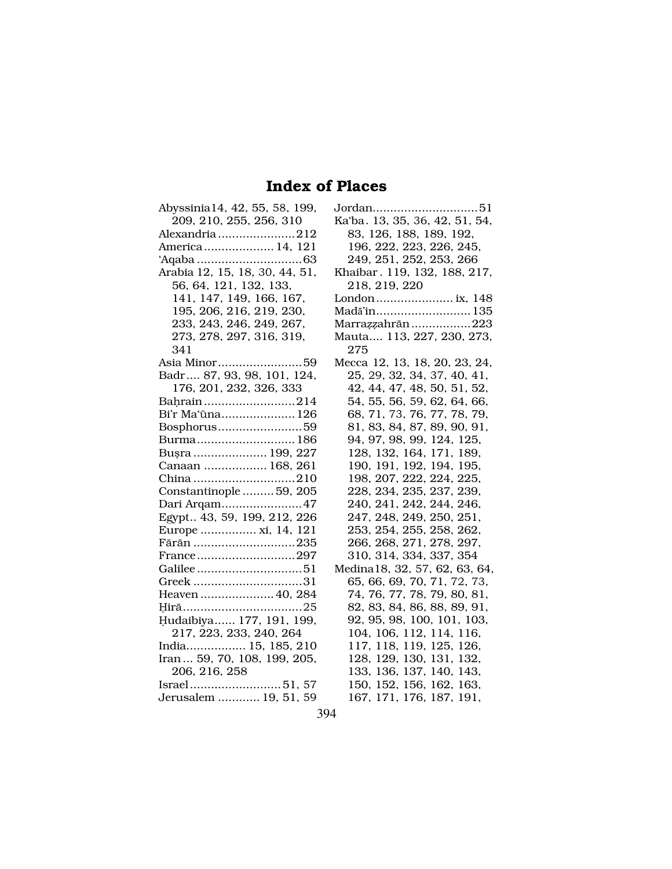# **Index of Places**

| Abyssinia14, 42, 55, 58, 199,  |
|--------------------------------|
| 209, 210, 255, 256, 310        |
| Alexandria 212                 |
| America  14, 121               |
|                                |
| Arabia 12, 15, 18, 30, 44, 51, |
| 56, 64, 121, 132, 133,         |
| 141, 147, 149, 166, 167,       |
| 195, 206, 216, 219, 230,       |
| 233, 243, 246, 249, 267,       |
| 273, 278, 297, 316, 319,       |
| 341                            |
| Asia Minor59                   |
| Badr 87, 93, 98, 101, 124,     |
| 176, 201, 232, 326, 333        |
| Bahrain214                     |
| Bi'r Ma'ūna 126                |
| Bosphorus59                    |
| Burma 186                      |
| Bușra  199, 227                |
| Canaan  168, 261               |
| China 210                      |
| Constantinople  59, 205        |
| Dari Arqam47                   |
| Egypt 43, 59, 199, 212, 226    |
| Europe  xi, 14, 121            |
| Fārān 235                      |
| France297                      |
|                                |
|                                |
| Heaven  40, 284                |
|                                |
| Hudaibiya 177, 191, 199,       |
| 217, 223, 233, 240, 264        |
| India 15, 185, 210             |
| Iran  59, 70, 108, 199, 205,   |
| 206, 216, 258                  |
| Israel51,57                    |
| Jerusalem  19, 51, 59          |
|                                |

| Ka'ba. 13, 35, 36, 42, 51, 54,                          |
|---------------------------------------------------------|
| 83, 126, 188, 189, 192,                                 |
| 196, 222, 223, 226, 245,                                |
| 249, 251, 252, 253, 266                                 |
| Khaibar. 119, 132, 188, 217,                            |
| 218, 219, 220                                           |
| London ix, 148                                          |
| Madā'in 135                                             |
| Marrazzahrān 223                                        |
| Mauta 113, 227, 230, 273,                               |
| 275                                                     |
| Mecca 12, 13, 18, 20, 23, 24,                           |
| 25, 29, 32, 34, 37, 40, 41,                             |
| 42, 44, 47, 48, 50, 51, 52,                             |
|                                                         |
| 54, 55, 56, 59, 62, 64, 66, 68, 71, 73, 76, 77, 78, 79, |
| 81, 83, 84, 87, 89, 90, 91,                             |
| 94, 97, 98, 99, 124, 125,                               |
| 128, 132, 164, 171, 189,                                |
| 190, 191, 192, 194, 195,                                |
| 198, 207, 222, 224, 225,                                |
| 228, 234, 235, 237, 239,                                |
| 240, 241, 242, 244, 246,                                |
| 247, 248, 249, 250, 251,                                |
| 253, 254, 255, 258, 262,                                |
| 266, 268, 271, 278, 297,                                |
| 310, 314, 334, 337, 354                                 |
| Medina18, 32, 57, 62, 63, 64,                           |
| 65, 66, 69, 70, 71, 72, 73,                             |
| 74, 76, 77, 78, 79, 80, 81,                             |
| 82, 83, 84, 86, 88, 89, 91,                             |
| 92, 95, 98, 100, 101, 103,                              |
| 104, 106, 112, 114, 116,                                |
| 117, 118, 119, 125, 126,                                |
| 128, 129, 130, 131, 132,                                |
| 133, 136, 137, 140, 143,                                |
|                                                         |
| 150, 152, 156, 162, 163, 167, 171, 176, 187, 191,       |